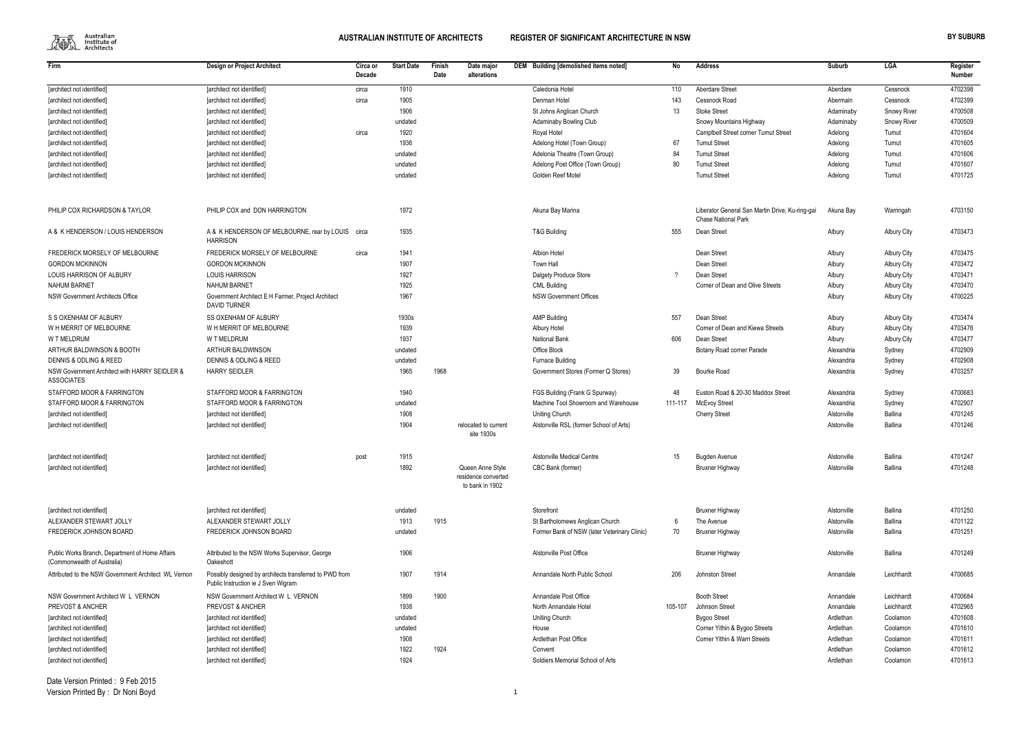

| Firm                                                                           | <b>Design or Project Architect</b>                                                             | Circa or | <b>Start Date</b> | Finish | Date major                                                 | DEM Building [demolished items noted]                                           | No      | Address                                         | Suburb                     | LGA                | Register           |
|--------------------------------------------------------------------------------|------------------------------------------------------------------------------------------------|----------|-------------------|--------|------------------------------------------------------------|---------------------------------------------------------------------------------|---------|-------------------------------------------------|----------------------------|--------------------|--------------------|
|                                                                                |                                                                                                | Decade   |                   | Date   | alterations                                                |                                                                                 |         |                                                 |                            |                    | <b>Number</b>      |
| [architect not identified]                                                     | [architect not identified]                                                                     | circa    | 1910              |        |                                                            | Caledonia Hotel                                                                 | 110     | Aberdare Street                                 | Aberdare                   | Cessnock           | 4702398            |
| [architect not identified]                                                     | [architect not identified]                                                                     | circa    | 1905              |        |                                                            | Denman Hotel                                                                    | 143     | Cessnock Road                                   | Abermain                   | Cessnock           | 4702399            |
| [architect not identified]                                                     | [architect not identified]                                                                     |          | 1906              |        |                                                            | St Johns Anglican Church                                                        | 13      | <b>Stoke Street</b>                             | Adaminaby                  | <b>Snowy River</b> | 4700508            |
| [architect not identified]                                                     | [architect not identified]                                                                     |          | undated           |        |                                                            | <b>Adaminaby Bowling Club</b>                                                   |         | Snowy Mountains Highway                         | Adaminaby                  | <b>Snowy River</b> | 4700509            |
| [architect not identified]                                                     | [architect not identified]                                                                     | circa    | 1920              |        |                                                            | Royal Hotel                                                                     |         | Camplbell Street corner Tumut Street            | Adelong                    | Tumut              | 4701604            |
| [architect not identified]                                                     | [architect not identified]                                                                     |          | 1936              |        |                                                            | Adelong Hotel (Town Group)                                                      | 67      | <b>Tumut Street</b>                             | Adelong                    | Tumut              | 4701605            |
| [architect not identified]                                                     | [architect not identified]                                                                     |          | undated           |        |                                                            | Adelonia Theatre (Town Group)                                                   | 84      | <b>Tumut Street</b>                             | Adelong                    | Tumut              | 4701606            |
| [architect not identified]                                                     | [architect not identified]                                                                     |          | undated           |        |                                                            | Adelong Post Office (Town Group)                                                | 80      | <b>Tumut Street</b>                             | Adelong                    | Tumut              | 4701607            |
| [architect not identified]                                                     | [architect not identified]                                                                     |          | undated           |        |                                                            | Golden Reef Motel                                                               |         | <b>Tumut Street</b>                             | Adelong                    | Tumut              | 4701725            |
| PHILIP COX RICHARDSON & TAYLOR                                                 | PHILIP COX and DON HARRINGTON                                                                  |          | 1972              |        |                                                            | Akuna Bay Marina                                                                |         | Liberator General San Martin Drive, Ku-ring-gai | Akuna Bay                  | Warringah          | 4703150            |
|                                                                                |                                                                                                |          |                   |        |                                                            |                                                                                 |         | <b>Chase National Park</b>                      |                            |                    |                    |
| A & K HENDERSON / LOUIS HENDERSON                                              | A & K HENDERSON OF MELBOURNE, rear by LOUIS<br><b>HARRISON</b>                                 | circa    | 1935              |        |                                                            | T&G Building                                                                    | 555     | Dean Street                                     | Albury                     | <b>Albury City</b> | 4703473            |
| FREDERICK MORSELY OF MELBOURNE                                                 | FREDERICK MORSELY OF MELBOURNE                                                                 | circa    | 1941              |        |                                                            | <b>Albion Hotel</b>                                                             |         | Dean Street                                     | Albury                     | <b>Albury City</b> | 4703475            |
| <b>GORDON MCKINNON</b>                                                         | <b>GORDON MCKINNON</b>                                                                         |          | 1907              |        |                                                            | Town Hall                                                                       |         | Dean Street                                     | Albury                     | <b>Albury City</b> | 4703472            |
| LOUIS HARRISON OF ALBURY                                                       | <b>LOUIS HARRISON</b>                                                                          |          | 1927              |        |                                                            | <b>Dalgety Produce Store</b>                                                    |         | Dean Street                                     | Albury                     | <b>Albury City</b> | 4703471            |
| <b>NAHUM BARNET</b>                                                            | <b>NAHUM BARNET</b>                                                                            |          | 1925              |        |                                                            | <b>CML Building</b>                                                             |         | Corner of Dean and Olive Streets                | Albury                     | <b>Albury City</b> | 4703470            |
| <b>NSW Government Architects Office</b>                                        | Government Architect E H Farmer, Project Architect<br><b>DAVID TURNER</b>                      |          | 1967              |        |                                                            | <b>NSW Government Offices</b>                                                   |         |                                                 | Albury                     | <b>Albury City</b> | 4700225            |
| S S OXENHAM OF ALBURY                                                          | <b>SS OXENHAM OF ALBURY</b>                                                                    |          | 1930s             |        |                                                            | <b>AMP Building</b>                                                             | 557     | Dean Street                                     | Albury                     | <b>Albury City</b> | 4703474            |
| WH MERRIT OF MELBOURNE                                                         | WH MERRIT OF MELBOURNE                                                                         |          | 1939              |        |                                                            | Albury Hotel                                                                    |         | Corner of Dean and Kiewa Streets                | Albury                     |                    | 4703476            |
| <b>WTMELDRUM</b>                                                               | <b>W T MELDRUM</b>                                                                             |          | 1937              |        |                                                            | <b>National Bank</b>                                                            |         | Dean Street                                     |                            | <b>Albury City</b> | 4703477            |
| ARTHUR BALDWINSON & BOOTH                                                      | ARTHUR BALDWINSON                                                                              |          |                   |        |                                                            | Office Block                                                                    | 606     |                                                 | Albury                     | <b>Albury City</b> | 4702909            |
|                                                                                |                                                                                                |          | undated           |        |                                                            |                                                                                 |         | Botany Road corner Parade                       | Alexandria                 | Sydney             |                    |
| DENNIS & ODLING & REED                                                         | DENNIS & ODLING & REED                                                                         |          | undated           |        |                                                            | Furnace Building                                                                |         |                                                 | Alexandria                 | Sydney             | 4702908            |
| NSW Government Architect with HARRY SEIDLER &<br><b>ASSOCIATES</b>             | <b>HARRY SEIDLER</b>                                                                           |          | 1965              | 1968   |                                                            | Government Stores (Former Q Stores)                                             | 39      | Bourke Road                                     | Alexandria                 | Sydney             | 4703257            |
| STAFFORD MOOR & FARRINGTON                                                     | STAFFORD MOOR & FARRINGTON                                                                     |          | 1940              |        |                                                            | FGS Building (Frank G Spurway)                                                  | 48      | Euston Road & 20-30 Maddox Street               | Alexandria                 | Sydney             | 4700683            |
| STAFFORD MOOR & FARRINGTON                                                     | STAFFORD MOOR & FARRINGTON                                                                     |          | undated           |        |                                                            | Machine Tool Showroom and Warehouse                                             | 111-117 | <b>McEvoy Street</b>                            | Alexandria                 | Sydney             | 4702907            |
| [architect not identified]                                                     | [architect not identified]                                                                     |          | 1908              |        |                                                            | <b>Uniting Church</b>                                                           |         | <b>Cherry Street</b>                            | Alstonville                | <b>Ballina</b>     | 4701245            |
| [architect not identified]                                                     | [architect not identified]                                                                     |          | 1904              |        | relocated to current<br>site 1930s                         | Alstonville RSL (former School of Arts)                                         |         |                                                 | Alstonville                | <b>Ballina</b>     | 4701246            |
| [architect not identified]                                                     | [architect not identified]                                                                     | post     | 1915              |        |                                                            | Alstonville Medical Centre                                                      | 15      | <b>Bugden Avenue</b>                            | Alstonville                | <b>Ballina</b>     | 4701247            |
| [architect not identified]                                                     | [architect not identified]                                                                     |          | 1892              |        | Queen Anne Style<br>residence converted<br>to bank in 1902 | CBC Bank (former)                                                               |         | <b>Bruxner Highway</b>                          | Alstonville                | Ballina            | 4701248            |
|                                                                                |                                                                                                |          |                   |        |                                                            |                                                                                 |         |                                                 |                            |                    |                    |
| [architect not identified]                                                     | [architect not identified]                                                                     |          | undated           |        |                                                            | Storefront                                                                      |         | <b>Bruxner Highway</b>                          | Alstonville                | Ballina            | 4701250            |
| ALEXANDER STEWART JOLLY<br>FREDERICK JOHNSON BOARD                             | ALEXANDER STEWART JOLLY<br>FREDERICK JOHNSON BOARD                                             |          | 1913<br>undated   | 1915   |                                                            | St Bartholomews Anglican Church<br>Former Bank of NSW (later Veterinary Clinic) | 6<br>70 | The Avenue<br>Bruxner Highway                   | Alstonville<br>Alstonville | Ballina<br>Ballina | 4701122<br>4701251 |
| Public Works Branch, Department of Home Affairs<br>(Commonwealth of Australia) | Attributed to the NSW Works Supervisor, George<br>Oakeshott                                    |          | 1906              |        |                                                            | Alstonville Post Office                                                         |         | <b>Bruxner Highway</b>                          | Alstonville                | Ballina            | 4701249            |
| Attributed to the NSW Government Architect WL Vernon                           | Possibly designed by architects transferred to PWD from<br>Public Instruction ie J Sven Wigram |          | 1907              | 1914   |                                                            | Annandale North Public School                                                   | 206     | Johnston Street                                 | Annandale                  | Leichhardt         | 4700685            |
| NSW Government Architect W L VERNON                                            | NSW Government Architect W L VERNON                                                            |          | 1899              | 1900   |                                                            | Annandale Post Office                                                           |         | <b>Booth Street</b>                             | Annandale                  | Leichhardt         | 4700684            |
| PREVOST & ANCHER                                                               | PREVOST & ANCHER                                                                               |          | 1938              |        |                                                            | North Annandale Hotel                                                           | 105-107 | Johnson Street                                  | Annandale                  | Leichhardt         | 4702965            |
| [architect not identified]                                                     | [architect not identified]                                                                     |          | undated           |        |                                                            | Uniting Church                                                                  |         | Bygoo Street                                    | Ardlethan                  | Coolamon           | 4701608            |
| [architect not identified]                                                     | [architect not identified]                                                                     |          | undated           |        |                                                            | House                                                                           |         | Corner Yithin & Bygoo Streets                   | Ardlethan                  | Coolamon           | 4701610            |
| [architect not identified]                                                     | [architect not identified]                                                                     |          | 1908              |        |                                                            | Ardlethan Post Office                                                           |         | Corner Yithin & Warri Streets                   | Ardlethan                  | Coolamon           | 4701611            |
| [architect not identified]                                                     | [architect not identified]                                                                     |          | 1922              | 1924   |                                                            | Convent                                                                         |         |                                                 | Ardlethan                  | Coolamon           | 4701612            |
| [architect not identified]                                                     | [architect not identified]                                                                     |          | 1924              |        |                                                            | Soldiers Memorial School of Arts                                                |         |                                                 | Ardlethan                  | Coolamon           | 4701613            |
|                                                                                |                                                                                                |          |                   |        |                                                            |                                                                                 |         |                                                 |                            |                    |                    |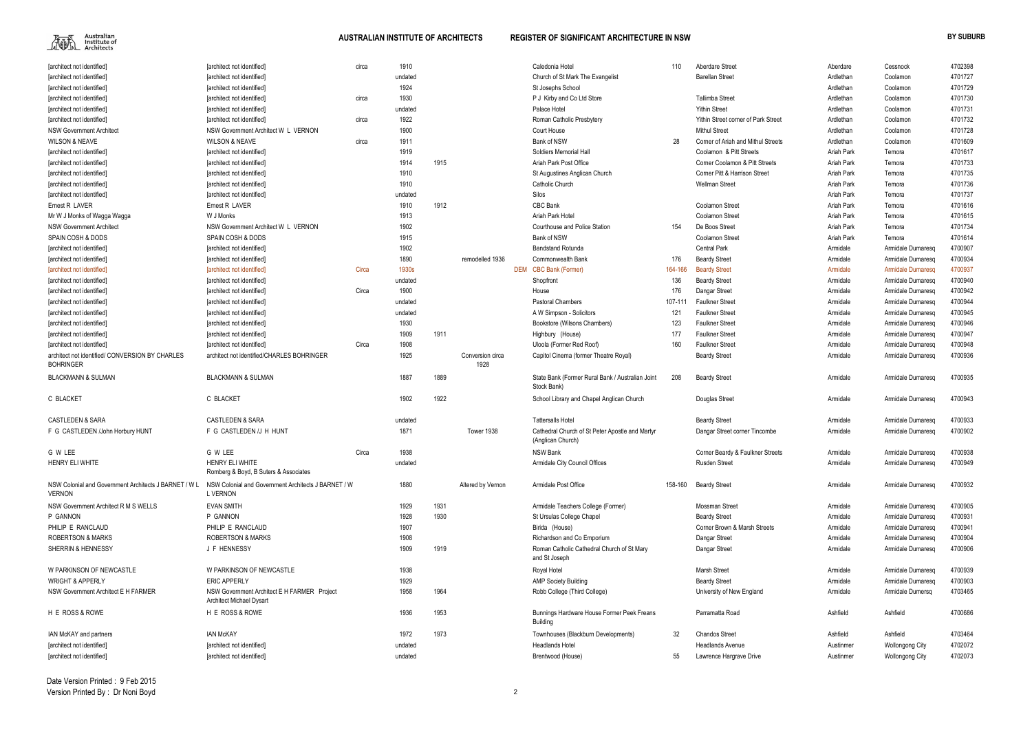

| [architect not identified]                                          | [architect not identified]                                      | circa | 1910    |      |                          | Caledonia Hotel                                                      | 110     | Aberdare Street                     | Aberdare   | Cessnock               | 4702398 |
|---------------------------------------------------------------------|-----------------------------------------------------------------|-------|---------|------|--------------------------|----------------------------------------------------------------------|---------|-------------------------------------|------------|------------------------|---------|
| [architect not identified]                                          | [architect not identified]                                      |       | undated |      |                          | Church of St Mark The Evangelist                                     |         | <b>Barellan Street</b>              | Ardlethan  | Coolamon               | 4701727 |
| [architect not identified]                                          | [architect not identified]                                      |       | 1924    |      |                          | St Josephs School                                                    |         |                                     | Ardlethan  | Coolamon               | 4701729 |
| [architect not identified]                                          | [architect not identified]                                      | circa | 1930    |      |                          | P J Kirby and Co Ltd Store                                           |         | <b>Tallimba Street</b>              | Ardlethan  | Coolamon               | 4701730 |
| [architect not identified]                                          | [architect not identified]                                      |       | undated |      |                          | Palace Hotel                                                         |         | <b>Yithin Street</b>                | Ardlethan  | Coolamon               | 4701731 |
| [architect not identified]                                          | [architect not identified]                                      | circa | 1922    |      |                          | Roman Catholic Presbytery                                            |         | Yithin Street corner of Park Street | Ardlethan  | Coolamon               | 4701732 |
| <b>NSW Government Architect</b>                                     | NSW Government Architect W L VERNON                             |       | 1900    |      |                          | Court House                                                          |         | <b>Mithul Street</b>                | Ardlethan  | Coolamon               | 4701728 |
| <b>WILSON &amp; NEAVE</b>                                           | <b>WILSON &amp; NEAVE</b>                                       | circa | 1911    |      |                          | Bank of NSW                                                          | 28      | Corner of Ariah and Mithul Streets  | Ardlethan  | Coolamon               | 4701609 |
| <b>Tarchitect not identified]</b>                                   | [architect not identified]                                      |       | 1919    |      |                          | Soldiers Memorial Hall                                               |         | Coolamon & Pitt Streets             | Ariah Park | Temora                 | 4701617 |
| [architect not identified]                                          | [architect not identified]                                      |       | 1914    | 1915 |                          | Ariah Park Post Office                                               |         | Corner Coolamon & Pitt Streets      | Ariah Park | Temora                 | 4701733 |
| [architect not identified]                                          | [architect not identified]                                      |       | 1910    |      |                          | St Augustines Anglican Church                                        |         | Corner Pitt & Harrison Street       | Ariah Park | Temora                 | 4701735 |
| [architect not identified]                                          | [architect not identified]                                      |       | 1910    |      |                          | Catholic Church                                                      |         | <b>Wellman Street</b>               | Ariah Park | Temora                 | 4701736 |
| [architect not identified]                                          | [architect not identified]                                      |       | undated |      |                          | Silos                                                                |         |                                     | Ariah Park | Temora                 | 4701737 |
| Ernest R LAVER                                                      | Ernest R LAVER                                                  |       | 1910    | 1912 |                          | CBC Bank                                                             |         | <b>Coolamon Street</b>              | Ariah Park | Temora                 | 4701616 |
| Mr W J Monks of Wagga Wagga                                         | W J Monks                                                       |       | 1913    |      |                          | Ariah Park Hotel                                                     |         | <b>Coolamon Street</b>              | Ariah Park | Temora                 | 4701615 |
| <b>NSW Government Architect</b>                                     | NSW Government Architect W L VERNON                             |       | 1902    |      |                          | Courthouse and Police Station                                        | 154     | De Boos Street                      | Ariah Park | Temora                 | 4701734 |
| SPAIN COSH & DODS                                                   | SPAIN COSH & DODS                                               |       | 1915    |      |                          | Bank of NSW                                                          |         |                                     | Ariah Park |                        | 4701614 |
|                                                                     |                                                                 |       |         |      |                          |                                                                      |         | <b>Coolamon Street</b>              |            | Temora                 |         |
| [architect not identified]                                          | [architect not identified]                                      |       | 1902    |      |                          | <b>Bandstand Rotunda</b>                                             |         | <b>Central Park</b>                 | Armidale   | Armidale Dumaresg      | 4700907 |
| [architect not identified]                                          | [architect not identified]                                      |       | 1890    |      | remodelled 1936          | <b>Commonwealth Bank</b>                                             | 176     | <b>Beardy Street</b>                | Armidale   | Armidale Dumaresq      | 4700934 |
| [architect not identified]                                          | [architect not identified]                                      | Circa | 1930s   |      |                          | DEM CBC Bank (Former)                                                | 164-166 | <b>Beardy Street</b>                | Armidale   | Armidale Dumaresq      | 4700937 |
| [architect not identified]                                          | [architect not identified]                                      |       | undated |      |                          | Shopfront                                                            | 136     | <b>Beardy Street</b>                | Armidale   | Armidale Dumaresg      | 4700940 |
| [architect not identified]                                          | [architect not identified]                                      | Circa | 1900    |      |                          | House                                                                | 176     | Dangar Street                       | Armidale   | Armidale Dumaresg      | 4700942 |
| [architect not identified]                                          | [architect not identified]                                      |       | undated |      |                          | <b>Pastoral Chambers</b>                                             | 107-111 | <b>Faulkner Street</b>              | Armidale   | Armidale Dumaresq      | 4700944 |
| [architect not identified]                                          | [architect not identified]                                      |       | undated |      |                          | A W Simpson - Solicitors                                             | 121     | <b>Faulkner Street</b>              | Armidale   | Armidale Dumaresq      | 4700945 |
| [architect not identified]                                          | [architect not identified]                                      |       | 1930    |      |                          | Bookstore (Wilsons Chambers)                                         | 123     | <b>Faulkner Street</b>              | Armidale   | Armidale Dumaresg      | 4700946 |
| [architect not identified]                                          | [architect not identified]                                      |       | 1909    | 1911 |                          | Highbury (House)                                                     | 177     | <b>Faulkner Street</b>              | Armidale   | Armidale Dumaresg      | 4700947 |
| [architect not identified]                                          | [architect not identified]                                      | Circa | 1908    |      |                          | Uloola (Former Red Roof)                                             | 160     | <b>Faulkner Street</b>              | Armidale   | Armidale Dumaresg      | 4700948 |
| architect not identified/ CONVERSION BY CHARLES<br><b>BOHRINGER</b> | architect not identified/CHARLES BOHRINGER                      |       | 1925    |      | Conversion circa<br>1928 | Capitol Cinema (former Theatre Royal)                                |         | <b>Beardy Street</b>                | Armidale   | Armidale Dumaresq      | 4700936 |
| <b>BLACKMANN &amp; SULMAN</b>                                       | <b>BLACKMANN &amp; SULMAN</b>                                   |       | 1887    | 1889 |                          | State Bank (Former Rural Bank / Australian Joint<br>Stock Bank)      | 208     | <b>Beardy Street</b>                | Armidale   | Armidale Dumaresq      | 4700935 |
| C BLACKET                                                           | C BLACKET                                                       |       | 1902    | 1922 |                          | School Library and Chapel Anglican Church                            |         | Douglas Street                      | Armidale   | Armidale Dumaresg      | 4700943 |
| <b>CASTLEDEN &amp; SARA</b>                                         | <b>CASTLEDEN &amp; SARA</b>                                     |       | undated |      |                          | <b>Tattersalls Hotel</b>                                             |         | <b>Beardy Street</b>                | Armidale   | Armidale Dumaresq      | 4700933 |
| F G CASTLEDEN /John Horbury HUNT                                    | F G CASTLEDEN /J H HUNT                                         |       | 1871    |      | Tower 1938               | Cathedral Church of St Peter Apostle and Martyr<br>(Anglican Church) |         | Dangar Street corner Tincombe       | Armidale   | Armidale Dumaresg      | 4700902 |
| G W LEE                                                             | G W LEE                                                         | Circa | 1938    |      |                          | <b>NSW Bank</b>                                                      |         | Corner Beardy & Faulkner Streets    | Armidale   | Armidale Dumaresq      | 4700938 |
| HENRY ELI WHITE                                                     | <b>HENRY ELI WHITE</b><br>Romberg & Boyd, B Suters & Associates |       | undated |      |                          | Armidale City Council Offices                                        |         | <b>Rusden Street</b>                | Armidale   | Armidale Dumaresq      | 4700949 |
| NSW Colonial and Government Architects J BARNET / W L<br>VERNON     | NSW Colonial and Government Architects J BARNET / W<br>L VERNON |       | 1880    |      | Altered by Vernon        | Armidale Post Office                                                 | 158-160 | <b>Beardy Street</b>                | Armidale   | Armidale Dumaresq      | 4700932 |
| NSW Government Architect R M S WELLS                                | <b>EVAN SMITH</b>                                               |       | 1929    | 1931 |                          | Armidale Teachers College (Former)                                   |         | <b>Mossman Street</b>               | Armidale   | Armidale Dumaresq      | 4700905 |
| P GANNON                                                            | P GANNON                                                        |       | 1928    | 1930 |                          | St Ursulas College Chapel                                            |         | <b>Beardy Street</b>                | Armidale   | Armidale Dumaresg      | 4700931 |
| PHILIP E RANCLAUD                                                   | PHILIP E RANCLAUD                                               |       | 1907    |      |                          | Birida (House)                                                       |         | Corner Brown & Marsh Streets        | Armidale   | Armidale Dumaresq      | 4700941 |
| <b>ROBERTSON &amp; MARKS</b>                                        | <b>ROBERTSON &amp; MARKS</b>                                    |       | 1908    |      |                          | Richardson and Co Emporium                                           |         | Dangar Street                       | Armidale   | Armidale Dumaresq      | 4700904 |
| SHERRIN & HENNESSY                                                  | J F HENNESSY                                                    |       | 1909    | 1919 |                          | Roman Catholic Cathedral Church of St Mary<br>and St Joseph          |         | Dangar Street                       | Armidale   | Armidale Dumaresq      | 4700906 |
| W PARKINSON OF NEWCASTLE                                            | W PARKINSON OF NEWCASTLE                                        |       | 1938    |      |                          | Royal Hotel                                                          |         | <b>Marsh Street</b>                 | Armidale   | Armidale Dumaresq      | 4700939 |
| <b>WRIGHT &amp; APPERLY</b>                                         | <b>ERIC APPERLY</b>                                             |       | 1929    |      |                          | <b>AMP Society Building</b>                                          |         | <b>Beardy Street</b>                | Armidale   | Armidale Dumaresq      | 4700903 |
| NSW Government Architect E H FARMER                                 | NSW Government Architect E H FARMER Project                     |       | 1958    | 1964 |                          | Robb College (Third College)                                         |         | University of New England           | Armidale   | Armidale Dumersq       | 4703465 |
|                                                                     | <b>Architect Michael Dysart</b>                                 |       |         |      |                          |                                                                      |         |                                     |            |                        |         |
| H E ROSS & ROWE                                                     | H E ROSS & ROWE                                                 |       | 1936    | 1953 |                          | Bunnings Hardware House Former Peek Freans<br>Building               |         | Parramatta Road                     | Ashfield   | Ashfield               | 4700686 |
| IAN McKAY and partners                                              | <b>IAN McKAY</b>                                                |       | 1972    | 1973 |                          | Townhouses (Blackburn Developments)                                  | 32      | <b>Chandos Street</b>               | Ashfield   | Ashfield               | 4703464 |
| [architect not identified]                                          | [architect not identified]                                      |       | undated |      |                          | <b>Headlands Hotel</b>                                               |         | <b>Headlands Avenue</b>             | Austinmer  | Wollongong City        | 4702072 |
| [architect not identified]                                          | [architect not identified]                                      |       | undated |      |                          | Brentwood (House)                                                    | 55      | Lawrence Hargrave Drive             | Austinmer  | <b>Wollongong City</b> | 4702073 |

| 110       | Aberdare Street                     | Aberdare          | Cessnock               | 4702398 |
|-----------|-------------------------------------|-------------------|------------------------|---------|
|           | <b>Barellan Street</b>              | Ardlethan         | Coolamon               | 4701727 |
|           |                                     | Ardlethan         | Coolamon               | 4701729 |
|           | <b>Tallimba Street</b>              | Ardlethan         | Coolamon               | 4701730 |
|           | <b>Yithin Street</b>                | Ardlethan         | Coolamon               | 4701731 |
|           | Yithin Street corner of Park Street | Ardlethan         | Coolamon               | 4701732 |
|           | <b>Mithul Street</b>                | Ardlethan         | Coolamon               | 4701728 |
| 28        | Corner of Ariah and Mithul Streets  | Ardlethan         | Coolamon               | 4701609 |
|           | Coolamon & Pitt Streets             | Ariah Park        | Temora                 | 4701617 |
|           | Corner Coolamon & Pitt Streets      | Ariah Park        | Temora                 | 4701733 |
|           | Corner Pitt & Harrison Street       | Ariah Park        | Temora                 | 4701735 |
|           | <b>Wellman Street</b>               | Ariah Park        | Temora                 | 4701736 |
|           |                                     | Ariah Park        | Temora                 | 4701737 |
|           | Coolamon Street                     | Ariah Park        | Temora                 | 4701616 |
|           | Coolamon Street                     | Ariah Park        | Temora                 | 4701615 |
| 154       | De Boos Street                      | Ariah Park        | Temora                 | 4701734 |
|           | Coolamon Street                     | <b>Ariah Park</b> | Temora                 | 4701614 |
|           | <b>Central Park</b>                 | Armidale          | Armidale Dumaresq      | 4700907 |
| 176       | <b>Beardy Street</b>                | Armidale          | Armidale Dumaresq      | 4700934 |
| 4-166     | <b>Beardy Street</b>                | Armidale          | Armidale Dumaresq      | 4700937 |
| 136       | <b>Beardy Street</b>                | Armidale          | Armidale Dumaresq      | 4700940 |
| 176       | Dangar Street                       | Armidale          | Armidale Dumaresq      | 4700942 |
| $7 - 111$ | <b>Faulkner Street</b>              | Armidale          | Armidale Dumaresq      | 4700944 |
| 121       | <b>Faulkner Street</b>              | Armidale          | Armidale Dumaresq      | 4700945 |
| 123       | <b>Faulkner Street</b>              | Armidale          | Armidale Dumaresq      | 4700946 |
| 177       | <b>Faulkner Street</b>              | Armidale          | Armidale Dumaresq      | 4700947 |
| 160       | <b>Faulkner Street</b>              | Armidale          | Armidale Dumaresq      | 4700948 |
|           | <b>Beardy Street</b>                | Armidale          | Armidale Dumaresq      | 4700936 |
|           |                                     |                   |                        |         |
| 208       | <b>Beardy Street</b>                | Armidale          | Armidale Dumaresq      | 4700935 |
|           | Douglas Street                      | Armidale          | Armidale Dumaresq      | 4700943 |
|           | <b>Beardy Street</b>                | Armidale          | Armidale Dumaresq      | 4700933 |
|           | Dangar Street corner Tincombe       | Armidale          | Armidale Dumaresq      | 4700902 |
|           |                                     |                   |                        |         |
|           | Corner Beardy & Faulkner Streets    | Armidale          | Armidale Dumaresq      | 4700938 |
|           | <b>Rusden Street</b>                | Armidale          | Armidale Dumaresq      | 4700949 |
|           |                                     |                   |                        |         |
| 8-160     | <b>Beardy Street</b>                | Armidale          | Armidale Dumaresq      | 4700932 |
|           | Mossman Street                      | Armidale          | Armidale Dumaresq      | 4700905 |
|           | <b>Beardy Street</b>                | Armidale          | Armidale Dumaresq      | 4700931 |
|           | Corner Brown & Marsh Streets        | Armidale          | Armidale Dumaresg      | 4700941 |
|           | Dangar Street                       | Armidale          | Armidale Dumaresq      | 4700904 |
|           | Dangar Street                       | Armidale          | Armidale Dumaresq      | 4700906 |
|           |                                     |                   |                        |         |
|           | Marsh Street                        | Armidale          | Armidale Dumaresq      | 4700939 |
|           | <b>Beardy Street</b>                | Armidale          | Armidale Dumaresq      | 4700903 |
|           | University of New England           | Armidale          | Armidale Dumersq       | 4703465 |
|           |                                     |                   |                        |         |
|           | Parramatta Road                     | Ashfield          | Ashfield               | 4700686 |
| 32        | <b>Chandos Street</b>               | Ashfield          | Ashfield               | 4703464 |
|           | <b>Headlands Avenue</b>             | Austinmer         | <b>Wollongong City</b> | 4702072 |
| 55        | Lawrence Hargrave Drive             | Austinmer         | <b>Wollongong City</b> | 4702073 |
|           |                                     |                   |                        |         |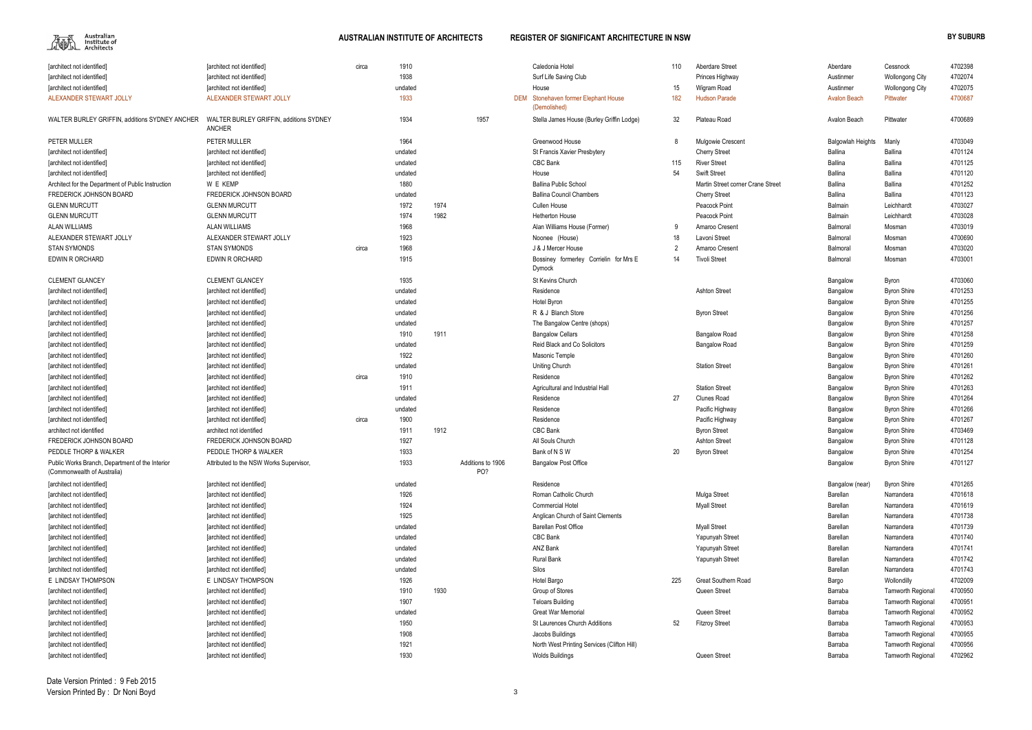

| 110 | Aberdare Street                   | Aberdare                 | Cessnock                 | 4702398 |
|-----|-----------------------------------|--------------------------|--------------------------|---------|
|     | Princes Highway                   | Austinmer                | Wollongong City          | 4702074 |
| 15  | Wigram Road                       | Austinmer                | <b>Wollongong City</b>   | 4702075 |
| 182 | <b>Hudson Parade</b>              | <b>Avalon Beach</b>      | <b>Pittwater</b>         | 4700687 |
| 32  | Plateau Road                      | Avalon Beach             | Pittwater                | 4700689 |
| 8   | Mulgowie Crescent                 | <b>Balgowlah Heights</b> | Manly                    | 4703049 |
|     | <b>Cherry Street</b>              | <b>Ballina</b>           | Ballina                  | 4701124 |
| 115 | <b>River Street</b>               | <b>Ballina</b>           | <b>Ballina</b>           | 4701125 |
| 54  | <b>Swift Street</b>               | Ballina                  | Ballina                  | 4701120 |
|     | Martin Street corner Crane Street | <b>Ballina</b>           | Ballina                  | 4701252 |
|     | <b>Cherry Street</b>              | Ballina                  | <b>Ballina</b>           | 4701123 |
|     | Peacock Point                     | Balmain                  | Leichhardt               | 4703027 |
|     | Peacock Point                     | Balmain                  | Leichhardt               | 4703028 |
| 9   | Amaroo Cresent                    | Balmoral                 | Mosman                   | 4703019 |
| 18  | Lavoni Street                     | Balmoral                 | Mosman                   | 4700690 |
| 2   | Amaroo Cresent                    | Balmoral                 | Mosman                   | 4703020 |
| 14  | <b>Tivoli Street</b>              | Balmoral                 | Mosman                   | 4703001 |
|     |                                   | Bangalow                 | Byron                    | 4703060 |
|     | <b>Ashton Street</b>              | Bangalow                 | <b>Byron Shire</b>       | 4701253 |
|     |                                   | Bangalow                 | <b>Byron Shire</b>       | 4701255 |
|     | <b>Byron Street</b>               | Bangalow                 | <b>Byron Shire</b>       | 4701256 |
|     |                                   | Bangalow                 | <b>Byron Shire</b>       | 4701257 |
|     | <b>Bangalow Road</b>              | Bangalow                 | <b>Byron Shire</b>       | 4701258 |
|     | <b>Bangalow Road</b>              | Bangalow                 | <b>Byron Shire</b>       | 4701259 |
|     |                                   | Bangalow                 | <b>Byron Shire</b>       | 4701260 |
|     | <b>Station Street</b>             | Bangalow                 | <b>Byron Shire</b>       | 4701261 |
|     |                                   | Bangalow                 | <b>Byron Shire</b>       | 4701262 |
|     | <b>Station Street</b>             | Bangalow                 | <b>Byron Shire</b>       | 4701263 |
| 27  | <b>Clunes Road</b>                | Bangalow                 | <b>Byron Shire</b>       | 4701264 |
|     | Pacific Highway                   | Bangalow                 | <b>Byron Shire</b>       | 4701266 |
|     | Pacific Highway                   | Bangalow                 | <b>Byron Shire</b>       | 4701267 |
|     | <b>Byron Street</b>               | Bangalow                 | <b>Byron Shire</b>       | 4703469 |
|     | <b>Ashton Street</b>              | Bangalow                 | <b>Byron Shire</b>       | 4701128 |
| 20  | <b>Byron Street</b>               | Bangalow                 | <b>Byron Shire</b>       | 4701254 |
|     |                                   | Bangalow                 | <b>Byron Shire</b>       | 4701127 |
|     |                                   | Bangalow (near)          | <b>Byron Shire</b>       | 4701265 |
|     | Mulga Street                      | Barellan                 | Narrandera               | 4701618 |
|     | <b>Myall Street</b>               | Barellan                 | Narrandera               | 4701619 |
|     |                                   | Barellan                 | Narrandera               | 4701738 |
|     | <b>Myall Street</b>               | Barellan                 | Narrandera               | 4701739 |
|     | Yapunyah Street                   | Barellan                 | Narrandera               | 4701740 |
|     | Yapunyah Street                   | <b>Barellan</b>          | Narrandera               | 4701741 |
|     | Yapunyah Street                   | Barellan                 | Narrandera               | 4701742 |
|     |                                   | Barellan                 | Narrandera               | 4701743 |
| 225 | Great Southern Road               | Bargo                    | Wollondilly              | 4702009 |
|     | Queen Street                      | Barraba                  | Tamworth Regional        | 4700950 |
|     |                                   | Barraba                  | Tamworth Regional        | 4700951 |
|     | Queen Street                      | Barraba                  | <b>Tamworth Regional</b> | 4700952 |
| 52  | <b>Fitzroy Street</b>             | Barraba                  | <b>Tamworth Regional</b> | 4700953 |
|     |                                   | Barraba                  | Tamworth Regional        | 4700955 |
|     |                                   | Barraba                  | Tamworth Regional        | 4700956 |
|     | Queen Street                      | Barraba                  | Tamworth Regional        | 4702962 |

| [architect not identified]                                                     | [architect not identified]                               | circa | 1910    |      |                          | Caledonia Hotel                                      | 110 | Aberdare Street                   | Aberdare                 | Cessnock                 | 4702398 |
|--------------------------------------------------------------------------------|----------------------------------------------------------|-------|---------|------|--------------------------|------------------------------------------------------|-----|-----------------------------------|--------------------------|--------------------------|---------|
| [architect not identified]                                                     | [architect not identified]                               |       | 1938    |      |                          | Surf Life Saving Club                                |     | Princes Highway                   | Austinmer                | <b>Wollongong City</b>   | 4702074 |
| [architect not identified]                                                     | [architect not identified]                               |       | undated |      |                          | House                                                | 15  | Wigram Road                       | Austinmer                | <b>Wollongong City</b>   | 4702075 |
| ALEXANDER STEWART JOLLY                                                        | ALEXANDER STEWART JOLLY                                  |       | 1933    |      |                          | DEM Stonehaven former Elephant House<br>(Demolished) | 182 | <b>Hudson Parade</b>              | <b>Avalon Beach</b>      | Pittwater                | 4700687 |
| WALTER BURLEY GRIFFIN, additions SYDNEY ANCHER                                 | WALTER BURLEY GRIFFIN, additions SYDNEY<br><b>ANCHER</b> |       | 1934    |      | 1957                     | Stella James House (Burley Griffin Lodge)            | 32  | Plateau Road                      | Avalon Beach             | Pittwater                | 4700689 |
| PETER MULLER                                                                   | PETER MULLER                                             |       | 1964    |      |                          | Greenwood House                                      | 8   | <b>Mulgowie Crescent</b>          | <b>Balgowlah Heights</b> | Manly                    | 4703049 |
| [architect not identified]                                                     | <b>Tarchitect not identified]</b>                        |       | undated |      |                          | St Francis Xavier Presbytery                         |     | <b>Cherry Street</b>              | Ballina                  | Ballina                  | 4701124 |
| [architect not identified]                                                     | [architect not identified]                               |       | undated |      |                          | CBC Bank                                             | 115 | <b>River Street</b>               | <b>Ballina</b>           | Ballina                  | 4701125 |
| [architect not identified]                                                     | [architect not identified]                               |       | undated |      |                          | House                                                | 54  | <b>Swift Street</b>               | Ballina                  | <b>Ballina</b>           | 4701120 |
| Architect for the Department of Public Instruction                             | W E KEMP                                                 |       | 1880    |      |                          | <b>Ballina Public School</b>                         |     | Martin Street corner Crane Street | Ballina                  | <b>Ballina</b>           | 4701252 |
| FREDERICK JOHNSON BOARD                                                        | FREDERICK JOHNSON BOARD                                  |       | undated |      |                          | <b>Ballina Council Chambers</b>                      |     | <b>Cherry Street</b>              | Ballina                  | <b>Ballina</b>           | 4701123 |
| <b>GLENN MURCUTT</b>                                                           | <b>GLENN MURCUTT</b>                                     |       | 1972    | 1974 |                          | <b>Cullen House</b>                                  |     | Peacock Point                     | Balmain                  | Leichhardt               | 4703027 |
| <b>GLENN MURCUTT</b>                                                           | <b>GLENN MURCUTT</b>                                     |       | 1974    | 1982 |                          | <b>Hetherton House</b>                               |     | Peacock Point                     | Balmain                  | Leichhardt               | 4703028 |
| <b>ALAN WILLIAMS</b>                                                           | <b>ALAN WILLIAMS</b>                                     |       | 1968    |      |                          | Alan Williams House (Former)                         | q   | Amaroo Cresent                    | Balmoral                 | Mosman                   | 4703019 |
| ALEXANDER STEWART JOLLY                                                        | ALEXANDER STEWART JOLLY                                  |       | 1923    |      |                          | Noonee (House)                                       | 18  | Lavoni Street                     | Balmoral                 | Mosman                   | 4700690 |
| <b>STAN SYMONDS</b>                                                            | <b>STAN SYMONDS</b>                                      | circa | 1968    |      |                          | J & J Mercer House                                   |     | Amaroo Cresent                    | Balmoral                 | Mosman                   | 4703020 |
| EDWIN R ORCHARD                                                                | EDWIN R ORCHARD                                          |       | 1915    |      |                          | Bossiney formerley Corrielin for Mrs E<br>Dymock     | 14  | <b>Tivoli Street</b>              | Balmoral                 | Mosman                   | 4703001 |
| <b>CLEMENT GLANCEY</b>                                                         | <b>CLEMENT GLANCEY</b>                                   |       | 1935    |      |                          | St Kevins Church                                     |     |                                   | Bangalow                 | Byron                    | 4703060 |
| [architect not identified]                                                     | [architect not identified]                               |       | undated |      |                          | Residence                                            |     | <b>Ashton Street</b>              | Bangalow                 | <b>Byron Shire</b>       | 4701253 |
| [architect not identified]                                                     | [architect not identified]                               |       | undated |      |                          | Hotel Byron                                          |     |                                   | Bangalow                 | <b>Byron Shire</b>       | 4701255 |
| [architect not identified]                                                     | [architect not identified]                               |       | undated |      |                          | R & J Blanch Store                                   |     | <b>Byron Street</b>               | Bangalow                 | <b>Byron Shire</b>       | 4701256 |
| [architect not identified]                                                     | [architect not identified]                               |       | undated |      |                          | The Bangalow Centre (shops)                          |     |                                   | Bangalow                 | <b>Byron Shire</b>       | 4701257 |
| [architect not identified]                                                     | [architect not identified]                               |       | 1910    | 1911 |                          | <b>Bangalow Cellars</b>                              |     | <b>Bangalow Road</b>              | Bangalow                 | <b>Byron Shire</b>       | 4701258 |
| [architect not identified]                                                     | [architect not identified]                               |       | undated |      |                          | <b>Reid Black and Co Solicitors</b>                  |     | <b>Bangalow Road</b>              | Bangalow                 | <b>Byron Shire</b>       | 4701259 |
| [architect not identified]                                                     | [architect not identified]                               |       | 1922    |      |                          | Masonic Temple                                       |     |                                   | Bangalow                 | <b>Byron Shire</b>       | 4701260 |
| [architect not identified]                                                     | [architect not identified]                               |       | undated |      |                          | Uniting Church                                       |     | <b>Station Street</b>             | Bangalow                 | <b>Byron Shire</b>       | 4701261 |
| [architect not identified]                                                     | [architect not identified]                               | circa | 1910    |      |                          | Residence                                            |     |                                   | Bangalow                 | <b>Byron Shire</b>       | 4701262 |
| [architect not identified]                                                     | [architect not identified]                               |       | 1911    |      |                          | Agricultural and Industrial Hall                     |     | <b>Station Street</b>             | Bangalow                 | <b>Byron Shire</b>       | 4701263 |
| [architect not identified]                                                     | [architect not identified]                               |       | undated |      |                          | Residence                                            | 27  | <b>Clunes Road</b>                | Bangalow                 | <b>Byron Shire</b>       | 4701264 |
| [architect not identified]                                                     | [architect not identified]                               |       | undated |      |                          | Residence                                            |     | Pacific Highway                   | Bangalow                 | <b>Byron Shire</b>       | 4701266 |
| [architect not identified]                                                     | [architect not identified]                               | circa | 1900    |      |                          | Residence                                            |     | Pacific Highway                   | Bangalow                 | <b>Byron Shire</b>       | 4701267 |
| architect not identified                                                       | architect not identified                                 |       | 1911    | 1912 |                          | <b>CBC Bank</b>                                      |     | <b>Byron Street</b>               | Bangalow                 | <b>Byron Shire</b>       | 4703469 |
| FREDERICK JOHNSON BOARD                                                        | FREDERICK JOHNSON BOARD                                  |       | 1927    |      |                          | All Souls Church                                     |     | <b>Ashton Street</b>              | Bangalow                 | <b>Byron Shire</b>       | 4701128 |
| PEDDLE THORP & WALKER                                                          | PEDDLE THORP & WALKER                                    |       | 1933    |      |                          | Bank of N S W                                        | 20  | <b>Byron Street</b>               |                          | <b>Byron Shire</b>       | 4701254 |
| Public Works Branch, Department of the Interior<br>(Commonwealth of Australia) | Attributed to the NSW Works Supervisor,                  |       | 1933    |      | Additions to 1906<br>PO? | <b>Bangalow Post Office</b>                          |     |                                   | Bangalow<br>Bangalow     | <b>Byron Shire</b>       | 4701127 |
| [architect not identified]                                                     | [architect not identified]                               |       | undated |      |                          | Residence                                            |     |                                   | Bangalow (near)          | <b>Byron Shire</b>       | 4701265 |
| [architect not identified]                                                     | [architect not identified]                               |       | 1926    |      |                          | Roman Catholic Church                                |     | Mulga Street                      | Barellan                 | Narrandera               | 4701618 |
| [architect not identified]                                                     | [architect not identified]                               |       | 1924    |      |                          | <b>Commercial Hotel</b>                              |     | <b>Myall Street</b>               | Barellan                 | Narrandera               | 4701619 |
| [architect not identified]                                                     | [architect not identified]                               |       | 1925    |      |                          | Anglican Church of Saint Clements                    |     |                                   | Barellan                 | Narrandera               | 4701738 |
| [architect not identified]                                                     | [architect not identified]                               |       | undated |      |                          | <b>Barellan Post Office</b>                          |     | <b>Myall Street</b>               | Barellan                 | Narrandera               | 4701739 |
| [architect not identified]                                                     | [architect not identified]                               |       | undated |      |                          | CBC Bank                                             |     | Yapunyah Street                   | Barellan                 | Narrandera               | 4701740 |
| [architect not identified]                                                     | [architect not identified]                               |       | undated |      |                          | ANZ Bank                                             |     | Yapunyah Street                   | Barellan                 | Narrandera               | 4701741 |
| [architect not identified]                                                     | [architect not identified]                               |       | undated |      |                          | <b>Rural Bank</b>                                    |     | Yapunyah Street                   | Barellan                 | Narrandera               | 4701742 |
| [architect not identified]                                                     | [architect not identified]                               |       | undated |      |                          | Silos                                                |     |                                   | Barellan                 | Narrandera               | 4701743 |
| E LINDSAY THOMPSON                                                             | E LINDSAY THOMPSON                                       |       | 1926    |      |                          | Hotel Bargo                                          | 225 | Great Southern Road               | Bargo                    | Wollondilly              | 4702009 |
| [architect not identified]                                                     | [architect not identified]                               |       | 1910    | 1930 |                          | Group of Stores                                      |     | Queen Street                      | Barraba                  | <b>Tamworth Regional</b> | 4700950 |
| [architect not identified]                                                     | [architect not identified]                               |       | 1907    |      |                          | <b>Teloars Building</b>                              |     |                                   | Barraba                  | <b>Tamworth Regional</b> | 4700951 |
| [architect not identified]                                                     | [architect not identified]                               |       | undated |      |                          | <b>Great War Memorial</b>                            |     | Queen Street                      | Barraba                  | <b>Tamworth Regional</b> | 4700952 |
| [architect not identified]                                                     | [architect not identified]                               |       | 1950    |      |                          | <b>St Laurences Church Additions</b>                 | 52  | <b>Fitzroy Street</b>             | Barraba                  | <b>Tamworth Regional</b> | 4700953 |
| [architect not identified]                                                     | [architect not identified]                               |       | 1908    |      |                          | Jacobs Buildings                                     |     |                                   | Barraba                  | <b>Tamworth Regional</b> | 4700955 |
| [architect not identified]                                                     | [architect not identified]                               |       | 1921    |      |                          | North West Printing Services (Clifton Hill)          |     |                                   | Barraba                  | <b>Tamworth Regional</b> | 4700956 |
| [architect not identified]                                                     | [architect not identified]                               |       | 1930    |      |                          | <b>Wolds Buildings</b>                               |     | Queen Street                      | Barraba                  | <b>Tamworth Regional</b> | 4702962 |
|                                                                                |                                                          |       |         |      |                          |                                                      |     |                                   |                          |                          |         |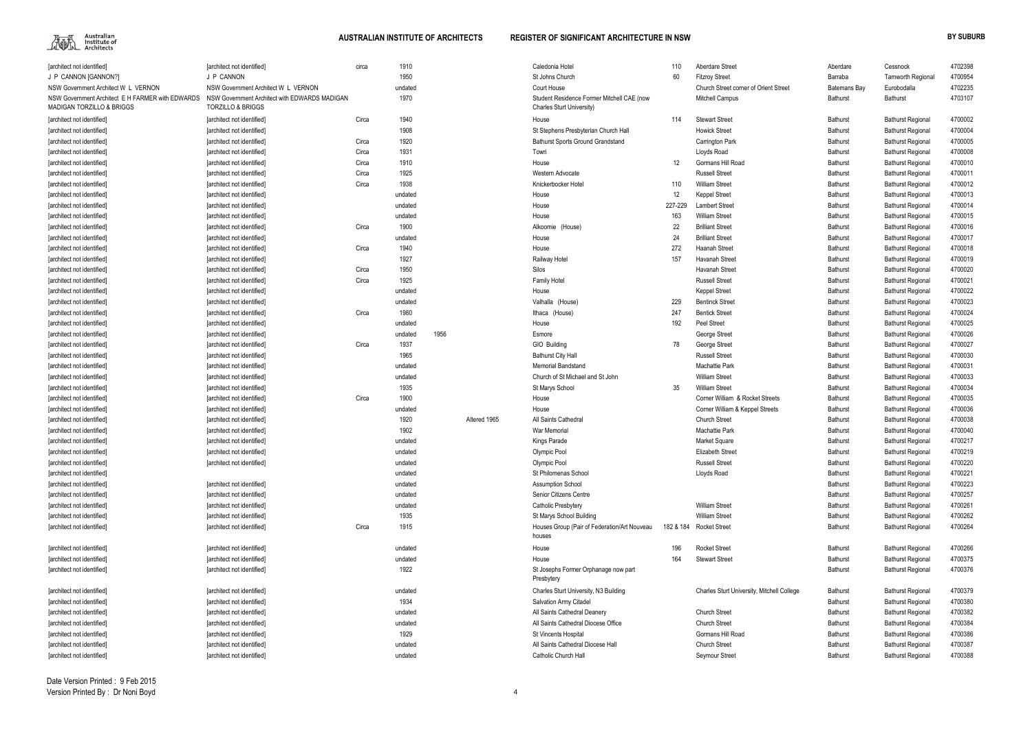

|                                                                                          | farchitect not identified]                                         |       | 1910    |      |              | Caledonia Hotel                                                         | 110       | Aberdare Street                            |                     |                          | 4702398 |
|------------------------------------------------------------------------------------------|--------------------------------------------------------------------|-------|---------|------|--------------|-------------------------------------------------------------------------|-----------|--------------------------------------------|---------------------|--------------------------|---------|
| [architect not identified]                                                               |                                                                    | circa |         |      |              |                                                                         |           |                                            | Aberdare            | Cessnock                 |         |
| J P CANNON [GANNON?]                                                                     | J P CANNON                                                         |       | 1950    |      |              | St Johns Church                                                         | 60        | <b>Fitzroy Street</b>                      | Barraba             | <b>Tamworth Regional</b> | 4700954 |
| NSW Government Architect W L VERNON                                                      | NSW Government Architect W L VERNON                                |       | undated |      |              | Court House                                                             |           | Church Street corner of Orient Street      | <b>Batemans Bay</b> | Eurobodalla              | 4702235 |
| NSW Government Architect E H FARMER with EDWARDS<br><b>MADIGAN TORZILLO &amp; BRIGGS</b> | NSW Government Architect with EDWARDS MADIGAN<br>TORZILLO & BRIGGS |       | 1970    |      |              | Student Residence Former Mitchell CAE (now<br>Charles Sturt University) |           | <b>Mitchell Campus</b>                     | <b>Bathurst</b>     | Bathurst                 | 4703107 |
| [architect not identified]                                                               | <b>Tarchitect not identified]</b>                                  | Circa | 1940    |      |              | House                                                                   | 114       | <b>Stewart Street</b>                      | Bathurst            | <b>Bathurst Regional</b> | 4700002 |
| [architect not identified]                                                               | [architect not identified]                                         |       | 1908    |      |              | St Stephens Presbyterian Church Hall                                    |           | <b>Howick Street</b>                       | Bathurst            | <b>Bathurst Regional</b> | 4700004 |
| [architect not identified]                                                               | [architect not identified]                                         | Circa | 1920    |      |              | <b>Bathurst Sports Ground Grandstand</b>                                |           | Carrington Park                            | <b>Bathurst</b>     | <b>Bathurst Regional</b> | 4700005 |
| [architect not identified]                                                               | [architect not identified]                                         | Circa | 1931    |      |              | Towri                                                                   |           | Lloyds Road                                | Bathurst            | <b>Bathurst Regional</b> | 4700008 |
| [architect not identified]                                                               | [architect not identified]                                         | Circa | 1910    |      |              | House                                                                   | 12        | Gormans Hill Road                          | Bathurst            | <b>Bathurst Regional</b> | 4700010 |
| [architect not identified]                                                               | [architect not identified]                                         | Circa | 1925    |      |              | Western Advocate                                                        |           | <b>Russell Street</b>                      | Bathurst            | <b>Bathurst Regional</b> | 4700011 |
| [architect not identified]                                                               | [architect not identified]                                         | Circa | 1938    |      |              | Knickerbocker Hotel                                                     | 110       | <b>William Street</b>                      | Bathurst            | <b>Bathurst Regional</b> | 4700012 |
| architect not identified                                                                 | [architect not identified]                                         |       | undated |      |              | House                                                                   | 12        | Keppel Street                              | Bathurst            | <b>Bathurst Regional</b> | 4700013 |
| architect not identified                                                                 | [architect not identified]                                         |       | undated |      |              | House                                                                   | 227-229   | <b>Lambert Street</b>                      | Bathurst            | <b>Bathurst Regional</b> | 4700014 |
| architect not identified                                                                 | [architect not identified]                                         |       | undated |      |              | House                                                                   | 163       | William Street                             | Bathurst            | <b>Bathurst Regional</b> | 4700015 |
| [architect not identified]                                                               | [architect not identified]                                         | Circa | 1900    |      |              | (House)<br>Alkoomie                                                     | 22        | <b>Brilliant Street</b>                    | Bathurst            | <b>Bathurst Regional</b> | 4700016 |
| [architect not identified]                                                               | [architect not identified]                                         |       | undated |      |              | House                                                                   | 24        | <b>Brilliant Street</b>                    | <b>Bathurst</b>     | <b>Bathurst Regional</b> | 4700017 |
| [architect not identified]                                                               | [architect not identified]                                         | Circa | 1940    |      |              | House                                                                   | 272       | Haanah Street                              | <b>Bathurst</b>     | <b>Bathurst Regional</b> | 4700018 |
| [architect not identified]                                                               | [architect not identified]                                         |       | 1927    |      |              | Railway Hotel                                                           | 157       | Havanah Street                             | Bathurst            | <b>Bathurst Regional</b> | 4700019 |
|                                                                                          |                                                                    | Circa | 1950    |      |              | Silos                                                                   |           | Havanah Street                             | Bathurst            |                          | 4700020 |
| [architect not identified]                                                               | [architect not identified]                                         |       | 1925    |      |              |                                                                         |           | <b>Russell Street</b>                      |                     | <b>Bathurst Regional</b> | 4700021 |
| [architect not identified]                                                               | [architect not identified]                                         | Circa |         |      |              | <b>Family Hotel</b>                                                     |           |                                            | Bathurst            | <b>Bathurst Regional</b> |         |
| [architect not identified]                                                               | [architect not identified]                                         |       | undated |      |              | House                                                                   |           | <b>Keppel Street</b>                       | Bathurst            | <b>Bathurst Regional</b> | 4700022 |
| [architect not identified]                                                               | [architect not identified]                                         |       | undated |      |              | Valhalla (House)                                                        | 229       | <b>Bentinck Street</b>                     | Bathurst            | <b>Bathurst Regional</b> | 4700023 |
| [architect not identified]                                                               | [architect not identified]                                         | Circa | 1980    |      |              | Ithaca (House)                                                          | 247       | <b>Bentick Street</b>                      | Bathurst            | <b>Bathurst Regional</b> | 4700024 |
| [architect not identified]                                                               | [architect not identified]                                         |       | undated |      |              | House                                                                   | 192       | Peel Street                                | Bathurst            | <b>Bathurst Regional</b> | 4700025 |
| [architect not identified]                                                               | [architect not identified]                                         |       | undated | 1956 |              | Esmore                                                                  |           | George Street                              | <b>Bathurst</b>     | <b>Bathurst Regional</b> | 4700026 |
| [architect not identified]                                                               | [architect not identified]                                         | Circa | 1937    |      |              | GIO Building                                                            | 78        | George Street                              | <b>Bathurst</b>     | <b>Bathurst Regional</b> | 4700027 |
| [architect not identified]                                                               | [architect not identified]                                         |       | 1965    |      |              | <b>Bathurst City Hall</b>                                               |           | <b>Russell Street</b>                      | Bathurst            | <b>Bathurst Regional</b> | 4700030 |
| [architect not identified]                                                               | [architect not identified]                                         |       | undated |      |              | <b>Memorial Bandstand</b>                                               |           | Machattie Park                             | Bathurst            | <b>Bathurst Regional</b> | 4700031 |
| [architect not identified]                                                               | [architect not identified]                                         |       | undated |      |              | Church of St Michael and St John                                        |           | <b>William Street</b>                      | Bathurst            | <b>Bathurst Regional</b> | 4700033 |
| [architect not identified]                                                               | [architect not identified]                                         |       | 1935    |      |              | St Marys School                                                         | 35        | <b>William Street</b>                      | Bathurst            | <b>Bathurst Regional</b> | 4700034 |
| [architect not identified]                                                               | [architect not identified]                                         | Circa | 1900    |      |              | House                                                                   |           | Corner William & Rocket Streets            | Bathurst            | <b>Bathurst Regional</b> | 4700035 |
| [architect not identified]                                                               | [architect not identified]                                         |       | undated |      |              | House                                                                   |           | Corner William & Keppel Streets            | <b>Bathurst</b>     | <b>Bathurst Regional</b> | 4700036 |
| [architect not identified]                                                               | [architect not identified]                                         |       | 1920    |      | Altered 1965 | All Saints Cathedral                                                    |           | <b>Church Street</b>                       | <b>Bathurst</b>     | <b>Bathurst Regional</b> | 4700038 |
| [architect not identified]                                                               | [architect not identified]                                         |       | 1902    |      |              | War Memoria                                                             |           | <b>Machattie Park</b>                      | Bathurst            | <b>Bathurst Regional</b> | 4700040 |
| [architect not identified]                                                               | [architect not identified]                                         |       | undated |      |              | Kings Parade                                                            |           | Market Square                              | <b>Bathurst</b>     | <b>Bathurst Regional</b> | 4700217 |
| [architect not identified]                                                               | [architect not identified]                                         |       | undated |      |              | Olympic Pool                                                            |           | <b>Elizabeth Street</b>                    | Bathurst            | <b>Bathurst Regional</b> | 4700219 |
| [architect not identified]                                                               | [architect not identified]                                         |       | undated |      |              | Olympic Pool                                                            |           | <b>Russell Street</b>                      | Bathurst            | <b>Bathurst Regional</b> | 4700220 |
| [architect not identified]                                                               |                                                                    |       | undated |      |              | St Philomenas School                                                    |           | Lloyds Road                                | Bathurst            | <b>Bathurst Regional</b> | 4700221 |
| [architect not identified]                                                               | [architect not identified]                                         |       | undated |      |              | <b>Assumption School</b>                                                |           |                                            | Bathurst            | <b>Bathurst Regional</b> | 4700223 |
| [architect not identified]                                                               | [architect not identified]                                         |       | undated |      |              | Senior Citizens Centre                                                  |           |                                            | Bathurst            | <b>Bathurst Regional</b> | 4700257 |
| [architect not identified]                                                               | [architect not identified]                                         |       | undated |      |              | Catholic Presbytery                                                     |           | <b>William Street</b>                      | Bathurst            | <b>Bathurst Regional</b> | 4700261 |
| [architect not identified]                                                               | [architect not identified]                                         |       | 1935    |      |              | St Marys School Building                                                |           | <b>William Street</b>                      | Bathurst            | <b>Bathurst Regional</b> | 4700262 |
| [architect not identified]                                                               | [architect not identified]                                         | Circa | 1915    |      |              | Houses Group (Pair of Federation/Art Nouveau<br>houses                  | 182 & 184 | <b>Rocket Street</b>                       | Bathurst            | <b>Bathurst Regional</b> | 4700264 |
| [architect not identified]                                                               | [architect not identified]                                         |       | undated |      |              | House                                                                   | 196       | <b>Rocket Street</b>                       | Bathurst            | <b>Bathurst Regional</b> | 4700266 |
| [architect not identified]                                                               | [architect not identified]                                         |       | undated |      |              | House                                                                   | 164       | <b>Stewart Street</b>                      | Bathurst            | <b>Bathurst Regional</b> | 4700375 |
| [architect not identified]                                                               | [architect not identified]                                         |       | 1922    |      |              | St Josephs Former Orphanage now part                                    |           |                                            | Bathurst            | <b>Bathurst Regional</b> | 4700376 |
|                                                                                          |                                                                    |       |         |      |              | Presbytery                                                              |           |                                            |                     |                          |         |
| [architect not identified]                                                               | [architect not identified]                                         |       | undated |      |              | Charles Sturt University, N3 Building                                   |           | Charles Sturt University, Mitchell College | Bathurst            | <b>Bathurst Regional</b> | 4700379 |
| [architect not identified]                                                               | [architect not identified]                                         |       | 1934    |      |              | <b>Salvation Army Citadel</b>                                           |           |                                            | Bathurst            | <b>Bathurst Regional</b> | 4700380 |
| [architect not identified]                                                               | [architect not identified]                                         |       | undated |      |              | All Saints Cathedral Deanery                                            |           | <b>Church Street</b>                       | Bathurst            | <b>Bathurst Regional</b> | 4700382 |
| [architect not identified]                                                               | [architect not identified]                                         |       | undated |      |              | All Saints Cathedral Diocese Office                                     |           | <b>Church Street</b>                       | Bathurst            | <b>Bathurst Regional</b> | 4700384 |
| [architect not identified]                                                               | [architect not identified]                                         |       | 1929    |      |              | St Vincents Hospital                                                    |           | Gormans Hill Road                          | Bathurst            | <b>Bathurst Regional</b> | 4700386 |
| [architect not identified]                                                               | [architect not identified]                                         |       | undated |      |              | All Saints Cathedral Diocese Hall                                       |           | <b>Church Street</b>                       | Bathurst            | <b>Bathurst Regional</b> | 4700387 |
| [architect not identified]                                                               | [architect not identified]                                         |       | undated |      |              | Catholic Church Hall                                                    |           | Seymour Street                             | Bathurst            | <b>Bathurst Regional</b> | 4700388 |
|                                                                                          |                                                                    |       |         |      |              |                                                                         |           |                                            |                     |                          |         |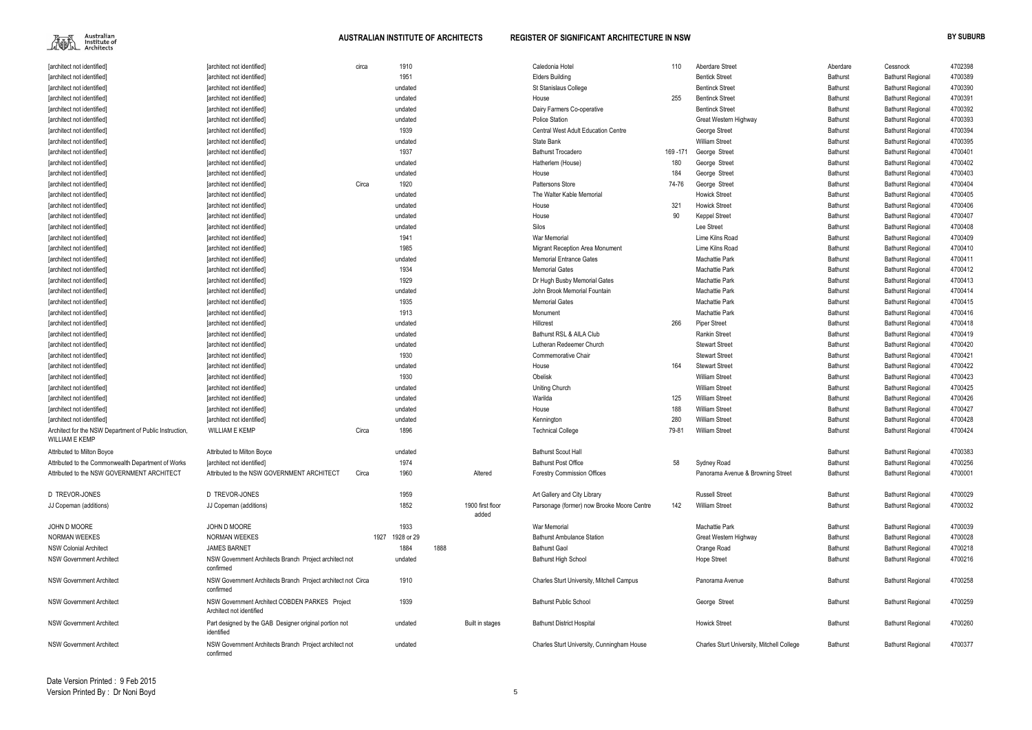

| [architect not identified]                              | [architect not identified]                                                 | circa | 1910            |      |                           | Caledonia Hotel                            | 110     | <b>Aberdare Street</b>                     | Aberdare        | Cessnock                 | 4702398 |
|---------------------------------------------------------|----------------------------------------------------------------------------|-------|-----------------|------|---------------------------|--------------------------------------------|---------|--------------------------------------------|-----------------|--------------------------|---------|
| [architect not identified]                              | [architect not identified]                                                 |       | 1951            |      |                           | <b>Elders Building</b>                     |         | <b>Bentick Street</b>                      | Bathurst        | <b>Bathurst Regional</b> | 4700389 |
| [architect not identified]                              | [architect not identified]                                                 |       | undated         |      |                           | St Stanislaus College                      |         | <b>Bentinck Street</b>                     | Bathurst        | <b>Bathurst Regional</b> | 4700390 |
| [architect not identified]                              | [architect not identified]                                                 |       | undated         |      |                           | House                                      | 255     | <b>Bentinck Street</b>                     | Bathurst        | <b>Bathurst Regional</b> | 4700391 |
| [architect not identified]                              | [architect not identified]                                                 |       | undated         |      |                           | Dairy Farmers Co-operative                 |         | <b>Bentinck Street</b>                     | <b>Bathurst</b> | <b>Bathurst Regional</b> | 4700392 |
| [architect not identified]                              | [architect not identified]                                                 |       | undated         |      |                           | Police Station                             |         | Great Western Highway                      | Bathurst        | <b>Bathurst Regional</b> | 4700393 |
| [architect not identified]                              | [architect not identified]                                                 |       | 1939            |      |                           | <b>Central West Adult Education Centre</b> |         | George Street                              | Bathurst        | <b>Bathurst Regional</b> | 4700394 |
| [architect not identified]                              | [architect not identified]                                                 |       | undated         |      |                           | State Bank                                 |         | <b>William Street</b>                      | Bathurst        | <b>Bathurst Regional</b> | 4700395 |
| [architect not identified]                              | [architect not identified]                                                 |       | 1937            |      |                           | <b>Bathurst Trocadero</b>                  | 169-171 | George Street                              | Bathurst        | <b>Bathurst Regional</b> | 4700401 |
| [architect not identified]                              | [architect not identified]                                                 |       | undated         |      |                           | Hatherlem (House)                          | 180     | George Street                              | Bathurst        | <b>Bathurst Regional</b> | 4700402 |
| [architect not identified]                              | [architect not identified]                                                 |       | undated         |      |                           | House                                      | 184     | George Street                              | Bathurst        | <b>Bathurst Regional</b> | 4700403 |
| [architect not identified]                              | [architect not identified]                                                 | Circa | 1920            |      |                           | Pattersons Store                           | 74-76   | George Street                              | Bathurst        | <b>Bathurst Regional</b> | 4700404 |
| [architect not identified]                              | [architect not identified]                                                 |       | undated         |      |                           | The Walter Kable Memorial                  |         | <b>Howick Street</b>                       | Bathurst        | <b>Bathurst Regional</b> | 4700405 |
| [architect not identified]                              | [architect not identified]                                                 |       | undated         |      |                           | House                                      | 321     | <b>Howick Street</b>                       | Bathurst        | <b>Bathurst Regional</b> | 4700406 |
| [architect not identified]                              | [architect not identified]                                                 |       | undated         |      |                           | House                                      | 90      | <b>Keppel Street</b>                       | Bathurst        | <b>Bathurst Regional</b> | 4700407 |
| [architect not identified]                              | [architect not identified]                                                 |       | undated         |      |                           | Silos                                      |         | Lee Street                                 | Bathurst        | <b>Bathurst Regional</b> | 4700408 |
| [architect not identified]                              | [architect not identified]                                                 |       | 1941            |      |                           | War Memorial                               |         | Lime Kilns Road                            | Bathurst        | <b>Bathurst Regional</b> | 4700409 |
| [architect not identified]                              | [architect not identified]                                                 |       | 1985            |      |                           | Migrant Reception Area Monument            |         | Lime Kilns Road                            | Bathurst        | <b>Bathurst Regional</b> | 4700410 |
| [architect not identified]                              | [architect not identified]                                                 |       | undated         |      |                           | <b>Memorial Entrance Gates</b>             |         | Machattie Park                             | Bathurst        | <b>Bathurst Regional</b> | 4700411 |
| [architect not identified]                              | [architect not identified]                                                 |       | 1934            |      |                           | <b>Memorial Gates</b>                      |         | Machattie Park                             | Bathurst        | <b>Bathurst Regional</b> | 4700412 |
| [architect not identified]                              | [architect not identified]                                                 |       | 1929            |      |                           | Dr Hugh Busby Memorial Gates               |         | Machattie Park                             | Bathurst        | <b>Bathurst Regional</b> | 4700413 |
| [architect not identified]                              | [architect not identified]                                                 |       | undated         |      |                           | John Brook Memorial Fountain               |         | Machattie Park                             | Bathurst        | <b>Bathurst Regional</b> | 4700414 |
| [architect not identified]                              | [architect not identified]                                                 |       | 1935            |      |                           | <b>Memorial Gates</b>                      |         | <b>Machattie Park</b>                      | Bathurst        | <b>Bathurst Regional</b> | 4700415 |
| [architect not identified]                              | [architect not identified]                                                 |       | 1913            |      |                           | Monument                                   |         | <b>Machattie Park</b>                      | Bathurst        | <b>Bathurst Regional</b> | 4700416 |
| [architect not identified]                              | [architect not identified]                                                 |       | undated         |      |                           | Hillcrest                                  | 266     | <b>Piper Street</b>                        | Bathurst        | <b>Bathurst Regional</b> | 4700418 |
| [architect not identified]                              | [architect not identified]                                                 |       | undated         |      |                           | Bathurst RSL & AILA Club                   |         | <b>Rankin Street</b>                       | Bathurst        | <b>Bathurst Regional</b> | 4700419 |
| [architect not identified]                              | [architect not identified]                                                 |       | undated         |      |                           | Lutheran Redeemer Church                   |         | <b>Stewart Street</b>                      | Bathurst        | <b>Bathurst Regional</b> | 4700420 |
| [architect not identified]                              | [architect not identified]                                                 |       | 1930            |      |                           | Commemorative Chair                        |         | <b>Stewart Street</b>                      | Bathurst        | <b>Bathurst Regional</b> | 4700421 |
| [architect not identified]                              | [architect not identified]                                                 |       | undated         |      |                           | House                                      | 164     | <b>Stewart Street</b>                      | <b>Bathurst</b> | <b>Bathurst Regional</b> | 4700422 |
| [architect not identified]                              | [architect not identified]                                                 |       | 1930            |      |                           | Obelisk                                    |         | <b>William Street</b>                      | <b>Bathurst</b> | <b>Bathurst Regional</b> | 4700423 |
| [architect not identified]                              | [architect not identified]                                                 |       | undated         |      |                           | Uniting Church                             |         | <b>William Street</b>                      | Bathurst        | <b>Bathurst Regional</b> | 4700425 |
| [architect not identified]                              | [architect not identified]                                                 |       | undated         |      |                           | Warilda                                    | 125     | <b>William Street</b>                      | Bathurst        | <b>Bathurst Regional</b> | 4700426 |
| [architect not identified]                              | [architect not identified]                                                 |       | undated         |      |                           | House                                      | 188     | William Street                             | Bathurst        | <b>Bathurst Regional</b> | 4700427 |
| [architect not identified]                              | [architect not identified]                                                 |       | undated         |      |                           | Kennington                                 | 280     | William Street                             | Bathurst        | <b>Bathurst Regional</b> | 4700428 |
| Architect for the NSW Department of Public Instruction, | <b>WILLIAM E KEMP</b>                                                      | Circa | 1896            |      |                           | <b>Technical College</b>                   | 79-81   | <b>William Street</b>                      | Bathurst        | <b>Bathurst Regional</b> | 4700424 |
| <b>WILLIAM E KEMP</b>                                   |                                                                            |       |                 |      |                           |                                            |         |                                            |                 |                          |         |
| <b>Attributed to Milton Boyce</b>                       | Attributed to Milton Boyce                                                 |       | undated         |      |                           | <b>Bathurst Scout Hall</b>                 |         |                                            | Bathurst        | <b>Bathurst Regional</b> | 4700383 |
| Attributed to the Commonwealth Department of Works      | [architect not identified]                                                 |       | 1974            |      |                           | <b>Bathurst Post Office</b>                | 58      | Sydney Road                                | Bathurst        | <b>Bathurst Regional</b> | 4700256 |
| Attributed to the NSW GOVERNMENT ARCHITECT              | Attributed to the NSW GOVERNMENT ARCHITECT                                 | Circa | 1960            |      | Altered                   | <b>Forestry Commission Offices</b>         |         | Panorama Avenue & Browning Street          | Bathurst        | <b>Bathurst Regional</b> | 4700001 |
| D TREVOR-JONES                                          | <b>D TREVOR-JONES</b>                                                      |       | 1959            |      |                           | Art Gallery and City Library               |         | <b>Russell Street</b>                      | Bathurst        | <b>Bathurst Regional</b> | 4700029 |
| JJ Copeman (additions)                                  | JJ Copeman (additions)                                                     |       | 1852            |      | 1900 first floor<br>added | Parsonage (former) now Brooke Moore Centre | 142     | <b>William Street</b>                      | Bathurst        | <b>Bathurst Regional</b> | 4700032 |
| JOHN D MOORE                                            | JOHN D MOORE                                                               |       | 1933            |      |                           | War Memorial                               |         | Machattie Park                             |                 |                          | 4700039 |
| <b>NORMAN WEEKES</b>                                    | <b>NORMAN WEEKES</b>                                                       |       |                 |      |                           |                                            |         |                                            | Bathurst        | <b>Bathurst Regional</b> |         |
|                                                         |                                                                            |       | 1927 1928 or 29 |      |                           | <b>Bathurst Ambulance Station</b>          |         | Great Western Highway                      | Bathurst        | <b>Bathurst Regional</b> | 4700028 |
| <b>NSW Colonial Architect</b>                           | <b>JAMES BARNET</b>                                                        |       | 1884            | 1888 |                           | <b>Bathurst Gaol</b>                       |         | Orange Road                                | Bathurst        | <b>Bathurst Regional</b> | 4700218 |
| <b>NSW Government Architect</b>                         | NSW Government Architects Branch Project architect not<br>confirmed        |       | undated         |      |                           | <b>Bathurst High School</b>                |         | <b>Hope Street</b>                         | Bathurst        | <b>Bathurst Regional</b> | 4700216 |
| <b>NSW Government Architect</b>                         | NSW Government Architects Branch Project architect not Circa<br>confirmed  |       | 1910            |      |                           | Charles Sturt University, Mitchell Campus  |         | Panorama Avenue                            | Bathurst        | <b>Bathurst Regional</b> | 4700258 |
| <b>NSW Government Architect</b>                         | NSW Government Architect COBDEN PARKES Project<br>Architect not identified |       | 1939            |      |                           | <b>Bathurst Public School</b>              |         | George Street                              | <b>Bathurst</b> | <b>Bathurst Regional</b> | 4700259 |
| <b>NSW Government Architect</b>                         | Part designed by the GAB Designer original portion not<br>identified       |       | undated         |      | Built in stages           | <b>Bathurst District Hospital</b>          |         | <b>Howick Street</b>                       | Bathurst        | <b>Bathurst Regional</b> | 4700260 |
| <b>NSW Government Architect</b>                         | NSW Government Architects Branch Project architect not<br>confirmed        |       | undated         |      |                           | Charles Sturt University, Cunningham House |         | Charles Sturt University, Mitchell College | Bathurst        | <b>Bathurst Regional</b> | 4700377 |

|      | Aberdare        | Cessnock                 | 4702398 |
|------|-----------------|--------------------------|---------|
|      | <b>Bathurst</b> | <b>Bathurst Regional</b> | 4700389 |
|      | <b>Bathurst</b> | <b>Bathurst Regional</b> | 4700390 |
|      | <b>Bathurst</b> | <b>Bathurst Regional</b> | 4700391 |
|      | Bathurst        | <b>Bathurst Regional</b> | 4700392 |
|      | <b>Bathurst</b> | <b>Bathurst Regional</b> | 4700393 |
|      | <b>Bathurst</b> | <b>Bathurst Regional</b> | 4700394 |
|      | <b>Bathurst</b> | <b>Bathurst Regional</b> | 4700395 |
|      | <b>Bathurst</b> | <b>Bathurst Regional</b> | 4700401 |
|      | <b>Bathurst</b> | <b>Bathurst Regional</b> | 4700402 |
|      | <b>Bathurst</b> | <b>Bathurst Regional</b> | 4700403 |
|      | <b>Bathurst</b> | <b>Bathurst Regional</b> | 4700404 |
|      | <b>Bathurst</b> | <b>Bathurst Regional</b> | 4700405 |
|      | <b>Bathurst</b> | <b>Bathurst Regional</b> | 4700406 |
|      | <b>Bathurst</b> | <b>Bathurst Regional</b> | 4700407 |
|      | <b>Bathurst</b> | <b>Bathurst Regional</b> | 4700408 |
|      | <b>Bathurst</b> | <b>Bathurst Regional</b> | 4700409 |
|      | <b>Bathurst</b> | <b>Bathurst Regional</b> | 4700410 |
|      | <b>Bathurst</b> | <b>Bathurst Regional</b> | 4700411 |
|      | <b>Bathurst</b> | <b>Bathurst Regional</b> | 4700412 |
|      | <b>Bathurst</b> | <b>Bathurst Regional</b> | 4700413 |
|      | <b>Bathurst</b> | <b>Bathurst Regional</b> | 4700414 |
|      | <b>Bathurst</b> | <b>Bathurst Regional</b> | 4700415 |
|      | <b>Bathurst</b> | <b>Bathurst Regional</b> | 4700416 |
|      | <b>Bathurst</b> | <b>Bathurst Regional</b> | 4700418 |
|      | <b>Bathurst</b> | <b>Bathurst Regional</b> | 4700419 |
|      | <b>Bathurst</b> | <b>Bathurst Regional</b> | 4700420 |
|      | <b>Bathurst</b> | <b>Bathurst Regional</b> | 4700421 |
|      | <b>Bathurst</b> | <b>Bathurst Regional</b> | 4700422 |
|      | <b>Bathurst</b> | <b>Bathurst Regional</b> | 4700423 |
|      | <b>Bathurst</b> | <b>Bathurst Regional</b> | 4700425 |
|      | <b>Bathurst</b> | <b>Bathurst Regional</b> | 4700426 |
|      | <b>Bathurst</b> | <b>Bathurst Regional</b> | 4700427 |
|      | <b>Bathurst</b> | <b>Bathurst Regional</b> | 4700428 |
|      | <b>Bathurst</b> | <b>Bathurst Regional</b> | 4700424 |
|      |                 |                          |         |
|      | <b>Bathurst</b> | <b>Bathurst Regional</b> | 4700383 |
|      | <b>Bathurst</b> | <b>Bathurst Regional</b> | 4700256 |
| ۱t   | <b>Bathurst</b> | <b>Bathurst Regional</b> | 4700001 |
|      |                 |                          |         |
|      | <b>Bathurst</b> | <b>Bathurst Regional</b> | 4700029 |
|      | <b>Bathurst</b> | <b>Bathurst Regional</b> | 4700032 |
|      |                 |                          |         |
|      | <b>Bathurst</b> | <b>Bathurst Regional</b> | 4700039 |
|      | <b>Bathurst</b> | <b>Bathurst Regional</b> | 4700028 |
|      | <b>Bathurst</b> | <b>Bathurst Regional</b> | 4700218 |
|      | <b>Bathurst</b> | <b>Bathurst Regional</b> | 4700216 |
|      |                 |                          |         |
|      | <b>Bathurst</b> | <b>Bathurst Regional</b> | 4700258 |
|      |                 |                          |         |
|      | <b>Bathurst</b> | <b>Bathurst Regional</b> | 4700259 |
|      | <b>Bathurst</b> | <b>Bathurst Regional</b> | 4700260 |
| lege | <b>Bathurst</b> | <b>Bathurst Regional</b> | 4700377 |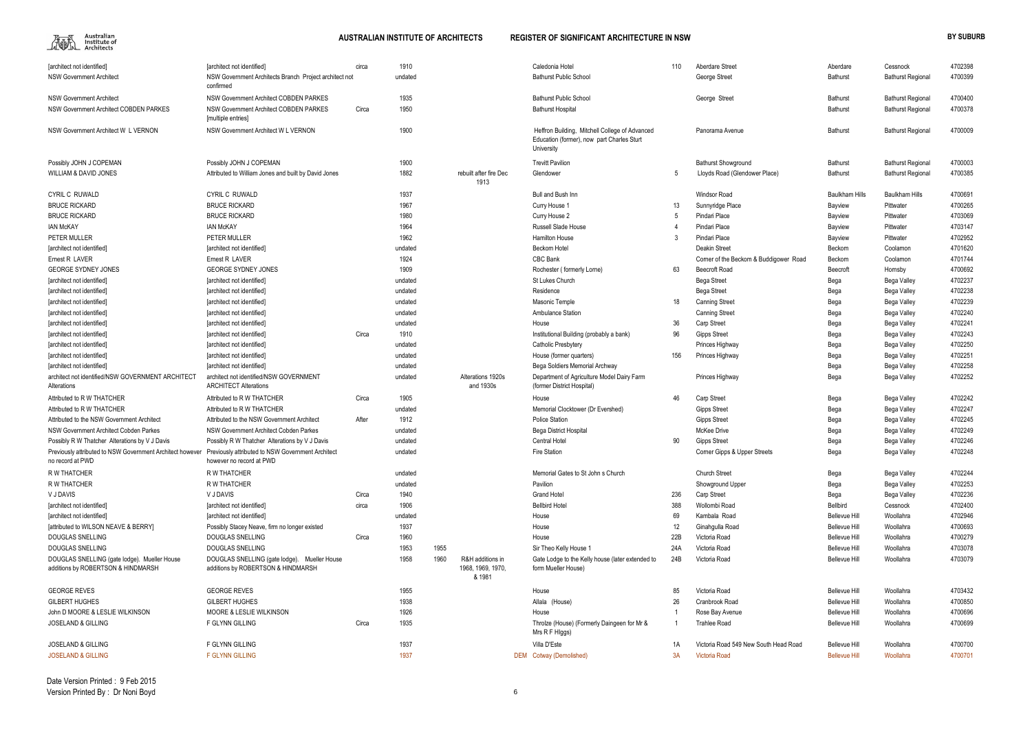

| [architect not identified]                                                                                                      | [architect not identified]                                              | circa | 1910    |      |                                | Caledonia Hotel                                                                                            | 110 | Aberdare Street                        | Aberdare             | Cessnock                 | 4702398 |
|---------------------------------------------------------------------------------------------------------------------------------|-------------------------------------------------------------------------|-------|---------|------|--------------------------------|------------------------------------------------------------------------------------------------------------|-----|----------------------------------------|----------------------|--------------------------|---------|
| <b>NSW Government Architect</b>                                                                                                 | NSW Government Architects Branch Project architect not<br>confirmed     |       | undated |      |                                | <b>Bathurst Public School</b>                                                                              |     | George Street                          | Bathurst             | <b>Bathurst Regional</b> | 4700399 |
| <b>NSW Government Architect</b>                                                                                                 | NSW Government Architect COBDEN PARKES                                  |       | 1935    |      |                                | <b>Bathurst Public School</b>                                                                              |     | George Street                          | Bathurst             | <b>Bathurst Regional</b> | 4700400 |
| NSW Government Architect COBDEN PARKES                                                                                          | <b>NSW Government Architect COBDEN PARKES</b><br>[multiple entries]     | Circa | 1950    |      |                                | <b>Bathurst Hospital</b>                                                                                   |     |                                        | Bathurst             | <b>Bathurst Regional</b> | 4700378 |
| NSW Government Architect W L VERNON                                                                                             | NSW Government Architect W L VERNON                                     |       | 1900    |      |                                | Heffron Building, Mitchell College of Advanced<br>Education (former), now part Charles Sturt<br>University |     | Panorama Avenue                        | Bathurst             | <b>Bathurst Regional</b> | 4700009 |
| Possibly JOHN J COPEMAN                                                                                                         | Possibly JOHN J COPEMAN                                                 |       | 1900    |      |                                | <b>Trevitt Pavilion</b>                                                                                    |     | <b>Bathurst Showground</b>             | <b>Bathurst</b>      | <b>Bathurst Regional</b> | 4700003 |
| <b>WILLIAM &amp; DAVID JONES</b>                                                                                                | Attributed to William Jones and built by David Jones                    |       | 1882    |      | rebuilt after fire Dec<br>1913 | Glendower                                                                                                  | 5   | Lloyds Road (Glendower Place)          | Bathurst             | <b>Bathurst Regional</b> | 4700385 |
| CYRIL C RUWALD                                                                                                                  | <b>CYRIL C RUWALD</b>                                                   |       | 1937    |      |                                | <b>Bull and Bush Inn</b>                                                                                   |     | <b>Windsor Road</b>                    | Baulkham Hills       | <b>Baulkham Hills</b>    | 4700691 |
| <b>BRUCE RICKARD</b>                                                                                                            | <b>BRUCE RICKARD</b>                                                    |       | 1967    |      |                                | Curry House                                                                                                | 13  | Sunnyridge Place                       | Bayview              | Pittwater                | 4700265 |
| <b>BRUCE RICKARD</b>                                                                                                            | <b>BRUCE RICKARD</b>                                                    |       | 1980    |      |                                | Curry House 2                                                                                              |     | Pindari Place                          | Bayview              | Pittwater                | 4703069 |
| <b>IAN McKAY</b>                                                                                                                | <b>IAN McKAY</b>                                                        |       | 1964    |      |                                | Russell Slade House                                                                                        |     | Pindari Place                          | Bayview              | Pittwater                | 4703147 |
| PETER MULLER                                                                                                                    | PETER MULLER                                                            |       | 1962    |      |                                | <b>Hamilton House</b>                                                                                      |     | Pindari Place                          | Bayview              | Pittwater                | 4702952 |
| [architect not identified]                                                                                                      | [architect not identified]                                              |       | undated |      |                                | Beckom Hotel                                                                                               |     | <b>Deakin Street</b>                   | Beckom               | Coolamon                 | 4701620 |
| Ernest R LAVER                                                                                                                  | Ernest R LAVER                                                          |       | 1924    |      |                                | CBC Bank                                                                                                   |     | Corner of the Beckom & Buddigower Road | Beckom               | Coolamon                 | 4701744 |
| <b>GEORGE SYDNEY JONES</b>                                                                                                      | <b>GEORGE SYDNEY JONES</b>                                              |       | 1909    |      |                                | Rochester (formerly Lorne)                                                                                 | 63  | <b>Beecroft Road</b>                   | Beecroft             | Hornsby                  | 4700692 |
| [architect not identified]                                                                                                      | [architect not identified]                                              |       | undated |      |                                | St Lukes Church                                                                                            |     | <b>Bega Street</b>                     | Bega                 | Bega Valley              | 4702237 |
| [architect not identified]                                                                                                      | [architect not identified]                                              |       | undated |      |                                | Residence                                                                                                  |     | Bega Street                            | Bega                 | Bega Valley              | 4702238 |
| [architect not identified]                                                                                                      | [architect not identified]                                              |       | undated |      |                                | Masonic Temple                                                                                             | 18  | <b>Canning Street</b>                  | Bega                 | Bega Valley              | 4702239 |
| [architect not identified]                                                                                                      | [architect not identified]                                              |       | undated |      |                                | <b>Ambulance Station</b>                                                                                   |     | <b>Canning Street</b>                  | Bega                 | Bega Valley              | 4702240 |
| [architect not identified]                                                                                                      | [architect not identified]                                              |       | undated |      |                                | House                                                                                                      | 36  | <b>Carp Street</b>                     | Bega                 | Bega Valley              | 4702241 |
| [architect not identified]                                                                                                      | [architect not identified]                                              | Circa | 1910    |      |                                | Institutional Building (probably a bank)                                                                   | 96  | <b>Gipps Street</b>                    | Bega                 | Bega Valley              | 4702243 |
| [architect not identified]                                                                                                      | [architect not identified]                                              |       | undated |      |                                | Catholic Presbytery                                                                                        |     | Princes Highway                        | Bega                 | Bega Valley              | 4702250 |
| [architect not identified]                                                                                                      | [architect not identified]                                              |       | undated |      |                                | House (former quarters)                                                                                    | 156 | Princes Highway                        | Bega                 | Bega Valley              | 4702251 |
| [architect not identified]                                                                                                      | [architect not identified]                                              |       | undated |      |                                | Bega Soldiers Memorial Archway                                                                             |     |                                        | Bega                 | Bega Valley              | 4702258 |
| architect not identified/NSW GOVERNMENT ARCHITECT<br>Alterations                                                                | architect not identified/NSW GOVERNMENT<br><b>ARCHITECT Alterations</b> |       | undated |      | Alterations 1920s<br>and 1930s | Department of Agriculture Model Dairy Farm<br>(former District Hospital)                                   |     | Princes Highway                        | Bega                 | Bega Valley              | 4702252 |
| Attributed to R W THATCHER                                                                                                      | Attributed to R W THATCHER                                              | Circa | 1905    |      |                                | House                                                                                                      | 46  | <b>Carp Street</b>                     | Bega                 | Bega Valley              | 4702242 |
| Attributed to R W THATCHER                                                                                                      | Attributed to R W THATCHER                                              |       | undated |      |                                | Memorial Clocktower (Dr Evershed)                                                                          |     | <b>Gipps Street</b>                    | Bega                 | Bega Valley              | 4702247 |
| Attributed to the NSW Government Architect                                                                                      | Attributed to the NSW Government Architect                              | After | 1912    |      |                                | <b>Police Station</b>                                                                                      |     | <b>Gipps Street</b>                    | Bega                 | Bega Valley              | 4702245 |
| <b>NSW Government Architect Cobden Parkes</b>                                                                                   | NSW Government Architect Cobden Parkes                                  |       | undated |      |                                | <b>Bega District Hospital</b>                                                                              |     | <b>McKee Drive</b>                     | Bega                 | Bega Valley              | 4702249 |
| Possibly R W Thatcher Alterations by V J Davis                                                                                  | Possibly R W Thatcher Alterations by V J Davis                          |       | undated |      |                                | Central Hotel                                                                                              | 90  | <b>Gipps Street</b>                    | Bega                 | Bega Valley              | 4702246 |
| Previously attributed to NSW Government Architect however Previously attributed to NSW Government Architect<br>no record at PWD | however no record at PWD                                                |       | undated |      |                                | <b>Fire Station</b>                                                                                        |     | Corner Gipps & Upper Streets           | Bega                 | Bega Valley              | 4702248 |
| R W THATCHER                                                                                                                    | R W THATCHER                                                            |       | undated |      |                                | Memorial Gates to St John s Church                                                                         |     | <b>Church Street</b>                   | Bega                 | Bega Valley              | 4702244 |
| R W THATCHER                                                                                                                    | R W THATCHER                                                            |       | undated |      |                                | Pavilion                                                                                                   |     | Showground Upper                       | Bega                 | Bega Valley              | 4702253 |
| V J DAVIS                                                                                                                       | V J DAVIS                                                               | Circa | 1940    |      |                                | <b>Grand Hotel</b>                                                                                         | 236 | <b>Carp Street</b>                     | Bega                 | Bega Valley              | 4702236 |
| [architect not identified]                                                                                                      | [architect not identified]                                              | circa | 1906    |      |                                | <b>Bellbird Hotel</b>                                                                                      | 388 | Wollombi Road                          | <b>Bellbird</b>      | Cessnock                 | 4702400 |
| [architect not identified]                                                                                                      | [architect not identified]                                              |       | undated |      |                                | House                                                                                                      | 69  | Kambala Road                           | <b>Bellevue Hill</b> | Woollahra                | 4702946 |
| [attributed to WILSON NEAVE & BERRY]                                                                                            | Possibly Stacey Neave, firm no longer existed                           |       | 1937    |      |                                | House                                                                                                      | 12  | Ginahqulla Road                        | Bellevue Hill        | Woollahra                | 4700693 |
| <b>DOUGLAS SNELLING</b>                                                                                                         | DOUGLAS SNELLING                                                        | Circa | 1960    |      |                                | House                                                                                                      | 22B | Victoria Road                          | <b>Bellevue Hill</b> | Woollahra                | 4700279 |
| <b>DOUGLAS SNELLING</b>                                                                                                         | DOUGLAS SNELLING                                                        |       | 1953    | 1955 |                                | Sir Theo Kelly House 1                                                                                     | 24A | Victoria Road                          | <b>Bellevue Hill</b> | Woollahra                | 4703078 |
| DOUGLAS SNELLING (gate lodge). Mueller House                                                                                    | DOUGLAS SNELLING (gate lodge).<br>Mueller House                         |       | 1958    | 1960 | R&H additions in               | Gate Lodge to the Kelly house (later extended to                                                           | 24B | Victoria Road                          | <b>Bellevue Hill</b> | Woollahra                | 4703079 |
| additions by ROBERTSON & HINDMARSH                                                                                              | additions by ROBERTSON & HINDMARSH                                      |       |         |      | 1968, 1969, 1970,<br>& 1981    | form Mueller House)                                                                                        |     |                                        |                      |                          |         |
| <b>GEORGE REVES</b>                                                                                                             | <b>GEORGE REVES</b>                                                     |       | 1955    |      |                                | House                                                                                                      | 85  | Victoria Road                          | Bellevue Hill        | Woollahra                | 4703432 |
| <b>GILBERT HUGHES</b>                                                                                                           | <b>GILBERT HUGHES</b>                                                   |       | 1938    |      |                                | Allala (House)                                                                                             | 26  | <b>Cranbrook Road</b>                  | <b>Bellevue Hill</b> | Woollahra                | 4700850 |
| John D MOORE & LESLIE WILKINSON                                                                                                 | MOORE & LESLIE WILKINSON                                                |       | 1926    |      |                                | House                                                                                                      |     | Rose Bay Avenue                        | <b>Bellevue Hill</b> | Woollahra                | 4700696 |
| <b>JOSELAND &amp; GILLING</b>                                                                                                   | F GLYNN GILLING                                                         | Circa | 1935    |      |                                | Throlze (House) (Formerly Daingeen for Mr &<br>Mrs R F Higgs)                                              |     | <b>Trahlee Road</b>                    | <b>Bellevue Hill</b> | Woollahra                | 4700699 |
| <b>JOSELAND &amp; GILLING</b>                                                                                                   | F GLYNN GILLING                                                         |       | 1937    |      |                                | Villa D'Este                                                                                               | 1A  | Victoria Road 549 New South Head Road  | <b>Bellevue Hill</b> | Woollahra                | 4700700 |
| <b>JOSELAND &amp; GILLING</b>                                                                                                   | <b>F GLYNN GILLING</b>                                                  |       | 1937    |      |                                | DEM Cotway (Demolished)                                                                                    | 3A  | Victoria Road                          | <b>Bellevue Hill</b> | Woollahra                | 4700701 |
|                                                                                                                                 |                                                                         |       |         |      |                                |                                                                                                            |     |                                        |                      |                          |         |

| 110 | Aberdare Street                        | Aberdare              | Cessnock                 | 4702398 |
|-----|----------------------------------------|-----------------------|--------------------------|---------|
|     | George Street                          | <b>Bathurst</b>       | <b>Bathurst Regional</b> | 4700399 |
|     |                                        |                       |                          |         |
|     | George Street                          | <b>Bathurst</b>       | <b>Bathurst Regional</b> | 4700400 |
|     |                                        | <b>Bathurst</b>       | <b>Bathurst Regional</b> | 4700378 |
|     |                                        |                       |                          |         |
|     | Panorama Avenue                        | <b>Bathurst</b>       | <b>Bathurst Regional</b> | 4700009 |
|     |                                        |                       |                          |         |
|     |                                        |                       |                          |         |
|     | <b>Bathurst Showground</b>             | <b>Bathurst</b>       | <b>Bathurst Regional</b> | 4700003 |
| 5   | Lloyds Road (Glendower Place)          | <b>Bathurst</b>       | <b>Bathurst Regional</b> | 4700385 |
|     | <b>Windsor Road</b>                    | <b>Baulkham Hills</b> | <b>Baulkham Hills</b>    | 4700691 |
| 13  | Sunnyridge Place                       | Bayview               | Pittwater                | 4700265 |
| 5   | Pindari Place                          | Bayview               | Pittwater                | 4703069 |
| 4   | Pindari Place                          | Bayview               | Pittwater                | 4703147 |
| 3   | Pindari Place                          | Bayview               | Pittwater                | 4702952 |
|     | Deakin Street                          | Beckom                | Coolamon                 |         |
|     |                                        |                       |                          | 4701620 |
|     | Corner of the Beckom & Buddigower Road | Beckom                | Coolamon                 | 4701744 |
| 63  | <b>Beecroft Road</b>                   | Beecroft              | Hornsby                  | 4700692 |
|     | <b>Bega Street</b>                     | Bega                  | Bega Valley              | 4702237 |
|     | Bega Street                            | Bega                  | Bega Valley              | 4702238 |
| 18  | <b>Canning Street</b>                  | Bega                  | Bega Valley              | 4702239 |
|     | <b>Canning Street</b>                  | Bega                  | Bega Valley              | 4702240 |
| 36  | Carp Street                            | Bega                  | Bega Valley              | 4702241 |
| 96  | <b>Gipps Street</b>                    | Bega                  | Bega Valley              | 4702243 |
|     | Princes Highway                        | Bega                  | Bega Valley              | 4702250 |
| 156 | Princes Highway                        | Bega                  | Bega Valley              | 4702251 |
|     |                                        | Bega                  | Bega Valley              | 4702258 |
|     | Princes Highway                        | Bega                  | Bega Valley              | 4702252 |
| 46  | Carp Street                            | Bega                  | Bega Valley              | 4702242 |
|     | <b>Gipps Street</b>                    | Bega                  | Bega Valley              | 4702247 |
|     | <b>Gipps Street</b>                    |                       | Bega Valley              | 4702245 |
|     | McKee Drive                            | Bega                  |                          |         |
|     |                                        | Bega                  | Bega Valley              | 4702249 |
| 90  | <b>Gipps Street</b>                    | Bega                  | Bega Valley              | 4702246 |
|     | Corner Gipps & Upper Streets           | Bega                  | Bega Valley              | 4702248 |
|     | <b>Church Street</b>                   | Bega                  | Bega Valley              | 4702244 |
|     | Showground Upper                       | Bega                  | Bega Valley              | 4702253 |
| 236 | Carp Street                            | Bega                  | Bega Valley              | 4702236 |
| 388 | Wollombi Road                          | <b>Bellbird</b>       | Cessnock                 | 4702400 |
| 69  | Kambala Road                           | <b>Bellevue Hill</b>  | Woollahra                | 4702946 |
| 12  | Ginahgulla Road                        | <b>Bellevue Hill</b>  | Woollahra                | 4700693 |
| 22B | Victoria Road                          | <b>Bellevue Hill</b>  | Woollahra                | 4700279 |
| 24A | Victoria Road                          | <b>Bellevue Hill</b>  | Woollahra                | 4703078 |
|     |                                        |                       |                          | 4703079 |
| 24B | Victoria Road                          | <b>Bellevue Hill</b>  | Woollahra                |         |
|     |                                        |                       |                          |         |
| 85  | Victoria Road                          | <b>Bellevue Hill</b>  | Woollahra                | 4703432 |
| 26  | Cranbrook Road                         | <b>Bellevue Hill</b>  | Woollahra                | 4700850 |
| 1   | Rose Bay Avenue                        | <b>Bellevue Hill</b>  | Woollahra                | 4700696 |
| 1   | <b>Trahlee Road</b>                    | <b>Bellevue Hill</b>  | Woollahra                | 4700699 |
| 1A  | Victoria Road 549 New South Head Road  | <b>Bellevue Hill</b>  | Woollahra                | 4700700 |
| ЗA  | <b>Victoria Road</b>                   | <b>Bellevue Hill</b>  | Woollahra                | 4700701 |
|     |                                        |                       |                          |         |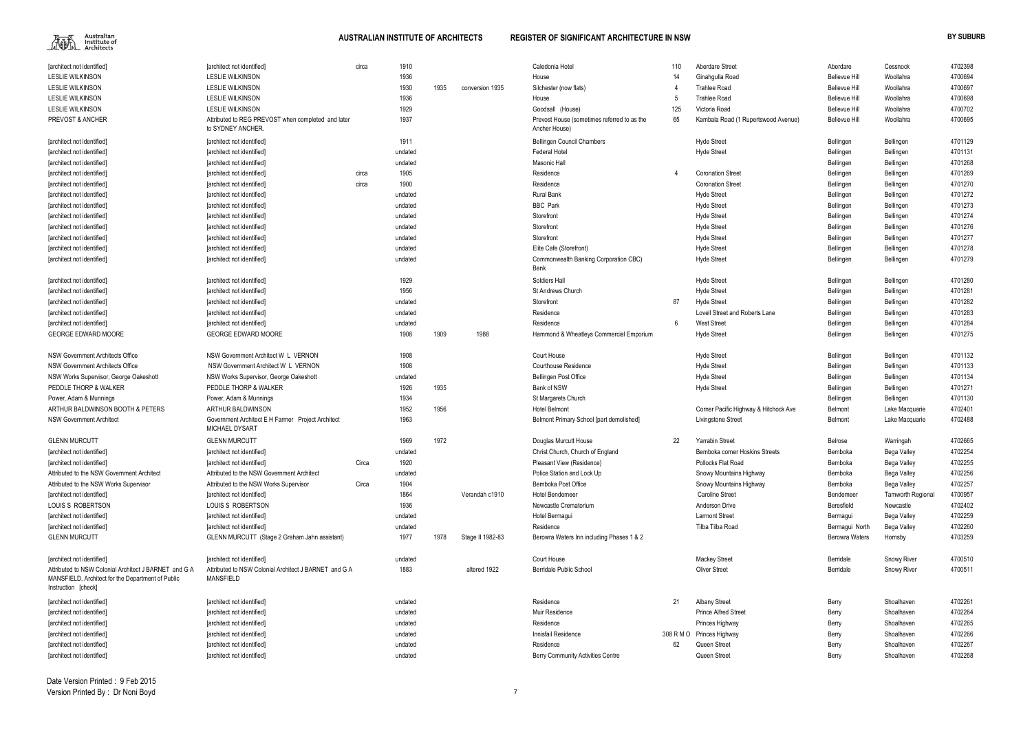| [architect not identified]                                               | [architect not identified]                                              | circa | 1910    |      |                  | Caledonia Hotel                                              | 110 | <b>Aberdare Street</b>                | Aberdare              | Cessnock                 | 4702398 |
|--------------------------------------------------------------------------|-------------------------------------------------------------------------|-------|---------|------|------------------|--------------------------------------------------------------|-----|---------------------------------------|-----------------------|--------------------------|---------|
| <b>LESLIE WILKINSON</b>                                                  | <b>LESLIE WILKINSON</b>                                                 |       | 1936    |      |                  | House                                                        | 14  | Ginahqulla Road                       | <b>Bellevue Hill</b>  | Woollahra                | 4700694 |
| <b>LESLIE WILKINSON</b>                                                  | <b>LESLIE WILKINSON</b>                                                 |       | 1930    | 1935 | conversion 1935  | Silchester (now flats)                                       |     | <b>Trahlee Road</b>                   | Bellevue Hill         | Woollahra                | 4700697 |
| <b>LESLIE WILKINSON</b>                                                  | <b>LESLIE WILKINSON</b>                                                 |       | 1936    |      |                  | House                                                        | -5  | <b>Trahlee Road</b>                   | Bellevue Hill         | Woollahra                | 4700698 |
| <b>LESLIE WILKINSON</b>                                                  | <b>LESLIE WILKINSON</b>                                                 |       | 1929    |      |                  | Goodsall (House)                                             | 125 | Victoria Road                         | <b>Bellevue Hill</b>  | Woollahra                | 4700702 |
| PREVOST & ANCHER                                                         | Attributed to REG PREVOST when completed and later<br>to SYDNEY ANCHER. |       | 1937    |      |                  | Prevost House (sometimes referred to as the<br>Ancher House) | 65  | Kambala Road (1 Rupertswood Avenue)   | <b>Bellevue Hill</b>  | Woollahra                | 4700695 |
| [architect not identified]                                               | [architect not identified]                                              |       | 1911    |      |                  | <b>Bellingen Council Chambers</b>                            |     | <b>Hyde Street</b>                    | Bellingen             | Bellingen                | 4701129 |
| [architect not identified]                                               | [architect not identified]                                              |       | undated |      |                  | <b>Federal Hotel</b>                                         |     | <b>Hyde Street</b>                    | Bellingen             | Bellingen                | 4701131 |
| [architect not identified]                                               | [architect not identified]                                              |       | undated |      |                  | Masonic Hall                                                 |     |                                       | Bellingen             | Bellingen                | 4701268 |
| [architect not identified]                                               | [architect not identified]                                              | circa | 1905    |      |                  | Residence                                                    | 4   | <b>Coronation Street</b>              | Bellingen             | Bellingen                | 4701269 |
| [architect not identified]                                               | [architect not identified]                                              | circa | 1900    |      |                  | Residence                                                    |     | <b>Coronation Street</b>              | Bellingen             | Bellingen                | 4701270 |
| [architect not identified]                                               | [architect not identified]                                              |       | undated |      |                  | <b>Rural Bank</b>                                            |     | <b>Hyde Street</b>                    | Bellingen             | Bellingen                | 4701272 |
| [architect not identified]                                               | [architect not identified]                                              |       | undated |      |                  | <b>BBC</b> Park                                              |     | <b>Hyde Street</b>                    | Bellingen             | Bellingen                | 4701273 |
| [architect not identified]                                               | [architect not identified]                                              |       | undated |      |                  | Storefront                                                   |     | <b>Hyde Street</b>                    | Bellingen             | Bellingen                | 4701274 |
| [architect not identified]                                               | [architect not identified]                                              |       | undated |      |                  | Storefront                                                   |     | <b>Hyde Street</b>                    | Bellingen             | Bellingen                | 4701276 |
| [architect not identified]                                               | farchitect not identified]                                              |       | undated |      |                  | Storefront                                                   |     | <b>Hyde Street</b>                    | Bellingen             | Bellingen                | 4701277 |
| [architect not identified]                                               | [architect not identified]                                              |       | undated |      |                  | Elite Cafe (Storefront)                                      |     | <b>Hyde Street</b>                    | Bellingen             | Bellingen                | 4701278 |
| [architect not identified]                                               | [architect not identified]                                              |       | undated |      |                  | Commonwealth Banking Corporation CBC)                        |     | <b>Hyde Street</b>                    | Bellingen             | Bellingen                | 4701279 |
|                                                                          |                                                                         |       |         |      |                  | Bank                                                         |     |                                       |                       |                          |         |
| [architect not identified]                                               | [architect not identified]                                              |       | 1929    |      |                  | Soldiers Hall                                                |     | <b>Hyde Street</b>                    | Bellingen             | Bellingen                | 4701280 |
| [architect not identified]                                               | [architect not identified]                                              |       | 1956    |      |                  | St Andrews Church                                            |     | <b>Hyde Street</b>                    | Bellingen             | Bellingen                | 4701281 |
| [architect not identified]                                               | [architect not identified]                                              |       | undated |      |                  | Storefront                                                   | 87  | <b>Hyde Street</b>                    | Bellingen             | Bellingen                | 4701282 |
| [architect not identified]                                               | [architect not identified]                                              |       | undated |      |                  | Residence                                                    |     | Lovell Street and Roberts Lane        | Bellingen             | Bellingen                | 4701283 |
| [architect not identified]                                               | [architect not identified]                                              |       | undated |      |                  | Residence                                                    | 6   | <b>West Street</b>                    | Bellingen             | Bellingen                | 4701284 |
| <b>GEORGE EDWARD MOORE</b>                                               | <b>GEORGE EDWARD MOORE</b>                                              |       | 1908    | 1909 | 1988             | Hammond & Wheatleys Commercial Emporium                      |     | <b>Hyde Street</b>                    | Bellingen             | Bellingen                | 4701275 |
| <b>NSW Government Architects Office</b>                                  | NSW Government Architect W L VERNON                                     |       | 1908    |      |                  | Court House                                                  |     | <b>Hyde Street</b>                    | Bellingen             | Bellingen                | 4701132 |
| NSW Government Architects Office                                         | NSW Government Architect W L VERNON                                     |       | 1908    |      |                  | <b>Courthouse Residence</b>                                  |     | <b>Hyde Street</b>                    | Bellingen             | Bellingen                | 4701133 |
| NSW Works Supervisor, George Oakeshott                                   | NSW Works Supervisor, George Oakeshott                                  |       | undated |      |                  | <b>Bellingen Post Office</b>                                 |     | <b>Hyde Street</b>                    | Bellingen             | Bellingen                | 4701134 |
| PEDDLE THORP & WALKER                                                    | PEDDLE THORP & WALKER                                                   |       | 1926    | 1935 |                  | Bank of NSW                                                  |     | <b>Hyde Street</b>                    | Bellingen             | Bellingen                | 4701271 |
| Power, Adam & Munnings                                                   | Power, Adam & Munnings                                                  |       | 1934    |      |                  | St Margarets Church                                          |     |                                       | Bellingen             | Bellingen                | 4701130 |
| ARTHUR BALDWINSON BOOTH & PETERS                                         | ARTHUR BALDWINSON                                                       |       | 1952    | 1956 |                  | <b>Hotel Belmont</b>                                         |     | Corner Pacific Highway & Hitchock Ave | Belmont               | Lake Macquarie           | 4702401 |
| <b>NSW Government Architect</b>                                          | Government Architect E H Farmer Project Architect<br>MICHAEL DYSART     |       | 1963    |      |                  | Belmont Primary School [part demolished]                     |     | Livingstone Street                    | Belmont               | Lake Macquarie           | 4702488 |
| <b>GLENN MURCUTT</b>                                                     | <b>GLENN MURCUTT</b>                                                    |       | 1969    | 1972 |                  | Douglas Murcutt House                                        | 22  | <b>Yarrabin Street</b>                | Belrose               | Warringah                | 4702665 |
| [architect not identified]                                               | [architect not identified]                                              |       | undated |      |                  | Christ Church, Church of England                             |     | Bemboka corner Hoskins Streets        | Bemboka               | Bega Valley              | 4702254 |
| [architect not identified]                                               | [architect not identified]                                              | Circa | 1920    |      |                  | Pleasant View (Residence)                                    |     | Pollocks Flat Road                    | Bemboka               | Bega Valley              | 4702255 |
| Attributed to the NSW Government Architect                               | Attributed to the NSW Government Architect                              |       | undated |      |                  | Police Station and Lock Up                                   |     | Snowy Mountains Highway               | Bemboka               | Bega Valley              | 4702256 |
| Attributed to the NSW Works Supervisor                                   | Attributed to the NSW Works Supervisor                                  | Circa | 1904    |      |                  | Bemboka Post Office                                          |     | Snowy Mountains Highway               | Bemboka               | Bega Valley              | 4702257 |
| [architect not identified]                                               | [architect not identified]                                              |       | 1864    |      | Verandah c1910   | <b>Hotel Bendemeer</b>                                       |     | <b>Caroline Street</b>                | Bendemeer             | <b>Tamworth Regional</b> | 4700957 |
| LOUIS S ROBERTSON                                                        | LOUIS S ROBERTSON                                                       |       | 1936    |      |                  | Newcastle Crematorium                                        |     | Anderson Drive                        | Beresfield            | Newcastle                | 4702402 |
| [architect not identified]                                               | [architect not identified]                                              |       | undated |      |                  | Hotel Bermagui                                               |     | <b>Larmont Street</b>                 | Bermagui              | Bega Valley              | 4702259 |
| [architect not identified]                                               | [architect not identified]                                              |       | undated |      |                  | Residence                                                    |     | Tilba Tilba Road                      | Bermagui North        | Bega Valley              | 4702260 |
| <b>GLENN MURCUTT</b>                                                     | GLENN MURCUTT (Stage 2 Graham Jahn assistant)                           |       | 1977    | 1978 | Stage II 1982-83 | Berowra Waters Inn including Phases 1 & 2                    |     |                                       | <b>Berowra Waters</b> | Hornsby                  | 4703259 |
| [architect not identified]                                               | [architect not identified]                                              |       | undated |      |                  | Court House                                                  |     | <b>Mackey Street</b>                  | Berridale             | <b>Snowy River</b>       | 4700510 |
| Attributed to NSW Colonial Architect J BARNET and G A                    | Attributed to NSW Colonial Architect J BARNET and G A                   |       | 1883    |      | altered 1922     | <b>Berridale Public School</b>                               |     | <b>Oliver Street</b>                  | Berridale             | <b>Snowy River</b>       | 4700511 |
| MANSFIELD, Architect for the Department of Public<br>Instruction [check] | <b>MANSFIELD</b>                                                        |       |         |      |                  |                                                              |     |                                       |                       |                          |         |
| [architect not identified]                                               | [architect not identified]                                              |       | undated |      |                  | Residence                                                    | 21  | <b>Albany Street</b>                  | Berry                 | Shoalhaven               | 4702261 |
| [architect not identified]                                               | [architect not identified]                                              |       | undated |      |                  | Muir Residence                                               |     | <b>Prince Alfred Street</b>           | Berry                 | Shoalhaven               | 4702264 |
| [architect not identified]                                               | [architect not identified]                                              |       | undated |      |                  | Residence                                                    |     | Princes Highway                       | Berry                 | Shoalhaven               | 4702265 |
| [architect not identified]                                               | [architect not identified]                                              |       | undated |      |                  | Innisfail Residence                                          |     | 308 R M O Princes Highway             | Berry                 | Shoalhaven               | 4702266 |
| [architect not identified]                                               | [architect not identified]                                              |       | undated |      |                  | Residence                                                    | 62  | Queen Street                          | Berry                 | Shoalhaven               | 4702267 |
| [architect not identified]                                               | [architect not identified]                                              |       | undated |      |                  | <b>Berry Community Activities Centre</b>                     |     | Queen Street                          | Berry                 | Shoalhaven               | 4702268 |
|                                                                          |                                                                         |       |         |      |                  |                                                              |     |                                       |                       |                          |         |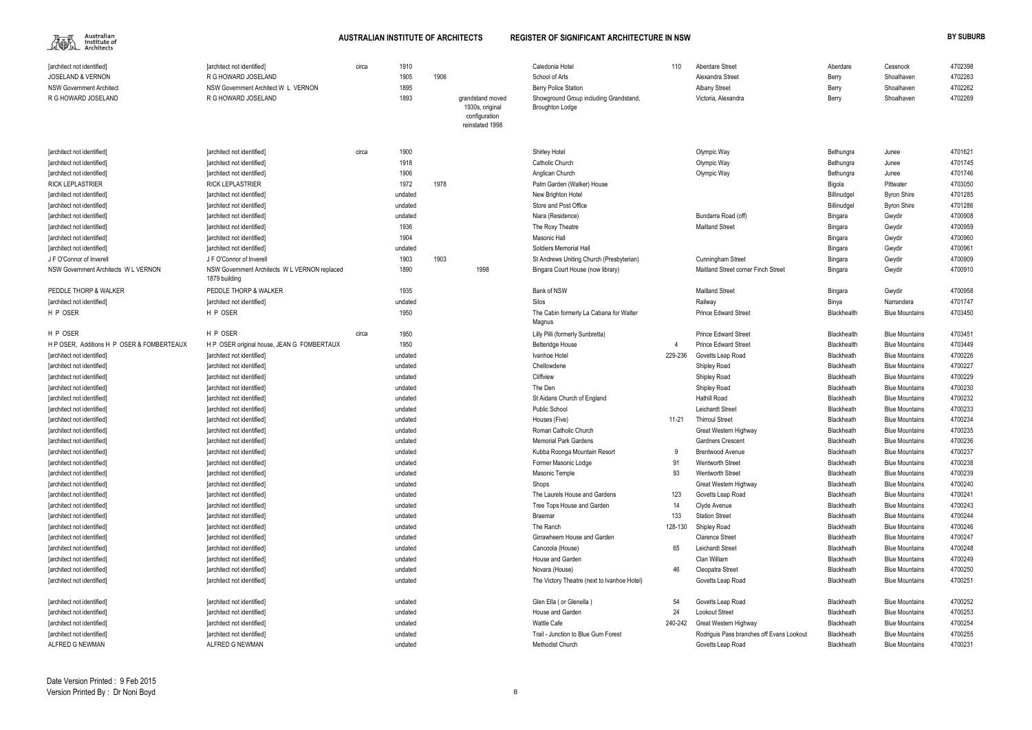| Aberdare Street     | Aberdare | Cessnock   | 4702398 |
|---------------------|----------|------------|---------|
| Alexandra Street    | Berry    | Shoalhaven | 4702263 |
| Albany Street       | Berry    | Shoalhaven | 4702262 |
| Victoria, Alexandra | Berry    | Shoalhaven | 4702269 |

| Olympic Way                               | Bethungra          | Junee                 | 4701621 |
|-------------------------------------------|--------------------|-----------------------|---------|
| Olympic Way                               | Bethungra          | Junee                 | 4701745 |
| Olympic Way                               | Bethungra          | Junee                 | 4701746 |
|                                           | Bigola             | Pittwater             | 4703050 |
|                                           | Billinudgel        | <b>Byron Shire</b>    | 4701285 |
|                                           | Billinudgel        | <b>Byron Shire</b>    | 4701286 |
| Bundarra Road (off)                       | Bingara            | Gwydir                | 4700908 |
| Maitland Street                           | Bingara            | Gwydir                | 4700959 |
|                                           | Bingara            | Gwydir                | 4700960 |
|                                           | Bingara            | Gwydir                | 4700961 |
| Cunningham Street                         | Bingara            | Gwydir                | 4700909 |
| Maitland Street corner Finch Street       | Bingara            | Gwydir                | 4700910 |
| Maitland Street                           | Bingara            | Gwydir                | 4700958 |
| Railway                                   | Binya              | Narrandera            | 4701747 |
| Prince Edward Street                      | <b>Blackhealth</b> | <b>Blue Mountains</b> | 4703450 |
| Prince Edward Street                      | <b>Blackhealth</b> | <b>Blue Mountains</b> | 4703451 |
| Prince Edward Street                      | Blackhealth        | <b>Blue Mountains</b> | 4703449 |
| Govetts Leap Road                         | Blackheath         | <b>Blue Mountains</b> | 4700226 |
| <b>Shipley Road</b>                       | Blackheath         | <b>Blue Mountains</b> | 4700227 |
| Shipley Road                              | Blackheath         | <b>Blue Mountains</b> | 4700229 |
| Shipley Road                              | Blackheath         | <b>Blue Mountains</b> | 4700230 |
| Hathill Road                              | Blackheath         | <b>Blue Mountains</b> | 4700232 |
| Leichardt Street                          | Blackheath         | <b>Blue Mountains</b> | 4700233 |
| <b>Thirroul Street</b>                    | Blackheath         | <b>Blue Mountains</b> | 4700234 |
| Great Western Highway                     | Blackheath         | <b>Blue Mountains</b> | 4700235 |
| Gardners Crescent                         | Blackheath         | <b>Blue Mountains</b> | 4700236 |
| Brentwood Avenue                          | Blackheath         | <b>Blue Mountains</b> | 4700237 |
| Wentworth Street                          | Blackheath         | <b>Blue Mountains</b> | 4700238 |
| Wentworth Street                          | Blackheath         | <b>Blue Mountains</b> | 4700239 |
| Great Western Highway                     | Blackheath         | <b>Blue Mountains</b> | 4700240 |
| Govetts Leap Road                         | Blackheath         | <b>Blue Mountains</b> | 4700241 |
| Clyde Avenue                              | Blackheath         | <b>Blue Mountains</b> | 4700243 |
| <b>Station Street</b>                     | Blackheath         | <b>Blue Mountains</b> | 4700244 |
| Shipley Road                              | Blackheath         | <b>Blue Mountains</b> | 4700246 |
| Clarence Street                           | Blackheath         | <b>Blue Mountains</b> | 4700247 |
| Leichardt Street                          | Blackheath         | <b>Blue Mountains</b> | 4700248 |
| Clan William                              | Blackheath         | <b>Blue Mountains</b> | 4700249 |
| Cleopatra Street                          | Blackheath         | <b>Blue Mountains</b> | 4700250 |
| Govetts Leap Road                         | Blackheath         | <b>Blue Mountains</b> | 4700251 |
| Govetts Leap Road                         | Blackheath         | <b>Blue Mountains</b> | 4700252 |
| Lookout Street                            | Blackheath         | <b>Blue Mountains</b> | 4700253 |
| Great Western Highway                     | <b>Blackheath</b>  | <b>Blue Mountains</b> | 4700254 |
| Rodriguis Pass branches off Evans Lookout | Blackheath         | <b>Blue Mountains</b> | 4700255 |
| Govetts Leap Road                         | Blackheath         | <b>Blue Mountains</b> | 4700231 |
|                                           |                    |                       |         |

| [architect not identified]<br><b>JOSELAND &amp; VERNON</b><br><b>NSW Government Architect</b><br>R G HOWARD JOSELAND | [architect not identified]<br>R G HOWARD JOSELAND<br>NSW Government Architect W L VERNON<br>R G HOWARD JOSELAND | circa | 1910<br>1905<br>1895<br>1893 | 1906 | grandstand moved<br>1930s, original<br>configuration<br>reinstated 1998 | Caledonia Hotel<br>School of Arts<br><b>Berry Police Station</b><br>Showground Group including Grandstand,<br><b>Broughton Lodge</b> | 110     | <b>Aberdare Street</b><br>Alexandra Street<br><b>Albany Street</b><br>Victoria, Alexandra | Aberdare<br>Berry<br>Berry<br>Berry | Cessnock<br>Shoalhaven<br>Shoalhaven<br>Shoalhaven | 4702398<br>4702263<br>4702262<br>4702269 |
|----------------------------------------------------------------------------------------------------------------------|-----------------------------------------------------------------------------------------------------------------|-------|------------------------------|------|-------------------------------------------------------------------------|--------------------------------------------------------------------------------------------------------------------------------------|---------|-------------------------------------------------------------------------------------------|-------------------------------------|----------------------------------------------------|------------------------------------------|
| [architect not identified]                                                                                           | [architect not identified]                                                                                      | circa | 1900                         |      |                                                                         | Shirley Hotel                                                                                                                        |         | Olympic Way                                                                               | Bethungra                           | Junee                                              | 4701621                                  |
| [architect not identified]                                                                                           | [architect not identified]                                                                                      |       | 1918                         |      |                                                                         | Catholic Church                                                                                                                      |         | Olympic Way                                                                               | Bethungra                           | Junee                                              | 4701745                                  |
| [architect not identified]                                                                                           | [architect not identified]                                                                                      |       | 1906                         |      |                                                                         | Anglican Church                                                                                                                      |         | Olympic Way                                                                               | Bethungra                           | Junee                                              | 4701746                                  |
| <b>RICK LEPLASTRIER</b>                                                                                              | <b>RICK LEPLASTRIER</b>                                                                                         |       | 1972                         | 1978 |                                                                         | Palm Garden (Walker) House                                                                                                           |         |                                                                                           | Bigola                              | Pittwater                                          | 4703050                                  |
| [architect not identified]                                                                                           | [architect not identified]                                                                                      |       | undated                      |      |                                                                         | New Brighton Hotel                                                                                                                   |         |                                                                                           | Billinudgel                         | <b>Byron Shire</b>                                 | 4701285                                  |
| [architect not identified]                                                                                           | [architect not identified]                                                                                      |       | undated                      |      |                                                                         | Store and Post Office                                                                                                                |         |                                                                                           | Billinudgel                         | <b>Byron Shire</b>                                 | 4701286                                  |
| [architect not identified]                                                                                           | [architect not identified]                                                                                      |       | undated                      |      |                                                                         | Niara (Residence)                                                                                                                    |         | Bundarra Road (off)                                                                       | Bingara                             | Gwydir                                             | 4700908                                  |
| [architect not identified]                                                                                           | [architect not identified]                                                                                      |       | 1936                         |      |                                                                         | The Roxy Theatre                                                                                                                     |         | <b>Maitland Street</b>                                                                    | Bingara                             | Gwydir                                             | 4700959                                  |
| [architect not identified]                                                                                           | [architect not identified]                                                                                      |       | 1904                         |      |                                                                         | Masonic Hall                                                                                                                         |         |                                                                                           | Bingara                             | Gwydir                                             | 4700960                                  |
| [architect not identified]                                                                                           | [architect not identified]                                                                                      |       | undated                      |      |                                                                         | Soldiers Memorial Hall                                                                                                               |         |                                                                                           | Bingara                             | Gwydir                                             | 4700961                                  |
| J F O'Connor of Inverell                                                                                             | J F O'Connor of Inverell                                                                                        |       | 1903                         | 1903 |                                                                         | St Andrews Uniting Church (Presbyterian)                                                                                             |         | Cunningham Street                                                                         | Bingara                             | Gwydir                                             | 4700909                                  |
| NSW Government Architects W L VERNON                                                                                 | NSW Government Architects W L VERNON replaced<br>1879 building                                                  |       | 1890                         |      | 1998                                                                    | Bingara Court House (now library)                                                                                                    |         | Maitland Street corner Finch Street                                                       | Bingara                             | Gwydir                                             | 4700910                                  |
| PEDDLE THORP & WALKER                                                                                                | PEDDLE THORP & WALKER                                                                                           |       | 1935                         |      |                                                                         | Bank of NSW                                                                                                                          |         | <b>Maitland Street</b>                                                                    | Bingara                             | Gwydir                                             | 4700958                                  |
| [architect not identified]                                                                                           | [architect not identified]                                                                                      |       | undated                      |      |                                                                         | <b>Silos</b>                                                                                                                         |         | Railway                                                                                   | Binya                               | Narrandera                                         | 4701747                                  |
| H P OSER                                                                                                             | H P OSER                                                                                                        |       | 1950                         |      |                                                                         | The Cabin formerly La Cabana for Walter<br>Magnus                                                                                    |         | <b>Prince Edward Street</b>                                                               | Blackhealth                         | <b>Blue Mountains</b>                              | 4703450                                  |
| H P OSER                                                                                                             | H P OSER                                                                                                        | circa | 1950                         |      |                                                                         | Lilly Pilli (formerly Sunbretta)                                                                                                     |         | <b>Prince Edward Street</b>                                                               | Blackhealth                         | <b>Blue Mountains</b>                              | 4703451                                  |
| H P OSER, Additions H P OSER & FOMBERTEAUX                                                                           | H P OSER original house, JEAN G FOMBERTAUX                                                                      |       | 1950                         |      |                                                                         | <b>Betteridge House</b>                                                                                                              |         | <b>Prince Edward Street</b>                                                               | Blackhealth                         | <b>Blue Mountains</b>                              | 4703449                                  |
| [architect not identified]                                                                                           | [architect not identified]                                                                                      |       | undated                      |      |                                                                         | Ivanhoe Hotel                                                                                                                        | 229-236 | Govetts Leap Road                                                                         | Blackheath                          | <b>Blue Mountains</b>                              | 4700226                                  |
| [architect not identified]                                                                                           | [architect not identified]                                                                                      |       | undated                      |      |                                                                         | Chellowdene                                                                                                                          |         | Shipley Road                                                                              | Blackheath                          | <b>Blue Mountains</b>                              | 4700227                                  |
| [architect not identified]                                                                                           | [architect not identified]                                                                                      |       | undated                      |      |                                                                         | Cliffview                                                                                                                            |         | Shipley Road                                                                              | Blackheath                          | <b>Blue Mountains</b>                              | 4700229                                  |
| [architect not identified]                                                                                           | [architect not identified]                                                                                      |       | undated                      |      |                                                                         | The Den                                                                                                                              |         | Shipley Road                                                                              | Blackheath                          | <b>Blue Mountains</b>                              | 4700230                                  |
| [architect not identified]                                                                                           | [architect not identified]                                                                                      |       | undated                      |      |                                                                         | St Aidans Church of England                                                                                                          |         | <b>Hathill Road</b>                                                                       | Blackheath                          | <b>Blue Mountains</b>                              | 4700232                                  |
| [architect not identified]                                                                                           | [architect not identified]                                                                                      |       | undated                      |      |                                                                         | <b>Public School</b>                                                                                                                 |         | Leichardt Street                                                                          | Blackheath                          | <b>Blue Mountains</b>                              | 4700233                                  |
| [architect not identified]                                                                                           | [architect not identified]                                                                                      |       | undated                      |      |                                                                         | Houses (Five)                                                                                                                        | 11-21   | <b>Thirroul Street</b>                                                                    | Blackheath                          | <b>Blue Mountains</b>                              | 4700234                                  |
| [architect not identified]                                                                                           | [architect not identified]                                                                                      |       | undated                      |      |                                                                         | Roman Catholic Church                                                                                                                |         | Great Western Highway                                                                     | Blackheath                          | <b>Blue Mountains</b>                              | 4700235                                  |
| [architect not identified]                                                                                           | [architect not identified]                                                                                      |       | undated                      |      |                                                                         | <b>Memorial Park Gardens</b>                                                                                                         |         | <b>Gardners Crescent</b>                                                                  | Blackheath                          | <b>Blue Mountains</b>                              | 4700236                                  |
| [architect not identified]                                                                                           | [architect not identified]                                                                                      |       | undated                      |      |                                                                         | Kubba Roonga Mountain Resort                                                                                                         |         | <b>Brentwood Avenue</b>                                                                   | Blackheath                          | <b>Blue Mountains</b>                              | 4700237                                  |
| [architect not identified]                                                                                           | [architect not identified]                                                                                      |       | undated                      |      |                                                                         | Former Masonic Lodge                                                                                                                 | -91     | <b>Wentworth Street</b>                                                                   | Blackheath                          | <b>Blue Mountains</b>                              | 4700238                                  |
| [architect not identified]                                                                                           | [architect not identified]                                                                                      |       | undated                      |      |                                                                         | Masonic Temple                                                                                                                       | 93      | <b>Wentworth Street</b>                                                                   | Blackheath                          | <b>Blue Mountains</b>                              | 4700239                                  |
| [architect not identified]                                                                                           | [architect not identified]                                                                                      |       | undated                      |      |                                                                         | Shops                                                                                                                                |         | Great Western Highway                                                                     | Blackheath                          | <b>Blue Mountains</b>                              | 4700240                                  |
| [architect not identified]                                                                                           | [architect not identified]                                                                                      |       | undated                      |      |                                                                         | The Laurels House and Gardens                                                                                                        | 123     | Govetts Leap Road                                                                         | Blackheath                          | <b>Blue Mountains</b>                              | 4700241                                  |
| [architect not identified]                                                                                           | [architect not identified]                                                                                      |       | undated                      |      |                                                                         | Tree Tops House and Garden                                                                                                           | 14      | Clyde Avenue                                                                              | Blackheath                          | <b>Blue Mountains</b>                              | 4700243                                  |
| [architect not identified]                                                                                           | [architect not identified]                                                                                      |       | undated                      |      |                                                                         | <b>Braemar</b>                                                                                                                       | 133     | <b>Station Street</b>                                                                     | Blackheath                          | <b>Blue Mountains</b>                              | 4700244                                  |
| [architect not identified]                                                                                           | [architect not identified]                                                                                      |       | undated                      |      |                                                                         | The Ranch                                                                                                                            | 128-130 | Shipley Road                                                                              | Blackheath                          | <b>Blue Mountains</b>                              | 4700246                                  |
| [architect not identified]                                                                                           | [architect not identified]                                                                                      |       | undated                      |      |                                                                         | Girrawheem House and Garden                                                                                                          |         | <b>Clarence Street</b>                                                                    | Blackheath                          | <b>Blue Mountains</b>                              | 4700247                                  |
| [architect not identified]                                                                                           | [architect not identified]                                                                                      |       | undated                      |      |                                                                         | Cancoola (House)                                                                                                                     | 65      | Leichardt Street                                                                          | Blackheath                          | <b>Blue Mountains</b>                              | 4700248                                  |
| [architect not identified]                                                                                           | [architect not identified]                                                                                      |       | undated                      |      |                                                                         | House and Garden                                                                                                                     |         | Clan William                                                                              | Blackheath                          | <b>Blue Mountains</b>                              | 4700249                                  |
| [architect not identified]                                                                                           | [architect not identified]                                                                                      |       | undated                      |      |                                                                         | Novara (House)                                                                                                                       | 46      | Cleopatra Street                                                                          | Blackheath                          | <b>Blue Mountains</b>                              | 4700250                                  |
| [architect not identified]                                                                                           | [architect not identified]                                                                                      |       | undated                      |      |                                                                         | The Victory Theatre (next to Ivanhoe Hotel)                                                                                          |         | Govetts Leap Road                                                                         | Blackheath                          | <b>Blue Mountains</b>                              | 4700251                                  |
| [architect not identified]                                                                                           | [architect not identified]                                                                                      |       | undated                      |      |                                                                         | Glen Ella (or Glenella)                                                                                                              | 54      | Govetts Leap Road                                                                         | Blackheath                          | <b>Blue Mountains</b>                              | 4700252                                  |
| [architect not identified]                                                                                           | [architect not identified]                                                                                      |       | undated                      |      |                                                                         | House and Garden                                                                                                                     | 24      | Lookout Street                                                                            | Blackheath                          | <b>Blue Mountains</b>                              | 4700253                                  |
| [architect not identified]                                                                                           | [architect not identified]                                                                                      |       | undated                      |      |                                                                         | <b>Wattle Cafe</b>                                                                                                                   | 240-242 | Great Western Highway                                                                     | Blackheath                          | <b>Blue Mountains</b>                              | 4700254                                  |
| [architect not identified]                                                                                           | [architect not identified]                                                                                      |       | undated                      |      |                                                                         | Trail - Junction to Blue Gum Forest                                                                                                  |         | Rodriguis Pass branches off Evans Lookout                                                 | Blackheath                          | <b>Blue Mountains</b>                              | 4700255                                  |
| ALFRED G NEWMAN                                                                                                      | ALFRED G NEWMAN                                                                                                 |       | undated                      |      |                                                                         | Methodist Church                                                                                                                     |         | Govetts Leap Road                                                                         | Blackheath                          | <b>Blue Mountains</b>                              | 4700231                                  |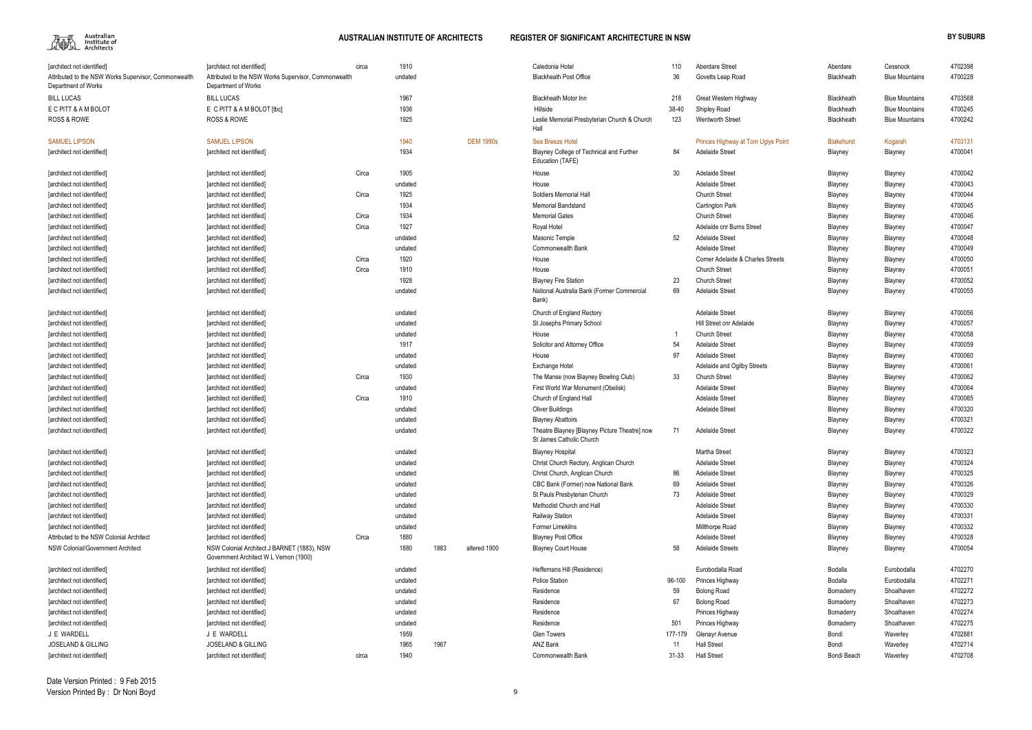

| 110      | <b>Aberdare Street</b>             | Aberdare           | Cessnock              | 4702398 |
|----------|------------------------------------|--------------------|-----------------------|---------|
| 36       | Govetts Leap Road                  | Blackheath         | <b>Blue Mountains</b> | 4700228 |
|          |                                    |                    |                       |         |
| 218      | Great Western Highway              | Blackheath         | <b>Blue Mountains</b> | 4703568 |
| 8-40     | Shipley Road                       | Blackheath         | <b>Blue Mountains</b> | 4700245 |
| 123      | <b>Wentworth Street</b>            | Blackheath         | <b>Blue Mountains</b> | 4700242 |
|          |                                    |                    |                       |         |
|          | Princes Highway at Tom Uglys Point | <b>Blakehurst</b>  | Kogarah               | 4703131 |
| 84       | <b>Adelaide Street</b>             | Blayney            | Blayney               | 4700041 |
| 30       | <b>Adelaide Street</b>             | Blayney            | Blayney               | 4700042 |
|          | <b>Adelaide Street</b>             | Blayney            | Blayney               | 4700043 |
|          | <b>Church Street</b>               | Blayney            | Blayney               | 4700044 |
|          | Carrington Park                    | Blayney            | Blayney               | 4700045 |
|          | <b>Church Street</b>               | Blayney            | Blayney               | 4700046 |
|          | Adelaide cnr Burns Street          | Blayney            | Blayney               | 4700047 |
| 52       | <b>Adelaide Street</b>             | Blayney            | Blayney               | 4700048 |
|          | <b>Adelaide Street</b>             | Blayney            | Blayney               | 4700049 |
|          | Corner Adelaide & Charles Streets  | Blayney            | Blayney               | 4700050 |
|          | <b>Church Street</b>               | Blayney            | Blayney               | 4700051 |
| 23       | <b>Church Street</b>               | Blayney            | Blayney               | 4700052 |
| 69       | <b>Adelaide Street</b>             | Blayney            | Blayney               | 4700055 |
|          |                                    |                    |                       |         |
|          | <b>Adelaide Street</b>             | Blayney            | Blayney               | 4700056 |
|          | Hill Street cnr Adelaide           | Blayney            | Blayney               | 4700057 |
| 1        | <b>Church Street</b>               | Blayney            | Blayney               | 4700058 |
| 54       | Adelaide Street                    | Blayney            | Blayney               | 4700059 |
| 97       | <b>Adelaide Street</b>             | Blayney            | Blayney               | 4700060 |
|          | Adelaide and Ogilby Streets        | Blayney            | Blayney               | 4700061 |
| 33       | <b>Church Street</b>               | Blayney            | Blayney               | 4700062 |
|          | Adelaide Street                    | Blayney            | Blayney               | 4700064 |
|          | <b>Adelaide Street</b>             | Blayney            | Blayney               | 4700065 |
|          | <b>Adelaide Street</b>             | Blayney            | Blayney               | 4700320 |
|          |                                    | Blayney            | Blayney               | 4700321 |
| 71       | Adelaide Street                    | Blayney            | Blayney               | 4700322 |
|          | Martha Street                      |                    |                       | 4700323 |
|          | <b>Adelaide Street</b>             | Blayney<br>Blayney | Blayney<br>Blayney    | 4700324 |
| 86       | Adelaide Street                    | Blayney            | Blayney               | 4700325 |
| 69       | <b>Adelaide Street</b>             | Blayney            | Blayney               | 4700326 |
| 73       | <b>Adelaide Street</b>             | Blayney            | Blayney               | 4700329 |
|          | <b>Adelaide Street</b>             | Blayney            | Blayney               | 4700330 |
|          | <b>Adelaide Street</b>             | Blayney            | Blayney               | 4700331 |
|          | Millthorpe Road                    | Blayney            | Blayney               | 4700332 |
|          | <b>Adelaide Street</b>             | Blayney            | Blayney               | 4700328 |
| 58       | <b>Adelaide Streets</b>            | Blayney            | Blayney               | 4700054 |
|          |                                    |                    |                       |         |
|          | Eurobodalla Road                   | Bodalla            | Eurobodalla           | 4702270 |
| 5-100    | Princes Highway                    | <b>Bodalla</b>     | Eurobodalla           | 4702271 |
| 59       | <b>Bolong Road</b>                 | Bomaderry          | Shoalhaven            | 4702272 |
| 67       | <b>Bolong Road</b>                 | Bomaderry          | Shoalhaven            | 4702273 |
|          | Princes Highway                    | Bomaderry          | Shoalhaven            | 4702274 |
| 501      | Princes Highway                    | Bomaderry          | Shoalhaven            | 4702275 |
| 7-179    | Glenayr Avenue                     | Bondi              | Waverley              | 4702881 |
| 11       | <b>Hall Street</b>                 | Bondi              | Waverley              | 4702714 |
| $1 - 33$ | <b>Hall Street</b>                 | Bondi Beach        | Waverley              | 4702708 |

| [architect not identified]                                                  | [architect not identified]                                                            | circa | 1910    |      |                  | Caledonia Hotel                                                           | 110       | Aberdare Street                    | Aberdare          | Cessnock              | 4702398 |
|-----------------------------------------------------------------------------|---------------------------------------------------------------------------------------|-------|---------|------|------------------|---------------------------------------------------------------------------|-----------|------------------------------------|-------------------|-----------------------|---------|
| Attributed to the NSW Works Supervisor, Commonwealth<br>Department of Works | Attributed to the NSW Works Supervisor, Commonwealth<br>Department of Works           |       | undated |      |                  | <b>Blackheath Post Office</b>                                             | 36        | Govetts Leap Road                  | Blackheath        | <b>Blue Mountains</b> | 4700228 |
| <b>BILL LUCAS</b>                                                           | <b>BILL LUCAS</b>                                                                     |       | 1967    |      |                  | <b>Blackheath Motor Inn</b>                                               | 218       | Great Western Highway              | Blackheath        | <b>Blue Mountains</b> | 4703568 |
| E C PITT & A M BOLOT                                                        | E C PITT & A M BOLOT [tbc]                                                            |       | 1936    |      |                  | Hillside                                                                  | 38-40     | Shipley Road                       | Blackheath        | <b>Blue Mountains</b> | 4700245 |
| <b>ROSS &amp; ROWE</b>                                                      | <b>ROSS &amp; ROWE</b>                                                                |       | 1925    |      |                  | Leslie Memorial Presbyterian Church & Church<br>Hall                      | 123       | <b>Wentworth Street</b>            | Blackheath        | <b>Blue Mountains</b> | 4700242 |
| <b>SAMUEL LIPSON</b>                                                        | <b>SAMUEL LIPSON</b>                                                                  |       | 1940    |      | <b>DEM 1990s</b> | Sea Breeze Hotel                                                          |           | Princes Highway at Tom Uglys Point | <b>Blakehurst</b> | Kogarah               | 4703131 |
| [architect not identified]                                                  | [architect not identified]                                                            |       | 1934    |      |                  | Blayney College of Technical and Further<br>Education (TAFE)              | 84        | Adelaide Street                    | Blayney           | Blayney               | 4700041 |
| [architect not identified]                                                  | [architect not identified]                                                            | Circa | 1905    |      |                  | House                                                                     | 30        | <b>Adelaide Street</b>             | Blayney           | Blayney               | 4700042 |
| [architect not identified]                                                  | [architect not identified]                                                            |       | undated |      |                  | House                                                                     |           | <b>Adelaide Street</b>             | Blayney           | Blayney               | 4700043 |
| [architect not identified]                                                  | [architect not identified]                                                            | Circa | 1925    |      |                  | Soldiers Memorial Hall                                                    |           | <b>Church Street</b>               | Blayney           | Blayney               | 4700044 |
| [architect not identified]                                                  | [architect not identified]                                                            |       | 1934    |      |                  | <b>Memorial Bandstand</b>                                                 |           | Carrington Park                    | Blayney           | Blayney               | 4700045 |
| [architect not identified]                                                  | [architect not identified]                                                            | Circa | 1934    |      |                  | <b>Memorial Gates</b>                                                     |           | <b>Church Street</b>               | Blayney           | Blayney               | 4700046 |
| [architect not identified]                                                  | [architect not identified]                                                            | Circa | 1927    |      |                  | Royal Hotel                                                               |           | Adelaide cnr Burns Street          | Blayney           | Blayney               | 4700047 |
| [architect not identified]                                                  | [architect not identified]                                                            |       | undated |      |                  | Masonic Temple                                                            | 52        | Adelaide Street                    | Blayney           | Blayney               | 4700048 |
| [architect not identified]                                                  | [architect not identified]                                                            |       | undated |      |                  | <b>Commonwealth Bank</b>                                                  |           | <b>Adelaide Street</b>             | Blayney           | Blayney               | 4700049 |
| [architect not identified]                                                  | [architect not identified]                                                            | Circa | 1920    |      |                  | House                                                                     |           | Corner Adelaide & Charles Streets  | Blayney           | Blayney               | 4700050 |
| [architect not identified]                                                  | [architect not identified]                                                            | Circa | 1910    |      |                  | House                                                                     |           | <b>Church Street</b>               | Blayney           | Blayney               | 4700051 |
| [architect not identified]                                                  | [architect not identified]                                                            |       | 1928    |      |                  | <b>Blayney Fire Station</b>                                               | 23        | <b>Church Street</b>               | Blayney           | Blayney               | 4700052 |
| [architect not identified]                                                  | [architect not identified]                                                            |       | undated |      |                  | National Australia Bank (Former Commercial<br>Bank)                       | 69        | <b>Adelaide Street</b>             | Blayney           | Blayney               | 4700055 |
| [architect not identified]                                                  | [architect not identified]                                                            |       | undated |      |                  | Church of England Rectory                                                 |           | <b>Adelaide Street</b>             | Blayney           | Blayney               | 4700056 |
| [architect not identified]                                                  | [architect not identified]                                                            |       | undated |      |                  | St Josephs Primary School                                                 |           | Hill Street cnr Adelaide           | Blayney           | Blayney               | 4700057 |
| [architect not identified]                                                  | [architect not identified]                                                            |       | undated |      |                  | House                                                                     |           | <b>Church Street</b>               | Blayney           | Blayney               | 4700058 |
| [architect not identified]                                                  | [architect not identified]                                                            |       | 1917    |      |                  | Solicitor and Attorney Office                                             | 54        | <b>Adelaide Street</b>             | Blayney           | Blayney               | 4700059 |
| [architect not identified]                                                  | [architect not identified]                                                            |       | undated |      |                  | House                                                                     | 97        | <b>Adelaide Street</b>             | Blayney           | Blayney               | 4700060 |
| [architect not identified]                                                  | [architect not identified]                                                            |       | undated |      |                  | Exchange Hotel                                                            |           | Adelaide and Ogilby Streets        | Blayney           | Blayney               | 4700061 |
| [architect not identified]                                                  | [architect not identified]                                                            | Circa | 1930    |      |                  | The Manse (now Blayney Bowling Club)                                      | 33        | <b>Church Street</b>               | Blayney           | Blayney               | 4700062 |
| [architect not identified]                                                  | [architect not identified]                                                            |       | undated |      |                  | First World War Monument (Obelisk)                                        |           | <b>Adelaide Street</b>             | Blayney           | Blayney               | 4700064 |
| [architect not identified]                                                  | [architect not identified]                                                            | Circa | 1910    |      |                  | Church of England Hall                                                    |           | <b>Adelaide Street</b>             | Blayney           | Blayney               | 4700065 |
| [architect not identified]                                                  | [architect not identified]                                                            |       | undated |      |                  | <b>Oliver Buildings</b>                                                   |           | <b>Adelaide Street</b>             | Blayney           | Blayney               | 4700320 |
| [architect not identified]                                                  | [architect not identified]                                                            |       | undated |      |                  | <b>Blayney Abattoirs</b>                                                  |           |                                    | Blayney           | Blayney               | 4700321 |
| [architect not identified]                                                  | [architect not identified]                                                            |       | undated |      |                  | Theatre Blayney [Blayney Picture Theatre] now<br>St James Catholic Church | 71        | <b>Adelaide Street</b>             | Blayney           | Blayney               | 4700322 |
| [architect not identified]                                                  | [architect not identified]                                                            |       | undated |      |                  | <b>Blayney Hospital</b>                                                   |           | Martha Street                      | Blayney           | Blayney               | 4700323 |
| [architect not identified]                                                  | [architect not identified]                                                            |       | undated |      |                  | Christ Church Rectory, Anglican Church                                    |           | <b>Adelaide Street</b>             | Blayney           | Blayney               | 4700324 |
| [architect not identified]                                                  | [architect not identified]                                                            |       | undated |      |                  | Christ Church, Anglican Church                                            | 86        | <b>Adelaide Street</b>             | Blayney           | Blayney               | 4700325 |
| [architect not identified]                                                  | [architect not identified]                                                            |       | undated |      |                  | CBC Bank (Former) now National Bank                                       | 69        | <b>Adelaide Street</b>             | Blayney           | Blayney               | 4700326 |
| [architect not identified]                                                  | [architect not identified]                                                            |       | undated |      |                  | St Pauls Presbyterian Church                                              | 73        | <b>Adelaide Street</b>             | Blayney           | Blayney               | 4700329 |
| [architect not identified]                                                  | [architect not identified]                                                            |       | undated |      |                  | Methodist Church and Hall                                                 |           | <b>Adelaide Street</b>             | Blayney           | Blayney               | 4700330 |
| [architect not identified]                                                  | [architect not identified]                                                            |       | undated |      |                  | <b>Railway Station</b>                                                    |           | <b>Adelaide Street</b>             | Blayney           | Blayney               | 4700331 |
| [architect not identified]                                                  | [architect not identified]                                                            |       | undated |      |                  | <b>Former Limekilns</b>                                                   |           | Millthorpe Road                    | Blayney           | Blayney               | 4700332 |
| Attributed to the NSW Colonial Architect                                    | [architect not identified]                                                            | Circa | 1880    |      |                  | <b>Blayney Post Office</b>                                                |           | <b>Adelaide Street</b>             | Blayney           | Blayney               | 4700328 |
| NSW Colonial/Government Architect                                           | NSW Colonial Architect J BARNET (1883), NSW<br>Government Architect W L Vernon (1900) |       | 1880    | 1883 | altered 1900     | <b>Blayney Court House</b>                                                | 58        | <b>Adelaide Streets</b>            | Blayney           | Blayney               | 4700054 |
| [architect not identified]                                                  | [architect not identified]                                                            |       | undated |      |                  | Heffernans Hill (Residence)                                               |           | Eurobodalla Road                   | Bodalla           | Eurobodalla           | 4702270 |
| [architect not identified]                                                  | [architect not identified]                                                            |       | undated |      |                  | <b>Police Station</b>                                                     | 96-100    | Princes Highway                    | Bodalla           | Eurobodalla           | 4702271 |
| [architect not identified]                                                  | [architect not identified]                                                            |       | undated |      |                  | Residence                                                                 | 59        | <b>Bolong Road</b>                 | Bomaderry         | Shoalhaven            | 4702272 |
| [architect not identified]                                                  | [architect not identified]                                                            |       | undated |      |                  | Residence                                                                 | 67        | <b>Bolong Road</b>                 | Bomaderry         | Shoalhaven            | 4702273 |
| [architect not identified]                                                  | [architect not identified]                                                            |       | undated |      |                  | Residence                                                                 |           | Princes Highway                    | Bomaderry         | Shoalhaven            | 4702274 |
| [architect not identified]                                                  | [architect not identified]                                                            |       | undated |      |                  | Residence                                                                 | 501       | Princes Highway                    | Bomaderry         | Shoalhaven            | 4702275 |
| J E WARDELL                                                                 | J E WARDELL                                                                           |       | 1959    |      |                  | <b>Glen Towers</b>                                                        | 177-179   | Glenayr Avenue                     | Bondi             | Waverley              | 4702881 |
| <b>JOSELAND &amp; GILLING</b>                                               | <b>JOSELAND &amp; GILLING</b>                                                         |       | 1965    | 1967 |                  | ANZ Bank                                                                  | 11        | <b>Hall Street</b>                 | Bondi             | Waverley              | 4702714 |
| [architect not identified]                                                  | [architect not identified]                                                            | circa | 1940    |      |                  | Commonwealth Bank                                                         | $31 - 33$ | <b>Hall Street</b>                 | Bondi Beach       | Waverley              | 4702708 |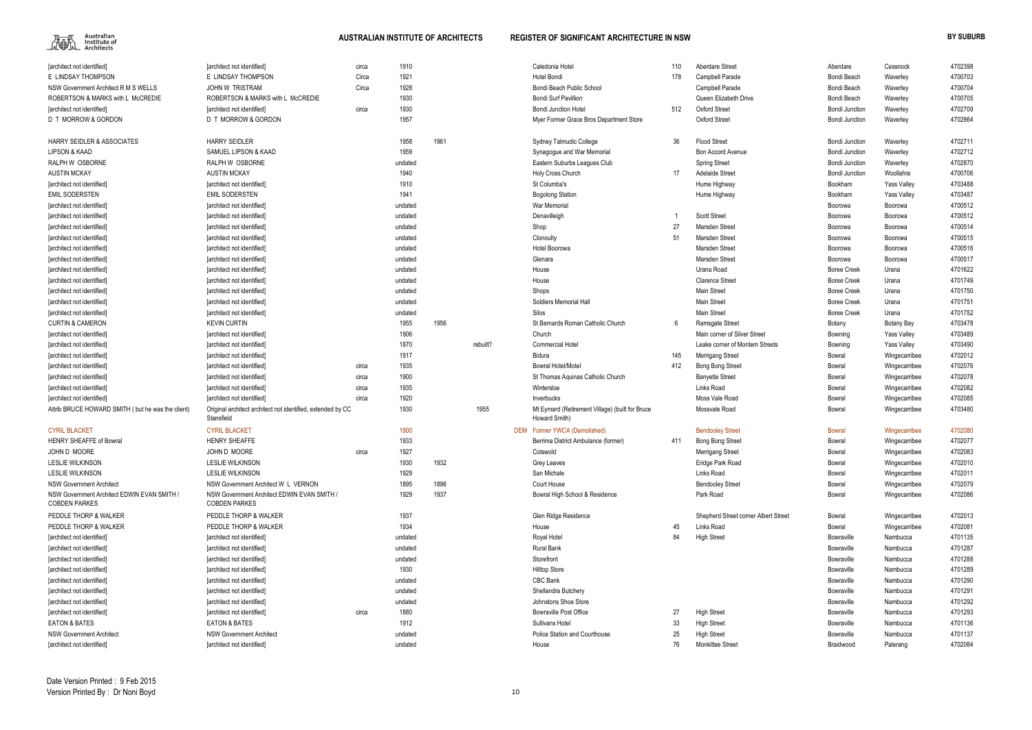

| <b>Tarchitect not identified]</b>                                   | [architect not identified]                                          | circa | 1910    |      |          | Caledonia Hotel                                 | 110 | Aberdare Street                      | Aberdare              | Cessnock           | 4702398 |
|---------------------------------------------------------------------|---------------------------------------------------------------------|-------|---------|------|----------|-------------------------------------------------|-----|--------------------------------------|-----------------------|--------------------|---------|
| E LINDSAY THOMPSON                                                  | E LINDSAY THOMPSON                                                  | Circa | 1921    |      |          | Hotel Bondi                                     | 178 | Campbell Parade                      | Bondi Beach           | Waverley           | 4700703 |
| NSW Government Architect R M S WELLS                                | JOHN W TRISTRAM                                                     | Circa | 1928    |      |          | Bondi Beach Public School                       |     | Campbell Parade                      | Bondi Beach           | Waverley           | 4700704 |
| ROBERTSON & MARKS with L McCREDIE                                   | ROBERTSON & MARKS with L McCREDIE                                   |       | 1930    |      |          | <b>Bondi Surf Pavillion</b>                     |     | Queen Elizabeth Drive                | Bondi Beach           | Waverley           | 4700705 |
| [architect not identified]                                          | <b>Tarchitect not identified]</b>                                   | circa | 1930    |      |          | <b>Bondi Junction Hotel</b>                     | 512 | <b>Oxford Street</b>                 | <b>Bondi Junction</b> | Waverley           | 4702709 |
| D T MORROW & GORDON                                                 | D T MORROW & GORDON                                                 |       | 1957    |      |          | Myer Former Grace Bros Department Store         |     | Oxford Street                        | <b>Bondi Junction</b> | Waverley           | 4702864 |
| <b>HARRY SEIDLER &amp; ASSOCIATES</b>                               | <b>HARRY SEIDLER</b>                                                |       | 1958    | 1961 |          | Sydney Talmudic College                         | 36  | <b>Flood Street</b>                  | <b>Bondi Junction</b> | Waverley           | 4702711 |
| LIPSON & KAAD                                                       | SAMUEL LIPSON & KAAD                                                |       | 1959    |      |          | Synagogue and War Memorial                      |     | <b>Bon Accord Avenue</b>             | <b>Bondi Junction</b> | Waverley           | 4702712 |
| RALPH W OSBORNE                                                     | RALPH W OSBORNE                                                     |       | undated |      |          | Eastern Suburbs Leagues Club                    |     | <b>Spring Street</b>                 | <b>Bondi Junction</b> | Waverley           | 4702870 |
| <b>AUSTIN MCKAY</b>                                                 | <b>AUSTIN MCKAY</b>                                                 |       | 1940    |      |          | Holy Cross Church                               | 17  | <b>Adelaide Street</b>               | <b>Bondi Junction</b> | Woollahra          | 4700706 |
| [architect not identified]                                          | [architect not identified]                                          |       | 1910    |      |          | St Columba's                                    |     | Hume Highway                         | Bookham               | <b>Yass Valley</b> | 4703488 |
| <b>EMIL SODERSTEN</b>                                               | <b>EMIL SODERSTEN</b>                                               |       | 1941    |      |          | <b>Bogolong Station</b>                         |     | Hume Highway                         | Bookham               | <b>Yass Valley</b> | 4703487 |
| architect not identified                                            | [architect not identified]                                          |       | undated |      |          | War Memorial                                    |     |                                      | Boorowa               | Boorowa            | 4700512 |
| [architect not identified]                                          | [architect not identified]                                          |       | undated |      |          | Denavilleigh                                    |     | <b>Scott Street</b>                  | Boorowa               | Boorowa            | 4700512 |
| [architect not identified]                                          | [architect not identified]                                          |       | undated |      |          | Shop                                            | 27  | Marsden Street                       | Boorowa               | Boorowa            | 4700514 |
| [architect not identified]                                          | [architect not identified]                                          |       | undated |      |          | Clonoulty                                       | 51  | Marsden Street                       | Boorowa               | Boorowa            | 4700515 |
| [architect not identified]                                          | [architect not identified]                                          |       | undated |      |          | Hotel Boorowa                                   |     | Marsden Street                       | Boorowa               | Boorowa            | 4700516 |
| [architect not identified]                                          | [architect not identified]                                          |       | undated |      |          | Glenara                                         |     | Marsden Street                       | Boorowa               | Boorowa            | 4700517 |
| [architect not identified]                                          | [architect not identified]                                          |       | undated |      |          | House                                           |     | Urana Road                           | <b>Boree Creek</b>    | Urana              | 4701622 |
| [architect not identified]                                          | [architect not identified]                                          |       | undated |      |          | House                                           |     | <b>Clarence Street</b>               | <b>Boree Creek</b>    | Urana              | 4701749 |
| [architect not identified]                                          | [architect not identified]                                          |       | undated |      |          | Shops                                           |     | <b>Main Street</b>                   | <b>Boree Creek</b>    | Urana              | 4701750 |
| [architect not identified]                                          | [architect not identified]                                          |       | undated |      |          | Soldiers Memorial Hall                          |     | <b>Main Street</b>                   | <b>Boree Creek</b>    | Urana              | 4701751 |
| [architect not identified]                                          | [architect not identified]                                          |       | undated |      |          | Silos                                           |     | <b>Main Street</b>                   | <b>Boree Creek</b>    | Urana              | 4701752 |
| <b>CURTIN &amp; CAMERON</b>                                         | <b>KEVIN CURTIN</b>                                                 |       | 1955    | 1956 |          | St Bernards Roman Catholic Church               | 6   | Ramsgate Street                      | Botany                | Botany Bay         | 4703478 |
| [architect not identified]                                          | [architect not identified]                                          |       | 1906    |      |          | Church                                          |     | Main corner of Silver Street         | Bowning               | <b>Yass Valley</b> | 4703489 |
| [architect not identified]                                          | [architect not identified]                                          |       | 1870    |      | rebuilt? | <b>Commercial Hotel</b>                         |     | Leake corner of Montem Streets       | Bowning               | <b>Yass Valley</b> | 4703490 |
| [architect not identified]                                          | [architect not identified]                                          |       | 1917    |      |          | <b>Bidura</b>                                   | 145 | <b>Merrigang Street</b>              | Bowral                | Wingecarribee      | 4702012 |
| [architect not identified]                                          | [architect not identified]                                          | circa | 1935    |      |          | <b>Bowral Hotel/Motel</b>                       | 412 | <b>Bong Bong Street</b>              | Bowral                | Wingecarribee      | 4702076 |
| [architect not identified]                                          | [architect not identified]                                          | circa | 1900    |      |          | St Thomas Aquinas Catholic Church               |     | <b>Banyette Street</b>               | Bowral                | Wingecarribee      | 4702078 |
| [architect not identified]                                          | [architect not identified]                                          | circa | 1935    |      |          | Wintersloe                                      |     | Links Road                           | Bowral                | Wingecarribee      | 4702082 |
| [architect not identified]                                          | [architect not identified]                                          | circa | 1920    |      |          | Inverbucks                                      |     | Moss Vale Road                       | Bowral                | Wingecarribee      | 4702085 |
| Attrib BRUCE HOWARD SMITH (but he was the client)                   | Original architect architect not identified, extended by CC         |       | 1930    |      | 1955     | Mt Eymard (Retirement Village) (built for Bruce |     | Mossvale Road                        | Bowral                | Wingecarribee      | 4703480 |
|                                                                     | Stansfield                                                          |       |         |      |          | Howard Smith)                                   |     |                                      |                       |                    |         |
| <b>CYRIL BLACKET</b>                                                | <b>CYRIL BLACKET</b>                                                |       | 1900    |      |          | DEM Former YWCA (Demolished)                    |     | <b>Bendooley Street</b>              | <b>Bowral</b>         | Wingecarribee      | 4702080 |
| <b>HENRY SHEAFFE of Bowral</b>                                      | <b>HENRY SHEAFFE</b>                                                |       | 1933    |      |          | Berrima District Ambulance (former)             | 411 | <b>Bong Bong Street</b>              | Bowral                | Wingecarribee      | 4702077 |
| JOHN D MOORE                                                        | JOHN D MOORE                                                        | circa | 1927    |      |          | Cotswold                                        |     | <b>Merrigang Street</b>              | Bowral                | Wingecarribee      | 4702083 |
| <b>LESLIE WILKINSON</b>                                             | <b>LESLIE WILKINSON</b>                                             |       | 1930    | 1932 |          | Grey Leaves                                     |     | Eridge Park Road                     | Bowral                | Wingecarribee      | 4702010 |
| <b>LESLIE WILKINSON</b>                                             | <b>LESLIE WILKINSON</b>                                             |       | 1929    |      |          | San Michale                                     |     | Links Road                           | Bowral                | Wingecarribee      | 4702011 |
| <b>NSW Government Architect</b>                                     | NSW Government Architect W L VERNON                                 |       | 1895    | 1896 |          | Court House                                     |     | <b>Bendooley Street</b>              | Bowral                | Wingecarribee      | 4702079 |
| NSW Government Architect EDWIN EVAN SMITH /<br><b>COBDEN PARKES</b> | NSW Government Architect EDWIN EVAN SMITH /<br><b>COBDEN PARKES</b> |       | 1929    | 1937 |          | Bowral High School & Residence                  |     | Park Road                            | Bowral                | Wingecarribee      | 4702086 |
| PEDDLE THORP & WALKER                                               | PEDDLE THORP & WALKER                                               |       | 1937    |      |          | Glen Ridge Residence                            |     | Shepherd Street corner Albert Street | Bowral                | Wingecarribee      | 4702013 |
| PEDDLE THORP & WALKER                                               | PEDDLE THORP & WALKER                                               |       | 1934    |      |          | House                                           | 45  | Links Road                           | Bowral                | Wingecarribee      | 4702081 |
| [architect not identified]                                          | [architect not identified]                                          |       | undated |      |          | Royal Hotel                                     | 84  | <b>High Street</b>                   | Bowraville            | Nambucca           | 4701135 |
| [architect not identified]                                          | [architect not identified]                                          |       | undated |      |          | <b>Rural Bank</b>                               |     |                                      | Bowraville            | Nambucca           | 4701287 |
| [architect not identified]                                          | [architect not identified]                                          |       | undated |      |          | Storefront                                      |     |                                      | Bowraville            | Nambucca           | 4701288 |
| [architect not identified]                                          | [architect not identified]                                          |       | 1930    |      |          | <b>Hilltop Store</b>                            |     |                                      | Bowraville            | Nambucca           | 4701289 |
| [architect not identified]                                          | [architect not identified]                                          |       | undated |      |          | CBC Bank                                        |     |                                      | Bowraville            | Nambucca           | 4701290 |
| [architect not identified]                                          | [architect not identified]                                          |       | undated |      |          | Shellandra Butchery                             |     |                                      | Bowraville            | Nambucca           | 4701291 |
| [architect not identified]                                          | [architect not identified]                                          |       | undated |      |          | Johnstons Shoe Store                            |     |                                      | Bowraville            | Nambucca           | 4701292 |
| [architect not identified]                                          | [architect not identified]                                          | circa | 1880    |      |          | <b>Bowraville Post Office</b>                   | 27  | <b>High Street</b>                   | Bowraville            | Nambucca           | 4701293 |
| <b>EATON &amp; BATES</b>                                            | <b>EATON &amp; BATES</b>                                            |       | 1912    |      |          | Sullivans Hotel                                 | 33  | <b>High Street</b>                   | Bowraville            | Nambucca           | 4701136 |
| <b>NSW Government Architect</b>                                     | <b>NSW Government Architect</b>                                     |       | undated |      |          | Police Station and Courthouse                   | 25  | <b>High Street</b>                   | Bowraville            | Nambucca           | 4701137 |
| [architect not identified]                                          | [architect not identified]                                          |       | undated |      |          | House                                           | 76  | <b>Monkittee Street</b>              | Braidwood             | Palerang           | 4702084 |
|                                                                     |                                                                     |       |         |      |          |                                                 |     |                                      |                       |                    |         |

| Aberdare Street                      | Aberdare           | Cessnock           | 4702398 |
|--------------------------------------|--------------------|--------------------|---------|
| Campbell Parade                      | Bondi Beach        | Waverley           | 4700703 |
| Campbell Parade                      | Bondi Beach        | Waverley           | 4700704 |
| Queen Elizabeth Drive                | Bondi Beach        | Waverley           | 4700705 |
| Oxford Street                        | Bondi Junction     | Waverley           | 4702709 |
| Oxford Street                        | Bondi Junction     | Waverley           | 4702864 |
| Flood Street                         | Bondi Junction     | Waverley           | 4702711 |
| Bon Accord Avenue                    | Bondi Junction     | Waverley           | 4702712 |
| <b>Spring Street</b>                 | Bondi Junction     | Waverley           | 4702870 |
| Adelaide Street                      | Bondi Junction     | Woollahra          | 4700706 |
| Hume Highway                         | <b>Bookham</b>     | <b>Yass Valley</b> | 4703488 |
| Hume Highway                         | <b>Bookham</b>     | <b>Yass Valley</b> | 4703487 |
|                                      | Boorowa            | Boorowa            | 4700512 |
| <b>Scott Street</b>                  | Boorowa            | Boorowa            | 4700512 |
| Marsden Street                       | Boorowa            | Boorowa            | 4700514 |
| Marsden Street                       | Boorowa            | Boorowa            | 4700515 |
| Marsden Street                       | Boorowa            | Boorowa            | 4700516 |
| Marsden Street                       | Boorowa            | Boorowa            | 4700517 |
| Urana Road                           | <b>Boree Creek</b> | Urana              | 4701622 |
| Clarence Street                      | Boree Creek        | Urana              | 4701749 |
| Main Street                          | Boree Creek        | Urana              | 4701750 |
| Main Street                          | <b>Boree Creek</b> | Urana              | 4701751 |
| Main Street                          | <b>Boree Creek</b> | Urana              | 4701752 |
| Ramsgate Street                      | Botany             | Botany Bay         | 4703478 |
| Main corner of Silver Street         | Bowning            | <b>Yass Valley</b> | 4703489 |
| Leake corner of Montem Streets       | Bowning            | <b>Yass Valley</b> | 4703490 |
| Merrigang Street                     | Bowral             | Wingecarribee      | 4702012 |
| Bong Bong Street                     | Bowral             | Wingecarribee      | 4702076 |
| Banyette Street                      | Bowral             | Wingecarribee      | 4702078 |
| Links Road                           | Bowral             | Wingecarribee      | 4702082 |
| Moss Vale Road                       | Bowral             | Wingecarribee      | 4702085 |
| Mossvale Road                        | Bowral             | Wingecarribee      | 4703480 |
| <b>Bendooley Street</b>              | <b>Bowral</b>      | Wingecarribee      | 4702080 |
| Bong Bong Street                     | <b>Bowral</b>      | Wingecarribee      | 4702077 |
| Merrigang Street                     | Bowral             | Wingecarribee      | 4702083 |
| Eridge Park Road                     | Bowral             | Wingecarribee      | 4702010 |
| Links Road                           | Bowral             | Wingecarribee      | 4702011 |
| <b>Bendooley Street</b>              | Bowral             | Wingecarribee      | 4702079 |
| Park Road                            | Bowral             | Wingecarribee      | 4702086 |
| Shepherd Street corner Albert Street | Bowral             | Wingecarribee      | 4702013 |
| Links Road                           | Bowral             | Wingecarribee      | 4702081 |
| High Street                          | Bowraville         | Nambucca           | 4701135 |
|                                      | Bowraville         | Nambucca           | 4701287 |
|                                      | Bowraville         | Nambucca           | 4701288 |
|                                      | Bowraville         | Nambucca           | 4701289 |
|                                      | Bowraville         | Nambucca           | 4701290 |
|                                      | Bowraville         | Nambucca           | 4701291 |
|                                      | Bowraville         | Nambucca           | 4701292 |
| High Street                          | Bowraville         | Nambucca           | 4701293 |
| High Street                          | Bowraville         | Nambucca           | 4701136 |
| High Street                          | Bowraville         | Nambucca           | 4701137 |
| Monkittee Street                     | Braidwood          | Palerang           | 4702084 |
|                                      |                    |                    |         |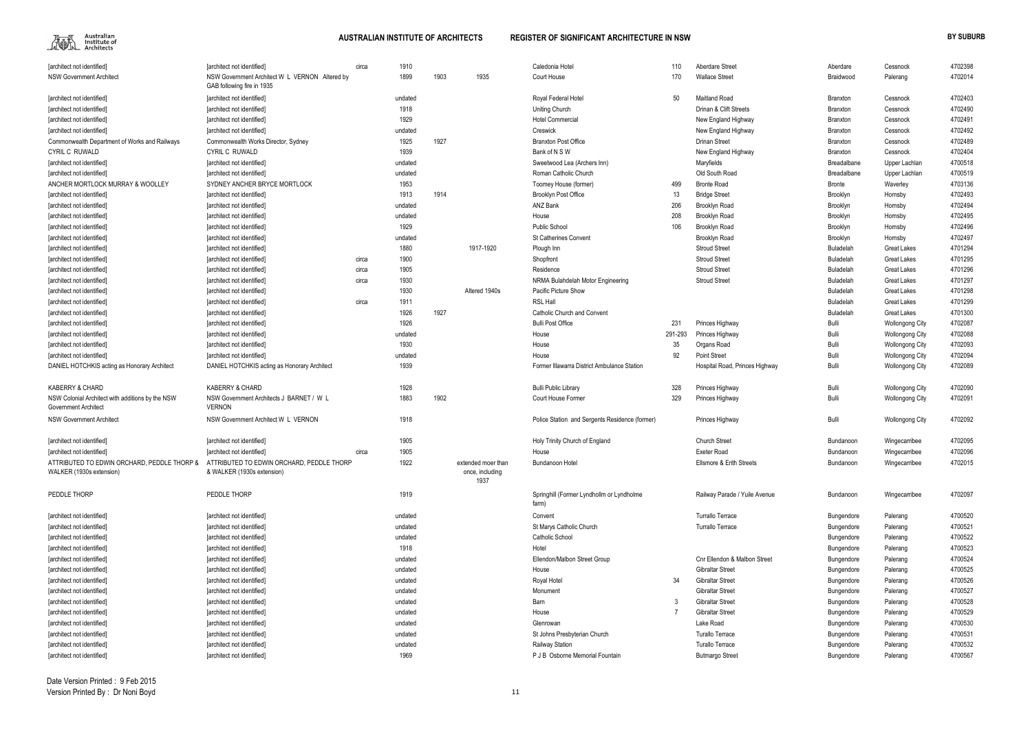

| Aberdare Street                     | Aberdare           | Cessnock               | 4702398 |
|-------------------------------------|--------------------|------------------------|---------|
| <b>Wallace Street</b>               | Braidwood          | Palerang               | 4702014 |
|                                     |                    |                        |         |
| Maitland Road                       | <b>Branxton</b>    | Cessnock               | 4702403 |
| Drinan & Clift Streets              | <b>Branxton</b>    | Cessnock               | 4702490 |
| New England Highway                 | <b>Branxton</b>    | Cessnock               | 4702491 |
| New England Highway                 | <b>Branxton</b>    | Cessnock               | 4702492 |
| Drinan Street                       | <b>Branxton</b>    | Cessnock               | 4702489 |
| New England Highway                 | <b>Branxton</b>    | Cessnock               | 4702404 |
| Maryfields                          | <b>Breadalbane</b> | Upper Lachlan          | 4700518 |
| Old South Road                      | <b>Breadalbane</b> | Upper Lachlan          | 4700519 |
| Bronte Road                         | <b>Bronte</b>      | Waverley               | 4703136 |
| <b>Bridge Street</b>                | Brooklyn           | Hornsby                | 4702493 |
| Brooklyn Road                       | Brooklyn           | Hornsby                | 4702494 |
| Brooklyn Road                       | Brooklyn           | Hornsby                | 4702495 |
| Brooklyn Road                       | Brooklyn           | Hornsby                | 4702496 |
| Brooklyn Road                       | Brooklyn           | Hornsby                | 4702497 |
| <b>Stroud Street</b>                | <b>Buladelah</b>   | <b>Great Lakes</b>     | 4701294 |
| Stroud Street                       | <b>Buladelah</b>   | <b>Great Lakes</b>     | 4701295 |
| Stroud Street                       | <b>Buladelah</b>   | Great Lakes            | 4701296 |
| Stroud Street                       | <b>Buladelah</b>   | <b>Great Lakes</b>     | 4701297 |
|                                     | <b>Buladelah</b>   | Great Lakes            | 4701298 |
|                                     | <b>Buladelah</b>   | <b>Great Lakes</b>     | 4701299 |
|                                     | <b>Buladelah</b>   | Great Lakes            | 4701300 |
| Princes Highway                     | Bulli              | <b>Wollongong City</b> | 4702087 |
| Princes Highway                     | Bulli              | <b>Wollongong City</b> | 4702088 |
| Organs Road                         | Bulli              | <b>Wollongong City</b> | 4702093 |
| Point Street                        | Bulli              | <b>Wollongong City</b> | 4702094 |
| Hospital Road, Princes Highway      | Bulli              | <b>Wollongong City</b> | 4702089 |
|                                     |                    |                        |         |
| Princes Highway                     | Bulli              | <b>Wollongong City</b> | 4702090 |
| Princes Highway                     | Bulli              | <b>Wollongong City</b> | 4702091 |
|                                     |                    |                        |         |
| Princes Highway                     | Bulli              | <b>Wollongong City</b> | 4702092 |
|                                     |                    |                        |         |
| Church Street                       | Bundanoon          | Wingecarribee          | 4702095 |
| Exeter Road                         | Bundanoon          | Wingecarribee          | 4702096 |
| <b>Ellsmore &amp; Erith Streets</b> | Bundanoon          | Wingecarribee          | 4702015 |
|                                     |                    |                        |         |
|                                     |                    |                        |         |
| Railway Parade / Yuile Avenue       | <b>Bundanoon</b>   | Wingecarribee          | 4702097 |
|                                     |                    |                        |         |
| Turrallo Terrace                    | Bungendore         | Palerang               | 4700520 |
| Turrallo Terrace                    | Bungendore         | Palerang               | 4700521 |
|                                     | Bungendore         | Palerang               | 4700522 |
|                                     | Bungendore         | Palerang               | 4700523 |
| Cnr Ellendon & Malbon Street        | Bungendore         | Palerang               | 4700524 |
| Gibraltar Street                    |                    |                        | 4700525 |
| Gibraltar Street                    | Bungendore         | Palerang               | 4700526 |
|                                     | Bungendore         | Palerang               |         |
| Gibraltar Street                    | Bungendore         | Palerang               | 4700527 |
| Gibraltar Street                    | Bungendore         | Palerang               | 4700528 |
| Gibraltar Street                    | Bungendore         | Palerang               | 4700529 |
| Lake Road                           | Bungendore         | Palerang               | 4700530 |
| Turallo Terrace                     | Bungendore         | Palerang               | 4700531 |
| Turallo Terrace                     | Bungendore         | Palerang               | 4700532 |
| Butmargo Street                     | Bungendore         | Palerang               | 4700567 |

| [architect not identified]                                                      | [architect not identified]                                                   | circa | 1910    |      |                                               | Caledonia Hotel                                    | 110     | <b>Aberdare Street</b>         | Aberdare          | Cessnock               | 4702398 |
|---------------------------------------------------------------------------------|------------------------------------------------------------------------------|-------|---------|------|-----------------------------------------------|----------------------------------------------------|---------|--------------------------------|-------------------|------------------------|---------|
| <b>NSW Government Architect</b>                                                 | NSW Government Architect W L VERNON Altered by<br>GAB following fire in 1935 |       | 1899    | 1903 | 1935                                          | Court House                                        | 170     | <b>Wallace Street</b>          | Braidwood         | Palerang               | 4702014 |
| [architect not identified]                                                      | [architect not identified]                                                   |       | undated |      |                                               | Royal Federal Hotel                                | 50      | Maitland Road                  | Branxton          | Cessnock               | 4702403 |
| [architect not identified]                                                      | [architect not identified]                                                   |       | 1918    |      |                                               | <b>Uniting Church</b>                              |         | Drinan & Clift Streets         | <b>Branxton</b>   | Cessnock               | 4702490 |
| [architect not identified]                                                      | <b>Tarchitect not identified]</b>                                            |       | 1929    |      |                                               | <b>Hotel Commercial</b>                            |         | New England Highway            | <b>Branxton</b>   | Cessnock               | 4702491 |
| [architect not identified]                                                      | [architect not identified]                                                   |       | undated |      |                                               | Creswick                                           |         | New England Highway            | <b>Branxton</b>   | Cessnock               | 4702492 |
| Commonwealth Department of Works and Railways                                   | Commonwealth Works Director, Sydney                                          |       | 1925    | 1927 |                                               | <b>Branxton Post Office</b>                        |         | <b>Drinan Street</b>           | <b>Branxton</b>   | Cessnock               | 4702489 |
| <b>CYRIL C RUWALD</b>                                                           | CYRIL C RUWALD                                                               |       | 1939    |      |                                               | Bank of N S W                                      |         | New England Highway            | Branxton          | Cessnock               | 4702404 |
| [architect not identified]                                                      | [architect not identified]                                                   |       | undated |      |                                               | Sweetwood Lea (Archers Inn)                        |         | Maryfields                     | Breadalbane       | Upper Lachlan          | 4700518 |
| <b>Tarchitect not identified</b>                                                | [architect not identified]                                                   |       | undated |      |                                               | Roman Catholic Church                              |         | Old South Road                 | Breadalbane       | Upper Lachlan          | 4700519 |
| ANCHER MORTLOCK MURRAY & WOOLLEY                                                | SYDNEY ANCHER BRYCE MORTLOCK                                                 |       | 1953    |      |                                               | Toomey House (former)                              | 499     | <b>Bronte Road</b>             | <b>Bronte</b>     | Waverley               | 4703136 |
| [architect not identified]                                                      | [architect not identified]                                                   |       | 1913    | 1914 |                                               | <b>Brooklyn Post Office</b>                        | 13      | <b>Bridge Street</b>           | Brooklyn          | Hornsby                | 4702493 |
| [architect not identified]                                                      | [architect not identified]                                                   |       | undated |      |                                               | ANZ Bank                                           | 206     | Brooklyn Road                  | Brooklyn          | Hornsby                | 4702494 |
| [architect not identified]                                                      | [architect not identified]                                                   |       | undated |      |                                               | House                                              | 208     | <b>Brooklyn Road</b>           | Brooklyn          | Hornsby                | 4702495 |
| [architect not identified]                                                      | [architect not identified]                                                   |       | 1929    |      |                                               | <b>Public School</b>                               | 106     | Brooklyn Road                  | Brooklyn          | Hornsby                | 4702496 |
|                                                                                 |                                                                              |       | undated |      |                                               | <b>St Catherines Convent</b>                       |         |                                |                   |                        | 4702497 |
| [architect not identified]                                                      | [architect not identified]                                                   |       | 1880    |      |                                               |                                                    |         | <b>Brooklyn Road</b>           | Brooklyn          | Hornsby                | 4701294 |
| [architect not identified]                                                      | [architect not identified]                                                   |       |         |      | 1917-1920                                     | Plough Inn                                         |         | <b>Stroud Street</b>           | Buladelah         | Great Lakes            |         |
| [architect not identified]                                                      | [architect not identified]                                                   | circa | 1900    |      |                                               | Shopfront                                          |         | <b>Stroud Street</b>           | Buladelah         | Great Lakes            | 4701295 |
| [architect not identified]                                                      | [architect not identified]                                                   | circa | 1905    |      |                                               | Residence                                          |         | <b>Stroud Street</b>           | Buladelah         | <b>Great Lakes</b>     | 4701296 |
| [architect not identified]                                                      | [architect not identified]                                                   | circa | 1930    |      |                                               | NRMA Bulahdelah Motor Engineering                  |         | <b>Stroud Street</b>           | Buladelah         | <b>Great Lakes</b>     | 4701297 |
| [architect not identified]                                                      | [architect not identified]                                                   |       | 1930    |      | Altered 1940s                                 | Pacific Picture Show                               |         |                                | Buladelah         | Great Lakes            | 4701298 |
| [architect not identified]                                                      | [architect not identified]                                                   | circa | 1911    |      |                                               | <b>RSL Hall</b>                                    |         |                                | Buladelah         | Great Lakes            | 4701299 |
| [architect not identified]                                                      | [architect not identified]                                                   |       | 1926    | 1927 |                                               | <b>Catholic Church and Convent</b>                 |         |                                | Buladelah         | Great Lakes            | 4701300 |
| [architect not identified]                                                      | [architect not identified]                                                   |       | 1926    |      |                                               | <b>Bulli Post Office</b>                           | 231     | Princes Highway                | Bulli             | <b>Wollongong City</b> | 4702087 |
| [architect not identified]                                                      | [architect not identified]                                                   |       | undated |      |                                               | House                                              | 291-293 | Princes Highway                | Bulli             | <b>Wollongong City</b> | 4702088 |
| [architect not identified]                                                      | [architect not identified]                                                   |       | 1930    |      |                                               | House                                              | 35      | Organs Road                    | Bulli             | <b>Wollongong City</b> | 4702093 |
| [architect not identified]                                                      | [architect not identified]                                                   |       | undated |      |                                               | House                                              | 92      | <b>Point Street</b>            | Bulli             | <b>Wollongong City</b> | 4702094 |
| DANIEL HOTCHKIS acting as Honorary Architect                                    | DANIEL HOTCHKIS acting as Honorary Architect                                 |       | 1939    |      |                                               | Former Illawarra District Ambulance Station        |         | Hospital Road, Princes Highway | Bulli             | <b>Wollongong City</b> | 4702089 |
| <b>KABERRY &amp; CHARD</b>                                                      | <b>KABERRY &amp; CHARD</b>                                                   |       | 1928    |      |                                               | <b>Bulli Public Library</b>                        | 328     | Princes Highway                | Bulli             | <b>Wollongong City</b> | 4702090 |
| NSW Colonial Architect with additions by the NSW<br><b>Government Architect</b> | NSW Government Architects J BARNET / W L<br><b>VERNON</b>                    |       | 1883    | 1902 |                                               | Court House Former                                 | 329     | Princes Highway                | Bulli             | <b>Wollongong City</b> | 4702091 |
| <b>NSW Government Architect</b>                                                 | NSW Government Architect W L VERNON                                          |       | 1918    |      |                                               | Police Station and Sergents Residence (former)     |         | Princes Highway                | Bulli             | <b>Wollongong City</b> | 4702092 |
| [architect not identified]                                                      | [architect not identified]                                                   |       | 1905    |      |                                               | Holy Trinity Church of England                     |         | <b>Church Street</b>           | Bundanoon         | Wingecarribee          | 4702095 |
| [architect not identified]                                                      | [architect not identified]                                                   | circa | 1905    |      |                                               | House                                              |         | <b>Exeter Road</b>             | Bundanoon         | Wingecarribee          | 4702096 |
| ATTRIBUTED TO EDWIN ORCHARD, PEDDLE THORP &<br>WALKER (1930s extension)         | ATTRIBUTED TO EDWIN ORCHARD. PEDDLE THORP<br>& WALKER (1930s extension)      |       | 1922    |      | extended moer than<br>once, including<br>1937 | Bundanoon Hotel                                    |         | Ellsmore & Erith Streets       | Bundanoon         | Wingecarribee          | 4702015 |
| PEDDLE THORP                                                                    | PEDDLE THORP                                                                 |       | 1919    |      |                                               | Springhill (Former Lyndhollm or Lyndholme<br>farm) |         | Railway Parade / Yuile Avenue  | Bundanoon         | Wingecarribee          | 4702097 |
| [architect not identified]                                                      | [architect not identified]                                                   |       | undated |      |                                               | Convent                                            |         | Turrallo Terrace               | <b>Bungendore</b> | Palerang               | 4700520 |
| [architect not identified]                                                      | [architect not identified]                                                   |       | undated |      |                                               | St Marys Catholic Church                           |         | Turrallo Terrace               | Bungendore        | Palerang               | 4700521 |
| [architect not identified]                                                      | [architect not identified]                                                   |       | undated |      |                                               | Catholic School                                    |         |                                | Bungendore        | Palerang               | 4700522 |
| [architect not identified]                                                      | [architect not identified]                                                   |       | 1918    |      |                                               | Hotel                                              |         |                                | <b>Bungendore</b> | Palerang               | 4700523 |
| [architect not identified]                                                      | [architect not identified]                                                   |       | undated |      |                                               | Ellendon/Malbon Street Group                       |         | Cnr Ellendon & Malbon Street   | <b>Bungendore</b> | Palerang               | 4700524 |
| [architect not identified]                                                      | [architect not identified]                                                   |       | undated |      |                                               | House                                              |         | <b>Gibraltar Street</b>        | Bungendore        | Palerang               | 4700525 |
| [architect not identified]                                                      | [architect not identified]                                                   |       | undated |      |                                               | Royal Hotel                                        | 34      | <b>Gibraltar Street</b>        | Bungendore        | Palerang               | 4700526 |
| [architect not identified]                                                      | [architect not identified]                                                   |       | undated |      |                                               | Monument                                           |         | <b>Gibraltar Street</b>        | Bungendore        | Palerang               | 4700527 |
| [architect not identified]                                                      | [architect not identified]                                                   |       | undated |      |                                               | Barn                                               |         | <b>Gibraltar Street</b>        | Bungendore        | Palerang               | 4700528 |
| [architect not identified]                                                      | [architect not identified]                                                   |       | undated |      |                                               | House                                              |         | <b>Gibraltar Street</b>        | Bungendore        | Palerang               | 4700529 |
| [architect not identified]                                                      | [architect not identified]                                                   |       | undated |      |                                               | Glenrowan                                          |         | Lake Road                      | Bungendore        | Palerang               | 4700530 |
| [architect not identified]                                                      | [architect not identified]                                                   |       | undated |      |                                               | St Johns Presbyterian Church                       |         | <b>Turallo Terrace</b>         | Bungendore        | Palerang               | 4700531 |
| [architect not identified]                                                      |                                                                              |       |         |      |                                               | <b>Railway Station</b>                             |         | <b>Turallo Terrace</b>         |                   |                        | 4700532 |
|                                                                                 | [architect not identified]                                                   |       | undated |      |                                               |                                                    |         |                                | Bungendore        | Palerang               |         |
| [architect not identified]                                                      | [architect not identified]                                                   |       | 1969    |      |                                               | P J B Osborne Memorial Fountain                    |         | <b>Butmargo Street</b>         | Bungendore        | Palerang               | 4700567 |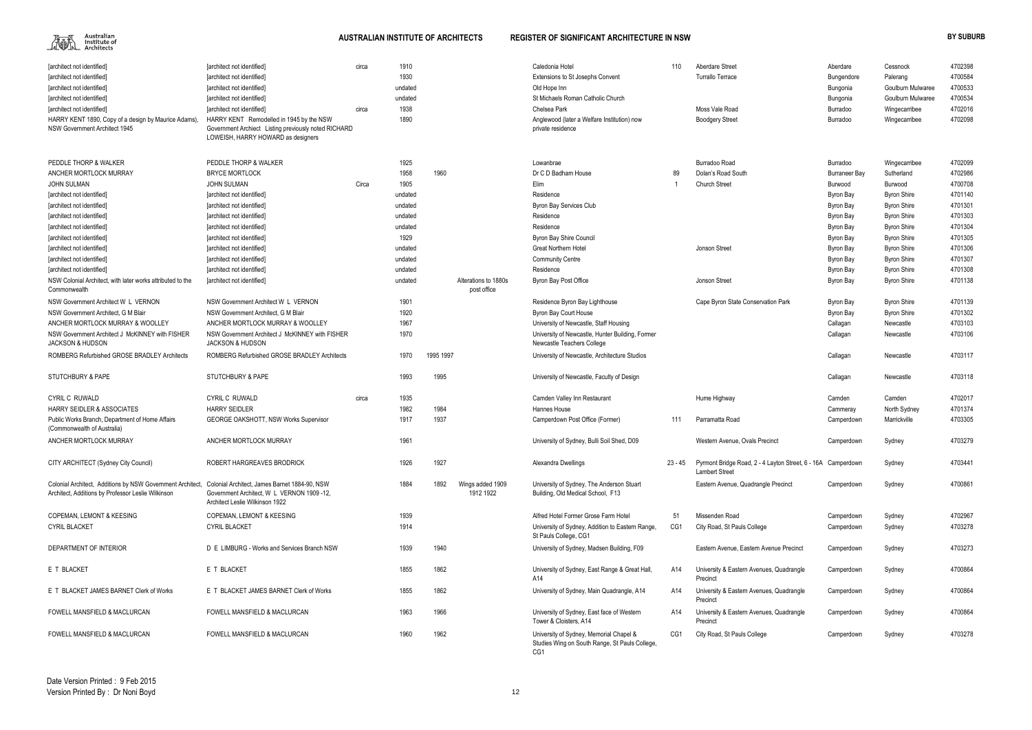

| [architect not identified]                                                                                       | [architect not identified]                                                                                                             | circa | 1910    |           |                                     | Caledonia Hotel                                                                                  | 110     | <b>Aberdare Street</b>                                                                | Aberdare             | Cessnock           | 4702398 |
|------------------------------------------------------------------------------------------------------------------|----------------------------------------------------------------------------------------------------------------------------------------|-------|---------|-----------|-------------------------------------|--------------------------------------------------------------------------------------------------|---------|---------------------------------------------------------------------------------------|----------------------|--------------------|---------|
| [architect not identified]                                                                                       | [architect not identified]                                                                                                             |       | 1930    |           |                                     | Extensions to St Josephs Convent                                                                 |         | <b>Turrallo Terrace</b>                                                               | Bungendore           | Palerang           | 4700584 |
| [architect not identified]                                                                                       | [architect not identified]                                                                                                             |       | undated |           |                                     | Old Hope Inn                                                                                     |         |                                                                                       | Bungonia             | Goulburn Mulwaree  | 4700533 |
| [architect not identified]                                                                                       | [architect not identified]                                                                                                             |       | undated |           |                                     | St Michaels Roman Catholic Church                                                                |         |                                                                                       | Bungonia             | Goulburn Mulwaree  | 4700534 |
| [architect not identified]                                                                                       | [architect not identified]                                                                                                             | circa | 1938    |           |                                     | Chelsea Park                                                                                     |         | Moss Vale Road                                                                        | Burradoo             | Wingecarribee      | 4702016 |
| HARRY KENT 1890, Copy of a design by Maurice Adams),<br>NSW Government Architect 1945                            | HARRY KENT Remodelled in 1945 by the NSW<br>Government Archiect Listing previously noted RICHARD<br>LOWEISH, HARRY HOWARD as designers |       | 1890    |           |                                     | Anglewood (later a Welfare Institution) now<br>private residence                                 |         | <b>Boodgery Street</b>                                                                | Burradoo             | Wingecarribee      | 4702098 |
| PEDDLE THORP & WALKER                                                                                            | PEDDLE THORP & WALKER                                                                                                                  |       | 1925    |           |                                     | Lowanbrae                                                                                        |         | Burradoo Road                                                                         | Burradoo             | Wingecarribee      | 4702099 |
| ANCHER MORTLOCK MURRAY                                                                                           | <b>BRYCE MORTLOCK</b>                                                                                                                  |       | 1958    | 1960      |                                     | Dr C D Badham House                                                                              | 89      | Dolan's Road South                                                                    | <b>Burraneer Bay</b> | Sutherland         | 4702986 |
| <b>JOHN SULMAN</b>                                                                                               | <b>JOHN SULMAN</b>                                                                                                                     | Circa | 1905    |           |                                     | Elim                                                                                             |         | <b>Church Street</b>                                                                  | Burwood              | Burwood            | 4700708 |
| [architect not identified]                                                                                       | [architect not identified]                                                                                                             |       | undated |           |                                     | Residence                                                                                        |         |                                                                                       | Byron Bay            | <b>Byron Shire</b> | 4701140 |
| [architect not identified                                                                                        | [architect not identified]                                                                                                             |       | undated |           |                                     | Byron Bay Services Club                                                                          |         |                                                                                       | Byron Bay            | <b>Byron Shire</b> | 4701301 |
| [architect not identified]                                                                                       | [architect not identified]                                                                                                             |       | undated |           |                                     | Residence                                                                                        |         |                                                                                       | Byron Bay            | <b>Byron Shire</b> | 4701303 |
| [architect not identified]                                                                                       | [architect not identified]                                                                                                             |       | undated |           |                                     | Residence                                                                                        |         |                                                                                       | Byron Bay            | <b>Byron Shire</b> | 4701304 |
| [architect not identified]                                                                                       | [architect not identified]                                                                                                             |       | 1929    |           |                                     | <b>Byron Bay Shire Council</b>                                                                   |         |                                                                                       | Byron Bay            | <b>Byron Shire</b> | 4701305 |
| [architect not identified]                                                                                       | [architect not identified]                                                                                                             |       | undated |           |                                     | <b>Great Northern Hotel</b>                                                                      |         | Jonson Street                                                                         | Byron Bay            | <b>Byron Shire</b> | 4701306 |
| [architect not identified]                                                                                       | [architect not identified]                                                                                                             |       | undated |           |                                     | <b>Community Centre</b>                                                                          |         |                                                                                       | Byron Bay            | <b>Byron Shire</b> | 4701307 |
| [architect not identified]                                                                                       | [architect not identified]                                                                                                             |       | undated |           |                                     | Residence                                                                                        |         |                                                                                       | Byron Bay            | <b>Byron Shire</b> | 4701308 |
| NSW Colonial Architect, with later works attributed to the<br>Commonwealth                                       | [architect not identified]                                                                                                             |       | undated |           | Alterations to 1880s<br>post office | Byron Bay Post Office                                                                            |         | Jonson Street                                                                         | Byron Bay            | <b>Byron Shire</b> | 4701138 |
| NSW Government Architect W L VERNON                                                                              | NSW Government Architect W L VERNON                                                                                                    |       | 1901    |           |                                     | Residence Byron Bay Lighthouse                                                                   |         | Cape Byron State Conservation Park                                                    | Byron Bay            | <b>Byron Shire</b> | 4701139 |
| NSW Government Architect, G M Blair                                                                              | NSW Government Architect, G M Blair                                                                                                    |       | 1920    |           |                                     | Byron Bay Court House                                                                            |         |                                                                                       | Byron Bay            | <b>Byron Shire</b> | 4701302 |
| ANCHER MORTLOCK MURRAY & WOOLLEY                                                                                 | ANCHER MORTLOCK MURRAY & WOOLLEY                                                                                                       |       | 1967    |           |                                     | University of Newcastle, Staff Housing                                                           |         |                                                                                       | Callagan             | Newcastle          | 4703103 |
| NSW Government Architect J McKINNEY with FISHER<br><b>JACKSON &amp; HUDSON</b>                                   | NSW Government Architect J McKINNEY with FISHER<br><b>JACKSON &amp; HUDSON</b>                                                         |       | 1970    |           |                                     | University of Newcastle, Hunter Building, Former<br>Newcastle Teachers College                   |         |                                                                                       | Callagan             | Newcastle          | 4703106 |
| ROMBERG Refurbished GROSE BRADLEY Architects                                                                     | ROMBERG Refurbished GROSE BRADLEY Architects                                                                                           |       | 1970    | 1995 1997 |                                     | University of Newcastle, Architecture Studios                                                    |         |                                                                                       | Callagan             | Newcastle          | 4703117 |
| <b>STUTCHBURY &amp; PAPE</b>                                                                                     | <b>STUTCHBURY &amp; PAPE</b>                                                                                                           |       | 1993    | 1995      |                                     | University of Newcastle, Faculty of Design                                                       |         |                                                                                       | Callagan             | Newcastle          | 4703118 |
| <b>CYRIL C RUWALD</b>                                                                                            | <b>CYRIL C RUWALD</b>                                                                                                                  | circa | 1935    |           |                                     | Camden Valley Inn Restaurant                                                                     |         | Hume Highway                                                                          | Camden               | Camden             | 4702017 |
| <b>HARRY SEIDLER &amp; ASSOCIATES</b>                                                                            | <b>HARRY SEIDLER</b>                                                                                                                   |       | 1982    | 1984      |                                     | Hannes House                                                                                     |         |                                                                                       | Cammeray             | North Sydney       | 4701374 |
| Public Works Branch, Department of Home Affairs<br>(Commonwealth of Australia)                                   | <b>GEORGE OAKSHOTT, NSW Works Supervisor</b>                                                                                           |       | 1917    | 1937      |                                     | Camperdown Post Office (Former)                                                                  | 111     | Parramatta Road                                                                       | Camperdown           | Marrickville       | 4703305 |
| ANCHER MORTLOCK MURRAY                                                                                           | ANCHER MORTLOCK MURRAY                                                                                                                 |       | 1961    |           |                                     | University of Sydney, Bulli Soil Shed, D09                                                       |         | Western Avenue, Ovals Precinct                                                        | Camperdown           | Sydney             | 4703279 |
| CITY ARCHITECT (Sydney City Council)                                                                             | ROBERT HARGREAVES BRODRICK                                                                                                             |       | 1926    | 1927      |                                     | Alexandra Dwellings                                                                              | 23 - 45 | Pyrmont Bridge Road, 2 - 4 Layton Street, 6 - 16A Camperdown<br><b>Lambert Street</b> |                      | Sydney             | 4703441 |
| Colonial Architect, Additions by NSW Government Architect,<br>Architect, Additions by Professor Leslie Wilkinson | Colonial Architect, James Barnet 1884-90, NSW<br>Government Architect, W L VERNON 1909-12,<br>Architect Leslie Wilkinson 1922          |       | 1884    | 1892      | Wings added 1909<br>1912 1922       | University of Sydney, The Anderson Stuart<br>Building, Old Medical School, F13                   |         | Eastern Avenue, Quadrangle Precinct                                                   | Camperdown           | Sydney             | 4700861 |
| COPEMAN, LEMONT & KEESING                                                                                        | <b>COPEMAN, LEMONT &amp; KEESING</b>                                                                                                   |       | 1939    |           |                                     | Alfred Hotel Former Grose Farm Hotel                                                             | 51      | Missenden Road                                                                        | Camperdown           | Sydney             | 4702967 |
| <b>CYRIL BLACKET</b>                                                                                             | <b>CYRIL BLACKET</b>                                                                                                                   |       | 1914    |           |                                     | University of Sydney, Addition to Eastern Range,<br>St Pauls College, CG1                        | CG1     | City Road, St Pauls College                                                           | Camperdown           | Sydney             | 4703278 |
| DEPARTMENT OF INTERIOR                                                                                           | D E LIMBURG - Works and Services Branch NSW                                                                                            |       | 1939    | 1940      |                                     | University of Sydney, Madsen Building, F09                                                       |         | Eastern Avenue, Eastern Avenue Precinct                                               | Camperdown           | Sydney             | 4703273 |
| E T BLACKET                                                                                                      | E T BLACKET                                                                                                                            |       | 1855    | 1862      |                                     | University of Sydney, East Range & Great Hall<br>A14                                             | A14     | University & Eastern Avenues, Quadrangle<br>Precinct                                  | Camperdown           | Sydney             | 4700864 |
| E T BLACKET JAMES BARNET Clerk of Works                                                                          | E T BLACKET JAMES BARNET Clerk of Works                                                                                                |       | 1855    | 1862      |                                     | University of Sydney, Main Quadrangle, A14                                                       | A14     | University & Eastern Avenues, Quadrangle<br>Precinct                                  | Camperdown           | Sydney             | 4700864 |
| FOWELL MANSFIELD & MACLURCAN                                                                                     | FOWELL MANSFIELD & MACLURCAN                                                                                                           |       | 1963    | 1966      |                                     | University of Sydney, East face of Western<br>Tower & Cloisters, A14                             | A14     | University & Eastern Avenues, Quadrangle<br>Precinct                                  | Camperdown           | Sydney             | 4700864 |
| FOWELL MANSFIELD & MACLURCAN                                                                                     | FOWELL MANSFIELD & MACLURCAN                                                                                                           |       | 1960    | 1962      |                                     | University of Sydney, Memorial Chapel &<br>Studies Wing on South Range, St Pauls College,<br>CG1 | CG1     | City Road, St Pauls College                                                           | Camperdown           | Sydney             | 4703278 |

|       | 110          | Aberdare Street<br><b>Turrallo Terrace</b>                                            | Aberdare<br>Bungendore<br>Bungonia | Cessnock<br>Palerang<br>Goulburn Mulwaree | 4702398<br>4700584<br>4700533 |
|-------|--------------|---------------------------------------------------------------------------------------|------------------------------------|-------------------------------------------|-------------------------------|
|       |              |                                                                                       | Bungonia                           | Goulburn Mulwaree                         | 4700534                       |
|       |              | Moss Vale Road                                                                        | Burradoo                           | Wingecarribee                             | 4702016                       |
|       |              | <b>Boodgery Street</b>                                                                | Burradoo                           | Wingecarribee                             | 4702098                       |
|       |              |                                                                                       |                                    |                                           |                               |
|       |              | Burradoo Road                                                                         | Burradoo                           | Wingecarribee                             | 4702099                       |
|       | 89           | Dolan's Road South                                                                    | <b>Burraneer Bay</b>               | Sutherland                                | 4702986                       |
|       | $\mathbf{1}$ | <b>Church Street</b>                                                                  | Burwood                            | Burwood                                   | 4700708                       |
|       |              |                                                                                       | Byron Bay                          | <b>Byron Shire</b>                        | 4701140                       |
|       |              |                                                                                       | Byron Bay                          | <b>Byron Shire</b>                        | 4701301                       |
|       |              |                                                                                       | Byron Bay                          | <b>Byron Shire</b>                        | 4701303                       |
|       |              |                                                                                       | Byron Bay                          | <b>Byron Shire</b>                        | 4701304                       |
|       |              |                                                                                       | <b>Byron Bay</b>                   | <b>Byron Shire</b>                        | 4701305                       |
|       |              | Jonson Street                                                                         | Byron Bay                          | <b>Byron Shire</b>                        | 4701306                       |
|       |              |                                                                                       | Byron Bay                          | <b>Byron Shire</b>                        | 4701307                       |
|       |              |                                                                                       | Byron Bay                          | <b>Byron Shire</b>                        | 4701308                       |
|       |              | Jonson Street                                                                         | <b>Byron Bay</b>                   | <b>Byron Shire</b>                        | 4701138                       |
|       |              | Cape Byron State Conservation Park                                                    | Byron Bay                          | <b>Byron Shire</b>                        | 4701139                       |
|       |              |                                                                                       | <b>Byron Bay</b>                   | <b>Byron Shire</b>                        | 4701302                       |
|       |              |                                                                                       | Callagan                           | Newcastle                                 | 4703103                       |
| ırmer |              |                                                                                       | Callagan                           | Newcastle                                 | 4703106                       |
| S     |              |                                                                                       | Callagan                           | Newcastle                                 | 4703117                       |
|       |              |                                                                                       | Callagan                           | Newcastle                                 | 4703118                       |
|       |              | Hume Highway                                                                          | Camden                             | Camden                                    | 4702017                       |
|       |              |                                                                                       | Cammeray                           | North Sydney                              | 4701374                       |
|       | 111          | Parramatta Road                                                                       | Camperdown                         | Marrickville                              | 4703305                       |
|       |              | Western Avenue, Ovals Precinct                                                        | Camperdown                         | Sydney                                    | 4703279                       |
|       | $23 - 45$    | Pyrmont Bridge Road, 2 - 4 Layton Street, 6 - 16A Camperdown<br><b>Lambert Street</b> |                                    | Sydney                                    | 4703441                       |
|       |              | Eastern Avenue, Quadrangle Precinct                                                   | Camperdown                         | Sydney                                    | 4700861                       |
|       |              |                                                                                       |                                    |                                           |                               |
|       | 51           | Missenden Road                                                                        | Camperdown                         | Sydney                                    | 4702967                       |
| ange, | CG1          | City Road, St Pauls College                                                           | Camperdown                         | Sydney                                    | 4703278                       |
|       |              | Eastern Avenue, Eastern Avenue Precinct                                               | Camperdown                         | Sydney                                    | 4703273                       |
| lall, | A14          | University & Eastern Avenues, Quadrangle<br>Precinct                                  | Camperdown                         | Sydney                                    | 4700864                       |
| 1     | A14          | University & Eastern Avenues, Quadrangle<br>Precinct                                  | Camperdown                         | Sydney                                    | 4700864                       |
|       | A14          | University & Eastern Avenues, Quadrangle<br>Precinct                                  | Camperdown                         | Sydney                                    | 4700864                       |
|       | CG1          | City Road, St Pauls College                                                           | Camperdown                         | Sydney                                    | 4703278                       |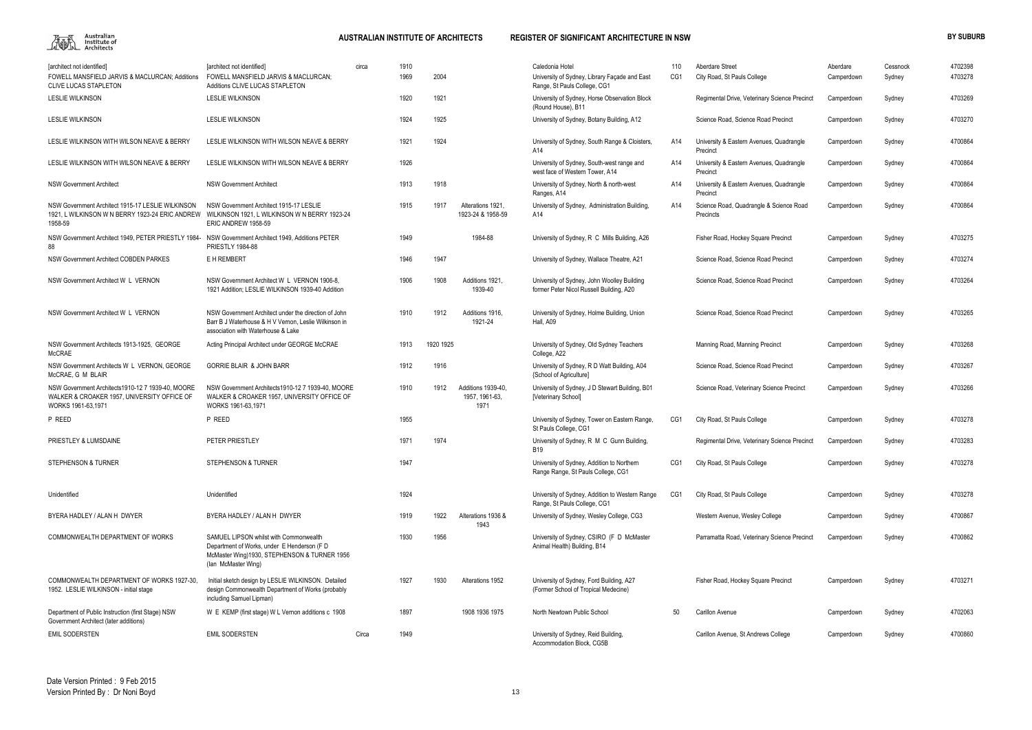

| [architect not identified]                                                                                             | [architect not identified]                                                                                                                                   | circa | 1910 |           |                                              | Caledonia Hotel                                                                         | 110 | <b>Aberdare Street</b>                               | Aberdare   | Cessnock | 4702398 |
|------------------------------------------------------------------------------------------------------------------------|--------------------------------------------------------------------------------------------------------------------------------------------------------------|-------|------|-----------|----------------------------------------------|-----------------------------------------------------------------------------------------|-----|------------------------------------------------------|------------|----------|---------|
| FOWELL MANSFIELD JARVIS & MACLURCAN; Additions<br><b>CLIVE LUCAS STAPLETON</b>                                         | FOWELL MANSFIELD JARVIS & MACLURCAN:<br>Additions CLIVE LUCAS STAPLETON                                                                                      |       | 1969 | 2004      |                                              | University of Sydney, Library Façade and East<br>Range, St Pauls College, CG1           | CG1 | City Road, St Pauls College                          | Camperdown | Sydney   | 4703278 |
| <b>LESLIE WILKINSON</b>                                                                                                | LESLIE WILKINSON                                                                                                                                             |       | 1920 | 1921      |                                              | University of Sydney, Horse Observation Block<br>(Round House), B11                     |     | Regimental Drive, Veterinary Science Precinct        | Camperdown | Sydney   | 4703269 |
| <b>LESLIE WILKINSON</b>                                                                                                | <b>LESLIE WILKINSON</b>                                                                                                                                      |       | 1924 | 1925      |                                              | University of Sydney, Botany Building, A12                                              |     | Science Road, Science Road Precinct                  | Camperdown | Sydney   | 4703270 |
| LESLIE WILKINSON WITH WILSON NEAVE & BERRY                                                                             | LESLIE WILKINSON WITH WILSON NEAVE & BERRY                                                                                                                   |       | 1921 | 1924      |                                              | University of Sydney, South Range & Cloisters,<br>A14                                   | A14 | University & Eastern Avenues, Quadrangle<br>Precinct | Camperdown | Sydney   | 4700864 |
| LESLIE WILKINSON WITH WILSON NEAVE & BERRY                                                                             | LESLIE WILKINSON WITH WILSON NEAVE & BERRY                                                                                                                   |       | 1926 |           |                                              | University of Sydney, South-west range and<br>west face of Western Tower, A14           | A14 | University & Eastern Avenues, Quadrangle<br>Precinct | Camperdown | Sydney   | 4700864 |
| <b>NSW Government Architect</b>                                                                                        | <b>NSW Government Architect</b>                                                                                                                              |       | 1913 | 1918      |                                              | University of Sydney, North & north-west<br>Ranges, A14                                 | A14 | University & Eastern Avenues, Quadrangle<br>Precinct | Camperdown | Sydney   | 4700864 |
| NSW Government Architect 1915-17 LESLIE WILKINSON<br>1921, L WILKINSON W N BERRY 1923-24 ERIC ANDREW<br>1958-59        | NSW Government Architect 1915-17 LESLIE<br>WILKINSON 1921, L WILKINSON W N BERRY 1923-24<br>ERIC ANDREW 1958-59                                              |       | 1915 | 1917      | Alterations 1921,<br>1923-24 & 1958-59       | University of Sydney, Administration Building,<br>A14                                   | A14 | Science Road, Quadrangle & Science Road<br>Precincts | Camperdown | Sydney   | 4700864 |
| NSW Government Architect 1949, PETER PRIESTLY 1984<br>88                                                               | NSW Government Architect 1949, Additions PETER<br><b>PRIESTLY 1984-88</b>                                                                                    |       | 1949 |           | 1984-88                                      | University of Sydney, R C Mills Building, A26                                           |     | Fisher Road, Hockey Square Precinct                  | Camperdown | Sydney   | 4703275 |
| NSW Government Architect COBDEN PARKES                                                                                 | E H REMBERT                                                                                                                                                  |       | 1946 | 1947      |                                              | University of Sydney, Wallace Theatre, A21                                              |     | Science Road, Science Road Precinct                  | Camperdown | Sydney   | 4703274 |
| NSW Government Architect W L VERNON                                                                                    | NSW Government Architect W L VERNON 1906-8.<br>1921 Addition; LESLIE WILKINSON 1939-40 Addition                                                              |       | 1906 | 1908      | Additions 1921<br>1939-40                    | University of Sydney, John Woolley Building<br>former Peter Nicol Russell Building, A20 |     | Science Road, Science Road Precinct                  | Camperdown | Sydney   | 4703264 |
| NSW Government Architect W L VERNON                                                                                    | NSW Government Architect under the direction of John<br>Barr B J Waterhouse & H V Vernon, Leslie Wilkinson in<br>association with Waterhouse & Lake          |       | 1910 | 1912      | Additions 1916,<br>1921-24                   | University of Sydney, Holme Building, Union<br>Hall, A09                                |     | Science Road, Science Road Precinct                  | Camperdown | Sydney   | 4703265 |
| NSW Government Architects 1913-1925. GEORGE<br><b>McCRAE</b>                                                           | Acting Principal Architect under GEORGE McCRAE                                                                                                               |       | 1913 | 1920 1925 |                                              | University of Sydney, Old Sydney Teachers<br>College, A22                               |     | Manning Road, Manning Precinct                       | Camperdown | Sydney   | 4703268 |
| NSW Government Architects W L VERNON, GEORGE<br>McCRAE, G M BLAIR                                                      | <b>GORRIE BLAIR &amp; JOHN BARR</b>                                                                                                                          |       | 1912 | 1916      |                                              | University of Sydney, R D Watt Building, A04<br>{School of Agriculture]                 |     | Science Road, Science Road Precinct                  | Camperdown | Sydney   | 4703267 |
| NSW Government Architects1910-12 7 1939-40, MOORE<br>WALKER & CROAKER 1957, UNIVERSITY OFFICE OF<br>WORKS 1961-63,1971 | NSW Government Architects1910-12 7 1939-40, MOORE<br>WALKER & CROAKER 1957, UNIVERSITY OFFICE OF<br>WORKS 1961-63,1971                                       |       | 1910 | 1912      | Additions 1939-40.<br>1957, 1961-63,<br>1971 | University of Sydney, J D Stewart Building, B01<br>[Veterinary School]                  |     | Science Road, Veterinary Science Precinct            | Camperdown | Sydney   | 4703266 |
| P REED                                                                                                                 | P REED                                                                                                                                                       |       | 1955 |           |                                              | University of Sydney, Tower on Eastern Range,<br>St Pauls College, CG1                  | CG1 | City Road, St Pauls College                          | Camperdown | Sydney   | 4703278 |
| PRIESTLEY & LUMSDAINE                                                                                                  | PETER PRIESTLEY                                                                                                                                              |       | 1971 | 1974      |                                              | University of Sydney, R M C Gunn Building<br><b>B19</b>                                 |     | Regimental Drive, Veterinary Science Precinct        | Camperdown | Sydney   | 4703283 |
| <b>STEPHENSON &amp; TURNER</b>                                                                                         | STEPHENSON & TURNER                                                                                                                                          |       | 1947 |           |                                              | University of Sydney, Addition to Northern<br>Range Range, St Pauls College, CG1        | CG1 | City Road, St Pauls College                          | Camperdown | Sydney   | 4703278 |
| Unidentified                                                                                                           | Unidentified                                                                                                                                                 |       | 1924 |           |                                              | University of Sydney, Addition to Western Range<br>Range, St Pauls College, CG1         | CG1 | City Road, St Pauls College                          | Camperdown | Sydney   | 4703278 |
| BYERA HADLEY / ALAN H DWYER                                                                                            | BYERA HADLEY / ALAN H DWYER                                                                                                                                  |       | 1919 | 1922      | Alterations 1936 &<br>1943                   | University of Sydney, Wesley College, CG3                                               |     | Western Avenue, Wesley College                       | Camperdown | Sydney   | 4700867 |
| COMMONWEALTH DEPARTMENT OF WORKS                                                                                       | SAMUEL LIPSON whilst with Commonwealth<br>Department of Works, under E Henderson (F D<br>McMaster Wing)1930, STEPHENSON & TURNER 1956<br>(lan McMaster Wing) |       | 1930 | 1956      |                                              | University of Sydney, CSIRO (F D McMaster<br>Animal Health) Building, B14               |     | Parramatta Road, Veterinary Science Precinct         | Camperdown | Sydney   | 4700862 |
| COMMONWEALTH DEPARTMENT OF WORKS 1927-30.<br>1952. LESLIE WILKINSON - initial stage                                    | Initial sketch design by LESLIE WILKINSON. Detailed<br>design Commonwealth Department of Works (probably<br>including Samuel Lipman)                         |       | 1927 | 1930      | Alterations 1952                             | University of Sydney, Ford Building, A27<br>(Former School of Tropical Medecine)        |     | Fisher Road, Hockey Square Precinct                  | Camperdown | Sydney   | 4703271 |
| Department of Public Instruction (first Stage) NSW<br>Government Architect (later additions)                           | W E KEMP (first stage) W L Vernon additions c 1908                                                                                                           |       | 1897 |           | 1908 1936 1975                               | North Newtown Public School                                                             | 50  | Carillon Avenue                                      | Camperdown | Sydney   | 4702063 |
| <b>EMIL SODERSTEN</b>                                                                                                  | <b>EMIL SODERSTEN</b>                                                                                                                                        | Circa | 1949 |           |                                              | University of Sydney, Reid Building,<br>Accommodation Block, CG5B                       |     | Carillon Avenue, St Andrews College                  | Camperdown | Sydney   | 4700860 |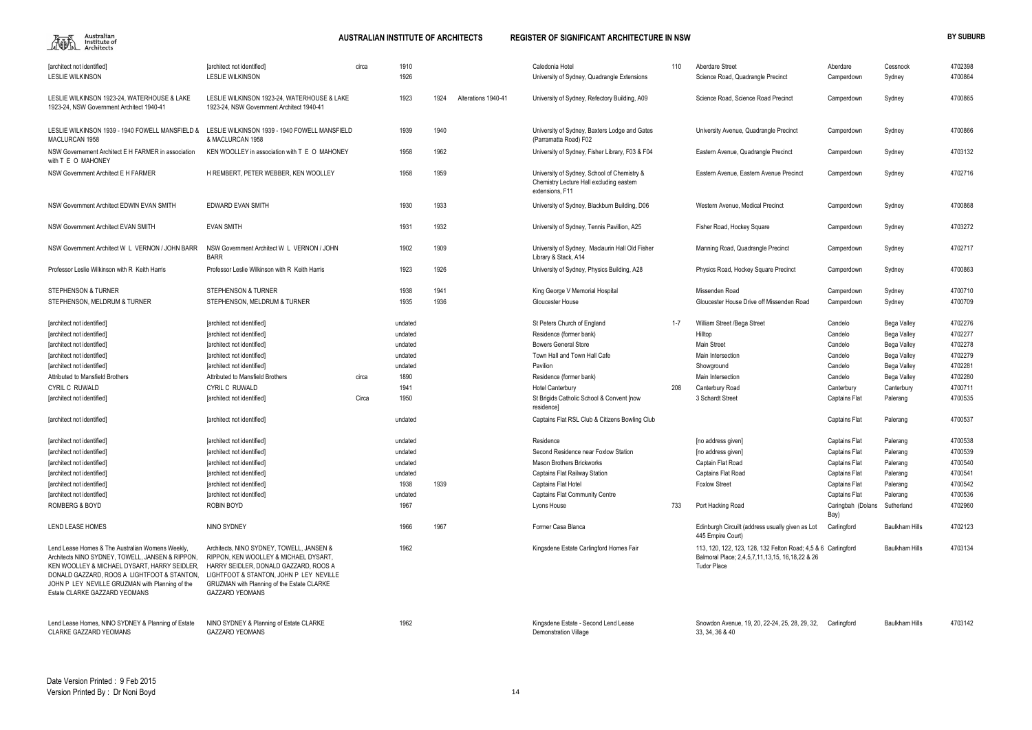

| [architect not identified]<br><b>LESLIE WILKINSON</b>                                                                                                                                                                                                                                   | <b>Tarchitect not identified]</b><br><b>LESLIE WILKINSON</b>                                                                                                                                                                                   | circa | 1910<br>1926 |      |                     | Caledonia Hotel<br>University of Sydney, Quadrangle Extensions                                             | 110     | Aberdare Street<br>Science Road, Quadrangle Precinct                                                                                   | Aberdare<br>Camperdown    | Cessnock<br>Sydney    | 4702398<br>4700864 |
|-----------------------------------------------------------------------------------------------------------------------------------------------------------------------------------------------------------------------------------------------------------------------------------------|------------------------------------------------------------------------------------------------------------------------------------------------------------------------------------------------------------------------------------------------|-------|--------------|------|---------------------|------------------------------------------------------------------------------------------------------------|---------|----------------------------------------------------------------------------------------------------------------------------------------|---------------------------|-----------------------|--------------------|
| LESLIE WILKINSON 1923-24, WATERHOUSE & LAKE<br>1923-24. NSW Government Architect 1940-41                                                                                                                                                                                                | LESLIE WILKINSON 1923-24, WATERHOUSE & LAKE<br>1923-24. NSW Government Architect 1940-41                                                                                                                                                       |       | 1923         | 1924 | Alterations 1940-41 | University of Sydney, Refectory Building, A09                                                              |         | Science Road, Science Road Precinct                                                                                                    | Camperdown                | Sydney                | 4700865            |
| LESLIE WILKINSON 1939 - 1940 FOWELL MANSFIELD &<br>MACLURCAN 1958                                                                                                                                                                                                                       | LESLIE WILKINSON 1939 - 1940 FOWELL MANSFIELD<br>& MACLURCAN 1958                                                                                                                                                                              |       | 1939         | 1940 |                     | University of Sydney, Baxters Lodge and Gates<br>(Parramatta Road) F02                                     |         | University Avenue, Quadrangle Precinct                                                                                                 | Camperdown                | Sydney                | 4700866            |
| NSW Governement Architect E H FARMER in association<br>with T E O MAHONEY                                                                                                                                                                                                               | KEN WOOLLEY in association with T E O MAHONEY                                                                                                                                                                                                  |       | 1958         | 1962 |                     | University of Sydney, Fisher Library, F03 & F04                                                            |         | Eastern Avenue, Quadrangle Precinct                                                                                                    | Camperdown                | Sydney                | 4703132            |
| NSW Government Architect E H FARMER                                                                                                                                                                                                                                                     | H REMBERT, PETER WEBBER, KEN WOOLLEY                                                                                                                                                                                                           |       | 1958         | 1959 |                     | University of Sydney, School of Chemistry &<br>Chemistry Lecture Hall excluding eastern<br>extensions, F11 |         | Eastern Avenue, Eastern Avenue Precinct                                                                                                | Camperdown                | Sydney                | 4702716            |
| NSW Government Architect EDWIN EVAN SMITH                                                                                                                                                                                                                                               | <b>EDWARD EVAN SMITH</b>                                                                                                                                                                                                                       |       | 1930         | 1933 |                     | University of Sydney, Blackburn Building, D06                                                              |         | Western Avenue, Medical Precinct                                                                                                       | Camperdown                | Sydney                | 4700868            |
| NSW Government Architect EVAN SMITH                                                                                                                                                                                                                                                     | <b>EVAN SMITH</b>                                                                                                                                                                                                                              |       | 1931         | 1932 |                     | University of Sydney, Tennis Pavillion, A25                                                                |         | Fisher Road, Hockey Square                                                                                                             | Camperdown                | Sydney                | 4703272            |
| NSW Government Architect W L VERNON / JOHN BARR                                                                                                                                                                                                                                         | NSW Government Architect W L VERNON / JOHN<br><b>BARR</b>                                                                                                                                                                                      |       | 1902         | 1909 |                     | University of Sydney, Maclaurin Hall Old Fisher<br>Library & Stack, A14                                    |         | Manning Road, Quadrangle Precinct                                                                                                      | Camperdown                | Sydney                | 4702717            |
| Professor Leslie Wilkinson with R Keith Harris                                                                                                                                                                                                                                          | Professor Leslie Wilkinson with R Keith Harris                                                                                                                                                                                                 |       | 1923         | 1926 |                     | University of Sydney, Physics Building, A28                                                                |         | Physics Road, Hockey Square Precinct                                                                                                   | Camperdown                | Sydney                | 4700863            |
| STEPHENSON & TURNER                                                                                                                                                                                                                                                                     | <b>STEPHENSON &amp; TURNER</b>                                                                                                                                                                                                                 |       | 1938         | 1941 |                     | King George V Memorial Hospital                                                                            |         | Missenden Road                                                                                                                         | Camperdown                | Sydney                | 4700710            |
| STEPHENSON, MELDRUM & TURNER                                                                                                                                                                                                                                                            | STEPHENSON, MELDRUM & TURNER                                                                                                                                                                                                                   |       | 1935         | 1936 |                     | Gloucester House                                                                                           |         | Gloucester House Drive off Missenden Road                                                                                              | Camperdown                | Sydney                | 4700709            |
| [architect not identified]                                                                                                                                                                                                                                                              | [architect not identified]                                                                                                                                                                                                                     |       | undated      |      |                     | St Peters Church of England                                                                                | $1 - 7$ | William Street /Bega Street                                                                                                            | Candelo                   | Bega Valley           | 4702276            |
| [architect not identified]                                                                                                                                                                                                                                                              | [architect not identified]                                                                                                                                                                                                                     |       | undated      |      |                     | Residence (former bank)                                                                                    |         | Hilltop                                                                                                                                | Candelo                   | Bega Valley           | 4702277            |
| [architect not identified]                                                                                                                                                                                                                                                              | [architect not identified]                                                                                                                                                                                                                     |       | undated      |      |                     | <b>Bowers General Store</b>                                                                                |         | Main Street                                                                                                                            | Candelo                   | Bega Valley           | 4702278            |
| [architect not identified]                                                                                                                                                                                                                                                              | [architect not identified]                                                                                                                                                                                                                     |       | undated      |      |                     | Town Hall and Town Hall Cafe                                                                               |         | Main Intersection                                                                                                                      | Candelo                   | Bega Valley           | 4702279            |
| [architect not identified]                                                                                                                                                                                                                                                              | [architect not identified]                                                                                                                                                                                                                     |       | undated      |      |                     | Pavilion                                                                                                   |         | Showground                                                                                                                             | Candelo                   | Bega Valley           | 4702281            |
| Attributed to Mansfield Brothers                                                                                                                                                                                                                                                        | Attributed to Mansfield Brothers                                                                                                                                                                                                               | circa | 1890         |      |                     | Residence (former bank)                                                                                    |         | Main Intersection                                                                                                                      | Candelo                   | Bega Valley           | 4702280            |
| CYRIL C RUWALD                                                                                                                                                                                                                                                                          | <b>CYRIL C RUWALD</b>                                                                                                                                                                                                                          |       | 1941         |      |                     | <b>Hotel Canterbury</b>                                                                                    | 208     | Canterbury Road                                                                                                                        | Canterbury                | Canterbury            | 4700711            |
| [architect not identified]                                                                                                                                                                                                                                                              | [architect not identified]                                                                                                                                                                                                                     | Circa | 1950         |      |                     | St Brigids Catholic School & Convent [now<br>residence]                                                    |         | 3 Schardt Street                                                                                                                       | <b>Captains Flat</b>      | Palerang              | 4700535            |
| [architect not identified]                                                                                                                                                                                                                                                              | [architect not identified]                                                                                                                                                                                                                     |       | undated      |      |                     | Captains Flat RSL Club & Citizens Bowling Club                                                             |         |                                                                                                                                        | <b>Captains Flat</b>      | Palerang              | 4700537            |
| [architect not identified]                                                                                                                                                                                                                                                              | [architect not identified]                                                                                                                                                                                                                     |       | undated      |      |                     | Residence                                                                                                  |         | [no address given]                                                                                                                     | <b>Captains Flat</b>      | Palerang              | 4700538            |
| [architect not identified]                                                                                                                                                                                                                                                              | [architect not identified]                                                                                                                                                                                                                     |       | undated      |      |                     | Second Residence near Foxlow Station                                                                       |         | [no address given]                                                                                                                     | <b>Captains Flat</b>      | Palerang              | 4700539            |
| [architect not identified]                                                                                                                                                                                                                                                              | [architect not identified]                                                                                                                                                                                                                     |       | undated      |      |                     | Mason Brothers Brickworks                                                                                  |         | Captain Flat Road                                                                                                                      | <b>Captains Flat</b>      | Palerang              | 4700540            |
| [architect not identified]                                                                                                                                                                                                                                                              | [architect not identified]                                                                                                                                                                                                                     |       | undated      |      |                     | <b>Captains Flat Railway Station</b>                                                                       |         | Captains Flat Road                                                                                                                     | Captains Flat             | Palerang              | 4700541            |
| [architect not identified]                                                                                                                                                                                                                                                              | [architect not identified]                                                                                                                                                                                                                     |       | 1938         | 1939 |                     | Captains Flat Hotel                                                                                        |         | <b>Foxlow Street</b>                                                                                                                   | <b>Captains Flat</b>      | Palerang              | 4700542            |
| [architect not identified]                                                                                                                                                                                                                                                              | [architect not identified]                                                                                                                                                                                                                     |       | undated      |      |                     | <b>Captains Flat Community Centre</b>                                                                      |         |                                                                                                                                        | <b>Captains Flat</b>      | Palerang              | 4700536            |
| ROMBERG & BOYD                                                                                                                                                                                                                                                                          | ROBIN BOYD                                                                                                                                                                                                                                     |       | 1967         |      |                     | Lyons House                                                                                                | 733     | Port Hacking Road                                                                                                                      | Caringbah (Dolans<br>Bay) | Sutherland            | 4702960            |
| LEND LEASE HOMES                                                                                                                                                                                                                                                                        | NINO SYDNEY                                                                                                                                                                                                                                    |       | 1966         | 1967 |                     | Former Casa Blanca                                                                                         |         | Edinburgh Circuilt (address usually given as Lot<br>445 Empire Court)                                                                  | Carlingford               | <b>Baulkham Hills</b> | 4702123            |
| Lend Lease Homes & The Australian Womens Weekly,<br>Architects NINO SYDNEY, TOWELL, JANSEN & RIPPON,<br>KEN WOOLLEY & MICHAEL DYSART, HARRY SEIDLER,<br>DONALD GAZZARD, ROOS A LIGHTFOOT & STANTON,<br>JOHN P LEY NEVILLE GRUZMAN with Planning of the<br>Estate CLARKE GAZZARD YEOMANS | Architects, NINO SYDNEY, TOWELL, JANSEN &<br>RIPPON, KEN WOOLLEY & MICHAEL DYSART,<br>HARRY SEIDLER, DONALD GAZZARD, ROOS A<br>LIGHTFOOT & STANTON, JOHN P LEY NEVILLE<br>GRUZMAN with Planning of the Estate CLARKE<br><b>GAZZARD YEOMANS</b> |       | 1962         |      |                     | Kingsdene Estate Carlingford Homes Fair                                                                    |         | 113, 120, 122, 123, 128, 132 Felton Road: 4.5 & 6 Carlingford<br>Balmoral Place; 2,4,5,7,11,13,15, 16,18,22 & 26<br><b>Tudor Place</b> |                           | <b>Baulkham Hills</b> | 4703134            |
| Lend Lease Homes, NINO SYDNEY & Planning of Estate<br><b>CLARKE GAZZARD YEOMANS</b>                                                                                                                                                                                                     | NINO SYDNEY & Planning of Estate CLARKE<br><b>GAZZARD YEOMANS</b>                                                                                                                                                                              |       | 1962         |      |                     | Kingsdene Estate - Second Lend Lease<br><b>Demonstration Village</b>                                       |         | Snowdon Avenue, 19, 20, 22-24, 25, 28, 29, 32,<br>33, 34, 36 & 40                                                                      | Carlingford               | <b>Baulkham Hills</b> | 4703142            |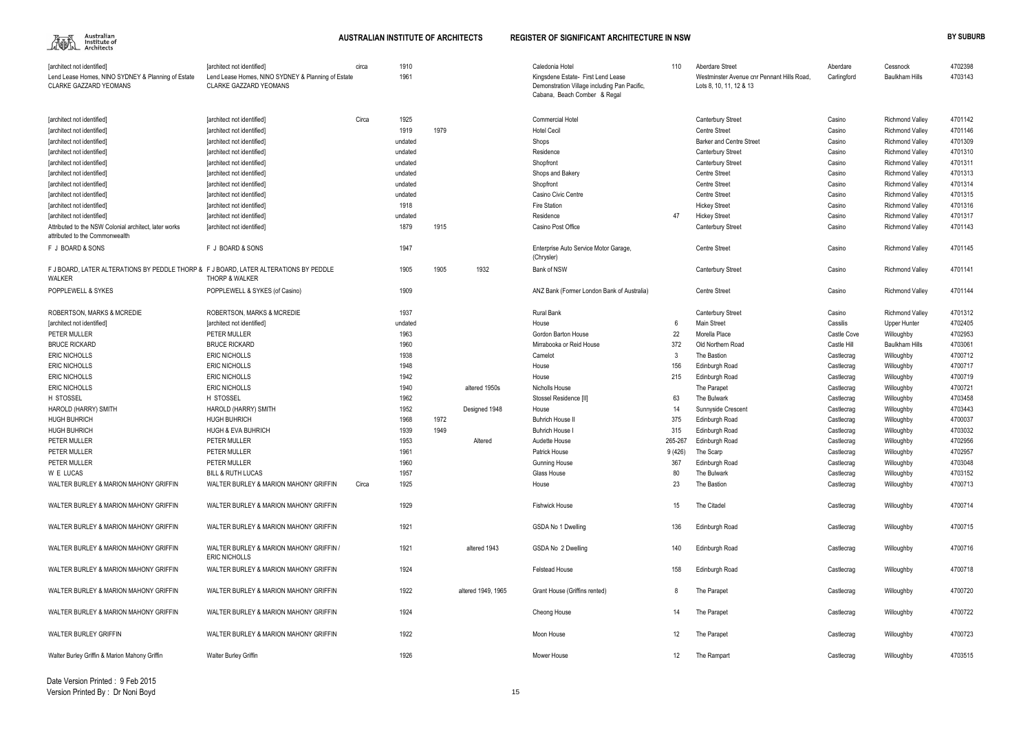

| [architect not identified]<br>Lend Lease Homes, NINO SYDNEY & Planning of Estate<br>CLARKE GAZZARD YEOMANS | [architect not identified]<br>Lend Lease Homes, NINO SYDNEY & Planning of Estate<br><b>CLARKE GAZZARD YEOMANS</b> | circa | 1910<br>1961 |      |                    | Caledonia Hotel<br>Kingsdene Estate- First Lend Lease<br>Demonstration Village including Pan Pacific,<br>Cabana, Beach Comber & Regal | 110     | Aberdare Street<br>Westminster Avenue cnr Pennant Hills Road,<br>Lots 8, 10, 11, 12 & 13 | Aberdare<br>Carlingford | Cessnock<br><b>Baulkham Hills</b> | 4702398<br>4703143 |
|------------------------------------------------------------------------------------------------------------|-------------------------------------------------------------------------------------------------------------------|-------|--------------|------|--------------------|---------------------------------------------------------------------------------------------------------------------------------------|---------|------------------------------------------------------------------------------------------|-------------------------|-----------------------------------|--------------------|
| [architect not identified]                                                                                 | [architect not identified]                                                                                        | Circa | 1925         |      |                    | <b>Commercial Hotel</b>                                                                                                               |         | <b>Canterbury Street</b>                                                                 | Casino                  | <b>Richmond Valley</b>            | 4701142            |
| [architect not identified]                                                                                 | [architect not identified]                                                                                        |       | 1919         | 1979 |                    | <b>Hotel Cecil</b>                                                                                                                    |         | <b>Centre Street</b>                                                                     | Casino                  | <b>Richmond Valley</b>            | 4701146            |
| [architect not identified]                                                                                 | [architect not identified]                                                                                        |       | undated      |      |                    | Shops                                                                                                                                 |         | <b>Barker and Centre Street</b>                                                          | Casino                  | <b>Richmond Valley</b>            | 4701309            |
| [architect not identified]                                                                                 | [architect not identified]                                                                                        |       | undated      |      |                    | Residence                                                                                                                             |         | <b>Canterbury Street</b>                                                                 | Casino                  | <b>Richmond Valley</b>            | 4701310            |
| [architect not identified]                                                                                 | [architect not identified]                                                                                        |       | undated      |      |                    | Shopfront                                                                                                                             |         | <b>Canterbury Street</b>                                                                 | Casino                  | <b>Richmond Valley</b>            | 4701311            |
| [architect not identified]                                                                                 | [architect not identified]                                                                                        |       | undated      |      |                    | Shops and Bakery                                                                                                                      |         | <b>Centre Street</b>                                                                     | Casino                  | <b>Richmond Valley</b>            | 4701313            |
| [architect not identified]                                                                                 | [architect not identified]                                                                                        |       | undated      |      |                    | Shopfront                                                                                                                             |         | <b>Centre Street</b>                                                                     | Casino                  | <b>Richmond Valley</b>            | 4701314            |
| [architect not identified]                                                                                 | [architect not identified]                                                                                        |       | undated      |      |                    | Casino Civic Centre                                                                                                                   |         | <b>Centre Street</b>                                                                     | Casino                  | <b>Richmond Valley</b>            | 4701315            |
| [architect not identified]                                                                                 | [architect not identified]                                                                                        |       | 1918         |      |                    | Fire Station                                                                                                                          |         | <b>Hickey Street</b>                                                                     | Casino                  | <b>Richmond Valley</b>            | 4701316            |
| [architect not identified]                                                                                 | [architect not identified]                                                                                        |       | undated      |      |                    | Residence                                                                                                                             | 47      | <b>Hickey Street</b>                                                                     | Casino                  | <b>Richmond Valley</b>            | 4701317            |
| Attributed to the NSW Colonial architect, later works<br>attributed to the Commonwealth                    | [architect not identified]                                                                                        |       | 1879         | 1915 |                    | Casino Post Office                                                                                                                    |         | <b>Canterbury Street</b>                                                                 | Casino                  | <b>Richmond Valley</b>            | 4701143            |
| F J BOARD & SONS                                                                                           | F J BOARD & SONS                                                                                                  |       | 1947         |      |                    | Enterprise Auto Service Motor Garage,<br>(Chrysler)                                                                                   |         | <b>Centre Street</b>                                                                     | Casino                  | <b>Richmond Valley</b>            | 4701145            |
| F J BOARD, LATER ALTERATIONS BY PEDDLE THORP & F J BOARD, LATER ALTERATIONS BY PEDDLE<br>WALKER            | THORP & WALKER                                                                                                    |       | 1905         | 1905 | 1932               | <b>Bank of NSW</b>                                                                                                                    |         | <b>Canterbury Street</b>                                                                 | Casino                  | <b>Richmond Valley</b>            | 4701141            |
| POPPLEWELL & SYKES                                                                                         | POPPLEWELL & SYKES (of Casino)                                                                                    |       | 1909         |      |                    | ANZ Bank (Former London Bank of Australia)                                                                                            |         | <b>Centre Street</b>                                                                     | Casino                  | <b>Richmond Valley</b>            | 4701144            |
| ROBERTSON, MARKS & MCREDIE                                                                                 | <b>ROBERTSON, MARKS &amp; MCREDIE</b>                                                                             |       | 1937         |      |                    | Rural Bank                                                                                                                            |         | <b>Canterbury Street</b>                                                                 | Casino                  | <b>Richmond Valley</b>            | 4701312            |
| [architect not identified]                                                                                 | [architect not identified]                                                                                        |       | undated      |      |                    | House                                                                                                                                 |         | <b>Main Street</b>                                                                       | Cassilis                | Upper Hunter                      | 4702405            |
| PETER MULLER                                                                                               | PETER MULLER                                                                                                      |       | 1963         |      |                    | Gordon Barton House                                                                                                                   | 22      | Morella Place                                                                            | Castle Cove             | Willoughby                        | 4702953            |
| <b>BRUCE RICKARD</b>                                                                                       | <b>BRUCE RICKARD</b>                                                                                              |       | 1960         |      |                    | Mirrabooka or Reid House                                                                                                              | 372     | Old Northern Road                                                                        | Castle Hill             | <b>Baulkham Hills</b>             | 4703061            |
| <b>ERIC NICHOLLS</b>                                                                                       | <b>ERIC NICHOLLS</b>                                                                                              |       | 1938         |      |                    | Camelot                                                                                                                               |         | The Bastion                                                                              | Castlecrag              | Willoughby                        | 4700712            |
| <b>ERIC NICHOLLS</b>                                                                                       | <b>ERIC NICHOLLS</b>                                                                                              |       | 1948         |      |                    | House                                                                                                                                 | 156     | Edinburgh Road                                                                           | Castlecrag              | Willoughby                        | 4700717            |
| <b>ERIC NICHOLLS</b>                                                                                       | <b>ERIC NICHOLLS</b>                                                                                              |       | 1942         |      |                    | House                                                                                                                                 | 215     | Edinburgh Road                                                                           | Castlecrag              | Willoughby                        | 4700719            |
| <b>ERIC NICHOLLS</b>                                                                                       | <b>ERIC NICHOLLS</b>                                                                                              |       | 1940         |      | altered 1950s      | Nicholls House                                                                                                                        |         | The Parapet                                                                              | Castlecrag              | Willoughby                        | 4700721            |
| H STOSSEL                                                                                                  | H STOSSEL                                                                                                         |       | 1962         |      |                    | Stossel Residence [II]                                                                                                                | 63      | The Bulwark                                                                              | Castlecrag              | Willoughby                        | 4703458            |
| HAROLD (HARRY) SMITH                                                                                       | HAROLD (HARRY) SMITH                                                                                              |       | 1952         |      | Designed 1948      | House                                                                                                                                 | 14      | Sunnyside Crescent                                                                       | Castlecrag              | Willoughby                        | 4703443            |
| <b>HUGH BUHRICH</b>                                                                                        | <b>HUGH BUHRICH</b>                                                                                               |       | 1968         | 1972 |                    | <b>Buhrich House I</b>                                                                                                                | 375     | Edinburgh Road                                                                           | Castlecrag              | Willoughby                        | 4700037            |
| <b>HUGH BUHRICH</b>                                                                                        | <b>HUGH &amp; EVA BUHRICH</b>                                                                                     |       | 1939         | 1949 |                    | <b>Buhrich House</b>                                                                                                                  | 315     | Edinburgh Road                                                                           | Castlecrag              | Willoughby                        | 4703032            |
| PETER MULLER                                                                                               | PETER MULLER                                                                                                      |       | 1953         |      | Altered            | Audette House                                                                                                                         | 265-267 | Edinburgh Road                                                                           | Castlecrag              | Willoughby                        | 4702956            |
| PETER MULLER                                                                                               | PETER MULLER                                                                                                      |       | 1961         |      |                    | Patrick House                                                                                                                         | 9(426)  | The Scarp                                                                                | Castlecrag              | Willoughby                        | 4702957            |
| PETER MULLER                                                                                               | PETER MULLER                                                                                                      |       | 1960         |      |                    | <b>Gunning House</b>                                                                                                                  | 367     | <b>Edinburgh Road</b>                                                                    | Castlecrag              | Willoughby                        | 4703048            |
| W E LUCAS                                                                                                  | <b>BILL &amp; RUTH LUCAS</b>                                                                                      |       | 1957         |      |                    | Glass House                                                                                                                           | 80      | The Bulwark                                                                              | Castlecrag              | Willoughby                        | 4703152            |
| WALTER BURLEY & MARION MAHONY GRIFFIN                                                                      | WALTER BURLEY & MARION MAHONY GRIFFIN                                                                             | Circa | 1925         |      |                    | House                                                                                                                                 | 23      | The Bastion                                                                              | Castlecrag              | Willoughby                        | 4700713            |
| WALTER BURLEY & MARION MAHONY GRIFFIN                                                                      | WALTER BURLEY & MARION MAHONY GRIFFIN                                                                             |       | 1929         |      |                    | <b>Fishwick House</b>                                                                                                                 | 15      | The Citadel                                                                              | Castlecrag              | Willoughby                        | 4700714            |
| WALTER BURLEY & MARION MAHONY GRIFFIN                                                                      | WALTER BURLEY & MARION MAHONY GRIFFIN                                                                             |       | 1921         |      |                    | GSDA No 1 Dwelling                                                                                                                    | 136     | Edinburgh Road                                                                           | Castlecrag              | Willoughby                        | 4700715            |
| WALTER BURLEY & MARION MAHONY GRIFFIN                                                                      | WALTER BURLEY & MARION MAHONY GRIFFIN /<br><b>ERIC NICHOLLS</b>                                                   |       | 1921         |      | altered 1943       | GSDA No 2 Dwelling                                                                                                                    | 140     | Edinburgh Road                                                                           | Castlecrag              | Willoughby                        | 4700716            |
| WALTER BURLEY & MARION MAHONY GRIFFIN                                                                      | WALTER BURLEY & MARION MAHONY GRIFFIN                                                                             |       | 1924         |      |                    | <b>Felstead House</b>                                                                                                                 | 158     | Edinburgh Road                                                                           | Castlecrag              | Willoughby                        | 4700718            |
| WALTER BURLEY & MARION MAHONY GRIFFIN                                                                      | WALTER BURLEY & MARION MAHONY GRIFFIN                                                                             |       | 1922         |      | altered 1949, 1965 | Grant House (Griffins rented)                                                                                                         |         | The Parapet                                                                              | Castlecrag              | Willoughby                        | 4700720            |
| WALTER BURLEY & MARION MAHONY GRIFFIN                                                                      | WALTER BURLEY & MARION MAHONY GRIFFIN                                                                             |       | 1924         |      |                    | Cheong House                                                                                                                          | 14      | The Parapet                                                                              | Castlecrag              | Willoughby                        | 4700722            |
| WALTER BURLEY GRIFFIN                                                                                      | WALTER BURLEY & MARION MAHONY GRIFFIN                                                                             |       | 1922         |      |                    | Moon House                                                                                                                            | 12      | The Parapet                                                                              | Castlecrag              | Willoughby                        | 4700723            |
| Walter Burley Griffin & Marion Mahony Griffin                                                              | <b>Walter Burley Griffin</b>                                                                                      |       | 1926         |      |                    | Mower House                                                                                                                           | 12      | The Rampart                                                                              | Castlecrag              | Willoughby                        | 4703515            |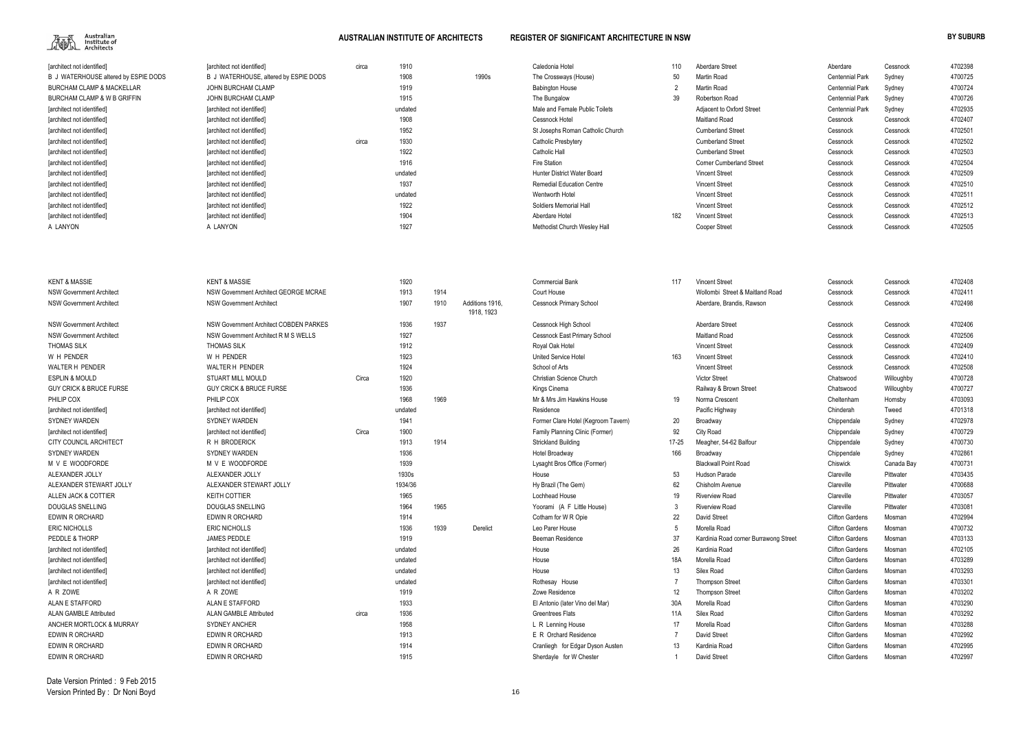

| [architect not identified]           | [architect not identified]            | circa | 1910    |       | Caledonia Hotel                  |     | Aberdare Street                 | Aberdare               | Cessnock | 4702398 |
|--------------------------------------|---------------------------------------|-------|---------|-------|----------------------------------|-----|---------------------------------|------------------------|----------|---------|
| B J WATERHOUSE altered by ESPIE DODS | B J WATERHOUSE, altered by ESPIE DODS |       | 1908    | 1990s | The Crossways (House)            | 50  | Martin Road                     | <b>Centennial Park</b> | Sydney   | 4700725 |
| <b>BURCHAM CLAMP &amp; MACKELLAR</b> | JOHN BURCHAM CLAMP                    |       | 1919    |       | <b>Babington House</b>           |     | Martin Road                     | <b>Centennial Park</b> | Sydney   | 4700724 |
| BURCHAM CLAMP & W B GRIFFIN          | JOHN BURCHAM CLAMP                    |       | 1915    |       | The Bungalow                     | 39  | Robertson Road                  | <b>Centennial Park</b> | Sydney   | 4700726 |
| [architect not identified]           | [architect not identified]            |       | undated |       | Male and Female Public Toilets   |     | Adjacent to Oxford Street       | <b>Centennial Park</b> | Sydney   | 4702935 |
| [architect not identified]           | [architect not identified]            |       | 1908    |       | Cessnock Hotel                   |     | Maitland Road                   | Cessnock               | Cessnock | 4702407 |
| [architect not identified]           | [architect not identified]            |       | 1952    |       | St Josephs Roman Catholic Church |     | <b>Cumberland Street</b>        | Cessnock               | Cessnock | 4702501 |
| [architect not identified]           | [architect not identified]            | circa | 1930    |       | Catholic Presbytery              |     | <b>Cumberland Street</b>        | Cessnock               | Cessnock | 4702502 |
| [architect not identified]           | [architect not identified]            |       | 1922    |       | Catholic Hall                    |     | <b>Cumberland Street</b>        | Cessnock               | Cessnock | 4702503 |
| [architect not identified]           | [architect not identified]            |       | 1916    |       | Fire Station                     |     | <b>Corner Cumberland Street</b> | Cessnock               | Cessnock | 4702504 |
| [architect not identified]           | [architect not identified]            |       | undated |       | Hunter District Water Board      |     | <b>Vincent Street</b>           | Cessnock               | Cessnock | 4702509 |
| [architect not identified]           | [architect not identified]            |       | 1937    |       | <b>Remedial Education Centre</b> |     | <b>Vincent Street</b>           | Cessnock               | Cessnock | 4702510 |
| [architect not identified]           | [architect not identified]            |       | undated |       | Wentworth Hotel                  |     | <b>Vincent Street</b>           | Cessnock               | Cessnock | 4702511 |
| [architect not identified]           | [architect not identified]            |       | 1922    |       | Soldiers Memorial Hall           |     | <b>Vincent Street</b>           | Cessnock               | Cessnock | 4702512 |
| [architect not identified]           | [architect not identified]            |       | 1904    |       | Aberdare Hotel                   | 182 | <b>Vincent Street</b>           | Cessnock               | Cessnock | 4702513 |
| A LANYON                             | A LANYON                              |       | 1927    |       | Methodist Church Wesley Hall     |     | <b>Cooper Street</b>            | Cessnock               | Cessnock | 4702505 |
|                                      |                                       |       |         |       |                                  |     |                                 |                        |          |         |

| <b>KENT &amp; MASSIE</b>           | <b>KENT &amp; MASSIE</b>               |       | 1920    |      |                               | <b>Commercial Bank</b>              | 117       | <b>Vincent Street</b>                 | Cessnock               | Cessnock   | 4702408 |
|------------------------------------|----------------------------------------|-------|---------|------|-------------------------------|-------------------------------------|-----------|---------------------------------------|------------------------|------------|---------|
| <b>NSW Government Architect</b>    | NSW Government Architect GEORGE MCRAE  |       | 1913    | 1914 |                               | Court House                         |           | Wollombi Street & Maitland Road       | Cessnock               | Cessnock   | 4702411 |
| <b>NSW Government Architect</b>    | <b>NSW Government Architect</b>        |       | 1907    | 1910 | Additions 1916.<br>1918, 1923 | <b>Cessnock Primary School</b>      |           | Aberdare, Brandis, Rawson             | Cessnock               | Cessnock   | 4702498 |
| <b>NSW Government Architect</b>    | NSW Government Architect COBDEN PARKES |       | 1936    | 1937 |                               | Cessnock High School                |           | Aberdare Street                       | Cessnock               | Cessnock   | 4702406 |
| <b>NSW Government Architect</b>    | NSW Government Architect R M S WELLS   |       | 1927    |      |                               | <b>Cessnock East Primary School</b> |           | <b>Maitland Road</b>                  | Cessnock               | Cessnock   | 4702506 |
| <b>THOMAS SILK</b>                 | <b>THOMAS SILK</b>                     |       | 1912    |      |                               | Royal Oak Hotel                     |           | <b>Vincent Street</b>                 | Cessnock               | Cessnock   | 4702409 |
| W H PENDER                         | W H PENDER                             |       | 1923    |      |                               | <b>United Service Hotel</b>         | 163       | <b>Vincent Street</b>                 | Cessnock               | Cessnock   | 4702410 |
| <b>WALTER H PENDER</b>             | WALTER H PENDER                        |       | 1924    |      |                               | School of Arts                      |           | <b>Vincent Street</b>                 | Cessnock               | Cessnock   | 4702508 |
| <b>ESPLIN &amp; MOULD</b>          | <b>STUART MILL MOULD</b>               | Circa | 1920    |      |                               | Christian Science Church            |           | <b>Victor Street</b>                  | Chatswood              | Willoughby | 4700728 |
| <b>GUY CRICK &amp; BRUCE FURSE</b> | <b>GUY CRICK &amp; BRUCE FURSE</b>     |       | 1936    |      |                               | Kings Cinema                        |           | Railway & Brown Street                | Chatswood              | Willoughby | 4700727 |
| PHILIP COX                         | PHILIP COX                             |       | 1968    | 1969 |                               | Mr & Mrs Jim Hawkins House          | 19        | Norma Crescent                        | Cheltenham             | Hornsby    | 4703093 |
| [architect not identified]         | [architect not identified]             |       | undated |      |                               | Residence                           |           | Pacific Highway                       | Chinderah              | Tweed      | 4701318 |
| <b>SYDNEY WARDEN</b>               | <b>SYDNEY WARDEN</b>                   |       | 1941    |      |                               | Former Clare Hotel (Kegroom Tavern) | 20        | Broadway                              | Chippendale            | Sydney     | 4702978 |
| farchitect not identified          | [architect not identified]             | Circa | 1900    |      |                               | Family Planning Clinic (Former)     | 92        | City Road                             | Chippendale            | Sydney     | 4700729 |
| <b>CITY COUNCIL ARCHITECT</b>      | R H BRODERICK                          |       | 1913    | 1914 |                               | Strickland Building                 | $17 - 25$ | Meagher, 54-62 Balfour                | Chippendale            | Sydney     | 4700730 |
| <b>SYDNEY WARDEN</b>               | <b>SYDNEY WARDEN</b>                   |       | 1936    |      |                               | Hotel Broadway                      | 166       | Broadway                              | Chippendale            | Sydney     | 4702861 |
| M V E WOODFORDE                    | M V E WOODFORDE                        |       | 1939    |      |                               | Lysaght Bros Office (Former)        |           | <b>Blackwall Point Road</b>           | Chiswick               | Canada Bay | 4700731 |
| ALEXANDER JOLLY                    | ALEXANDER JOLLY                        |       | 1930s   |      |                               | House                               | 53        | <b>Hudson Parade</b>                  | Clareville             | Pittwater  | 4703435 |
| ALEXANDER STEWART JOLLY            | ALEXANDER STEWART JOLLY                |       | 1934/36 |      |                               | Hy Brazil (The Gem)                 | 62        | Chisholm Avenue                       | Clareville             | Pittwater  | 4700688 |
| ALLEN JACK & COTTIER               | <b>KEITH COTTIER</b>                   |       | 1965    |      |                               | Lochhead House                      | 19        | <b>Riverview Road</b>                 | Clareville             | Pittwater  | 4703057 |
| <b>DOUGLAS SNELLING</b>            | <b>DOUGLAS SNELLING</b>                |       | 1964    | 1965 |                               | Yoorami (A F Little House)          |           | <b>Riverview Road</b>                 | Clareville             | Pittwater  | 4703081 |
| <b>EDWIN R ORCHARD</b>             | EDWIN R ORCHARD                        |       | 1914    |      |                               | Cotham for W <sub>R</sub> Opie      | 22        | <b>David Street</b>                   | <b>Clifton Gardens</b> | Mosman     | 4702994 |
| <b>ERIC NICHOLLS</b>               | <b>ERIC NICHOLLS</b>                   |       | 1936    | 1939 | Derelict                      | Leo Parer House                     |           | Morella Road                          | <b>Clifton Gardens</b> | Mosman     | 4700732 |
| PEDDLE & THORP                     | <b>JAMES PEDDLE</b>                    |       | 1919    |      |                               | Beeman Residence                    | 37        | Kardinia Road corner Burrawong Street | <b>Clifton Gardens</b> | Mosman     | 4703133 |
| [architect not identified]         | [architect not identified]             |       | undated |      |                               | House                               | 26        | Kardinia Road                         | <b>Clifton Gardens</b> | Mosman     | 4702105 |
| [architect not identified]         | [architect not identified]             |       | undated |      |                               | House                               | 18A       | Morella Road                          | <b>Clifton Gardens</b> | Mosman     | 4703289 |
| [architect not identified]         | [architect not identified]             |       | undated |      |                               | House                               | 13        | Silex Road                            | <b>Clifton Gardens</b> | Mosman     | 4703293 |
| [architect not identified]         | [architect not identified]             |       | undated |      |                               | Rothesay House                      |           | <b>Thompson Street</b>                | <b>Clifton Gardens</b> | Mosman     | 4703301 |
| A R ZOWE                           | A R ZOWE                               |       | 1919    |      |                               | Zowe Residence                      | 12        | <b>Thompson Street</b>                | <b>Clifton Gardens</b> | Mosman     | 4703202 |
| <b>ALAN E STAFFORD</b>             | ALAN E STAFFORD                        |       | 1933    |      |                               | El Antonio (later Vino del Mar)     | 30A       | Morella Road                          | <b>Clifton Gardens</b> | Mosman     | 4703290 |
| <b>ALAN GAMBLE Attributed</b>      | <b>ALAN GAMBLE Attributed</b>          | circa | 1936    |      |                               | <b>Greentrees Flats</b>             | 11A       | Silex Road                            | <b>Clifton Gardens</b> | Mosman     | 4703292 |
| ANCHER MORTLOCK & MURRAY           | <b>SYDNEY ANCHER</b>                   |       | 1958    |      |                               | L R Lenning House                   | 17        | Morella Road                          | <b>Clifton Gardens</b> | Mosman     | 4703288 |
| EDWIN R ORCHARD                    | <b>EDWIN R ORCHARD</b>                 |       | 1913    |      |                               | E R Orchard Residence               |           | <b>David Street</b>                   | <b>Clifton Gardens</b> | Mosman     | 4702992 |
| <b>EDWIN R ORCHARD</b>             | <b>EDWIN R ORCHARD</b>                 |       | 1914    |      |                               | Cranliegh for Edgar Dyson Austen    | 13        | Kardinia Road                         | <b>Clifton Gardens</b> | Mosman     | 4702995 |
| <b>EDWIN R ORCHARD</b>             | EDWIN R ORCHARD                        |       | 1915    |      |                               | Sherdayle for W Chester             |           | David Street                          | <b>Clifton Gardens</b> | Mosman     | 4702997 |

| Aberdare               | Cessnock   | 4702398 |
|------------------------|------------|---------|
| <b>Centennial Park</b> | Sydney     | 4700725 |
| <b>Centennial Park</b> | Sydney     | 4700724 |
| <b>Centennial Park</b> | Sydney     | 4700726 |
| <b>Centennial Park</b> | Sydney     | 4702935 |
| Cessnock               | Cessnock   | 4702407 |
| Cessnock               | Cessnock   | 4702501 |
| Cessnock               | Cessnock   | 4702502 |
| Cessnock               | Cessnock   | 4702503 |
| Cessnock               | Cessnock   | 4702504 |
| Cessnock               | Cessnock   | 4702509 |
| Cessnock               | Cessnock   | 4702510 |
| Cessnock               | Cessnock   | 4702511 |
| Cessnock               | Cessnock   | 4702512 |
| Cessnock               | Cessnock   | 4702513 |
| Cessnock               | Cessnock   | 4702505 |
|                        |            |         |
|                        |            |         |
| Cessnock               | Cessnock   | 4702408 |
| Cessnock               | Cessnock   | 4702411 |
| Cessnock               | Cessnock   | 4702498 |
|                        |            |         |
| Cessnock               | Cessnock   | 4702406 |
| Cessnock               | Cessnock   | 4702506 |
| Cessnock               | Cessnock   | 4702409 |
| Cessnock               | Cessnock   | 4702410 |
| Cessnock               | Cessnock   | 4702508 |
| Chatswood              | Willoughby | 4700728 |
| Chatswood              | Willoughby | 4700727 |
| Cheltenham             | Hornsby    | 4703093 |
| Chinderah              | Tweed      | 4701318 |
| Chippendale            | Sydney     | 4702978 |
| Chippendale            | Sydney     | 4700729 |
| Chippendale            | Sydney     | 4700730 |
| Chippendale            | Sydney     | 4702861 |
| Chiswick               | Canada Bay | 4700731 |
| Clareville             | Pittwater  | 4703435 |
| Clareville             | Pittwater  | 4700688 |
| Clareville             | Pittwater  | 4703057 |
| Clareville             | Pittwater  | 4703081 |
| <b>Clifton Gardens</b> | Mosman     | 4702994 |
| <b>Clifton Gardens</b> | Mosman     | 4700732 |
| <b>Clifton Gardens</b> | Mosman     | 4703133 |
| <b>Clifton Gardens</b> | Mosman     | 4702105 |
| <b>Clifton Gardens</b> | Mosman     | 4703289 |
| <b>Clifton Gardens</b> | Mosman     | 4703293 |
| <b>Clifton Gardens</b> | Mosman     | 4703301 |
| <b>Clifton Gardens</b> | Mosman     | 4703202 |
| <b>Clifton Gardens</b> | Mosman     | 4703290 |
| <b>Clifton Gardens</b> | Mosman     | 4703292 |
| <b>Clifton Gardens</b> | Mosman     | 4703288 |
| <b>Clifton Gardens</b> | Mosman     | 4702992 |
| <b>Clifton Gardens</b> | Mosman     | 4702995 |
| <b>Clifton Gardens</b> | Mosman     | 4702997 |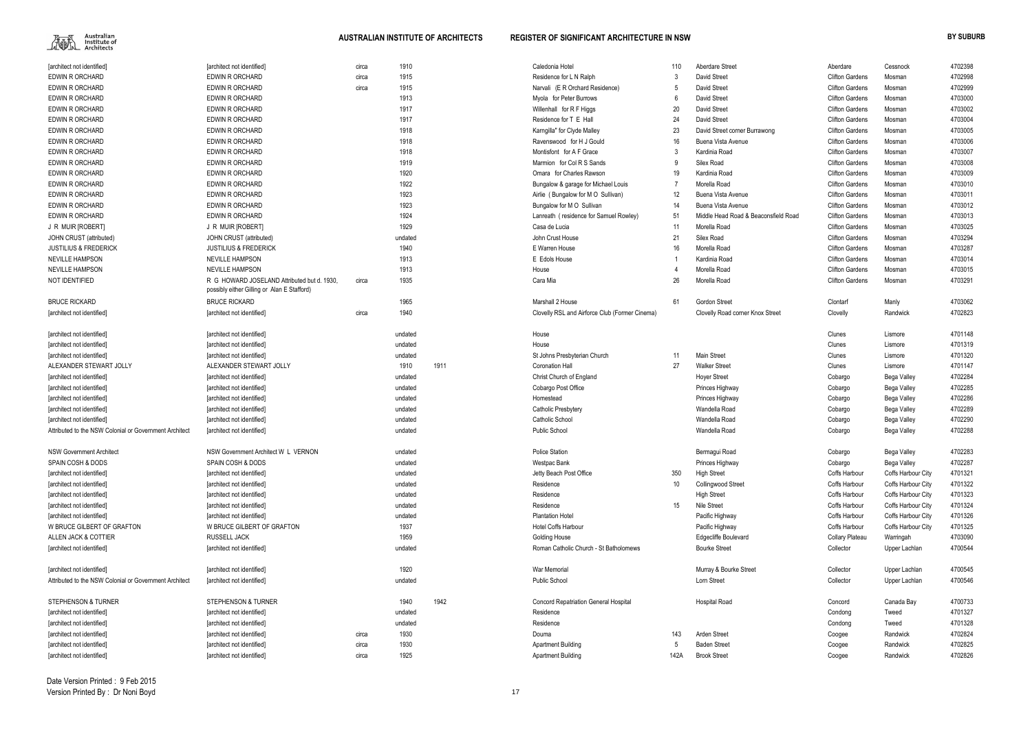

| [architect not identified]                             | [architect not identified]                                                                 | circa | 1910    |      | Caledonia Hotel                                | 110  | <b>Aberdare Street</b>               | Aberdare               | Cessnock           | 4702398 |
|--------------------------------------------------------|--------------------------------------------------------------------------------------------|-------|---------|------|------------------------------------------------|------|--------------------------------------|------------------------|--------------------|---------|
| <b>EDWIN R ORCHARD</b>                                 | EDWIN R ORCHARD                                                                            | circa | 1915    |      | Residence for L N Ralph                        | -3   | David Street                         | <b>Clifton Gardens</b> | Mosman             | 4702998 |
| <b>EDWIN R ORCHARD</b>                                 | EDWIN R ORCHARD                                                                            | circa | 1915    |      | Narvali (E R Orchard Residence)                | -5   | David Street                         | <b>Clifton Gardens</b> | Mosman             | 4702999 |
| <b>EDWIN R ORCHARD</b>                                 | <b>EDWIN R ORCHARD</b>                                                                     |       | 1913    |      | Myola for Peter Burrows                        | - 6  | David Street                         | <b>Clifton Gardens</b> | Mosman             | 4703000 |
| <b>EDWIN R ORCHARD</b>                                 | EDWIN R ORCHARD                                                                            |       | 1917    |      | Willenhall for R F Higgs                       | 20   | David Street                         | <b>Clifton Gardens</b> | Mosman             | 4703002 |
| <b>EDWIN R ORCHARD</b>                                 | <b>EDWIN R ORCHARD</b>                                                                     |       | 1917    |      | Residence for T E Hall                         | 24   | David Street                         | <b>Clifton Gardens</b> | Mosman             | 4703004 |
| EDWIN R ORCHARD                                        | EDWIN R ORCHARD                                                                            |       | 1918    |      | Karngilla" for Clyde Malley                    | 23   | David Street corner Burrawong        | <b>Clifton Gardens</b> | Mosman             | 4703005 |
| EDWIN R ORCHARD                                        | EDWIN R ORCHARD                                                                            |       | 1918    |      | Ravenswood for H J Gould                       | 16   | Buena Vista Avenue                   | <b>Clifton Gardens</b> | Mosman             | 4703006 |
| EDWIN R ORCHARD                                        | EDWIN R ORCHARD                                                                            |       | 1918    |      | Montisfont for A F Grace                       | -3   | Kardinia Road                        | <b>Clifton Gardens</b> | Mosman             | 4703007 |
| EDWIN R ORCHARD                                        | EDWIN R ORCHARD                                                                            |       | 1919    |      | Marmion for Col R S Sands                      | -9   | Silex Road                           | <b>Clifton Gardens</b> | Mosman             | 4703008 |
| EDWIN R ORCHARD                                        | EDWIN R ORCHARD                                                                            |       | 1920    |      | Omara for Charles Rawson                       | 19   | Kardinia Road                        | <b>Clifton Gardens</b> | Mosman             | 4703009 |
| EDWIN R ORCHARD                                        | EDWIN R ORCHARD                                                                            |       | 1922    |      | Bungalow & garage for Michael Louis            | -7   | Morella Road                         | <b>Clifton Gardens</b> | Mosman             | 4703010 |
| EDWIN R ORCHARD                                        | EDWIN R ORCHARD                                                                            |       | 1923    |      | Airlie (Bungalow for M O Sullivan)             | 12   | Buena Vista Avenue                   | <b>Clifton Gardens</b> | Mosman             | 4703011 |
| EDWIN R ORCHARD                                        | EDWIN R ORCHARD                                                                            |       | 1923    |      | Bungalow for M O Sullivan                      | 14   | Buena Vista Avenue                   | <b>Clifton Gardens</b> | Mosman             | 4703012 |
| EDWIN R ORCHARD                                        | EDWIN R ORCHARD                                                                            |       | 1924    |      | Lanreath (residence for Samuel Rowley)         | 51   | Middle Head Road & Beaconsfield Road | <b>Clifton Gardens</b> | Mosman             | 4703013 |
| J R MUIR [ROBERT]                                      | J R MUIR [ROBERT]                                                                          |       | 1929    |      | Casa de Lucia                                  | 11   | Morella Road                         | <b>Clifton Gardens</b> | Mosman             | 4703025 |
| JOHN CRUST (attributed)                                | JOHN CRUST (attributed)                                                                    |       | undated |      | John Crust House                               | 21   | Silex Road                           | <b>Clifton Gardens</b> | Mosman             | 4703294 |
| <b>JUSTILIUS &amp; FREDERICK</b>                       | <b>JUSTILIUS &amp; FREDERICK</b>                                                           |       | 1940    |      | E Warren House                                 | 16   | Morella Road                         | <b>Clifton Gardens</b> | Mosman             | 4703287 |
| <b>NEVILLE HAMPSON</b>                                 | <b>NEVILLE HAMPSON</b>                                                                     |       | 1913    |      | E Edols House                                  |      | Kardinia Road                        | <b>Clifton Gardens</b> | Mosman             | 4703014 |
| <b>NEVILLE HAMPSON</b>                                 | <b>NEVILLE HAMPSON</b>                                                                     |       | 1913    |      |                                                | 4    | Morella Road                         | <b>Clifton Gardens</b> |                    | 4703015 |
|                                                        |                                                                                            |       |         |      | House                                          |      |                                      |                        | Mosman             |         |
| NOT IDENTIFIED                                         | R G HOWARD JOSELAND Attributed but d. 1930,<br>possibly either Gilling or Alan E Stafford) | circa | 1935    |      | Cara Mia                                       | 26   | Morella Road                         | <b>Clifton Gardens</b> | Mosman             | 4703291 |
| <b>BRUCE RICKARD</b>                                   | <b>BRUCE RICKARD</b>                                                                       |       | 1965    |      | Marshall 2 House                               | 61   | <b>Gordon Street</b>                 | Clontarf               | Manly              | 4703062 |
| [architect not identified]                             | [architect not identified]                                                                 | circa | 1940    |      | Clovelly RSL and Airforce Club (Former Cinema) |      | Clovelly Road corner Knox Street     | Clovelly               | Randwick           | 4702823 |
| [architect not identified]                             | [architect not identified]                                                                 |       | undated |      | House                                          |      |                                      | Clunes                 | Lismore            | 4701148 |
| [architect not identified]                             | [architect not identified]                                                                 |       | undated |      | House                                          |      |                                      | Clunes                 | Lismore            | 4701319 |
| [architect not identified]                             | [architect not identified]                                                                 |       | undated |      | St Johns Presbyterian Church                   | 11   | Main Street                          | Clunes                 | Lismore            | 4701320 |
| ALEXANDER STEWART JOLLY                                | ALEXANDER STEWART JOLLY                                                                    |       | 1910    | 1911 | <b>Coronation Hall</b>                         | 27   | <b>Walker Street</b>                 | Clunes                 | Lismore            | 4701147 |
| [architect not identified]                             | [architect not identified]                                                                 |       | undated |      | Christ Church of England                       |      | <b>Hoyer Street</b>                  | Cobargo                | Bega Valley        | 4702284 |
| [architect not identified]                             | [architect not identified]                                                                 |       | undated |      | Cobargo Post Office                            |      | Princes Highway                      | Cobargo                | Bega Valley        | 4702285 |
| [architect not identified]                             | [architect not identified]                                                                 |       | undated |      | Homestead                                      |      | Princes Highway                      | Cobargo                | Bega Valley        | 4702286 |
| [architect not identified]                             | [architect not identified]                                                                 |       | undated |      | Catholic Presbytery                            |      | Wandella Road                        | Cobargo                | Bega Valley        | 4702289 |
| [architect not identified]                             | [architect not identified]                                                                 |       | undated |      | Catholic School                                |      | Wandella Road                        | Cobargo                | Bega Valley        | 4702290 |
| Attributed to the NSW Colonial or Government Architect | [architect not identified]                                                                 |       | undated |      | <b>Public School</b>                           |      | Wandella Road                        | Cobargo                | Bega Valley        | 4702288 |
| <b>NSW Government Architect</b>                        | NSW Government Architect W L VERNON                                                        |       | undated |      | <b>Police Station</b>                          |      | Bermagui Road                        | Cobargo                | Bega Valley        | 4702283 |
| SPAIN COSH & DODS                                      | SPAIN COSH & DODS                                                                          |       | undated |      | Westpac Bank                                   |      | Princes Highway                      | Cobargo                | Bega Valley        | 4702287 |
| [architect not identified]                             | [architect not identified]                                                                 |       | undated |      | Jetty Beach Post Office                        | 350  | <b>High Street</b>                   | Coffs Harbour          | Coffs Harbour City | 4701321 |
| [architect not identified]                             | [architect not identified]                                                                 |       | undated |      | Residence                                      | 10   | Collingwood Street                   | Coffs Harbour          | Coffs Harbour City | 4701322 |
| [architect not identified]                             | [architect not identified]                                                                 |       | undated |      | Residence                                      |      | <b>High Street</b>                   | Coffs Harbour          | Coffs Harbour City | 4701323 |
| [architect not identified]                             | [architect not identified]                                                                 |       | undated |      | Residence                                      | 15   | Nile Street                          | Coffs Harbour          | Coffs Harbour City | 4701324 |
| [architect not identified]                             | [architect not identified]                                                                 |       | undated |      | <b>Plantation Hotel</b>                        |      | Pacific Highway                      | Coffs Harbour          | Coffs Harbour City | 4701326 |
| W BRUCE GILBERT OF GRAFTON                             | W BRUCE GILBERT OF GRAFTON                                                                 |       | 1937    |      | <b>Hotel Coffs Harbour</b>                     |      | Pacific Highway                      | Coffs Harbour          | Coffs Harbour City | 4701325 |
| ALLEN JACK & COTTIER                                   | RUSSELL JACK                                                                               |       | 1959    |      | <b>Golding House</b>                           |      | <b>Edgecliffe Boulevard</b>          | <b>Collary Plateau</b> | Warringah          | 4703090 |
| [architect not identified]                             | [architect not identified]                                                                 |       | undated |      | Roman Catholic Church - St Batholomews         |      | <b>Bourke Street</b>                 | Collector              | Upper Lachlan      | 4700544 |
| [architect not identified]                             | [architect not identified]                                                                 |       | 1920    |      | War Memorial                                   |      | Murray & Bourke Street               | Collector              | Upper Lachlan      | 4700545 |
| Attributed to the NSW Colonial or Government Architect | [architect not identified]                                                                 |       | undated |      | Public School                                  |      | Lorn Street                          | Collector              | Upper Lachlan      | 4700546 |
| STEPHENSON & TURNER                                    | STEPHENSON & TURNER                                                                        |       | 1940    | 1942 | <b>Concord Repatriation General Hospital</b>   |      | <b>Hospital Road</b>                 | Concord                | Canada Bay         | 4700733 |
| [architect not identified]                             | [architect not identified]                                                                 |       | undated |      | Residence                                      |      |                                      | Condong                | Tweed              | 4701327 |
| [architect not identified]                             | [architect not identified]                                                                 |       | undated |      | Residence                                      |      |                                      | Condong                | Tweed              | 4701328 |
| [architect not identified]                             | [architect not identified]                                                                 | circa | 1930    |      | Douma                                          | 143  | Arden Street                         | Coogee                 | Randwick           | 4702824 |
| [architect not identified]                             | [architect not identified]                                                                 | circa | 1930    |      | <b>Apartment Building</b>                      | -5   | <b>Baden Street</b>                  | Coogee                 | Randwick           | 4702825 |
| [architect not identified]                             | [architect not identified]                                                                 | circa | 1925    |      | <b>Apartment Building</b>                      | 142A | <b>Brook Street</b>                  | Coogee                 | Randwick           | 4702826 |

Date Version Printed : 9 Feb 2015Version Printed By : Dr Noni Boyd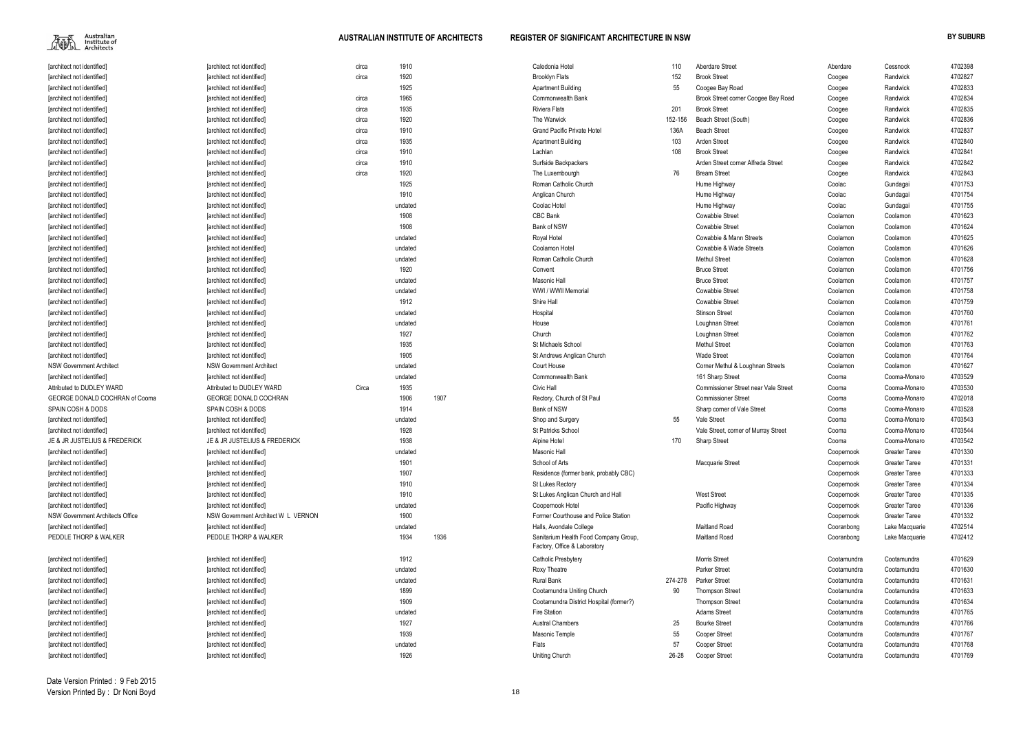Australian<br>Institute of<br>Architects 雁人

| [architect not identified]       | [architect not identified]          | circa | 1910    |      | Caledonia Hotel                                                       | 110     | Aberdare Street                             | Aberdare    | Cessnock             | 4702398 |
|----------------------------------|-------------------------------------|-------|---------|------|-----------------------------------------------------------------------|---------|---------------------------------------------|-------------|----------------------|---------|
| larchitect not identified]       | [architect not identified]          | circa | 1920    |      | <b>Brooklyn Flats</b>                                                 | 152     | <b>Brook Street</b>                         | Coogee      | Randwick             | 4702827 |
| [architect not identified]       | [architect not identified]          |       | 1925    |      | <b>Apartment Building</b>                                             | 55      | Coogee Bay Road                             | Coogee      | Randwick             | 4702833 |
| [architect not identified]       | [architect not identified]          | circa | 1965    |      | Commonwealth Bank                                                     |         | Brook Street corner Coogee Bay Road         | Coogee      | Randwick             | 4702834 |
| [architect not identified]       | [architect not identified]          | circa | 1935    |      | <b>Riviera Flats</b>                                                  | 201     | <b>Brook Street</b>                         | Coogee      | Randwick             | 4702835 |
| [architect not identified]       | [architect not identified]          | circa | 1920    |      | The Warwick                                                           | 152-156 | Beach Street (South)                        | Coogee      | Randwick             | 4702836 |
| [architect not identified]       | [architect not identified]          | circa | 1910    |      | <b>Grand Pacific Private Hotel</b>                                    | 136A    | <b>Beach Street</b>                         | Coogee      | Randwick             | 4702837 |
| [architect not identified]       | [architect not identified]          | circa | 1935    |      | <b>Apartment Building</b>                                             | 103     | <b>Arden Street</b>                         | Coogee      | Randwick             | 4702840 |
| [architect not identified]       | [architect not identified]          | circa | 1910    |      | Lachlan                                                               | 108     | <b>Brook Street</b>                         | Coogee      | Randwick             | 4702841 |
| [architect not identified]       | [architect not identified]          | circa | 1910    |      | Surfside Backpackers                                                  |         | Arden Street corner Alfreda Street          | Coogee      | Randwick             | 4702842 |
| [architect not identified]       | [architect not identified]          | circa | 1920    |      | The Luxembourgh                                                       | 76      | <b>Bream Street</b>                         | Coogee      | Randwick             | 4702843 |
| [architect not identified]       | [architect not identified]          |       | 1925    |      | Roman Catholic Church                                                 |         | Hume Highway                                | Coolac      | Gundagai             | 4701753 |
| [architect not identified]       | [architect not identified]          |       | 1910    |      | Anglican Church                                                       |         | Hume Highway                                | Coolac      | Gundagai             | 4701754 |
| [architect not identified]       | [architect not identified]          |       | undated |      | Coolac Hotel                                                          |         | Hume Highway                                | Coolac      | Gundagai             | 4701755 |
| [architect not identified]       | [architect not identified]          |       | 1908    |      | <b>CBC Bank</b>                                                       |         | <b>Cowabbie Street</b>                      | Coolamon    | Coolamon             | 4701623 |
| [architect not identified]       | [architect not identified]          |       | 1908    |      | Bank of NSW                                                           |         | <b>Cowabbie Street</b>                      | Coolamon    | Coolamon             | 4701624 |
| larchitect not identified]       | [architect not identified]          |       | undated |      | Royal Hotel                                                           |         | Cowabbie & Mann Streets                     | Coolamon    | Coolamon             | 4701625 |
| [architect not identified]       | [architect not identified]          |       | undated |      | Coolamon Hotel                                                        |         | Cowabbie & Wade Streets                     | Coolamon    | Coolamon             | 4701626 |
| [architect not identified]       | [architect not identified]          |       | undated |      | Roman Catholic Church                                                 |         | <b>Methul Street</b>                        | Coolamon    | Coolamon             | 4701628 |
| [architect not identified]       | [architect not identified]          |       | 1920    |      | Convent                                                               |         | <b>Bruce Street</b>                         | Coolamon    | Coolamon             | 4701756 |
| [architect not identified]       | [architect not identified]          |       | undated |      | Masonic Hall                                                          |         | <b>Bruce Street</b>                         | Coolamon    | Coolamon             | 4701757 |
| [architect not identified]       | [architect not identified]          |       | undated |      | WWI / WWII Memorial                                                   |         | <b>Cowabbie Street</b>                      | Coolamon    | Coolamon             | 4701758 |
| [architect not identified]       | [architect not identified]          |       | 1912    |      | Shire Hall                                                            |         | Cowabbie Street                             | Coolamon    | Coolamon             | 4701759 |
| [architect not identified]       | [architect not identified]          |       | undated |      | Hospital                                                              |         | <b>Stinson Street</b>                       | Coolamon    | Coolamon             | 4701760 |
| [architect not identified]       | [architect not identified]          |       | undated |      | House                                                                 |         | Loughnan Street                             | Coolamon    | Coolamon             | 4701761 |
| [architect not identified]       | [architect not identified]          |       | 1927    |      | Church                                                                |         | Loughnan Street                             | Coolamon    | Coolamon             | 4701762 |
| [architect not identified]       | [architect not identified]          |       | 1935    |      | St Michaels School                                                    |         | <b>Methul Street</b>                        | Coolamon    | Coolamon             | 4701763 |
| [architect not identified]       | [architect not identified]          |       | 1905    |      | St Andrews Anglican Church                                            |         | <b>Wade Street</b>                          | Coolamon    | Coolamon             | 4701764 |
| NSW Government Architect         | <b>NSW Government Architect</b>     |       | undated |      | Court House                                                           |         | Corner Methul & Loughnan Streets            | Coolamon    | Coolamon             | 4701627 |
| [architect not identified]       | [architect not identified]          |       | undated |      | <b>Commonwealth Bank</b>                                              |         | 161 Sharp Street                            | Cooma       | Cooma-Monaro         | 4703529 |
| Attributed to DUDLEY WARD        | Attributed to DUDLEY WARD           | Circa | 1935    |      | Civic Hall                                                            |         | <b>Commissioner Street near Vale Street</b> | Cooma       | Cooma-Monaro         | 4703530 |
| GEORGE DONALD COCHRAN of Cooma   | GEORGE DONALD COCHRAN               |       | 1906    | 1907 | Rectory, Church of St Paul                                            |         | <b>Commissioner Street</b>                  | Cooma       | Cooma-Monaro         | 4702018 |
| <b>SPAIN COSH &amp; DODS</b>     | SPAIN COSH & DODS                   |       | 1914    |      | Bank of NSW                                                           |         | Sharp corner of Vale Street                 | Cooma       | Cooma-Monaro         | 4703528 |
| [architect not identified]       | [architect not identified]          |       | undated |      | Shop and Surgery                                                      | 55      | Vale Street                                 | Cooma       | Cooma-Monaro         | 4703543 |
| [architect not identified]       | [architect not identified]          |       | 1928    |      | St Patricks School                                                    |         | Vale Street, corner of Murray Street        | Cooma       | Cooma-Monaro         | 4703544 |
| JE & JR JUSTELIUS & FREDERICK    | JE & JR JUSTELIUS & FREDERICK       |       | 1938    |      | Alpine Hotel                                                          | 170     | <b>Sharp Street</b>                         | Cooma       | Cooma-Monaro         | 4703542 |
| [architect not identified]       | [architect not identified]          |       | undated |      | Masonic Hall                                                          |         |                                             | Coopernook  | <b>Greater Taree</b> | 4701330 |
| [architect not identified]       | [architect not identified]          |       | 1901    |      | School of Arts                                                        |         | Macquarie Street                            | Coopernook  | <b>Greater Taree</b> | 4701331 |
| [architect not identified]       | [architect not identified]          |       | 1907    |      | Residence (former bank, probably CBC)                                 |         |                                             | Coopernook  | <b>Greater Taree</b> | 4701333 |
| [architect not identified]       | farchitect not identified]          |       | 1910    |      | St Lukes Rectory                                                      |         |                                             | Coopernook  | <b>Greater Taree</b> | 4701334 |
| [architect not identified]       | [architect not identified]          |       | 1910    |      | St Lukes Anglican Church and Hall                                     |         | <b>West Street</b>                          | Coopernook  | <b>Greater Taree</b> | 4701335 |
| [architect not identified]       | [architect not identified]          |       | undated |      | Coopernook Hotel                                                      |         | Pacific Highway                             | Coopernook  | <b>Greater Taree</b> | 4701336 |
| NSW Government Architects Office | NSW Government Architect W L VERNON |       | 1900    |      | Former Courthouse and Police Station                                  |         |                                             | Coopernook  | <b>Greater Taree</b> | 4701332 |
| [architect not identified]       | [architect not identified]          |       | undated |      | Halls, Avondale College                                               |         | Maitland Road                               | Cooranbong  | Lake Macquarie       | 4702514 |
| PEDDLE THORP & WALKER            | PEDDLE THORP & WALKER               |       | 1934    | 1936 | Sanitarium Health Food Company Group,<br>Factory, Office & Laboratory |         | <b>Maitland Road</b>                        | Cooranbong  | Lake Macquarie       | 4702412 |
| [architect not identified]       | [architect not identified]          |       | 1912    |      | Catholic Presbytery                                                   |         | <b>Morris Street</b>                        | Cootamundra | Cootamundra          | 4701629 |
| [architect not identified]       | [architect not identified]          |       | undated |      | Roxy Theatre                                                          |         | <b>Parker Street</b>                        | Cootamundra | Cootamundra          | 4701630 |
| [architect not identified]       | [architect not identified]          |       | undated |      | <b>Rural Bank</b>                                                     | 274-278 | <b>Parker Street</b>                        | Cootamundra | Cootamundra          | 4701631 |
| [architect not identified]       | [architect not identified]          |       | 1899    |      | Cootamundra Uniting Church                                            | 90      | <b>Thompson Street</b>                      | Cootamundra | Cootamundra          | 4701633 |
| [architect not identified]       | [architect not identified]          |       | 1909    |      | Cootamundra District Hospital (former?)                               |         | <b>Thompson Street</b>                      | Cootamundra | Cootamundra          | 4701634 |
| [architect not identified]       | [architect not identified]          |       | undated |      | Fire Station                                                          |         | <b>Adams Street</b>                         | Cootamundra | Cootamundra          | 4701765 |
| [architect not identified]       | [architect not identified]          |       | 1927    |      | <b>Austral Chambers</b>                                               | 25      | <b>Bourke Street</b>                        | Cootamundra | Cootamundra          | 4701766 |
| [architect not identified]       | [architect not identified]          |       | 1939    |      | Masonic Temple                                                        | 55      | <b>Cooper Street</b>                        | Cootamundra | Cootamundra          | 4701767 |
| [architect not identified]       | [architect not identified]          |       | undated |      | Flats                                                                 | 57      | <b>Cooper Street</b>                        | Cootamundra | Cootamundra          | 4701768 |
| [architect not identified]       | [architect not identified]          |       | 1926    |      | <b>Uniting Church</b>                                                 | 26-28   | <b>Cooper Street</b>                        | Cootamundra | Cootamundra          | 4701769 |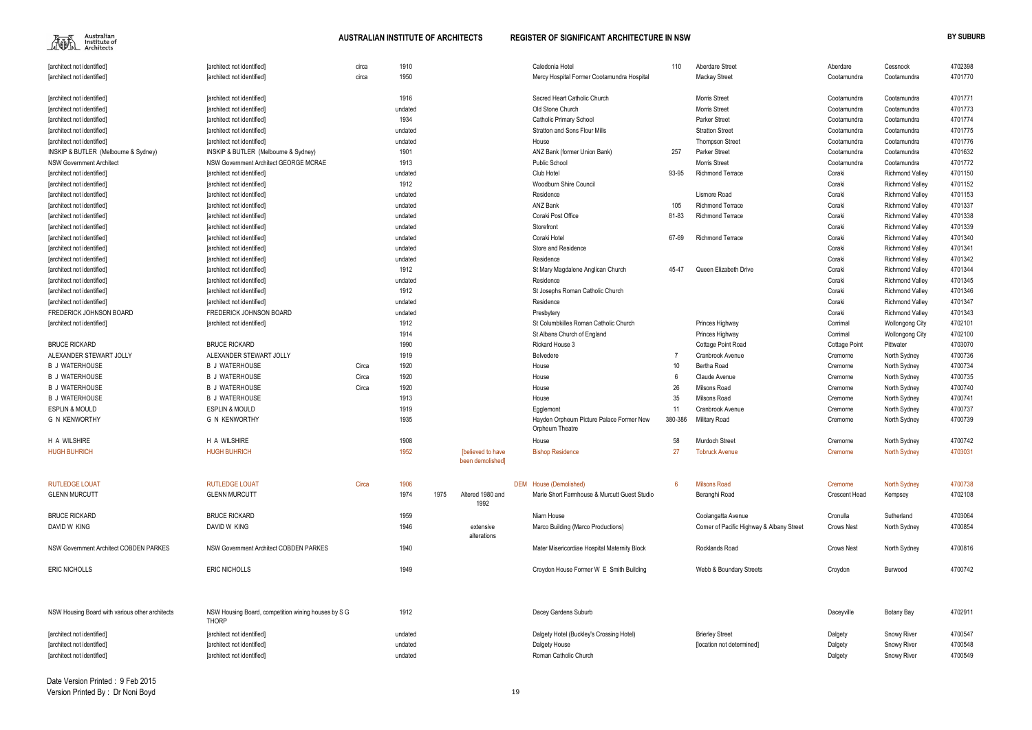| [architect not identified]                      | [architect not identified]                                          | circa | 1910    |      |                                       | Caledonia Hotel                              | 110     | Aberdare Street                           | Aberdare             | Cessnock                     | 4702398 |
|-------------------------------------------------|---------------------------------------------------------------------|-------|---------|------|---------------------------------------|----------------------------------------------|---------|-------------------------------------------|----------------------|------------------------------|---------|
| [architect not identified]                      | [architect not identified]                                          | circa | 1950    |      |                                       | Mercy Hospital Former Cootamundra Hospital   |         | <b>Mackay Street</b>                      | Cootamundra          | Cootamundra                  | 4701770 |
| [architect not identified]                      | [architect not identified]                                          |       | 1916    |      |                                       | Sacred Heart Catholic Church                 |         | <b>Morris Street</b>                      | Cootamundra          | Cootamundra                  | 4701771 |
| [architect not identified]                      | [architect not identified]                                          |       | undated |      |                                       | Old Stone Church                             |         | <b>Morris Street</b>                      | Cootamundra          | Cootamundra                  | 4701773 |
| [architect not identified]                      | [architect not identified]                                          |       | 1934    |      |                                       | <b>Catholic Primary School</b>               |         | <b>Parker Street</b>                      | Cootamundra          | Cootamundra                  | 4701774 |
| [architect not identified]                      | [architect not identified]                                          |       | undated |      |                                       | <b>Stratton and Sons Flour Mills</b>         |         | <b>Stratton Street</b>                    | Cootamundra          | Cootamundra                  | 4701775 |
| [architect not identified]                      | [architect not identified]                                          |       | undated |      |                                       | House                                        |         | <b>Thompson Street</b>                    | Cootamundra          | Cootamundra                  | 4701776 |
| INSKIP & BUTLER (Melbourne & Sydney)            | INSKIP & BUTLER (Melbourne & Sydney)                                |       | 1901    |      |                                       | ANZ Bank (former Union Bank)                 | 257     | <b>Parker Street</b>                      | Cootamundra          | Cootamundra                  | 4701632 |
| <b>NSW Government Architect</b>                 | NSW Government Architect GEORGE MCRAE                               |       | 1913    |      |                                       | <b>Public School</b>                         |         | <b>Morris Street</b>                      | Cootamundra          | Cootamundra                  | 4701772 |
| [architect not identified]                      | [architect not identified]                                          |       | undated |      |                                       | Club Hotel                                   | 93-95   | <b>Richmond Terrace</b>                   | Coraki               | <b>Richmond Valley</b>       | 4701150 |
| [architect not identified]                      | [architect not identified]                                          |       | 1912    |      |                                       | <b>Woodburn Shire Council</b>                |         |                                           | Coraki               | <b>Richmond Valley</b>       | 4701152 |
| [architect not identified]                      | [architect not identified]                                          |       | undated |      |                                       | Residence                                    |         | Lismore Road                              | Coraki               | <b>Richmond Valley</b>       | 4701153 |
| [architect not identified]                      | [architect not identified]                                          |       | undated |      |                                       | ANZ Bank                                     | 105     | <b>Richmond Terrace</b>                   | Coraki               | <b>Richmond Valley</b>       | 4701337 |
| [architect not identified]                      | [architect not identified]                                          |       | undated |      |                                       | Coraki Post Office                           | 81-83   | Richmond Terrace                          | Coraki               | <b>Richmond Valley</b>       | 4701338 |
| [architect not identified]                      | [architect not identified]                                          |       | undated |      |                                       | Storefront                                   |         |                                           | Coraki               | <b>Richmond Valley</b>       | 4701339 |
| [architect not identified]                      | [architect not identified]                                          |       | undated |      |                                       | Coraki Hotel                                 | 67-69   | <b>Richmond Terrace</b>                   | Coraki               | <b>Richmond Valley</b>       | 4701340 |
| [architect not identified]                      | [architect not identified]                                          |       | undated |      |                                       | <b>Store and Residence</b>                   |         |                                           | Coraki               | <b>Richmond Valley</b>       | 4701341 |
| [architect not identified]                      | [architect not identified]                                          |       | undated |      |                                       | Residence                                    |         |                                           | Coraki               | <b>Richmond Valley</b>       | 4701342 |
| [architect not identified]                      | [architect not identified]                                          |       | 1912    |      |                                       | St Mary Magdalene Anglican Church            | 45-47   | Queen Elizabeth Drive                     | Coraki               | <b>Richmond Valley</b>       | 4701344 |
| [architect not identified]                      | [architect not identified]                                          |       | undated |      |                                       | Residence                                    |         |                                           | Coraki               | <b>Richmond Valley</b>       | 4701345 |
| [architect not identified]                      | [architect not identified]                                          |       | 1912    |      |                                       | St Josephs Roman Catholic Church             |         |                                           | Coraki               | <b>Richmond Valley</b>       | 4701346 |
| [architect not identified]                      | [architect not identified]                                          |       | undated |      |                                       | Residence                                    |         |                                           | Coraki               | <b>Richmond Valley</b>       | 4701347 |
| FREDERICK JOHNSON BOARD                         | FREDERICK JOHNSON BOARD                                             |       | undated |      |                                       | Presbytery                                   |         |                                           | Coraki               | <b>Richmond Valley</b>       | 4701343 |
| [architect not identified]                      | [architect not identified]                                          |       | 1912    |      |                                       | St Columbkilles Roman Catholic Church        |         | Princes Highway                           | Corrimal             | <b>Wollongong City</b>       | 4702101 |
|                                                 |                                                                     |       | 1914    |      |                                       | St Albans Church of England                  |         | Princes Highway                           | Corrimal             | <b>Wollongong City</b>       | 4702100 |
| <b>BRUCE RICKARD</b>                            | <b>BRUCE RICKARD</b>                                                |       | 1990    |      |                                       | Rickard House 3                              |         | Cottage Point Road                        | <b>Cottage Point</b> | Pittwater                    | 4703070 |
| ALEXANDER STEWART JOLLY                         | ALEXANDER STEWART JOLLY                                             |       | 1919    |      |                                       | Belvedere                                    |         | Cranbrook Avenue                          | Cremorne             | North Sydney                 | 4700736 |
| <b>B J WATERHOUSE</b>                           | <b>B J WATERHOUSE</b>                                               | Circa | 1920    |      |                                       | House                                        | 10      | Bertha Road                               | Cremorne             |                              | 4700734 |
| <b>B J WATERHOUSE</b>                           | <b>B J WATERHOUSE</b>                                               | Circa | 1920    |      |                                       | House                                        |         | Claude Avenue                             | Cremorne             | North Sydney<br>North Sydney | 4700735 |
| <b>B J WATERHOUSE</b>                           | <b>B J WATERHOUSE</b>                                               | Circa | 1920    |      |                                       | House                                        | 26      | Milsons Road                              | Cremorne             | North Sydney                 | 4700740 |
| <b>B J WATERHOUSE</b>                           | <b>B J WATERHOUSE</b>                                               |       | 1913    |      |                                       | House                                        | 35      | Milsons Road                              | Cremorne             | North Sydney                 | 4700741 |
| <b>ESPLIN &amp; MOULD</b>                       | <b>ESPLIN &amp; MOULD</b>                                           |       | 1919    |      |                                       | Egglemont                                    | 11      | Cranbrook Avenue                          | Cremorne             | North Sydney                 | 4700737 |
| <b>G N KENWORTHY</b>                            | G N KENWORTHY                                                       |       | 1935    |      |                                       | Hayden Orpheum Picture Palace Former New     | 380-386 | Military Road                             | Cremorne             | North Sydney                 | 4700739 |
|                                                 |                                                                     |       |         |      |                                       | Orpheum Theatre                              |         |                                           |                      |                              |         |
| H A WILSHIRE                                    | H A WILSHIRE                                                        |       | 1908    |      |                                       | House                                        | 58      | <b>Murdoch Street</b>                     | Cremorne             | North Sydney                 | 4700742 |
| <b>HUGH BUHRICH</b>                             | <b>HUGH BUHRICH</b>                                                 |       | 1952    |      | [believed to have<br>been demolished] | <b>Bishop Residence</b>                      | 27      | <b>Tobruck Avenue</b>                     | Cremorne             | North Sydney                 | 4703031 |
| <b>RUTLEDGE LOUAT</b>                           | <b>RUTLEDGE LOUAT</b>                                               | Circa | 1906    |      |                                       | DEM House (Demolished)                       | -6      | <b>Milsons Road</b>                       | Cremorne             | North Sydney                 | 4700738 |
| <b>GLENN MURCUTT</b>                            | <b>GLENN MURCUTT</b>                                                |       | 1974    | 1975 | Altered 1980 and                      | Marie Short Farmhouse & Murcutt Guest Studio |         | Beranghi Road                             | Crescent Head        | Kempsey                      | 4702108 |
|                                                 |                                                                     |       |         |      | 1992                                  |                                              |         |                                           |                      |                              |         |
| <b>BRUCE RICKARD</b>                            | <b>BRUCE RICKARD</b>                                                |       | 1959    |      |                                       | Niarn House                                  |         | Coolangatta Avenue                        | Cronulla             | Sutherland                   | 4703064 |
| DAVID W KING                                    | DAVID W KING                                                        |       | 1946    |      | extensive<br>alterations              | Marco Building (Marco Productions)           |         | Corner of Pacific Highway & Albany Street | <b>Crows Nest</b>    | North Sydney                 | 4700854 |
| NSW Government Architect COBDEN PARKES          | <b>NSW Government Architect COBDEN PARKES</b>                       |       | 1940    |      |                                       | Mater Misericordiae Hospital Maternity Block |         | Rocklands Road                            | Crows Nest           | North Sydney                 | 4700816 |
| <b>ERIC NICHOLLS</b>                            | <b>ERIC NICHOLLS</b>                                                |       | 1949    |      |                                       | Croydon House Former W E Smith Building      |         | Webb & Boundary Streets                   | Croydon              | Burwood                      | 4700742 |
| NSW Housing Board with various other architects | NSW Housing Board, competition wining houses by S G<br><b>THORP</b> |       | 1912    |      |                                       | Dacey Gardens Suburb                         |         |                                           | Daceyville           | Botany Bay                   | 4702911 |
| [architect not identified]                      | [architect not identified]                                          |       | undated |      |                                       | Dalgety Hotel (Buckley's Crossing Hotel)     |         | <b>Brierley Street</b>                    | Dalgety              | <b>Snowy River</b>           | 4700547 |
| [architect not identified]                      | [architect not identified]                                          |       | undated |      |                                       | Dalgety House                                |         | [location not determined]                 | Dalgety              | Snowy River                  | 4700548 |
| [architect not identified]                      | [architect not identified]                                          |       | undated |      |                                       | Roman Catholic Church                        |         |                                           | Dalgety              | Snowy River                  | 4700549 |
|                                                 |                                                                     |       |         |      |                                       |                                              |         |                                           |                      |                              |         |

| 110            | <b>Aberdare Street</b>                    | Aberdare             | Cessnock               | 4702398 |
|----------------|-------------------------------------------|----------------------|------------------------|---------|
|                | <b>Mackay Street</b>                      | Cootamundra          | Cootamundra            | 4701770 |
|                | Morris Street                             | Cootamundra          | Cootamundra            | 4701771 |
|                | Morris Street                             | Cootamundra          | Cootamundra            | 4701773 |
|                | Parker Street                             | Cootamundra          | Cootamundra            | 4701774 |
|                | <b>Stratton Street</b>                    | Cootamundra          | Cootamundra            | 4701775 |
|                | <b>Thompson Street</b>                    | Cootamundra          | Cootamundra            | 4701776 |
| 257            | <b>Parker Street</b>                      | Cootamundra          | Cootamundra            | 4701632 |
|                | Morris Street                             | Cootamundra          | Cootamundra            | 4701772 |
| 93-95          | Richmond Terrace                          | Coraki               | <b>Richmond Valley</b> | 4701150 |
|                |                                           | Coraki               | <b>Richmond Valley</b> | 4701152 |
|                | Lismore Road                              | Coraki               | <b>Richmond Valley</b> | 4701153 |
| 105            | <b>Richmond Terrace</b>                   | Coraki               | <b>Richmond Valley</b> | 4701337 |
| 81-83          | Richmond Terrace                          | Coraki               | <b>Richmond Valley</b> | 4701338 |
|                |                                           | Coraki               | <b>Richmond Valley</b> | 4701339 |
| 67-69          | <b>Richmond Terrace</b>                   | Coraki               | <b>Richmond Valley</b> | 4701340 |
|                |                                           | Coraki               | <b>Richmond Valley</b> | 4701341 |
|                |                                           | Coraki               | <b>Richmond Valley</b> | 4701342 |
| 45-47          | Queen Elizabeth Drive                     | Coraki               | <b>Richmond Valley</b> | 4701344 |
|                |                                           | Coraki               | <b>Richmond Valley</b> | 4701345 |
|                |                                           | Coraki               | <b>Richmond Valley</b> | 4701346 |
|                |                                           | Coraki               | <b>Richmond Valley</b> | 4701347 |
|                |                                           | Coraki               | <b>Richmond Valley</b> | 4701343 |
|                | Princes Highway                           | Corrimal             | <b>Wollongong City</b> | 4702101 |
|                | Princes Highway                           | Corrimal             | <b>Wollongong City</b> | 4702100 |
|                | <b>Cottage Point Road</b>                 | <b>Cottage Point</b> | Pittwater              | 4703070 |
| $\overline{7}$ | Cranbrook Avenue                          | Cremorne             | North Sydney           | 4700736 |
| 10             | Bertha Road                               | Cremorne             | North Sydney           | 4700734 |
| 6              | Claude Avenue                             | Cremorne             | North Sydney           | 4700735 |
| 26             | Milsons Road                              | Cremorne             | North Sydney           | 4700740 |
| 35             | Milsons Road                              | Cremorne             | North Sydney           | 4700741 |
| 11             | Cranbrook Avenue                          | Cremorne             | North Sydney           | 4700737 |
| 380-386        | Military Road                             | Cremorne             | North Sydney           | 4700739 |
| 58             | Murdoch Street                            | Cremorne             | North Sydney           | 4700742 |
| 27             | <b>Tobruck Avenue</b>                     | Cremorne             | <b>North Sydney</b>    | 4703031 |
| 6              | <b>Milsons Road</b>                       | Cremorne             |                        | 4700738 |
|                |                                           | Crescent Head        | <b>North Sydney</b>    | 4702108 |
|                | Beranghi Road                             |                      | Kempsey                |         |
|                | Coolangatta Avenue                        | Cronulla             | Sutherland             | 4703064 |
|                | Corner of Pacific Highway & Albany Street | <b>Crows Nest</b>    | North Sydney           | 4700854 |
|                | Rocklands Road                            | <b>Crows Nest</b>    | North Sydney           | 4700816 |
|                | Webb & Boundary Streets                   | Croydon              | Burwood                | 4700742 |
|                |                                           | Daceyville           | Botany Bay             | 4702911 |
|                |                                           |                      |                        |         |
|                | <b>Brierley Street</b>                    | Dalgety              | Snowy River            | 4700547 |
|                | [location not determined]                 | Dalgety              | Snowy River            | 4700548 |
|                |                                           | Dalgety              | Snowy River            | 4700549 |
|                |                                           |                      |                        |         |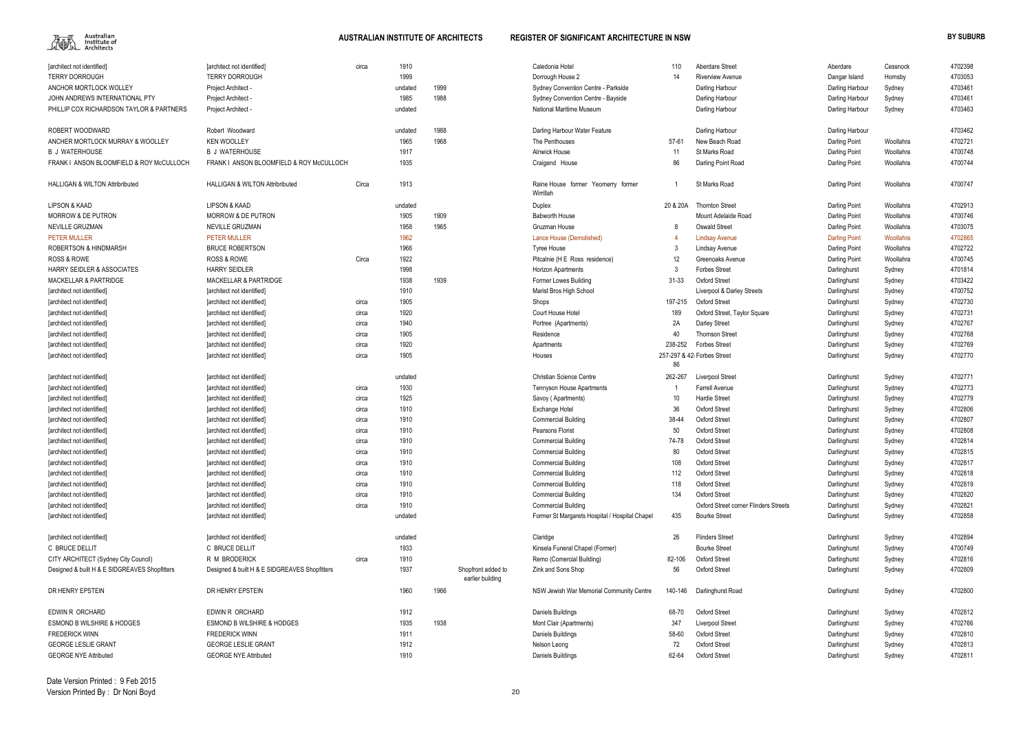

| 10             | Aberdare Street                              | Aberdare             | Cessnock  | 4702398 |
|----------------|----------------------------------------------|----------------------|-----------|---------|
| 4              | <b>Riverview Avenue</b>                      | Dangar Island        | Hornsby   | 4703053 |
|                |                                              |                      |           |         |
|                | Darling Harbour                              | Darling Harbour      | Sydney    | 4703461 |
|                | Darling Harbour                              | Darling Harbour      | Sydney    | 4703461 |
|                | Darling Harbour                              | Darling Harbour      | Sydney    | 4703463 |
|                | Darling Harbour                              | Darling Harbour      |           | 4703462 |
| -61            | New Beach Road                               | Darling Point        | Woollahra | 4702721 |
| 1              | St Marks Road                                | Darling Point        | Woollahra | 4700748 |
| 16             | Darling Point Road                           | Darling Point        | Woollahra | 4700744 |
| 1              | <b>St Marks Road</b>                         | Darling Point        | Woollahra | 4700747 |
| ، 20A          | <b>Thornton Street</b>                       | Darling Point        | Woollahra | 4702913 |
|                | Mount Adelaide Road                          | Darling Point        | Woollahra | 4700746 |
| В              | <b>Oswald Street</b>                         | Darling Point        | Woollahra | 4703075 |
| 4              | <b>Lindsay Avenue</b>                        | <b>Darling Point</b> | Woollahra | 4702865 |
| 3              | Lindsay Avenue                               | Darling Point        | Woollahra | 4702722 |
| 2              | Greenoaks Avenue                             | Darling Point        | Woollahra | 4700745 |
| 3              | <b>Forbes Street</b>                         | Darlinghurst         | Sydney    | 4701814 |
| -33            | <b>Oxford Street</b>                         | Darlinghurst         | Sydney    | 4703422 |
|                | Liverpool & Darley Streets                   | Darlinghurst         | Sydney    | 4700752 |
| -215           | <b>Oxford Street</b>                         | Darlinghurst         | Sydney    | 4702730 |
| 89             | Oxford Street, Taylor Square                 | Darlinghurst         | Sydney    | 4702731 |
| Α              | Darley Street                                | Darlinghurst         | Sydney    | 4702767 |
| ۰0             | <b>Thomson Street</b>                        | Darlinghurst         | Sydney    | 4702768 |
| -252           | <b>Forbes Street</b>                         | Darlinghurst         | Sydney    | 4702769 |
|                | 37 & 42 Forbes Street                        | Darlinghurst         | Sydney    | 4702770 |
| 16             |                                              |                      |           |         |
| -267           | Liverpool Street                             | Darlinghurst         | Sydney    | 4702771 |
| 1              | <b>Farrell Avenue</b>                        | Darlinghurst         | Sydney    | 4702773 |
| 0              | <b>Hardie Street</b>                         | Darlinghurst         | Sydney    | 4702779 |
| 16             | Oxford Street                                | Darlinghurst         | Sydney    | 4702806 |
| -44            | Oxford Street                                | Darlinghurst         | Sydney    | 4702807 |
| i0             | <b>Oxford Street</b>                         | Darlinghurst         | Sydney    | 4702808 |
| -78            | <b>Oxford Street</b>                         | Darlinghurst         | Sydney    | 4702814 |
| O,             | Oxford Street                                | Darlinghurst         | Sydney    | 4702815 |
| 08             | Oxford Street                                | Darlinghurst         | Sydney    | 4702817 |
| 12             | <b>Oxford Street</b>                         | Darlinghurst         | Sydney    | 4702818 |
| 18             | <b>Oxford Street</b>                         | Darlinghurst         | Sydney    | 4702819 |
| 34             | Oxford Street                                | Darlinghurst         | Sydney    | 4702820 |
|                | <b>Oxford Street corner Flinders Streets</b> | Darlinghurst         | Sydney    | 4702821 |
| 35             | <b>Bourke Street</b>                         | Darlinghurst         | Sydney    | 4702858 |
| 0              | <b>Flinders Street</b>                       | Darlinghurst         | Sydney    | 4702894 |
|                | <b>Bourke Street</b>                         | Darlinghurst         | Sydney    | 4700749 |
| 106            | <b>Oxford Street</b>                         | Darlinghurst         | Sydney    | 4702816 |
| i6             | Oxford Street                                | Darlinghurst         |           | 4702809 |
|                |                                              |                      | Sydney    |         |
| -146           | Darlinghurst Road                            | Darlinghurst         | Sydney    | 4702800 |
| -70            | <b>Oxford Street</b>                         | Darlinghurst         | Sydney    | 4702812 |
| 47             | Liverpool Street                             | Darlinghurst         | Sydney    | 4702766 |
| -60            | <b>Oxford Street</b>                         | Darlinghurst         | Sydney    | 4702810 |
| $\overline{2}$ | <b>Oxford Street</b>                         | Darlinghurst         | Sydney    | 4702813 |
| -64            | <b>Oxford Street</b>                         | Darlinghurst         | Sydney    | 4702811 |
|                |                                              |                      |           |         |

| [architect not identified]<br><b>TERRY DORROUGH</b> | [architect not identified]<br><b>TERRY DORROUGH</b> | circa | 1910<br>1999 |      |                    | Caledonia Hotel<br>Dorrough House 2             | 110<br>14 | Aberdare Street<br><b>Riverview Avenue</b> | Aberdare<br>Dangar Island | Cessnock<br>Hornsby | 4702398<br>4703053 |
|-----------------------------------------------------|-----------------------------------------------------|-------|--------------|------|--------------------|-------------------------------------------------|-----------|--------------------------------------------|---------------------------|---------------------|--------------------|
| ANCHOR MORTLOCK WOLLEY                              | Project Architect                                   |       | undated      | 1999 |                    | Sydney Convention Centre - Parkside             |           | Darling Harbour                            | Darling Harbour           |                     | 4703461            |
|                                                     |                                                     |       |              |      |                    |                                                 |           |                                            |                           | Sydney              | 4703461            |
| JOHN ANDREWS INTERNATIONAL PTY                      | Project Architect                                   |       | 1985         | 1988 |                    | Sydney Convention Centre - Bayside              |           | Darling Harbour                            | Darling Harbour           | Sydney              |                    |
| PHILLIP COX RICHARDSON TAYLOR & PARTNERS            | Project Architect -                                 |       | undated      |      |                    | National Maritime Museum                        |           | Darling Harbour                            | Darling Harbour           | Sydney              | 4703463            |
| ROBERT WOODWARD                                     | Robert Woodward                                     |       | undated      | 1988 |                    | Darling Harbour Water Feature                   |           | Darling Harbour                            | Darling Harbour           |                     | 4703462            |
| ANCHER MORTLOCK MURRAY & WOOLLEY                    | <b>KEN WOOLLEY</b>                                  |       | 1965         | 1968 |                    | The Penthouses                                  | $57 - 61$ | New Beach Road                             | <b>Darling Point</b>      | Woollahra           | 4702721            |
| B J WATERHOUSE                                      | <b>B J WATERHOUSE</b>                               |       | 1917         |      |                    | <b>Alnwick House</b>                            | 11        | <b>St Marks Road</b>                       | Darling Point             | Woollahra           | 4700748            |
| FRANK I ANSON BLOOMFIELD & ROY McCULLOCH            | FRANK I ANSON BLOOMFIELD & ROY McCULLOCH            |       | 1935         |      |                    | Craigend House                                  | 86        | Darling Point Road                         | Darling Point             | Woollahra           | 4700744            |
| <b>HALLIGAN &amp; WILTON Attribributed</b>          | <b>HALLIGAN &amp; WILTON Attribributed</b>          | Circa | 1913         |      |                    | Raine House former Yeomerry former<br>Wirrillah |           | St Marks Road                              | Darling Point             | Woollahra           | 4700747            |
| LIPSON & KAAD                                       | <b>LIPSON &amp; KAAD</b>                            |       | undated      |      |                    | Duplex                                          | 20 & 20A  | <b>Thornton Street</b>                     | Darling Point             | Woollahra           | 4702913            |
| <b>MORROW &amp; DE PUTRON</b>                       | <b>MORROW &amp; DE PUTRON</b>                       |       | 1905         | 1909 |                    | Babworth House                                  |           | Mount Adelaide Road                        | Darling Point             | Woollahra           | 4700746            |
| <b>NEVILLE GRUZMAN</b>                              | NEVILLE GRUZMAN                                     |       | 1958         | 1965 |                    | Gruzman House                                   |           | <b>Oswald Street</b>                       | <b>Darling Point</b>      | Woollahra           | 4703075            |
| <b>PETER MULLER</b>                                 | <b>PETER MULLER</b>                                 |       | 1962         |      |                    | Lance House (Demolished)                        |           | <b>Lindsay Avenue</b>                      | <b>Darling Point</b>      | Woollahra           | 4702865            |
| <b>ROBERTSON &amp; HINDMARSH</b>                    | <b>BRUCE ROBERTSON</b>                              |       | 1966         |      |                    | <b>Tyree House</b>                              |           | Lindsay Avenue                             | Darling Point             | Woollahra           | 4702722            |
| <b>ROSS &amp; ROWE</b>                              | <b>ROSS &amp; ROWE</b>                              | Circa | 1922         |      |                    | Pitcalnie (H E Ross residence)                  | 12        | Greenoaks Avenue                           | Darling Point             | Woollahra           | 4700745            |
| <b>HARRY SEIDLER &amp; ASSOCIATES</b>               | <b>HARRY SEIDLER</b>                                |       | 1998         |      |                    | Horizon Apartments                              |           | <b>Forbes Street</b>                       | Darlinghurst              | Sydney              | 4701814            |
| <b>MACKELLAR &amp; PARTRIDGE</b>                    | <b>MACKELLAR &amp; PARTRIDGE</b>                    |       | 1938         | 1939 |                    | Former Lowes Building                           | $31 - 33$ | Oxford Street                              | Darlinghurst              | Sydney              | 4703422            |
| [architect not identified]                          | [architect not identified]                          |       | 1910         |      |                    | Marist Bros High School                         |           | Liverpool & Darley Streets                 | Darlinghurst              | Sydney              | 4700752            |
| [architect not identified]                          | [architect not identified]                          | circa | 1905         |      |                    | Shops                                           | 197-215   | <b>Oxford Street</b>                       | Darlinghurst              | Sydney              | 4702730            |
| [architect not identified]                          | [architect not identified]                          | circa | 1920         |      |                    | Court House Hotel                               | 189       | Oxford Street, Taylor Square               | Darlinghurst              | Sydney              | 4702731            |
| [architect not identified]                          | [architect not identified]                          | circa | 1940         |      |                    | Portree (Apartments)                            | 2A        | Darley Street                              | Darlinghurst              | Sydney              | 4702767            |
|                                                     | [architect not identified]                          | circa | 1905         |      |                    | Residence                                       | 40        | <b>Thomson Street</b>                      | Darlinghurst              |                     | 4702768            |
| [architect not identified]                          |                                                     |       | 1920         |      |                    |                                                 | 238-252   | <b>Forbes Street</b>                       |                           | Sydney              | 4702769            |
| [architect not identified]                          | [architect not identified]                          | circa |              |      |                    | Apartments                                      |           |                                            | Darlinghurst              | Sydney              |                    |
| [architect not identified]                          | [architect not identified]                          | circa | 1905         |      |                    | Houses                                          | 86        | 257-297 & 42 Forbes Street                 | Darlinghurst              | Sydney              | 4702770            |
| [architect not identified]                          | [architect not identified]                          |       | undated      |      |                    | <b>Christian Science Centre</b>                 | 262-267   | <b>Liverpool Street</b>                    | Darlinghurst              | Sydney              | 4702771            |
| [architect not identified]                          | [architect not identified]                          | circa | 1930         |      |                    | <b>Tennyson House Apartments</b>                |           | <b>Farrell Avenue</b>                      | Darlinghurst              | Sydney              | 4702773            |
| [architect not identified]                          | [architect not identified]                          | circa | 1925         |      |                    | Savoy (Apartments)                              | 10        | <b>Hardie Street</b>                       | Darlinghurst              | Sydney              | 4702779            |
| [architect not identified]                          | [architect not identified]                          | circa | 1910         |      |                    | Exchange Hotel                                  | 36        | Oxford Street                              | Darlinghurst              | Sydney              | 4702806            |
| [architect not identified]                          | [architect not identified]                          | circa | 1910         |      |                    | <b>Commercial Building</b>                      | 38-44     | <b>Oxford Street</b>                       | Darlinghurst              | Sydney              | 4702807            |
| [architect not identified]                          | [architect not identified]                          | circa | 1910         |      |                    | Pearsons Florist                                | 50        | <b>Oxford Street</b>                       | Darlinghurst              | Sydney              | 4702808            |
| [architect not identified]                          | [architect not identified]                          | circa | 1910         |      |                    | <b>Commercial Building</b>                      | 74-78     | <b>Oxford Street</b>                       | Darlinghurst              | Sydney              | 4702814            |
| [architect not identified]                          | [architect not identified]                          | circa | 1910         |      |                    | <b>Commercial Building</b>                      | 80        | <b>Oxford Street</b>                       | Darlinghurst              | Sydney              | 4702815            |
| [architect not identified]                          | [architect not identified]                          | circa | 1910         |      |                    | <b>Commercial Building</b>                      | 108       | <b>Oxford Street</b>                       | Darlinghurst              | Sydney              | 4702817            |
|                                                     | [architect not identified]                          | circa | 1910         |      |                    | <b>Commercial Building</b>                      | 112       | <b>Oxford Street</b>                       |                           |                     | 4702818            |
| [architect not identified]                          |                                                     |       | 1910         |      |                    | <b>Commercial Building</b>                      |           | <b>Oxford Street</b>                       | Darlinghurst              | Sydney              | 4702819            |
| [architect not identified]                          | [architect not identified]                          | circa |              |      |                    |                                                 | 118       |                                            | Darlinghurst              | Sydney              |                    |
| [architect not identified]                          | [architect not identified]                          | circa | 1910         |      |                    | <b>Commercial Building</b>                      | 134       | <b>Oxford Street</b>                       | Darlinghurst              | Sydney              | 4702820            |
| [architect not identified]                          | [architect not identified]                          | circa | 1910         |      |                    | <b>Commercial Building</b>                      |           | Oxford Street corner Flinders Streets      | Darlinghurst              | Sydney              | 4702821            |
| [architect not identified]                          | [architect not identified]                          |       | undated      |      |                    | Former St Margarets Hospital / Hospital Chapel  | 435       | <b>Bourke Street</b>                       | Darlinghurst              | Sydney              | 4702858            |
| [architect not identified]                          | [architect not identified]                          |       | undated      |      |                    | Claridge                                        | 26        | <b>Flinders Street</b>                     | Darlinghurst              | Sydney              | 4702894            |
| C BRUCE DELLIT                                      | C BRUCE DELLIT                                      |       | 1933         |      |                    | Kinsela Funeral Chapel (Former)                 |           | <b>Bourke Street</b>                       | Darlinghurst              | Sydney              | 4700749            |
| CITY ARCHITECT (Sydney City Council)                | R M BRODERICK                                       | circa | 1910         |      |                    | Remo (Comercial Building)                       | 82-106    | <b>Oxford Street</b>                       | Darlinghurst              | Sydney              | 4702816            |
| Designed & built H & E SIDGREAVES Shopfitters       | Designed & built H & E SIDGREAVES Shopfitters       |       | 1937         |      | Shopfront added to | Zink and Sons Shop                              | 56        | <b>Oxford Street</b>                       | Darlinghurst              | Sydney              | 4702809            |
|                                                     |                                                     |       |              |      | earlier building   |                                                 |           |                                            |                           |                     |                    |
| DR HENRY EPSTEIN                                    | DR HENRY EPSTEIN                                    |       | 1960         | 1966 |                    | NSW Jewish War Memorial Community Centre        | 140-146   | Darlinghurst Road                          | Darlinghurst              | Sydney              | 4702800            |
| EDWIN R ORCHARD                                     | EDWIN R ORCHARD                                     |       | 1912         |      |                    | Daniels Buildings                               | 68-70     | <b>Oxford Street</b>                       | Darlinghurst              | Sydney              | 4702812            |
| <b>ESMOND B WILSHIRE &amp; HODGES</b>               | <b>ESMOND B WILSHIRE &amp; HODGES</b>               |       | 1935         | 1938 |                    | Mont Clair (Apartments)                         | 347       | <b>Liverpool Street</b>                    | Darlinghurst              | Sydney              | 4702766            |
| <b>FREDERICK WINN</b>                               | <b>FREDERICK WINN</b>                               |       | 1911         |      |                    | Daniels Buildings                               | 58-60     | <b>Oxford Street</b>                       | Darlinghurst              | Sydney              | 4702810            |
| <b>GEORGE LESLIE GRANT</b>                          | <b>GEORGE LESLIE GRANT</b>                          |       | 1912         |      |                    | Nelson Leong                                    | 72        | <b>Oxford Street</b>                       | Darlinghurst              | Sydney              | 4702813            |
| <b>GEORGE NYE Attributed</b>                        | <b>GEORGE NYE Attributed</b>                        |       | 1910         |      |                    | Daniels Buildings                               | 62-64     | Oxford Street                              | Darlinghurst              | Sydney              | 4702811            |
|                                                     |                                                     |       |              |      |                    |                                                 |           |                                            |                           |                     |                    |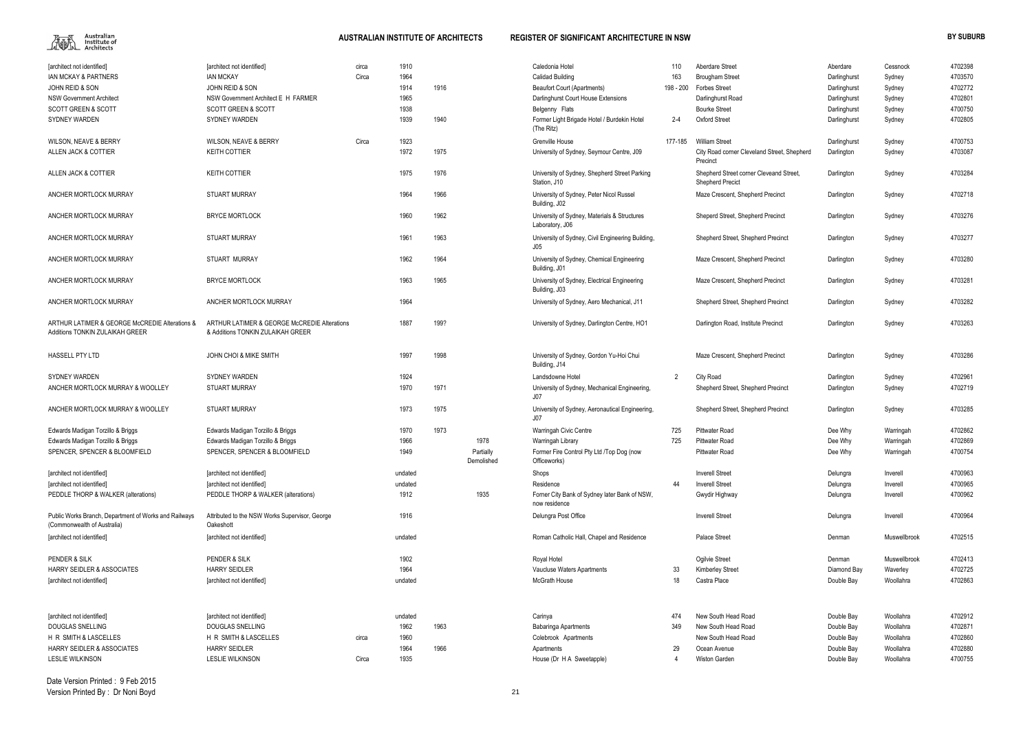

| [architect not identified]<br><b>IAN MCKAY &amp; PARTNERS</b>                        | [architect not identified]<br><b>IAN MCKAY</b>                                    | circa<br>Circa | 1910<br>1964 |      |                         | Caledonia Hotel<br><b>Calidad Building</b>                      | 110<br>163     | Aberdare Street<br><b>Brougham Street</b>                          | Aberdare<br>Darlinghurst | Cessnock<br>Sydney | 4702398<br>4703570 |
|--------------------------------------------------------------------------------------|-----------------------------------------------------------------------------------|----------------|--------------|------|-------------------------|-----------------------------------------------------------------|----------------|--------------------------------------------------------------------|--------------------------|--------------------|--------------------|
| JOHN REID & SON                                                                      | JOHN REID & SON                                                                   |                | 1914         | 1916 |                         | <b>Beaufort Court (Apartments)</b>                              | 198 - 200      | <b>Forbes Street</b>                                               | Darlinghurst             | Sydney             | 4702772            |
| <b>NSW Government Architect</b>                                                      | NSW Government Architect E H FARMER                                               |                | 1965         |      |                         | Darlinghurst Court House Extensions                             |                | Darlinghurst Road                                                  | Darlinghurst             | Sydney             | 4702801            |
| <b>SCOTT GREEN &amp; SCOTT</b>                                                       | <b>SCOTT GREEN &amp; SCOTT</b>                                                    |                | 1938         |      |                         | Belgenny Flats                                                  |                | <b>Bourke Street</b>                                               | Darlinghurst             | Sydney             | 4700750            |
| <b>SYDNEY WARDEN</b>                                                                 | <b>SYDNEY WARDEN</b>                                                              |                | 1939         | 1940 |                         | Former Light Brigade Hotel / Burdekin Hotel<br>(The Ritz)       | $2 - 4$        | <b>Oxford Street</b>                                               | Darlinghurst             | Sydney             | 4702805            |
| <b>WILSON, NEAVE &amp; BERRY</b>                                                     | <b>WILSON, NEAVE &amp; BERRY</b>                                                  | Circa          | 1923         |      |                         | Grenville House                                                 | 177-185        | <b>William Street</b>                                              | Darlinghurst             | Sydney             | 4700753            |
| ALLEN JACK & COTTIER                                                                 | <b>KEITH COTTIER</b>                                                              |                | 1972         | 1975 |                         | University of Sydney, Seymour Centre, J09                       |                | City Road corner Cleveland Street, Shepherd<br>Precinct            | Darlington               | Sydney             | 4703087            |
| ALLEN JACK & COTTIER                                                                 | <b>KEITH COTTIER</b>                                                              |                | 1975         | 1976 |                         | University of Sydney, Shepherd Street Parking<br>Station, J10   |                | Shepherd Street corner Cleveand Street,<br><b>Shepherd Precict</b> | Darlington               | Sydney             | 4703284            |
| ANCHER MORTLOCK MURRAY                                                               | <b>STUART MURRAY</b>                                                              |                | 1964         | 1966 |                         | University of Sydney, Peter Nicol Russel<br>Building, J02       |                | Maze Crescent, Shepherd Precinct                                   | Darlington               | Sydney             | 4702718            |
| ANCHER MORTLOCK MURRAY                                                               | <b>BRYCE MORTLOCK</b>                                                             |                | 1960         | 1962 |                         | University of Sydney, Materials & Structures<br>Laboratory, J06 |                | Sheperd Street, Shepherd Precinct                                  | Darlington               | Sydney             | 4703276            |
| ANCHER MORTLOCK MURRAY                                                               | <b>STUART MURRAY</b>                                                              |                | 1961         | 1963 |                         | University of Sydney, Civil Engineering Building,<br>J05        |                | Shepherd Street, Shepherd Precinct                                 | Darlington               | Sydney             | 4703277            |
| ANCHER MORTLOCK MURRAY                                                               | STUART MURRAY                                                                     |                | 1962         | 1964 |                         | University of Sydney, Chemical Engineering<br>Building, J01     |                | Maze Crescent, Shepherd Precinct                                   | Darlington               | Sydney             | 4703280            |
| ANCHER MORTLOCK MURRAY                                                               | <b>BRYCE MORTLOCK</b>                                                             |                | 1963         | 1965 |                         | University of Sydney, Electrical Engineering<br>Building, J03   |                | Maze Crescent, Shepherd Precinct                                   | Darlington               | Sydney             | 4703281            |
| ANCHER MORTLOCK MURRAY                                                               | ANCHER MORTLOCK MURRAY                                                            |                | 1964         |      |                         | University of Sydney, Aero Mechanical, J11                      |                | Shepherd Street, Shepherd Precinct                                 | Darlington               | Sydney             | 4703282            |
| ARTHUR LATIMER & GEORGE McCREDIE Alterations &<br>Additions TONKIN ZULAIKAH GREER    | ARTHUR LATIMER & GEORGE McCREDIE Alterations<br>& Additions TONKIN ZULAIKAH GREER |                | 1887         | 199? |                         | University of Sydney, Darlington Centre, HO1                    |                | Darlington Road, Institute Precinct                                | Darlington               | Sydney             | 4703263            |
| <b>HASSELL PTY LTD</b>                                                               | JOHN CHOI & MIKE SMITH                                                            |                | 1997         | 1998 |                         | University of Sydney, Gordon Yu-Hoi Chui<br>Building, J14       |                | Maze Crescent, Shepherd Precinct                                   | Darlington               | Sydney             | 4703286            |
| <b>SYDNEY WARDEN</b>                                                                 | <b>SYDNEY WARDEN</b>                                                              |                | 1924         |      |                         | Landsdowne Hotel                                                | $\overline{2}$ | <b>City Road</b>                                                   | Darlington               | Sydney             | 4702961            |
| ANCHER MORTLOCK MURRAY & WOOLLEY                                                     | <b>STUART MURRAY</b>                                                              |                | 1970         | 1971 |                         | University of Sydney, Mechanical Engineering,<br>J07            |                | Shepherd Street, Shepherd Precinct                                 | Darlington               | Sydney             | 4702719            |
| ANCHER MORTLOCK MURRAY & WOOLLEY                                                     | <b>STUART MURRAY</b>                                                              |                | 1973         | 1975 |                         | University of Sydney, Aeronautical Engineering,<br>J07          |                | Shepherd Street, Shepherd Precinct                                 | Darlington               | Sydney             | 4703285            |
| Edwards Madigan Torzillo & Briggs                                                    | Edwards Madigan Torzillo & Briggs                                                 |                | 1970         | 1973 |                         | Warringah Civic Centre                                          | 725            | Pittwater Road                                                     | Dee Why                  | Warringah          | 4702862            |
| Edwards Madigan Torzillo & Briggs                                                    | Edwards Madigan Torzillo & Briggs                                                 |                | 1966         |      | 1978                    | Warringah Library                                               | 725            | Pittwater Road                                                     | Dee Why                  | Warringah          | 4702869            |
| SPENCER, SPENCER & BLOOMFIELD                                                        | SPENCER, SPENCER & BLOOMFIELD                                                     |                | 1949         |      | Partially<br>Demolished | Former Fire Control Pty Ltd /Top Dog (now<br>Officeworks)       |                | <b>Pittwater Road</b>                                              | Dee Why                  | Warringah          | 4700754            |
| [architect not identified]                                                           | [architect not identified]                                                        |                | undated      |      |                         | Shops                                                           |                | <b>Inverell Street</b>                                             | Delungra                 | Inverell           | 4700963            |
| [architect not identified]                                                           | [architect not identified]                                                        |                | undated      |      |                         | Residence                                                       | 44             | <b>Inverell Street</b>                                             | Delungra                 | Inverell           | 4700965            |
| PEDDLE THORP & WALKER (alterations)                                                  | PEDDLE THORP & WALKER (alterations)                                               |                | 1912         |      | 1935                    | Forner City Bank of Sydney later Bank of NSW,<br>now residence  |                | Gwydir Highway                                                     | Delungra                 | Inverell           | 4700962            |
| Public Works Branch, Department of Works and Railways<br>(Commonwealth of Australia) | Attributed to the NSW Works Supervisor, George<br>Oakeshott                       |                | 1916         |      |                         | Delungra Post Office                                            |                | <b>Inverell Street</b>                                             | Delungra                 | Inverell           | 4700964            |
| [architect not identified]                                                           | [architect not identified]                                                        |                | undated      |      |                         | Roman Catholic Hall, Chapel and Residence                       |                | <b>Palace Street</b>                                               | Denman                   | Muswellbrook       | 4702515            |
| PENDER & SILK                                                                        | PENDER & SILK                                                                     |                | 1902         |      |                         | Royal Hotel                                                     |                | Ogilvie Street                                                     | Denman                   | Muswellbrook       | 4702413            |
| <b>HARRY SEIDLER &amp; ASSOCIATES</b>                                                | <b>HARRY SEIDLER</b>                                                              |                | 1964         |      |                         | Vaucluse Waters Apartments                                      | 33             | <b>Kimberley Street</b>                                            | Diamond Bay              | Waverley           | 4702725            |
| [architect not identified]                                                           | [architect not identified]                                                        |                | undated      |      |                         | <b>McGrath House</b>                                            | 18             | Castra Place                                                       | Double Bay               | Woollahra          | 4702863            |
| [architect not identified]                                                           | [architect not identified]                                                        |                | undated      |      |                         | Carinya                                                         | 474            | New South Head Road                                                | Double Bay               | Woollahra          | 4702912            |
| DOUGLAS SNELLING                                                                     | DOUGLAS SNELLING                                                                  |                | 1962         | 1963 |                         | <b>Babaringa Apartments</b>                                     | 349            | New South Head Road                                                | Double Bay               | Woollahra          | 4702871            |
| H R SMITH & LASCELLES                                                                | H R SMITH & LASCELLES                                                             | circa          | 1960         |      |                         | Colebrook Apartments                                            |                | New South Head Road                                                | Double Bay               | Woollahra          | 4702860            |
| <b>HARRY SEIDLER &amp; ASSOCIATES</b>                                                | <b>HARRY SEIDLER</b>                                                              |                | 1964         | 1966 |                         | Apartments                                                      | 29             | Ocean Avenue                                                       | Double Bay               | Woollahra          | 4702880            |
| <b>LESLIE WILKINSON</b>                                                              | <b>LESLIE WILKINSON</b>                                                           | Circa          | 1935         |      |                         | House (Dr H A Sweetapple)                                       | -4             | Wiston Garden                                                      | Double Bay               | Woollahra          | 4700755            |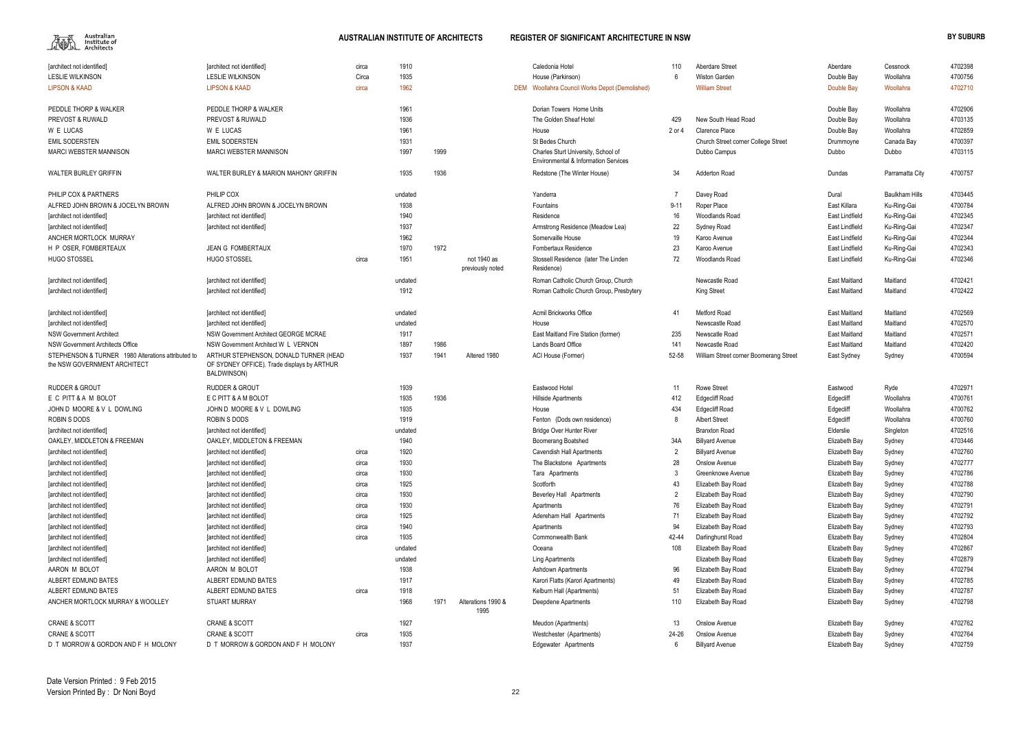

| 10             | Aberdare Street                        | Aberdare             | Cessnock              | 4702398 |
|----------------|----------------------------------------|----------------------|-----------------------|---------|
| 6              | <b>Wiston Garden</b>                   | Double Bay           | Woollahra             | 4700756 |
|                | <b>William Street</b>                  | Double Bay           | Woollahra             | 4702710 |
|                |                                        |                      |                       |         |
|                |                                        | Double Bay           | Woollahra             | 4702906 |
| I29            | New South Head Road                    | Double Bay           | Woollahra             | 4703135 |
| or 4           | Clarence Place                         | Double Bay           | Woollahra             | 4702859 |
|                | Church Street corner College Street    | Drummoyne            | Canada Bay            | 4700397 |
|                | Dubbo Campus                           | Dubbo                | Dubbo                 | 4703115 |
|                |                                        |                      |                       |         |
| 34             | <b>Adderton Road</b>                   | Dundas               | Parramatta City       | 4700757 |
| 7              | Davey Road                             | Dural                | <b>Baulkham Hills</b> | 4703445 |
| -11            | Roper Place                            | East Killara         | Ku-Ring-Gai           | 4700784 |
| 16             | <b>Woodlands Road</b>                  | East Lindfield       | Ku-Ring-Gai           | 4702345 |
| 22             | Sydney Road                            | East Lindfield       | Ku-Ring-Gai           | 4702347 |
| 19             | Karoo Avenue                           | East Lindfield       | Ku-Ring-Gai           | 4702344 |
| 23             | Karoo Avenue                           | East Lindfield       | Ku-Ring-Gai           | 4702343 |
| 72             | Woodlands Road                         | East Lindfield       | Ku-Ring-Gai           | 4702346 |
|                |                                        |                      |                       |         |
|                | Newcastle Road                         | <b>East Maitland</b> | Maitland              | 4702421 |
|                | King Street                            | East Maitland        | Maitland              | 4702422 |
|                |                                        |                      |                       |         |
| 41             | <b>Metford Road</b>                    | East Maitland        | Maitland              | 4702569 |
|                | Newscastle Road                        | <b>East Maitland</b> | Maitland              | 4702570 |
| 235            | Newscatle Road                         | East Maitland        | Maitland              | 4702571 |
| 141            | Newcastle Road                         | East Maitland        | Maitland              | 4702420 |
| 2-58           | William Street corner Boomerang Street | East Sydney          | Sydney                | 4700594 |
|                |                                        |                      |                       |         |
| 11             | <b>Rowe Street</b>                     | Eastwood             | Ryde                  | 4702971 |
| <b>12</b>      | <b>Edgecliff Road</b>                  | Edgecliff            | Woollahra             | 4700761 |
| 134            | <b>Edgecliff Road</b>                  | Edgecliff            | Woollahra             | 4700762 |
| 8              | <b>Albert Street</b>                   | Edgecliff            | Woollahra             | 4700760 |
|                | <b>Branxton Road</b>                   | Elderslie            | Singleton             | 4702516 |
| ۱4A            | <b>Billyard Avenue</b>                 | Elizabeth Bay        | Sydney                | 4703446 |
| $\overline{2}$ | <b>Billyard Avenue</b>                 | Elizabeth Bay        | Sydney                | 4702760 |
| 28             | Onslow Avenue                          | Elizabeth Bay        | Sydney                | 4702777 |
| 3              | Greenknowe Avenue                      | Elizabeth Bay        | Sydney                | 4702786 |
| 43             | Elizabeth Bay Road                     | Elizabeth Bay        | Sydney                | 4702788 |
| 2              | Elizabeth Bay Road                     | Elizabeth Bay        | Sydney                | 4702790 |
| 76             | Elizabeth Bay Road                     | Elizabeth Bay        | Sydney                | 4702791 |
| 71             | Elizabeth Bay Road                     | Elizabeth Bay        | Sydney                | 4702792 |
| 94             | Elizabeth Bay Road                     | Elizabeth Bay        | Sydney                | 4702793 |
| 2-44           | Darlinghurst Road                      | Elizabeth Bay        | Sydney                | 4702804 |
| 108            | Elizabeth Bay Road                     | Elizabeth Bay        | Sydney                | 4702867 |
|                | Elizabeth Bay Road                     | Elizabeth Bay        | Sydney                | 4702879 |
| 96             | Elizabeth Bay Road                     | Elizabeth Bay        | Sydney                | 4702794 |
| 49             | Elizabeth Bay Road                     | Elizabeth Bay        | Sydney                | 4702785 |
| 51             | Elizabeth Bay Road                     | Elizabeth Bay        | Sydney                | 4702787 |
| 10             | Elizabeth Bay Road                     | Elizabeth Bay        | Sydney                | 4702798 |
|                |                                        |                      |                       |         |
| 13             | Onslow Avenue                          | Elizabeth Bay        | Sydney                | 4702762 |
| 1-26           | Onslow Avenue                          | Elizabeth Bay        | Sydney                | 4702764 |
| 6              | <b>Billyard Avenue</b>                 | Elizabeth Bay        | Sydney                | 4702759 |

| [architect not identified]                                                         | [architect not identified]                                                                           | circa | 1910    |      |                                 | Caledonia Hotel                                                             | 110      | <b>Aberdare Street</b>                 | Aberdare             | Cessnock              | 4702398 |
|------------------------------------------------------------------------------------|------------------------------------------------------------------------------------------------------|-------|---------|------|---------------------------------|-----------------------------------------------------------------------------|----------|----------------------------------------|----------------------|-----------------------|---------|
| <b>LESLIE WILKINSON</b>                                                            | <b>LESLIE WILKINSON</b>                                                                              | Circa | 1935    |      |                                 | House (Parkinson)                                                           | 6        | Wiston Garden                          | Double Bay           | Woollahra             | 4700756 |
| <b>LIPSON &amp; KAAD</b>                                                           | <b>LIPSON &amp; KAAD</b>                                                                             | circa | 1962    |      |                                 | DEM Woollahra Council Works Depot (Demolished)                              |          | <b>William Street</b>                  | Double Bay           | Woollahra             | 4702710 |
| PEDDLE THORP & WALKER                                                              | PEDDLE THORP & WALKER                                                                                |       | 1961    |      |                                 | Dorian Towers Home Units                                                    |          |                                        | Double Bay           | Woollahra             | 4702906 |
| PREVOST & RUWALD                                                                   | <b>PREVOST &amp; RUWALD</b>                                                                          |       | 1936    |      |                                 | The Golden Sheaf Hotel                                                      | 429      | New South Head Road                    | Double Bay           | Woollahra             | 4703135 |
| W E LUCAS                                                                          | W E LUCAS                                                                                            |       | 1961    |      |                                 | House                                                                       | 2 or 4   | Clarence Place                         | Double Bay           | Woollahra             | 4702859 |
| <b>EMIL SODERSTEN</b>                                                              | <b>EMIL SODERSTEN</b>                                                                                |       | 1931    |      |                                 | St Bedes Church                                                             |          | Church Street corner College Street    | Drummoyne            | Canada Bay            | 4700397 |
| <b>MARCI WEBSTER MANNISON</b>                                                      | <b>MARCI WEBSTER MANNISON</b>                                                                        |       | 1997    | 1999 |                                 | Charles Sturt University, School of<br>Environmental & Information Services |          | Dubbo Campus                           | Dubbo                | Dubbo                 | 4703115 |
| <b>WALTER BURLEY GRIFFIN</b>                                                       | WALTER BURLEY & MARION MAHONY GRIFFIN                                                                |       | 1935    | 1936 |                                 | Redstone (The Winter House)                                                 | 34       | <b>Adderton Road</b>                   | Dundas               | Parramatta City       | 4700757 |
| PHILIP COX & PARTNERS                                                              | PHILIP COX                                                                                           |       | undated |      |                                 | Yanderra                                                                    |          | Davey Road                             | Dural                | <b>Baulkham Hills</b> | 4703445 |
| ALFRED JOHN BROWN & JOCELYN BROWN                                                  | ALFRED JOHN BROWN & JOCELYN BROWN                                                                    |       | 1938    |      |                                 | Fountains                                                                   | $9 - 11$ | Roper Place                            | East Killara         | Ku-Ring-Gai           | 4700784 |
| [architect not identified]                                                         | [architect not identified]                                                                           |       | 1940    |      |                                 | Residence                                                                   | 16       | <b>Woodlands Road</b>                  | East Lindfield       | Ku-Ring-Gai           | 4702345 |
| [architect not identified]                                                         | [architect not identified]                                                                           |       | 1937    |      |                                 | Armstrong Residence (Meadow Lea)                                            | 22       | Sydney Road                            | East Lindfield       | Ku-Ring-Gai           | 4702347 |
| ANCHER MORTLOCK MURRAY                                                             |                                                                                                      |       | 1962    |      |                                 | Somervaille House                                                           | 19       | Karoo Avenue                           | East Lindfield       | Ku-Ring-Gai           | 4702344 |
| H P OSER, FOMBERTEAUX                                                              | <b>JEAN G FOMBERTAUX</b>                                                                             |       | 1970    | 1972 |                                 | Fombertaux Residence                                                        | 23       | Karoo Avenue                           | East Lindfield       | Ku-Ring-Gai           | 4702343 |
| <b>HUGO STOSSEL</b>                                                                | <b>HUGO STOSSEL</b>                                                                                  | circa | 1951    |      | not 1940 as<br>previously noted | Stossell Residence (later The Linden<br>Residence)                          | 72       | Woodlands Road                         | East Lindfield       | Ku-Ring-Gai           | 4702346 |
| [architect not identified]                                                         | [architect not identified]                                                                           |       | undated |      |                                 | Roman Catholic Church Group, Church                                         |          | Newcastle Road                         | <b>East Maitland</b> | Maitland              | 4702421 |
| [architect not identified]                                                         | [architect not identified]                                                                           |       | 1912    |      |                                 | Roman Catholic Church Group, Presbytery                                     |          | King Street                            | <b>East Maitland</b> | Maitland              | 4702422 |
| [architect not identified]                                                         | [architect not identified]                                                                           |       | undated |      |                                 | Acmil Brickworks Office                                                     | 41       | Metford Road                           | <b>East Maitland</b> | Maitland              | 4702569 |
| [architect not identified]                                                         | [architect not identified]                                                                           |       | undated |      |                                 | House                                                                       |          | Newscastle Road                        | <b>East Maitland</b> | Maitland              | 4702570 |
| <b>NSW Government Architect</b>                                                    | NSW Government Architect GEORGE MCRAE                                                                |       | 1917    |      |                                 | East Maitland Fire Station (former)                                         | 235      | Newscatle Road                         | <b>East Maitland</b> | Maitland              | 4702571 |
| <b>NSW Government Architects Office</b>                                            | NSW Government Architect W L VERNON                                                                  |       | 1897    | 1986 |                                 | <b>Lands Board Office</b>                                                   | 141      | Newcastle Road                         | <b>East Maitland</b> | Maitland              | 4702420 |
| STEPHENSON & TURNER 1980 Alterations attributed to<br>the NSW GOVERNMENT ARCHITECT | ARTHUR STEPHENSON, DONALD TURNER (HEAD<br>OF SYDNEY OFFICE). Trade displays by ARTHUR<br>BALDWINSON) |       | 1937    | 1941 | Altered 1980                    | ACI House (Former)                                                          | 52-58    | William Street corner Boomerang Street | East Sydney          | Sydney                | 4700594 |
| <b>RUDDER &amp; GROUT</b>                                                          | <b>RUDDER &amp; GROUT</b>                                                                            |       | 1939    |      |                                 | Eastwood Hotel                                                              | 11       | <b>Rowe Street</b>                     | Eastwood             | Ryde                  | 4702971 |
| E C PITT & A M BOLOT                                                               | E C PITT & A M BOLOT                                                                                 |       | 1935    | 1936 |                                 | <b>Hillside Apartments</b>                                                  | 412      | <b>Edgecliff Road</b>                  | Edgecliff            | Woollahra             | 4700761 |
| JOHN D MOORE & V L DOWLING                                                         | JOHN D MOORE & V L DOWLING                                                                           |       | 1935    |      |                                 | House                                                                       | 434      | <b>Edgecliff Road</b>                  | Edgecliff            | Woollahra             | 4700762 |
| ROBIN S DODS                                                                       | ROBIN S DODS                                                                                         |       | 1919    |      |                                 | Fenton (Dods own residence)                                                 |          | <b>Albert Street</b>                   | Edgecliff            | Woollahra             | 4700760 |
| [architect not identified]                                                         | [architect not identified]                                                                           |       | undated |      |                                 | <b>Bridge Over Hunter River</b>                                             |          | <b>Branxton Road</b>                   | Elderslie            | Singleton             | 4702516 |
| OAKLEY. MIDDLETON & FREEMAN                                                        | OAKLEY, MIDDLETON & FREEMAN                                                                          |       | 1940    |      |                                 | Boomerang Boatshed                                                          | 34A      | <b>Billyard Avenue</b>                 | Elizabeth Bay        | Sydney                | 4703446 |
| [architect not identified]                                                         | [architect not identified]                                                                           | circa | 1920    |      |                                 | Cavendish Hall Apartments                                                   |          | <b>Billyard Avenue</b>                 | Elizabeth Bay        | Sydney                | 4702760 |
| [architect not identified]                                                         | [architect not identified]                                                                           | circa | 1930    |      |                                 | The Blackstone Apartments                                                   | 28       | Onslow Avenue                          | Elizabeth Bay        | Sydney                | 4702777 |
| [architect not identified]                                                         | [architect not identified]                                                                           | circa | 1930    |      |                                 | Tara Apartments                                                             |          | Greenknowe Avenue                      | Elizabeth Bay        | Sydney                | 4702786 |
| [architect not identified]                                                         | [architect not identified]                                                                           | circa | 1925    |      |                                 | Scotforth                                                                   | 43       | Elizabeth Bay Road                     | Elizabeth Bay        | Sydney                | 4702788 |
| [architect not identified]                                                         | [architect not identified]                                                                           | circa | 1930    |      |                                 | Beverley Hall Apartments                                                    |          | Elizabeth Bay Road                     | Elizabeth Bay        | Sydney                | 4702790 |
| [architect not identified]                                                         | [architect not identified]                                                                           | circa | 1930    |      |                                 | Apartments                                                                  | 76       | Elizabeth Bay Road                     | Elizabeth Bay        | Sydney                | 4702791 |
| [architect not identified]                                                         | [architect not identified]                                                                           | circa | 1925    |      |                                 | Adereham Hall Apartments                                                    | 71       | Elizabeth Bay Road                     | Elizabeth Bay        | Sydney                | 4702792 |
| [architect not identified]                                                         | [architect not identified]                                                                           | circa | 1940    |      |                                 | Apartments                                                                  | 94       | Elizabeth Bay Road                     | Elizabeth Bay        | Sydney                | 4702793 |
| [architect not identified]                                                         | [architect not identified]                                                                           | circa | 1935    |      |                                 | Commonwealth Bank                                                           | 42-44    | Darlinghurst Road                      | Elizabeth Bay        | Sydney                | 4702804 |
| [architect not identified]                                                         | [architect not identified]                                                                           |       | undated |      |                                 | Oceana                                                                      | 108      | Elizabeth Bay Road                     | Elizabeth Bay        | Sydney                | 4702867 |
| [architect not identified]                                                         | [architect not identified]                                                                           |       | undated |      |                                 | Ling Apartments                                                             |          | Elizabeth Bay Road                     | Elizabeth Bay        | Sydney                | 4702879 |
| AARON M BOLOT                                                                      | AARON M BOLOT                                                                                        |       | 1938    |      |                                 | Ashdown Apartments                                                          | 96       | Elizabeth Bay Road                     | Elizabeth Bay        | Sydney                | 4702794 |
| ALBERT EDMUND BATES                                                                | ALBERT EDMUND BATES                                                                                  |       | 1917    |      |                                 | Karori Flatts (Karori Apartments)                                           | 49       | Elizabeth Bay Road                     | Elizabeth Bay        | Sydney                | 4702785 |
| ALBERT EDMUND BATES                                                                | ALBERT EDMUND BATES                                                                                  | circa | 1918    |      |                                 | Kelburn Hall (Apartments)                                                   | 51       | Elizabeth Bay Road                     | Elizabeth Bay        | Sydney                | 4702787 |
| ANCHER MORTLOCK MURRAY & WOOLLEY                                                   | <b>STUART MURRAY</b>                                                                                 |       | 1968    | 1971 | Alterations 1990 &              | Deepdene Apartments                                                         | 110      | Elizabeth Bay Road                     | Elizabeth Bay        | Sydney                | 4702798 |
|                                                                                    |                                                                                                      |       |         |      | 1995                            |                                                                             |          |                                        |                      |                       |         |
| <b>CRANE &amp; SCOTT</b>                                                           | <b>CRANE &amp; SCOTT</b>                                                                             |       | 1927    |      |                                 | Meudon (Apartments)                                                         | 13       | Onslow Avenue                          | Elizabeth Bay        | Sydney                | 4702762 |
| <b>CRANE &amp; SCOTT</b>                                                           | <b>CRANE &amp; SCOTT</b>                                                                             | circa | 1935    |      |                                 | Westchester (Apartments)                                                    | 24-26    | Onslow Avenue                          | Elizabeth Bay        | Sydney                | 4702764 |
| D T MORROW & GORDON AND F H MOLONY                                                 | D T MORROW & GORDON AND F H MOLONY                                                                   |       | 1937    |      |                                 | Edgewater Apartments                                                        | 6        | <b>Billyard Avenue</b>                 | Elizabeth Bay        | Sydney                | 4702759 |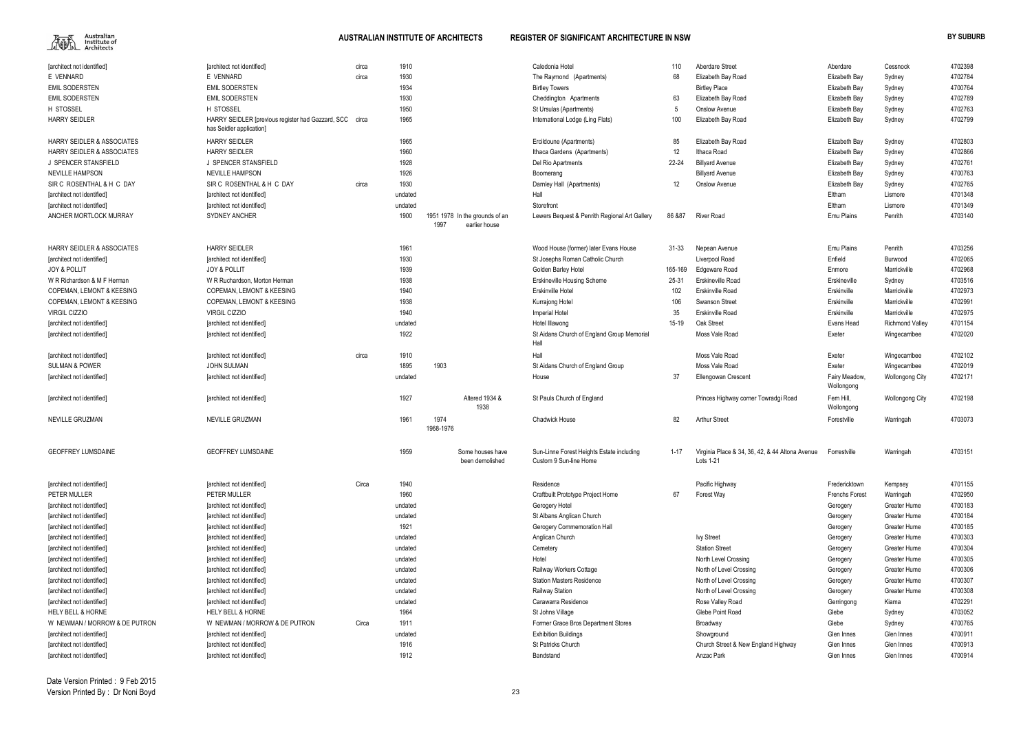

|    | Aberdare Street                                              | Aberdare                    | Cessnock               | 4702398 |
|----|--------------------------------------------------------------|-----------------------------|------------------------|---------|
|    | Elizabeth Bay Road                                           | Elizabeth Bay               | Sydney                 | 4702784 |
|    | <b>Birtley Place</b>                                         | Elizabeth Bay               | Sydney                 | 4700764 |
|    | Elizabeth Bay Road                                           | Elizabeth Bay               | Sydney                 | 4702789 |
|    | Onslow Avenue                                                | Elizabeth Bay               | Sydney                 | 4702763 |
|    | Elizabeth Bay Road                                           | Elizabeth Bay               | Sydney                 | 4702799 |
|    | Elizabeth Bay Road                                           | Elizabeth Bay               | Sydney                 | 4702803 |
|    | Ithaca Road                                                  | Elizabeth Bay               | Sydney                 | 4702866 |
|    | <b>Billyard Avenue</b>                                       | Elizabeth Bay               | Sydney                 | 4702761 |
|    | <b>Billyard Avenue</b>                                       | Elizabeth Bay               | Sydney                 | 4700763 |
|    | <b>Onslow Avenue</b>                                         | Elizabeth Bay               | Sydney                 | 4702765 |
|    |                                                              | Eltham                      | Lismore                | 4701348 |
|    |                                                              | Eltham                      | Lismore                | 4701349 |
| 7  | <b>River Road</b>                                            | <b>Emu Plains</b>           | Penrith                | 4703140 |
|    | Nepean Avenue                                                | <b>Emu Plains</b>           | Penrith                | 4703256 |
|    | Liverpool Road                                               | Enfield                     | <b>Burwood</b>         | 4702065 |
| 59 | Edgeware Road                                                | Enmore                      | Marrickville           | 4702968 |
|    | <b>Erskineville Road</b>                                     | Erskineville                | Sydney                 | 4703516 |
|    | Erskinville Road                                             | Erskinville                 | Marrickville           | 4702973 |
|    | Swanson Street                                               | Erskinville                 | Marrickville           | 4702991 |
|    | Erskinville Road                                             | Erskinville                 | Marrickville           | 4702975 |
|    | Oak Street                                                   | Evans Head                  | <b>Richmond Valley</b> | 4701154 |
|    | Moss Vale Road                                               | Exeter                      | Wingecarribee          | 4702020 |
|    | Moss Vale Road                                               | Exeter                      | Wingecarribee          | 4702102 |
|    | Moss Vale Road                                               | Exeter                      | Wingecarribee          | 4702019 |
|    | Ellengowan Crescent                                          | Fairy Meadow,<br>Wollongong | <b>Wollongong City</b> | 4702171 |
|    | Princes Highway corner Towradgi Road                         | Fern Hill,<br>Wollongong    | <b>Wollongong City</b> | 4702198 |
|    | Arthur Street                                                | Forestville                 | Warringah              | 4703073 |
|    | Virginia Place & 34, 36, 42, & 44 Altona Avenue<br>Lots 1-21 | Forrestville                | Warringah              | 4703151 |
|    | Pacific Highway                                              | Fredericktown               | Kempsey                | 4701155 |
|    | Forest Way                                                   | <b>Frenchs Forest</b>       | Warringah              | 4702950 |
|    |                                                              | Gerogery                    | Greater Hume           | 4700183 |
|    |                                                              | Gerogery                    | Greater Hume           | 4700184 |
|    |                                                              | Gerogery                    | Greater Hume           | 4700185 |
|    | <b>Ivy Street</b>                                            | Gerogery                    | Greater Hume           | 4700303 |
|    | <b>Station Street</b>                                        | Gerogery                    | Greater Hume           | 4700304 |
|    | North Level Crossing                                         | Gerogery                    | Greater Hume           | 4700305 |
|    | North of Level Crossing                                      | Gerogery                    | Greater Hume           | 4700306 |
|    | North of Level Crossing                                      | Gerogery                    | Greater Hume           | 4700307 |
|    | North of Level Crossing                                      | Gerogery                    | Greater Hume           | 4700308 |
|    | Rose Valley Road                                             | Gerringong                  | Kiama                  | 4702291 |
|    | Glebe Point Road                                             | Glebe                       | Sydney                 | 4703052 |
|    | Broadway                                                     | Glebe                       | Sydney                 | 4700765 |
|    | Showground                                                   | Glen Innes                  | Glen Innes             | 4700911 |
|    | Church Street & New England Highway                          | Glen Innes                  | Glen Innes             | 4700913 |
|    | Anzac Park                                                   | Glen Innes                  | Glen Innes             | 4700914 |
|    |                                                              |                             |                        |         |

| [architect not identified]            | <b>farchitect not identified1</b>                                                   | circa | 1910    |                                                         | Caledonia Hotel                                                     | 110       | Aberdare Street                                              | Aberdare                    | Cessnock               | 4702398 |
|---------------------------------------|-------------------------------------------------------------------------------------|-------|---------|---------------------------------------------------------|---------------------------------------------------------------------|-----------|--------------------------------------------------------------|-----------------------------|------------------------|---------|
| E VENNARD                             | E VENNARD                                                                           | circa | 1930    |                                                         | The Raymond (Apartments)                                            | 68        | Elizabeth Bay Road                                           | Elizabeth Bay               | Sydney                 | 4702784 |
| <b>EMIL SODERSTEN</b>                 | <b>EMIL SODERSTEN</b>                                                               |       | 1934    |                                                         | <b>Birtley Towers</b>                                               |           | <b>Birtley Place</b>                                         | Elizabeth Bay               | Sydney                 | 4700764 |
| <b>EMIL SODERSTEN</b>                 | <b>EMIL SODERSTEN</b>                                                               |       | 1930    |                                                         | Cheddington Apartments                                              | 63        | Elizabeth Bay Road                                           | Elizabeth Bay               | Sydney                 | 4702789 |
| H STOSSEL                             | H STOSSEL                                                                           |       | 1950    |                                                         | St Ursulas (Apartments)                                             |           | Onslow Avenue                                                | Elizabeth Bay               | Sydney                 | 4702763 |
| <b>HARRY SEIDLER</b>                  | HARRY SEIDLER [previous register had Gazzard, SCC circa<br>has Seidler application] |       | 1965    |                                                         | International Lodge (Ling Flats)                                    | 100       | Elizabeth Bay Road                                           | Elizabeth Bay               | Sydney                 | 4702799 |
| <b>HARRY SEIDLER &amp; ASSOCIATES</b> | <b>HARRY SEIDLER</b>                                                                |       | 1965    |                                                         | Ercildoune (Apartments)                                             | 85        | Elizabeth Bay Road                                           | Elizabeth Bay               | Sydney                 | 4702803 |
| <b>HARRY SEIDLER &amp; ASSOCIATES</b> | <b>HARRY SEIDLER</b>                                                                |       | 1960    |                                                         | Ithaca Gardens (Apartments)                                         | 12        | Ithaca Road                                                  | Elizabeth Bay               | Sydney                 | 4702866 |
| J SPENCER STANSFIELD                  | J SPENCER STANSFIELD                                                                |       | 1928    |                                                         | Del Rio Apartments                                                  | 22-24     | <b>Billyard Avenue</b>                                       | Elizabeth Bay               | Sydney                 | 4702761 |
| <b>NEVILLE HAMPSON</b>                | <b>NEVILLE HAMPSON</b>                                                              |       | 1926    |                                                         | Boomerang                                                           |           | <b>Billyard Avenue</b>                                       | Elizabeth Bay               | Sydney                 | 4700763 |
| SIR C ROSENTHAL & H C DAY             | SIR C ROSENTHAL & H C DAY                                                           | circa | 1930    |                                                         | Darnley Hall (Apartments)                                           | 12        | <b>Onslow Avenue</b>                                         | Elizabeth Bay               | Sydney                 | 4702765 |
| [architect not identified]            | [architect not identified]                                                          |       | undated |                                                         | Hall                                                                |           |                                                              | Eltham                      | Lismore                | 4701348 |
| [architect not identified]            | [architect not identified]                                                          |       | undated |                                                         | Storefront                                                          |           |                                                              | Eltham                      | Lismore                | 4701349 |
| ANCHER MORTLOCK MURRAY                | <b>SYDNEY ANCHER</b>                                                                |       | 1900    | 1951 1978 In the grounds of an<br>1997<br>earlier house | Lewers Bequest & Penrith Regional Art Gallery                       | 86 & 87   | <b>River Road</b>                                            | Emu Plains                  | Penrith                | 4703140 |
| <b>HARRY SEIDLER &amp; ASSOCIATES</b> | <b>HARRY SEIDLER</b>                                                                |       | 1961    |                                                         | Wood House (former) later Evans House                               | $31 - 33$ | Nepean Avenue                                                | Emu Plains                  | Penrith                | 4703256 |
| <b>Tarchitect not identified]</b>     | [architect not identified]                                                          |       | 1930    |                                                         | St Josephs Roman Catholic Church                                    |           | Liverpool Road                                               | Enfield                     | Burwood                | 4702065 |
| <b>JOY &amp; POLLIT</b>               | <b>JOY &amp; POLLIT</b>                                                             |       | 1939    |                                                         | Golden Barley Hotel                                                 | 165-169   | Edgeware Road                                                | Enmore                      | Marrickville           | 4702968 |
| W R Richardson & M F Herman           | W R Ruchardson, Morton Herman                                                       |       | 1938    |                                                         | <b>Erskineville Housing Scheme</b>                                  | 25-31     | Erskineville Road                                            | Erskineville                | Sydney                 | 4703516 |
| <b>COPEMAN, LEMONT &amp; KEESING</b>  | <b>COPEMAN, LEMONT &amp; KEESING</b>                                                |       | 1940    |                                                         | Erskinville Hotel                                                   | 102       | <b>Erskinville Road</b>                                      | Erskinville                 | Marrickville           | 4702973 |
| <b>COPEMAN, LEMONT &amp; KEESING</b>  | <b>COPEMAN, LEMONT &amp; KEESING</b>                                                |       | 1938    |                                                         | Kurrajong Hotel                                                     | 106       | <b>Swanson Street</b>                                        | Erskinville                 | Marrickville           | 4702991 |
| <b>VIRGIL CIZZIO</b>                  | <b>VIRGIL CIZZIO</b>                                                                |       | 1940    |                                                         | Imperial Hotel                                                      | 35        | Erskinville Road                                             | Erskinville                 | Marrickville           | 4702975 |
| [architect not identified]            | [architect not identified]                                                          |       | undated |                                                         | Hotel Illawong                                                      | $15-19$   | Oak Street                                                   | Evans Head                  | <b>Richmond Valley</b> | 4701154 |
| [architect not identified]            | [architect not identified]                                                          |       | 1922    |                                                         | St Aidans Church of England Group Memorial<br>Hall                  |           | Moss Vale Road                                               | Exeter                      | Wingecarribee          | 4702020 |
| [architect not identified]            | [architect not identified]                                                          | circa | 1910    |                                                         | Hall                                                                |           | Moss Vale Road                                               | Exeter                      | Wingecarribee          | 4702102 |
| <b>SULMAN &amp; POWER</b>             | <b>JOHN SULMAN</b>                                                                  |       | 1895    | 1903                                                    | St Aidans Church of England Group                                   |           | Moss Vale Road                                               | Exeter                      | Wingecarribee          | 4702019 |
| [architect not identified]            | [architect not identified]                                                          |       | undated |                                                         | House                                                               | 37        | Ellengowan Crescent                                          | Fairy Meadow,<br>Wollongong | <b>Wollongong City</b> | 4702171 |
| [architect not identified]            | [architect not identified]                                                          |       | 1927    | Altered 1934 &<br>1938                                  | St Pauls Church of England                                          |           | Princes Highway corner Towradgi Road                         | Fern Hill.<br>Wollongong    | <b>Wollongong City</b> | 4702198 |
| <b>NEVILLE GRUZMAN</b>                | NEVILLE GRUZMAN                                                                     |       | 1961    | 1974<br>1968-1976                                       | <b>Chadwick House</b>                                               | 82        | <b>Arthur Street</b>                                         | Forestville                 | Warringah              | 4703073 |
| <b>GEOFFREY LUMSDAINE</b>             | <b>GEOFFREY LUMSDAINE</b>                                                           |       | 1959    | Some houses have<br>been demolished                     | Sun-Linne Forest Heights Estate including<br>Custom 9 Sun-line Home | $1 - 17$  | Virginia Place & 34, 36, 42, & 44 Altona Avenue<br>Lots 1-21 | Forrestville                | Warringah              | 4703151 |
| [architect not identified]            | [architect not identified]                                                          | Circa | 1940    |                                                         | Residence                                                           |           | Pacific Highway                                              | Fredericktown               | Kempsey                | 4701155 |
| PETER MULLER                          | PETER MULLER                                                                        |       | 1960    |                                                         | Craftbuilt Prototype Project Home                                   | 67        | Forest Way                                                   | <b>Frenchs Forest</b>       | Warringah              | 4702950 |
| [architect not identified]            | [architect not identified]                                                          |       | undated |                                                         | Gerogery Hotel                                                      |           |                                                              | Gerogery                    | Greater Hume           | 4700183 |
| [architect not identified]            | [architect not identified]                                                          |       | undated |                                                         | St Albans Anglican Church                                           |           |                                                              | Gerogery                    | Greater Hume           | 4700184 |
| [architect not identified]            | [architect not identified]                                                          |       | 1921    |                                                         | Gerogery Commemoration Hall                                         |           |                                                              | Gerogery                    | Greater Hume           | 4700185 |
| [architect not identified]            | [architect not identified]                                                          |       | undated |                                                         | Anglican Church                                                     |           | <b>Ivy Street</b>                                            | Gerogery                    | Greater Hume           | 4700303 |
| [architect not identified]            | [architect not identified]                                                          |       | undated |                                                         | Cemetery                                                            |           | <b>Station Street</b>                                        | Gerogery                    | Greater Hume           | 4700304 |
| [architect not identified]            | [architect not identified]                                                          |       | undated |                                                         | Hotel                                                               |           | North Level Crossing                                         | Gerogery                    | Greater Hume           | 4700305 |
| [architect not identified]            | [architect not identified]                                                          |       | undated |                                                         | Railway Workers Cottage                                             |           | North of Level Crossing                                      | Gerogery                    | Greater Hume           | 4700306 |
| [architect not identified]            | [architect not identified]                                                          |       | undated |                                                         | <b>Station Masters Residence</b>                                    |           | North of Level Crossing                                      | Gerogery                    | Greater Hume           | 4700307 |
| [architect not identified]            | [architect not identified]                                                          |       | undated |                                                         | <b>Railway Station</b>                                              |           | North of Level Crossing                                      | Gerogery                    | Greater Hume           | 4700308 |
| [architect not identified]            | [architect not identified]                                                          |       | undated |                                                         | Carawarra Residence                                                 |           | Rose Valley Road                                             | Gerringong                  | Kiama                  | 4702291 |
| <b>HELY BELL &amp; HORNE</b>          | <b>HELY BELL &amp; HORNE</b>                                                        |       | 1964    |                                                         | St Johns Village                                                    |           | Glebe Point Road                                             | Glebe                       | Sydney                 | 4703052 |
| W NEWMAN / MORROW & DE PUTRON         | W NEWMAN / MORROW & DE PUTRON                                                       | Circa | 1911    |                                                         | Former Grace Bros Department Stores                                 |           | Broadway                                                     | Glebe                       | Sydney                 | 4700765 |
| [architect not identified]            | [architect not identified]                                                          |       | undated |                                                         | <b>Exhibition Buildings</b>                                         |           | Showground                                                   | Glen Innes                  | Glen Innes             | 4700911 |
| [architect not identified]            | [architect not identified]                                                          |       | 1916    |                                                         | <b>St Patricks Church</b>                                           |           | Church Street & New England Highway                          | Glen Innes                  | Glen Innes             | 4700913 |
| [architect not identified]            | [architect not identified]                                                          |       | 1912    |                                                         | Bandstand                                                           |           | Anzac Park                                                   | Glen Innes                  | Glen Innes             | 4700914 |
|                                       |                                                                                     |       |         |                                                         |                                                                     |           |                                                              |                             |                        |         |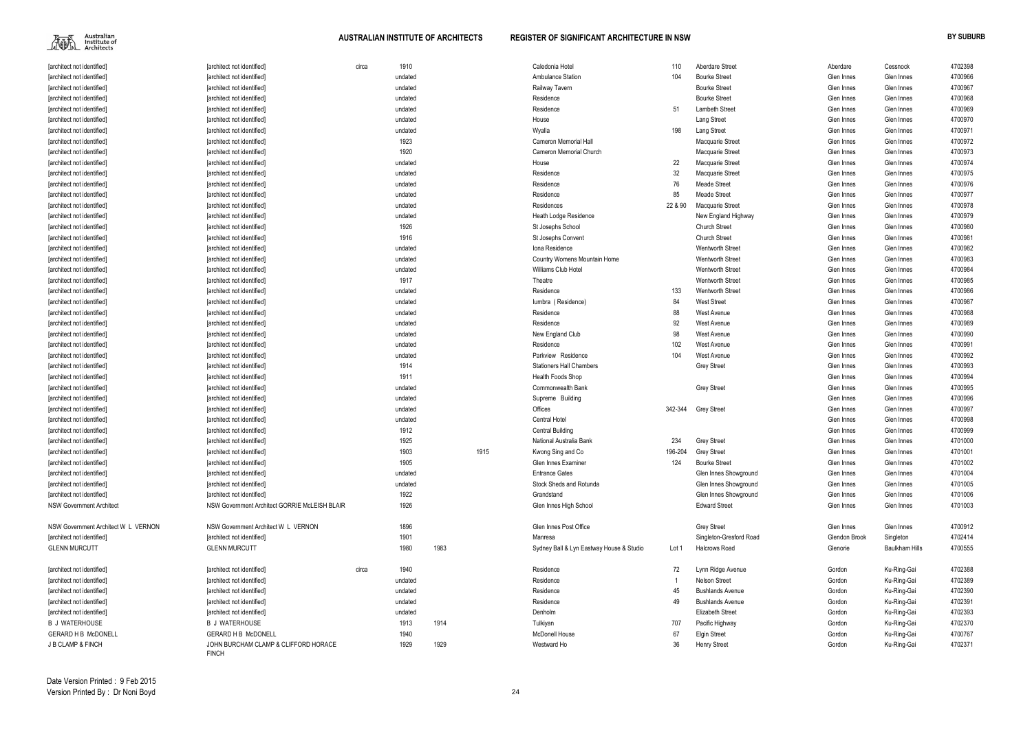| [architect not identified]          | [architect not identified]                           | circa | 1910    |      |      | Caledonia Hotel                          | 110     | <b>Aberdare Street</b>  | Aberdare      | Cessnock              | 4702398 |
|-------------------------------------|------------------------------------------------------|-------|---------|------|------|------------------------------------------|---------|-------------------------|---------------|-----------------------|---------|
| [architect not identified]          | [architect not identified]                           |       | undated |      |      | <b>Ambulance Station</b>                 | 104     | <b>Bourke Street</b>    | Glen Innes    | Glen Innes            | 4700966 |
| [architect not identified]          | [architect not identified]                           |       | undated |      |      | Railway Tavern                           |         | <b>Bourke Street</b>    | Glen Innes    | Glen Innes            | 4700967 |
| [architect not identified]          | [architect not identified]                           |       | undated |      |      | Residence                                |         | <b>Bourke Street</b>    | Glen Innes    | Glen Innes            | 4700968 |
| [architect not identified]          | [architect not identified]                           |       | undated |      |      | Residence                                | 51      | Lambeth Street          | Glen Innes    | Glen Innes            | 4700969 |
| [architect not identified]          | [architect not identified]                           |       | undated |      |      | House                                    |         | Lang Street             | Glen Innes    | Glen Innes            | 4700970 |
| [architect not identified]          | [architect not identified]                           |       | undated |      |      | Wyalla                                   | 198     | Lang Street             | Glen Innes    | Glen Innes            | 4700971 |
| [architect not identified]          | [architect not identified]                           |       | 1923    |      |      | <b>Cameron Memorial Hall</b>             |         | Macquarie Street        | Glen Innes    | Glen Innes            | 4700972 |
| [architect not identified]          | [architect not identified]                           |       | 1920    |      |      | Cameron Memorial Church                  |         | Macquarie Street        | Glen Innes    | Glen Innes            | 4700973 |
| [architect not identified]          | [architect not identified]                           |       | undated |      |      | House                                    | 22      | Macquarie Street        | Glen Innes    | Glen Innes            | 4700974 |
| [architect not identified]          | [architect not identified]                           |       | undated |      |      | Residence                                | 32      | Macquarie Street        | Glen Innes    | Glen Innes            | 4700975 |
| [architect not identified]          | [architect not identified]                           |       | undated |      |      | Residence                                | 76      | Meade Street            | Glen Innes    | Glen Innes            | 4700976 |
| [architect not identified]          | [architect not identified]                           |       | undated |      |      | Residence                                | 85      | Meade Street            | Glen Innes    | Glen Innes            | 4700977 |
| [architect not identified]          | [architect not identified]                           |       | undated |      |      | Residences                               | 22 & 90 | Macquarie Street        | Glen Innes    | Glen Innes            | 4700978 |
| [architect not identified]          | [architect not identified]                           |       | undated |      |      | Heath Lodge Residence                    |         | New England Highway     | Glen Innes    | Glen Innes            | 4700979 |
| [architect not identified]          | [architect not identified]                           |       | 1926    |      |      | St Josephs School                        |         | <b>Church Street</b>    | Glen Innes    | Glen Innes            | 4700980 |
| [architect not identified]          | [architect not identified]                           |       | 1916    |      |      | St Josephs Convent                       |         | <b>Church Street</b>    | Glen Innes    | Glen Innes            | 4700981 |
| [architect not identified]          | [architect not identified]                           |       | undated |      |      | Iona Residence                           |         | <b>Wentworth Street</b> | Glen Innes    | Glen Innes            | 4700982 |
| [architect not identified]          | [architect not identified]                           |       | undated |      |      | Country Womens Mountain Home             |         | <b>Wentworth Street</b> | Glen Innes    | Glen Innes            | 4700983 |
| [architect not identified]          | [architect not identified]                           |       | undated |      |      | Williams Club Hotel                      |         | <b>Wentworth Street</b> | Glen Innes    | Glen Innes            | 4700984 |
| [architect not identified]          | [architect not identified]                           |       | 1917    |      |      | Theatre                                  |         | <b>Wentworth Street</b> | Glen Innes    | Glen Innes            | 4700985 |
| [architect not identified]          | [architect not identified]                           |       | undated |      |      | Residence                                | 133     | <b>Wentworth Street</b> | Glen Innes    | Glen Innes            | 4700986 |
| [architect not identified]          | [architect not identified]                           |       | undated |      |      | lumbra (Residence)                       | 84      | <b>West Street</b>      | Glen Innes    | Glen Innes            | 4700987 |
| [architect not identified]          | [architect not identified]                           |       | undated |      |      | Residence                                | 88      | West Avenue             | Glen Innes    | Glen Innes            | 4700988 |
| [architect not identified]          | [architect not identified]                           |       | undated |      |      | Residence                                | 92      | West Avenue             | Glen Innes    | Glen Innes            | 4700989 |
| [architect not identified]          | [architect not identified]                           |       | undated |      |      | New England Club                         | 98      | West Avenue             | Glen Innes    | Glen Innes            | 4700990 |
| [architect not identified]          | [architect not identified]                           |       | undated |      |      | Residence                                | 102     | West Avenue             | Glen Innes    | Glen Innes            | 4700991 |
| [architect not identified]          | [architect not identified]                           |       | undated |      |      | Parkview Residence                       | 104     | <b>West Avenue</b>      | Glen Innes    | Glen Innes            | 4700992 |
| [architect not identified]          | [architect not identified]                           |       | 1914    |      |      | <b>Stationers Hall Chambers</b>          |         | <b>Grey Street</b>      | Glen Innes    | Glen Innes            | 4700993 |
| [architect not identified]          | [architect not identified]                           |       | 1911    |      |      | Health Foods Shop                        |         |                         | Glen Innes    | Glen Innes            | 4700994 |
| [architect not identified]          | [architect not identified]                           |       | undated |      |      | Commonwealth Bank                        |         | <b>Grey Street</b>      | Glen Innes    | Glen Innes            | 4700995 |
| [architect not identified]          | [architect not identified]                           |       | undated |      |      | Supreme Building                         |         |                         | Glen Innes    | Glen Innes            | 4700996 |
| [architect not identified]          | [architect not identified]                           |       | undated |      |      | Offices                                  | 342-344 | Grey Street             | Glen Innes    | Glen Innes            | 4700997 |
| [architect not identified]          | [architect not identified]                           |       | undated |      |      | Central Hotel                            |         |                         | Glen Innes    | Glen Innes            | 4700998 |
| [architect not identified]          | [architect not identified]                           |       | 1912    |      |      | <b>Central Building</b>                  |         |                         | Glen Innes    | Glen Innes            | 4700999 |
| [architect not identified]          | [architect not identified]                           |       | 1925    |      |      | National Australia Bank                  | 234     | <b>Grey Street</b>      | Glen Innes    | Glen Innes            | 4701000 |
| [architect not identified]          | [architect not identified]                           |       | 1903    |      | 1915 | Kwong Sing and Co                        | 196-204 | <b>Grey Street</b>      | Glen Innes    | Glen Innes            | 4701001 |
| [architect not identified]          | [architect not identified]                           |       | 1905    |      |      | Glen Innes Examiner                      | 124     | <b>Bourke Street</b>    | Glen Innes    | Glen Innes            | 4701002 |
| [architect not identified]          | [architect not identified]                           |       | undated |      |      | <b>Entrance Gates</b>                    |         | Glen Innes Showground   | Glen Innes    | Glen Innes            | 4701004 |
| [architect not identified]          | [architect not identified]                           |       | undated |      |      | Stock Sheds and Rotunda                  |         | Glen Innes Showground   | Glen Innes    | Glen Innes            | 4701005 |
| [architect not identified]          | [architect not identified]                           |       | 1922    |      |      | Grandstand                               |         | Glen Innes Showground   | Glen Innes    | Glen Innes            | 4701006 |
| <b>NSW Government Architect</b>     | NSW Government Architect GORRIE McLEISH BLAIR        |       | 1926    |      |      | Glen Innes High School                   |         | <b>Edward Street</b>    | Glen Innes    | Glen Innes            | 4701003 |
| NSW Government Architect W L VERNON | NSW Government Architect W L VERNON                  |       | 1896    |      |      | Glen Innes Post Office                   |         | <b>Grey Street</b>      | Glen Innes    | Glen Innes            | 4700912 |
| [architect not identified]          | [architect not identified]                           |       | 1901    |      |      | Manresa                                  |         | Singleton-Gresford Road | Glendon Brook | Singleton             | 4702414 |
| <b>GLENN MURCUTT</b>                | <b>GLENN MURCUTT</b>                                 |       | 1980    | 1983 |      | Sydney Ball & Lyn Eastway House & Studio | Lot 1   | Halcrows Road           | Glenorie      | <b>Baulkham Hills</b> | 4700555 |
| [architect not identified]          | [architect not identified]                           | circa | 1940    |      |      | Residence                                | 72      | Lynn Ridge Avenue       | Gordon        | Ku-Ring-Gai           | 4702388 |
| [architect not identified]          | [architect not identified]                           |       | undated |      |      | Residence                                |         | <b>Nelson Street</b>    | Gordon        | Ku-Ring-Gai           | 4702389 |
| [architect not identified]          | [architect not identified]                           |       | undated |      |      | Residence                                | 45      | <b>Bushlands Avenue</b> | Gordon        | Ku-Ring-Gai           | 4702390 |
| [architect not identified]          | [architect not identified]                           |       | undated |      |      | Residence                                | 49      | <b>Bushlands Avenue</b> | Gordon        | Ku-Ring-Gai           | 4702391 |
| [architect not identified]          | [architect not identified]                           |       | undated |      |      | Denholm                                  |         | <b>Elizabeth Street</b> | Gordon        | Ku-Ring-Gai           | 4702393 |
| <b>B J WATERHOUSE</b>               | B J WATERHOUSE                                       |       | 1913    | 1914 |      | Tulkiyan                                 | 707     | Pacific Highway         | Gordon        | Ku-Ring-Gai           | 4702370 |
| <b>GERARD H B McDONELL</b>          | <b>GERARD H B McDONELL</b>                           |       | 1940    |      |      | <b>McDonell House</b>                    | 67      | <b>Elgin Street</b>     | Gordon        | Ku-Ring-Gai           | 4700767 |
| J B CLAMP & FINCH                   | JOHN BURCHAM CLAMP & CLIFFORD HORACE<br><b>FINCH</b> |       | 1929    | 1929 |      | Westward Ho                              | 36      | <b>Henry Street</b>     | Gordon        | Ku-Ring-Gai           | 4702371 |

| Aberdare         | Cessnock              | 4702398            |
|------------------|-----------------------|--------------------|
| Glen Innes       | Glen Innes            | 4700966            |
| Glen Innes       | Glen Innes            | 4700967            |
| Glen Innes       | Glen Innes            | 4700968            |
| Glen Innes       | Glen Innes            | 4700969            |
| Glen Innes       | Glen Innes            | 4700970            |
| Glen Innes       | Glen Innes            | 4700971            |
| Glen Innes       | Glen Innes            | 4700972            |
| Glen Innes       | Glen Innes            | 4700973            |
| Glen Innes       | Glen Innes            | 4700974            |
| Glen Innes       | Glen Innes            | 4700975            |
| Glen Innes       | Glen Innes            | 4700976            |
| Glen Innes       | Glen Innes            | 4700977            |
| Glen Innes       | Glen Innes            | 4700978            |
| Glen Innes       | Glen Innes            | 4700979            |
| Glen Innes       | Glen Innes            | 4700980            |
| Glen Innes       | Glen Innes            | 4700981            |
| Glen Innes       | Glen Innes            | 4700982            |
| Glen Innes       | Glen Innes            | 4700983            |
| Glen Innes       | Glen Innes            | 4700984            |
| Glen Innes       | Glen Innes            | 4700985            |
| Glen Innes       | Glen Innes            | 4700986            |
| Glen Innes       | Glen Innes            | 4700987            |
| Glen Innes       | Glen Innes            | 4700988            |
| Glen Innes       | Glen Innes            | 4700989            |
| Glen Innes       | Glen Innes            | 4700990            |
| Glen Innes       | Glen Innes            | 4700991            |
| Glen Innes       | Glen Innes            | 4700992            |
| Glen Innes       | Glen Innes            | 4700993            |
| Glen Innes       | Glen Innes            | 4700994            |
| Glen Innes       | Glen Innes            | 4700995            |
| Glen Innes       | Glen Innes            | 4700996            |
| Glen Innes       | Glen Innes            | 4700997            |
| Glen Innes       | Glen Innes            | 4700998            |
| Glen Innes       | Glen Innes            | 4700999            |
|                  |                       | 4701000            |
| Glen Innes       | Glen Innes            |                    |
| Glen Innes       | Glen Innes            | 4701001            |
| Glen Innes       | Glen Innes            | 4701002            |
| Glen Innes       | Glen Innes            | 4701004            |
| Glen Innes       | Glen Innes            | 4701005            |
| Glen Innes       | Glen Innes            | 4701006            |
| Glen Innes       | Glen Innes            | 4701003            |
|                  |                       |                    |
| Glen Innes       | Glen Innes            | 4700912            |
| Glendon Brook    | Singleton             | 4702414            |
| Glenorie         | <b>Baulkham Hills</b> | 4700555            |
| Gordon           |                       |                    |
|                  | Ku-Ring-Gai           | 4702388            |
| Gordon<br>Gordon | Ku-Ring-Gai           | 4702389<br>4702390 |
|                  | Ku-Ring-Gai           |                    |
| Gordon           | Ku-Ring-Gai           | 4702391            |
| Gordon           | Ku-Ring-Gai           | 4702393            |
| Gordon<br>Gordon | Ku-Ring-Gai           | 4702370            |
|                  | Ku-Ring-Gai           | 4700767            |
| Gordon           | Ku-Ring-Gai           | 4702371            |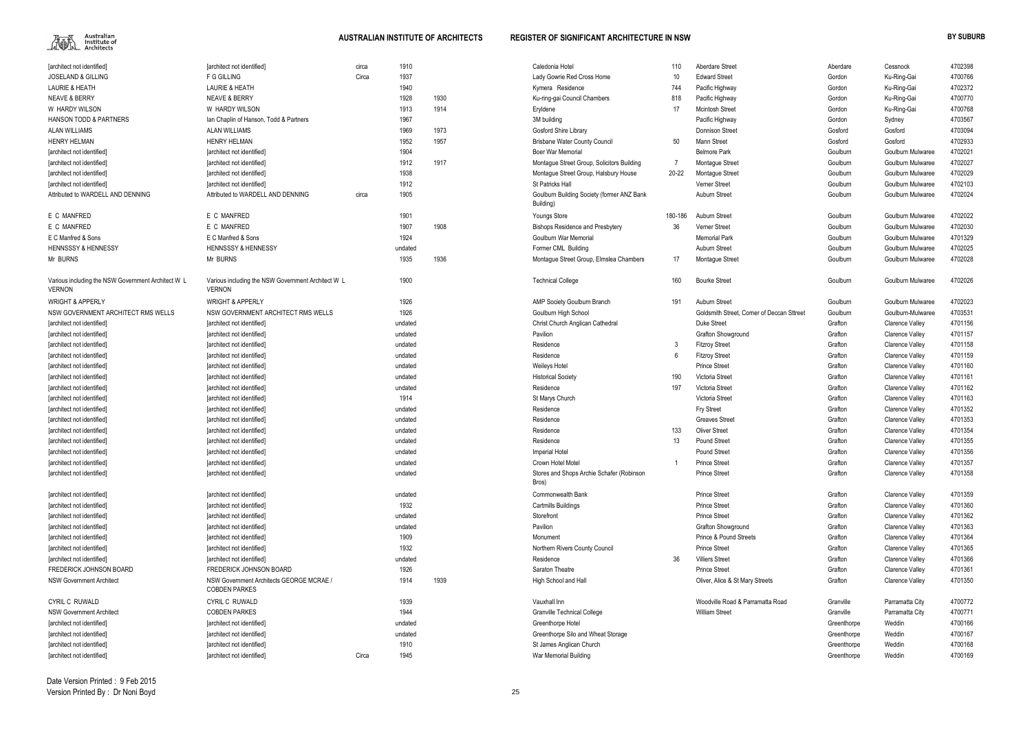

| 10   | <b>Aberdare Street</b>                     | Aberdare    | Cessnock                                  | 4702398            |
|------|--------------------------------------------|-------------|-------------------------------------------|--------------------|
| 10   | <b>Edward Street</b>                       | Gordon      | Ku-Ring-Gai                               | 4700766            |
| 44   | Pacific Highway                            | Gordon      | Ku-Ring-Gai                               | 4702372            |
| 18   | Pacific Highway                            | Gordon      | Ku-Ring-Gai                               | 4700770            |
| 17   | <b>Mcintosh Street</b>                     | Gordon      | Ku-Ring-Gai                               | 4700768            |
|      | Pacific Highway                            | Gordon      | Sydney                                    | 4703567            |
|      | Donnison Street                            | Gosford     | Gosford                                   | 4703094            |
| 50   | Mann Street                                | Gosford     | Gosford                                   | 4702933            |
|      | <b>Belmore Park</b>                        | Goulburn    | Goulburn Mulwaree                         | 4702021            |
| 7    | Montague Street                            | Goulburn    | Goulburn Mulwaree                         | 4702027            |
| -22  | Montague Street                            | Goulburn    | Goulburn Mulwaree                         | 4702029            |
|      | Verner Street                              | Goulburn    | Goulburn Mulwaree                         | 4702103            |
|      | Auburn Street                              | Goulburn    | Goulburn Mulwaree                         | 4702024            |
| -186 | Auburn Street                              | Goulburn    | Goulburn Mulwaree                         | 4702022            |
| 36   | Verner Street                              | Goulburn    | Goulburn Mulwaree                         | 4702030            |
|      | <b>Memorial Park</b>                       | Goulburn    | Goulburn Mulwaree                         | 4701329            |
|      | Auburn Street                              | Goulburn    | Goulburn Mulwaree                         | 4702025            |
| 17   | Montague Street                            | Goulburn    | Goulburn Mulwaree                         | 4702028            |
| 60   | <b>Bourke Street</b>                       | Goulburn    | Goulburn Mulwaree                         | 4702026            |
| 91   | Auburn Street                              | Goulburn    | Goulburn Mulwaree                         | 4702023            |
|      | Goldsmith Street, Corner of Deccan Sttreet | Goulburn    | Goulburn-Mulwaree                         | 4703531            |
|      | Duke Street                                | Grafton     | <b>Clarence Valley</b>                    | 4701156            |
|      | Grafton Showground                         | Grafton     | Clarence Valley                           | 4701157            |
| 3    | <b>Fitzroy Street</b>                      | Grafton     | <b>Clarence Valley</b>                    | 4701158            |
| 6    | <b>Fitzroy Street</b>                      | Grafton     | <b>Clarence Valley</b>                    | 4701159            |
|      | <b>Prince Street</b>                       | Grafton     | <b>Clarence Valley</b>                    | 4701160            |
| 90   | Victoria Street                            | Grafton     | Clarence Valley                           | 4701161            |
| 97   | Victoria Street                            | Grafton     | <b>Clarence Valley</b>                    | 4701162            |
|      | Victoria Street                            | Grafton     | <b>Clarence Valley</b>                    | 4701163            |
|      | Fry Street                                 | Grafton     | <b>Clarence Valley</b>                    | 4701352            |
|      | <b>Greaves Street</b>                      | Grafton     | <b>Clarence Valley</b>                    | 4701353            |
| 33   | <b>Oliver Street</b>                       | Grafton     | <b>Clarence Valley</b>                    | 4701354            |
| 13   | Pound Street                               | Grafton     | <b>Clarence Valley</b>                    | 4701355            |
|      | Pound Street                               | Grafton     | Clarence Valley                           | 4701356            |
| 1    | <b>Prince Street</b>                       | Grafton     | Clarence Valley                           | 4701357            |
|      | <b>Prince Street</b>                       | Grafton     | Clarence Valley                           | 4701358            |
|      | <b>Prince Street</b>                       | Grafton     |                                           | 4701359            |
|      | <b>Prince Street</b>                       | Grafton     | Clarence Valley<br><b>Clarence Valley</b> | 4701360            |
|      | <b>Prince Street</b>                       | Grafton     | <b>Clarence Valley</b>                    | 4701362            |
|      | Grafton Showground                         | Grafton     | <b>Clarence Valley</b>                    | 4701363            |
|      | <b>Prince &amp; Pound Streets</b>          | Grafton     | <b>Clarence Valley</b>                    | 4701364            |
|      | <b>Prince Street</b>                       | Grafton     | <b>Clarence Valley</b>                    | 4701365            |
|      | <b>Villiers Street</b>                     | Grafton     | <b>Clarence Valley</b>                    |                    |
| 36   | <b>Prince Street</b>                       | Grafton     |                                           | 4701366<br>4701361 |
|      | Oliver, Alice & St Mary Streets            | Grafton     | Clarence Valley<br>Clarence Valley        | 4701350            |
|      |                                            |             |                                           |                    |
|      | Woodville Road & Parramatta Road           | Granville   | Parramatta City                           | 4700772            |
|      | <b>William Street</b>                      | Granville   | Parramatta City                           | 4700771            |
|      |                                            | Greenthorpe | Weddin                                    | 4700166            |
|      |                                            | Greenthorpe | Weddin                                    | 4700167            |
|      |                                            | Greenthorpe | Weddin                                    | 4700168            |
|      |                                            | Greenthorpe | Weddin                                    | 4700169            |

| [architect not identified]                                          | [architect not identified]                                          | circa | 1910    |      | Caledonia Hotel                                         | 110             | Aberdare Street                            | Aberdare    | Cessnock               | 4702398 |
|---------------------------------------------------------------------|---------------------------------------------------------------------|-------|---------|------|---------------------------------------------------------|-----------------|--------------------------------------------|-------------|------------------------|---------|
| <b>JOSELAND &amp; GILLING</b>                                       | F G GILLING                                                         | Circa | 1937    |      | Lady Gowrie Red Cross Home                              | 10 <sup>°</sup> | <b>Edward Street</b>                       | Gordon      | Ku-Ring-Gai            | 4700766 |
| LAURIE & HEATH                                                      | LAURIE & HEATH                                                      |       | 1940    |      | Kymera Residence                                        | 744             | Pacific Highway                            | Gordon      | Ku-Ring-Gai            | 4702372 |
| <b>NEAVE &amp; BERRY</b>                                            | <b>NEAVE &amp; BERRY</b>                                            |       | 1928    | 1930 | Ku-ring-gai Council Chambers                            | 818             | Pacific Highway                            | Gordon      | Ku-Ring-Gai            | 4700770 |
| W HARDY WILSON                                                      | W HARDY WILSON                                                      |       | 1913    | 1914 | Eryldene                                                | 17              | <b>Mcintosh Street</b>                     | Gordon      | Ku-Ring-Gai            | 4700768 |
| <b>HANSON TODD &amp; PARTNERS</b>                                   | lan Chaplin of Hanson, Todd & Partners                              |       | 1967    |      | 3M building                                             |                 | Pacific Highway                            | Gordon      | Sydney                 | 4703567 |
| <b>ALAN WILLIAMS</b>                                                | ALAN WILLIAMS                                                       |       | 1969    | 1973 | Gosford Shire Library                                   |                 | <b>Donnison Street</b>                     | Gosford     | Gosford                | 4703094 |
| <b>HENRY HELMAN</b>                                                 | <b>HENRY HELMAN</b>                                                 |       | 1952    | 1957 | <b>Brisbane Water County Council</b>                    | 50              | Mann Street                                | Gosford     | Gosford                | 4702933 |
| [architect not identified]                                          | [architect not identified]                                          |       | 1904    |      | <b>Boer War Memorial</b>                                |                 | <b>Belmore Park</b>                        | Goulburn    | Goulburn Mulwaree      | 4702021 |
| [architect not identified]                                          | <b>Tarchitect not identified]</b>                                   |       | 1912    | 1917 | Montague Street Group, Solicitors Building              |                 | <b>Montaque Street</b>                     | Goulburn    | Goulburn Mulwaree      | 4702027 |
| [architect not identified]                                          | [architect not identified]                                          |       | 1938    |      | Montaque Street Group, Halsbury House                   | 20-22           | Montague Street                            | Goulburn    | Goulburn Mulwaree      | 4702029 |
| [architect not identified]                                          | [architect not identified]                                          |       | 1912    |      | St Patricks Hall                                        |                 | Verner Street                              | Goulburn    | Goulburn Mulwaree      | 4702103 |
| Attributed to WARDELL AND DENNING                                   | Attributed to WARDELL AND DENNING                                   | circa | 1905    |      | Goulburn Building Society (former ANZ Bank<br>Building) |                 | Auburn Street                              | Goulburn    | Goulburn Mulwaree      | 4702024 |
| E C MANFRED                                                         | E C MANFRED                                                         |       | 1901    |      | Youngs Store                                            | 180-186         | Auburn Street                              | Goulburn    | Goulburn Mulwaree      | 4702022 |
| E C MANFRED                                                         | E C MANFRED                                                         |       | 1907    | 1908 | <b>Bishops Residence and Presbytery</b>                 | 36              | <b>Verner Street</b>                       | Goulburn    | Goulburn Mulwaree      | 4702030 |
| E C Manfred & Sons                                                  | E C Manfred & Sons                                                  |       | 1924    |      | Goulburn War Memorial                                   |                 | <b>Memorial Park</b>                       | Goulburn    | Goulburn Mulwaree      | 4701329 |
| <b>HENNSSSY &amp; HENNESSY</b>                                      | <b>HENNSSSY &amp; HENNESSY</b>                                      |       | undated |      | Former CML Building                                     |                 | Auburn Street                              | Goulburn    | Goulburn Mulwaree      | 4702025 |
| Mr BURNS                                                            | Mr BURNS                                                            |       | 1935    | 1936 | Montaque Street Group, Elmslea Chambers                 | 17              | Montague Street                            | Goulburn    | Goulburn Mulwaree      | 4702028 |
| Various including the NSW Government Architect W L<br><b>VERNON</b> | Various including the NSW Government Architect W L<br><b>VERNON</b> |       | 1900    |      | <b>Technical College</b>                                | 160             | <b>Bourke Street</b>                       | Goulburn    | Goulburn Mulwaree      | 4702026 |
| <b>WRIGHT &amp; APPERLY</b>                                         | <b>WRIGHT &amp; APPERLY</b>                                         |       | 1926    |      | AMP Society Goulburn Branch                             | 191             | Auburn Street                              | Goulburn    | Goulburn Mulwaree      | 4702023 |
| NSW GOVERNMENT ARCHITECT RMS WELLS                                  | NSW GOVERNMENT ARCHITECT RMS WELLS                                  |       | 1926    |      | Goulburn High School                                    |                 | Goldsmith Street. Corner of Deccan Sttreet | Goulburn    | Goulburn-Mulwaree      | 4703531 |
| [architect not identified]                                          | [architect not identified]                                          |       | undated |      | Christ Church Anglican Cathedral                        |                 | <b>Duke Street</b>                         | Grafton     | <b>Clarence Valley</b> | 4701156 |
| [architect not identified]                                          | [architect not identified]                                          |       | undated |      | Pavilion                                                |                 | Grafton Showground                         | Grafton     | <b>Clarence Valley</b> | 4701157 |
| [architect not identified]                                          | [architect not identified]                                          |       | undated |      | Residence                                               |                 | <b>Fitzroy Street</b>                      | Grafton     | Clarence Valley        | 4701158 |
| [architect not identified]                                          | [architect not identified]                                          |       | undated |      | Residence                                               |                 | <b>Fitzroy Street</b>                      | Grafton     | Clarence Valley        | 4701159 |
| [architect not identified]                                          | [architect not identified]                                          |       | undated |      | Weileys Hotel                                           |                 | <b>Prince Street</b>                       | Grafton     | <b>Clarence Valley</b> | 4701160 |
| [architect not identified]                                          | [architect not identified]                                          |       | undated |      | <b>Historical Society</b>                               | 190             | Victoria Street                            | Grafton     | Clarence Valley        | 4701161 |
| [architect not identified]                                          | [architect not identified]                                          |       | undated |      | Residence                                               | 197             | Victoria Street                            | Grafton     | Clarence Valley        | 4701162 |
| [architect not identified]                                          | [architect not identified]                                          |       | 1914    |      | St Marys Church                                         |                 | Victoria Street                            | Grafton     | <b>Clarence Valley</b> | 4701163 |
| [architect not identified]                                          | [architect not identified]                                          |       | undated |      | Residence                                               |                 | Fry Street                                 | Grafton     | <b>Clarence Valley</b> | 4701352 |
| [architect not identified]                                          | [architect not identified]                                          |       | undated |      | Residence                                               |                 | <b>Greaves Street</b>                      | Grafton     | Clarence Valley        | 4701353 |
| [architect not identified]                                          | [architect not identified]                                          |       | undated |      | Residence                                               | 133             | <b>Oliver Street</b>                       | Grafton     | <b>Clarence Valley</b> | 4701354 |
| [architect not identified]                                          | [architect not identified]                                          |       | undated |      | Residence                                               | 13              | <b>Pound Street</b>                        | Grafton     | <b>Clarence Valley</b> | 4701355 |
| [architect not identified]                                          | [architect not identified]                                          |       | undated |      | <b>Imperial Hotel</b>                                   |                 | Pound Street                               | Grafton     | <b>Clarence Valley</b> | 4701356 |
| [architect not identified]                                          | [architect not identified]                                          |       | undated |      | Crown Hotel Motel                                       |                 | <b>Prince Street</b>                       | Grafton     | <b>Clarence Valley</b> | 4701357 |
| [architect not identified]                                          | [architect not identified]                                          |       | undated |      | Stores and Shops Archie Schafer (Robinson<br>Bros)      |                 | <b>Prince Street</b>                       | Grafton     | <b>Clarence Valley</b> | 4701358 |
| [architect not identified]                                          | [architect not identified]                                          |       | undated |      | Commonwealth Bank                                       |                 | <b>Prince Street</b>                       | Grafton     | <b>Clarence Valley</b> | 4701359 |
| [architect not identified]                                          | [architect not identified]                                          |       | 1932    |      | <b>Cartmills Buildings</b>                              |                 | <b>Prince Street</b>                       | Grafton     | Clarence Valley        | 4701360 |
| [architect not identified]                                          | [architect not identified]                                          |       | undated |      | Storefront                                              |                 | <b>Prince Street</b>                       | Grafton     | Clarence Valley        | 4701362 |
| [architect not identified]                                          | [architect not identified]                                          |       | undated |      | Pavilion                                                |                 | Grafton Showground                         | Grafton     | Clarence Valley        | 4701363 |
| [architect not identified]                                          | [architect not identified]                                          |       | 1909    |      | Monument                                                |                 | <b>Prince &amp; Pound Streets</b>          | Grafton     | Clarence Valley        | 4701364 |
| [architect not identified]                                          | [architect not identified]                                          |       | 1932    |      | Northern Rivers County Council                          |                 | <b>Prince Street</b>                       | Grafton     | Clarence Valley        | 4701365 |
| [architect not identified]                                          | [architect not identified]                                          |       | undated |      | Residence                                               | 36              | <b>Villiers Street</b>                     | Grafton     | Clarence Valley        | 4701366 |
| FREDERICK JOHNSON BOARD                                             | FREDERICK JOHNSON BOARD                                             |       | 1926    |      | Saraton Theatre                                         |                 | <b>Prince Street</b>                       | Grafton     | <b>Clarence Valley</b> | 4701361 |
| <b>NSW Government Architect</b>                                     | NSW Government Architects GEORGE MCRAE /<br><b>COBDEN PARKES</b>    |       | 1914    | 1939 | High School and Hall                                    |                 | Oliver, Alice & St Mary Streets            | Grafton     | <b>Clarence Valley</b> | 4701350 |
| CYRIL C RUWALD                                                      | CYRIL C RUWALD                                                      |       | 1939    |      | Vauxhall Inn                                            |                 | Woodville Road & Parramatta Road           | Granville   | Parramatta City        | 4700772 |
| <b>NSW Government Architect</b>                                     | <b>COBDEN PARKES</b>                                                |       | 1944    |      | <b>Granville Technical College</b>                      |                 | <b>William Street</b>                      | Granville   | Parramatta City        | 4700771 |
| [architect not identified]                                          | [architect not identified]                                          |       | undated |      | Greenthorpe Hotel                                       |                 |                                            | Greenthorpe | Weddin                 | 4700166 |
| [architect not identified]                                          | [architect not identified]                                          |       | undated |      | Greenthorpe Silo and Wheat Storage                      |                 |                                            | Greenthorpe | Weddin                 | 4700167 |
| [architect not identified]                                          | [architect not identified]                                          |       | 1910    |      | St James Anglican Church                                |                 |                                            | Greenthorpe | Weddin                 | 4700168 |
| [architect not identified]                                          | [architect not identified]                                          | Circa | 1945    |      | War Memorial Building                                   |                 |                                            | Greenthorpe | Weddin                 | 4700169 |
|                                                                     |                                                                     |       |         |      |                                                         |                 |                                            |             |                        |         |

Date Version Printed : 9 Feb 2015Version Printed By : Dr Noni Boyd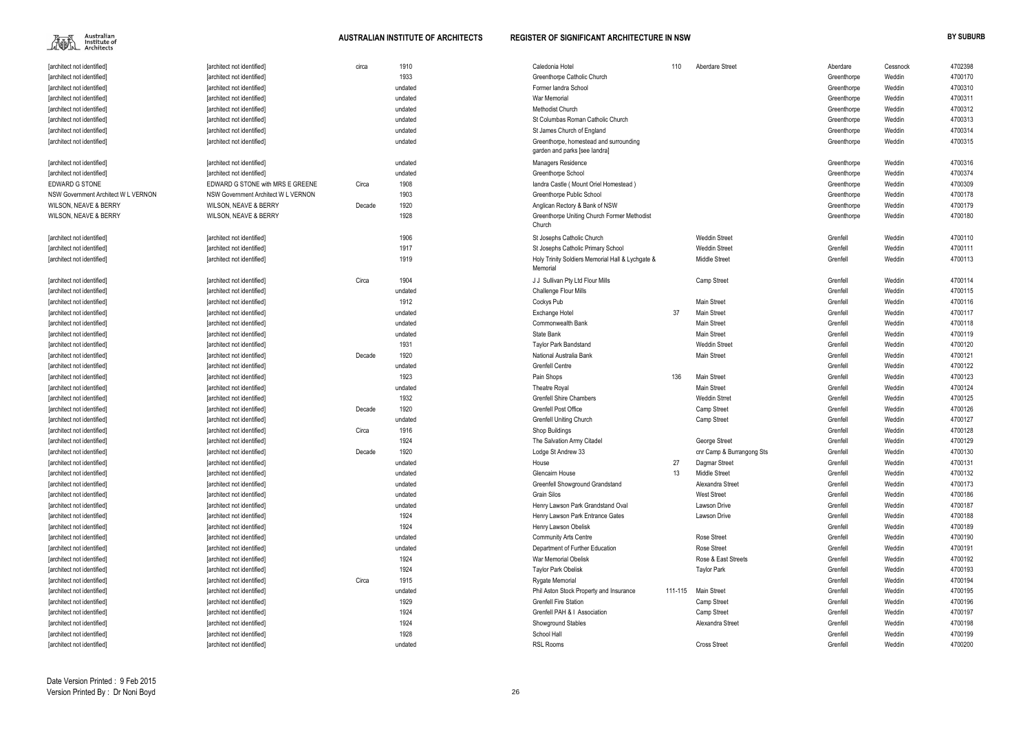

| Aberdare Street           | Aberdare    | Cessnock         | 4702398            |
|---------------------------|-------------|------------------|--------------------|
|                           | Greenthorpe | Weddin           | 4700170            |
|                           | Greenthorpe | Weddin           | 4700310            |
|                           | Greenthorpe | Weddin           | 4700311            |
|                           | Greenthorpe | Weddin           | 4700312            |
|                           | Greenthorpe | Weddin           | 4700313            |
|                           | Greenthorpe | Weddin           | 4700314            |
|                           | Greenthorpe | Weddin           | 4700315            |
|                           |             |                  |                    |
|                           | Greenthorpe | Weddin           | 4700316            |
|                           | Greenthorpe | Weddin           | 4700374            |
|                           | Greenthorpe | Weddin           | 4700309            |
|                           | Greenthorpe | Weddin           | 4700178            |
|                           | Greenthorpe | Weddin<br>Weddin | 4700179<br>4700180 |
|                           | Greenthorpe |                  |                    |
| Weddin Street             | Grenfell    | Weddin           | 4700110            |
| Weddin Street             | Grenfell    | Weddin           | 4700111            |
| Middle Street             | Grenfell    | Weddin           | 4700113            |
| Camp Street               | Grenfell    | Weddin           | 4700114            |
|                           | Grenfell    | Weddin           | 4700115            |
| Main Street               | Grenfell    | Weddin           | 4700116            |
| Main Street               | Grenfell    | Weddin           | 4700117            |
| Main Street               | Grenfell    | Weddin           | 4700118            |
| Main Street               | Grenfell    |                  |                    |
|                           |             | Weddin           | 4700119            |
| <b>Weddin Street</b>      | Grenfell    | Weddin           | 4700120            |
| Main Street               | Grenfell    | Weddin           | 4700121<br>4700122 |
|                           | Grenfell    | Weddin           | 4700123            |
| Main Street               | Grenfell    | Weddin           |                    |
| Main Street               | Grenfell    | Weddin           | 4700124            |
| Weddin Strret             | Grenfell    | Weddin           | 4700125            |
| Camp Street               | Grenfell    | Weddin           | 4700126            |
| Camp Street               | Grenfell    | Weddin           | 4700127            |
|                           | Grenfell    | Weddin           | 4700128            |
| George Street             | Grenfell    | Weddin           | 4700129            |
| cnr Camp & Burrangong Sts | Grenfell    | Weddin           | 4700130            |
| Dagmar Street             | Grenfell    | Weddin           | 4700131            |
| Middle Street             | Grenfell    | Weddin           | 4700132            |
| Alexandra Street          | Grenfell    | Weddin           | 4700173            |
| West Street               | Grenfell    | Weddin           | 4700186            |
| Lawson Drive              | Grenfell    | Weddin           | 4700187            |
| Lawson Drive              | Grenfell    | Weddin           | 4700188            |
|                           | Grenfell    | Weddin           | 4700189            |
| Rose Street               | Grenfell    | Weddin           | 4700190            |
| Rose Street               | Grenfell    | Weddin           | 4700191            |
| Rose & East Streets       | Grenfell    | Weddin           | 4700192            |
| Taylor Park               | Grenfell    | Weddin           | 4700193            |
|                           | Grenfell    | Weddin           | 4700194            |
| Main Street               | Grenfell    | Weddin           | 4700195            |
| Camp Street               | Grenfell    | Weddin           | 4700196            |
| Camp Street               | Grenfell    | Weddin           | 4700197            |
| Alexandra Street          | Grenfell    | Weddin           | 4700198            |
|                           | Grenfell    | Weddin           | 4700199            |
| <b>Cross Street</b>       | Grenfell    | Weddin           | 4700200            |

| [architect not identified]          | [architect not identified]          | circa  | 1910    | Caledonia Hotel                                              | 110     | Aberdare Street           | Aberdare    | Cessnock | 4702398 |
|-------------------------------------|-------------------------------------|--------|---------|--------------------------------------------------------------|---------|---------------------------|-------------|----------|---------|
| [architect not identified]          | [architect not identified]          |        | 1933    | Greenthorpe Catholic Church                                  |         |                           | Greenthorpe | Weddin   | 4700170 |
| [architect not identified]          | [architect not identified]          |        | undated | Former landra School                                         |         |                           | Greenthorpe | Weddin   | 4700310 |
| [architect not identified]          | [architect not identified]          |        | undated | <b>War Memorial</b>                                          |         |                           | Greenthorpe | Weddin   | 4700311 |
| [architect not identified]          | [architect not identified]          |        | undated | <b>Methodist Church</b>                                      |         |                           | Greenthorpe | Weddin   | 4700312 |
| [architect not identified]          | [architect not identified]          |        | undated | St Columbas Roman Catholic Church                            |         |                           | Greenthorpe | Weddin   | 4700313 |
| [architect not identified]          | [architect not identified]          |        | undated | St James Church of England                                   |         |                           | Greenthorpe | Weddin   | 4700314 |
| [architect not identified]          | [architect not identified]          |        | undated | Greenthorpe, homestead and surrounding                       |         |                           | Greenthorpe | Weddin   | 4700315 |
|                                     |                                     |        |         | garden and parks [see landra]                                |         |                           |             |          |         |
| [architect not identified]          | [architect not identified]          |        | undated | Managers Residence                                           |         |                           | Greenthorpe | Weddin   | 4700316 |
| [architect not identified]          | [architect not identified]          |        | undated | <b>Greenthorpe School</b>                                    |         |                           | Greenthorpe | Weddin   | 4700374 |
| EDWARD G STONE                      | EDWARD G STONE with MRS E GREENE    | Circa  | 1908    | landra Castle (Mount Oriel Homestead)                        |         |                           | Greenthorpe | Weddin   | 4700309 |
| NSW Government Architect W L VERNON | NSW Government Architect W L VERNON |        | 1903    | Greenthorpe Public School                                    |         |                           | Greenthorpe | Weddin   | 4700178 |
| <b>WILSON, NEAVE &amp; BERRY</b>    | <b>WILSON, NEAVE &amp; BERRY</b>    | Decade | 1920    | Anglican Rectory & Bank of NSW                               |         |                           | Greenthorpe | Weddin   | 4700179 |
| <b>WILSON, NEAVE &amp; BERRY</b>    | <b>WILSON, NEAVE &amp; BERRY</b>    |        | 1928    | Greenthorpe Uniting Church Former Methodist<br>Church        |         |                           | Greenthorpe | Weddin   | 4700180 |
| [architect not identified]          | [architect not identified]          |        | 1906    | St Josephs Catholic Church                                   |         | <b>Weddin Street</b>      | Grenfell    | Weddin   | 4700110 |
| [architect not identified]          | [architect not identified]          |        | 1917    | St Josephs Catholic Primary School                           |         | <b>Weddin Street</b>      | Grenfell    | Weddin   | 4700111 |
| [architect not identified]          | [architect not identified]          |        | 1919    | Holy Trinity Soldiers Memorial Hall & Lychgate &<br>Memorial |         | <b>Middle Street</b>      | Grenfell    | Weddin   | 4700113 |
| [architect not identified]          | [architect not identified]          | Circa  | 1904    | J J Sullivan Pty Ltd Flour Mills                             |         | Camp Street               | Grenfell    | Weddin   | 4700114 |
| [architect not identified]          | [architect not identified]          |        | undated | Challenge Flour Mills                                        |         |                           | Grenfell    | Weddin   | 4700115 |
| [architect not identified]          | [architect not identified]          |        | 1912    | Cockys Pub                                                   |         | <b>Main Street</b>        | Grenfell    | Weddin   | 4700116 |
| [architect not identified]          | [architect not identified]          |        | undated | Exchange Hotel                                               | 37      | <b>Main Street</b>        | Grenfell    | Weddin   | 4700117 |
| [architect not identified]          | [architect not identified]          |        | undated | <b>Commonwealth Bank</b>                                     |         | <b>Main Street</b>        | Grenfell    | Weddin   | 4700118 |
| [architect not identified]          | [architect not identified]          |        | undated | State Bank                                                   |         | <b>Main Street</b>        | Grenfell    | Weddin   | 4700119 |
| [architect not identified]          | [architect not identified]          |        | 1931    | <b>Taylor Park Bandstand</b>                                 |         | <b>Weddin Street</b>      | Grenfell    | Weddin   | 4700120 |
| [architect not identified]          | [architect not identified]          | Decade | 1920    | National Australia Bank                                      |         | <b>Main Street</b>        | Grenfell    | Weddin   | 4700121 |
| [architect not identified]          | [architect not identified]          |        | undated | <b>Grenfell Centre</b>                                       |         |                           | Grenfell    | Weddin   | 4700122 |
| [architect not identified]          | [architect not identified]          |        | 1923    | Pain Shops                                                   | 136     | <b>Main Street</b>        | Grenfell    | Weddin   | 4700123 |
| [architect not identified]          | [architect not identified]          |        | undated | <b>Theatre Royal</b>                                         |         | <b>Main Street</b>        | Grenfell    | Weddin   | 4700124 |
| [architect not identified]          | [architect not identified]          |        | 1932    | <b>Grenfell Shire Chambers</b>                               |         | <b>Weddin Strret</b>      | Grenfell    | Weddin   | 4700125 |
| [architect not identified]          | [architect not identified]          | Decade | 1920    | <b>Grenfell Post Office</b>                                  |         | Camp Street               | Grenfell    | Weddin   | 4700126 |
| [architect not identified]          | [architect not identified]          |        | undated | <b>Grenfell Uniting Church</b>                               |         | Camp Street               | Grenfell    | Weddin   | 4700127 |
| [architect not identified]          | [architect not identified]          | Circa  | 1916    | Shop Buildings                                               |         |                           | Grenfell    | Weddin   | 4700128 |
| [architect not identified]          | [architect not identified]          |        | 1924    | The Salvation Army Citadel                                   |         | George Street             | Grenfell    | Weddin   | 4700129 |
| [architect not identified]          | [architect not identified]          | Decade | 1920    | Lodge St Andrew 33                                           |         | cnr Camp & Burrangong Sts | Grenfell    | Weddin   | 4700130 |
| [architect not identified]          | [architect not identified]          |        | undated | House                                                        | 27      | Dagmar Street             | Grenfell    | Weddin   | 4700131 |
| [architect not identified]          | [architect not identified]          |        | undated | Glencairn House                                              | 13      | <b>Middle Street</b>      | Grenfell    | Weddin   | 4700132 |
| [architect not identified]          | [architect not identified]          |        | undated | Greenfell Showground Grandstand                              |         | Alexandra Street          | Grenfell    | Weddin   | 4700173 |
| [architect not identified]          | [architect not identified]          |        | undated | Grain Silos                                                  |         | <b>West Street</b>        | Grenfell    | Weddin   | 4700186 |
| [architect not identified]          | [architect not identified]          |        | undated | Henry Lawson Park Grandstand Oval                            |         | Lawson Drive              | Grenfell    | Weddin   | 4700187 |
| [architect not identified]          | [architect not identified]          |        | 1924    | Henry Lawson Park Entrance Gates                             |         | Lawson Drive              | Grenfell    | Weddin   | 4700188 |
| [architect not identified]          | [architect not identified]          |        | 1924    | Henry Lawson Obelisk                                         |         |                           | Grenfell    | Weddin   | 4700189 |
| [architect not identified]          | [architect not identified]          |        | undated | <b>Community Arts Centre</b>                                 |         | <b>Rose Street</b>        | Grenfell    | Weddin   | 4700190 |
| [architect not identified]          | [architect not identified]          |        | undated | Department of Further Education                              |         | <b>Rose Street</b>        | Grenfell    | Weddin   | 4700191 |
| [architect not identified]          | [architect not identified]          |        | 1924    | War Memorial Obelisk                                         |         | Rose & East Streets       | Grenfell    | Weddin   | 4700192 |
| [architect not identified]          | [architect not identified]          |        | 1924    | <b>Taylor Park Obelisk</b>                                   |         | <b>Taylor Park</b>        | Grenfell    | Weddin   | 4700193 |
| [architect not identified]          | [architect not identified]          | Circa  | 1915    | <b>Rygate Memorial</b>                                       |         |                           | Grenfell    | Weddin   | 4700194 |
| [architect not identified]          | [architect not identified]          |        | undated | Phil Aston Stock Property and Insurance                      | 111-115 | <b>Main Street</b>        | Grenfell    | Weddin   | 4700195 |
| [architect not identified]          | [architect not identified]          |        | 1929    | <b>Grenfell Fire Station</b>                                 |         | Camp Street               | Grenfell    | Weddin   | 4700196 |
| [architect not identified]          | [architect not identified]          |        | 1924    | Grenfell PAH & I Association                                 |         | Camp Street               | Grenfell    | Weddin   | 4700197 |
| [architect not identified]          | [architect not identified]          |        | 1924    | Showground Stables                                           |         | Alexandra Street          | Grenfell    | Weddin   | 4700198 |
| [architect not identified]          | [architect not identified]          |        | 1928    | School Hall                                                  |         |                           | Grenfell    | Weddin   | 4700199 |
| [architect not identified]          | [architect not identified]          |        | undated | <b>RSL Rooms</b>                                             |         | <b>Cross Street</b>       | Grenfell    | Weddin   | 4700200 |
|                                     |                                     |        |         |                                                              |         |                           |             |          |         |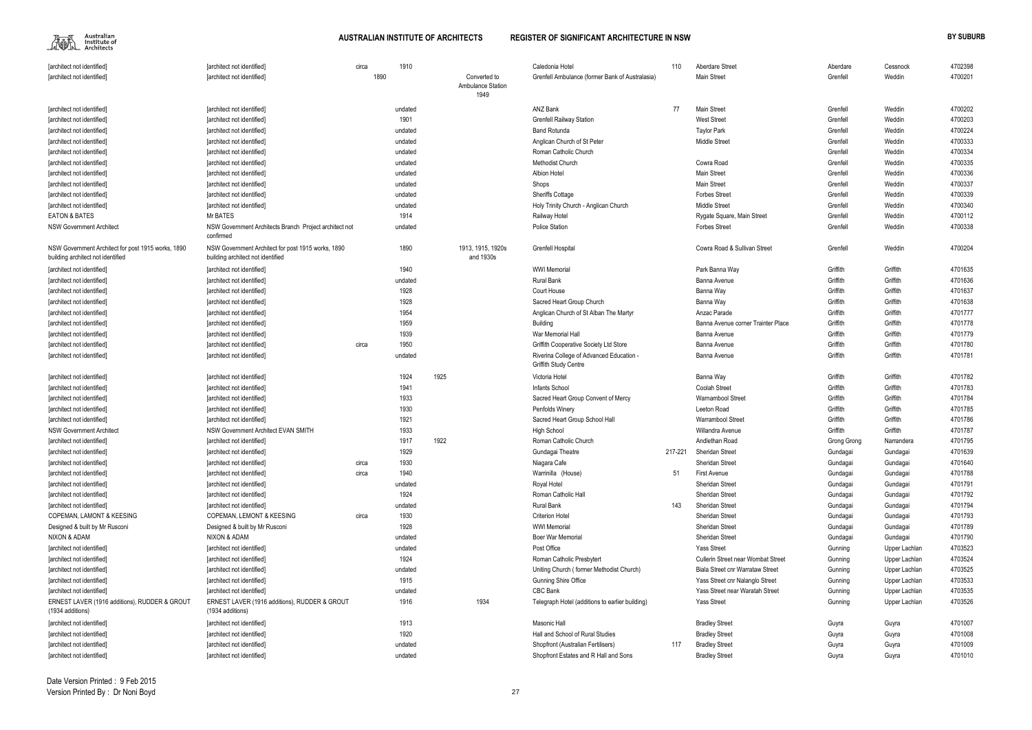Australian<br>Institute of<br>— Architects 編

| Aberdare Street                                | Aberdare    | Cessnock      | 4702398 |
|------------------------------------------------|-------------|---------------|---------|
| Main Street                                    | Grenfell    | Weddin        | 4700201 |
|                                                |             |               |         |
|                                                |             |               |         |
| Main Street                                    | Grenfell    | Weddin        | 4700202 |
| West Street                                    | Grenfell    | Weddin        | 4700203 |
| Taylor Park                                    | Grenfell    | Weddin        | 4700224 |
| Middle Street                                  | Grenfell    | Weddin        | 4700333 |
|                                                | Grenfell    | Weddin        | 4700334 |
| Cowra Road                                     | Grenfell    | Weddin        | 4700335 |
| Main Street                                    | Grenfell    | Weddin        | 4700336 |
| Main Street                                    | Grenfell    | Weddin        | 4700337 |
| Forbes Street                                  | Grenfell    | Weddin        | 4700339 |
| Middle Street                                  | Grenfell    | Weddin        | 4700340 |
| Rygate Square, Main Street                     | Grenfell    | Weddin        | 4700112 |
| Forbes Street                                  | Grenfell    | Weddin        | 4700338 |
|                                                |             |               |         |
| Cowra Road & Sullivan Street                   | Grenfell    | Weddin        | 4700204 |
|                                                |             |               |         |
| Park Banna Way                                 | Griffith    | Griffith      | 4701635 |
| Banna Avenue                                   | Griffith    | Griffith      | 4701636 |
| Banna Way                                      | Griffith    | Griffith      | 4701637 |
| Banna Way                                      | Griffith    | Griffith      | 4701638 |
| Anzac Parade                                   | Griffith    | Griffith      | 4701777 |
| Banna Avenue corner Trainter Place             | Griffith    | Griffith      | 4701778 |
| Banna Avenue                                   | Griffith    | Griffith      | 4701779 |
| Banna Avenue                                   | Griffith    | Griffith      | 4701780 |
| Banna Avenue                                   | Griffith    | Griffith      | 4701781 |
|                                                |             |               |         |
| Banna Way                                      | Griffith    | Griffith      | 4701782 |
| Coolah Street                                  | Griffith    | Griffith      | 4701783 |
| Warnambool Street                              | Griffith    | Griffith      | 4701784 |
| Leeton Road                                    | Griffith    | Griffith      | 4701785 |
| Warrambool Street                              | Griffith    | Griffith      | 4701786 |
| Willandra Avenue                               | Griffith    | Griffith      | 4701787 |
| Andlethan Road                                 | Grong Grong | Narrandera    | 4701795 |
| Sheridan Street                                | Gundagai    | Gundagai      | 4701639 |
| Sheridan Street                                | Gundagai    | Gundagai      | 4701640 |
| First Avenue                                   | Gundagai    | Gundagai      | 4701788 |
| Sheridan Street                                | Gundagai    | Gundagai      | 4701791 |
| <b>Sheridan Street</b>                         | Gundagai    | Gundagai      | 4701792 |
| Sheridan Street                                | Gundagai    | Gundagai      | 4701794 |
| <b>Sheridan Street</b>                         | Gundagai    | Gundagai      | 4701793 |
| Sheridan Street                                |             | Gundagai      | 4701789 |
|                                                | Gundagai    |               |         |
| Sheridan Street                                | Gundagai    | Gundagai      | 4701790 |
| Yass Street                                    | Gunning     | Upper Lachlan | 4703523 |
| Cullerin Street near Wombat Street             | Gunning     | Upper Lachlan | 4703524 |
| Biala Street cnr Warrataw Street               | Gunning     | Upper Lachlan | 4703525 |
| Yass Street cnr Nalanglo Street                | Gunning     | Upper Lachlan | 4703533 |
| Yass Street near Waratah Street                | Gunning     | Upper Lachlan | 4703535 |
| Yass Street                                    | Gunning     | Upper Lachlan | 4703526 |
| <b>Bradley Street</b>                          | Guyra       | Guyra         | 4701007 |
|                                                |             |               |         |
| <b>Bradley Street</b><br><b>Bradley Street</b> | Guyra       | Guyra         | 4701008 |
|                                                | Guyra       | Guyra         | 4701009 |
| <b>Bradley Street</b>                          | Guyra       | Guyra         | 4701010 |

| [architect not identified]                                                              | [architect not identified]                                                              | circa | 1910            |      |                                | Caledonia Hotel                                                   | 110     | <b>Aberdare Street</b>                    | Aberdare           | Cessnock      | 4702398            |
|-----------------------------------------------------------------------------------------|-----------------------------------------------------------------------------------------|-------|-----------------|------|--------------------------------|-------------------------------------------------------------------|---------|-------------------------------------------|--------------------|---------------|--------------------|
| [architect not identified]                                                              | [architect not identified]                                                              | 1890  |                 |      | Converted to                   | Grenfell Ambulance (former Bank of Australasia)                   |         | <b>Main Street</b>                        | Grenfell           | Weddin        | 4700201            |
|                                                                                         |                                                                                         |       |                 |      | Ambulance Station<br>1949      |                                                                   |         |                                           |                    |               |                    |
| [architect not identified]                                                              | [architect not identified]                                                              |       | undated         |      |                                | ANZ Bank                                                          | 77      | <b>Main Street</b>                        | Grenfell           | Weddin        | 4700202            |
| [architect not identified]                                                              | [architect not identified]                                                              |       | 1901            |      |                                | <b>Grenfell Railway Station</b>                                   |         | <b>West Street</b>                        | Grenfell           | Weddin        | 4700203            |
| [architect not identified]                                                              | [architect not identified]                                                              |       | undated         |      |                                | <b>Band Rotunda</b>                                               |         | <b>Taylor Park</b>                        | Grenfell           | Weddin        | 4700224            |
| [architect not identified]                                                              | [architect not identified]                                                              |       | undated         |      |                                | Anglican Church of St Peter                                       |         | <b>Middle Street</b>                      | Grenfell           | Weddin        | 4700333            |
| [architect not identified]                                                              | [architect not identified]                                                              |       | undated         |      |                                | Roman Catholic Church                                             |         |                                           | Grenfell           | Weddin        | 4700334            |
| [architect not identified]                                                              | [architect not identified]                                                              |       | undated         |      |                                | <b>Methodist Church</b>                                           |         | Cowra Road                                | Grenfell           | Weddin        | 4700335            |
| [architect not identified]                                                              | [architect not identified]                                                              |       | undated         |      |                                | <b>Albion Hotel</b>                                               |         | <b>Main Street</b>                        | Grenfell           | Weddin        | 4700336            |
| [architect not identified]                                                              | [architect not identified]                                                              |       | undated         |      |                                | Shops                                                             |         | <b>Main Street</b>                        | Grenfell           | Weddin        | 4700337            |
| [architect not identified]                                                              | [architect not identified]                                                              |       | undated         |      |                                | <b>Sheriffs Cottage</b>                                           |         | <b>Forbes Street</b>                      | Grenfell           | Weddin        | 4700339            |
|                                                                                         | [architect not identified]                                                              |       | undated         |      |                                | Holy Trinity Church - Anglican Church                             |         | Middle Street                             | Grenfell           | Weddin        | 4700340            |
| [architect not identified]                                                              | Mr BATES                                                                                |       |                 |      |                                |                                                                   |         |                                           |                    |               |                    |
| <b>EATON &amp; BATES</b>                                                                |                                                                                         |       | 1914            |      |                                | Railway Hotel                                                     |         | Rygate Square, Main Street                | Grenfell           | Weddin        | 4700112            |
| <b>NSW Government Architect</b>                                                         | NSW Government Architects Branch Project architect not<br>confirmed                     |       | undated         |      |                                | <b>Police Station</b>                                             |         | <b>Forbes Street</b>                      | Grenfell           | Weddin        | 4700338            |
| NSW Government Architect for post 1915 works, 1890<br>building architect not identified | NSW Government Architect for post 1915 works, 1890<br>building architect not identified |       | 1890            |      | 1913, 1915, 1920s<br>and 1930s | <b>Grenfell Hospital</b>                                          |         | Cowra Road & Sullivan Street              | Grenfell           | Weddin        | 4700204            |
| [architect not identified]                                                              | [architect not identified]                                                              |       | 1940            |      |                                | <b>WWI Memorial</b>                                               |         | Park Banna Way                            | Griffith           | Griffith      | 4701635            |
| [architect not identified]                                                              | [architect not identified]                                                              |       | undated         |      |                                | <b>Rural Bank</b>                                                 |         | Banna Avenue                              | Griffith           | Griffith      | 4701636            |
| [architect not identified]                                                              | [architect not identified]                                                              |       | 1928            |      |                                | Court House                                                       |         | Banna Way                                 | Griffith           | Griffith      | 4701637            |
| [architect not identified]                                                              | [architect not identified]                                                              |       | 1928            |      |                                | Sacred Heart Group Church                                         |         | Banna Way                                 | Griffith           | Griffith      | 4701638            |
| [architect not identified]                                                              | [architect not identified]                                                              |       | 1954            |      |                                | Anglican Church of St Alban The Martyr                            |         | Anzac Parade                              | Griffith           | Griffith      | 4701777            |
| [architect not identified]                                                              | [architect not identified]                                                              |       | 1959            |      |                                | Building                                                          |         | Banna Avenue corner Trainter Place        | Griffith           | Griffith      | 4701778            |
| [architect not identified]                                                              | [architect not identified]                                                              |       | 1939            |      |                                | War Memorial Hall                                                 |         | Banna Avenue                              | Griffith           | Griffith      | 4701779            |
| [architect not identified]                                                              | [architect not identified]                                                              | circa | 1950            |      |                                | Griffith Cooperative Society Ltd Store                            |         | Banna Avenue                              | Griffith           | Griffith      | 4701780            |
| [architect not identified]                                                              | [architect not identified]                                                              |       | undated         |      |                                | Riverina College of Advanced Education -<br>Griffith Study Centre |         | Banna Avenue                              | Griffith           | Griffith      | 4701781            |
| [architect not identified]                                                              | [architect not identified]                                                              |       | 1924            | 1925 |                                | Victoria Hotel                                                    |         | Banna Way                                 | Griffith           | Griffith      | 4701782            |
| [architect not identified]                                                              | [architect not identified]                                                              |       | 1941            |      |                                | Infants School                                                    |         | Coolah Street                             | Griffith           | Griffith      | 4701783            |
| [architect not identified]                                                              | [architect not identified]                                                              |       | 1933            |      |                                | Sacred Heart Group Convent of Mercy                               |         | Warnambool Street                         | Griffith           | Griffith      | 4701784            |
| [architect not identified]                                                              | [architect not identified]                                                              |       | 1930            |      |                                | Penfolds Winery                                                   |         | Leeton Road                               | Griffith           | Griffith      | 4701785            |
| [architect not identified]                                                              | [architect not identified]                                                              |       | 1921            |      |                                | Sacred Heart Group School Hall                                    |         | <b>Warrambool Street</b>                  | Griffith           | Griffith      | 4701786            |
| <b>NSW Government Architect</b>                                                         | NSW Government Architect EVAN SMITH                                                     |       | 1933            |      |                                | <b>High School</b>                                                |         | Willandra Avenue                          | Griffith           | Griffith      | 4701787            |
| [architect not identified]                                                              | [architect not identified]                                                              |       | 1917            | 1922 |                                | Roman Catholic Church                                             |         | Andlethan Road                            | <b>Grong Grong</b> | Narrandera    | 4701795            |
| [architect not identified]                                                              | [architect not identified]                                                              |       | 1929            |      |                                | Gundagai Theatre                                                  | 217-221 | Sheridan Street                           | Gundagai           | Gundagai      | 4701639            |
| [architect not identified]                                                              | [architect not identified]                                                              | circa | 1930            |      |                                | Niagara Cafe                                                      |         | <b>Sheridan Street</b>                    | Gundagai           | Gundagai      | 4701640            |
|                                                                                         |                                                                                         | circa | 1940            |      |                                | Warrinilla (House)                                                | 51      | <b>First Avenue</b>                       |                    |               | 4701788            |
| [architect not identified]                                                              | [architect not identified]<br>[architect not identified]                                |       |                 |      |                                | Royal Hotel                                                       |         | Sheridan Street                           | Gundagai           | Gundagai      | 4701791            |
| [architect not identified]                                                              |                                                                                         |       | undated<br>1924 |      |                                |                                                                   |         | Sheridan Street                           | Gundagai           | Gundagai      |                    |
| [architect not identified]                                                              | [architect not identified]                                                              |       |                 |      |                                | Roman Catholic Hall                                               |         | Sheridan Street                           | Gundagai           | Gundagai      | 4701792<br>4701794 |
| [architect not identified]                                                              | [architect not identified]                                                              |       | undated         |      |                                | Rural Bank                                                        | 143     |                                           | Gundagai           | Gundagai      |                    |
| <b>COPEMAN, LAMONT &amp; KEESING</b>                                                    | <b>COPEMAN, LEMONT &amp; KEESING</b>                                                    | circa | 1930            |      |                                | <b>Criterion Hotel</b>                                            |         | Sheridan Street                           | Gundagai           | Gundagai      | 4701793            |
| Designed & built by Mr Rusconi                                                          | Designed & built by Mr Rusconi                                                          |       | 1928            |      |                                | <b>WWI Memorial</b>                                               |         | <b>Sheridan Street</b>                    | Gundagai           | Gundagai      | 4701789            |
| NIXON & ADAM                                                                            | NIXON & ADAM                                                                            |       | undated         |      |                                | <b>Boer War Memorial</b>                                          |         | Sheridan Street                           | Gundagai           | Gundagai      | 4701790            |
| [architect not identified]                                                              | [architect not identified]                                                              |       | undated         |      |                                | Post Office                                                       |         | <b>Yass Street</b>                        | Gunning            | Upper Lachlan | 4703523            |
| [architect not identified]                                                              | [architect not identified]                                                              |       | 1924            |      |                                | Roman Catholic Presbytert                                         |         | <b>Cullerin Street near Wombat Street</b> | Gunning            | Upper Lachlan | 4703524            |
| [architect not identified]                                                              | [architect not identified]                                                              |       | undated         |      |                                | Uniting Church (former Methodist Church)                          |         | Biala Street cnr Warrataw Street          | Gunning            | Upper Lachlan | 4703525            |
| [architect not identified]                                                              | [architect not identified]                                                              |       | 1915            |      |                                | <b>Gunning Shire Office</b>                                       |         | Yass Street cnr Nalanglo Street           | Gunning            | Upper Lachlan | 4703533            |
| [architect not identified]                                                              | [architect not identified]                                                              |       | undated         |      |                                | <b>CBC Bank</b>                                                   |         | Yass Street near Waratah Street           | Gunning            | Upper Lachlan | 4703535            |
| ERNEST LAVER (1916 additions), RUDDER & GROUT<br>(1934 additions)                       | ERNEST LAVER (1916 additions), RUDDER & GROUT<br>(1934 additions)                       |       | 1916            |      | 1934                           | Telegraph Hotel (additions to earlier building)                   |         | <b>Yass Street</b>                        | Gunning            | Upper Lachlan | 4703526            |
| [architect not identified]                                                              | [architect not identified]                                                              |       | 1913            |      |                                | Masonic Hall                                                      |         | <b>Bradley Street</b>                     | Guyra              | Guyra         | 4701007            |
| [architect not identified]                                                              | [architect not identified]                                                              |       | 1920            |      |                                | Hall and School of Rural Studies                                  |         | <b>Bradley Street</b>                     | Guyra              | Guyra         | 4701008            |
| [architect not identified]                                                              | [architect not identified]                                                              |       | undated         |      |                                | Shopfront (Australian Fertilisers)                                | 117     | <b>Bradley Street</b>                     | Guyra              | Guyra         | 4701009            |
| [architect not identified]                                                              | [architect not identified]                                                              |       | undated         |      |                                | Shopfront Estates and R Hall and Sons                             |         | <b>Bradley Street</b>                     | Guyra              | Guyra         | 4701010            |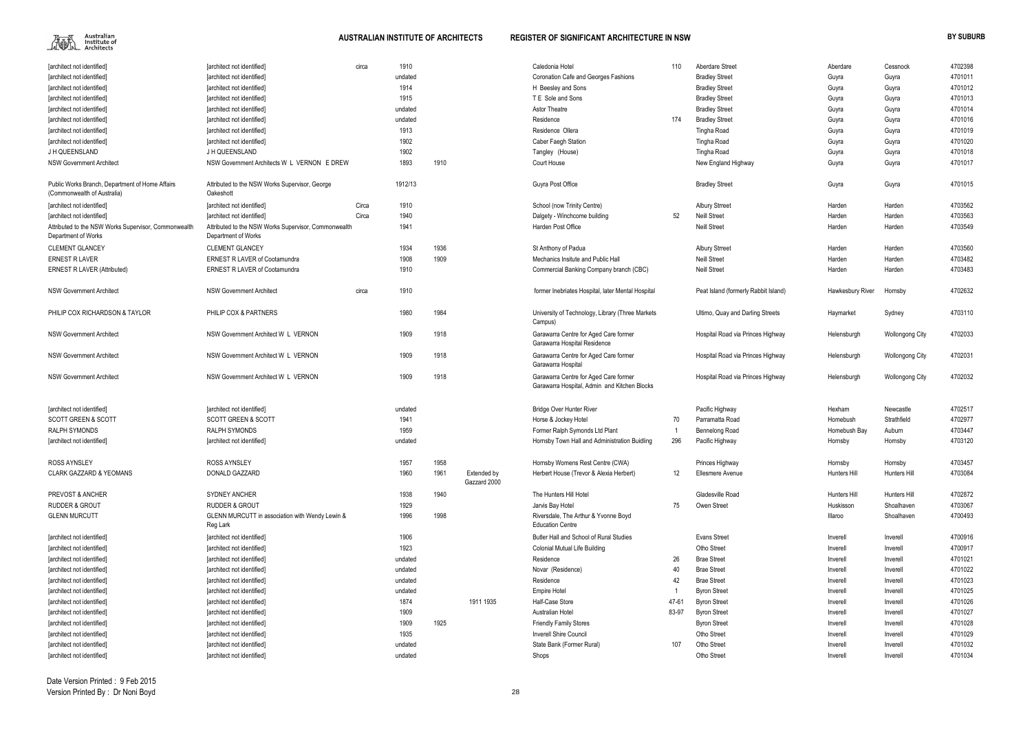

| [architect not identified]                                                     | [architect not identified]                                                  | circa | 1910    |      |                             | Caledonia Hotel                                                                       | 110             | <b>Aberdare Street</b>               | Aberdare         | Cessnock               | 4702398 |
|--------------------------------------------------------------------------------|-----------------------------------------------------------------------------|-------|---------|------|-----------------------------|---------------------------------------------------------------------------------------|-----------------|--------------------------------------|------------------|------------------------|---------|
| [architect not identified]                                                     | [architect not identified]                                                  |       | undated |      |                             | Coronation Cafe and Georges Fashions                                                  |                 | <b>Bradley Street</b>                | Guyra            | Guyra                  | 4701011 |
| [architect not identified]                                                     | [architect not identified]                                                  |       | 1914    |      |                             | H Beesley and Sons                                                                    |                 | <b>Bradley Street</b>                | Guyra            | Guyra                  | 4701012 |
| [architect not identified]                                                     | [architect not identified]                                                  |       | 1915    |      |                             | TE Sole and Sons                                                                      |                 | <b>Bradley Street</b>                | Guyra            | Guyra                  | 4701013 |
| [architect not identified]                                                     | [architect not identified]                                                  |       | undated |      |                             | <b>Astor Theatre</b>                                                                  |                 | <b>Bradley Street</b>                | Guyra            | Guyra                  | 4701014 |
| [architect not identified]                                                     | [architect not identified]                                                  |       | undated |      |                             | Residence                                                                             | 174             | <b>Bradley Street</b>                | Guyra            | Guyra                  | 4701016 |
| [architect not identified]                                                     | [architect not identified]                                                  |       | 1913    |      |                             | Residence Ollera                                                                      |                 | Tingha Road                          | Guyra            | Guyra                  | 4701019 |
| [architect not identified]                                                     | [architect not identified]                                                  |       | 1902    |      |                             | Caber Faegh Station                                                                   |                 | Tingha Road                          | Guyra            | Guyra                  | 4701020 |
| J H QUEENSLAND                                                                 | J H QUEENSLAND                                                              |       | 1902    |      |                             | Tangley (House)                                                                       |                 | Tingha Road                          | Guyra            | Guyra                  | 4701018 |
| <b>NSW Government Architect</b>                                                | NSW Government Architects W L VERNON E DREW                                 |       | 1893    | 1910 |                             | Court House                                                                           |                 | New England Highway                  | Guyra            | Guyra                  | 4701017 |
|                                                                                |                                                                             |       |         |      |                             |                                                                                       |                 |                                      |                  |                        |         |
| Public Works Branch, Department of Home Affairs<br>(Commonwealth of Australia) | Attributed to the NSW Works Supervisor, George<br>Oakeshott                 |       | 1912/13 |      |                             | Guyra Post Office                                                                     |                 | <b>Bradley Street</b>                | Guyra            | Guyra                  | 4701015 |
| [architect not identified]                                                     | [architect not identified]                                                  | Circa | 1910    |      |                             | School (now Trinity Centre)                                                           |                 | <b>Albury Strreet</b>                | Harden           | Harden                 | 4703562 |
| [architect not identified]                                                     | [architect not identified]                                                  | Circa | 1940    |      |                             | Dalgety - Winchcome building                                                          | 52              | <b>Neill Street</b>                  | Harden           | Harden                 | 4703563 |
| Attributed to the NSW Works Supervisor, Commonwealth<br>Department of Works    | Attributed to the NSW Works Supervisor, Commonwealth<br>Department of Works |       | 1941    |      |                             | Harden Post Office                                                                    |                 | Neill Street                         | Harden           | Harden                 | 4703549 |
| <b>CLEMENT GLANCEY</b>                                                         | <b>CLEMENT GLANCEY</b>                                                      |       | 1934    | 1936 |                             | St Anthony of Padua                                                                   |                 | <b>Albury Strreet</b>                | Harden           | Harden                 | 4703560 |
| <b>ERNEST R LAVER</b>                                                          | <b>ERNEST R LAVER of Cootamundra</b>                                        |       | 1908    | 1909 |                             | Mechanics Insitute and Public Hall                                                    |                 | <b>Neill Street</b>                  | Harden           | Harden                 | 4703482 |
| <b>ERNEST R LAVER (Attributed)</b>                                             | <b>ERNEST R LAVER of Cootamundra</b>                                        |       | 1910    |      |                             | Commercial Banking Company branch (CBC)                                               |                 | <b>Neill Street</b>                  | Harden           | Harden                 | 4703483 |
|                                                                                |                                                                             |       |         |      |                             |                                                                                       |                 |                                      |                  |                        |         |
| <b>NSW Government Architect</b>                                                | <b>NSW Government Architect</b>                                             | circa | 1910    |      |                             | former Inebriates Hospital, later Mental Hospital                                     |                 | Peat Island (formerly Rabbit Island) | Hawkesbury River | Hornsby                | 4702632 |
| PHILIP COX RICHARDSON & TAYLOR                                                 | PHILIP COX & PARTNERS                                                       |       | 1980    | 1984 |                             | University of Technology, Library (Three Markets<br>Campus)                           |                 | Ultimo, Quay and Darling Streets     | Haymarket        | Sydney                 | 4703110 |
| <b>NSW Government Architect</b>                                                | NSW Government Architect W L VERNON                                         |       | 1909    | 1918 |                             | Garawarra Centre for Aged Care former<br>Garawarra Hospital Residence                 |                 | Hospital Road via Princes Highway    | Helensburgh      | <b>Wollongong City</b> | 4702033 |
| <b>NSW Government Architect</b>                                                | NSW Government Architect W L VERNON                                         |       | 1909    | 1918 |                             | Garawarra Centre for Aged Care former<br>Garawarra Hospital                           |                 | Hospital Road via Princes Highway    | Helensburgh      | <b>Wollongong City</b> | 4702031 |
| <b>NSW Government Architect</b>                                                | NSW Government Architect W L VERNON                                         |       | 1909    | 1918 |                             | Garawarra Centre for Aged Care former<br>Garawarra Hospital, Admin and Kitchen Blocks |                 | Hospital Road via Princes Highway    | Helensburgh      | <b>Wollongong City</b> | 4702032 |
| [architect not identified]                                                     | [architect not identified]                                                  |       | undated |      |                             | <b>Bridge Over Hunter River</b>                                                       |                 | Pacific Highway                      | Hexham           | Newcastle              | 4702517 |
| <b>SCOTT GREEN &amp; SCOTT</b>                                                 | <b>SCOTT GREEN &amp; SCOTT</b>                                              |       | 1941    |      |                             | Horse & Jockey Hotel                                                                  | 70              | Parramatta Road                      | Homebush         | Strathfield            | 4702977 |
| <b>RALPH SYMONDS</b>                                                           | <b>RALPH SYMONDS</b>                                                        |       | 1959    |      |                             | Former Ralph Symonds Ltd Plant                                                        |                 | Bennelong Road                       | Homebush Bay     | Auburn                 | 4703447 |
| [architect not identified]                                                     | [architect not identified]                                                  |       | undated |      |                             | Hornsby Town Hall and Administration Buidling                                         | 296             | Pacific Highway                      | Hornsby          | Hornsby                | 4703120 |
|                                                                                |                                                                             |       |         |      |                             |                                                                                       |                 |                                      |                  |                        |         |
| <b>ROSS AYNSLEY</b>                                                            | <b>ROSS AYNSLEY</b>                                                         |       | 1957    | 1958 |                             | Hornsby Womens Rest Centre (CWA)                                                      |                 | Princes Highway                      | Hornsby          | Hornsby                | 4703457 |
| <b>CLARK GAZZARD &amp; YEOMANS</b>                                             | DONALD GAZZARD                                                              |       | 1960    | 1961 | Extended by<br>Gazzard 2000 | Herbert House (Trevor & Alexia Herbert)                                               | 12 <sup>°</sup> | Ellesmere Avenue                     | Hunters Hill     | Hunters Hill           | 4703084 |
| PREVOST & ANCHER                                                               | <b>SYDNEY ANCHER</b>                                                        |       | 1938    | 1940 |                             | The Hunters Hill Hotel                                                                |                 | Gladesville Road                     | Hunters Hill     | Hunters Hill           | 4702872 |
| <b>RUDDER &amp; GROUT</b>                                                      | <b>RUDDER &amp; GROUT</b>                                                   |       | 1929    |      |                             | Jarvis Bay Hotel                                                                      | 75              | Owen Street                          | Huskisson        | Shoalhaven             | 4703067 |
| <b>GLENN MURCUTT</b>                                                           | GLENN MURCUTT in association with Wendy Lewin &<br>Reg Lark                 |       | 1996    | 1998 |                             | Riversdale, The Arthur & Yvonne Bovd<br><b>Education Centre</b>                       |                 |                                      | Illaroo          | Shoalhaven             | 4700493 |
| [architect not identified]                                                     | [architect not identified]                                                  |       | 1906    |      |                             | Butler Hall and School of Rural Studies                                               |                 | <b>Evans Street</b>                  | Inverell         | Inverell               | 4700916 |
| [architect not identified]                                                     | [architect not identified]                                                  |       | 1923    |      |                             | <b>Colonial Mutual Life Building</b>                                                  |                 | Otho Street                          | Inverell         | Inverell               | 4700917 |
| [architect not identified]                                                     | [architect not identified]                                                  |       | undated |      |                             | Residence                                                                             | 26              | <b>Brae Street</b>                   | Inverell         | Inverell               | 4701021 |
| [architect not identified]                                                     | [architect not identified]                                                  |       | undated |      |                             | Novar (Residence)                                                                     | 40              | <b>Brae Street</b>                   | Inverell         | Inverell               | 4701022 |
| [architect not identified]                                                     | [architect not identified]                                                  |       | undated |      |                             | Residence                                                                             | 42              | <b>Brae Street</b>                   | Inverell         | Inverell               | 4701023 |
| [architect not identified]                                                     | [architect not identified]                                                  |       | undated |      |                             | <b>Empire Hotel</b>                                                                   |                 | <b>Byron Street</b>                  | Inverell         | Inverell               | 4701025 |
| [architect not identified]                                                     | [architect not identified]                                                  |       | 1874    |      | 1911 1935                   | Half-Case Store                                                                       | 47-61           | <b>Byron Street</b>                  | Inverell         | Inverell               | 4701026 |
| [architect not identified]                                                     | [architect not identified]                                                  |       | 1909    |      |                             | Australian Hotel                                                                      | 83-97           | <b>Byron Street</b>                  | Inverell         | Inverell               | 4701027 |
| [architect not identified]                                                     | [architect not identified]                                                  |       | 1909    | 1925 |                             | <b>Friendly Family Stores</b>                                                         |                 | <b>Byron Street</b>                  | Inverell         | Inverell               | 4701028 |
| [architect not identified]                                                     | [architect not identified]                                                  |       | 1935    |      |                             | <b>Inverell Shire Council</b>                                                         |                 | Otho Street                          | Inverell         | Inverell               | 4701029 |
| [architect not identified]                                                     | [architect not identified]                                                  |       | undated |      |                             | State Bank (Former Rural)                                                             | 107             | Otho Street                          | Inverell         | Inverell               | 4701032 |
| [architect not identified]                                                     | [architect not identified]                                                  |       | undated |      |                             | Shops                                                                                 |                 | Otho Street                          | Inverell         | Inverell               | 4701034 |
|                                                                                |                                                                             |       |         |      |                             |                                                                                       |                 |                                      |                  |                        |         |

| Aberdare Street                      | Aberdare                | Cessnock               | 4702398 |
|--------------------------------------|-------------------------|------------------------|---------|
| <b>Bradley Street</b>                | Guyra                   | Guyra                  | 4701011 |
| <b>Bradley Street</b>                | Guyra                   | Guyra                  | 4701012 |
| <b>Bradley Street</b>                | Guyra                   | Guyra                  | 4701013 |
| <b>Bradley Street</b>                | Guyra                   | Guyra                  | 4701014 |
| <b>Bradley Street</b>                | Guyra                   | Guyra                  | 4701016 |
| Tingha Road                          | Guyra                   | Guyra                  | 4701019 |
| Tingha Road                          | Guyra                   | Guyra                  | 4701020 |
| Tingha Road                          | Guyra                   | Guyra                  | 4701018 |
| New England Highway                  | Guyra                   | Guyra                  | 4701017 |
| <b>Bradley Street</b>                | Guyra                   | Guyra                  | 4701015 |
| Albury Strreet                       | Harden                  | Harden                 | 4703562 |
| Neill Street                         | Harden                  | Harden                 | 4703563 |
| Neill Street                         | Harden                  | Harden                 | 4703549 |
| Albury Strreet                       | Harden                  | Harden                 | 4703560 |
| Neill Street                         | Harden                  | Harden                 | 4703482 |
| Neill Street                         | Harden                  | Harden                 | 4703483 |
| Peat Island (formerly Rabbit Island) | Hawkesbury River        | Hornsby                | 4702632 |
| Ultimo, Quay and Darling Streets     | Haymarket               | Sydney                 | 4703110 |
| Hospital Road via Princes Highway    | Helensburgh             | <b>Wollongong City</b> | 4702033 |
| Hospital Road via Princes Highway    | Helensburgh             | <b>Wollongong City</b> | 4702031 |
| Hospital Road via Princes Highway    | Helensburgh             | <b>Wollongong City</b> | 4702032 |
|                                      | Hexham                  | Newcastle              | 4702517 |
| Pacific Highway<br>Parramatta Road   | Homebush                | Strathfield            | 4702977 |
|                                      |                         | Auburn                 | 4703447 |
| Bennelong Road                       | Homebush Bay<br>Hornsby |                        | 4703120 |
| Pacific Highway                      |                         | Hornsby                |         |
| Princes Highway                      | Hornsby                 | Hornsby                | 4703457 |
| Ellesmere Avenue                     | Hunters Hill            | Hunters Hill           | 4703084 |
| Gladesville Road                     | Hunters Hill            | Hunters Hill           | 4702872 |
| Owen Street                          | Huskisson               | Shoalhaven             | 4703067 |
|                                      | Illaroo                 | Shoalhaven             | 4700493 |
| Evans Street                         | Inverell                | Inverell               | 4700916 |
| Otho Street                          | Inverell                | Inverell               | 4700917 |
| Brae Street                          | Inverell                | Inverell               | 4701021 |
| Brae Street                          | Inverell                | Inverell               | 4701022 |
| Brae Street                          | Inverell                | Inverell               | 4701023 |
| Byron Street                         | Inverell                | Inverell               | 4701025 |
| Byron Street                         | Inverell                | Inverell               | 4701026 |
| Byron Street                         | Inverell                | Inverell               | 4701027 |
| Byron Street                         | Inverell                | Inverell               | 4701028 |
| Otho Street                          | Inverell                | Inverell               | 4701029 |
| Otho Street                          | Inverell                | Inverell               | 4701032 |
| Otho Street                          | Inverell                | Inverell               | 4701034 |
|                                      |                         |                        |         |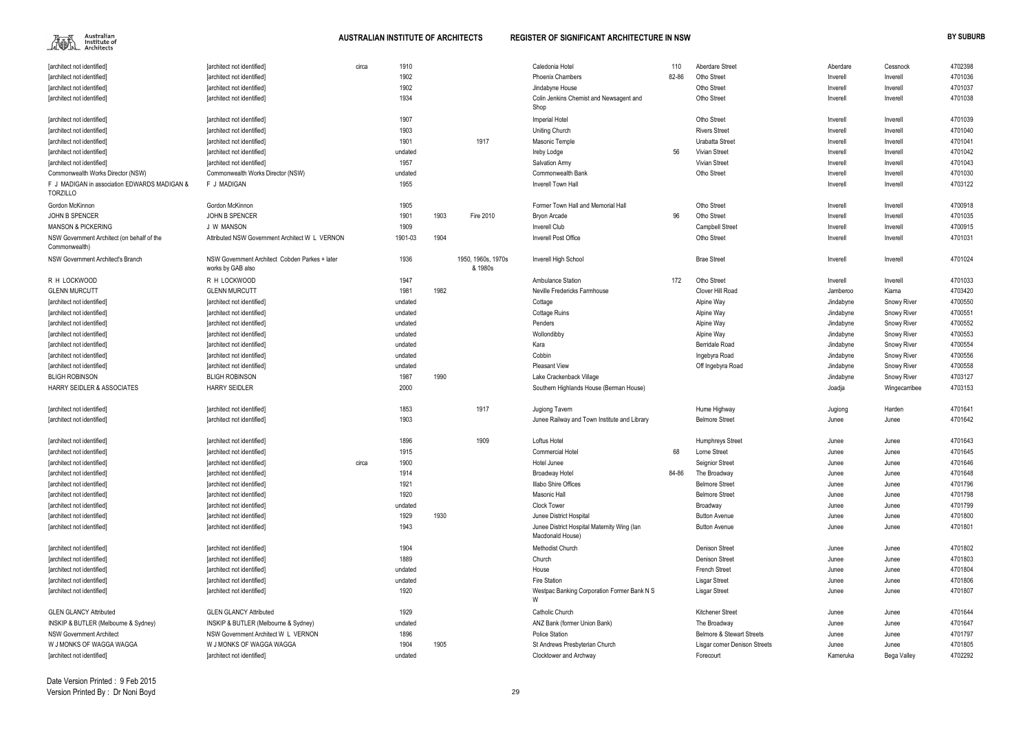

| Aberdare Street                      | Aberdare  | Cessnock           | 4702398 |
|--------------------------------------|-----------|--------------------|---------|
| Otho Street                          | Inverell  | Inverell           | 4701036 |
| Otho Street                          | Inverell  | Inverell           | 4701037 |
| Otho Street                          | Inverell  | Inverell           | 4701038 |
|                                      |           |                    |         |
| Otho Street                          | Inverell  | Inverell           | 4701039 |
| Rivers Street                        | Inverell  | Inverell           | 4701040 |
| Urabatta Street                      | Inverell  | Inverell           | 4701041 |
| Vivian Street                        | Inverell  | Inverell           | 4701042 |
| Vivian Street                        | Inverell  | Inverell           | 4701043 |
| Otho Street                          | Inverell  | Inverell           | 4701030 |
|                                      | Inverell  | Inverell           | 4703122 |
|                                      |           |                    |         |
| Otho Street                          | Inverell  | Inverell           | 4700918 |
| Otho Street                          | Inverell  | Inverell           | 4701035 |
| Campbell Street                      | Inverell  | Inverell           | 4700915 |
| Otho Street                          | Inverell  | Inverell           | 4701031 |
|                                      |           |                    |         |
| Brae Street                          | Inverell  | Inverell           | 4701024 |
| Otho Street                          | Inverell  | Inverell           | 4701033 |
| Clover Hill Road                     | Jamberoo  | Kiama              | 4703420 |
| Alpine Way                           | Jindabyne | <b>Snowy River</b> | 4700550 |
| Alpine Way                           | Jindabyne | <b>Snowy River</b> | 4700551 |
| Alpine Way                           | Jindabyne | Snowy River        | 4700552 |
| Alpine Way                           | Jindabyne | Snowy River        | 4700553 |
| Berridale Road                       | Jindabyne | Snowy River        | 4700554 |
| Ingebyra Road                        | Jindabyne | Snowy River        | 4700556 |
| Off Ingebyra Road                    | Jindabyne | Snowy River        | 4700558 |
|                                      |           |                    | 4703127 |
|                                      | Jindabyne | Snowy River        |         |
|                                      | Joadja    | Wingecarribee      | 4703153 |
| Hume Highway                         | Jugiong   | Harden             | 4701641 |
| Belmore Street                       | Junee     | Junee              | 4701642 |
|                                      |           |                    |         |
| Humphreys Street                     | Junee     | Junee              | 4701643 |
| Lorne Street                         | Junee     | Junee              | 4701645 |
| Seignior Street                      | Junee     | Junee              | 4701646 |
| The Broadway                         | Junee     | Junee              | 4701648 |
| Belmore Street                       | Junee     | Junee              | 4701796 |
| <b>Belmore Street</b>                | Junee     | Junee              | 4701798 |
| Broadway                             | Junee     | Junee              | 4701799 |
| <b>Button Avenue</b>                 | Junee     | Junee              | 4701800 |
| Button Avenue                        | Junee     | Junee              | 4701801 |
|                                      |           |                    |         |
| Denison Street                       | Junee     | Junee              | 4701802 |
| Denison Street                       | Junee     | Junee              | 4701803 |
| French Street                        | Junee     | Junee              | 4701804 |
| Lisgar Street                        | Junee     | Junee              | 4701806 |
| Lisgar Street                        | Junee     | Junee              | 4701807 |
|                                      |           |                    |         |
| Kitchener Street                     | Junee     | Junee              | 4701644 |
| The Broadway                         | Junee     | Junee              | 4701647 |
| <b>Belmore &amp; Stewart Streets</b> | Junee     | Junee              | 4701797 |
| Lisgar corner Denison Streets        | Junee     | Junee              | 4701805 |
| Forecourt                            | Kameruka  | Bega Valley        | 4702292 |

| [architect not identified]                                      | [architect not identified]                                          | circa | 1910    |      |                               | Caledonia Hotel                                                 | 110   | <b>Aberdare Street</b>               | Aberdare  | Cessnock           | 4702398 |
|-----------------------------------------------------------------|---------------------------------------------------------------------|-------|---------|------|-------------------------------|-----------------------------------------------------------------|-------|--------------------------------------|-----------|--------------------|---------|
| [architect not identified]                                      | [architect not identified]                                          |       | 1902    |      |                               | <b>Phoenix Chambers</b>                                         | 82-86 | Otho Street                          | Inverell  | Inverell           | 4701036 |
| [architect not identified]                                      | [architect not identified]                                          |       | 1902    |      |                               | Jindabyne House                                                 |       | Otho Street                          | Inverell  | Inverell           | 4701037 |
| [architect not identified]                                      | [architect not identified]                                          |       | 1934    |      |                               | Colin Jenkins Chemist and Newsagent and                         |       | Otho Street                          | Inverell  | Inverell           | 4701038 |
|                                                                 |                                                                     |       |         |      |                               | Shop                                                            |       |                                      |           |                    |         |
| [architect not identified]                                      | [architect not identified]                                          |       | 1907    |      |                               | Imperial Hotel                                                  |       | Otho Street                          | Inverell  | Inverell           | 4701039 |
| [architect not identified]                                      | [architect not identified]                                          |       | 1903    |      |                               | Uniting Church                                                  |       | <b>Rivers Street</b>                 | Inverell  | Inverell           | 4701040 |
| [architect not identified]                                      | [architect not identified]                                          |       | 1901    |      | 1917                          | Masonic Temple                                                  |       | Urabatta Street                      | Inverell  | Inverell           | 4701041 |
| [architect not identified]                                      | [architect not identified]                                          |       | undated |      |                               | Ireby Lodge                                                     | 56    | <b>Vivian Street</b>                 | Inverell  | Inverell           | 4701042 |
| [architect not identified]                                      | [architect not identified]                                          |       | 1957    |      |                               | <b>Salvation Army</b>                                           |       | <b>Vivian Street</b>                 | Inverell  | Inverell           | 4701043 |
| Commonwealth Works Director (NSW)                               | Commonwealth Works Director (NSW)                                   |       | undated |      |                               | Commonwealth Bank                                               |       | Otho Street                          | Inverell  | Inverell           | 4701030 |
| F J MADIGAN in association EDWARDS MADIGAN &<br><b>TORZILLO</b> | F J MADIGAN                                                         |       | 1955    |      |                               | Inverell Town Hall                                              |       |                                      | Inverell  | Inverell           | 4703122 |
| Gordon McKinnon                                                 | Gordon McKinnon                                                     |       | 1905    |      |                               | Former Town Hall and Memorial Hall                              |       | Otho Street                          | Inverell  | Inverell           | 4700918 |
| <b>JOHN B SPENCER</b>                                           | <b>JOHN B SPENCER</b>                                               |       | 1901    | 1903 | Fire 2010                     | <b>Bryon Arcade</b>                                             | 96    | Otho Street                          | Inverell  | Inverell           | 4701035 |
| <b>MANSON &amp; PICKERING</b>                                   | J W MANSON                                                          |       | 1909    |      |                               | <b>Inverell Club</b>                                            |       | <b>Campbell Street</b>               | Inverell  | Inverell           | 4700915 |
| NSW Government Architect (on behalf of the                      | Attributed NSW Government Architect W L VERNON                      |       | 1901-03 | 1904 |                               | Inverell Post Office                                            |       | Otho Street                          | Inverell  | Inverell           | 4701031 |
| Commonwealth)                                                   |                                                                     |       |         |      |                               |                                                                 |       |                                      |           |                    |         |
| NSW Government Architect's Branch                               | NSW Government Architect Cobden Parkes + later<br>works by GAB also |       | 1936    |      | 1950, 1960s, 1970s<br>& 1980s | Inverell High School                                            |       | <b>Brae Street</b>                   | Inverell  | Inverell           | 4701024 |
| R H LOCKWOOD                                                    | R H LOCKWOOD                                                        |       | 1947    |      |                               | Ambulance Station                                               | 172   | Otho Street                          | Inverell  | Inverell           | 4701033 |
| <b>GLENN MURCUTT</b>                                            | <b>GLENN MURCUTT</b>                                                |       | 1981    | 1982 |                               | Neville Fredericks Farmhouse                                    |       | Clover Hill Road                     | Jamberoo  | Kiama              | 4703420 |
| [architect not identified]                                      | [architect not identified]                                          |       | undated |      |                               | Cottage                                                         |       | Alpine Way                           | Jindabyne | <b>Snowy River</b> | 4700550 |
| [architect not identified]                                      | [architect not identified]                                          |       | undated |      |                               | <b>Cottage Ruins</b>                                            |       | Alpine Way                           | Jindabyne | <b>Snowy River</b> | 4700551 |
| [architect not identified]                                      | [architect not identified]                                          |       | undated |      |                               | Penders                                                         |       | Alpine Way                           | Jindabyne | <b>Snowy River</b> | 4700552 |
| [architect not identified]                                      | [architect not identified]                                          |       | undated |      |                               | Wollondibby                                                     |       | Alpine Way                           | Jindabyne | <b>Snowy River</b> | 4700553 |
| [architect not identified]                                      | [architect not identified]                                          |       | undated |      |                               | Kara                                                            |       | <b>Berridale Road</b>                | Jindabyne | <b>Snowy River</b> | 4700554 |
| [architect not identified]                                      | [architect not identified]                                          |       | undated |      |                               | Cobbin                                                          |       | Ingebyra Road                        | Jindabyne | <b>Snowy River</b> | 4700556 |
| [architect not identified]                                      | [architect not identified]                                          |       | undated |      |                               | <b>Pleasant View</b>                                            |       | Off Ingebyra Road                    | Jindabyne | <b>Snowy River</b> | 4700558 |
| <b>BLIGH ROBINSON</b>                                           | <b>BLIGH ROBINSON</b>                                               |       | 1987    | 1990 |                               | Lake Crackenback Village                                        |       |                                      | Jindabyne | <b>Snowy River</b> | 4703127 |
| <b>HARRY SEIDLER &amp; ASSOCIATES</b>                           | <b>HARRY SEIDLER</b>                                                |       | 2000    |      |                               | Southern Highlands House (Berman House)                         |       |                                      | Joadja    | Wingecarribee      | 4703153 |
|                                                                 |                                                                     |       |         |      |                               |                                                                 |       |                                      |           |                    |         |
| [architect not identified]                                      | [architect not identified]                                          |       | 1853    |      | 1917                          | Jugiong Tavern                                                  |       | Hume Highway                         | Jugiong   | Harden             | 4701641 |
| [architect not identified]                                      | [architect not identified]                                          |       | 1903    |      |                               | Junee Railway and Town Institute and Library                    |       | <b>Belmore Street</b>                | Junee     | Junee              | 4701642 |
|                                                                 |                                                                     |       |         |      |                               |                                                                 |       |                                      |           |                    |         |
| [architect not identified]                                      | [architect not identified]                                          |       | 1896    |      | 1909                          | Loftus Hotel                                                    |       | <b>Humphreys Street</b>              | Junee     | Junee              | 4701643 |
| [architect not identified]                                      | [architect not identified]                                          |       | 1915    |      |                               | <b>Commercial Hotel</b>                                         | 68    | Lorne Street                         | Junee     | Junee              | 4701645 |
| [architect not identified]                                      | [architect not identified]                                          | circa | 1900    |      |                               | Hotel Junee                                                     |       | Seignior Street                      | Junee     | Junee              | 4701646 |
| [architect not identified]                                      | [architect not identified]                                          |       | 1914    |      |                               | <b>Broadway Hotel</b>                                           | 84-86 | The Broadway                         | Junee     | Junee              | 4701648 |
| [architect not identified]                                      | [architect not identified]                                          |       | 1921    |      |                               | Illabo Shire Offices                                            |       | <b>Belmore Street</b>                | Junee     | Junee              | 4701796 |
| [architect not identified]                                      | [architect not identified]                                          |       | 1920    |      |                               | Masonic Hall                                                    |       | <b>Belmore Street</b>                | Junee     | Junee              | 4701798 |
| [architect not identified]                                      | [architect not identified]                                          |       | undated |      |                               | <b>Clock Tower</b>                                              |       | Broadway                             | Junee     | Junee              | 4701799 |
| [architect not identified]                                      | [architect not identified]                                          |       | 1929    | 1930 |                               | Junee District Hospital                                         |       | <b>Button Avenue</b>                 | Junee     | Junee              | 4701800 |
| [architect not identified]                                      | [architect not identified]                                          |       | 1943    |      |                               | Junee District Hospital Maternity Wing (lan<br>Macdonald House) |       | <b>Button Avenue</b>                 | Junee     | Junee              | 4701801 |
| [architect not identified]                                      | [architect not identified]                                          |       | 1904    |      |                               | <b>Methodist Church</b>                                         |       | <b>Denison Street</b>                | Junee     | Junee              | 4701802 |
| [architect not identified]                                      | [architect not identified]                                          |       | 1889    |      |                               | Church                                                          |       | <b>Denison Street</b>                | Junee     | Junee              | 4701803 |
| [architect not identified]                                      | [architect not identified]                                          |       | undated |      |                               | House                                                           |       | <b>French Street</b>                 | Junee     | Junee              | 4701804 |
| [architect not identified]                                      | [architect not identified]                                          |       | undated |      |                               | Fire Station                                                    |       | <b>Lisgar Street</b>                 | Junee     | Junee              | 4701806 |
| [architect not identified]                                      | [architect not identified]                                          |       | 1920    |      |                               | Westpac Banking Corporation Former Bank N S                     |       | <b>Lisgar Street</b>                 | Junee     | Junee              | 4701807 |
|                                                                 |                                                                     |       |         |      |                               | W                                                               |       |                                      |           |                    |         |
| <b>GLEN GLANCY Attributed</b>                                   | <b>GLEN GLANCY Attributed</b>                                       |       | 1929    |      |                               | Catholic Church                                                 |       | <b>Kitchener Street</b>              | Junee     | Junee              | 4701644 |
| INSKIP & BUTLER (Melbourne & Sydney)                            | INSKIP & BUTLER (Melbourne & Sydney)                                |       | undated |      |                               | ANZ Bank (former Union Bank)                                    |       | The Broadway                         | Junee     | Junee              | 4701647 |
| <b>NSW Government Architect</b>                                 | NSW Government Architect W L VERNON                                 |       | 1896    |      |                               | Police Station                                                  |       | <b>Belmore &amp; Stewart Streets</b> | Junee     | Junee              | 4701797 |
| W J MONKS OF WAGGA WAGGA                                        | W J MONKS OF WAGGA WAGGA                                            |       | 1904    | 1905 |                               | St Andrews Presbyterian Church                                  |       | Lisgar corner Denison Streets        | Junee     | Junee              | 4701805 |
| [architect not identified]                                      | [architect not identified]                                          |       | undated |      |                               | Clocktower and Archway                                          |       | Forecourt                            | Kameruka  | Bega Valley        | 4702292 |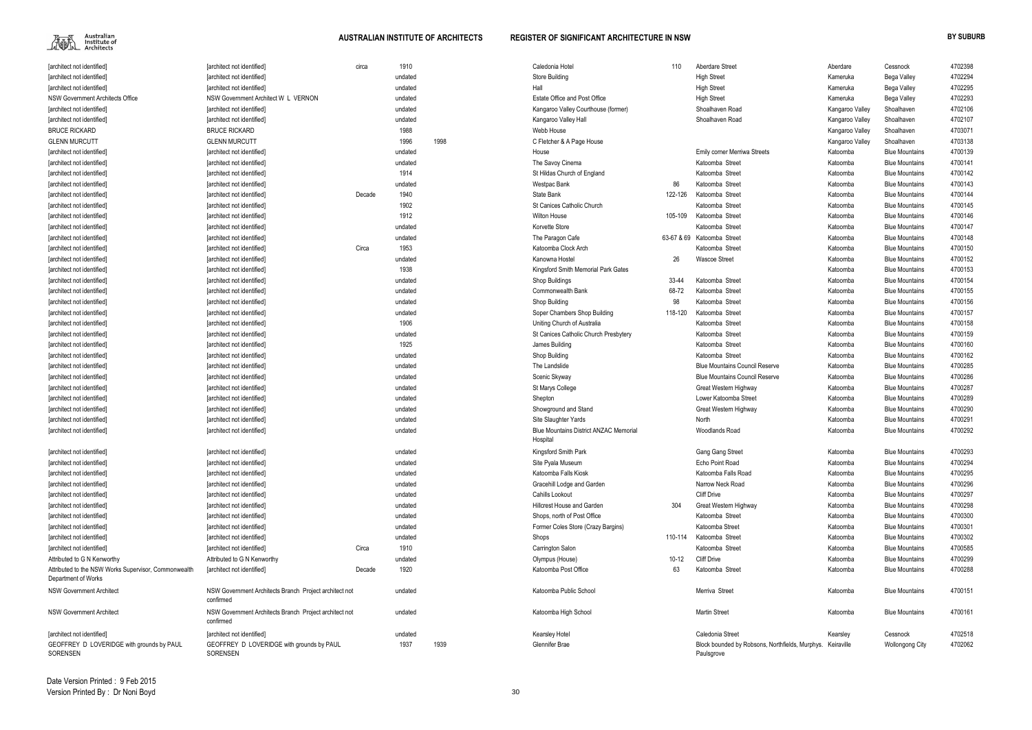

| <b>Tarchitect not identified</b>                      | <b>Tarchitect not identified]</b>                                   | circa  | 1910    |      | Caledonia Hotel                                           | 110       | Aberdare Street                                                          | Aberdare        | Cessnock               | 4702398 |
|-------------------------------------------------------|---------------------------------------------------------------------|--------|---------|------|-----------------------------------------------------------|-----------|--------------------------------------------------------------------------|-----------------|------------------------|---------|
| [architect not identified]                            | [architect not identified]                                          |        | undated |      | Store Building                                            |           | <b>High Street</b>                                                       | Kameruka        | Bega Valley            | 4702294 |
| [architect not identified]                            | [architect not identified]                                          |        | undated |      | Hall                                                      |           | <b>High Street</b>                                                       | Kameruka        | Bega Valley            | 4702295 |
| NSW Government Architects Office                      | NSW Government Architect W L VERNON                                 |        | undated |      | Estate Office and Post Office                             |           | <b>High Street</b>                                                       | Kameruka        | Bega Valley            | 4702293 |
| [architect not identified]                            | [architect not identified]                                          |        | undated |      | Kangaroo Valley Courthouse (former)                       |           | Shoalhaven Road                                                          | Kangaroo Valley | Shoalhaven             | 4702106 |
| [architect not identified]                            | [architect not identified]                                          |        | undated |      | Kangaroo Valley Hall                                      |           | Shoalhaven Road                                                          | Kangaroo Valley | Shoalhaven             | 4702107 |
| <b>BRUCE RICKARD</b>                                  | <b>BRUCE RICKARD</b>                                                |        | 1988    |      | Webb House                                                |           |                                                                          | Kangaroo Valley | Shoalhaven             | 4703071 |
| <b>GLENN MURCUTT</b>                                  | <b>GLENN MURCUTT</b>                                                |        | 1996    | 1998 | C Fletcher & A Page House                                 |           |                                                                          | Kangaroo Valley | Shoalhaven             | 4703138 |
| [architect not identified]                            | [architect not identified]                                          |        | undated |      | House                                                     |           | <b>Emily corner Merriwa Streets</b>                                      | Katoomba        | <b>Blue Mountains</b>  | 4700139 |
| [architect not identified]                            | [architect not identified]                                          |        | undated |      | The Savoy Cinema                                          |           | Katoomba Street                                                          | Katoomba        | <b>Blue Mountains</b>  | 4700141 |
| [architect not identified]                            | [architect not identified]                                          |        | 1914    |      | St Hildas Church of England                               |           | Katoomba Street                                                          | Katoomba        | <b>Blue Mountains</b>  | 4700142 |
| [architect not identified]                            | [architect not identified]                                          |        | undated |      | Westpac Bank                                              | 86        | Katoomba Street                                                          | Katoomba        | <b>Blue Mountains</b>  | 4700143 |
| [architect not identified]                            | [architect not identified]                                          | Decade | 1940    |      | State Bank                                                | 122-126   | Katoomba Street                                                          | Katoomba        | <b>Blue Mountains</b>  | 4700144 |
| [architect not identified]                            | [architect not identified]                                          |        | 1902    |      | St Canices Catholic Church                                |           | Katoomba Street                                                          | Katoomba        | <b>Blue Mountains</b>  | 4700145 |
| [architect not identified]                            | [architect not identified]                                          |        | 1912    |      | <b>Wilton House</b>                                       | 105-109   | Katoomba Street                                                          | Katoomba        | <b>Blue Mountains</b>  | 4700146 |
| [architect not identified]                            | [architect not identified]                                          |        | undated |      | Korvette Store                                            |           | Katoomba Street                                                          | Katoomba        | <b>Blue Mountains</b>  | 4700147 |
| [architect not identified]                            | [architect not identified]                                          |        | undated |      | The Paragon Cafe                                          |           | 63-67 & 69 Katoomba Street                                               | Katoomba        | <b>Blue Mountains</b>  | 4700148 |
| [architect not identified]                            | [architect not identified]                                          | Circa  | 1953    |      | Katoomba Clock Arch                                       |           | Katoomba Street                                                          | Katoomba        | <b>Blue Mountains</b>  | 4700150 |
|                                                       |                                                                     |        | undated |      | Kanowna Hostel                                            | 26        |                                                                          | Katoomba        | <b>Blue Mountains</b>  |         |
| [architect not identified]                            | [architect not identified]                                          |        |         |      |                                                           |           | <b>Wascoe Street</b>                                                     |                 | <b>Blue Mountains</b>  | 4700152 |
| [architect not identified]                            | [architect not identified]                                          |        | 1938    |      | Kingsford Smith Memorial Park Gates                       |           |                                                                          | Katoomba        |                        | 4700153 |
| [architect not identified]                            | [architect not identified]                                          |        | undated |      | Shop Buildings                                            | 33-44     | Katoomba Street                                                          | Katoomba        | <b>Blue Mountains</b>  | 4700154 |
| [architect not identified]                            | [architect not identified]                                          |        | undated |      | Commonwealth Bank                                         | 68-72     | Katoomba Street                                                          | Katoomba        | <b>Blue Mountains</b>  | 4700155 |
| [architect not identified]                            | [architect not identified]                                          |        | undated |      | Shop Building                                             | 98        | Katoomba Street                                                          | Katoomba        | <b>Blue Mountains</b>  | 4700156 |
| [architect not identified]                            | [architect not identified]                                          |        | undated |      | Soper Chambers Shop Building                              | 118-120   | Katoomba Street                                                          | Katoomba        | <b>Blue Mountains</b>  | 4700157 |
| [architect not identified]                            | [architect not identified]                                          |        | 1906    |      | Uniting Church of Australia                               |           | Katoomba Street                                                          | Katoomba        | <b>Blue Mountains</b>  | 4700158 |
| [architect not identified]                            | [architect not identified]                                          |        | undated |      | St Canices Catholic Church Presbytery                     |           | Katoomba Street                                                          | Katoomba        | <b>Blue Mountains</b>  | 4700159 |
| [architect not identified]                            | [architect not identified]                                          |        | 1925    |      | James Building                                            |           | Katoomba Street                                                          | Katoomba        | <b>Blue Mountains</b>  | 4700160 |
| [architect not identified]                            | [architect not identified]                                          |        | undated |      | Shop Building                                             |           | Katoomba Street                                                          | Katoomba        | <b>Blue Mountains</b>  | 4700162 |
| [architect not identified]                            | [architect not identified]                                          |        | undated |      | The Landslide                                             |           | <b>Blue Mountains Council Reserve</b>                                    | Katoomba        | <b>Blue Mountains</b>  | 4700285 |
| [architect not identified]                            | [architect not identified]                                          |        | undated |      | Scenic Skyway                                             |           | <b>Blue Mountains Council Reserve</b>                                    | Katoomba        | <b>Blue Mountains</b>  | 4700286 |
| [architect not identified]                            | [architect not identified]                                          |        | undated |      | St Marys College                                          |           | Great Western Highway                                                    | Katoomba        | <b>Blue Mountains</b>  | 4700287 |
| [architect not identified]                            | [architect not identified]                                          |        | undated |      | Shepton                                                   |           | Lower Katoomba Street                                                    | Katoomba        | <b>Blue Mountains</b>  | 4700289 |
| [architect not identified]                            | [architect not identified]                                          |        | undated |      | Showground and Stand                                      |           | Great Western Highway                                                    | Katoomba        | <b>Blue Mountains</b>  | 4700290 |
| [architect not identified]                            | [architect not identified]                                          |        | undated |      | Site Slaughter Yards                                      |           | North                                                                    | Katoomba        | <b>Blue Mountains</b>  | 4700291 |
| [architect not identified]                            | [architect not identified]                                          |        | undated |      | <b>Blue Mountains District ANZAC Memorial</b><br>Hospital |           | <b>Woodlands Road</b>                                                    | Katoomba        | <b>Blue Mountains</b>  | 4700292 |
| [architect not identified]                            | [architect not identified]                                          |        | undated |      | Kingsford Smith Park                                      |           | Gang Gang Street                                                         | Katoomba        | <b>Blue Mountains</b>  | 4700293 |
| [architect not identified]                            | [architect not identified]                                          |        | undated |      | Site Pyala Museum                                         |           | Echo Point Road                                                          | Katoomba        | <b>Blue Mountains</b>  | 4700294 |
| [architect not identified]                            | [architect not identified]                                          |        | undated |      | Katoomba Falls Kiosk                                      |           | Katoomba Falls Road                                                      | Katoomba        | <b>Blue Mountains</b>  | 4700295 |
| [architect not identified]                            | [architect not identified]                                          |        | undated |      | Gracehill Lodge and Garden                                |           | Narrow Neck Road                                                         | Katoomba        | <b>Blue Mountains</b>  | 4700296 |
| [architect not identified]                            | [architect not identified]                                          |        | undated |      | Cahills Lookout                                           |           | <b>Cliff Drive</b>                                                       | Katoomba        | <b>Blue Mountains</b>  | 4700297 |
| [architect not identified]                            | [architect not identified]                                          |        | undated |      | <b>Hillcrest House and Garden</b>                         | 304       | Great Western Highway                                                    | Katoomba        | <b>Blue Mountains</b>  | 4700298 |
| [architect not identified]                            | [architect not identified]                                          |        | undated |      | Shops, north of Post Office                               |           | Katoomba Street                                                          | Katoomba        | <b>Blue Mountains</b>  | 4700300 |
| [architect not identified]                            | [architect not identified]                                          |        | undated |      | Former Coles Store (Crazy Bargins)                        |           | Katoomba Street                                                          | Katoomba        | <b>Blue Mountains</b>  | 4700301 |
| [architect not identified]                            | [architect not identified]                                          |        | undated |      | Shops                                                     | 110-114   | Katoomba Street                                                          | Katoomba        | <b>Blue Mountains</b>  | 4700302 |
| [architect not identified]                            | [architect not identified]                                          | Circa  | 1910    |      | Carrington Salon                                          |           | Katoomba Street                                                          | Katoomba        | <b>Blue Mountains</b>  | 4700585 |
| Attributed to G N Kenworthy                           | Attributed to G N Kenworthy                                         |        | undated |      | Olympus (House)                                           | $10 - 12$ | <b>Cliff Drive</b>                                                       | Katoomba        | <b>Blue Mountains</b>  | 4700299 |
| Attributed to the NSW Works Supervisor, Commonwealth  | [architect not identified]                                          | Decade | 1920    |      | Katoomba Post Office                                      | 63        | Katoomba Street                                                          | Katoomba        | <b>Blue Mountains</b>  | 4700288 |
| Department of Works                                   |                                                                     |        |         |      |                                                           |           |                                                                          |                 |                        |         |
| <b>NSW Government Architect</b>                       | NSW Government Architects Branch Project architect not<br>confirmed |        | undated |      | Katoomba Public School                                    |           | Merriva Street                                                           | Katoomba        | <b>Blue Mountains</b>  | 4700151 |
| <b>NSW Government Architect</b>                       | NSW Government Architects Branch Project architect not<br>confirmed |        | undated |      | Katoomba High School                                      |           | <b>Martin Street</b>                                                     | Katoomba        | <b>Blue Mountains</b>  | 4700161 |
| [architect not identified]                            | [architect not identified]                                          |        | undated |      | Kearsley Hotel                                            |           | Caledonia Street                                                         | Kearsley        | Cessnock               | 4702518 |
| GEOFFREY D LOVERIDGE with grounds by PAUL<br>SORENSEN | GEOFFREY D LOVERIDGE with grounds by PAUL<br>SORENSEN               |        | 1937    | 1939 | Glennifer Brae                                            |           | Block bounded by Robsons, Northfields, Murphys. Keiraville<br>Paulsgrove |                 | <b>Wollongong City</b> | 4702062 |
|                                                       |                                                                     |        |         |      |                                                           |           |                                                                          |                 |                        |         |

Date Version Printed : 9 Feb 2015Version Printed By : Dr Noni Boyd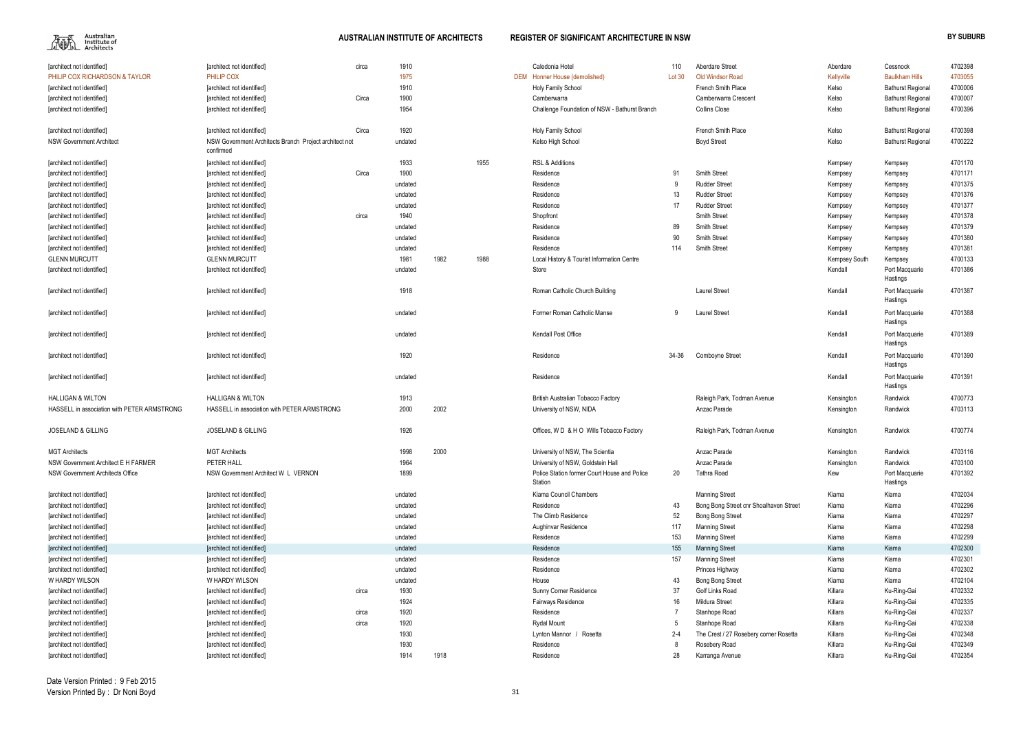| [architect not identified]                  | [architect not identified]                                          | circa | 1910    |      |      | Caledonia Hotel                                         | 110     | Aberdare Street                        | Aberdare      | Cessnock                   | 4702398 |
|---------------------------------------------|---------------------------------------------------------------------|-------|---------|------|------|---------------------------------------------------------|---------|----------------------------------------|---------------|----------------------------|---------|
| <b>PHILIP COX RICHARDSON &amp; TAYLOR</b>   | PHILIP COX                                                          |       | 1975    |      |      | DEM Honner House (demolished)                           | Lot 30  | <b>Old Windsor Road</b>                | Kellyville    | <b>Baulkham Hills</b>      | 4703055 |
| [architect not identified]                  | [architect not identified]                                          |       | 1910    |      |      | Holy Family School                                      |         | French Smith Place                     | Kelso         | <b>Bathurst Regional</b>   | 4700006 |
| [architect not identified]                  | [architect not identified]                                          | Circa | 1900    |      |      | Camberwarra                                             |         | Camberwarra Crescent                   | Kelso         | <b>Bathurst Regional</b>   | 4700007 |
| [architect not identified]                  | [architect not identified]                                          |       | 1954    |      |      | Challenge Foundation of NSW - Bathurst Branch           |         | Collins Close                          | Kelso         | <b>Bathurst Regional</b>   | 4700396 |
|                                             |                                                                     |       |         |      |      |                                                         |         |                                        |               |                            |         |
| [architect not identified]                  | [architect not identified]                                          | Circa | 1920    |      |      | Holy Family School                                      |         | French Smith Place                     | Kelso         | <b>Bathurst Regional</b>   | 4700398 |
| <b>NSW Government Architect</b>             | NSW Government Architects Branch Project architect not<br>confirmed |       | undated |      |      | Kelso High School                                       |         | <b>Boyd Street</b>                     | Kelso         | <b>Bathurst Regional</b>   | 4700222 |
| [architect not identified]                  | [architect not identified]                                          |       | 1933    |      | 1955 | RSL & Additions                                         |         |                                        | Kempsey       | Kempsey                    | 4701170 |
| [architect not identified]                  | [architect not identified]                                          | Circa | 1900    |      |      | Residence                                               | 91      | Smith Street                           | Kempsey       | Kempsey                    | 4701171 |
| [architect not identified]                  | [architect not identified]                                          |       | undated |      |      | Residence                                               |         | <b>Rudder Street</b>                   | Kempsey       | Kempsey                    | 4701375 |
| [architect not identified]                  | [architect not identified]                                          |       | undated |      |      | Residence                                               | 13      | <b>Rudder Street</b>                   | Kempsey       | Kempsey                    | 4701376 |
| [architect not identified]                  | [architect not identified]                                          |       | undated |      |      | Residence                                               | 17      | <b>Rudder Street</b>                   | Kempsey       | Kempsey                    | 4701377 |
| [architect not identified]                  | [architect not identified]                                          | circa | 1940    |      |      | Shopfront                                               |         | Smith Street                           | Kempsey       | Kempsey                    | 4701378 |
| [architect not identified]                  | [architect not identified]                                          |       | undated |      |      | Residence                                               | 89      | <b>Smith Street</b>                    | Kempsey       | Kempsey                    | 4701379 |
| [architect not identified]                  | [architect not identified]                                          |       | undated |      |      | Residence                                               | 90      | Smith Street                           | Kempsey       | Kempsey                    | 4701380 |
| [architect not identified]                  | [architect not identified]                                          |       | undated |      |      | Residence                                               | 114     | <b>Smith Street</b>                    | Kempsey       | Kempsey                    | 4701381 |
| <b>GLENN MURCUTT</b>                        | <b>GLENN MURCUTT</b>                                                |       | 1981    | 1982 | 1988 | Local History & Tourist Information Centre              |         |                                        | Kempsey South | Kempsey                    | 4700133 |
| [architect not identified]                  | [architect not identified]                                          |       | undated |      |      | Store                                                   |         |                                        | Kendall       | Port Macquarie<br>Hastings | 4701386 |
| [architect not identified]                  | [architect not identified]                                          |       | 1918    |      |      | Roman Catholic Church Building                          |         | <b>Laurel Street</b>                   | Kendall       | Port Macquarie<br>Hastings | 4701387 |
| [architect not identified]                  | [architect not identified]                                          |       | undated |      |      | Former Roman Catholic Manse                             | 9       | <b>Laurel Street</b>                   | Kendall       | Port Macquarie<br>Hastings | 4701388 |
| [architect not identified]                  | [architect not identified]                                          |       | undated |      |      | Kendall Post Office                                     |         |                                        | Kendall       | Port Macquarie<br>Hastings | 4701389 |
| [architect not identified]                  | [architect not identified]                                          |       | 1920    |      |      | Residence                                               | 34-36   | Comboyne Street                        | Kendall       | Port Macquarie<br>Hastings | 4701390 |
| [architect not identified]                  | [architect not identified]                                          |       | undated |      |      | Residence                                               |         |                                        | Kendall       | Port Macquarie<br>Hastings | 4701391 |
| <b>HALLIGAN &amp; WILTON</b>                | <b>HALLIGAN &amp; WILTON</b>                                        |       | 1913    |      |      | British Australian Tobacco Factory                      |         | Raleigh Park, Todman Avenue            | Kensington    | Randwick                   | 4700773 |
| HASSELL in association with PETER ARMSTRONG | HASSELL in association with PETER ARMSTRONG                         |       | 2000    | 2002 |      | University of NSW, NIDA                                 |         | Anzac Parade                           | Kensington    | Randwick                   | 4703113 |
|                                             |                                                                     |       |         |      |      |                                                         |         |                                        |               |                            |         |
| <b>JOSELAND &amp; GILLING</b>               | <b>JOSELAND &amp; GILLING</b>                                       |       | 1926    |      |      | Offices, W D & H O Wills Tobacco Factory                |         | Raleigh Park, Todman Avenue            | Kensington    | Randwick                   | 4700774 |
| <b>MGT Architects</b>                       | <b>MGT Architects</b>                                               |       | 1998    | 2000 |      | University of NSW, The Scientia                         |         | Anzac Parade                           | Kensington    | Randwick                   | 4703116 |
| NSW Government Architect E H FARMER         | PETER HALL                                                          |       | 1964    |      |      | University of NSW, Goldstein Hall                       |         | Anzac Parade                           | Kensington    | Randwick                   | 4703100 |
| NSW Government Architects Office            | NSW Government Architect W L VERNON                                 |       | 1899    |      |      | Police Station former Court House and Police<br>Station | 20      | Tathra Road                            | Kew           | Port Macquarie<br>Hastings | 4701392 |
| [architect not identified]                  | [architect not identified]                                          |       | undated |      |      | Kiama Council Chambers                                  |         | <b>Manning Street</b>                  | Kiama         | Kiama                      | 4702034 |
| [architect not identified]                  | [architect not identified]                                          |       | undated |      |      | Residence                                               | 43      | Bong Bong Street cnr Shoalhaven Street | Kiama         | Kiama                      | 4702296 |
| [architect not identified]                  | [architect not identified]                                          |       | undated |      |      | The Climb Residence                                     | 52      | <b>Bong Bong Street</b>                | Kiama         | Kiama                      | 4702297 |
| [architect not identified]                  | [architect not identified]                                          |       | undated |      |      | Aughinvar Residence                                     | 117     | <b>Manning Street</b>                  | Kiama         | Kiama                      | 4702298 |
| [architect not identified]                  | [architect not identified]                                          |       | undated |      |      | Residence                                               | 153     | <b>Manning Street</b>                  | Kiama         | Kiama                      | 4702299 |
| [architect not identified]                  | [architect not identified]                                          |       | undated |      |      | Residence                                               | 155     | <b>Manning Street</b>                  | Kiama         | Kiama                      | 4702300 |
| [architect not identified]                  | [architect not identified]                                          |       | undated |      |      | Residence                                               | 157     | <b>Manning Street</b>                  | Kiama         | Kiama                      | 4702301 |
| [architect not identified]                  | [architect not identified]                                          |       | undated |      |      | Residence                                               |         | Princes Highway                        | Kiama         | Kiama                      | 4702302 |
| W HARDY WILSON                              | W HARDY WILSON                                                      |       | undated |      |      | House                                                   | 43      | <b>Bong Bong Street</b>                | Kiama         | Kiama                      | 4702104 |
| [architect not identified]                  | [architect not identified]                                          | circa | 1930    |      |      | Sunny Corner Residence                                  | 37      | Golf Links Road                        | Killara       | Ku-Ring-Gai                | 4702332 |
| [architect not identified]                  | [architect not identified]                                          |       | 1924    |      |      | Fairways Residence                                      | 16      | Mildura Street                         | Killara       | Ku-Ring-Gai                | 4702335 |
| [architect not identified]                  | [architect not identified]                                          | circa | 1920    |      |      | Residence                                               |         | Stanhope Road                          | Killara       | Ku-Ring-Gai                | 4702337 |
| [architect not identified]                  | [architect not identified]                                          | circa | 1920    |      |      | <b>Rydal Mount</b>                                      |         | Stanhope Road                          | Killara       | Ku-Ring-Gai                | 4702338 |
| [architect not identified]                  | [architect not identified]                                          |       | 1930    |      |      | Lynton Mannor / Rosetta                                 | $2 - 4$ | The Crest / 27 Rosebery corner Rosetta | Killara       | Ku-Ring-Gai                | 4702348 |
| [architect not identified]                  | [architect not identified]                                          |       | 1930    |      |      | Residence                                               |         | Rosebery Road                          | Killara       | Ku-Ring-Gai                | 4702349 |
| [architect not identified]                  | [architect not identified]                                          |       | 1914    | 1918 |      | Residence                                               | 28      | Karranga Avenue                        | Killara       | Ku-Ring-Gai                | 4702354 |

| 110   | Aberdare Street                        | Aberdare      | Cessnock                   | 4702398 |
|-------|----------------------------------------|---------------|----------------------------|---------|
| ot 30 | <b>Old Windsor Road</b>                | Kellyville    | <b>Baulkham Hills</b>      | 4703055 |
|       | French Smith Place                     | Kelso         | <b>Bathurst Regional</b>   | 4700006 |
|       | Camberwarra Crescent                   | Kelso         | <b>Bathurst Regional</b>   | 4700007 |
|       | <b>Collins Close</b>                   | Kelso         | <b>Bathurst Regional</b>   | 4700396 |
|       |                                        |               |                            |         |
|       | <b>French Smith Place</b>              | Kelso         | <b>Bathurst Regional</b>   | 4700398 |
|       | <b>Boyd Street</b>                     | Kelso         | <b>Bathurst Regional</b>   | 4700222 |
|       |                                        |               |                            |         |
|       |                                        | Kempsey       | Kempsey                    | 4701170 |
| 91    | <b>Smith Street</b>                    | Kempsey       | Kempsey                    | 4701171 |
| 9     | <b>Rudder Street</b>                   | Kempsey       | Kempsey                    | 4701375 |
| 13    | <b>Rudder Street</b>                   | Kempsey       | Kempsey                    | 4701376 |
| 17    | <b>Rudder Street</b>                   | Kempsey       | Kempsey                    | 4701377 |
|       | <b>Smith Street</b>                    | Kempsey       | Kempsey                    | 4701378 |
| 89    | <b>Smith Street</b>                    | Kempsey       | Kempsey                    | 4701379 |
| 90    | <b>Smith Street</b>                    | Kempsey       | Kempsey                    | 4701380 |
| 14    | Smith Street                           | Kempsey       | Kempsey                    | 4701381 |
|       |                                        | Kempsey South | Kempsey                    | 4700133 |
|       |                                        | Kendall       | Port Macquarie             | 4701386 |
|       |                                        |               | Hastings                   |         |
|       | <b>Laurel Street</b>                   | Kendall       | Port Macquarie<br>Hastings | 4701387 |
| 9     | <b>Laurel Street</b>                   | Kendall       | Port Macquarie<br>Hastings | 4701388 |
|       |                                        | Kendall       | Port Macquarie<br>Hastings | 4701389 |
| 4-36  | Comboyne Street                        | Kendall       | Port Macquarie<br>Hastings | 4701390 |
|       |                                        | Kendall       | Port Macquarie<br>Hastings | 4701391 |
|       | Raleigh Park, Todman Avenue            | Kensington    | Randwick                   | 4700773 |
|       | Anzac Parade                           | Kensington    | Randwick                   | 4703113 |
|       |                                        |               |                            |         |
|       | Raleigh Park, Todman Avenue            | Kensington    | Randwick                   | 4700774 |
|       | Anzac Parade                           | Kensington    | Randwick                   | 4703116 |
|       | Anzac Parade                           | Kensington    | Randwick                   | 4703100 |
| 20    | Tathra Road                            | Kew           | Port Macquarie             | 4701392 |
|       |                                        |               | Hastings                   |         |
|       | <b>Manning Street</b>                  | Kiama         | Kiama                      | 4702034 |
| 43    | Bong Bong Street cnr Shoalhaven Street | Kiama         | Kiama                      | 4702296 |
| 52    | <b>Bong Bong Street</b>                | Kiama         | Kiama                      | 4702297 |
| 117   | <b>Manning Street</b>                  | Kiama         | Kiama                      | 4702298 |
| 153   | <b>Manning Street</b>                  | Kiama         | Kiama                      | 4702299 |
| 155   | <b>Manning Street</b>                  | Kiama         | Kiama                      | 4702300 |
| 157   | <b>Manning Street</b>                  | Kiama         | Kiama                      | 4702301 |
|       | Princes Highway                        | Kiama         | Kiama                      | 4702302 |
| 43    | <b>Bong Bong Street</b>                | Kiama         | Kiama                      | 4702104 |
| 37    | Golf Links Road                        | Killara       | Ku-Ring-Gai                | 4702332 |
| 16    | Mildura Street                         | Killara       | Ku-Ring-Gai                | 4702335 |
| 7     | Stanhope Road                          | Killara       | Ku-Ring-Gai                | 4702337 |
| 5     | Stanhope Road                          | Killara       | Ku-Ring-Gai                | 4702338 |
| 2-4   | The Crest / 27 Rosebery corner Rosetta | Killara       | Ku-Ring-Gai                | 4702348 |
| 8     | Rosebery Road                          | Killara       | Ku-Ring-Gai                | 4702349 |
| 28    | Karranga Avenue                        | Killara       | Ku-Ring-Gai                | 4702354 |
|       |                                        |               |                            |         |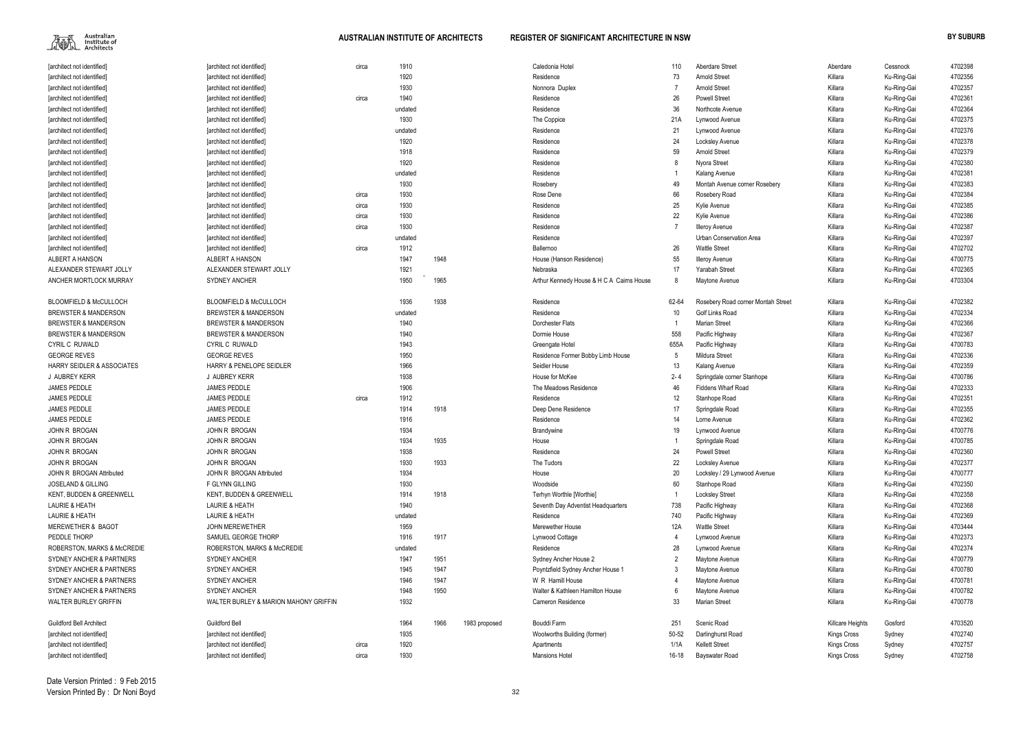| [architect not identified]            | [architect not identified]            | circa | 1910    |      |               | Caledonia Hotel                           | 110     | Aberdare Street                    | Aberdare           | Cessnock    | 4702398 |
|---------------------------------------|---------------------------------------|-------|---------|------|---------------|-------------------------------------------|---------|------------------------------------|--------------------|-------------|---------|
| [architect not identified]            | [architect not identified]            |       | 1920    |      |               | Residence                                 | 73      | <b>Arnold Street</b>               | Killara            | Ku-Ring-Gai | 4702356 |
| [architect not identified]            | [architect not identified]            |       | 1930    |      |               | Nonnora Duplex                            |         | <b>Arnold Street</b>               | Killara            | Ku-Ring-Gai | 4702357 |
| [architect not identified]            | [architect not identified]            | circa | 1940    |      |               | Residence                                 | 26      | <b>Powell Street</b>               | Killara            | Ku-Ring-Gai | 4702361 |
| [architect not identified]            | [architect not identified]            |       | undated |      |               | Residence                                 | 36      | Northcote Avenue                   | Killara            | Ku-Ring-Gai | 4702364 |
| [architect not identified]            | [architect not identified]            |       | 1930    |      |               | The Coppice                               | 21A     | Lynwood Avenue                     | Killara            | Ku-Ring-Gai | 4702375 |
| [architect not identified]            | [architect not identified]            |       | undated |      |               | Residence                                 | 21      | Lynwood Avenue                     | Killara            | Ku-Ring-Gai | 4702376 |
| [architect not identified]            | [architect not identified]            |       | 1920    |      |               | Residence                                 | 24      | Locksley Avenue                    | Killara            | Ku-Ring-Gai | 4702378 |
| [architect not identified]            | [architect not identified]            |       | 1918    |      |               | Residence                                 | 59      | <b>Arnold Street</b>               | Killara            | Ku-Ring-Gai | 4702379 |
| [architect not identified]            | [architect not identified]            |       | 1920    |      |               | Residence                                 |         | Nyora Street                       | Killara            | Ku-Ring-Gai | 4702380 |
| [architect not identified]            | [architect not identified]            |       | undated |      |               | Residence                                 |         | Kalang Avenue                      | Killara            | Ku-Ring-Gai | 4702381 |
| [architect not identified]            | [architect not identified]            |       | 1930    |      |               | Rosebery                                  | 49      | Montah Avenue corner Rosebery      | Killara            | Ku-Ring-Gai | 4702383 |
| [architect not identified]            | [architect not identified]            | circa | 1930    |      |               | Rose Dene                                 | 66      | Rosebery Road                      | Killara            | Ku-Ring-Gai | 4702384 |
| [architect not identified]            | [architect not identified]            | circa | 1930    |      |               | Residence                                 | 25      | Kylie Avenue                       | Killara            | Ku-Ring-Gai | 4702385 |
| [architect not identified]            | [architect not identified]            | circa | 1930    |      |               | Residence                                 | 22      | Kylie Avenue                       | Killara            | Ku-Ring-Gai | 4702386 |
| [architect not identified]            | [architect not identified]            | circa | 1930    |      |               | Residence                                 |         | Illeroy Avenue                     | Killara            | Ku-Ring-Gai | 4702387 |
| [architect not identified]            | [architect not identified]            |       | undated |      |               | Residence                                 |         | Urban Conservation Area            | Killara            | Ku-Ring-Gai | 4702397 |
| [architect not identified]            | [architect not identified]            | circa | 1912    |      |               | Ballernoo                                 | 26      | <b>Wattle Street</b>               | Killara            | Ku-Ring-Gai | 4702702 |
| ALBERT A HANSON                       | <b>ALBERT A HANSON</b>                |       | 1947    | 1948 |               | House (Hanson Residence)                  | 55      | Illeroy Avenue                     | Killara            | Ku-Ring-Gai | 4700775 |
| ALEXANDER STEWART JOLLY               | ALEXANDER STEWART JOLLY               |       | 1921    |      |               | Nebraska                                  | 17      | <b>Yarabah Street</b>              | Killara            | Ku-Ring-Gai | 4702365 |
| ANCHER MORTLOCK MURRAY                | <b>SYDNEY ANCHER</b>                  |       | 1950    | 1965 |               | Arthur Kennedy House & H C A Cairns House |         | Maytone Avenue                     | Killara            | Ku-Ring-Gai | 4703304 |
|                                       |                                       |       |         |      |               |                                           |         |                                    |                    |             |         |
| BLOOMFIELD & McCULLOCH                | <b>BLOOMFIELD &amp; McCULLOCH</b>     |       | 1936    | 1938 |               | Residence                                 | 62-64   | Rosebery Road corner Montah Street | Killara            | Ku-Ring-Gai | 4702382 |
| <b>BREWSTER &amp; MANDERSON</b>       | <b>BREWSTER &amp; MANDERSON</b>       |       | undated |      |               | Residence                                 | 10      | Golf Links Road                    | Killara            | Ku-Ring-Gai | 4702334 |
| <b>BREWSTER &amp; MANDERSON</b>       | <b>BREWSTER &amp; MANDERSON</b>       |       | 1940    |      |               | Dorchester Flats                          |         | Marian Street                      | Killara            | Ku-Ring-Gai | 4702366 |
| <b>BREWSTER &amp; MANDERSON</b>       | <b>BREWSTER &amp; MANDERSON</b>       |       | 1940    |      |               | Dormie House                              | 558     | Pacific Highway                    | Killara            | Ku-Ring-Gai | 4702367 |
| CYRIL C RUWALD                        | CYRIL C RUWALD                        |       | 1943    |      |               | Greengate Hotel                           | 655A    | Pacific Highway                    | Killara            | Ku-Ring-Gai | 4700783 |
| <b>GEORGE REVES</b>                   | <b>GEORGE REVES</b>                   |       | 1950    |      |               | Residence Former Bobby Limb House         | 5       | <b>Mildura Street</b>              | Killara            | Ku-Ring-Gai | 4702336 |
| <b>HARRY SEIDLER &amp; ASSOCIATES</b> | HARRY & PENELOPE SEIDLER              |       | 1966    |      |               | Seidler House                             | 13      | Kalang Avenue                      | Killara            | Ku-Ring-Gai | 4702359 |
| J AUBREY KERR                         | J AUBREY KERR                         |       | 1938    |      |               | House for McKee                           | $2 - 4$ | Springdale corner Stanhope         | Killara            | Ku-Ring-Gai | 4700786 |
| JAMES PEDDLE                          | <b>JAMES PEDDLE</b>                   |       | 1906    |      |               | The Meadows Residence                     | 46      | <b>Fiddens Wharf Road</b>          | Killara            | Ku-Ring-Gai | 4702333 |
| JAMES PEDDLE                          | <b>JAMES PEDDLE</b>                   | circa | 1912    |      |               | Residence                                 | 12      | Stanhope Road                      | Killara            | Ku-Ring-Gai | 4702351 |
| <b>JAMES PEDDLE</b>                   | <b>JAMES PEDDLE</b>                   |       | 1914    | 1918 |               | Deep Dene Residence                       | 17      | Springdale Road                    | Killara            | Ku-Ring-Gai | 4702355 |
| <b>JAMES PEDDLE</b>                   | <b>JAMES PEDDLE</b>                   |       | 1916    |      |               | Residence                                 | 14      | Lorne Avenue                       | Killara            | Ku-Ring-Gai | 4702362 |
| JOHN R BROGAN                         | JOHN R BROGAN                         |       | 1934    |      |               | Brandywine                                | 19      | Lynwood Avenue                     | Killara            | Ku-Ring-Gai | 4700776 |
| JOHN R BROGAN                         | JOHN R BROGAN                         |       | 1934    | 1935 |               | House                                     |         | Springdale Road                    | Killara            | Ku-Ring-Gai | 4700785 |
| JOHN R BROGAN                         | JOHN R BROGAN                         |       | 1938    |      |               | Residence                                 | 24      | Powell Street                      | Killara            | Ku-Ring-Gai | 4702360 |
| JOHN R BROGAN                         | JOHN R BROGAN                         |       | 1930    | 1933 |               | The Tudors                                | 22      | Locksley Avenue                    | Killara            | Ku-Ring-Gai | 4702377 |
| JOHN R BROGAN Attributed              | JOHN R BROGAN Attributed              |       | 1934    |      |               | House                                     | 20      | Locksley / 29 Lynwood Avenue       | Killara            | Ku-Ring-Gai | 4700777 |
| <b>JOSELAND &amp; GILLING</b>         | F GLYNN GILLING                       |       | 1930    |      |               | Woodside                                  | 60      | Stanhope Road                      | Killara            | Ku-Ring-Gai | 4702350 |
| KENT, BUDDEN & GREENWELL              | KENT, BUDDEN & GREENWELL              |       | 1914    | 1918 |               | Terhyn Worthle [Worthie]                  |         | Locksley Street                    | Killara            | Ku-Ring-Gai | 4702358 |
| <b>LAURIE &amp; HEATH</b>             | <b>LAURIE &amp; HEATH</b>             |       | 1940    |      |               | Seventh Day Adventist Headquarters        | 738     | Pacific Highway                    | Killara            | Ku-Ring-Gai | 4702368 |
| <b>LAURIE &amp; HEATH</b>             | <b>LAURIE &amp; HEATH</b>             |       | undated |      |               | Residence                                 | 740     | Pacific Highway                    | Killara            | Ku-Ring-Gai | 4702369 |
| <b>MEREWETHER &amp; BAGOT</b>         | <b>JOHN MEREWETHER</b>                |       | 1959    |      |               | Merewether House                          | 12A     | <b>Wattle Street</b>               | Killara            | Ku-Ring-Gai | 4703444 |
| PEDDLE THORP                          | SAMUEL GEORGE THORP                   |       | 1916    | 1917 |               | Lynwood Cottage                           |         | Lynwood Avenue                     | Killara            | Ku-Ring-Gai | 4702373 |
| ROBERSTON, MARKS & McCREDIE           | ROBERSTON, MARKS & McCREDIE           |       | undated |      |               | Residence                                 | 28      | Lynwood Avenue                     | Killara            | Ku-Ring-Gai | 4702374 |
| SYDNEY ANCHER & PARTNERS              | <b>SYDNEY ANCHER</b>                  |       | 1947    | 1951 |               | Sydney Ancher House 2                     |         | Maytone Avenue                     | Killara            | Ku-Ring-Gai | 4700779 |
| SYDNEY ANCHER & PARTNERS              | <b>SYDNEY ANCHER</b>                  |       | 1945    | 1947 |               | Poyntzfield Sydney Ancher House 1         |         | Maytone Avenue                     | Killara            | Ku-Ring-Gai | 4700780 |
| SYDNEY ANCHER & PARTNERS              | <b>SYDNEY ANCHER</b>                  |       | 1946    | 1947 |               | W R Hamill House                          |         | Maytone Avenue                     | Killara            | Ku-Ring-Gai | 4700781 |
| SYDNEY ANCHER & PARTNERS              | <b>SYDNEY ANCHER</b>                  |       | 1948    | 1950 |               | Walter & Kathleen Hamilton House          |         | Maytone Avenue                     | Killara            | Ku-Ring-Gai | 4700782 |
| <b>WALTER BURLEY GRIFFIN</b>          | WALTER BURLEY & MARION MAHONY GRIFFIN |       | 1932    |      |               | Cameron Residence                         | 33      | Marian Street                      | Killara            | Ku-Ring-Gai | 4700778 |
| <b>Guildford Bell Architect</b>       | <b>Guildford Bell</b>                 |       | 1964    | 1966 | 1983 proposed | Bouddi Farm                               | 251     | Scenic Road                        | Killcare Heights   | Gosford     | 4703520 |
| [architect not identified]            | [architect not identified]            |       | 1935    |      |               | Woolworths Building (former)              | 50-52   | Darlinghurst Road                  | Kings Cross        | Sydney      | 4702740 |
| [architect not identified]            | [architect not identified]            | circa | 1920    |      |               | Apartments                                | 1/1A    | <b>Kellett Street</b>              | Kings Cross        | Sydney      | 4702757 |
| [architect not identified]            | [architect not identified]            | circa | 1930    |      |               | <b>Mansions Hotel</b>                     | 16-18   | Bayswater Road                     | <b>Kings Cross</b> | Sydney      | 4702758 |

| Aberdare           | Cessnock    | 4702398 |
|--------------------|-------------|---------|
| Killara            | Ku-Ring-Gai | 4702356 |
| Killara            | Ku-Ring-Gai | 4702357 |
| Killara            | Ku-Ring-Gai | 4702361 |
| Killara            | Ku-Ring-Gai | 4702364 |
| Killara            | Ku-Ring-Gai | 4702375 |
| Killara            | Ku-Ring-Gai | 4702376 |
| Killara            | Ku-Ring-Gai | 4702378 |
| Killara            | Ku-Ring-Gai | 4702379 |
| Killara            | Ku-Ring-Gai | 4702380 |
| Killara            | Ku-Ring-Gai | 4702381 |
| Killara            | Ku-Ring-Gai | 4702383 |
| Killara            | Ku-Ring-Gai | 4702384 |
| Killara            | Ku-Ring-Gai | 4702385 |
| Killara            | Ku-Ring-Gai | 4702386 |
| Killara            | Ku-Ring-Gai | 4702387 |
| Killara            | Ku-Ring-Gai | 4702397 |
| Killara            | Ku-Ring-Gai | 4702702 |
| Killara            | Ku-Ring-Gai | 4700775 |
| Killara            | Ku-Ring-Gai | 4702365 |
| Killara            | Ku-Ring-Gai | 4703304 |
|                    |             |         |
| Killara            | Ku-Ring-Gai | 4702382 |
| Killara            | Ku-Ring-Gai | 4702334 |
| Killara            | Ku-Ring-Gai | 4702366 |
| Killara            | Ku-Ring-Gai | 4702367 |
| Killara            | Ku-Ring-Gai | 4700783 |
| Killara            | Ku-Ring-Gai | 4702336 |
| Killara            | Ku-Ring-Gai | 4702359 |
| Killara            | Ku-Ring-Gai | 4700786 |
| Killara            | Ku-Ring-Gai | 4702333 |
| Killara            | Ku-Ring-Gai | 4702351 |
| Killara            | Ku-Ring-Gai | 4702355 |
| Killara            | Ku-Ring-Gai | 4702362 |
| Killara            | Ku-Ring-Gai | 4700776 |
| Killara            | Ku-Ring-Gai | 4700785 |
| Killara            | Ku-Ring-Gai | 4702360 |
| Killara            | Ku-Ring-Gai | 4702377 |
| Killara            | Ku-Ring-Gai | 4700777 |
| Killara            | Ku-Ring-Gai | 4702350 |
| Killara            | Ku-Ring-Gai | 4702358 |
| Killara            | Ku-Ring-Gai | 4702368 |
| Killara            | Ku-Ring-Gai | 4702369 |
| Killara            | Ku-Ring-Gai | 4703444 |
| Killara            | Ku-Ring-Gai | 4702373 |
| Killara            | Ku-Ring-Gai | 4702374 |
| Killara            | Ku-Ring-Gai | 4700779 |
| Killara            | Ku-Ring-Gai | 4700780 |
| Killara            | Ku-Ring-Gai | 4700781 |
| Killara            | Ku-Ring-Gai | 4700782 |
| Killara            | Ku-Ring-Gai | 4700778 |
|                    |             |         |
| Killcare Heights   | Gosford     | 4703520 |
| Kings Cross        | Sydney      | 4702740 |
| <b>Kings Cross</b> | Sydney      | 4702757 |
| Kings Cross        | Sydney      | 4702758 |
|                    |             |         |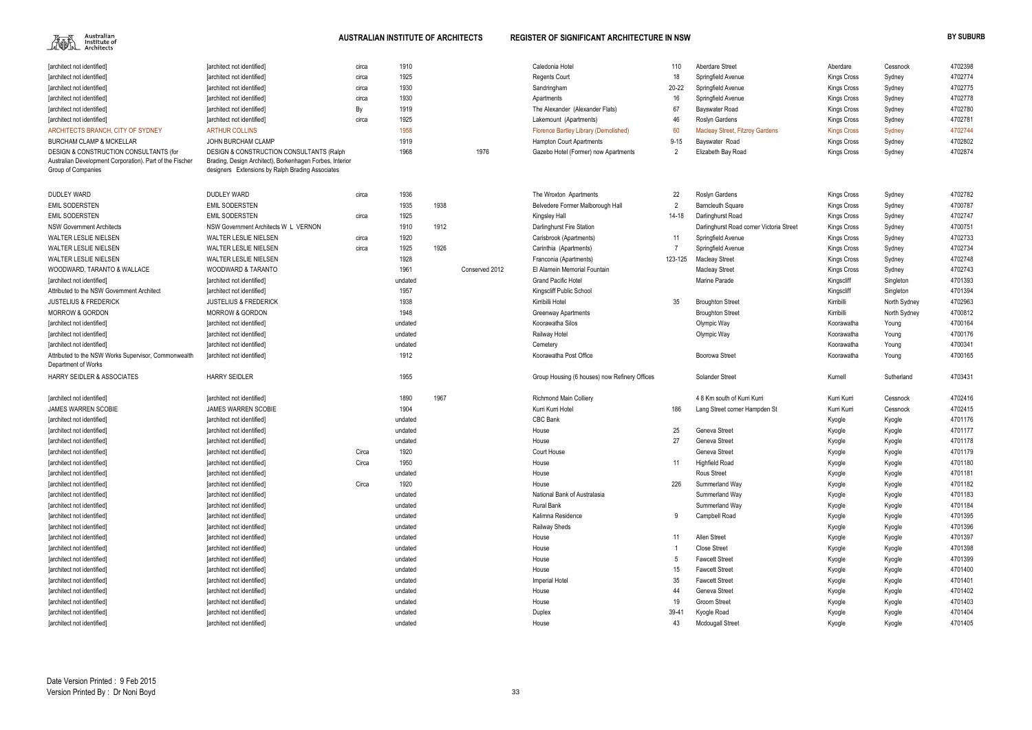| [architect not identified]                                                  | [architect not identified]                               | circa | 1910            |      |                | Caledonia Hotel                               | 110       | Aberdare Street                          | Aberdare           | Cessnock     | 4702398 |
|-----------------------------------------------------------------------------|----------------------------------------------------------|-------|-----------------|------|----------------|-----------------------------------------------|-----------|------------------------------------------|--------------------|--------------|---------|
| [architect not identified]                                                  | [architect not identified]                               | circa | 1925            |      |                | <b>Regents Court</b>                          | 18        | Springfield Avenue                       | <b>Kings Cross</b> | Sydney       | 4702774 |
| [architect not identified]                                                  | [architect not identified]                               | circa | 1930            |      |                | Sandringham                                   | $20 - 22$ | Springfield Avenue                       | Kings Cross        | Sydney       | 4702775 |
| [architect not identified]                                                  | [architect not identified]                               | circa | 1930            |      |                | Apartments                                    | 16        | Springfield Avenue                       | Kings Cross        | Sydney       | 4702778 |
| [architect not identified]                                                  | [architect not identified]                               | By    | 1919            |      |                | The Alexander (Alexander Flats)               | 67        | Bayswater Road                           | <b>Kings Cross</b> | Sydney       | 4702780 |
| [architect not identified]                                                  | [architect not identified]                               | circa | 1925            |      |                | Lakemount (Apartments)                        | 46        | Roslyn Gardens                           | <b>Kings Cross</b> | Sydney       | 4702781 |
| ARCHITECTS BRANCH, CITY OF SYDNEY                                           | <b>ARTHUR COLLINS</b>                                    |       | 1958            |      |                | Florence Bartley Library (Demolished)         | 60        | <b>Macleay Street, Fitzroy Gardens</b>   | <b>Kings Cross</b> | Sydney       | 4702744 |
| <b>BURCHAM CLAMP &amp; MCKELLAR</b>                                         | JOHN BURCHAM CLAMP                                       |       | 1919            |      |                | <b>Hampton Court Apartments</b>               | $9 - 15$  | Bayswater Road                           | Kings Cross        | Sydney       | 4702802 |
| DESIGN & CONSTRUCTION CONSULTANTS (for                                      | <b>DESIGN &amp; CONSTRUCTION CONSULTANTS (Ralph</b>      |       | 1968            |      | 1976           | Gazebo Hotel (Former) now Apartments          | 2         | Elizabeth Bay Road                       | Kings Cross        | Sydney       | 4702874 |
| Australian Development Corporation). Part of the Fischer                    | Brading, Design Architect), Borkenhagen Forbes, Interior |       |                 |      |                |                                               |           |                                          |                    |              |         |
| Group of Companies                                                          | designers Extensions by Ralph Brading Associates         |       |                 |      |                |                                               |           |                                          |                    |              |         |
|                                                                             |                                                          |       |                 |      |                |                                               |           |                                          |                    |              |         |
| <b>DUDLEY WARD</b>                                                          | <b>DUDLEY WARD</b>                                       | circa | 1936            |      |                | The Wroxton Apartments                        | 22        | Roslyn Gardens                           | Kings Cross        | Sydney       | 4702782 |
| <b>EMIL SODERSTEN</b>                                                       | <b>EMIL SODERSTEN</b>                                    |       | 1935            | 1938 |                | Belvedere Former Malborough Hall              |           | <b>Barncleuth Square</b>                 | <b>Kings Cross</b> | Sydney       | 4700787 |
| <b>EMIL SODERSTEN</b>                                                       | <b>EMIL SODERSTEN</b>                                    | circa | 1925            |      |                | Kingsley Hall                                 | 14-18     | Darlinghurst Road                        | <b>Kings Cross</b> | Sydney       | 4702747 |
| <b>NSW Government Architects</b>                                            | NSW Government Architects W L VERNON                     |       | 1910            | 1912 |                | Darlinghurst Fire Station                     |           | Darlinghurst Road corner Victoria Street | <b>Kings Cross</b> | Sydney       | 4700751 |
| <b>WALTER LESLIE NIELSEN</b>                                                | WALTER LESLIE NIELSEN                                    | circa | 1920            |      |                | Carisbrook (Apartments)                       | 11        | Springfield Avenue                       | Kings Cross        | Sydney       | 4702733 |
| WALTER LESLIE NIELSEN                                                       | WALTER LESLIE NIELSEN                                    | circa | 1925            | 1926 |                | Carinthia (Apartments)                        |           | Springfield Avenue                       | <b>Kings Cross</b> | Sydney       | 4702734 |
| <b>WALTER LESLIE NIELSEN</b>                                                | WALTER LESLIE NIELSEN                                    |       | 1928            |      |                | Franconia (Apartments)                        | 123-125   | <b>Macleay Street</b>                    | <b>Kings Cross</b> | Sydney       | 4702748 |
| WOODWARD, TARANTO & WALLACE                                                 | WOODWARD & TARANTO                                       |       | 1961            |      | Conserved 2012 | El Alamein Memorial Fountain                  |           | <b>Macleay Street</b>                    | <b>Kings Cross</b> | Sydney       | 4702743 |
| [architect not identified]                                                  | [architect not identified]                               |       | undated         |      |                | <b>Grand Pacific Hotel</b>                    |           | Marine Parade                            | Kingscliff         | Singleton    | 4701393 |
| Attributed to the NSW Government Architect                                  | [architect not identified]                               |       | 1957            |      |                | Kingscliff Public School                      |           |                                          | Kingscliff         | Singleton    | 4701394 |
| <b>JUSTELIUS &amp; FREDERICK</b>                                            | <b>JUSTELIUS &amp; FREDERICK</b>                         |       | 1938            |      |                | Kirribilli Hotel                              | 35        | <b>Broughton Street</b>                  | Kirribilli         | North Sydney | 4702963 |
| <b>MORROW &amp; GORDON</b>                                                  | <b>MORROW &amp; GORDON</b>                               |       | 1948            |      |                | <b>Greenway Apartments</b>                    |           | <b>Broughton Street</b>                  | Kirribilli         | North Sydney | 4700812 |
| [architect not identified]                                                  | [architect not identified]                               |       | undated         |      |                | Koorawatha Silos                              |           | Olympic Way                              | Koorawatha         | Young        | 4700164 |
| [architect not identified]                                                  | [architect not identified]                               |       | undated         |      |                | Railway Hotel                                 |           | Olympic Way                              | Koorawatha         | Young        | 4700176 |
| [architect not identified]                                                  | [architect not identified]                               |       | undated         |      |                | Cemetery                                      |           |                                          | Koorawatha         | Young        | 4700341 |
| Attributed to the NSW Works Supervisor, Commonwealth<br>Department of Works | [architect not identified]                               |       | 1912            |      |                | Koorawatha Post Office                        |           | <b>Boorowa Street</b>                    | Koorawatha         | Young        | 4700165 |
| <b>HARRY SEIDLER &amp; ASSOCIATES</b>                                       | <b>HARRY SEIDLER</b>                                     |       | 1955            |      |                | Group Housing (6 houses) now Refinery Offices |           | <b>Solander Street</b>                   | Kurnell            | Sutherland   | 4703431 |
| [architect not identified]                                                  | [architect not identified]                               |       | 1890            | 1967 |                | <b>Richmond Main Colliery</b>                 |           | 4 8 Km south of Kurri Kurri              | Kurri Kurri        | Cessnock     | 4702416 |
| <b>JAMES WARREN SCOBIE</b>                                                  | <b>JAMES WARREN SCOBIE</b>                               |       | 1904            |      |                | Kurri Kurri Hotel                             | 186       | Lang Street corner Hampden St            | Kurri Kurri        | Cessnock     | 4702415 |
|                                                                             |                                                          |       | undated         |      |                | <b>CBC Bank</b>                               |           |                                          |                    |              | 4701176 |
| [architect not identified]                                                  | [architect not identified]                               |       | undated         |      |                | House                                         | 25        |                                          | Kyogle             | Kyogle       | 4701177 |
| [architect not identified]                                                  | [architect not identified]                               |       |                 |      |                | House                                         | 27        | Geneva Street                            | Kyogle             | Kyogle       | 4701178 |
| [architect not identified]                                                  | [architect not identified]                               | Circa | undated<br>1920 |      |                |                                               |           | Geneva Street<br>Geneva Street           | Kyogle             | Kyogle       |         |
| [architect not identified]                                                  | [architect not identified]                               |       |                 |      |                | Court House                                   |           |                                          | Kyogle             | Kyogle       | 4701179 |
| [architect not identified]                                                  | [architect not identified]                               | Circa | 1950            |      |                | House                                         | 11        | <b>Highfield Road</b>                    | Kyogle             | Kyogle       | 4701180 |
| [architect not identified]                                                  | [architect not identified]                               |       | undated         |      |                | House                                         |           | <b>Rous Street</b>                       | Kyogle             | Kyogle       | 4701181 |
| [architect not identified]                                                  | [architect not identified]                               | Circa | 1920            |      |                | House                                         | 226       | Summerland Way                           | Kyogle             | Kyogle       | 4701182 |
| [architect not identified]                                                  | [architect not identified]                               |       | undated         |      |                | National Bank of Australasia                  |           | Summerland Way                           | Kyogle             | Kyogle       | 4701183 |
| [architect not identified]                                                  | [architect not identified]                               |       | undated         |      |                | <b>Rural Bank</b>                             |           | Summerland Way                           | Kyogle             | Kyogle       | 4701184 |
| [architect not identified]                                                  | [architect not identified]                               |       | undated         |      |                | Kalimna Residence                             | 9         | Campbell Road                            | Kyogle             | Kyogle       | 4701395 |
| [architect not identified]                                                  | [architect not identified]                               |       | undated         |      |                | <b>Railway Sheds</b>                          |           |                                          | Kyogle             | Kyogle       | 4701396 |
| [architect not identified]                                                  | [architect not identified]                               |       | undated         |      |                | House                                         | 11        | Allen Street                             | Kyogle             | Kyogle       | 4701397 |
| [architect not identified]                                                  | [architect not identified]                               |       | undated         |      |                | House                                         |           | <b>Close Street</b>                      | Kyogle             | Kyogle       | 4701398 |
| [architect not identified]                                                  | [architect not identified]                               |       | undated         |      |                | House                                         |           | <b>Fawcett Street</b>                    | Kyogle             | Kyogle       | 4701399 |
| [architect not identified]                                                  | [architect not identified]                               |       | undated         |      |                | House                                         | 15        | <b>Fawcett Street</b>                    | Kyogle             | Kyogle       | 4701400 |
| [architect not identified]                                                  | [architect not identified]                               |       | undated         |      |                | Imperial Hotel                                | 35        | <b>Fawcett Street</b>                    | Kyogle             | Kyogle       | 4701401 |
| [architect not identified]                                                  | [architect not identified]                               |       | undated         |      |                | House                                         | 44        | Geneva Street                            | Kyogle             | Kyogle       | 4701402 |
| [architect not identified]                                                  | [architect not identified]                               |       | undated         |      |                | House                                         | 19        | Groom Street                             | Kyogle             | Kyogle       | 4701403 |
| [architect not identified]                                                  | [architect not identified]                               |       | undated         |      |                | Duplex                                        | $39-4$    | Kyogle Road                              | Kyogle             | Kyogle       | 4701404 |
| [architect not identified]                                                  | [architect not identified]                               |       | undated         |      |                | House                                         | 43        | <b>Mcdougall Street</b>                  | Kyogle             | Kyogle       | 4701405 |
|                                                                             |                                                          |       |                 |      |                |                                               |           |                                          |                    |              |         |

| Aberdare           | Cessnock     | 4702398 |
|--------------------|--------------|---------|
| <b>Kings Cross</b> | Sydney       | 4702774 |
| Kings Cross        | Sydney       | 4702775 |
| <b>Kings Cross</b> | Sydney       | 4702778 |
| Kings Cross        | Sydney       | 4702780 |
| Kings Cross        | Sydney       | 4702781 |
| <b>Kings Cross</b> | Sydney       | 4702744 |
| <b>Kings Cross</b> | Sydney       | 4702802 |
| Kings Cross        | Sydney       | 4702874 |
|                    |              |         |
|                    |              |         |
|                    |              |         |
| Kings Cross        | Sydney       | 4702782 |
| <b>Kings Cross</b> | Sydney       | 4700787 |
| Kings Cross        | Sydney       | 4702747 |
| Kings Cross        | Sydney       | 4700751 |
| <b>Kings Cross</b> | Sydney       | 4702733 |
| Kings Cross        | Sydney       | 4702734 |
| Kings Cross        | Sydney       | 4702748 |
| Kings Cross        | Sydney       | 4702743 |
| Kingscliff         | Singleton    | 4701393 |
| Kingscliff         | Singleton    | 4701394 |
| Kirribilli         | North Sydney | 4702963 |
| Kirribilli         | North Sydney | 4700812 |
| Koorawatha         | Young        | 4700164 |
| Koorawatha         | Young        | 4700176 |
| Koorawatha         | Young        | 4700341 |
| Koorawatha         | Young        | 4700165 |
|                    |              |         |
| Kurnell            | Sutherland   | 4703431 |
|                    |              |         |
| Kurri Kurri        | Cessnock     | 4702416 |
| Kurri Kurri        | Cessnock     | 4702415 |
| Kyogle             | Kyogle       | 4701176 |
| Kyogle             | Kyogle       | 4701177 |
| Kyogle             | Kyogle       | 4701178 |
| Kyogle             | Kyogle       | 4701179 |
| Kyogle             | Kyogle       | 4701180 |
| Kyogle             | Kyogle       | 4701181 |
| Kyogle             | Kyogle       | 4701182 |
| Kyogle             | Kyogle       | 4701183 |
| Kyogle             | Kyogle       | 4701184 |
| Kyogle             | Kyogle       | 4701395 |
| Kyogle             | Kyogle       | 4701396 |
| Kyogle             | Kyogle       | 4701397 |
| Kyogle             | Kyogle       | 4701398 |
| Kyogle             | Kyogle       | 4701399 |
| Kyogle             | Kyogle       | 4701400 |
| Kyogle             | Kyogle       | 4701401 |
| Kyogle             | Kyogle       | 4701402 |
| Kyogle             | Kyogle       | 4701403 |
| Kyogle             | Kyogle       | 4701404 |
| Kyogle             | Kyogle       | 4701405 |
|                    |              |         |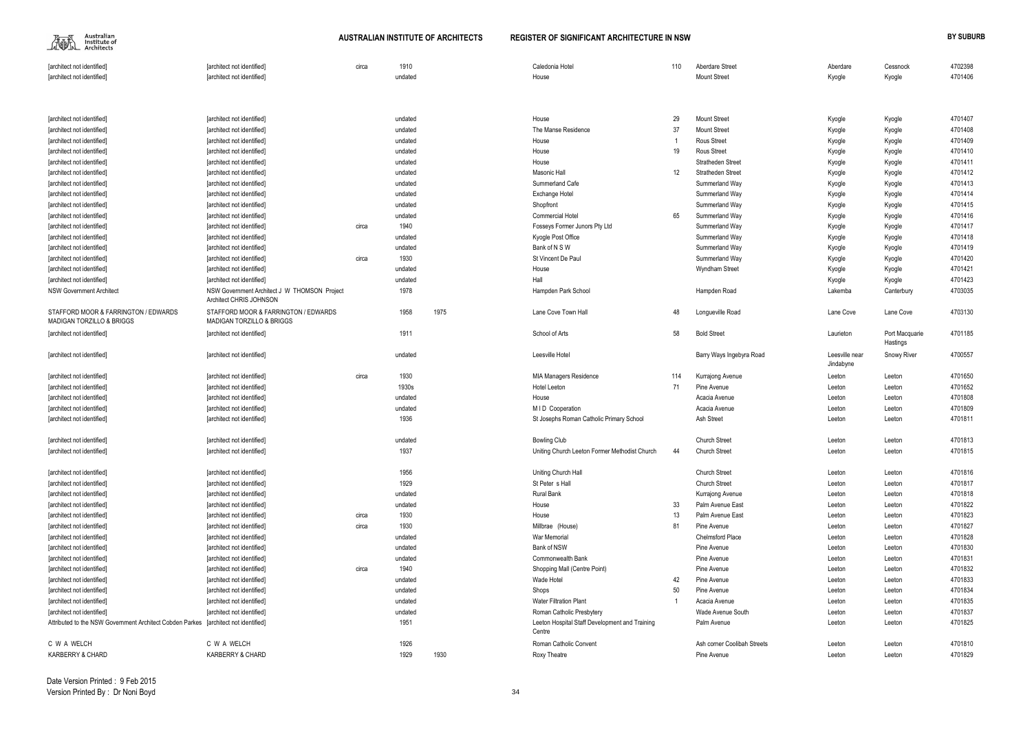| [architect not identified]                                                          | [architect not identified]                                              | circa | 1910    |      | Caledonia Hotel                                          | 110 | Aberdare Street             | Aberdare                    | Cessnock                   | 4702398 |
|-------------------------------------------------------------------------------------|-------------------------------------------------------------------------|-------|---------|------|----------------------------------------------------------|-----|-----------------------------|-----------------------------|----------------------------|---------|
| [architect not identified]                                                          | [architect not identified]                                              |       | undated |      | House                                                    |     | <b>Mount Street</b>         | Kyogle                      | Kyogle                     | 4701406 |
|                                                                                     |                                                                         |       |         |      |                                                          |     |                             |                             |                            |         |
|                                                                                     |                                                                         |       |         |      |                                                          |     |                             |                             |                            |         |
| [architect not identified]                                                          | [architect not identified]                                              |       | undated |      | House                                                    | 29  | <b>Mount Street</b>         | Kyogle                      | Kyogle                     | 4701407 |
| [architect not identified]                                                          | [architect not identified]                                              |       | undated |      | The Manse Residence                                      | 37  | <b>Mount Street</b>         | Kyogle                      | Kyogle                     | 4701408 |
| [architect not identified]                                                          | [architect not identified]                                              |       | undated |      | House                                                    |     | <b>Rous Street</b>          | Kyogle                      | Kyogle                     | 4701409 |
| [architect not identified]                                                          | [architect not identified]                                              |       | undated |      | House                                                    | 19  | <b>Rous Street</b>          | Kyogle                      | Kyogle                     | 4701410 |
| [architect not identified]                                                          | [architect not identified]                                              |       | undated |      | House                                                    |     | <b>Stratheden Street</b>    | Kyogle                      | Kyogle                     | 4701411 |
| [architect not identified]                                                          | [architect not identified]                                              |       | undated |      | Masonic Hall                                             | 12  | <b>Stratheden Street</b>    | Kyogle                      | Kyogle                     | 4701412 |
| [architect not identified]                                                          | [architect not identified]                                              |       | undated |      | Summerland Cafe                                          |     | Summerland Way              | Kyogle                      | Kyogle                     | 4701413 |
| [architect not identified]                                                          | [architect not identified]                                              |       | undated |      | Exchange Hotel                                           |     | Summerland Way              | Kyogle                      | Kyogle                     | 4701414 |
| [architect not identified]                                                          | [architect not identified]                                              |       | undated |      | Shopfront                                                |     | Summerland Way              | Kyogle                      | Kyogle                     | 4701415 |
| [architect not identified]                                                          | [architect not identified]                                              |       | undated |      | <b>Commercial Hotel</b>                                  | 65  | Summerland Way              | Kyogle                      | Kyogle                     | 4701416 |
| [architect not identified]                                                          | [architect not identified]                                              | circa | 1940    |      | Fosseys Former Junors Pty Ltd                            |     | Summerland Way              | Kyogle                      | Kyogle                     | 4701417 |
| [architect not identified]                                                          | [architect not identified]                                              |       | undated |      | Kyogle Post Office                                       |     | Summerland Way              | Kyogle                      | Kyogle                     | 4701418 |
| [architect not identified]                                                          | [architect not identified]                                              |       | undated |      | Bank of N S W                                            |     | Summerland Way              | Kyogle                      | Kyogle                     | 4701419 |
| [architect not identified]                                                          | [architect not identified]                                              | circa | 1930    |      | St Vincent De Paul                                       |     | Summerland Way              | Kyogle                      | Kyogle                     | 4701420 |
| [architect not identified]                                                          | [architect not identified]                                              |       | undated |      | House                                                    |     | Wyndham Street              | Kyogle                      | Kyogle                     | 4701421 |
| [architect not identified]                                                          | [architect not identified]                                              |       | undated |      | Hall                                                     |     |                             | Kyogle                      | Kyogle                     | 4701423 |
| <b>NSW Government Architect</b>                                                     | NSW Government Architect J W THOMSON Project<br>Architect CHRIS JOHNSON |       | 1978    |      | Hampden Park School                                      |     | Hampden Road                | Lakemba                     | Canterbury                 | 4703035 |
| STAFFORD MOOR & FARRINGTON / EDWARDS<br>MADIGAN TORZILLO & BRIGGS                   | STAFFORD MOOR & FARRINGTON / EDWARDS<br>MADIGAN TORZILLO & BRIGGS       |       | 1958    | 1975 | Lane Cove Town Hall                                      | 48  | Longueville Road            | Lane Cove                   | Lane Cove                  | 4703130 |
| [architect not identified]                                                          | [architect not identified]                                              |       | 1911    |      | School of Arts                                           | 58  | <b>Bold Street</b>          | Laurieton                   | Port Macquarie<br>Hastings | 4701185 |
| [architect not identified]                                                          | [architect not identified]                                              |       | undated |      | Leesville Hotel                                          |     | Barry Ways Ingebyra Road    | Leesville near<br>Jindabyne | <b>Snowy River</b>         | 4700557 |
| [architect not identified]                                                          | [architect not identified]                                              | circa | 1930    |      | <b>MIA Managers Residence</b>                            | 114 | Kurrajong Avenue            | Leeton                      | Leeton                     | 4701650 |
| [architect not identified]                                                          | [architect not identified]                                              |       | 1930s   |      | <b>Hotel Leeton</b>                                      | 71  | Pine Avenue                 | Leeton                      | Leeton                     | 4701652 |
| [architect not identified]                                                          | [architect not identified]                                              |       | undated |      | House                                                    |     | Acacia Avenue               | Leeton                      | Leeton                     | 4701808 |
| [architect not identified]                                                          | [architect not identified]                                              |       | undated |      | MID Cooperation                                          |     | Acacia Avenue               | Leeton                      | Leeton                     | 4701809 |
| [architect not identified]                                                          | [architect not identified]                                              |       | 1936    |      | St Josephs Roman Catholic Primary School                 |     | Ash Street                  | Leeton                      | Leeton                     | 4701811 |
|                                                                                     |                                                                         |       |         |      |                                                          |     |                             |                             |                            |         |
| [architect not identified]                                                          | [architect not identified]                                              |       | undated |      | <b>Bowling Club</b>                                      |     | <b>Church Street</b>        | Leeton                      | Leeton                     | 4701813 |
| [architect not identified]                                                          | [architect not identified]                                              |       | 1937    |      | Uniting Church Leeton Former Methodist Church            | 44  | <b>Church Street</b>        | Leeton                      | Leeton                     | 4701815 |
| [architect not identified]                                                          | [architect not identified]                                              |       | 1956    |      | Uniting Church Hall                                      |     | <b>Church Street</b>        | Leeton                      | Leeton                     | 4701816 |
| [architect not identified]                                                          | [architect not identified]                                              |       | 1929    |      | St Peter s Hall                                          |     | <b>Church Street</b>        | Leeton                      | Leeton                     | 4701817 |
| [architect not identified]                                                          | [architect not identified]                                              |       | undated |      | <b>Rural Bank</b>                                        |     | Kurrajong Avenue            | Leeton                      | Leeton                     | 4701818 |
| [architect not identified]                                                          | [architect not identified]                                              |       | undated |      | House                                                    | 33  | Palm Avenue East            | Leeton                      | Leeton                     | 4701822 |
| [architect not identified]                                                          | [architect not identified]                                              | circa | 1930    |      | House                                                    | 13  | Palm Avenue East            | Leeton                      | Leeton                     | 4701823 |
| [architect not identified]                                                          | [architect not identified]                                              | circa | 1930    |      | Millbrae (House)                                         | 81  | Pine Avenue                 | Leeton                      | Leeton                     | 4701827 |
| [architect not identified]                                                          | [architect not identified]                                              |       | undated |      | War Memorial                                             |     | <b>Chelmsford Place</b>     | Leeton                      | Leeton                     | 4701828 |
| [architect not identified]                                                          | [architect not identified]                                              |       | undated |      | Bank of NSW                                              |     | Pine Avenue                 | Leeton                      | Leeton                     | 4701830 |
| [architect not identified]                                                          | [architect not identified]                                              |       | undated |      | <b>Commonwealth Bank</b>                                 |     | Pine Avenue                 | Leeton                      | Leeton                     | 4701831 |
| [architect not identified]                                                          | [architect not identified]                                              | circa | 1940    |      | Shopping Mall (Centre Point)                             |     | Pine Avenue                 | Leeton                      | Leeton                     | 4701832 |
| [architect not identified]                                                          | [architect not identified]                                              |       | undated |      | Wade Hotel                                               | 42  | Pine Avenue                 | Leeton                      | Leeton                     | 4701833 |
| [architect not identified]                                                          | [architect not identified]                                              |       | undated |      | Shops                                                    | 50  | Pine Avenue                 | Leeton                      | Leeton                     | 4701834 |
| [architect not identified]                                                          | [architect not identified]                                              |       | undated |      | <b>Water Filtration Plant</b>                            |     | Acacia Avenue               | Leeton                      | Leeton                     | 4701835 |
| [architect not identified]                                                          | [architect not identified]                                              |       | undated |      | Roman Catholic Presbytery                                |     | Wade Avenue South           | Leeton                      | Leeton                     | 4701837 |
| Attributed to the NSW Government Architect Cobden Parkes [architect not identified] |                                                                         |       | 1951    |      | Leeton Hospital Staff Development and Training<br>Centre |     | Palm Avenue                 | Leeton                      | Leeton                     | 4701825 |
| C W A WELCH                                                                         | C W A WELCH                                                             |       | 1926    |      | Roman Catholic Convent                                   |     | Ash corner Coolibah Streets | Leeton                      | Leeton                     | 4701810 |
| <b>KARBERRY &amp; CHARD</b>                                                         | <b>KARBERRY &amp; CHARD</b>                                             |       | 1929    | 1930 | Roxy Theatre                                             |     | Pine Avenue                 | Leeton                      | Leeton                     | 4701829 |
|                                                                                     |                                                                         |       |         |      |                                                          |     |                             |                             |                            |         |

| Mount Street                | Kyogle                      | Kyogle                     | 4701407 |
|-----------------------------|-----------------------------|----------------------------|---------|
| Mount Street                | Kyogle                      | Kyogle                     | 4701408 |
| Rous Street                 | Kyogle                      | Kyogle                     | 4701409 |
| Rous Street                 | Kyogle                      | Kyogle                     | 4701410 |
| Stratheden Street           | Kyogle                      | Kyogle                     | 4701411 |
| Stratheden Street           | Kyogle                      | Kyogle                     | 4701412 |
| Summerland Way              | Kyogle                      | Kyogle                     | 4701413 |
| Summerland Way              | Kyogle                      | Kyogle                     | 4701414 |
| Summerland Way              | Kyogle                      | Kyogle                     | 4701415 |
| Summerland Way              | Kyogle                      | Kyogle                     | 4701416 |
| Summerland Way              | Kyogle                      | Kyogle                     | 4701417 |
| Summerland Way              | Kyogle                      | Kyogle                     | 4701418 |
| Summerland Way              | Kyogle                      | Kyogle                     | 4701419 |
| Summerland Way              | Kyogle                      | Kyogle                     | 4701420 |
| Wyndham Street              | Kyogle                      | Kyogle                     | 4701421 |
|                             | Kyogle                      | Kyogle                     | 4701423 |
| Hampden Road                | Lakemba                     | Canterbury                 | 4703035 |
|                             |                             |                            |         |
| Longueville Road            | Lane Cove                   | Lane Cove                  | 4703130 |
| Bold Street                 | Laurieton                   | Port Macquarie<br>Hastings | 4701185 |
| Barry Ways Ingebyra Road    | Leesville near<br>Jindabyne | Snowy River                | 4700557 |
| Kurrajong Avenue            | Leeton                      | Leeton                     | 4701650 |
| Pine Avenue                 | Leeton                      | Leeton                     | 4701652 |
| Acacia Avenue               | Leeton                      | Leeton                     | 4701808 |
| Acacia Avenue               | Leeton                      | Leeton                     | 4701809 |
| Ash Street                  | Leeton                      | Leeton                     | 4701811 |
|                             |                             |                            |         |
| Church Street               | Leeton                      | Leeton                     | 4701813 |
| Church Street               | Leeton                      | Leeton                     | 4701815 |
|                             |                             |                            |         |
| Church Street               | Leeton                      | Leeton                     | 4701816 |
| <b>Church Street</b>        | Leeton                      | Leeton                     | 4701817 |
| Kurrajong Avenue            | Leeton                      | Leeton                     | 4701818 |
| Palm Avenue East            | Leeton                      | Leeton                     | 4701822 |
| Palm Avenue East            | Leeton                      | Leeton                     | 4701823 |
| Pine Avenue                 | Leeton                      | Leeton                     | 4701827 |
| Chelmsford Place            | Leeton                      | Leeton                     | 4701828 |
| Pine Avenue                 | Leeton                      | Leeton                     | 4701830 |
| Pine Avenue                 | Leeton                      | Leeton                     | 4701831 |
| Pine Avenue                 | Leeton                      | Leeton                     | 4701832 |
| Pine Avenue                 | Leeton                      | Leeton                     | 4701833 |
| Pine Avenue                 | Leeton                      | Leeton                     | 4701834 |
| Acacia Avenue               | Leeton                      | Leeton                     | 4701835 |
| Wade Avenue South           | Leeton                      | Leeton                     | 4701837 |
| Palm Avenue                 | Leeton                      | Leeton                     | 4701825 |
|                             |                             |                            |         |
| Ash corner Coolibah Streets | Leeton                      | Leeton                     | 4701810 |
| Pine Avenue                 | Leeton                      | Leeton                     | 4701829 |
|                             |                             |                            |         |

| Aberdare | Cessnock | 4702398 |
|----------|----------|---------|
| Kyogle   | Kyogle   | 4701406 |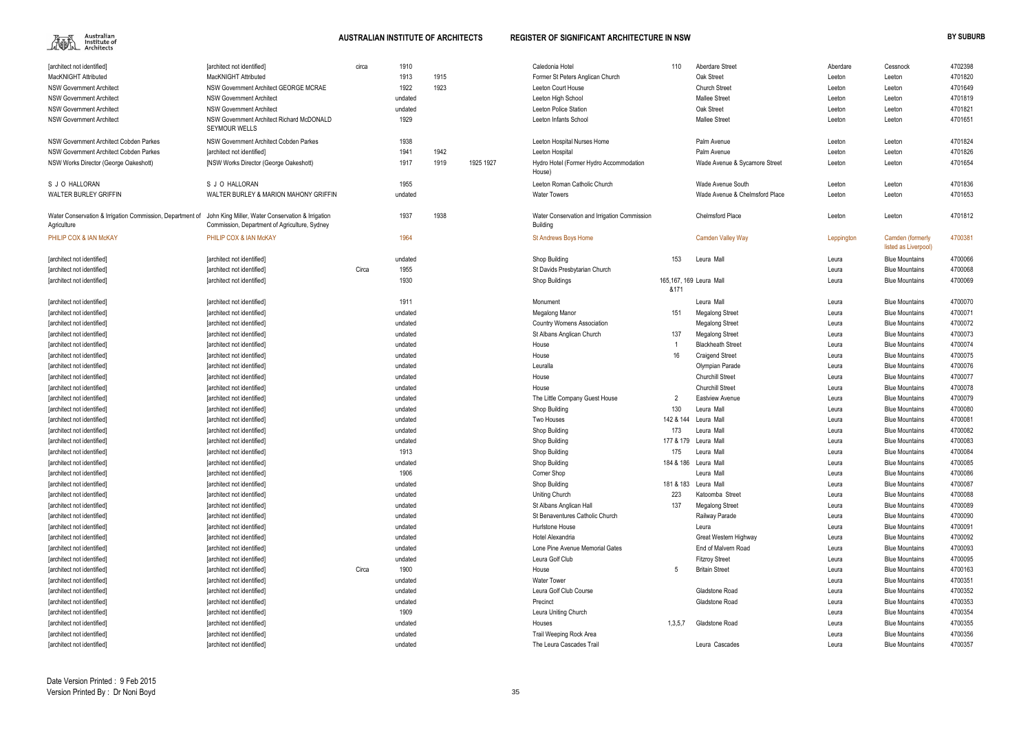

| Aberdare Street                | Aberdare   | Cessnock                                 | 4702398 |
|--------------------------------|------------|------------------------------------------|---------|
| Oak Street                     | Leeton     | Leeton                                   | 4701820 |
| Church Street                  | Leeton     | Leeton                                   | 4701649 |
| Mallee Street                  | Leeton     | Leeton                                   | 4701819 |
| Oak Street                     | Leeton     | Leeton                                   | 4701821 |
| Mallee Street                  | Leeton     | Leeton                                   | 4701651 |
| Palm Avenue                    | Leeton     | Leeton                                   | 4701824 |
| Palm Avenue                    | Leeton     | Leeton                                   | 4701826 |
| Wade Avenue & Sycamore Street  | Leeton     | Leeton                                   | 4701654 |
| Wade Avenue South              | Leeton     | Leeton                                   | 4701836 |
| Wade Avenue & Chelmsford Place | Leeton     | Leeton                                   | 4701653 |
| Chelmsford Place               | Leeton     | Leeton                                   | 4701812 |
| Camden Valley Way              | Leppington | Camden (formerly<br>listed as Liverpool) | 4700381 |
| Leura Mall                     | Leura      | <b>Blue Mountains</b>                    | 4700066 |
|                                | Leura      | <b>Blue Mountains</b>                    | 4700068 |
| Leura Mall                     | Leura      | <b>Blue Mountains</b>                    | 4700069 |
| Leura Mall                     | Leura      | <b>Blue Mountains</b>                    | 4700070 |
| Megalong Street                | Leura      | <b>Blue Mountains</b>                    | 4700071 |
| Megalong Street                | Leura      | <b>Blue Mountains</b>                    | 4700072 |
| Megalong Street                | Leura      | <b>Blue Mountains</b>                    | 4700073 |
| <b>Blackheath Street</b>       | Leura      | <b>Blue Mountains</b>                    | 4700074 |
| Craigend Street                | Leura      | <b>Blue Mountains</b>                    | 4700075 |
| Olympian Parade                | Leura      | <b>Blue Mountains</b>                    | 4700076 |
| Churchill Street               | Leura      | <b>Blue Mountains</b>                    | 4700077 |
| Churchill Street               | Leura      | <b>Blue Mountains</b>                    | 4700078 |
| Eastview Avenue                | Leura      | <b>Blue Mountains</b>                    | 4700079 |
| Leura Mall                     | Leura      | <b>Blue Mountains</b>                    | 4700080 |
| Leura Mall                     | Leura      | <b>Blue Mountains</b>                    | 4700081 |
| Leura Mall                     | Leura      | <b>Blue Mountains</b>                    | 4700082 |
| Leura Mall                     | Leura      | <b>Blue Mountains</b>                    | 4700083 |
| Leura Mall                     | Leura      | <b>Blue Mountains</b>                    | 4700084 |
| Leura Mall                     | Leura      | <b>Blue Mountains</b>                    | 4700085 |
| Leura Mall                     | Leura      | <b>Blue Mountains</b>                    | 4700086 |
| Leura Mall                     | Leura      | <b>Blue Mountains</b>                    | 4700087 |
| Katoomba Street                | Leura      | <b>Blue Mountains</b>                    | 4700088 |
| Megalong Street                | Leura      | <b>Blue Mountains</b>                    | 4700089 |
| Railway Parade                 | Leura      | <b>Blue Mountains</b>                    | 4700090 |
| Leura                          | Leura      | <b>Blue Mountains</b>                    | 4700091 |
| Great Western Highway          | Leura      | <b>Blue Mountains</b>                    | 4700092 |
| End of Malvern Road            | Leura      | <b>Blue Mountains</b>                    | 4700093 |
| Fitzrov Street                 | Leura      | <b>Blue Mountains</b>                    | 4700095 |
| <b>Britain Street</b>          | Leura      | <b>Blue Mountains</b>                    | 4700163 |
|                                | Leura      | <b>Blue Mountains</b>                    | 4700351 |
| Gladstone Road                 | Leura      | <b>Blue Mountains</b>                    | 4700352 |
| Gladstone Road                 | Leura      | <b>Blue Mountains</b>                    | 4700353 |
|                                | Leura      | <b>Blue Mountains</b>                    | 4700354 |
| Gladstone Road                 | Leura      | <b>Blue Mountains</b>                    | 4700355 |
|                                | Leura      | <b>Blue Mountains</b>                    | 4700356 |
| Leura Cascades                 | Leura      | <b>Blue Mountains</b>                    | 4700357 |
|                                |            |                                          |         |

| [architect not identified]                                               | [architect not identified]                                                                         | circa | 1910    |      |           | Caledonia Hotel                                                 | 110                             | Aberdare Street                | Aberdare   | Cessnock                                 | 4702398 |
|--------------------------------------------------------------------------|----------------------------------------------------------------------------------------------------|-------|---------|------|-----------|-----------------------------------------------------------------|---------------------------------|--------------------------------|------------|------------------------------------------|---------|
| MacKNIGHT Attributed                                                     | MacKNIGHT Attributed                                                                               |       | 1913    | 1915 |           | Former St Peters Anglican Church                                |                                 | Oak Street                     | Leeton     | Leeton                                   | 4701820 |
| <b>NSW Government Architect</b>                                          | NSW Government Architect GEORGE MCRAE                                                              |       | 1922    | 1923 |           | Leeton Court House                                              |                                 | <b>Church Street</b>           | Leeton     | Leeton                                   | 4701649 |
| <b>NSW Government Architect</b>                                          | <b>NSW Government Architect</b>                                                                    |       | undated |      |           | Leeton High School                                              |                                 | <b>Mallee Street</b>           | Leeton     | Leeton                                   | 4701819 |
| <b>NSW Government Architect</b>                                          | <b>NSW Government Architect</b>                                                                    |       | undated |      |           | Leeton Police Station                                           |                                 | Oak Street                     | Leeton     | Leeton                                   | 4701821 |
| <b>NSW Government Architect</b>                                          | NSW Government Architect Richard McDONALD<br><b>SEYMOUR WELLS</b>                                  |       | 1929    |      |           | Leeton Infants School                                           |                                 | <b>Mallee Street</b>           | Leeton     | Leeton                                   | 4701651 |
| NSW Government Architect Cobden Parkes                                   | NSW Government Architect Cobden Parkes                                                             |       | 1938    |      |           | Leeton Hospital Nurses Home                                     |                                 | Palm Avenue                    | Leeton     | Leeton                                   | 4701824 |
| NSW Government Architect Cobden Parkes                                   | [architect not identified]                                                                         |       | 1941    | 1942 |           | Leeton Hospital                                                 |                                 | Palm Avenue                    | Leeton     | Leeton                                   | 4701826 |
| NSW Works Director (George Oakeshott)                                    | [NSW Works Director (George Oakeshott)                                                             |       | 1917    | 1919 | 1925 1927 | Hydro Hotel (Former Hydro Accommodation<br>House)               |                                 | Wade Avenue & Sycamore Street  | Leeton     | Leeton                                   | 4701654 |
| S J O HALLORAN                                                           | S J O HALLORAN                                                                                     |       | 1955    |      |           | Leeton Roman Catholic Church                                    |                                 | Wade Avenue South              | Leeton     | Leeton                                   | 4701836 |
| <b>WALTER BURLEY GRIFFIN</b>                                             | WALTER BURLEY & MARION MAHONY GRIFFIN                                                              |       | undated |      |           | <b>Water Towers</b>                                             |                                 | Wade Avenue & Chelmsford Place | Leeton     | Leeton                                   | 4701653 |
| Water Conservation & Irrigation Commission, Department of<br>Agriculture | John King Miller, Water Conservation & Irrigation<br>Commission, Department of Agriculture, Sydney |       | 1937    | 1938 |           | Water Conservation and Irrigation Commission<br><b>Building</b> |                                 | <b>Chelmsford Place</b>        | Leeton     | Leeton                                   | 4701812 |
| <b>PHILIP COX &amp; IAN McKAY</b>                                        | PHILIP COX & IAN McKAY                                                                             |       | 1964    |      |           | <b>St Andrews Boys Home</b>                                     |                                 | <b>Camden Valley Way</b>       | Leppington | Camden (formerly<br>listed as Liverpool) | 4700381 |
| [architect not identified]                                               | [architect not identified]                                                                         |       | undated |      |           | Shop Building                                                   | 153                             | Leura Mall                     | Leura      | <b>Blue Mountains</b>                    | 4700066 |
| [architect not identified]                                               | [architect not identified]                                                                         | Circa | 1955    |      |           | St Davids Presbytarian Church                                   |                                 |                                | Leura      | <b>Blue Mountains</b>                    | 4700068 |
| [architect not identified]                                               | [architect not identified]                                                                         |       | 1930    |      |           | <b>Shop Buildings</b>                                           | 165,167, 169 Leura Mall<br>&171 |                                | Leura      | <b>Blue Mountains</b>                    | 4700069 |
| [architect not identified]                                               | [architect not identified]                                                                         |       | 1911    |      |           | Monument                                                        |                                 | Leura Mall                     | Leura      | <b>Blue Mountains</b>                    | 4700070 |
| architect not identified                                                 | [architect not identified]                                                                         |       | undated |      |           | Megalong Manor                                                  | 151                             | <b>Megalong Street</b>         | Leura      | <b>Blue Mountains</b>                    | 4700071 |
| architect not identified                                                 | [architect not identified]                                                                         |       | undated |      |           | <b>Country Womens Association</b>                               |                                 | <b>Megalong Street</b>         | Leura      | <b>Blue Mountains</b>                    | 4700072 |
| [architect not identified]                                               | [architect not identified]                                                                         |       | undated |      |           | St Albans Anglican Church                                       | 137                             | <b>Megalong Street</b>         | Leura      | <b>Blue Mountains</b>                    | 4700073 |
| [architect not identified]                                               | [architect not identified]                                                                         |       | undated |      |           | House                                                           |                                 | <b>Blackheath Street</b>       | Leura      | <b>Blue Mountains</b>                    | 4700074 |
| [architect not identified]                                               | [architect not identified]                                                                         |       | undated |      |           | House                                                           | 16                              | <b>Craigend Street</b>         | Leura      | <b>Blue Mountains</b>                    | 4700075 |
| [architect not identified]                                               | [architect not identified]                                                                         |       | undated |      |           | Leuralla                                                        |                                 | Olympian Parade                | Leura      | <b>Blue Mountains</b>                    | 4700076 |
| [architect not identified]                                               | [architect not identified]                                                                         |       | undated |      |           | House                                                           |                                 | <b>Churchill Street</b>        | Leura      | <b>Blue Mountains</b>                    | 4700077 |
| [architect not identified]                                               | [architect not identified]                                                                         |       | undated |      |           | House                                                           |                                 | <b>Churchill Street</b>        | Leura      | <b>Blue Mountains</b>                    | 4700078 |
| [architect not identified]                                               | [architect not identified]                                                                         |       | undated |      |           | The Little Company Guest House                                  | $\overline{2}$                  | <b>Eastview Avenue</b>         | Leura      | <b>Blue Mountains</b>                    | 4700079 |
| [architect not identified]                                               | [architect not identified]                                                                         |       | undated |      |           | Shop Building                                                   | 130                             | Leura Mall                     | Leura      | <b>Blue Mountains</b>                    | 4700080 |
| [architect not identified]                                               | [architect not identified]                                                                         |       | undated |      |           | Two Houses                                                      | 142 & 144                       | Leura Mall                     | Leura      | <b>Blue Mountains</b>                    | 4700081 |
| [architect not identified]                                               | [architect not identified]                                                                         |       | undated |      |           | Shop Building                                                   | 173                             | Leura Mall                     | Leura      | <b>Blue Mountains</b>                    | 4700082 |
| [architect not identified]                                               | [architect not identified]                                                                         |       | undated |      |           | Shop Building                                                   |                                 | 177 & 179 Leura Mall           | Leura      | <b>Blue Mountains</b>                    | 4700083 |
| [architect not identified]                                               | [architect not identified]                                                                         |       | 1913    |      |           | Shop Building                                                   | 175                             | Leura Mall                     | Leura      | <b>Blue Mountains</b>                    | 4700084 |
| [architect not identified]                                               | [architect not identified]                                                                         |       | undated |      |           | Shop Building                                                   |                                 | 184 & 186 Leura Mall           | Leura      | <b>Blue Mountains</b>                    | 4700085 |
| [architect not identified]                                               | [architect not identified]                                                                         |       | 1906    |      |           | Corner Shop                                                     |                                 | Leura Mall                     | Leura      | <b>Blue Mountains</b>                    | 4700086 |
| [architect not identified]                                               | [architect not identified]                                                                         |       | undated |      |           | Shop Building                                                   |                                 | 181 & 183 Leura Mall           | Leura      | <b>Blue Mountains</b>                    | 4700087 |
| [architect not identified]                                               | [architect not identified]                                                                         |       | undated |      |           | <b>Uniting Church</b>                                           | 223                             | Katoomba Street                | Leura      | <b>Blue Mountains</b>                    | 4700088 |
| [architect not identified]                                               | [architect not identified]                                                                         |       | undated |      |           | St Albans Anglican Hall                                         | 137                             | <b>Megalong Street</b>         | Leura      | <b>Blue Mountains</b>                    | 4700089 |
| [architect not identified]                                               | [architect not identified]                                                                         |       | undated |      |           | St Benaventures Catholic Church                                 |                                 | Railway Parade                 | Leura      | <b>Blue Mountains</b>                    | 4700090 |
| [architect not identified]                                               | [architect not identified]                                                                         |       | undated |      |           | Hurlstone House                                                 |                                 | Leura                          | Leura      | <b>Blue Mountains</b>                    | 4700091 |
| [architect not identified]                                               | [architect not identified]                                                                         |       | undated |      |           | Hotel Alexandria                                                |                                 | Great Western Highway          | Leura      | <b>Blue Mountains</b>                    | 4700092 |
| [architect not identified]                                               | [architect not identified]                                                                         |       | undated |      |           | Lone Pine Avenue Memorial Gates                                 |                                 | End of Malvern Road            | Leura      | <b>Blue Mountains</b>                    | 4700093 |
| [architect not identified]                                               | [architect not identified]                                                                         |       | undated |      |           | Leura Golf Club                                                 |                                 | <b>Fitzroy Street</b>          | Leura      | <b>Blue Mountains</b>                    | 4700095 |
| [architect not identified]                                               | [architect not identified]                                                                         | Circa | 1900    |      |           | House                                                           | 5                               | <b>Britain Street</b>          | Leura      | <b>Blue Mountains</b>                    | 4700163 |
| [architect not identified]                                               | [architect not identified]                                                                         |       | undated |      |           | <b>Water Tower</b>                                              |                                 |                                | Leura      | <b>Blue Mountains</b>                    | 4700351 |
| [architect not identified]                                               | [architect not identified]                                                                         |       | undated |      |           | Leura Golf Club Course                                          |                                 | Gladstone Road                 | Leura      | <b>Blue Mountains</b>                    | 4700352 |
| [architect not identified]                                               | [architect not identified]                                                                         |       | undated |      |           | Precinct                                                        |                                 | Gladstone Road                 | Leura      | <b>Blue Mountains</b>                    | 4700353 |
| [architect not identified]                                               | [architect not identified]                                                                         |       | 1909    |      |           | Leura Uniting Church                                            |                                 |                                | Leura      | <b>Blue Mountains</b>                    | 4700354 |
| [architect not identified]                                               | [architect not identified]                                                                         |       | undated |      |           | Houses                                                          | 1,3,5,7                         | Gladstone Road                 | Leura      | <b>Blue Mountains</b>                    | 4700355 |
| [architect not identified]                                               | [architect not identified]                                                                         |       | undated |      |           | Trail Weeping Rock Area                                         |                                 |                                | Leura      | <b>Blue Mountains</b>                    | 4700356 |
| [architect not identified]                                               | [architect not identified]                                                                         |       | undated |      |           | The Leura Cascades Trail                                        |                                 | Leura Cascades                 | Leura      | <b>Blue Mountains</b>                    | 4700357 |
|                                                                          |                                                                                                    |       |         |      |           |                                                                 |                                 |                                |            |                                          |         |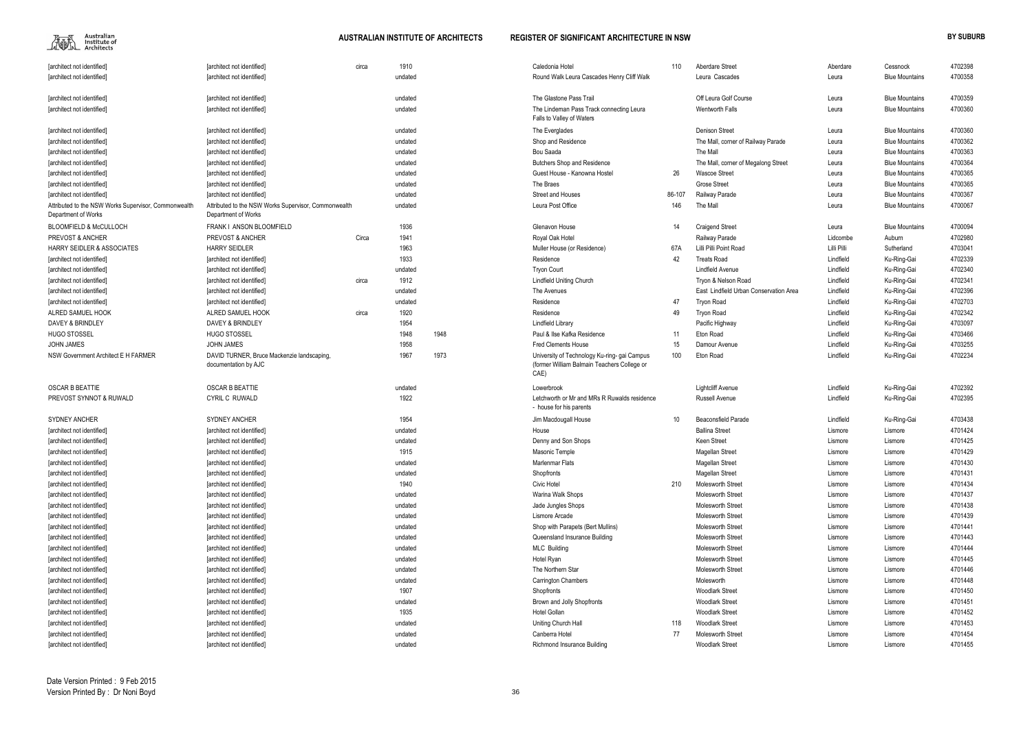| 4700358<br>Leura Cascades<br>[architect not identified]<br>undated<br>Round Walk Leura Cascades Henry Cliff Walk<br>Leura<br><b>Blue Mountains</b><br>Off Leura Golf Course<br>4700359<br>undated<br>The Glastone Pass Trail<br><b>Blue Mountains</b><br>[architect not identified]<br>Leura<br>4700360<br>The Lindeman Pass Track connecting Leura<br><b>Wentworth Falls</b><br>[architect not identified]<br>undated<br>Leura<br><b>Blue Mountains</b><br>Falls to Valley of Waters<br>4700360<br><b>Denison Street</b><br><b>Blue Mountains</b><br>[architect not identified]<br>undated<br>The Everglades<br>Leura<br>4700362<br>The Mall, corner of Railway Parade<br>[architect not identified]<br>undated<br>Shop and Residence<br><b>Blue Mountains</b><br>Leura<br>4700363<br>undated<br>Bou Saada<br>The Mall<br><b>Blue Mountains</b><br>[architect not identified]<br>Leura<br>4700364<br>undated<br><b>Butchers Shop and Residence</b><br>The Mall, corner of Megalong Street<br><b>Blue Mountains</b><br>[architect not identified]<br>Leura<br>4700365<br>26<br>undated<br>Guest House - Kanowna Hostel<br><b>Wascoe Street</b><br><b>Blue Mountains</b><br>[architect not identified]<br>Leura<br>4700365<br>The Braes<br><b>Grose Street</b><br>undated<br><b>Blue Mountains</b><br>[architect not identified]<br>Leura<br>4700367<br>86-107<br>[architect not identified]<br>undated<br>Street and Houses<br>Railway Parade<br><b>Blue Mountains</b><br>Leura<br>4700067<br>Leura Post Office<br>146<br>Attributed to the NSW Works Supervisor, Commonwealth<br>undated<br>The Mall<br><b>Blue Mountains</b><br>Leura<br>Department of Works<br>4700094<br>FRANK I ANSON BLOOMFIELD<br>1936<br><b>BLOOMFIELD &amp; McCULLOCH</b><br>Glenavon House<br>14<br><b>Blue Mountains</b><br><b>Craigend Street</b><br>Leura<br>1941<br>4702980<br>PREVOST & ANCHER<br><b>PREVOST &amp; ANCHER</b><br>Circa<br>Royal Oak Hotel<br>Railway Parade<br>Lidcombe<br>Auburn<br>1963<br>4703041<br><b>HARRY SEIDLER &amp; ASSOCIATES</b><br><b>HARRY SEIDLER</b><br>67A<br>Lilli Pilli Point Road<br>Lilli Pilli<br>Muller House (or Residence)<br>Sutherland<br>1933<br>42<br>4702339<br><b>Treats Road</b><br>Lindfield<br>Ku-Ring-Gai<br>Residence<br>[architect not identified]<br>[architect not identified]<br>4702340<br><b>Lindfield Avenue</b><br>Lindfield<br>undated<br><b>Tryon Court</b><br>Ku-Ring-Gai<br>[architect not identified]<br>[architect not identified]<br>1912<br>Tryon & Nelson Road<br>Lindfield<br>4702341<br>[architect not identified]<br>circa<br><b>Lindfield Uniting Church</b><br>Ku-Ring-Gai<br>[architect not identified]<br>Lindfield<br>4702396<br>East Lindfield Urban Conservation Area<br>Ku-Ring-Gai<br>[architect not identified]<br>undated<br>The Avenues<br>[architect not identified]<br>47<br>Lindfield<br>4702703<br>Residence<br>Ku-Ring-Gai<br><b>Tarchitect not identified1</b><br>undated<br><b>Tryon Road</b><br>[architect not identified]<br>1920<br>Lindfield<br>4702342<br>ALRED SAMUEL HOOK<br>ALRED SAMUEL HOOK<br>Residence<br>49<br>circa<br><b>Tryon Road</b><br>Ku-Ring-Gai<br>4703097<br>DAVEY & BRINDLEY<br>DAVEY & BRINDLEY<br>1954<br>Lindfield<br>Lindfield Library<br>Pacific Highway<br>Ku-Ring-Gai<br><b>HUGO STOSSEL</b><br><b>HUGO STOSSEL</b><br>1948<br>1948<br>Paul & Ilse Kafka Residence<br>Lindfield<br>4703466<br>11<br>Eton Road<br>Ku-Ring-Gai<br>1958<br>4703255<br><b>JOHN JAMES</b><br>JOHN JAMES<br>Fred Clements House<br>15<br>Lindfield<br>Damour Avenue<br>Ku-Ring-Gai<br>1973<br>100<br>Lindfield<br>4702234<br>NSW Government Architect E H FARMER<br>DAVID TURNER, Bruce Mackenzie landscaping,<br>1967<br>University of Technology Ku-ring- gai Campus<br>Eton Road<br>Ku-Ring-Gai<br>(former William Balmain Teachers College or<br>documentation by AJC<br>CAE)<br>4702392<br><b>OSCAR B BEATTIE</b><br><b>Lightcliff Avenue</b><br>Lindfield<br>Ku-Ring-Gai<br>undated<br>Lowerbrook<br>1922<br>Lindfield<br>4702395<br><b>CYRIL C RUWALD</b><br>Letchworth or Mr and MRs R Ruwalds residence<br><b>Russell Avenue</b><br>Ku-Ring-Gai<br>- house for his parents<br><b>SYDNEY ANCHER</b><br>1954<br>Lindfield<br>4703438<br>Jim Macdougall House<br>10<br><b>Beaconsfield Parade</b><br>Ku-Ring-Gai<br>4701424<br>House<br><b>Ballina Street</b><br>[architect not identified]<br>undated<br>Lismore<br>Lismore<br>4701425<br>[architect not identified]<br>Denny and Son Shops<br>Keen Street<br>undated<br>Lismore<br>Lismore<br>4701429<br>[architect not identified]<br>1915<br>Masonic Temple<br>Magellan Street<br>Lismore<br>Lismore<br>4701430<br>Marlenmar Flats<br>[architect not identified]<br>undated<br>Magellan Street<br>Lismore<br>Lismore<br>Magellan Street<br>4701431<br>undated<br>Shopfronts<br>Lismore<br>Lismore<br>[architect not identified]<br>1940<br>Civic Hotel<br>210<br>4701434<br>[architect not identified]<br><b>Molesworth Street</b><br>Lismore<br>Lismore<br>4701437<br>[architect not identified]<br>undated<br>Warina Walk Shops<br><b>Molesworth Street</b><br>Lismore<br>Lismore<br>Molesworth Street<br>4701438<br>undated<br>[architect not identified]<br>Jade Jungles Shops<br>Lismore<br>Lismore<br>4701439<br>undated<br><b>Molesworth Street</b><br>[architect not identified]<br>Lismore Arcade<br>Lismore<br>Lismore<br>4701441<br>undated<br>Shop with Parapets (Bert Mullins)<br>Molesworth Street<br>[architect not identified]<br>Lismore<br>Lismore<br>4701443<br>undated<br>Queensland Insurance Building<br><b>Molesworth Street</b><br>Lismore<br>[architect not identified]<br>Lismore<br><b>MLC Building</b><br><b>Molesworth Street</b><br>4701444<br>undated<br>[architect not identified]<br>Lismore<br>Lismore<br><b>Molesworth Street</b><br>4701445<br>undated<br>Hotel Ryan<br>[architect not identified]<br>Lismore<br>Lismore<br>4701446<br>undated<br>The Northern Star<br><b>Molesworth Street</b><br>[architect not identified]<br>Lismore<br>Lismore<br>4701448<br>undated<br><b>Carrington Chambers</b><br>Molesworth<br>Lismore<br>[architect not identified]<br>Lismore<br>1907<br>4701450<br>Shopfronts<br><b>Woodlark Street</b><br>[architect not identified]<br>Lismore<br>Lismore<br><b>Woodlark Street</b><br>4701451<br>[architect not identified]<br>Brown and Jolly Shopfronts<br>undated<br>Lismore<br>Lismore<br>4701452<br>1935<br><b>Hotel Gollan</b><br><b>Woodlark Street</b><br>Lismore<br>[architect not identified]<br>Lismore<br>4701453<br><b>Woodlark Street</b><br>Uniting Church Hall<br>118<br>Lismore<br>[architect not identified]<br>undated<br>Lismore<br>77<br>4701454<br>undated<br>Canberra Hotel<br><b>Molesworth Street</b><br>[architect not identified]<br>Lismore<br>Lismore<br>4701455<br>Richmond Insurance Building<br><b>Woodlark Street</b><br>[architect not identified]<br>undated<br>Lismore<br>Lismore | [architect not identified]                                                  | [architect not identified] | circa | 1910 | Caledonia Hotel | 110 | Aberdare Street | Aberdare | Cessnock | 4702398 |
|-----------------------------------------------------------------------------------------------------------------------------------------------------------------------------------------------------------------------------------------------------------------------------------------------------------------------------------------------------------------------------------------------------------------------------------------------------------------------------------------------------------------------------------------------------------------------------------------------------------------------------------------------------------------------------------------------------------------------------------------------------------------------------------------------------------------------------------------------------------------------------------------------------------------------------------------------------------------------------------------------------------------------------------------------------------------------------------------------------------------------------------------------------------------------------------------------------------------------------------------------------------------------------------------------------------------------------------------------------------------------------------------------------------------------------------------------------------------------------------------------------------------------------------------------------------------------------------------------------------------------------------------------------------------------------------------------------------------------------------------------------------------------------------------------------------------------------------------------------------------------------------------------------------------------------------------------------------------------------------------------------------------------------------------------------------------------------------------------------------------------------------------------------------------------------------------------------------------------------------------------------------------------------------------------------------------------------------------------------------------------------------------------------------------------------------------------------------------------------------------------------------------------------------------------------------------------------------------------------------------------------------------------------------------------------------------------------------------------------------------------------------------------------------------------------------------------------------------------------------------------------------------------------------------------------------------------------------------------------------------------------------------------------------------------------------------------------------------------------------------------------------------------------------------------------------------------------------------------------------------------------------------------------------------------------------------------------------------------------------------------------------------------------------------------------------------------------------------------------------------------------------------------------------------------------------------------------------------------------------------------------------------------------------------------------------------------------------------------------------------------------------------------------------------------------------------------------------------------------------------------------------------------------------------------------------------------------------------------------------------------------------------------------------------------------------------------------------------------------------------------------------------------------------------------------------------------------------------------------------------------------------------------------------------------------------------------------------------------------------------------------------------------------------------------------------------------------------------------------------------------------------------------------------------------------------------------------------------------------------------------------------------------------------------------------------------------------------------------------------------------------------------------------------------------------------------------------------------------------------------------------------------------------------------------------------------------------------------------------------------------------------------------------------------------------------------------------------------------------------------------------------------------------------------------------------------------------------------------------------------------------------------------------------------------------------------------------------------------------------------------------------------------------------------------------------------------------------------------------------------------------------------------------------------------------------------------------------------------------------------------------------------------------------------------------------------------------------------------------------------------------------------------------------------------------------------------------------------------------------------------------------------------------------------------------------------------------------------------------------------------------------------------------------------------------------------------------------------------------------------------------------------------------------------------------------------------------------------------------------------------------------------------------------------------------------------------------------------------------------------------------------------------------------------------------------------------------------------------------------------------------------------------------------------------------------------------------------------------------------------------------------------------------------------------------------------------------------------------------------------------------------------------------------------------------------------------------------------------------------------------------------------------------------------------------------------|-----------------------------------------------------------------------------|----------------------------|-------|------|-----------------|-----|-----------------|----------|----------|---------|
|                                                                                                                                                                                                                                                                                                                                                                                                                                                                                                                                                                                                                                                                                                                                                                                                                                                                                                                                                                                                                                                                                                                                                                                                                                                                                                                                                                                                                                                                                                                                                                                                                                                                                                                                                                                                                                                                                                                                                                                                                                                                                                                                                                                                                                                                                                                                                                                                                                                                                                                                                                                                                                                                                                                                                                                                                                                                                                                                                                                                                                                                                                                                                                                                                                                                                                                                                                                                                                                                                                                                                                                                                                                                                                                                                                                                                                                                                                                                                                                                                                                                                                                                                                                                                                                                                                                                                                                                                                                                                                                                                                                                                                                                                                                                                                                                                                                                                                                                                                                                                                                                                                                                                                                                                                                                                                                                                                                                                                                                                                                                                                                                                                                                                                                                                                                                                                                                                                                                                                                                                                                                                                                                                                                                                                                                                                                                                                                                                                                                                                                                                                                                                                                                                                                                                                                                                                                                                                                                         | [architect not identified]                                                  |                            |       |      |                 |     |                 |          |          |         |
|                                                                                                                                                                                                                                                                                                                                                                                                                                                                                                                                                                                                                                                                                                                                                                                                                                                                                                                                                                                                                                                                                                                                                                                                                                                                                                                                                                                                                                                                                                                                                                                                                                                                                                                                                                                                                                                                                                                                                                                                                                                                                                                                                                                                                                                                                                                                                                                                                                                                                                                                                                                                                                                                                                                                                                                                                                                                                                                                                                                                                                                                                                                                                                                                                                                                                                                                                                                                                                                                                                                                                                                                                                                                                                                                                                                                                                                                                                                                                                                                                                                                                                                                                                                                                                                                                                                                                                                                                                                                                                                                                                                                                                                                                                                                                                                                                                                                                                                                                                                                                                                                                                                                                                                                                                                                                                                                                                                                                                                                                                                                                                                                                                                                                                                                                                                                                                                                                                                                                                                                                                                                                                                                                                                                                                                                                                                                                                                                                                                                                                                                                                                                                                                                                                                                                                                                                                                                                                                                         |                                                                             |                            |       |      |                 |     |                 |          |          |         |
|                                                                                                                                                                                                                                                                                                                                                                                                                                                                                                                                                                                                                                                                                                                                                                                                                                                                                                                                                                                                                                                                                                                                                                                                                                                                                                                                                                                                                                                                                                                                                                                                                                                                                                                                                                                                                                                                                                                                                                                                                                                                                                                                                                                                                                                                                                                                                                                                                                                                                                                                                                                                                                                                                                                                                                                                                                                                                                                                                                                                                                                                                                                                                                                                                                                                                                                                                                                                                                                                                                                                                                                                                                                                                                                                                                                                                                                                                                                                                                                                                                                                                                                                                                                                                                                                                                                                                                                                                                                                                                                                                                                                                                                                                                                                                                                                                                                                                                                                                                                                                                                                                                                                                                                                                                                                                                                                                                                                                                                                                                                                                                                                                                                                                                                                                                                                                                                                                                                                                                                                                                                                                                                                                                                                                                                                                                                                                                                                                                                                                                                                                                                                                                                                                                                                                                                                                                                                                                                                         | [architect not identified]                                                  |                            |       |      |                 |     |                 |          |          |         |
|                                                                                                                                                                                                                                                                                                                                                                                                                                                                                                                                                                                                                                                                                                                                                                                                                                                                                                                                                                                                                                                                                                                                                                                                                                                                                                                                                                                                                                                                                                                                                                                                                                                                                                                                                                                                                                                                                                                                                                                                                                                                                                                                                                                                                                                                                                                                                                                                                                                                                                                                                                                                                                                                                                                                                                                                                                                                                                                                                                                                                                                                                                                                                                                                                                                                                                                                                                                                                                                                                                                                                                                                                                                                                                                                                                                                                                                                                                                                                                                                                                                                                                                                                                                                                                                                                                                                                                                                                                                                                                                                                                                                                                                                                                                                                                                                                                                                                                                                                                                                                                                                                                                                                                                                                                                                                                                                                                                                                                                                                                                                                                                                                                                                                                                                                                                                                                                                                                                                                                                                                                                                                                                                                                                                                                                                                                                                                                                                                                                                                                                                                                                                                                                                                                                                                                                                                                                                                                                                         | [architect not identified]                                                  |                            |       |      |                 |     |                 |          |          |         |
|                                                                                                                                                                                                                                                                                                                                                                                                                                                                                                                                                                                                                                                                                                                                                                                                                                                                                                                                                                                                                                                                                                                                                                                                                                                                                                                                                                                                                                                                                                                                                                                                                                                                                                                                                                                                                                                                                                                                                                                                                                                                                                                                                                                                                                                                                                                                                                                                                                                                                                                                                                                                                                                                                                                                                                                                                                                                                                                                                                                                                                                                                                                                                                                                                                                                                                                                                                                                                                                                                                                                                                                                                                                                                                                                                                                                                                                                                                                                                                                                                                                                                                                                                                                                                                                                                                                                                                                                                                                                                                                                                                                                                                                                                                                                                                                                                                                                                                                                                                                                                                                                                                                                                                                                                                                                                                                                                                                                                                                                                                                                                                                                                                                                                                                                                                                                                                                                                                                                                                                                                                                                                                                                                                                                                                                                                                                                                                                                                                                                                                                                                                                                                                                                                                                                                                                                                                                                                                                                         |                                                                             |                            |       |      |                 |     |                 |          |          |         |
|                                                                                                                                                                                                                                                                                                                                                                                                                                                                                                                                                                                                                                                                                                                                                                                                                                                                                                                                                                                                                                                                                                                                                                                                                                                                                                                                                                                                                                                                                                                                                                                                                                                                                                                                                                                                                                                                                                                                                                                                                                                                                                                                                                                                                                                                                                                                                                                                                                                                                                                                                                                                                                                                                                                                                                                                                                                                                                                                                                                                                                                                                                                                                                                                                                                                                                                                                                                                                                                                                                                                                                                                                                                                                                                                                                                                                                                                                                                                                                                                                                                                                                                                                                                                                                                                                                                                                                                                                                                                                                                                                                                                                                                                                                                                                                                                                                                                                                                                                                                                                                                                                                                                                                                                                                                                                                                                                                                                                                                                                                                                                                                                                                                                                                                                                                                                                                                                                                                                                                                                                                                                                                                                                                                                                                                                                                                                                                                                                                                                                                                                                                                                                                                                                                                                                                                                                                                                                                                                         | [architect not identified]                                                  |                            |       |      |                 |     |                 |          |          |         |
|                                                                                                                                                                                                                                                                                                                                                                                                                                                                                                                                                                                                                                                                                                                                                                                                                                                                                                                                                                                                                                                                                                                                                                                                                                                                                                                                                                                                                                                                                                                                                                                                                                                                                                                                                                                                                                                                                                                                                                                                                                                                                                                                                                                                                                                                                                                                                                                                                                                                                                                                                                                                                                                                                                                                                                                                                                                                                                                                                                                                                                                                                                                                                                                                                                                                                                                                                                                                                                                                                                                                                                                                                                                                                                                                                                                                                                                                                                                                                                                                                                                                                                                                                                                                                                                                                                                                                                                                                                                                                                                                                                                                                                                                                                                                                                                                                                                                                                                                                                                                                                                                                                                                                                                                                                                                                                                                                                                                                                                                                                                                                                                                                                                                                                                                                                                                                                                                                                                                                                                                                                                                                                                                                                                                                                                                                                                                                                                                                                                                                                                                                                                                                                                                                                                                                                                                                                                                                                                                         | [architect not identified]                                                  |                            |       |      |                 |     |                 |          |          |         |
|                                                                                                                                                                                                                                                                                                                                                                                                                                                                                                                                                                                                                                                                                                                                                                                                                                                                                                                                                                                                                                                                                                                                                                                                                                                                                                                                                                                                                                                                                                                                                                                                                                                                                                                                                                                                                                                                                                                                                                                                                                                                                                                                                                                                                                                                                                                                                                                                                                                                                                                                                                                                                                                                                                                                                                                                                                                                                                                                                                                                                                                                                                                                                                                                                                                                                                                                                                                                                                                                                                                                                                                                                                                                                                                                                                                                                                                                                                                                                                                                                                                                                                                                                                                                                                                                                                                                                                                                                                                                                                                                                                                                                                                                                                                                                                                                                                                                                                                                                                                                                                                                                                                                                                                                                                                                                                                                                                                                                                                                                                                                                                                                                                                                                                                                                                                                                                                                                                                                                                                                                                                                                                                                                                                                                                                                                                                                                                                                                                                                                                                                                                                                                                                                                                                                                                                                                                                                                                                                         | [architect not identified]                                                  |                            |       |      |                 |     |                 |          |          |         |
|                                                                                                                                                                                                                                                                                                                                                                                                                                                                                                                                                                                                                                                                                                                                                                                                                                                                                                                                                                                                                                                                                                                                                                                                                                                                                                                                                                                                                                                                                                                                                                                                                                                                                                                                                                                                                                                                                                                                                                                                                                                                                                                                                                                                                                                                                                                                                                                                                                                                                                                                                                                                                                                                                                                                                                                                                                                                                                                                                                                                                                                                                                                                                                                                                                                                                                                                                                                                                                                                                                                                                                                                                                                                                                                                                                                                                                                                                                                                                                                                                                                                                                                                                                                                                                                                                                                                                                                                                                                                                                                                                                                                                                                                                                                                                                                                                                                                                                                                                                                                                                                                                                                                                                                                                                                                                                                                                                                                                                                                                                                                                                                                                                                                                                                                                                                                                                                                                                                                                                                                                                                                                                                                                                                                                                                                                                                                                                                                                                                                                                                                                                                                                                                                                                                                                                                                                                                                                                                                         | [architect not identified]                                                  |                            |       |      |                 |     |                 |          |          |         |
|                                                                                                                                                                                                                                                                                                                                                                                                                                                                                                                                                                                                                                                                                                                                                                                                                                                                                                                                                                                                                                                                                                                                                                                                                                                                                                                                                                                                                                                                                                                                                                                                                                                                                                                                                                                                                                                                                                                                                                                                                                                                                                                                                                                                                                                                                                                                                                                                                                                                                                                                                                                                                                                                                                                                                                                                                                                                                                                                                                                                                                                                                                                                                                                                                                                                                                                                                                                                                                                                                                                                                                                                                                                                                                                                                                                                                                                                                                                                                                                                                                                                                                                                                                                                                                                                                                                                                                                                                                                                                                                                                                                                                                                                                                                                                                                                                                                                                                                                                                                                                                                                                                                                                                                                                                                                                                                                                                                                                                                                                                                                                                                                                                                                                                                                                                                                                                                                                                                                                                                                                                                                                                                                                                                                                                                                                                                                                                                                                                                                                                                                                                                                                                                                                                                                                                                                                                                                                                                                         | [architect not identified]                                                  |                            |       |      |                 |     |                 |          |          |         |
|                                                                                                                                                                                                                                                                                                                                                                                                                                                                                                                                                                                                                                                                                                                                                                                                                                                                                                                                                                                                                                                                                                                                                                                                                                                                                                                                                                                                                                                                                                                                                                                                                                                                                                                                                                                                                                                                                                                                                                                                                                                                                                                                                                                                                                                                                                                                                                                                                                                                                                                                                                                                                                                                                                                                                                                                                                                                                                                                                                                                                                                                                                                                                                                                                                                                                                                                                                                                                                                                                                                                                                                                                                                                                                                                                                                                                                                                                                                                                                                                                                                                                                                                                                                                                                                                                                                                                                                                                                                                                                                                                                                                                                                                                                                                                                                                                                                                                                                                                                                                                                                                                                                                                                                                                                                                                                                                                                                                                                                                                                                                                                                                                                                                                                                                                                                                                                                                                                                                                                                                                                                                                                                                                                                                                                                                                                                                                                                                                                                                                                                                                                                                                                                                                                                                                                                                                                                                                                                                         | [architect not identified]                                                  |                            |       |      |                 |     |                 |          |          |         |
|                                                                                                                                                                                                                                                                                                                                                                                                                                                                                                                                                                                                                                                                                                                                                                                                                                                                                                                                                                                                                                                                                                                                                                                                                                                                                                                                                                                                                                                                                                                                                                                                                                                                                                                                                                                                                                                                                                                                                                                                                                                                                                                                                                                                                                                                                                                                                                                                                                                                                                                                                                                                                                                                                                                                                                                                                                                                                                                                                                                                                                                                                                                                                                                                                                                                                                                                                                                                                                                                                                                                                                                                                                                                                                                                                                                                                                                                                                                                                                                                                                                                                                                                                                                                                                                                                                                                                                                                                                                                                                                                                                                                                                                                                                                                                                                                                                                                                                                                                                                                                                                                                                                                                                                                                                                                                                                                                                                                                                                                                                                                                                                                                                                                                                                                                                                                                                                                                                                                                                                                                                                                                                                                                                                                                                                                                                                                                                                                                                                                                                                                                                                                                                                                                                                                                                                                                                                                                                                                         | [architect not identified]                                                  |                            |       |      |                 |     |                 |          |          |         |
|                                                                                                                                                                                                                                                                                                                                                                                                                                                                                                                                                                                                                                                                                                                                                                                                                                                                                                                                                                                                                                                                                                                                                                                                                                                                                                                                                                                                                                                                                                                                                                                                                                                                                                                                                                                                                                                                                                                                                                                                                                                                                                                                                                                                                                                                                                                                                                                                                                                                                                                                                                                                                                                                                                                                                                                                                                                                                                                                                                                                                                                                                                                                                                                                                                                                                                                                                                                                                                                                                                                                                                                                                                                                                                                                                                                                                                                                                                                                                                                                                                                                                                                                                                                                                                                                                                                                                                                                                                                                                                                                                                                                                                                                                                                                                                                                                                                                                                                                                                                                                                                                                                                                                                                                                                                                                                                                                                                                                                                                                                                                                                                                                                                                                                                                                                                                                                                                                                                                                                                                                                                                                                                                                                                                                                                                                                                                                                                                                                                                                                                                                                                                                                                                                                                                                                                                                                                                                                                                         | Attributed to the NSW Works Supervisor, Commonwealth<br>Department of Works |                            |       |      |                 |     |                 |          |          |         |
|                                                                                                                                                                                                                                                                                                                                                                                                                                                                                                                                                                                                                                                                                                                                                                                                                                                                                                                                                                                                                                                                                                                                                                                                                                                                                                                                                                                                                                                                                                                                                                                                                                                                                                                                                                                                                                                                                                                                                                                                                                                                                                                                                                                                                                                                                                                                                                                                                                                                                                                                                                                                                                                                                                                                                                                                                                                                                                                                                                                                                                                                                                                                                                                                                                                                                                                                                                                                                                                                                                                                                                                                                                                                                                                                                                                                                                                                                                                                                                                                                                                                                                                                                                                                                                                                                                                                                                                                                                                                                                                                                                                                                                                                                                                                                                                                                                                                                                                                                                                                                                                                                                                                                                                                                                                                                                                                                                                                                                                                                                                                                                                                                                                                                                                                                                                                                                                                                                                                                                                                                                                                                                                                                                                                                                                                                                                                                                                                                                                                                                                                                                                                                                                                                                                                                                                                                                                                                                                                         |                                                                             |                            |       |      |                 |     |                 |          |          |         |
|                                                                                                                                                                                                                                                                                                                                                                                                                                                                                                                                                                                                                                                                                                                                                                                                                                                                                                                                                                                                                                                                                                                                                                                                                                                                                                                                                                                                                                                                                                                                                                                                                                                                                                                                                                                                                                                                                                                                                                                                                                                                                                                                                                                                                                                                                                                                                                                                                                                                                                                                                                                                                                                                                                                                                                                                                                                                                                                                                                                                                                                                                                                                                                                                                                                                                                                                                                                                                                                                                                                                                                                                                                                                                                                                                                                                                                                                                                                                                                                                                                                                                                                                                                                                                                                                                                                                                                                                                                                                                                                                                                                                                                                                                                                                                                                                                                                                                                                                                                                                                                                                                                                                                                                                                                                                                                                                                                                                                                                                                                                                                                                                                                                                                                                                                                                                                                                                                                                                                                                                                                                                                                                                                                                                                                                                                                                                                                                                                                                                                                                                                                                                                                                                                                                                                                                                                                                                                                                                         |                                                                             |                            |       |      |                 |     |                 |          |          |         |
|                                                                                                                                                                                                                                                                                                                                                                                                                                                                                                                                                                                                                                                                                                                                                                                                                                                                                                                                                                                                                                                                                                                                                                                                                                                                                                                                                                                                                                                                                                                                                                                                                                                                                                                                                                                                                                                                                                                                                                                                                                                                                                                                                                                                                                                                                                                                                                                                                                                                                                                                                                                                                                                                                                                                                                                                                                                                                                                                                                                                                                                                                                                                                                                                                                                                                                                                                                                                                                                                                                                                                                                                                                                                                                                                                                                                                                                                                                                                                                                                                                                                                                                                                                                                                                                                                                                                                                                                                                                                                                                                                                                                                                                                                                                                                                                                                                                                                                                                                                                                                                                                                                                                                                                                                                                                                                                                                                                                                                                                                                                                                                                                                                                                                                                                                                                                                                                                                                                                                                                                                                                                                                                                                                                                                                                                                                                                                                                                                                                                                                                                                                                                                                                                                                                                                                                                                                                                                                                                         |                                                                             |                            |       |      |                 |     |                 |          |          |         |
|                                                                                                                                                                                                                                                                                                                                                                                                                                                                                                                                                                                                                                                                                                                                                                                                                                                                                                                                                                                                                                                                                                                                                                                                                                                                                                                                                                                                                                                                                                                                                                                                                                                                                                                                                                                                                                                                                                                                                                                                                                                                                                                                                                                                                                                                                                                                                                                                                                                                                                                                                                                                                                                                                                                                                                                                                                                                                                                                                                                                                                                                                                                                                                                                                                                                                                                                                                                                                                                                                                                                                                                                                                                                                                                                                                                                                                                                                                                                                                                                                                                                                                                                                                                                                                                                                                                                                                                                                                                                                                                                                                                                                                                                                                                                                                                                                                                                                                                                                                                                                                                                                                                                                                                                                                                                                                                                                                                                                                                                                                                                                                                                                                                                                                                                                                                                                                                                                                                                                                                                                                                                                                                                                                                                                                                                                                                                                                                                                                                                                                                                                                                                                                                                                                                                                                                                                                                                                                                                         |                                                                             |                            |       |      |                 |     |                 |          |          |         |
|                                                                                                                                                                                                                                                                                                                                                                                                                                                                                                                                                                                                                                                                                                                                                                                                                                                                                                                                                                                                                                                                                                                                                                                                                                                                                                                                                                                                                                                                                                                                                                                                                                                                                                                                                                                                                                                                                                                                                                                                                                                                                                                                                                                                                                                                                                                                                                                                                                                                                                                                                                                                                                                                                                                                                                                                                                                                                                                                                                                                                                                                                                                                                                                                                                                                                                                                                                                                                                                                                                                                                                                                                                                                                                                                                                                                                                                                                                                                                                                                                                                                                                                                                                                                                                                                                                                                                                                                                                                                                                                                                                                                                                                                                                                                                                                                                                                                                                                                                                                                                                                                                                                                                                                                                                                                                                                                                                                                                                                                                                                                                                                                                                                                                                                                                                                                                                                                                                                                                                                                                                                                                                                                                                                                                                                                                                                                                                                                                                                                                                                                                                                                                                                                                                                                                                                                                                                                                                                                         |                                                                             |                            |       |      |                 |     |                 |          |          |         |
|                                                                                                                                                                                                                                                                                                                                                                                                                                                                                                                                                                                                                                                                                                                                                                                                                                                                                                                                                                                                                                                                                                                                                                                                                                                                                                                                                                                                                                                                                                                                                                                                                                                                                                                                                                                                                                                                                                                                                                                                                                                                                                                                                                                                                                                                                                                                                                                                                                                                                                                                                                                                                                                                                                                                                                                                                                                                                                                                                                                                                                                                                                                                                                                                                                                                                                                                                                                                                                                                                                                                                                                                                                                                                                                                                                                                                                                                                                                                                                                                                                                                                                                                                                                                                                                                                                                                                                                                                                                                                                                                                                                                                                                                                                                                                                                                                                                                                                                                                                                                                                                                                                                                                                                                                                                                                                                                                                                                                                                                                                                                                                                                                                                                                                                                                                                                                                                                                                                                                                                                                                                                                                                                                                                                                                                                                                                                                                                                                                                                                                                                                                                                                                                                                                                                                                                                                                                                                                                                         |                                                                             |                            |       |      |                 |     |                 |          |          |         |
|                                                                                                                                                                                                                                                                                                                                                                                                                                                                                                                                                                                                                                                                                                                                                                                                                                                                                                                                                                                                                                                                                                                                                                                                                                                                                                                                                                                                                                                                                                                                                                                                                                                                                                                                                                                                                                                                                                                                                                                                                                                                                                                                                                                                                                                                                                                                                                                                                                                                                                                                                                                                                                                                                                                                                                                                                                                                                                                                                                                                                                                                                                                                                                                                                                                                                                                                                                                                                                                                                                                                                                                                                                                                                                                                                                                                                                                                                                                                                                                                                                                                                                                                                                                                                                                                                                                                                                                                                                                                                                                                                                                                                                                                                                                                                                                                                                                                                                                                                                                                                                                                                                                                                                                                                                                                                                                                                                                                                                                                                                                                                                                                                                                                                                                                                                                                                                                                                                                                                                                                                                                                                                                                                                                                                                                                                                                                                                                                                                                                                                                                                                                                                                                                                                                                                                                                                                                                                                                                         |                                                                             |                            |       |      |                 |     |                 |          |          |         |
|                                                                                                                                                                                                                                                                                                                                                                                                                                                                                                                                                                                                                                                                                                                                                                                                                                                                                                                                                                                                                                                                                                                                                                                                                                                                                                                                                                                                                                                                                                                                                                                                                                                                                                                                                                                                                                                                                                                                                                                                                                                                                                                                                                                                                                                                                                                                                                                                                                                                                                                                                                                                                                                                                                                                                                                                                                                                                                                                                                                                                                                                                                                                                                                                                                                                                                                                                                                                                                                                                                                                                                                                                                                                                                                                                                                                                                                                                                                                                                                                                                                                                                                                                                                                                                                                                                                                                                                                                                                                                                                                                                                                                                                                                                                                                                                                                                                                                                                                                                                                                                                                                                                                                                                                                                                                                                                                                                                                                                                                                                                                                                                                                                                                                                                                                                                                                                                                                                                                                                                                                                                                                                                                                                                                                                                                                                                                                                                                                                                                                                                                                                                                                                                                                                                                                                                                                                                                                                                                         |                                                                             |                            |       |      |                 |     |                 |          |          |         |
|                                                                                                                                                                                                                                                                                                                                                                                                                                                                                                                                                                                                                                                                                                                                                                                                                                                                                                                                                                                                                                                                                                                                                                                                                                                                                                                                                                                                                                                                                                                                                                                                                                                                                                                                                                                                                                                                                                                                                                                                                                                                                                                                                                                                                                                                                                                                                                                                                                                                                                                                                                                                                                                                                                                                                                                                                                                                                                                                                                                                                                                                                                                                                                                                                                                                                                                                                                                                                                                                                                                                                                                                                                                                                                                                                                                                                                                                                                                                                                                                                                                                                                                                                                                                                                                                                                                                                                                                                                                                                                                                                                                                                                                                                                                                                                                                                                                                                                                                                                                                                                                                                                                                                                                                                                                                                                                                                                                                                                                                                                                                                                                                                                                                                                                                                                                                                                                                                                                                                                                                                                                                                                                                                                                                                                                                                                                                                                                                                                                                                                                                                                                                                                                                                                                                                                                                                                                                                                                                         |                                                                             |                            |       |      |                 |     |                 |          |          |         |
|                                                                                                                                                                                                                                                                                                                                                                                                                                                                                                                                                                                                                                                                                                                                                                                                                                                                                                                                                                                                                                                                                                                                                                                                                                                                                                                                                                                                                                                                                                                                                                                                                                                                                                                                                                                                                                                                                                                                                                                                                                                                                                                                                                                                                                                                                                                                                                                                                                                                                                                                                                                                                                                                                                                                                                                                                                                                                                                                                                                                                                                                                                                                                                                                                                                                                                                                                                                                                                                                                                                                                                                                                                                                                                                                                                                                                                                                                                                                                                                                                                                                                                                                                                                                                                                                                                                                                                                                                                                                                                                                                                                                                                                                                                                                                                                                                                                                                                                                                                                                                                                                                                                                                                                                                                                                                                                                                                                                                                                                                                                                                                                                                                                                                                                                                                                                                                                                                                                                                                                                                                                                                                                                                                                                                                                                                                                                                                                                                                                                                                                                                                                                                                                                                                                                                                                                                                                                                                                                         |                                                                             |                            |       |      |                 |     |                 |          |          |         |
|                                                                                                                                                                                                                                                                                                                                                                                                                                                                                                                                                                                                                                                                                                                                                                                                                                                                                                                                                                                                                                                                                                                                                                                                                                                                                                                                                                                                                                                                                                                                                                                                                                                                                                                                                                                                                                                                                                                                                                                                                                                                                                                                                                                                                                                                                                                                                                                                                                                                                                                                                                                                                                                                                                                                                                                                                                                                                                                                                                                                                                                                                                                                                                                                                                                                                                                                                                                                                                                                                                                                                                                                                                                                                                                                                                                                                                                                                                                                                                                                                                                                                                                                                                                                                                                                                                                                                                                                                                                                                                                                                                                                                                                                                                                                                                                                                                                                                                                                                                                                                                                                                                                                                                                                                                                                                                                                                                                                                                                                                                                                                                                                                                                                                                                                                                                                                                                                                                                                                                                                                                                                                                                                                                                                                                                                                                                                                                                                                                                                                                                                                                                                                                                                                                                                                                                                                                                                                                                                         |                                                                             |                            |       |      |                 |     |                 |          |          |         |
|                                                                                                                                                                                                                                                                                                                                                                                                                                                                                                                                                                                                                                                                                                                                                                                                                                                                                                                                                                                                                                                                                                                                                                                                                                                                                                                                                                                                                                                                                                                                                                                                                                                                                                                                                                                                                                                                                                                                                                                                                                                                                                                                                                                                                                                                                                                                                                                                                                                                                                                                                                                                                                                                                                                                                                                                                                                                                                                                                                                                                                                                                                                                                                                                                                                                                                                                                                                                                                                                                                                                                                                                                                                                                                                                                                                                                                                                                                                                                                                                                                                                                                                                                                                                                                                                                                                                                                                                                                                                                                                                                                                                                                                                                                                                                                                                                                                                                                                                                                                                                                                                                                                                                                                                                                                                                                                                                                                                                                                                                                                                                                                                                                                                                                                                                                                                                                                                                                                                                                                                                                                                                                                                                                                                                                                                                                                                                                                                                                                                                                                                                                                                                                                                                                                                                                                                                                                                                                                                         |                                                                             |                            |       |      |                 |     |                 |          |          |         |
|                                                                                                                                                                                                                                                                                                                                                                                                                                                                                                                                                                                                                                                                                                                                                                                                                                                                                                                                                                                                                                                                                                                                                                                                                                                                                                                                                                                                                                                                                                                                                                                                                                                                                                                                                                                                                                                                                                                                                                                                                                                                                                                                                                                                                                                                                                                                                                                                                                                                                                                                                                                                                                                                                                                                                                                                                                                                                                                                                                                                                                                                                                                                                                                                                                                                                                                                                                                                                                                                                                                                                                                                                                                                                                                                                                                                                                                                                                                                                                                                                                                                                                                                                                                                                                                                                                                                                                                                                                                                                                                                                                                                                                                                                                                                                                                                                                                                                                                                                                                                                                                                                                                                                                                                                                                                                                                                                                                                                                                                                                                                                                                                                                                                                                                                                                                                                                                                                                                                                                                                                                                                                                                                                                                                                                                                                                                                                                                                                                                                                                                                                                                                                                                                                                                                                                                                                                                                                                                                         |                                                                             |                            |       |      |                 |     |                 |          |          |         |
|                                                                                                                                                                                                                                                                                                                                                                                                                                                                                                                                                                                                                                                                                                                                                                                                                                                                                                                                                                                                                                                                                                                                                                                                                                                                                                                                                                                                                                                                                                                                                                                                                                                                                                                                                                                                                                                                                                                                                                                                                                                                                                                                                                                                                                                                                                                                                                                                                                                                                                                                                                                                                                                                                                                                                                                                                                                                                                                                                                                                                                                                                                                                                                                                                                                                                                                                                                                                                                                                                                                                                                                                                                                                                                                                                                                                                                                                                                                                                                                                                                                                                                                                                                                                                                                                                                                                                                                                                                                                                                                                                                                                                                                                                                                                                                                                                                                                                                                                                                                                                                                                                                                                                                                                                                                                                                                                                                                                                                                                                                                                                                                                                                                                                                                                                                                                                                                                                                                                                                                                                                                                                                                                                                                                                                                                                                                                                                                                                                                                                                                                                                                                                                                                                                                                                                                                                                                                                                                                         |                                                                             |                            |       |      |                 |     |                 |          |          |         |
|                                                                                                                                                                                                                                                                                                                                                                                                                                                                                                                                                                                                                                                                                                                                                                                                                                                                                                                                                                                                                                                                                                                                                                                                                                                                                                                                                                                                                                                                                                                                                                                                                                                                                                                                                                                                                                                                                                                                                                                                                                                                                                                                                                                                                                                                                                                                                                                                                                                                                                                                                                                                                                                                                                                                                                                                                                                                                                                                                                                                                                                                                                                                                                                                                                                                                                                                                                                                                                                                                                                                                                                                                                                                                                                                                                                                                                                                                                                                                                                                                                                                                                                                                                                                                                                                                                                                                                                                                                                                                                                                                                                                                                                                                                                                                                                                                                                                                                                                                                                                                                                                                                                                                                                                                                                                                                                                                                                                                                                                                                                                                                                                                                                                                                                                                                                                                                                                                                                                                                                                                                                                                                                                                                                                                                                                                                                                                                                                                                                                                                                                                                                                                                                                                                                                                                                                                                                                                                                                         | <b>OSCAR B BEATTIE</b>                                                      |                            |       |      |                 |     |                 |          |          |         |
|                                                                                                                                                                                                                                                                                                                                                                                                                                                                                                                                                                                                                                                                                                                                                                                                                                                                                                                                                                                                                                                                                                                                                                                                                                                                                                                                                                                                                                                                                                                                                                                                                                                                                                                                                                                                                                                                                                                                                                                                                                                                                                                                                                                                                                                                                                                                                                                                                                                                                                                                                                                                                                                                                                                                                                                                                                                                                                                                                                                                                                                                                                                                                                                                                                                                                                                                                                                                                                                                                                                                                                                                                                                                                                                                                                                                                                                                                                                                                                                                                                                                                                                                                                                                                                                                                                                                                                                                                                                                                                                                                                                                                                                                                                                                                                                                                                                                                                                                                                                                                                                                                                                                                                                                                                                                                                                                                                                                                                                                                                                                                                                                                                                                                                                                                                                                                                                                                                                                                                                                                                                                                                                                                                                                                                                                                                                                                                                                                                                                                                                                                                                                                                                                                                                                                                                                                                                                                                                                         | PREVOST SYNNOT & RUWALD                                                     |                            |       |      |                 |     |                 |          |          |         |
|                                                                                                                                                                                                                                                                                                                                                                                                                                                                                                                                                                                                                                                                                                                                                                                                                                                                                                                                                                                                                                                                                                                                                                                                                                                                                                                                                                                                                                                                                                                                                                                                                                                                                                                                                                                                                                                                                                                                                                                                                                                                                                                                                                                                                                                                                                                                                                                                                                                                                                                                                                                                                                                                                                                                                                                                                                                                                                                                                                                                                                                                                                                                                                                                                                                                                                                                                                                                                                                                                                                                                                                                                                                                                                                                                                                                                                                                                                                                                                                                                                                                                                                                                                                                                                                                                                                                                                                                                                                                                                                                                                                                                                                                                                                                                                                                                                                                                                                                                                                                                                                                                                                                                                                                                                                                                                                                                                                                                                                                                                                                                                                                                                                                                                                                                                                                                                                                                                                                                                                                                                                                                                                                                                                                                                                                                                                                                                                                                                                                                                                                                                                                                                                                                                                                                                                                                                                                                                                                         | <b>SYDNEY ANCHER</b>                                                        |                            |       |      |                 |     |                 |          |          |         |
|                                                                                                                                                                                                                                                                                                                                                                                                                                                                                                                                                                                                                                                                                                                                                                                                                                                                                                                                                                                                                                                                                                                                                                                                                                                                                                                                                                                                                                                                                                                                                                                                                                                                                                                                                                                                                                                                                                                                                                                                                                                                                                                                                                                                                                                                                                                                                                                                                                                                                                                                                                                                                                                                                                                                                                                                                                                                                                                                                                                                                                                                                                                                                                                                                                                                                                                                                                                                                                                                                                                                                                                                                                                                                                                                                                                                                                                                                                                                                                                                                                                                                                                                                                                                                                                                                                                                                                                                                                                                                                                                                                                                                                                                                                                                                                                                                                                                                                                                                                                                                                                                                                                                                                                                                                                                                                                                                                                                                                                                                                                                                                                                                                                                                                                                                                                                                                                                                                                                                                                                                                                                                                                                                                                                                                                                                                                                                                                                                                                                                                                                                                                                                                                                                                                                                                                                                                                                                                                                         | [architect not identified]                                                  |                            |       |      |                 |     |                 |          |          |         |
|                                                                                                                                                                                                                                                                                                                                                                                                                                                                                                                                                                                                                                                                                                                                                                                                                                                                                                                                                                                                                                                                                                                                                                                                                                                                                                                                                                                                                                                                                                                                                                                                                                                                                                                                                                                                                                                                                                                                                                                                                                                                                                                                                                                                                                                                                                                                                                                                                                                                                                                                                                                                                                                                                                                                                                                                                                                                                                                                                                                                                                                                                                                                                                                                                                                                                                                                                                                                                                                                                                                                                                                                                                                                                                                                                                                                                                                                                                                                                                                                                                                                                                                                                                                                                                                                                                                                                                                                                                                                                                                                                                                                                                                                                                                                                                                                                                                                                                                                                                                                                                                                                                                                                                                                                                                                                                                                                                                                                                                                                                                                                                                                                                                                                                                                                                                                                                                                                                                                                                                                                                                                                                                                                                                                                                                                                                                                                                                                                                                                                                                                                                                                                                                                                                                                                                                                                                                                                                                                         | [architect not identified]                                                  |                            |       |      |                 |     |                 |          |          |         |
|                                                                                                                                                                                                                                                                                                                                                                                                                                                                                                                                                                                                                                                                                                                                                                                                                                                                                                                                                                                                                                                                                                                                                                                                                                                                                                                                                                                                                                                                                                                                                                                                                                                                                                                                                                                                                                                                                                                                                                                                                                                                                                                                                                                                                                                                                                                                                                                                                                                                                                                                                                                                                                                                                                                                                                                                                                                                                                                                                                                                                                                                                                                                                                                                                                                                                                                                                                                                                                                                                                                                                                                                                                                                                                                                                                                                                                                                                                                                                                                                                                                                                                                                                                                                                                                                                                                                                                                                                                                                                                                                                                                                                                                                                                                                                                                                                                                                                                                                                                                                                                                                                                                                                                                                                                                                                                                                                                                                                                                                                                                                                                                                                                                                                                                                                                                                                                                                                                                                                                                                                                                                                                                                                                                                                                                                                                                                                                                                                                                                                                                                                                                                                                                                                                                                                                                                                                                                                                                                         | [architect not identified]                                                  |                            |       |      |                 |     |                 |          |          |         |
|                                                                                                                                                                                                                                                                                                                                                                                                                                                                                                                                                                                                                                                                                                                                                                                                                                                                                                                                                                                                                                                                                                                                                                                                                                                                                                                                                                                                                                                                                                                                                                                                                                                                                                                                                                                                                                                                                                                                                                                                                                                                                                                                                                                                                                                                                                                                                                                                                                                                                                                                                                                                                                                                                                                                                                                                                                                                                                                                                                                                                                                                                                                                                                                                                                                                                                                                                                                                                                                                                                                                                                                                                                                                                                                                                                                                                                                                                                                                                                                                                                                                                                                                                                                                                                                                                                                                                                                                                                                                                                                                                                                                                                                                                                                                                                                                                                                                                                                                                                                                                                                                                                                                                                                                                                                                                                                                                                                                                                                                                                                                                                                                                                                                                                                                                                                                                                                                                                                                                                                                                                                                                                                                                                                                                                                                                                                                                                                                                                                                                                                                                                                                                                                                                                                                                                                                                                                                                                                                         | [architect not identified]                                                  |                            |       |      |                 |     |                 |          |          |         |
|                                                                                                                                                                                                                                                                                                                                                                                                                                                                                                                                                                                                                                                                                                                                                                                                                                                                                                                                                                                                                                                                                                                                                                                                                                                                                                                                                                                                                                                                                                                                                                                                                                                                                                                                                                                                                                                                                                                                                                                                                                                                                                                                                                                                                                                                                                                                                                                                                                                                                                                                                                                                                                                                                                                                                                                                                                                                                                                                                                                                                                                                                                                                                                                                                                                                                                                                                                                                                                                                                                                                                                                                                                                                                                                                                                                                                                                                                                                                                                                                                                                                                                                                                                                                                                                                                                                                                                                                                                                                                                                                                                                                                                                                                                                                                                                                                                                                                                                                                                                                                                                                                                                                                                                                                                                                                                                                                                                                                                                                                                                                                                                                                                                                                                                                                                                                                                                                                                                                                                                                                                                                                                                                                                                                                                                                                                                                                                                                                                                                                                                                                                                                                                                                                                                                                                                                                                                                                                                                         | [architect not identified]                                                  |                            |       |      |                 |     |                 |          |          |         |
|                                                                                                                                                                                                                                                                                                                                                                                                                                                                                                                                                                                                                                                                                                                                                                                                                                                                                                                                                                                                                                                                                                                                                                                                                                                                                                                                                                                                                                                                                                                                                                                                                                                                                                                                                                                                                                                                                                                                                                                                                                                                                                                                                                                                                                                                                                                                                                                                                                                                                                                                                                                                                                                                                                                                                                                                                                                                                                                                                                                                                                                                                                                                                                                                                                                                                                                                                                                                                                                                                                                                                                                                                                                                                                                                                                                                                                                                                                                                                                                                                                                                                                                                                                                                                                                                                                                                                                                                                                                                                                                                                                                                                                                                                                                                                                                                                                                                                                                                                                                                                                                                                                                                                                                                                                                                                                                                                                                                                                                                                                                                                                                                                                                                                                                                                                                                                                                                                                                                                                                                                                                                                                                                                                                                                                                                                                                                                                                                                                                                                                                                                                                                                                                                                                                                                                                                                                                                                                                                         | [architect not identified]                                                  |                            |       |      |                 |     |                 |          |          |         |
|                                                                                                                                                                                                                                                                                                                                                                                                                                                                                                                                                                                                                                                                                                                                                                                                                                                                                                                                                                                                                                                                                                                                                                                                                                                                                                                                                                                                                                                                                                                                                                                                                                                                                                                                                                                                                                                                                                                                                                                                                                                                                                                                                                                                                                                                                                                                                                                                                                                                                                                                                                                                                                                                                                                                                                                                                                                                                                                                                                                                                                                                                                                                                                                                                                                                                                                                                                                                                                                                                                                                                                                                                                                                                                                                                                                                                                                                                                                                                                                                                                                                                                                                                                                                                                                                                                                                                                                                                                                                                                                                                                                                                                                                                                                                                                                                                                                                                                                                                                                                                                                                                                                                                                                                                                                                                                                                                                                                                                                                                                                                                                                                                                                                                                                                                                                                                                                                                                                                                                                                                                                                                                                                                                                                                                                                                                                                                                                                                                                                                                                                                                                                                                                                                                                                                                                                                                                                                                                                         | [architect not identified]                                                  |                            |       |      |                 |     |                 |          |          |         |
|                                                                                                                                                                                                                                                                                                                                                                                                                                                                                                                                                                                                                                                                                                                                                                                                                                                                                                                                                                                                                                                                                                                                                                                                                                                                                                                                                                                                                                                                                                                                                                                                                                                                                                                                                                                                                                                                                                                                                                                                                                                                                                                                                                                                                                                                                                                                                                                                                                                                                                                                                                                                                                                                                                                                                                                                                                                                                                                                                                                                                                                                                                                                                                                                                                                                                                                                                                                                                                                                                                                                                                                                                                                                                                                                                                                                                                                                                                                                                                                                                                                                                                                                                                                                                                                                                                                                                                                                                                                                                                                                                                                                                                                                                                                                                                                                                                                                                                                                                                                                                                                                                                                                                                                                                                                                                                                                                                                                                                                                                                                                                                                                                                                                                                                                                                                                                                                                                                                                                                                                                                                                                                                                                                                                                                                                                                                                                                                                                                                                                                                                                                                                                                                                                                                                                                                                                                                                                                                                         | [architect not identified]                                                  |                            |       |      |                 |     |                 |          |          |         |
|                                                                                                                                                                                                                                                                                                                                                                                                                                                                                                                                                                                                                                                                                                                                                                                                                                                                                                                                                                                                                                                                                                                                                                                                                                                                                                                                                                                                                                                                                                                                                                                                                                                                                                                                                                                                                                                                                                                                                                                                                                                                                                                                                                                                                                                                                                                                                                                                                                                                                                                                                                                                                                                                                                                                                                                                                                                                                                                                                                                                                                                                                                                                                                                                                                                                                                                                                                                                                                                                                                                                                                                                                                                                                                                                                                                                                                                                                                                                                                                                                                                                                                                                                                                                                                                                                                                                                                                                                                                                                                                                                                                                                                                                                                                                                                                                                                                                                                                                                                                                                                                                                                                                                                                                                                                                                                                                                                                                                                                                                                                                                                                                                                                                                                                                                                                                                                                                                                                                                                                                                                                                                                                                                                                                                                                                                                                                                                                                                                                                                                                                                                                                                                                                                                                                                                                                                                                                                                                                         | [architect not identified]                                                  |                            |       |      |                 |     |                 |          |          |         |
|                                                                                                                                                                                                                                                                                                                                                                                                                                                                                                                                                                                                                                                                                                                                                                                                                                                                                                                                                                                                                                                                                                                                                                                                                                                                                                                                                                                                                                                                                                                                                                                                                                                                                                                                                                                                                                                                                                                                                                                                                                                                                                                                                                                                                                                                                                                                                                                                                                                                                                                                                                                                                                                                                                                                                                                                                                                                                                                                                                                                                                                                                                                                                                                                                                                                                                                                                                                                                                                                                                                                                                                                                                                                                                                                                                                                                                                                                                                                                                                                                                                                                                                                                                                                                                                                                                                                                                                                                                                                                                                                                                                                                                                                                                                                                                                                                                                                                                                                                                                                                                                                                                                                                                                                                                                                                                                                                                                                                                                                                                                                                                                                                                                                                                                                                                                                                                                                                                                                                                                                                                                                                                                                                                                                                                                                                                                                                                                                                                                                                                                                                                                                                                                                                                                                                                                                                                                                                                                                         | [architect not identified]                                                  |                            |       |      |                 |     |                 |          |          |         |
|                                                                                                                                                                                                                                                                                                                                                                                                                                                                                                                                                                                                                                                                                                                                                                                                                                                                                                                                                                                                                                                                                                                                                                                                                                                                                                                                                                                                                                                                                                                                                                                                                                                                                                                                                                                                                                                                                                                                                                                                                                                                                                                                                                                                                                                                                                                                                                                                                                                                                                                                                                                                                                                                                                                                                                                                                                                                                                                                                                                                                                                                                                                                                                                                                                                                                                                                                                                                                                                                                                                                                                                                                                                                                                                                                                                                                                                                                                                                                                                                                                                                                                                                                                                                                                                                                                                                                                                                                                                                                                                                                                                                                                                                                                                                                                                                                                                                                                                                                                                                                                                                                                                                                                                                                                                                                                                                                                                                                                                                                                                                                                                                                                                                                                                                                                                                                                                                                                                                                                                                                                                                                                                                                                                                                                                                                                                                                                                                                                                                                                                                                                                                                                                                                                                                                                                                                                                                                                                                         | [architect not identified]                                                  |                            |       |      |                 |     |                 |          |          |         |
|                                                                                                                                                                                                                                                                                                                                                                                                                                                                                                                                                                                                                                                                                                                                                                                                                                                                                                                                                                                                                                                                                                                                                                                                                                                                                                                                                                                                                                                                                                                                                                                                                                                                                                                                                                                                                                                                                                                                                                                                                                                                                                                                                                                                                                                                                                                                                                                                                                                                                                                                                                                                                                                                                                                                                                                                                                                                                                                                                                                                                                                                                                                                                                                                                                                                                                                                                                                                                                                                                                                                                                                                                                                                                                                                                                                                                                                                                                                                                                                                                                                                                                                                                                                                                                                                                                                                                                                                                                                                                                                                                                                                                                                                                                                                                                                                                                                                                                                                                                                                                                                                                                                                                                                                                                                                                                                                                                                                                                                                                                                                                                                                                                                                                                                                                                                                                                                                                                                                                                                                                                                                                                                                                                                                                                                                                                                                                                                                                                                                                                                                                                                                                                                                                                                                                                                                                                                                                                                                         | [architect not identified]                                                  |                            |       |      |                 |     |                 |          |          |         |
|                                                                                                                                                                                                                                                                                                                                                                                                                                                                                                                                                                                                                                                                                                                                                                                                                                                                                                                                                                                                                                                                                                                                                                                                                                                                                                                                                                                                                                                                                                                                                                                                                                                                                                                                                                                                                                                                                                                                                                                                                                                                                                                                                                                                                                                                                                                                                                                                                                                                                                                                                                                                                                                                                                                                                                                                                                                                                                                                                                                                                                                                                                                                                                                                                                                                                                                                                                                                                                                                                                                                                                                                                                                                                                                                                                                                                                                                                                                                                                                                                                                                                                                                                                                                                                                                                                                                                                                                                                                                                                                                                                                                                                                                                                                                                                                                                                                                                                                                                                                                                                                                                                                                                                                                                                                                                                                                                                                                                                                                                                                                                                                                                                                                                                                                                                                                                                                                                                                                                                                                                                                                                                                                                                                                                                                                                                                                                                                                                                                                                                                                                                                                                                                                                                                                                                                                                                                                                                                                         | [architect not identified]                                                  |                            |       |      |                 |     |                 |          |          |         |
|                                                                                                                                                                                                                                                                                                                                                                                                                                                                                                                                                                                                                                                                                                                                                                                                                                                                                                                                                                                                                                                                                                                                                                                                                                                                                                                                                                                                                                                                                                                                                                                                                                                                                                                                                                                                                                                                                                                                                                                                                                                                                                                                                                                                                                                                                                                                                                                                                                                                                                                                                                                                                                                                                                                                                                                                                                                                                                                                                                                                                                                                                                                                                                                                                                                                                                                                                                                                                                                                                                                                                                                                                                                                                                                                                                                                                                                                                                                                                                                                                                                                                                                                                                                                                                                                                                                                                                                                                                                                                                                                                                                                                                                                                                                                                                                                                                                                                                                                                                                                                                                                                                                                                                                                                                                                                                                                                                                                                                                                                                                                                                                                                                                                                                                                                                                                                                                                                                                                                                                                                                                                                                                                                                                                                                                                                                                                                                                                                                                                                                                                                                                                                                                                                                                                                                                                                                                                                                                                         | [architect not identified]                                                  |                            |       |      |                 |     |                 |          |          |         |
|                                                                                                                                                                                                                                                                                                                                                                                                                                                                                                                                                                                                                                                                                                                                                                                                                                                                                                                                                                                                                                                                                                                                                                                                                                                                                                                                                                                                                                                                                                                                                                                                                                                                                                                                                                                                                                                                                                                                                                                                                                                                                                                                                                                                                                                                                                                                                                                                                                                                                                                                                                                                                                                                                                                                                                                                                                                                                                                                                                                                                                                                                                                                                                                                                                                                                                                                                                                                                                                                                                                                                                                                                                                                                                                                                                                                                                                                                                                                                                                                                                                                                                                                                                                                                                                                                                                                                                                                                                                                                                                                                                                                                                                                                                                                                                                                                                                                                                                                                                                                                                                                                                                                                                                                                                                                                                                                                                                                                                                                                                                                                                                                                                                                                                                                                                                                                                                                                                                                                                                                                                                                                                                                                                                                                                                                                                                                                                                                                                                                                                                                                                                                                                                                                                                                                                                                                                                                                                                                         | [architect not identified]                                                  |                            |       |      |                 |     |                 |          |          |         |
|                                                                                                                                                                                                                                                                                                                                                                                                                                                                                                                                                                                                                                                                                                                                                                                                                                                                                                                                                                                                                                                                                                                                                                                                                                                                                                                                                                                                                                                                                                                                                                                                                                                                                                                                                                                                                                                                                                                                                                                                                                                                                                                                                                                                                                                                                                                                                                                                                                                                                                                                                                                                                                                                                                                                                                                                                                                                                                                                                                                                                                                                                                                                                                                                                                                                                                                                                                                                                                                                                                                                                                                                                                                                                                                                                                                                                                                                                                                                                                                                                                                                                                                                                                                                                                                                                                                                                                                                                                                                                                                                                                                                                                                                                                                                                                                                                                                                                                                                                                                                                                                                                                                                                                                                                                                                                                                                                                                                                                                                                                                                                                                                                                                                                                                                                                                                                                                                                                                                                                                                                                                                                                                                                                                                                                                                                                                                                                                                                                                                                                                                                                                                                                                                                                                                                                                                                                                                                                                                         | [architect not identified]                                                  |                            |       |      |                 |     |                 |          |          |         |
|                                                                                                                                                                                                                                                                                                                                                                                                                                                                                                                                                                                                                                                                                                                                                                                                                                                                                                                                                                                                                                                                                                                                                                                                                                                                                                                                                                                                                                                                                                                                                                                                                                                                                                                                                                                                                                                                                                                                                                                                                                                                                                                                                                                                                                                                                                                                                                                                                                                                                                                                                                                                                                                                                                                                                                                                                                                                                                                                                                                                                                                                                                                                                                                                                                                                                                                                                                                                                                                                                                                                                                                                                                                                                                                                                                                                                                                                                                                                                                                                                                                                                                                                                                                                                                                                                                                                                                                                                                                                                                                                                                                                                                                                                                                                                                                                                                                                                                                                                                                                                                                                                                                                                                                                                                                                                                                                                                                                                                                                                                                                                                                                                                                                                                                                                                                                                                                                                                                                                                                                                                                                                                                                                                                                                                                                                                                                                                                                                                                                                                                                                                                                                                                                                                                                                                                                                                                                                                                                         | [architect not identified]                                                  |                            |       |      |                 |     |                 |          |          |         |
|                                                                                                                                                                                                                                                                                                                                                                                                                                                                                                                                                                                                                                                                                                                                                                                                                                                                                                                                                                                                                                                                                                                                                                                                                                                                                                                                                                                                                                                                                                                                                                                                                                                                                                                                                                                                                                                                                                                                                                                                                                                                                                                                                                                                                                                                                                                                                                                                                                                                                                                                                                                                                                                                                                                                                                                                                                                                                                                                                                                                                                                                                                                                                                                                                                                                                                                                                                                                                                                                                                                                                                                                                                                                                                                                                                                                                                                                                                                                                                                                                                                                                                                                                                                                                                                                                                                                                                                                                                                                                                                                                                                                                                                                                                                                                                                                                                                                                                                                                                                                                                                                                                                                                                                                                                                                                                                                                                                                                                                                                                                                                                                                                                                                                                                                                                                                                                                                                                                                                                                                                                                                                                                                                                                                                                                                                                                                                                                                                                                                                                                                                                                                                                                                                                                                                                                                                                                                                                                                         | [architect not identified]                                                  |                            |       |      |                 |     |                 |          |          |         |
|                                                                                                                                                                                                                                                                                                                                                                                                                                                                                                                                                                                                                                                                                                                                                                                                                                                                                                                                                                                                                                                                                                                                                                                                                                                                                                                                                                                                                                                                                                                                                                                                                                                                                                                                                                                                                                                                                                                                                                                                                                                                                                                                                                                                                                                                                                                                                                                                                                                                                                                                                                                                                                                                                                                                                                                                                                                                                                                                                                                                                                                                                                                                                                                                                                                                                                                                                                                                                                                                                                                                                                                                                                                                                                                                                                                                                                                                                                                                                                                                                                                                                                                                                                                                                                                                                                                                                                                                                                                                                                                                                                                                                                                                                                                                                                                                                                                                                                                                                                                                                                                                                                                                                                                                                                                                                                                                                                                                                                                                                                                                                                                                                                                                                                                                                                                                                                                                                                                                                                                                                                                                                                                                                                                                                                                                                                                                                                                                                                                                                                                                                                                                                                                                                                                                                                                                                                                                                                                                         | [architect not identified]                                                  |                            |       |      |                 |     |                 |          |          |         |
|                                                                                                                                                                                                                                                                                                                                                                                                                                                                                                                                                                                                                                                                                                                                                                                                                                                                                                                                                                                                                                                                                                                                                                                                                                                                                                                                                                                                                                                                                                                                                                                                                                                                                                                                                                                                                                                                                                                                                                                                                                                                                                                                                                                                                                                                                                                                                                                                                                                                                                                                                                                                                                                                                                                                                                                                                                                                                                                                                                                                                                                                                                                                                                                                                                                                                                                                                                                                                                                                                                                                                                                                                                                                                                                                                                                                                                                                                                                                                                                                                                                                                                                                                                                                                                                                                                                                                                                                                                                                                                                                                                                                                                                                                                                                                                                                                                                                                                                                                                                                                                                                                                                                                                                                                                                                                                                                                                                                                                                                                                                                                                                                                                                                                                                                                                                                                                                                                                                                                                                                                                                                                                                                                                                                                                                                                                                                                                                                                                                                                                                                                                                                                                                                                                                                                                                                                                                                                                                                         | [architect not identified]                                                  |                            |       |      |                 |     |                 |          |          |         |
|                                                                                                                                                                                                                                                                                                                                                                                                                                                                                                                                                                                                                                                                                                                                                                                                                                                                                                                                                                                                                                                                                                                                                                                                                                                                                                                                                                                                                                                                                                                                                                                                                                                                                                                                                                                                                                                                                                                                                                                                                                                                                                                                                                                                                                                                                                                                                                                                                                                                                                                                                                                                                                                                                                                                                                                                                                                                                                                                                                                                                                                                                                                                                                                                                                                                                                                                                                                                                                                                                                                                                                                                                                                                                                                                                                                                                                                                                                                                                                                                                                                                                                                                                                                                                                                                                                                                                                                                                                                                                                                                                                                                                                                                                                                                                                                                                                                                                                                                                                                                                                                                                                                                                                                                                                                                                                                                                                                                                                                                                                                                                                                                                                                                                                                                                                                                                                                                                                                                                                                                                                                                                                                                                                                                                                                                                                                                                                                                                                                                                                                                                                                                                                                                                                                                                                                                                                                                                                                                         | [architect not identified]                                                  |                            |       |      |                 |     |                 |          |          |         |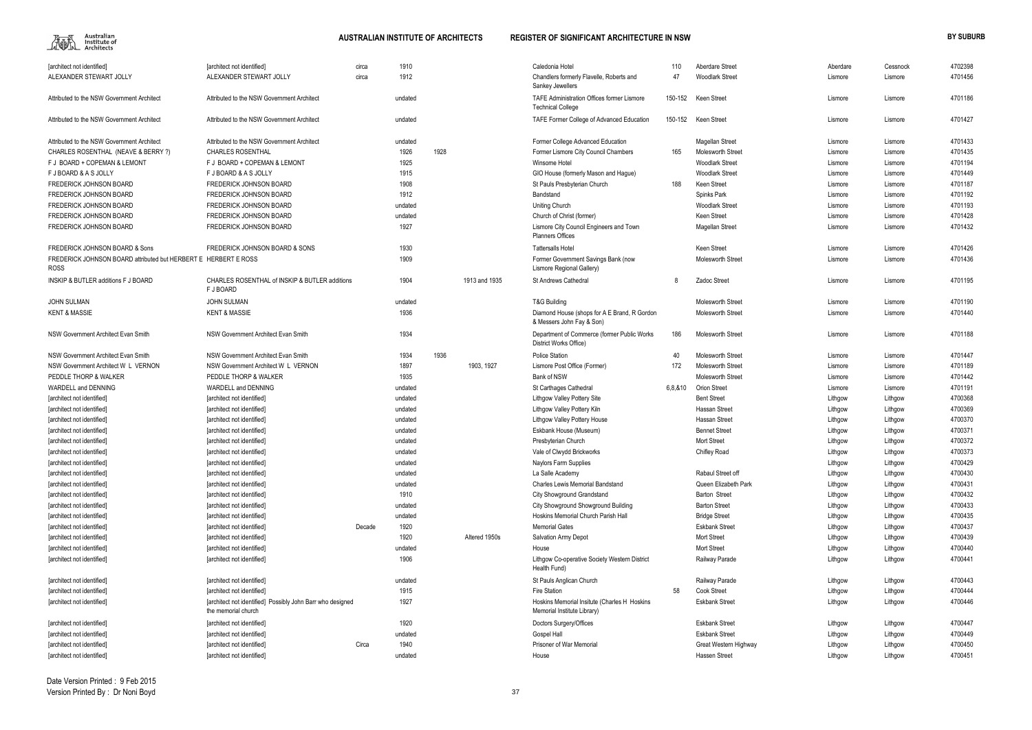

| 110     | Aberdare Street          | Aberdare | Cessnock | 4702398 |
|---------|--------------------------|----------|----------|---------|
| 47      | <b>Woodlark Street</b>   | Lismore  | Lismore  | 4701456 |
| 150-152 | Keen Street              | Lismore  | Lismore  | 4701186 |
| 150-152 | Keen Street              | Lismore  | Lismore  | 4701427 |
|         | Magellan Street          | Lismore  | Lismore  | 4701433 |
| 165     | <b>Molesworth Street</b> | Lismore  | Lismore  | 4701435 |
|         | <b>Woodlark Street</b>   | Lismore  | Lismore  | 4701194 |
|         | <b>Woodlark Street</b>   | Lismore  | Lismore  | 4701449 |
| 188     | Keen Street              | Lismore  | Lismore  | 4701187 |
|         | Spinks Park              | Lismore  | Lismore  | 4701192 |
|         | <b>Woodlark Street</b>   | Lismore  | Lismore  | 4701193 |
|         | Keen Street              | Lismore  | Lismore  | 4701428 |
|         | Magellan Street          | Lismore  | Lismore  | 4701432 |
|         |                          |          |          |         |
|         | Keen Street              | Lismore  | Lismore  | 4701426 |
|         | Molesworth Street        | Lismore  | Lismore  | 4701436 |
| 8       | Zadoc Street             | Lismore  | Lismore  | 4701195 |
|         |                          |          |          |         |
|         | <b>Molesworth Street</b> | Lismore  | Lismore  | 4701190 |
|         | <b>Molesworth Street</b> | Lismore  | Lismore  | 4701440 |
| 186     | Molesworth Street        | Lismore  | Lismore  | 4701188 |
| 40      | Molesworth Street        | Lismore  | Lismore  | 4701447 |
| 172     | Molesworth Street        | Lismore  | Lismore  | 4701189 |
|         | Molesworth Street        | Lismore  | Lismore  | 4701442 |
| 6,8,&10 | Orion Street             | Lismore  | Lismore  | 4701191 |
|         | <b>Bent Street</b>       | Lithgow  | Lithgow  | 4700368 |
|         | Hassan Street            | Lithgow  | Lithgow  | 4700369 |
|         | Hassan Street            | Lithgow  | Lithgow  | 4700370 |
|         | <b>Bennet Street</b>     | Lithgow  | Lithgow  | 4700371 |
|         | <b>Mort Street</b>       | Lithgow  | Lithgow  | 4700372 |
|         | Chifley Road             | Lithgow  | Lithgow  | 4700373 |
|         |                          | Lithgow  | Lithgow  | 4700429 |
|         | Rabaul Street off        | Lithgow  | Lithgow  | 4700430 |
|         | Queen Elizabeth Park     | Lithgow  | Lithgow  | 4700431 |
|         | Barton Street            | Lithgow  | Lithgow  | 4700432 |
|         | <b>Barton Street</b>     | Lithgow  | Lithgow  | 4700433 |
|         | <b>Bridge Street</b>     | Lithgow  | Lithgow  | 4700435 |
|         | <b>Eskbank Street</b>    | Lithgow  | Lithgow  | 4700437 |
|         | Mort Street              | Lithgow  | Lithgow  | 4700439 |
|         | Mort Street              | Lithgow  | Lithgow  | 4700440 |
|         | Railway Parade           | Lithgow  | Lithgow  | 4700441 |
|         | Railway Parade           | Lithgow  | Lithgow  | 4700443 |
| 58      | Cook Street              | Lithgow  | Lithgow  | 4700444 |
|         | <b>Eskbank Street</b>    | Lithgow  | Lithgow  | 4700446 |
|         | <b>Eskbank Street</b>    | Lithgow  | Lithgow  | 4700447 |
|         | <b>Eskbank Street</b>    | Lithgow  | Lithgow  | 4700449 |
|         | Great Western Highway    | Lithgow  | Lithgow  | 4700450 |
|         | Hassen Street            | Lithgow  | Lithgow  | 4700451 |
|         |                          |          |          |         |

| <b>Tarchitect not identified]</b>                                              | [architect not identified]                                                        | circa  | 1910    |      |               | Caledonia Hotel                                                             | 110     | <b>Aberdare Street</b>   | Aberdare | Cessnock | 4702398 |
|--------------------------------------------------------------------------------|-----------------------------------------------------------------------------------|--------|---------|------|---------------|-----------------------------------------------------------------------------|---------|--------------------------|----------|----------|---------|
| ALEXANDER STEWART JOLLY                                                        | ALEXANDER STEWART JOLLY                                                           | circa  | 1912    |      |               | Chandlers formerly Flavelle, Roberts and                                    | 47      | <b>Woodlark Street</b>   | Lismore  | Lismore  | 4701456 |
|                                                                                |                                                                                   |        |         |      |               | Sankey Jewellers                                                            |         |                          |          |          |         |
| Attributed to the NSW Government Architect                                     | Attributed to the NSW Government Architect                                        |        | undated |      |               | TAFE Administration Offices former Lismore<br><b>Technical College</b>      | 150-152 | Keen Street              | Lismore  | Lismore  | 4701186 |
| Attributed to the NSW Government Architect                                     | Attributed to the NSW Government Architect                                        |        | undated |      |               | TAFE Former College of Advanced Education                                   | 150-152 | Keen Street              | Lismore  | Lismore  | 4701427 |
| Attributed to the NSW Government Architect                                     | Attributed to the NSW Government Architect                                        |        | undated |      |               | Former College Advanced Education                                           |         | Magellan Street          | Lismore  | Lismore  | 4701433 |
| CHARLES ROSENTHAL (NEAVE & BERRY ?)                                            | <b>CHARLES ROSENTHAL</b>                                                          |        | 1926    | 1928 |               | Former Lismore City Council Chambers                                        | 165     | <b>Molesworth Street</b> | Lismore  | Lismore  | 4701435 |
| F J BOARD + COPEMAN & LEMONT                                                   | F J BOARD + COPEMAN & LEMONT                                                      |        | 1925    |      |               | Winsome Hotel                                                               |         | <b>Woodlark Street</b>   | Lismore  | Lismore  | 4701194 |
| F J BOARD & A S JOLLY                                                          | F J BOARD & A S JOLLY                                                             |        | 1915    |      |               | GIO House (formerly Mason and Hague)                                        |         | <b>Woodlark Street</b>   | Lismore  | Lismore  | 4701449 |
| <b>FREDERICK JOHNSON BOARD</b>                                                 | <b>FREDERICK JOHNSON BOARD</b>                                                    |        | 1908    |      |               | St Pauls Presbyterian Church                                                | 188     | Keen Street              | Lismore  | Lismore  | 4701187 |
| <b>FREDERICK JOHNSON BOARD</b>                                                 | <b>FREDERICK JOHNSON BOARD</b>                                                    |        | 1912    |      |               | Bandstand                                                                   |         | Spinks Park              | Lismore  | Lismore  | 4701192 |
| FREDERICK JOHNSON BOARD                                                        | FREDERICK JOHNSON BOARD                                                           |        | undated |      |               | <b>Uniting Church</b>                                                       |         | <b>Woodlark Street</b>   | Lismore  | Lismore  | 4701193 |
| FREDERICK JOHNSON BOARD                                                        | FREDERICK JOHNSON BOARD                                                           |        | undated |      |               | Church of Christ (former)                                                   |         | <b>Keen Street</b>       | Lismore  | Lismore  | 4701428 |
| FREDERICK JOHNSON BOARD                                                        | FREDERICK JOHNSON BOARD                                                           |        | 1927    |      |               | Lismore City Council Engineers and Town<br><b>Planners Offices</b>          |         | Magellan Street          | Lismore  | Lismore  | 4701432 |
| <b>FREDERICK JOHNSON BOARD &amp; Sons</b>                                      | FREDERICK JOHNSON BOARD & SONS                                                    |        | 1930    |      |               | <b>Tattersalls Hotel</b>                                                    |         | <b>Keen Street</b>       | Lismore  | Lismore  | 4701426 |
| FREDERICK JOHNSON BOARD attributed but HERBERT E HERBERT E ROSS<br><b>ROSS</b> |                                                                                   |        | 1909    |      |               | Former Government Savings Bank (now<br>Lismore Regional Gallery)            |         | <b>Molesworth Street</b> | Lismore  | Lismore  | 4701436 |
| INSKIP & BUTLER additions F J BOARD                                            | CHARLES ROSENTHAL of INSKIP & BUTLER additions<br>F J BOARD                       |        | 1904    |      | 1913 and 1935 | St Andrews Cathedral                                                        | 8       | Zadoc Street             | Lismore  | Lismore  | 4701195 |
| <b>JOHN SULMAN</b>                                                             | <b>JOHN SULMAN</b>                                                                |        | undated |      |               | <b>T&amp;G Building</b>                                                     |         | <b>Molesworth Street</b> | Lismore  | Lismore  | 4701190 |
| <b>KENT &amp; MASSIE</b>                                                       | <b>KENT &amp; MASSIE</b>                                                          |        | 1936    |      |               | Diamond House (shops for A E Brand, R Gordon<br>& Messers John Fay & Son)   |         | <b>Molesworth Street</b> | Lismore  | Lismore  | 4701440 |
| NSW Government Architect Evan Smith                                            | NSW Government Architect Evan Smith                                               |        | 1934    |      |               | Department of Commerce (former Public Works<br>District Works Office)       | 186     | <b>Molesworth Street</b> | Lismore  | Lismore  | 4701188 |
| NSW Government Architect Evan Smith                                            | NSW Government Architect Evan Smith                                               |        | 1934    | 1936 |               | <b>Police Station</b>                                                       | 40      | Molesworth Street        | Lismore  | Lismore  | 4701447 |
| NSW Government Architect W L VERNON                                            | NSW Government Architect W L VERNON                                               |        | 1897    |      | 1903, 1927    | Lismore Post Office (Former)                                                | 172     | <b>Molesworth Street</b> | Lismore  | Lismore  | 4701189 |
| PEDDLE THORP & WALKER                                                          | PEDDLE THORP & WALKER                                                             |        | 1935    |      |               | <b>Bank of NSW</b>                                                          |         | <b>Molesworth Street</b> | Lismore  | Lismore  | 4701442 |
| WARDELL and DENNING                                                            | WARDELL and DENNING                                                               |        | undated |      |               | St Carthages Cathedral                                                      | 6,8,&10 | <b>Orion Street</b>      | Lismore  | Lismore  | 4701191 |
| [architect not identified]                                                     | [architect not identified]                                                        |        | undated |      |               | Lithgow Valley Pottery Site                                                 |         | <b>Bent Street</b>       | Lithgow  | Lithgow  | 4700368 |
| [architect not identified]                                                     | [architect not identified]                                                        |        | undated |      |               | Lithgow Valley Pottery Kiln                                                 |         | Hassan Street            | Lithgow  | Lithgow  | 4700369 |
| [architect not identified]                                                     | [architect not identified]                                                        |        | undated |      |               | Lithgow Valley Pottery House                                                |         | <b>Hassan Street</b>     | Lithgow  | Lithgow  | 4700370 |
| [architect not identified]                                                     | <b>farchitect not identified1</b>                                                 |        | undated |      |               | Eskbank House (Museum)                                                      |         | <b>Bennet Street</b>     | Lithgow  | Lithgow  | 4700371 |
| [architect not identified]                                                     | <b>farchitect not identified1</b>                                                 |        | undated |      |               | Presbyterian Church                                                         |         | <b>Mort Street</b>       | Lithgow  | Lithgow  | 4700372 |
| [architect not identified]                                                     | [architect not identified]                                                        |        | undated |      |               | Vale of Clwydd Brickworks                                                   |         | Chifley Road             | Lithgow  | Lithgow  | 4700373 |
| [architect not identified]                                                     | [architect not identified]                                                        |        | undated |      |               | Naylors Farm Supplies                                                       |         |                          | Lithgow  | Lithgow  | 4700429 |
| [architect not identified]                                                     | [architect not identified]                                                        |        | undated |      |               | La Salle Academy                                                            |         | Rabaul Street off        | Lithgow  | Lithgow  | 4700430 |
| [architect not identified]                                                     | [architect not identified]                                                        |        | undated |      |               | Charles Lewis Memorial Bandstand                                            |         | Queen Elizabeth Park     | Lithgow  | Lithgow  | 4700431 |
| [architect not identified]                                                     | [architect not identified]                                                        |        | 1910    |      |               | <b>City Showground Grandstand</b>                                           |         | <b>Barton Street</b>     | Lithgow  | Lithgow  | 4700432 |
| [architect not identified]                                                     | [architect not identified]                                                        |        | undated |      |               | City Showground Showground Building                                         |         | <b>Barton Street</b>     | Lithgow  | Lithgow  | 4700433 |
| [architect not identified]                                                     | [architect not identified]                                                        |        | undated |      |               | Hoskins Memorial Church Parish Hall                                         |         | <b>Bridge Street</b>     | Lithgow  | Lithgow  | 4700435 |
| [architect not identified]                                                     | [architect not identified]                                                        | Decade | 1920    |      |               | <b>Memorial Gates</b>                                                       |         | <b>Eskbank Street</b>    | Lithgow  | Lithgow  | 4700437 |
| [architect not identified]                                                     | [architect not identified]                                                        |        | 1920    |      | Altered 1950s | Salvation Army Depot                                                        |         | <b>Mort Street</b>       | Lithgow  | Lithgow  | 4700439 |
| [architect not identified]                                                     | [architect not identified]                                                        |        | undated |      |               | House                                                                       |         | <b>Mort Street</b>       | Lithgow  | Lithgow  | 4700440 |
| [architect not identified]                                                     | [architect not identified]                                                        |        | 1906    |      |               | Lithgow Co-operative Society Western District<br>Health Fund)               |         | Railway Parade           | Lithgow  | Lithgow  | 4700441 |
| [architect not identified]                                                     | [architect not identified]                                                        |        | undated |      |               | St Pauls Anglican Church                                                    |         | Railway Parade           | Lithgow  | Lithgow  | 4700443 |
| [architect not identified]                                                     | [architect not identified]                                                        |        | 1915    |      |               | Fire Station                                                                | 58      | <b>Cook Street</b>       | Lithgow  | Lithgow  | 4700444 |
| [architect not identified]                                                     | [architect not identified] Possibly John Barr who designed<br>the memorial church |        | 1927    |      |               | Hoskins Memorial Insitute (Charles H Hoskins<br>Memorial Institute Library) |         | <b>Eskbank Street</b>    | Lithgow  | Lithgow  | 4700446 |
| [architect not identified]                                                     | [architect not identified]                                                        |        | 1920    |      |               | Doctors Surgery/Offices                                                     |         | <b>Eskbank Street</b>    | Lithgow  | Lithgow  | 4700447 |
| [architect not identified]                                                     | [architect not identified]                                                        |        | undated |      |               | Gospel Hall                                                                 |         | <b>Eskbank Street</b>    | Lithgow  | Lithgow  | 4700449 |
| [architect not identified]                                                     | [architect not identified]                                                        | Circa  | 1940    |      |               | Prisoner of War Memorial                                                    |         | Great Western Highway    | Lithgow  | Lithgow  | 4700450 |
| [architect not identified]                                                     | [architect not identified]                                                        |        | undated |      |               | House                                                                       |         | Hassen Street            | Lithgow  | Lithgow  | 4700451 |
|                                                                                |                                                                                   |        |         |      |               |                                                                             |         |                          |          |          |         |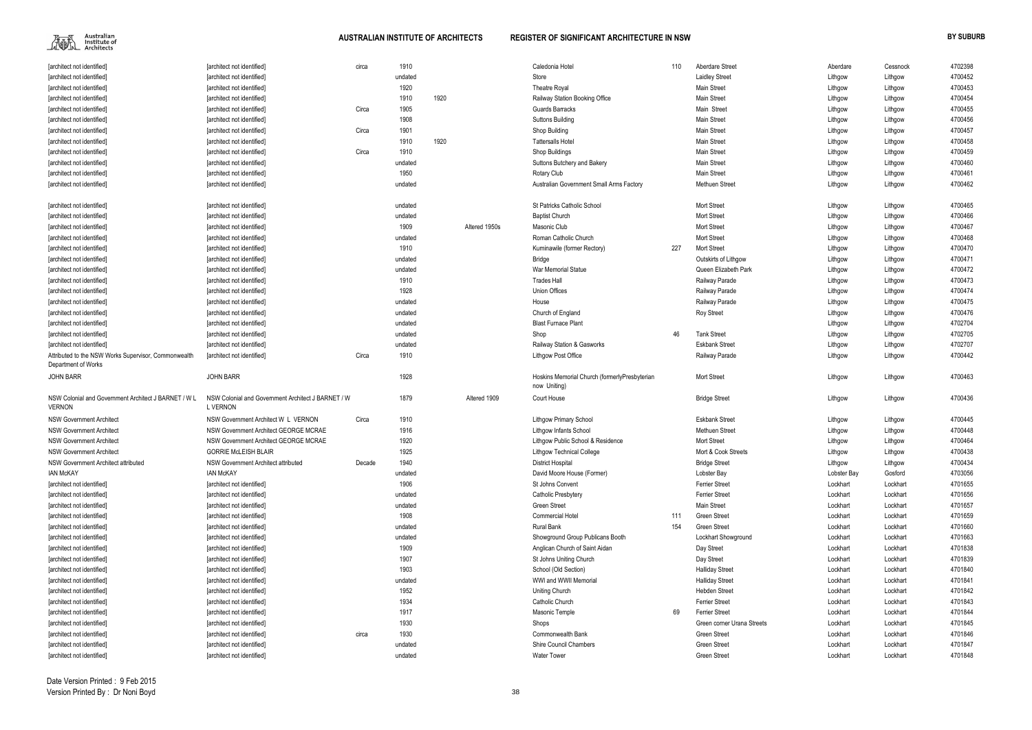

| [architect not identified]                                            | [architect not identified]                                            | circa  | 1910    |      |               | Caledonia Hotel                                               | 110 | <b>Aberdare Street</b>     | Aberdare    | Cessnock | 4702398 |
|-----------------------------------------------------------------------|-----------------------------------------------------------------------|--------|---------|------|---------------|---------------------------------------------------------------|-----|----------------------------|-------------|----------|---------|
| [architect not identified]                                            | [architect not identified]                                            |        | undated |      |               | Store                                                         |     | <b>Laidley Street</b>      | Lithgow     | Lithgow  | 4700452 |
| [architect not identified]                                            | [architect not identified]                                            |        | 1920    |      |               | Theatre Royal                                                 |     | <b>Main Street</b>         | Lithgow     | Lithgow  | 4700453 |
| [architect not identified]                                            | [architect not identified]                                            |        | 1910    | 1920 |               | Railway Station Booking Office                                |     | <b>Main Street</b>         | Lithgow     | Lithgow  | 4700454 |
| [architect not identified]                                            | [architect not identified]                                            | Circa  | 1905    |      |               | Guards Barracks                                               |     | Main Street                | Lithgow     | Lithgow  | 4700455 |
| [architect not identified]                                            | [architect not identified]                                            |        | 1908    |      |               | <b>Suttons Building</b>                                       |     | Main Street                | Lithgow     | Lithgow  | 4700456 |
| [architect not identified]                                            | [architect not identified]                                            | Circa  | 1901    |      |               | Shop Building                                                 |     | <b>Main Street</b>         | Lithgow     | Lithgow  | 4700457 |
| [architect not identified]                                            | [architect not identified]                                            |        | 1910    | 1920 |               | <b>Tattersalls Hotel</b>                                      |     | <b>Main Street</b>         | Lithgow     | Lithgow  | 4700458 |
| [architect not identified]                                            | [architect not identified]                                            | Circa  | 1910    |      |               | Shop Buildings                                                |     | <b>Main Street</b>         | Lithgow     | Lithgow  | 4700459 |
| [architect not identified]                                            | [architect not identified]                                            |        | undated |      |               | Suttons Butchery and Bakery                                   |     | <b>Main Street</b>         | Lithgow     | Lithgow  | 4700460 |
| [architect not identified]                                            | [architect not identified]                                            |        | 1950    |      |               | <b>Rotary Club</b>                                            |     | <b>Main Street</b>         | Lithgow     | Lithgow  | 4700461 |
| [architect not identified]                                            | [architect not identified]                                            |        | undated |      |               | Australian Government Small Arms Factory                      |     | <b>Methuen Street</b>      | Lithgow     | Lithgow  | 4700462 |
| [architect not identified]                                            | [architect not identified]                                            |        | undated |      |               | <b>St Patricks Catholic School</b>                            |     | <b>Mort Street</b>         | Lithgow     | Lithgow  | 4700465 |
| [architect not identified]                                            | [architect not identified]                                            |        | undated |      |               | <b>Baptist Church</b>                                         |     | <b>Mort Street</b>         | Lithgow     | Lithgow  | 4700466 |
| [architect not identified]                                            | [architect not identified]                                            |        | 1909    |      | Altered 1950s | Masonic Club                                                  |     | Mort Street                | Lithgow     | Lithgow  | 4700467 |
| [architect not identified]                                            | [architect not identified]                                            |        | undated |      |               | Roman Catholic Church                                         |     | <b>Mort Street</b>         | Lithgow     | Lithgow  | 4700468 |
| [architect not identified]                                            | [architect not identified]                                            |        | 1910    |      |               | Kuminawile (former Rectory)                                   | 227 | Mort Street                | Lithgow     | Lithgow  | 4700470 |
| [architect not identified]                                            | [architect not identified]                                            |        | undated |      |               | Bridge                                                        |     | Outskirts of Lithgow       | Lithgow     | Lithgow  | 4700471 |
| [architect not identified]                                            | [architect not identified]                                            |        | undated |      |               | War Memorial Statue                                           |     | Queen Elizabeth Park       | Lithgow     | Lithgow  | 4700472 |
| [architect not identified]                                            | [architect not identified]                                            |        | 1910    |      |               | Trades Hall                                                   |     | Railway Parade             | Lithgow     | Lithgow  | 4700473 |
| [architect not identified]                                            | [architect not identified]                                            |        | 1928    |      |               | <b>Union Offices</b>                                          |     | Railway Parade             | Lithgow     | Lithgow  | 4700474 |
| [architect not identified]                                            | [architect not identified]                                            |        | undated |      |               | House                                                         |     | Railway Parade             | Lithgow     | Lithgow  | 4700475 |
| [architect not identified]                                            | [architect not identified]                                            |        | undated |      |               | Church of England                                             |     | <b>Roy Street</b>          | Lithgow     | Lithgow  | 4700476 |
| [architect not identified]                                            | [architect not identified]                                            |        | undated |      |               | <b>Blast Furnace Plant</b>                                    |     |                            | Lithgow     | Lithgow  | 4702704 |
| [architect not identified]                                            | [architect not identified]                                            |        | undated |      |               | Shop                                                          | 46  | <b>Tank Street</b>         | Lithgow     | Lithgow  | 4702705 |
| [architect not identified]                                            | [architect not identified]                                            |        | undated |      |               | Railway Station & Gasworks                                    |     | <b>Eskbank Street</b>      | Lithgow     | Lithgow  | 4702707 |
| Attributed to the NSW Works Supervisor, Commonwealth                  | [architect not identified]                                            | Circa  | 1910    |      |               | Lithgow Post Office                                           |     | Railway Parade             | Lithgow     | Lithgow  | 4700442 |
| Department of Works                                                   |                                                                       |        |         |      |               |                                                               |     |                            |             |          |         |
| <b>JOHN BARR</b>                                                      | <b>JOHN BARR</b>                                                      |        | 1928    |      |               | Hoskins Memorial Church (formerlyPresbyterian<br>now Uniting) |     | <b>Mort Street</b>         | Lithgow     | Lithgow  | 4700463 |
| NSW Colonial and Government Architect J BARNET / W L<br><b>VERNON</b> | NSW Colonial and Government Architect J BARNET / W<br><b>L VERNON</b> |        | 1879    |      | Altered 1909  | Court House                                                   |     | <b>Bridge Street</b>       | Lithgow     | Lithgow  | 4700436 |
| <b>NSW Government Architect</b>                                       | NSW Government Architect W L VERNON                                   | Circa  | 1910    |      |               | <b>Lithgow Primary School</b>                                 |     | <b>Eskbank Street</b>      | Lithgow     | Lithgow  | 4700445 |
| <b>NSW Government Architect</b>                                       | NSW Government Architect GEORGE MCRAE                                 |        | 1916    |      |               | <b>Lithgow Infants School</b>                                 |     | <b>Methuen Street</b>      | Lithgow     | Lithgow  | 4700448 |
| <b>NSW Government Architect</b>                                       | NSW Government Architect GEORGE MCRAE                                 |        | 1920    |      |               | Lithgow Public School & Residence                             |     | <b>Mort Street</b>         | Lithgow     | Lithgow  | 4700464 |
| <b>NSW Government Architect</b>                                       | <b>GORRIE McLEISH BLAIR</b>                                           |        | 1925    |      |               | <b>Lithgow Technical College</b>                              |     | Mort & Cook Streets        | Lithgow     | Lithgow  | 4700438 |
| NSW Government Architect attributed                                   | NSW Government Architect attributed                                   | Decade | 1940    |      |               | <b>District Hospital</b>                                      |     | <b>Bridge Street</b>       | Lithgow     | Lithgow  | 4700434 |
| <b>IAN McKAY</b>                                                      | <b>IAN McKAY</b>                                                      |        | undated |      |               | David Moore House (Former)                                    |     | Lobster Bay                | Lobster Bay | Gosford  | 4703056 |
| [architect not identified]                                            | [architect not identified]                                            |        | 1906    |      |               | St Johns Convent                                              |     | <b>Ferrier Street</b>      | Lockhart    | Lockhart | 4701655 |
| [architect not identified]                                            | [architect not identified]                                            |        | undated |      |               | Catholic Presbytery                                           |     | <b>Ferrier Street</b>      | Lockhart    | Lockhart | 4701656 |
| [architect not identified]                                            | [architect not identified]                                            |        | undated |      |               | <b>Green Street</b>                                           |     | <b>Main Street</b>         | Lockhart    | Lockhart | 4701657 |
| [architect not identified]                                            | [architect not identified]                                            |        | 1908    |      |               | <b>Commercial Hotel</b>                                       | 111 | <b>Green Street</b>        | Lockhart    | Lockhart | 4701659 |
| [architect not identified]                                            | [architect not identified]                                            |        | undated |      |               | <b>Rural Bank</b>                                             | 154 | <b>Green Street</b>        | Lockhart    | Lockhart | 4701660 |
| [architect not identified]                                            | [architect not identified]                                            |        | undated |      |               | Showground Group Publicans Booth                              |     | Lockhart Showground        | Lockhart    | Lockhart | 4701663 |
| [architect not identified]                                            | [architect not identified]                                            |        | 1909    |      |               | Anglican Church of Saint Aidan                                |     | Day Street                 | Lockhart    | Lockhart | 4701838 |
| [architect not identified]                                            | [architect not identified]                                            |        | 1907    |      |               | St Johns Uniting Church                                       |     | Day Street                 | Lockhart    | Lockhart | 4701839 |
| [architect not identified]                                            | [architect not identified]                                            |        | 1903    |      |               | School (Old Section)                                          |     | <b>Halliday Street</b>     | Lockhart    | Lockhart | 4701840 |
| [architect not identified]                                            | [architect not identified]                                            |        | undated |      |               | WWI and WWII Memorial                                         |     | <b>Halliday Street</b>     | Lockhart    | Lockhart | 4701841 |
| [architect not identified]                                            | [architect not identified]                                            |        | 1952    |      |               | <b>Uniting Church</b>                                         |     | <b>Hebden Street</b>       | Lockhart    | Lockhart | 4701842 |
| [architect not identified]                                            | [architect not identified]                                            |        | 1934    |      |               | Catholic Church                                               |     | <b>Ferrier Street</b>      | Lockhart    | Lockhart | 4701843 |
| [architect not identified]                                            | [architect not identified]                                            |        | 1917    |      |               | Masonic Temple                                                | 69  | <b>Ferrier Street</b>      | Lockhart    | Lockhart | 4701844 |
| [architect not identified]                                            | [architect not identified]                                            |        | 1930    |      |               | Shops                                                         |     | Green corner Urana Streets | Lockhart    | Lockhart | 4701845 |
| [architect not identified]                                            | [architect not identified]                                            | circa  | 1930    |      |               | Commonwealth Bank                                             |     | Green Street               | Lockhart    | Lockhart | 4701846 |
| [architect not identified]                                            | [architect not identified]                                            |        | undated |      |               | Shire Council Chambers                                        |     | Green Street               | Lockhart    | Lockhart | 4701847 |
| [architect not identified]                                            | [architect not identified]                                            |        | undated |      |               | <b>Water Tower</b>                                            |     | <b>Green Street</b>        | Lockhart    | Lockhart | 4701848 |
|                                                                       |                                                                       |        |         |      |               |                                                               |     |                            |             |          |         |

| Aberdare Street            | Aberdare    | Cessnock | 4702398 |
|----------------------------|-------------|----------|---------|
| Laidley Street             | Lithgow     | Lithgow  | 4700452 |
| Main Street                | Lithgow     | Lithgow  | 4700453 |
| Main Street                | Lithgow     | Lithgow  | 4700454 |
| Main Street                | Lithgow     | Lithgow  | 4700455 |
| Main Street                | Lithgow     | Lithgow  | 4700456 |
| Main Street                | Lithgow     | Lithgow  | 4700457 |
| Main Street                | Lithgow     | Lithgow  | 4700458 |
| Main Street                | Lithgow     | Lithgow  | 4700459 |
| Main Street                | Lithgow     | Lithgow  | 4700460 |
| Main Street                | Lithgow     | Lithgow  | 4700461 |
| Methuen Street             | Lithgow     | Lithgow  | 4700462 |
| Mort Street                | Lithgow     | Lithgow  | 4700465 |
| Mort Street                | Lithgow     | Lithgow  | 4700466 |
| Mort Street                | Lithgow     | Lithgow  | 4700467 |
| Mort Street                | Lithgow     | Lithgow  | 4700468 |
| Mort Street                | Lithgow     | Lithgow  | 4700470 |
| Outskirts of Lithgow       | Lithgow     | Lithgow  | 4700471 |
| Queen Elizabeth Park       | Lithgow     | Lithgow  | 4700472 |
| Railway Parade             | Lithgow     | Lithgow  | 4700473 |
| Railway Parade             | Lithgow     | Lithgow  | 4700474 |
| Railway Parade             | Lithgow     | Lithgow  | 4700475 |
| Roy Street                 | Lithgow     | Lithgow  | 4700476 |
|                            | Lithgow     | Lithgow  | 4702704 |
| Tank Street                | Lithgow     | Lithgow  | 4702705 |
| <b>Eskbank Street</b>      | Lithgow     | Lithgow  | 4702707 |
| Railway Parade             | Lithgow     | Lithgow  | 4700442 |
| Mort Street                | Lithgow     | Lithgow  | 4700463 |
| <b>Bridge Street</b>       | Lithgow     | Lithgow  | 4700436 |
| Eskbank Street             | Lithgow     | Lithgow  | 4700445 |
| Methuen Street             | Lithgow     | Lithgow  | 4700448 |
| Mort Street                | Lithgow     | Lithgow  | 4700464 |
| Mort & Cook Streets        | Lithgow     | Lithgow  | 4700438 |
| <b>Bridge Street</b>       | Lithgow     | Lithgow  | 4700434 |
| Lobster Bay                | Lobster Bay | Gosford  | 4703056 |
| Ferrier Street             | Lockhart    | Lockhart | 4701655 |
| Ferrier Street             | Lockhart    | Lockhart | 4701656 |
| Main Street                | Lockhart    | Lockhart | 4701657 |
| Green Street               | Lockhart    | Lockhart | 4701659 |
| Green Street               | Lockhart    | Lockhart | 4701660 |
| Lockhart Showground        | Lockhart    | Lockhart | 4701663 |
| Day Street                 | Lockhart    | Lockhart | 4701838 |
| Day Street                 | Lockhart    | Lockhart | 4701839 |
| Halliday Street            | Lockhart    | Lockhart | 4701840 |
| Halliday Street            | Lockhart    | Lockhart | 4701841 |
| Hebden Street              | Lockhart    | Lockhart | 4701842 |
| Ferrier Street             | Lockhart    | Lockhart | 4701843 |
| Ferrier Street             | Lockhart    | Lockhart | 4701844 |
| Green corner Urana Streets | Lockhart    | Lockhart | 4701845 |
| Green Street               | Lockhart    | Lockhart | 4701846 |
| Green Street               | Lockhart    | Lockhart | 4701847 |
| Green Street               | Lockhart    | Lockhart | 4701848 |
|                            |             |          |         |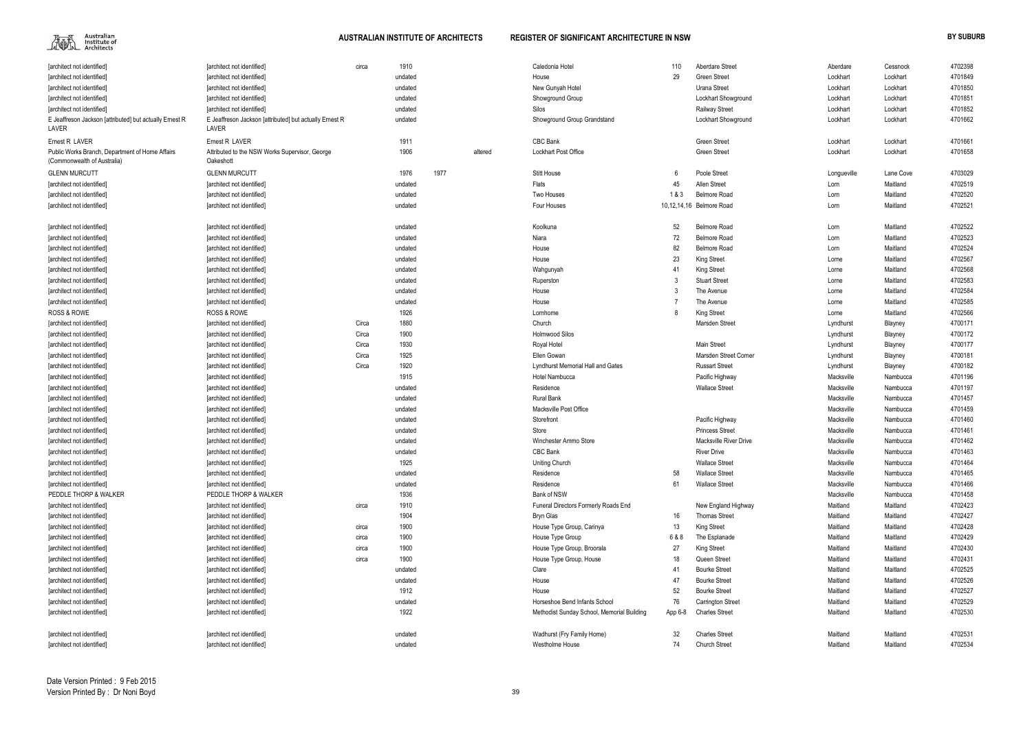

|                                                                                |                                                                  |       | 1910    |      |         |                                            | 110     |                               |             |           | 4702398 |
|--------------------------------------------------------------------------------|------------------------------------------------------------------|-------|---------|------|---------|--------------------------------------------|---------|-------------------------------|-------------|-----------|---------|
| [architect not identified]                                                     | [architect not identified]                                       | circa |         |      |         | Caledonia Hotel                            | 29      | <b>Aberdare Street</b>        | Aberdare    | Cessnock  |         |
| [architect not identified]                                                     | [architect not identified]                                       |       | undated |      |         | House                                      |         | <b>Green Street</b>           | Lockhart    | Lockhart  | 4701849 |
| architect not identified                                                       | [architect not identified]                                       |       | undated |      |         | New Gunyah Hotel                           |         | Urana Street                  | Lockhart    | Lockhart  | 4701850 |
| [architect not identified]                                                     | [architect not identified]                                       |       | undated |      |         | Showground Group                           |         | Lockhart Showground           | Lockhart    | Lockhart  | 4701851 |
| [architect not identified]                                                     | [architect not identified]                                       |       | undated |      |         | Silos                                      |         | <b>Railway Street</b>         | Lockhart    | Lockhart  | 4701852 |
| E Jeaffreson Jackson [attributed] but actually Ernest R<br>LAVER               | E Jeaffreson Jackson [attributed] but actually Ernest R<br>LAVER |       | undated |      |         | Showground Group Grandstand                |         | Lockhart Showground           | Lockhart    | Lockhart  | 4701662 |
| Ernest R LAVER                                                                 | Ernest R LAVER                                                   |       | 1911    |      |         | CBC Bank                                   |         | <b>Green Street</b>           | Lockhart    | Lockhart  | 4701661 |
| Public Works Branch, Department of Home Affairs<br>(Commonwealth of Australia) | Attributed to the NSW Works Supervisor, George<br>Oakeshott      |       | 1906    |      | altered | <b>Lockhart Post Office</b>                |         | <b>Green Street</b>           | Lockhart    | Lockhart  | 4701658 |
| <b>GLENN MURCUTT</b>                                                           | <b>GLENN MURCUTT</b>                                             |       | 1976    | 1977 |         | <b>Stitt House</b>                         | 6       | Poole Street                  | Longueville | Lane Cove | 4703029 |
| [architect not identified]                                                     | [architect not identified]                                       |       | undated |      |         | Flats                                      | 45      | Allen Street                  | Lorn        | Maitland  | 4702519 |
| [architect not identified]                                                     | [architect not identified]                                       |       | undated |      |         | Two Houses                                 | 1&3     | <b>Belmore Road</b>           | Lorn        | Maitland  | 4702520 |
| [architect not identified]                                                     | [architect not identified]                                       |       | undated |      |         | Four Houses                                |         | 10,12,14,16 Belmore Road      | Lorn        | Maitland  | 4702521 |
|                                                                                |                                                                  |       |         |      |         |                                            |         |                               |             |           |         |
| [architect not identified]                                                     | [architect not identified]                                       |       | undated |      |         | Koolkuna                                   | 52      | <b>Belmore Road</b>           | Lorn        | Maitland  | 4702522 |
| architect not identified                                                       | [architect not identified]                                       |       | undated |      |         | Niara                                      | 72      | <b>Belmore Road</b>           | Lorn        | Maitland  | 4702523 |
| architect not identified                                                       | [architect not identified]                                       |       | undated |      |         | House                                      | 82      | <b>Belmore Road</b>           | Lorn        | Maitland  | 4702524 |
| architect not identified                                                       | [architect not identified]                                       |       | undated |      |         | House                                      | 23      | King Street                   | Lorne       | Maitland  | 4702567 |
| architect not identified                                                       | [architect not identified]                                       |       | undated |      |         | Wahgunyah                                  | -41     | <b>King Street</b>            | Lorne       | Maitland  | 4702568 |
| [architect not identified]                                                     | [architect not identified]                                       |       | undated |      |         | Ruperston                                  |         | <b>Stuart Street</b>          | Lorne       | Maitland  | 4702583 |
| [architect not identified]                                                     | [architect not identified]                                       |       | undated |      |         | House                                      |         | The Avenue                    | Lorne       | Maitland  | 4702584 |
| [architect not identified]                                                     | [architect not identified]                                       |       | undated |      |         | House                                      |         | The Avenue                    | Lorne       | Maitland  | 4702585 |
| <b>ROSS &amp; ROWE</b>                                                         | <b>ROSS &amp; ROWE</b>                                           |       | 1926    |      |         | Lornhome                                   |         | King Street                   | Lorne       | Maitland  | 4702566 |
| [architect not identified]                                                     | [architect not identified]                                       | Circa | 1880    |      |         | Church                                     |         | Marsden Street                | Lyndhurst   | Blayney   | 4700171 |
| [architect not identified]                                                     | [architect not identified]                                       | Circa | 1900    |      |         | <b>Holmwood Silos</b>                      |         |                               | Lyndhurst   | Blayney   | 4700172 |
| [architect not identified]                                                     | [architect not identified]                                       | Circa | 1930    |      |         | Royal Hotel                                |         | <b>Main Street</b>            | Lyndhurst   | Blayney   | 4700177 |
| [architect not identified]                                                     | [architect not identified]                                       | Circa | 1925    |      |         | Ellen Gowan                                |         | Marsden Street Corner         | Lyndhurst   | Blayney   | 4700181 |
| [architect not identified]                                                     | [architect not identified]                                       | Circa | 1920    |      |         | <b>Lyndhurst Memorial Hall and Gates</b>   |         | <b>Russart Street</b>         | Lyndhurst   | Blayney   | 4700182 |
| [architect not identified]                                                     | [architect not identified]                                       |       | 1915    |      |         | Hotel Nambucca                             |         | Pacific Highway               | Macksville  | Nambucca  | 4701196 |
| [architect not identified]                                                     | [architect not identified]                                       |       | undated |      |         | Residence                                  |         | <b>Wallace Street</b>         | Macksville  | Nambucca  | 4701197 |
| [architect not identified]                                                     | [architect not identified]                                       |       | undated |      |         | <b>Rural Bank</b>                          |         |                               | Macksville  | Nambucca  | 4701457 |
| [architect not identified]                                                     | [architect not identified]                                       |       | undated |      |         | Macksville Post Office                     |         |                               | Macksville  | Nambucca  | 4701459 |
| [architect not identified]                                                     | [architect not identified]                                       |       | undated |      |         | Storefront                                 |         | Pacific Highway               | Macksville  | Nambucca  | 4701460 |
| [architect not identified]                                                     | farchitect not identified]                                       |       | undated |      |         | Store                                      |         | <b>Princess Street</b>        | Macksville  | Nambucca  | 4701461 |
| [architect not identified]                                                     | [architect not identified]                                       |       | undated |      |         | Winchester Ammo Store                      |         | <b>Macksville River Drive</b> | Macksville  | Nambucca  | 4701462 |
| [architect not identified]                                                     | [architect not identified]                                       |       | undated |      |         | CBC Bank                                   |         | <b>River Drive</b>            | Macksville  | Nambucca  | 4701463 |
| [architect not identified]                                                     | [architect not identified]                                       |       | 1925    |      |         | Uniting Church                             |         | <b>Wallace Street</b>         | Macksville  | Nambucca  | 4701464 |
| [architect not identified]                                                     | [architect not identified]                                       |       | undated |      |         | Residence                                  | 58      | <b>Wallace Street</b>         | Macksville  | Nambucca  | 4701465 |
| [architect not identified]                                                     | [architect not identified]                                       |       | undated |      |         | Residence                                  | 61      | <b>Wallace Street</b>         | Macksville  | Nambucca  | 4701466 |
| PEDDLE THORP & WALKER                                                          | PEDDLE THORP & WALKER                                            |       | 1936    |      |         | Bank of NSW                                |         |                               | Macksville  | Nambucca  | 4701458 |
| [architect not identified]                                                     | [architect not identified]                                       | circa | 1910    |      |         | Funeral Directors Formerly Roads End       |         | New England Highway           | Maitland    | Maitland  | 4702423 |
| [architect not identified]                                                     | [architect not identified]                                       |       | 1904    |      |         | <b>Bryn Glas</b>                           | 16      | <b>Thomas Street</b>          | Maitland    | Maitland  | 4702427 |
| [architect not identified]                                                     | [architect not identified]                                       | circa | 1900    |      |         | House Type Group, Carinya                  | 13      | King Street                   | Maitland    | Maitland  | 4702428 |
| [architect not identified]                                                     | [architect not identified]                                       | circa | 1900    |      |         | House Type Group                           | 6 & 8   | The Esplanade                 | Maitland    | Maitland  | 4702429 |
| [architect not identified]                                                     | [architect not identified]                                       | circa | 1900    |      |         | House Type Group, Broorala                 | 27      | King Street                   | Maitland    | Maitland  | 4702430 |
| [architect not identified]                                                     | [architect not identified]                                       | circa | 1900    |      |         | House Type Group, House                    | 18      | Queen Street                  | Maitland    | Maitland  | 4702431 |
| [architect not identified]                                                     | [architect not identified]                                       |       | undated |      |         | Clare                                      | -41     | <b>Bourke Street</b>          | Maitland    | Maitland  | 4702525 |
| [architect not identified]                                                     | [architect not identified]                                       |       | undated |      |         | House                                      | 47      | <b>Bourke Street</b>          | Maitland    | Maitland  | 4702526 |
| [architect not identified]                                                     | [architect not identified]                                       |       | 1912    |      |         | House                                      | 52      | <b>Bourke Street</b>          | Maitland    | Maitland  | 4702527 |
| [architect not identified]                                                     | [architect not identified]                                       |       | undated |      |         | Horseshoe Bend Infants School              | 76      | Carrington Street             | Maitland    | Maitland  | 4702529 |
| [architect not identified]                                                     | [architect not identified]                                       |       | 1922    |      |         | Methodist Sunday School, Memorial Building | App 6-8 | <b>Charles Street</b>         | Maitland    | Maitland  | 4702530 |
|                                                                                |                                                                  |       |         |      |         |                                            |         |                               |             |           |         |
| [architect not identified]                                                     | [architect not identified]                                       |       | undated |      |         | Wadhurst (Fry Family Home)                 | 32      | <b>Charles Street</b>         | Maitland    | Maitland  | 4702531 |
| [architect not identified]                                                     | [architect not identified]                                       |       | undated |      |         | Westholme House                            | 74      | <b>Church Street</b>          | Maitland    | Maitland  | 4702534 |

| Aberdare    | Cessnock  | 4702398 |
|-------------|-----------|---------|
| Lockhart    | Lockhart  | 4701849 |
| Lockhart    | Lockhart  | 4701850 |
| Lockhart    | Lockhart  | 4701851 |
| Lockhart    | Lockhart  | 4701852 |
| Lockhart    | Lockhart  | 4701662 |
|             |           |         |
| Lockhart    | Lockhart  | 4701661 |
| Lockhart    | Lockhart  | 4701658 |
|             |           |         |
| Longueville | Lane Cove | 4703029 |
| Lorn        | Maitland  | 4702519 |
| Lorn        | Maitland  | 4702520 |
| Lorn        | Maitland  | 4702521 |
|             |           |         |
| Lorn        | Maitland  | 4702522 |
| Lorn        | Maitland  | 4702523 |
| Lorn        | Maitland  | 4702524 |
| Lorne       | Maitland  | 4702567 |
| Lorne       | Maitland  | 4702568 |
| Lorne       | Maitland  | 4702583 |
| Lorne       | Maitland  | 4702584 |
| Lorne       | Maitland  | 4702585 |
| Lorne       | Maitland  | 4702566 |
| Lyndhurst   | Blayney   | 4700171 |
| Lyndhurst   | Blayney   | 4700172 |
| Lyndhurst   | Blayney   | 4700177 |
| Lyndhurst   | Blayney   | 4700181 |
| Lyndhurst   | Blayney   | 4700182 |
| Macksville  | Nambucca  | 4701196 |
| Macksville  | Nambucca  | 4701197 |
| Macksville  | Nambucca  | 4701457 |
| Macksville  | Nambucca  | 4701459 |
| Macksville  | Nambucca  | 4701460 |
| Macksville  | Nambucca  | 4701461 |
| Macksville  | Nambucca  | 4701462 |
| Macksville  | Nambucca  | 4701463 |
| Macksville  | Nambucca  | 4701464 |
| Macksville  | Nambucca  | 4701465 |
| Macksville  | Nambucca  | 4701466 |
| Macksville  | Nambucca  | 4701458 |
| Maitland    | Maitland  | 4702423 |
| Maitland    | Maitland  | 4702427 |
| Maitland    | Maitland  | 4702428 |
| Maitland    | Maitland  | 4702429 |
| Maitland    | Maitland  | 4702430 |
| Maitland    | Maitland  | 4702431 |
| Maitland    | Maitland  | 4702525 |
| Maitland    | Maitland  | 4702526 |
| Maitland    | Maitland  | 4702527 |
| Maitland    | Maitland  | 4702529 |
| Maitland    | Maitland  | 4702530 |
| Maitland    | Maitland  |         |
|             |           | 4702531 |
| Maitland    | Maitland  | 4702534 |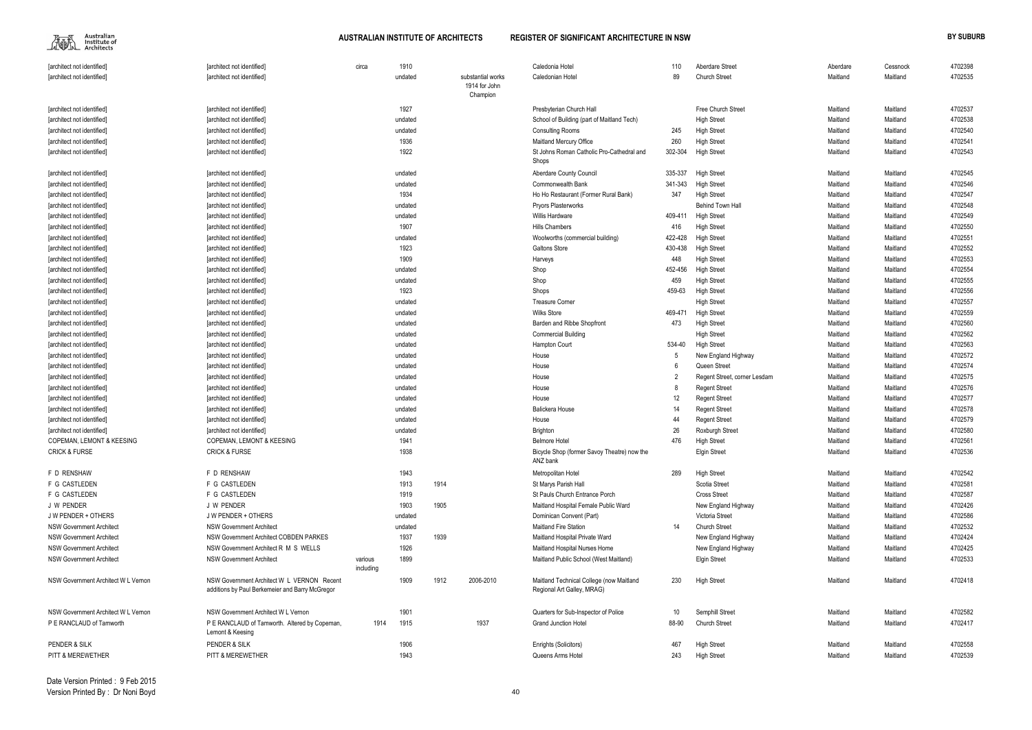$\begin{picture}(120,110) \put(0,0){\line(1,0){15}} \put(15,0){\line(1,0){15}} \put(15,0){\line(1,0){15}} \put(15,0){\line(1,0){15}} \put(15,0){\line(1,0){15}} \put(15,0){\line(1,0){15}} \put(15,0){\line(1,0){15}} \put(15,0){\line(1,0){15}} \put(15,0){\line(1,0){15}} \put(15,0){\line(1,0){15}} \put(15,0){\line(1,0){15}} \put(15,0){\line$ 

| [architect not identified]           | [architect not identified]                                                                    | circa                | 1910    |      |                           | Caledonia Hotel                                                        | 110     | Aberdare Street              | Aberdare | Cessnock | 4702398 |
|--------------------------------------|-----------------------------------------------------------------------------------------------|----------------------|---------|------|---------------------------|------------------------------------------------------------------------|---------|------------------------------|----------|----------|---------|
| [architect not identified]           | [architect not identified]                                                                    |                      | undated |      | substantial works         | Caledonian Hotel                                                       | 89      | <b>Church Street</b>         | Maitland | Maitland | 4702535 |
|                                      |                                                                                               |                      |         |      | 1914 for John<br>Champion |                                                                        |         |                              |          |          |         |
| [architect not identified]           | [architect not identified]                                                                    |                      | 1927    |      |                           | Presbyterian Church Hall                                               |         | Free Church Street           | Maitland | Maitland | 4702537 |
| [architect not identified]           | [architect not identified]                                                                    |                      | undated |      |                           | School of Building (part of Maitland Tech)                             |         | <b>High Street</b>           | Maitland | Maitland | 4702538 |
| [architect not identified]           | [architect not identified]                                                                    |                      | undated |      |                           | <b>Consulting Rooms</b>                                                | 245     | <b>High Street</b>           | Maitland | Maitland | 4702540 |
| [architect not identified]           | [architect not identified]                                                                    |                      | 1936    |      |                           | Maitland Mercury Office                                                | 260     | <b>High Street</b>           | Maitland | Maitland | 4702541 |
| [architect not identified]           | [architect not identified]                                                                    |                      | 1922    |      |                           | St Johns Roman Catholic Pro-Cathedral and                              | 302-304 | <b>High Street</b>           | Maitland | Maitland | 4702543 |
|                                      |                                                                                               |                      |         |      |                           | Shops                                                                  |         |                              |          |          |         |
| [architect not identified]           | [architect not identified]                                                                    |                      | undated |      |                           | Aberdare County Council                                                | 335-337 | <b>High Street</b>           | Maitland | Maitland | 4702545 |
| [architect not identified]           | [architect not identified]                                                                    |                      | undated |      |                           | Commonwealth Bank                                                      | 341-343 | <b>High Street</b>           | Maitland | Maitland | 4702546 |
| [architect not identified]           | [architect not identified]                                                                    |                      | 1934    |      |                           | Ho Ho Restaurant (Former Rural Bank)                                   | 347     | <b>High Street</b>           | Maitland | Maitland | 4702547 |
| [architect not identified]           | [architect not identified]                                                                    |                      | undated |      |                           | <b>Pryors Plasterworks</b>                                             |         | Behind Town Hall             | Maitland | Maitland | 4702548 |
| [architect not identified]           | [architect not identified]                                                                    |                      | undated |      |                           | <b>Willis Hardware</b>                                                 | 409-411 | <b>High Street</b>           | Maitland | Maitland | 4702549 |
| [architect not identified]           | [architect not identified]                                                                    |                      | 1907    |      |                           | Hills Chambers                                                         | 416     | <b>High Street</b>           | Maitland | Maitland | 4702550 |
| [architect not identified]           | [architect not identified]                                                                    |                      | undated |      |                           | Woolworths (commercial building)                                       | 422-428 | <b>High Street</b>           | Maitland | Maitland | 4702551 |
| [architect not identified]           | [architect not identified]                                                                    |                      | 1923    |      |                           | <b>Galtons Store</b>                                                   | 430-438 | <b>High Street</b>           | Maitland | Maitland | 4702552 |
| [architect not identified]           | [architect not identified]                                                                    |                      | 1909    |      |                           | Harveys                                                                | 448     | <b>High Street</b>           | Maitland | Maitland | 4702553 |
| [architect not identified]           | [architect not identified]                                                                    |                      | undated |      |                           | Shop                                                                   | 452-456 | <b>High Street</b>           | Maitland | Maitland | 4702554 |
| [architect not identified]           | [architect not identified]                                                                    |                      | undated |      |                           | Shop                                                                   | 459     | <b>High Street</b>           | Maitland | Maitland | 4702555 |
| [architect not identified]           | [architect not identified]                                                                    |                      | 1923    |      |                           | Shops                                                                  | 459-63  | <b>High Street</b>           | Maitland | Maitland | 4702556 |
| [architect not identified]           | [architect not identified]                                                                    |                      | undated |      |                           | <b>Treasure Corner</b>                                                 |         | <b>High Street</b>           | Maitland | Maitland | 4702557 |
| [architect not identified]           | [architect not identified]                                                                    |                      | undated |      |                           | <b>Wilks Store</b>                                                     | 469-471 | <b>High Street</b>           | Maitland | Maitland | 4702559 |
| [architect not identified]           | [architect not identified]                                                                    |                      | undated |      |                           | Barden and Ribbe Shopfront                                             | 473     | <b>High Street</b>           | Maitland | Maitland | 4702560 |
| [architect not identified]           | [architect not identified]                                                                    |                      | undated |      |                           | <b>Commercial Building</b>                                             |         | <b>High Street</b>           | Maitland | Maitland | 4702562 |
| [architect not identified]           | [architect not identified]                                                                    |                      | undated |      |                           | Hampton Court                                                          | 534-40  | <b>High Street</b>           | Maitland | Maitland | 4702563 |
| [architect not identified]           | [architect not identified]                                                                    |                      | undated |      |                           | House                                                                  | 5       | New England Highway          | Maitland | Maitland | 4702572 |
| [architect not identified]           | [architect not identified]                                                                    |                      | undated |      |                           | House                                                                  |         | Queen Street                 | Maitland | Maitland | 4702574 |
| [architect not identified]           | [architect not identified]                                                                    |                      | undated |      |                           | House                                                                  |         | Regent Street, corner Lesdam | Maitland | Maitland | 4702575 |
| [architect not identified]           | [architect not identified]                                                                    |                      | undated |      |                           | House                                                                  |         | <b>Regent Street</b>         | Maitland | Maitland | 4702576 |
| [architect not identified]           | [architect not identified]                                                                    |                      | undated |      |                           | House                                                                  | $12 \,$ | <b>Regent Street</b>         | Maitland | Maitland | 4702577 |
| [architect not identified]           | [architect not identified]                                                                    |                      | undated |      |                           | <b>Balickera House</b>                                                 | 14      | <b>Regent Street</b>         | Maitland | Maitland | 4702578 |
| [architect not identified]           | [architect not identified]                                                                    |                      | undated |      |                           | House                                                                  | 44      | <b>Regent Street</b>         | Maitland | Maitland | 4702579 |
| [architect not identified]           | [architect not identified]                                                                    |                      | undated |      |                           | <b>Brighton</b>                                                        | 26      | <b>Roxburgh Street</b>       | Maitland | Maitland | 4702580 |
| <b>COPEMAN, LEMONT &amp; KEESING</b> | <b>COPEMAN, LEMONT &amp; KEESING</b>                                                          |                      | 1941    |      |                           | <b>Belmore Hotel</b>                                                   | 476     | <b>High Street</b>           | Maitland | Maitland | 4702561 |
| <b>CRICK &amp; FURSE</b>             | <b>CRICK &amp; FURSE</b>                                                                      |                      | 1938    |      |                           | Bicycle Shop (former Savoy Theatre) now the                            |         | <b>Elgin Street</b>          | Maitland | Maitland | 4702536 |
|                                      |                                                                                               |                      |         |      |                           | ANZ bank                                                               |         |                              |          |          |         |
| F D RENSHAW                          | F D RENSHAW                                                                                   |                      | 1943    |      |                           | Metropolitan Hotel                                                     | 289     | <b>High Street</b>           | Maitland | Maitland | 4702542 |
| F G CASTLEDEN                        | F G CASTLEDEN                                                                                 |                      | 1913    | 1914 |                           | St Marys Parish Hall                                                   |         | Scotia Street                | Maitland | Maitland | 4702581 |
| F G CASTLEDEN                        | F G CASTLEDEN                                                                                 |                      | 1919    |      |                           | St Pauls Church Entrance Porch                                         |         | <b>Cross Street</b>          | Maitland | Maitland | 4702587 |
| J W PENDER                           | J W PENDER                                                                                    |                      | 1903    | 1905 |                           | Maitland Hospital Female Public Ward                                   |         | New England Highway          | Maitland | Maitland | 4702426 |
| J W PENDER + OTHERS                  | J W PENDER + OTHERS                                                                           |                      | undated |      |                           | Dominican Convent (Part)                                               |         | Victoria Street              | Maitland | Maitland | 4702586 |
| <b>NSW Government Architect</b>      | <b>NSW Government Architect</b>                                                               |                      | undated |      |                           | <b>Maitland Fire Station</b>                                           | 14      | <b>Church Street</b>         | Maitland | Maitland | 4702532 |
| <b>NSW Government Architect</b>      | <b>NSW Government Architect COBDEN PARKES</b>                                                 |                      | 1937    | 1939 |                           | Maitland Hospital Private Ward                                         |         | New England Highway          | Maitland | Maitland | 4702424 |
| <b>NSW Government Architect</b>      | NSW Government Architect R M S WELLS                                                          |                      | 1926    |      |                           | Maitland Hospital Nurses Home                                          |         | New England Highway          | Maitland | Maitland | 4702425 |
| <b>NSW Government Architect</b>      | <b>NSW Government Architect</b>                                                               | various<br>including | 1899    |      |                           | Maitland Public School (West Maitland)                                 |         | <b>Elgin Street</b>          | Maitland | Maitland | 4702533 |
| NSW Government Architect W L Vernon  | NSW Government Architect W L VERNON Recent<br>additions by Paul Berkemeier and Barry McGregor |                      | 1909    | 1912 | 2006-2010                 | Maitland Technical College (now Maitland<br>Regional Art Galley, MRAG) | 230     | <b>High Street</b>           | Maitland | Maitland | 4702418 |
| NSW Government Architect W L Vernon  | NSW Government Architect W L Vernon                                                           |                      | 1901    |      |                           | Quarters for Sub-Inspector of Police                                   | 10      | Semphill Street              | Maitland | Maitland | 4702582 |
| P E RANCLAUD of Tamworth             | P E RANCLAUD of Tamworth. Altered by Copeman,<br>Lemont & Keesing                             | 1914                 | 1915    |      | 1937                      | <b>Grand Junction Hotel</b>                                            | 88-90   | <b>Church Street</b>         | Maitland | Maitland | 4702417 |
| PENDER & SILK                        | PENDER & SILK                                                                                 |                      | 1906    |      |                           | Enrights (Solicitors)                                                  | 467     | <b>High Street</b>           | Maitland | Maitland | 4702558 |
| PITT & MEREWETHER                    | PITT & MEREWETHER                                                                             |                      | 1943    |      |                           | Queens Arms Hotel                                                      | 243     | <b>High Street</b>           | Maitland | Maitland | 4702539 |
|                                      |                                                                                               |                      |         |      |                           |                                                                        |         |                              |          |          |         |

| 110     | Aberdare Street              | Aberdare | Cessnock | 4702398 |
|---------|------------------------------|----------|----------|---------|
| 89      | <b>Church Street</b>         | Maitland | Maitland | 4702535 |
|         |                              |          |          |         |
|         |                              |          |          |         |
|         | Free Church Street           | Maitland | Maitland | 4702537 |
|         | <b>High Street</b>           | Maitland | Maitland | 4702538 |
| 245     | <b>High Street</b>           | Maitland | Maitland | 4702540 |
| 260     | <b>High Street</b>           | Maitland | Maitland | 4702541 |
| 302-304 | <b>High Street</b>           | Maitland | Maitland | 4702543 |
| 335-337 | <b>High Street</b>           | Maitland | Maitland | 4702545 |
| 341-343 | <b>High Street</b>           | Maitland | Maitland | 4702546 |
| 347     | <b>High Street</b>           | Maitland | Maitland | 4702547 |
|         | <b>Behind Town Hall</b>      | Maitland | Maitland | 4702548 |
| 409-411 | <b>High Street</b>           | Maitland | Maitland | 4702549 |
| 416     | <b>High Street</b>           | Maitland | Maitland | 4702550 |
| 422-428 | <b>High Street</b>           | Maitland | Maitland | 4702551 |
| 430-438 | <b>High Street</b>           | Maitland | Maitland | 4702552 |
| 448     | <b>High Street</b>           | Maitland | Maitland | 4702553 |
| 452-456 | <b>High Street</b>           | Maitland | Maitland | 4702554 |
| 459     | <b>High Street</b>           | Maitland | Maitland | 4702555 |
|         | <b>High Street</b>           | Maitland | Maitland | 4702556 |
| 459-63  |                              | Maitland | Maitland |         |
|         | <b>High Street</b>           |          |          | 4702557 |
| 469-471 | <b>High Street</b>           | Maitland | Maitland | 4702559 |
| 473     | <b>High Street</b>           | Maitland | Maitland | 4702560 |
|         | <b>High Street</b>           | Maitland | Maitland | 4702562 |
| 534-40  | <b>High Street</b>           | Maitland | Maitland | 4702563 |
| 5       | New England Highway          | Maitland | Maitland | 4702572 |
| 6       | Queen Street                 | Maitland | Maitland | 4702574 |
| 2       | Regent Street, corner Lesdam | Maitland | Maitland | 4702575 |
| 8       | <b>Regent Street</b>         | Maitland | Maitland | 4702576 |
| 12      | <b>Regent Street</b>         | Maitland | Maitland | 4702577 |
| 14      | <b>Regent Street</b>         | Maitland | Maitland | 4702578 |
| 44      | <b>Regent Street</b>         | Maitland | Maitland | 4702579 |
| 26      | Roxburgh Street              | Maitland | Maitland | 4702580 |
| 476     | <b>High Street</b>           | Maitland | Maitland | 4702561 |
|         | Elgin Street                 | Maitland | Maitland | 4702536 |
| 289     | <b>High Street</b>           | Maitland | Maitland | 4702542 |
|         | Scotia Street                | Maitland | Maitland | 4702581 |
|         | <b>Cross Street</b>          | Maitland | Maitland | 4702587 |
|         | New England Highway          | Maitland | Maitland | 4702426 |
|         | Victoria Street              | Maitland | Maitland | 4702586 |
| 14      | <b>Church Street</b>         | Maitland | Maitland | 4702532 |
|         | New England Highway          | Maitland | Maitland | 4702424 |
|         | New England Highway          | Maitland | Maitland | 4702425 |
|         | <b>Elgin Street</b>          | Maitland | Maitland | 4702533 |
| 230     | <b>High Street</b>           | Maitland | Maitland | 4702418 |
| 10      | Semphill Street              | Maitland | Maitland | 4702582 |
| 88-90   | <b>Church Street</b>         | Maitland | Maitland | 4702417 |
|         |                              |          |          |         |
| 467     | <b>High Street</b>           | Maitland | Maitland | 4702558 |
| 243     | <b>High Street</b>           | Maitland | Maitland | 4702539 |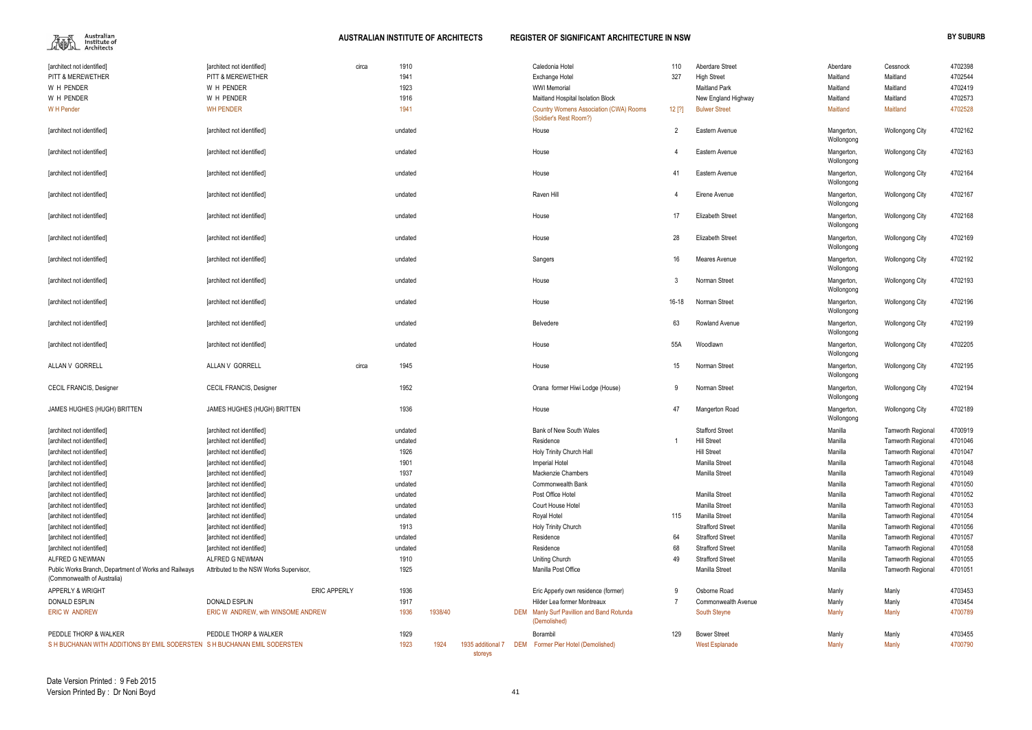$\begin{picture}(120,110) \put(0,0){\line(1,0){15}} \put(15,0){\line(1,0){15}} \put(15,0){\line(1,0){15}} \put(15,0){\line(1,0){15}} \put(15,0){\line(1,0){15}} \put(15,0){\line(1,0){15}} \put(15,0){\line(1,0){15}} \put(15,0){\line(1,0){15}} \put(15,0){\line(1,0){15}} \put(15,0){\line(1,0){15}} \put(15,0){\line(1,0){15}} \put(15,0){\line$ 

| [architect not identified]                                                           | [architect not identified]              | circa | 1910    |         |                              | Caledonia Hotel                                                         | 110       | <b>Aberdare Street</b>  | Aberdare                 | Cessnock                 | 4702398 |
|--------------------------------------------------------------------------------------|-----------------------------------------|-------|---------|---------|------------------------------|-------------------------------------------------------------------------|-----------|-------------------------|--------------------------|--------------------------|---------|
| PITT & MEREWETHER                                                                    | PITT & MEREWETHER                       |       | 1941    |         |                              | Exchange Hotel                                                          | 327       | <b>High Street</b>      | Maitland                 | Maitland                 | 4702544 |
| W H PENDER                                                                           | W H PENDER                              |       | 1923    |         |                              | <b>WWI Memorial</b>                                                     |           | <b>Maitland Park</b>    | Maitland                 | Maitland                 | 4702419 |
| W H PENDER                                                                           | W H PENDER                              |       | 1916    |         |                              | Maitland Hospital Isolation Block                                       |           | New England Highway     | Maitland                 | Maitland                 | 4702573 |
| W H Pender                                                                           | <b>WH PENDER</b>                        |       | 1941    |         |                              | <b>Country Womens Association (CWA) Rooms</b><br>(Soldier's Rest Room?) | 12 [?)    | <b>Bulwer Street</b>    | Maitland                 | Maitland                 | 4702528 |
| [architect not identified]                                                           | [architect not identified]              |       | undated |         |                              | House                                                                   | 2         | Eastern Avenue          | Mangerton,<br>Wollongong | <b>Wollongong City</b>   | 4702162 |
| [architect not identified]                                                           | [architect not identified]              |       | undated |         |                              | House                                                                   | 4         | Eastern Avenue          | Mangerton,<br>Wollongong | <b>Wollongong City</b>   | 4702163 |
| [architect not identified]                                                           | [architect not identified]              |       | undated |         |                              | House                                                                   | 41        | Eastern Avenue          | Mangerton,<br>Wollongong | <b>Wollongong City</b>   | 4702164 |
| [architect not identified]                                                           | [architect not identified]              |       | undated |         |                              | Raven Hill                                                              | 4         | Eirene Avenue           | Mangerton,<br>Wollongong | <b>Wollongong City</b>   | 4702167 |
| [architect not identified]                                                           | [architect not identified]              |       | undated |         |                              | House                                                                   | 17        | <b>Elizabeth Street</b> | Mangerton,<br>Wollongong | <b>Wollongong City</b>   | 4702168 |
| [architect not identified]                                                           | [architect not identified]              |       | undated |         |                              | House                                                                   | 28        | <b>Elizabeth Street</b> | Mangerton,<br>Wollongong | <b>Wollongong City</b>   | 4702169 |
| [architect not identified]                                                           | [architect not identified]              |       | undated |         |                              | Sangers                                                                 | 16        | Meares Avenue           | Mangerton,<br>Wollongong | <b>Wollongong City</b>   | 4702192 |
| [architect not identified]                                                           | [architect not identified]              |       | undated |         |                              | House                                                                   | 3         | Norman Street           | Mangerton,<br>Wollongong | <b>Wollongong City</b>   | 4702193 |
| [architect not identified]                                                           | [architect not identified]              |       | undated |         |                              | House                                                                   | $16 - 18$ | Norman Street           | Mangerton,<br>Wollongong | Wollongong City          | 4702196 |
| [architect not identified]                                                           | [architect not identified]              |       | undated |         |                              | Belvedere                                                               | 63        | Rowland Avenue          | Mangerton,<br>Wollongong | <b>Wollongong City</b>   | 4702199 |
| [architect not identified]                                                           | [architect not identified]              |       | undated |         |                              | House                                                                   | 55A       | Woodlawn                | Mangerton,<br>Wollongong | <b>Wollongong City</b>   | 4702205 |
| ALLAN V GORRELL                                                                      | ALLAN V GORRELL                         | circa | 1945    |         |                              | House                                                                   | 15        | Norman Street           | Mangerton,<br>Wollongong | <b>Wollongong City</b>   | 4702195 |
| <b>CECIL FRANCIS, Designer</b>                                                       | CECIL FRANCIS, Designer                 |       | 1952    |         |                              | Orana former Hiwi Lodge (House)                                         | 9         | Norman Street           | Mangerton,<br>Wollongong | <b>Wollongong City</b>   | 4702194 |
| JAMES HUGHES (HUGH) BRITTEN                                                          | JAMES HUGHES (HUGH) BRITTEN             |       | 1936    |         |                              | House                                                                   | 47        | Mangerton Road          | Mangerton,<br>Wollongong | <b>Wollongong City</b>   | 4702189 |
| [architect not identified]                                                           | [architect not identified]              |       | undated |         |                              | Bank of New South Wales                                                 |           | <b>Stafford Street</b>  | Manilla                  | <b>Tamworth Regional</b> | 4700919 |
| [architect not identified]                                                           | [architect not identified]              |       | undated |         |                              | Residence                                                               |           | <b>Hill Street</b>      | Manilla                  | <b>Tamworth Regional</b> | 4701046 |
| [architect not identified]                                                           | [architect not identified]              |       | 1926    |         |                              | Holy Trinity Church Hall                                                |           | <b>Hill Street</b>      | Manilla                  | <b>Tamworth Regional</b> | 4701047 |
| [architect not identified]                                                           | [architect not identified]              |       | 1901    |         |                              | Imperial Hotel                                                          |           | Manilla Street          | Manilla                  | <b>Tamworth Regional</b> | 4701048 |
| [architect not identified]                                                           | [architect not identified]              |       | 1937    |         |                              | Mackenzie Chambers                                                      |           | Manilla Street          | Manilla                  | <b>Tamworth Regional</b> | 4701049 |
| [architect not identified]                                                           | [architect not identified]              |       | undated |         |                              | Commonwealth Bank                                                       |           |                         | Manilla                  | <b>Tamworth Regional</b> | 4701050 |
| [architect not identified]                                                           | [architect not identified]              |       | undated |         |                              | Post Office Hotel                                                       |           | Manilla Street          | Manilla                  | <b>Tamworth Regional</b> | 4701052 |
| [architect not identified]                                                           | [architect not identified]              |       | undated |         |                              | Court House Hotel                                                       |           | Manilla Street          | Manilla                  | <b>Tamworth Regional</b> | 4701053 |
| [architect not identified]                                                           | [architect not identified]              |       | undated |         |                              | Royal Hotel                                                             | 115       | Manilla Street          | Manilla                  | <b>Tamworth Regional</b> | 4701054 |
| [architect not identified]                                                           | [architect not identified]              |       | 1913    |         |                              | Holy Trinity Church                                                     |           | <b>Strafford Street</b> | Manilla                  | <b>Tamworth Regional</b> | 4701056 |
| [architect not identified]                                                           | [architect not identified]              |       | undated |         |                              | Residence                                                               | 64        | <b>Strafford Street</b> | Manilla                  | <b>Tamworth Regional</b> | 4701057 |
| [architect not identified]                                                           | [architect not identified]              |       | undated |         |                              | Residence                                                               | 68        | <b>Strafford Street</b> | Manilla                  | <b>Tamworth Regional</b> | 4701058 |
| ALFRED G NEWMAN                                                                      | <b>ALFRED G NEWMAN</b>                  |       | 1910    |         |                              | <b>Uniting Church</b>                                                   | 49        | <b>Strafford Street</b> | Manilla                  | <b>Tamworth Regional</b> | 4701055 |
| Public Works Branch, Department of Works and Railways<br>(Commonwealth of Australia) | Attributed to the NSW Works Supervisor, |       | 1925    |         |                              | Manilla Post Office                                                     |           | Manilla Street          | Manilla                  | <b>Tamworth Regional</b> | 4701051 |
| APPERLY & WRIGHT                                                                     | <b>ERIC APPERLY</b>                     |       | 1936    |         |                              | Eric Apperly own residence (former)                                     |           | Osborne Road            | Manly                    | Manly                    | 4703453 |
| DONALD ESPLIN                                                                        | DONALD ESPLIN                           |       | 1917    |         |                              | Hilder Lea former Montreaux                                             |           | Commonwealth Avenue     | Manly                    | Manly                    | 4703454 |
| <b>ERIC W ANDREW</b>                                                                 | ERIC W ANDREW, with WINSOME ANDREW      |       | 1936    | 1938/40 |                              | DEM Manly Surf Pavillion and Band Rotunda<br>(Demolished)               |           | South Steyne            | Manly                    | Manly                    | 4700789 |
| PEDDLE THORP & WALKER                                                                | PEDDLE THORP & WALKER                   |       | 1929    |         |                              | Borambil                                                                | 129       | <b>Bower Street</b>     | Manly                    | Manly                    | 4703455 |
| S H BUCHANAN WITH ADDITIONS BY EMIL SODERSTEN S H BUCHANAN EMIL SODERSTEN            |                                         |       | 1923    | 1924    | 1935 additional 7<br>storeys | <b>DEM</b> Former Pier Hotel (Demolished)                               |           | <b>West Esplanade</b>   | Manly                    | Manly                    | 4700790 |

| 110    | Aberdare Street            | Aberdare                 | Cessnock                 | 4702398 |
|--------|----------------------------|--------------------------|--------------------------|---------|
| 327    | <b>High Street</b>         | Maitland                 | Maitland                 | 4702544 |
|        | <b>Maitland Park</b>       | Maitland                 | Maitland                 | 4702419 |
|        | New England Highway        | Maitland                 | Maitland                 | 4702573 |
| 12 [?] | <b>Bulwer Street</b>       | <b>Maitland</b>          | <b>Maitland</b>          | 4702528 |
| 2      | Eastern Avenue             | Mangerton,<br>Wollongong | <b>Wollongong City</b>   | 4702162 |
| 4      | Eastern Avenue             | Mangerton,<br>Wollongong | <b>Wollongong City</b>   | 4702163 |
| 41     | Eastern Avenue             | Mangerton,<br>Wollongong | <b>Wollongong City</b>   | 4702164 |
| 4      | Eirene Avenue              | Mangerton,<br>Wollongong | <b>Wollongong City</b>   | 4702167 |
| 17     | Elizabeth Street           | Mangerton,<br>Wollongong | <b>Wollongong City</b>   | 4702168 |
| 28     | <b>Elizabeth Street</b>    | Mangerton,<br>Wollongong | <b>Wollongong City</b>   | 4702169 |
| 16     | Meares Avenue              | Mangerton,<br>Wollongong | <b>Wollongong City</b>   | 4702192 |
| 3      | Norman Street              | Mangerton,<br>Wollongong | <b>Wollongong City</b>   | 4702193 |
| 16-18  | Norman Street              | Mangerton,<br>Wollongong | <b>Wollongong City</b>   | 4702196 |
| 63     | Rowland Avenue             | Mangerton,<br>Wollongong | <b>Wollongong City</b>   | 4702199 |
| 55A    | Woodlawn                   | Mangerton,<br>Wollongong | <b>Wollongong City</b>   | 4702205 |
| 15     | Norman Street              | Mangerton,<br>Wollongong | <b>Wollongong City</b>   | 4702195 |
| 9      | Norman Street              | Mangerton,<br>Wollongong | <b>Wollongong City</b>   | 4702194 |
| 47     | Mangerton Road             | Mangerton,<br>Wollongong | <b>Wollongong City</b>   | 4702189 |
|        | <b>Stafford Street</b>     | Manilla                  | Tamworth Regional        | 4700919 |
| 1      | Hill Street                | Manilla                  | <b>Tamworth Regional</b> | 4701046 |
|        | <b>Hill Street</b>         | Manilla                  | Tamworth Regional        | 4701047 |
|        | Manilla Street             | Manilla                  | Tamworth Regional        | 4701048 |
|        | Manilla Street             | Manilla                  | Tamworth Regional        | 4701049 |
|        |                            | Manilla                  | Tamworth Regional        | 4701050 |
|        | Manilla Street             | Manilla                  | Tamworth Regional        | 4701052 |
|        | Manilla Street             | Manilla                  | Tamworth Regional        | 4701053 |
| 115    | Manilla Street             | Manilla                  | Tamworth Regional        | 4701054 |
|        | <b>Strafford Street</b>    | Manilla                  | Tamworth Regional        | 4701056 |
| 64     | <b>Strafford Street</b>    | Manilla                  | Tamworth Regional        | 4701057 |
| 68     | <b>Strafford Street</b>    | Manilla                  | Tamworth Regional        | 4701058 |
| 49     | <b>Strafford Street</b>    | Manilla                  | Tamworth Regional        | 4701055 |
|        | Manilla Street             | Manilla                  | Tamworth Regional        | 4701051 |
| 9      | Osborne Road               | Manly                    | Manly                    | 4703453 |
| 7      | <b>Commonwealth Avenue</b> | Manly                    | Manly                    | 4703454 |
|        | <b>South Steyne</b>        | <b>Manly</b>             | Manly                    | 4700789 |
| 129    | <b>Bower Street</b>        | Manly                    | Manly                    | 4703455 |
|        | <b>West Esplanade</b>      | <b>Manly</b>             | Manly                    | 4700790 |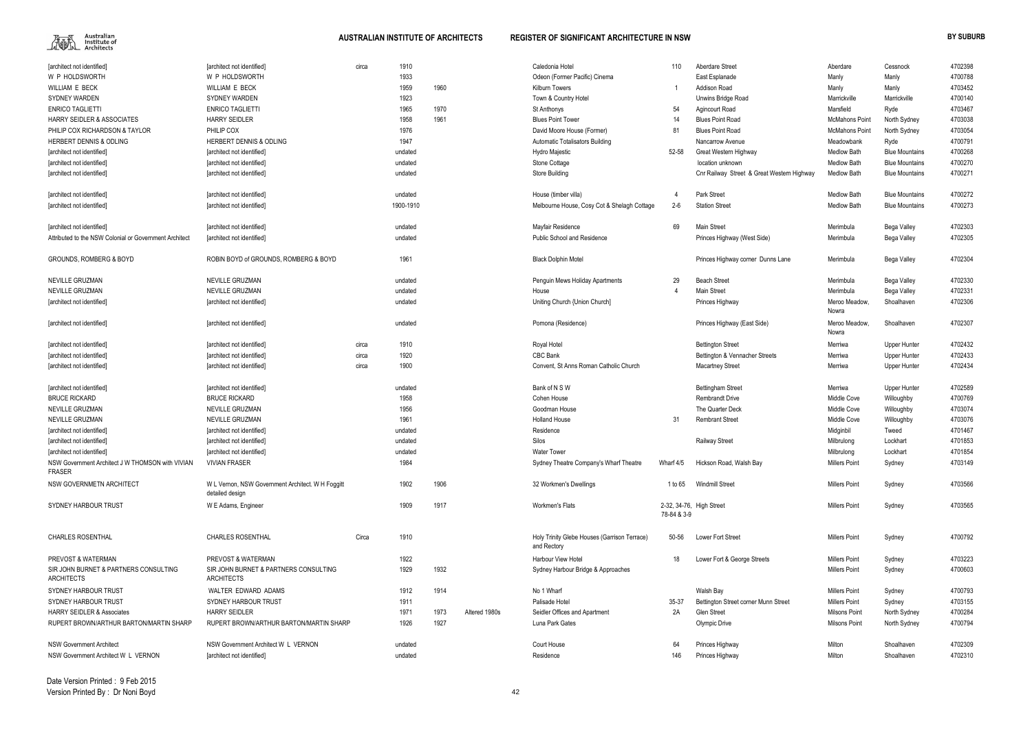

| [architect not identified]                                        | [architect not identified]                                           | circa | 1910      |      |               | Caledonia Hotel                                             | 110         | <b>Aberdare Street</b>                     | Aberdare               | Cessnock              | 4702398 |
|-------------------------------------------------------------------|----------------------------------------------------------------------|-------|-----------|------|---------------|-------------------------------------------------------------|-------------|--------------------------------------------|------------------------|-----------------------|---------|
| W P HOLDSWORTH                                                    | W P HOLDSWORTH                                                       |       | 1933      |      |               | Odeon (Former Pacific) Cinema                               |             | East Esplanade                             | Manly                  | Manly                 | 4700788 |
| WILLIAM E BECK                                                    | WILLIAM E BECK                                                       |       | 1959      | 1960 |               | <b>Kilburn Towers</b>                                       |             | Addison Road                               | Manly                  | Manly                 | 4703452 |
| <b>SYDNEY WARDEN</b>                                              | <b>SYDNEY WARDEN</b>                                                 |       | 1923      |      |               | Town & Country Hotel                                        |             | Unwins Bridge Road                         | Marrickville           | Marrickville          | 4700140 |
| <b>ENRICO TAGLIETTI</b>                                           | <b>ENRICO TAGLIETTI</b>                                              |       | 1965      | 1970 |               | St Anthonys                                                 | 54          | <b>Agincourt Road</b>                      | Marsfield              | Ryde                  | 4703467 |
| <b>HARRY SEIDLER &amp; ASSOCIATES</b>                             | <b>HARRY SEIDLER</b>                                                 |       | 1958      | 1961 |               | <b>Blues Point Tower</b>                                    | 14          | <b>Blues Point Road</b>                    | <b>McMahons Point</b>  | North Sydney          | 4703038 |
| PHILIP COX RICHARDSON & TAYLOR                                    | PHILIP COX                                                           |       | 1976      |      |               | David Moore House (Former)                                  | 81          | <b>Blues Point Road</b>                    | <b>McMahons Point</b>  | North Sydney          | 4703054 |
| HERBERT DENNIS & ODLING                                           | HERBERT DENNIS & ODLING                                              |       | 1947      |      |               | Automatic Totalisators Building                             |             | Nancarrow Avenue                           | Meadowbank             | Ryde                  | 4700791 |
|                                                                   |                                                                      |       |           |      |               |                                                             |             |                                            |                        |                       | 4700268 |
| [architect not identified]                                        | [architect not identified]                                           |       | undated   |      |               | Hydro Majestic                                              | 52-58       | Great Western Highway                      | <b>Medlow Bath</b>     | <b>Blue Mountains</b> |         |
| [architect not identified]                                        | [architect not identified]                                           |       | undated   |      |               | Stone Cottage                                               |             | location unknown                           | <b>Medlow Bath</b>     | <b>Blue Mountains</b> | 4700270 |
| [architect not identified]                                        | [architect not identified]                                           |       | undated   |      |               | Store Building                                              |             | Cnr Railway Street & Great Western Highway | <b>Medlow Bath</b>     | <b>Blue Mountains</b> | 4700271 |
| [architect not identified]                                        | [architect not identified]                                           |       | undated   |      |               | House (timber villa)                                        |             | <b>Park Street</b>                         | <b>Medlow Bath</b>     | <b>Blue Mountains</b> | 4700272 |
| [architect not identified]                                        | [architect not identified]                                           |       | 1900-1910 |      |               | Melbourne House, Cosy Cot & Shelagh Cottage                 | $2 - 6$     | <b>Station Street</b>                      | <b>Medlow Bath</b>     | <b>Blue Mountains</b> | 4700273 |
| [architect not identified]                                        | [architect not identified]                                           |       | undated   |      |               | Mayfair Residence                                           | 69          | <b>Main Street</b>                         | Merimbula              | Bega Valley           | 4702303 |
| Attributed to the NSW Colonial or Government Architect            | [architect not identified]                                           |       | undated   |      |               | <b>Public School and Residence</b>                          |             | Princes Highway (West Side)                | Merimbula              | Bega Valley           | 4702305 |
| <b>GROUNDS, ROMBERG &amp; BOYD</b>                                | ROBIN BOYD of GROUNDS, ROMBERG & BOYD                                |       | 1961      |      |               | <b>Black Dolphin Motel</b>                                  |             | Princes Highway corner Dunns Lane          | Merimbula              | Bega Valley           | 4702304 |
| <b>NEVILLE GRUZMAN</b>                                            | NEVILLE GRUZMAN                                                      |       | undated   |      |               | Penguin Mews Holiday Apartments                             | 29          | <b>Beach Street</b>                        | Merimbula              | Bega Valley           | 4702330 |
| <b>NEVILLE GRUZMAN</b>                                            | NEVILLE GRUZMAN                                                      |       | undated   |      |               | House                                                       |             | Main Street                                | Merimbula              | Bega Valley           | 4702331 |
| [architect not identified]                                        | [architect not identified]                                           |       | undated   |      |               | Uniting Church {Union Church]                               |             | Princes Highway                            | Meroo Meadow,          | Shoalhaven            | 4702306 |
|                                                                   |                                                                      |       |           |      |               |                                                             |             |                                            | Nowra<br>Meroo Meadow, |                       | 4702307 |
| [architect not identified]                                        | [architect not identified]                                           |       | undated   |      |               | Pomona (Residence)                                          |             | Princes Highway (East Side)                | Nowra                  | Shoalhaven            |         |
| [architect not identified]                                        | [architect not identified]                                           | circa | 1910      |      |               | Royal Hotel                                                 |             | <b>Bettington Street</b>                   | Merriwa                | <b>Upper Hunter</b>   | 4702432 |
| [architect not identified]                                        | [architect not identified]                                           | circa | 1920      |      |               | CBC Bank                                                    |             | Bettington & Vennacher Streets             | Merriwa                | <b>Upper Hunter</b>   | 4702433 |
| [architect not identified]                                        | [architect not identified]                                           | circa | 1900      |      |               | Convent, St Anns Roman Catholic Church                      |             | <b>Macartney Street</b>                    | Merriwa                | <b>Upper Hunter</b>   | 4702434 |
| [architect not identified]                                        | [architect not identified]                                           |       | undated   |      |               | Bank of N S W                                               |             | <b>Bettingham Street</b>                   | Merriwa                | Upper Hunter          | 4702589 |
| <b>BRUCE RICKARD</b>                                              | <b>BRUCE RICKARD</b>                                                 |       | 1958      |      |               | Cohen House                                                 |             | <b>Rembrandt Drive</b>                     | Middle Cove            | Willoughby            | 4700769 |
| NEVILLE GRUZMAN                                                   | NEVILLE GRUZMAN                                                      |       | 1956      |      |               | Goodman House                                               |             | The Quarter Deck                           | Middle Cove            | Willoughby            | 4703074 |
| NEVILLE GRUZMAN                                                   | NEVILLE GRUZMAN                                                      |       | 1961      |      |               | <b>Holland House</b>                                        | 31          | <b>Rembrant Street</b>                     | Middle Cove            | Willoughby            | 4703076 |
| [architect not identified]                                        | [architect not identified]                                           |       | undated   |      |               | Residence                                                   |             |                                            | Midginbil              | Tweed                 | 4701467 |
|                                                                   |                                                                      |       |           |      |               |                                                             |             |                                            |                        |                       |         |
| [architect not identified]                                        | [architect not identified]                                           |       | undated   |      |               | Silos                                                       |             | <b>Railway Street</b>                      | Milbrulong             | Lockhart              | 4701853 |
| [architect not identified]                                        | [architect not identified]                                           |       | undated   |      |               | <b>Water Tower</b>                                          |             |                                            | Milbrulong             | Lockhart              | 4701854 |
| NSW Government Architect J W THOMSON with VIVIAN<br><b>FRASER</b> | <b>VIVIAN FRASER</b>                                                 |       | 1984      |      |               | Sydney Theatre Company's Wharf Theatre                      | Wharf 4/5   | Hickson Road, Walsh Bay                    | <b>Millers Point</b>   | Sydney                | 4703149 |
| NSW GOVERNMETN ARCHITECT                                          | W L Vernon, NSW Government Architect. W H Foggitt<br>detailed design |       | 1902      | 1906 |               | 32 Workmen's Dwellings                                      | 1 to 65     | <b>Windmill Street</b>                     | <b>Millers Point</b>   | Sydney                | 4703566 |
| SYDNEY HARBOUR TRUST                                              | W E Adams, Engineer                                                  |       | 1909      | 1917 |               | Workmen's Flats                                             | 78-84 & 3-9 | 2-32, 34-76, High Street                   | <b>Millers Point</b>   | Sydney                | 4703565 |
| <b>CHARLES ROSENTHAL</b>                                          | <b>CHARLES ROSENTHAL</b>                                             | Circa | 1910      |      |               | Holy Trinity Glebe Houses (Garrison Terrace)<br>and Rectory | 50-56       | Lower Fort Street                          | <b>Millers Point</b>   | Sydney                | 4700792 |
| PREVOST & WATERMAN                                                | PREVOST & WATERMAN                                                   |       | 1922      |      |               | <b>Harbour View Hotel</b>                                   | 18          | Lower Fort & George Streets                | <b>Millers Point</b>   | Sydney                | 4703223 |
| SIR JOHN BURNET & PARTNERS CONSULTING<br><b>ARCHITECTS</b>        | SIR JOHN BURNET & PARTNERS CONSULTING<br><b>ARCHITECTS</b>           |       | 1929      | 1932 |               | Sydney Harbour Bridge & Approaches                          |             |                                            | <b>Millers Point</b>   | Sydney                | 4700603 |
| SYDNEY HARBOUR TRUST                                              | WALTER EDWARD ADAMS                                                  |       | 1912      | 1914 |               | No 1 Wharf                                                  |             | Walsh Bay                                  | <b>Millers Point</b>   | Sydney                | 4700793 |
| SYDNEY HARBOUR TRUST                                              | SYDNEY HARBOUR TRUST                                                 |       | 1911      |      |               | Palisade Hotel                                              | 35-37       | Bettington Street corner Munn Street       | <b>Millers Point</b>   | Sydney                | 4703155 |
| <b>HARRY SEIDLER &amp; Associates</b>                             | <b>HARRY SEIDLER</b>                                                 |       | 1971      | 1973 | Altered 1980s | Seidler Offices and Apartment                               | 2A          | Glen Street                                | <b>Milsons Point</b>   | North Sydney          | 4700284 |
| RUPERT BROWN/ARTHUR BARTON/MARTIN SHARP                           | RUPERT BROWN/ARTHUR BARTON/MARTIN SHARP                              |       | 1926      | 1927 |               | Luna Park Gates                                             |             | Olympic Drive                              | <b>Milsons Point</b>   | North Sydney          | 4700794 |
|                                                                   |                                                                      |       |           |      |               |                                                             |             |                                            |                        |                       |         |
| <b>NSW Government Architect</b>                                   | NSW Government Architect W L VERNON                                  |       | undated   |      |               | Court House                                                 | 64          | Princes Highway                            | Milton                 | Shoalhaven            | 4702309 |
| NSW Government Architect W L VERNON                               | [architect not identified]                                           |       | undated   |      |               | Residence                                                   | 146         | Princes Highway                            | Milton                 | Shoalhaven            | 4702310 |
|                                                                   |                                                                      |       |           |      |               |                                                             |             |                                            |                        |                       |         |

Date Version Printed : 9 Feb 2015Version Printed By : Dr Noni Boyd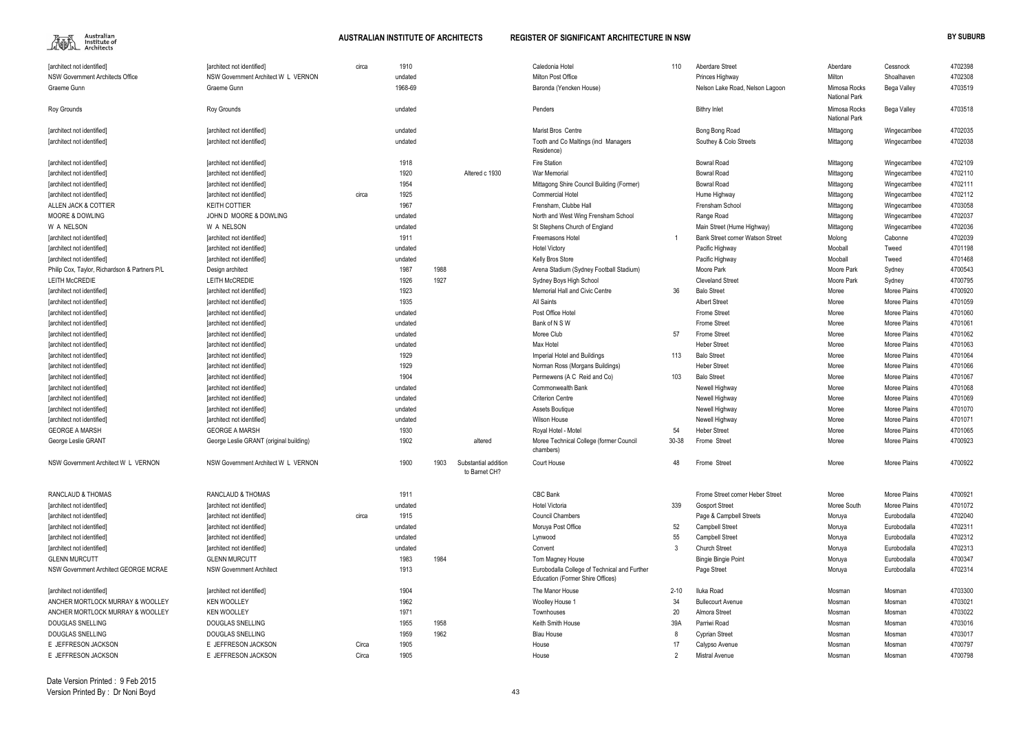

| 110   | Aberdare Street                         | Aberdare                      | Cessnock      | 4702398 |
|-------|-----------------------------------------|-------------------------------|---------------|---------|
|       | Princes Highway                         | Milton                        | Shoalhaven    | 4702308 |
|       | Nelson Lake Road, Nelson Lagoon         | Mimosa Rocks<br>National Park | Bega Valley   | 4703519 |
|       | <b>Bithry Inlet</b>                     | Mimosa Rocks<br>National Park | Bega Valley   | 4703518 |
|       | Bong Bong Road                          | Mittagong                     | Wingecarribee | 4702035 |
|       | Southey & Colo Streets                  | Mittagong                     | Wingecarribee | 4702038 |
|       | <b>Bowral Road</b>                      | Mittagong                     | Wingecarribee | 4702109 |
|       | <b>Bowral Road</b>                      | Mittagong                     | Wingecarribee | 4702110 |
|       | <b>Bowral Road</b>                      | Mittagong                     | Wingecarribee | 4702111 |
|       | Hume Highway                            | Mittagong                     | Wingecarribee | 4702112 |
|       | Frensham School                         | Mittagong                     | Wingecarribee | 4703058 |
|       | Range Road                              | Mittagong                     | Wingecarribee | 4702037 |
|       | Main Street (Hume Highway)              | Mittagong                     | Wingecarribee | 4702036 |
| 1     | <b>Bank Street corner Watson Street</b> | Molong                        | Cabonne       | 4702039 |
|       | Pacific Highway                         | Mooball                       | Tweed         | 4701198 |
|       | Pacific Highway                         | Mooball                       | Tweed         | 4701468 |
|       | Moore Park                              | Moore Park                    | Sydney        | 4700543 |
|       | <b>Cleveland Street</b>                 | Moore Park                    | Sydney        | 4700795 |
| 36    | <b>Balo Street</b>                      | Moree                         | Moree Plains  | 4700920 |
|       | <b>Albert Street</b>                    | Moree                         | Moree Plains  | 4701059 |
|       | Frome Street                            | Moree                         | Moree Plains  | 4701060 |
|       | Frome Street                            | Moree                         | Moree Plains  | 4701061 |
| 57    | Frome Street                            | Moree                         | Moree Plains  | 4701062 |
|       | <b>Heber Street</b>                     | Moree                         | Moree Plains  | 4701063 |
| 113   | <b>Balo Street</b>                      | Moree                         | Moree Plains  | 4701064 |
|       | <b>Heber Street</b>                     | Moree                         | Moree Plains  | 4701066 |
| 103   | <b>Balo Street</b>                      | Moree                         | Moree Plains  | 4701067 |
|       | Newell Highway                          | Moree                         | Moree Plains  | 4701068 |
|       | Newell Highway                          | Moree                         | Moree Plains  | 4701069 |
|       | Newell Highway                          | Moree                         | Moree Plains  | 4701070 |
|       | Newell Highway                          | Moree                         | Moree Plains  | 4701071 |
| 54    | <b>Heber Street</b>                     | Moree                         | Moree Plains  | 4701065 |
| 30-38 | Frome Street                            | Moree                         | Moree Plains  | 4700923 |
| 48    | Frome Street                            | Moree                         | Moree Plains  | 4700922 |
|       | Frome Street corner Heber Street        | Moree                         | Moree Plains  | 4700921 |
| 339   | <b>Gosport Street</b>                   | Moree South                   | Moree Plains  | 4701072 |
|       | Page & Campbell Streets                 | Moruya                        | Eurobodalla   | 4702040 |
| 52    | <b>Campbell Street</b>                  | Moruya                        | Eurobodalla   | 4702311 |
| 55    | <b>Campbell Street</b>                  | Moruya                        | Eurobodalla   | 4702312 |
| 3     | <b>Church Street</b>                    | Moruya                        | Eurobodalla   | 4702313 |
|       | <b>Bingie Bingie Point</b>              | Moruya                        | Eurobodalla   | 4700347 |
|       | Page Street                             | Moruya                        | Eurobodalla   | 4702314 |
| 2-10  | Iluka Road                              | Mosman                        | Mosman        | 4703300 |
| 34    | <b>Bullecourt Avenue</b>                | Mosman                        | Mosman        | 4703021 |
| 20    | Almora Street                           | Mosman                        | Mosman        | 4703022 |
| 39A   | Parriwi Road                            | Mosman                        | Mosman        | 4703016 |
| 8     | Cyprian Street                          | Mosman                        | Mosman        | 4703017 |
| 17    | Calypso Avenue                          | Mosman                        | Mosman        | 4700797 |
| 2     | <b>Mistral Avenue</b>                   | Mosman                        | Mosman        | 4700798 |

| [architect not identified]                                           | <b>Tarchitect not identified]</b>       | circa | 1910         |                                               | Caledonia Hotel                                                                  | 110      | Aberdare Street                  | Aberdare                             | Cessnock      | 4702398            |
|----------------------------------------------------------------------|-----------------------------------------|-------|--------------|-----------------------------------------------|----------------------------------------------------------------------------------|----------|----------------------------------|--------------------------------------|---------------|--------------------|
| NSW Government Architects Office                                     | NSW Government Architect W L VERNON     |       | undated      |                                               | Milton Post Office                                                               |          | Princes Highway                  | Milton                               | Shoalhaven    | 4702308            |
| Graeme Gunn                                                          | Graeme Gunn                             |       | 1968-69      |                                               | Baronda (Yencken House)                                                          |          | Nelson Lake Road, Nelson Lagoon  | Mimosa Rocks<br><b>National Park</b> | Bega Valley   | 4703519            |
| Roy Grounds                                                          | Roy Grounds                             |       | undated      |                                               | Penders                                                                          |          | <b>Bithry Inlet</b>              | Mimosa Rocks<br><b>National Park</b> | Bega Valley   | 4703518            |
| [architect not identified]                                           | [architect not identified]              |       | undated      |                                               | Marist Bros Centre                                                               |          | Bong Bong Road                   | Mittagong                            | Wingecarribee | 4702035            |
| [architect not identified]                                           | [architect not identified]              |       | undated      |                                               | Tooth and Co Maltings (incl Managers<br>Residence)                               |          | Southey & Colo Streets           | Mittagong                            | Wingecarribee | 4702038            |
| [architect not identified]                                           | [architect not identified]              |       | 1918         |                                               | Fire Station                                                                     |          | <b>Bowral Road</b>               | Mittagong                            | Wingecarribee | 4702109            |
| [architect not identified]                                           | [architect not identified]              |       | 1920         | Altered c 1930                                | <b>War Memorial</b>                                                              |          | <b>Bowral Road</b>               | Mittagong                            | Wingecarribee | 4702110            |
| [architect not identified]                                           | [architect not identified]              |       | 1954         |                                               | Mittagong Shire Council Building (Former)                                        |          | <b>Bowral Road</b>               | Mittagong                            | Wingecarribee | 4702111            |
| [architect not identified]                                           | [architect not identified]              | circa | 1925         |                                               | <b>Commercial Hotel</b>                                                          |          | Hume Highway                     | Mittagong                            | Wingecarribee | 4702112            |
| ALLEN JACK & COTTIER                                                 | <b>KEITH COTTIER</b>                    |       | 1967         |                                               | Frensham. Clubbe Hall                                                            |          | Frensham School                  | Mittagong                            | Wingecarribee | 4703058            |
| <b>MOORE &amp; DOWLING</b>                                           | JOHN D MOORE & DOWLING                  |       | undated      |                                               | North and West Wing Frensham School                                              |          | Range Road                       | Mittagong                            | Wingecarribee | 4702037            |
| W A NELSON                                                           | W A NELSON                              |       | undated      |                                               | St Stephens Church of England                                                    |          | Main Street (Hume Highway)       | Mittagong                            | Wingecarribee | 4702036            |
| [architect not identified]                                           | [architect not identified]              |       | 1911         |                                               | Freemasons Hotel                                                                 |          | Bank Street corner Watson Street | Molong                               | Cabonne       | 4702039            |
| [architect not identified]                                           | <b>Tarchitect not identified]</b>       |       | undated      |                                               | <b>Hotel Victory</b>                                                             |          | Pacific Highway                  | Mooball                              | Tweed         | 4701198            |
| [architect not identified]                                           | [architect not identified]              |       | undated      |                                               | Kelly Bros Store                                                                 |          | Pacific Highway                  | Mooball                              | Tweed         | 4701468            |
| Philip Cox, Taylor, Richardson & Partners P/L                        | Design architect                        |       | 1987         | 1988                                          | Arena Stadium (Sydney Football Stadium)                                          |          | Moore Park                       | Moore Park                           | Sydney        | 4700543            |
| <b>LEITH McCREDIE</b>                                                | <b>LEITH McCREDIE</b>                   |       | 1926         | 1927                                          | Sydney Boys High School                                                          |          | <b>Cleveland Street</b>          | Moore Park                           | Sydney        | 4700795            |
| [architect not identified]                                           | [architect not identified]              |       | 1923         |                                               | <b>Memorial Hall and Civic Centre</b>                                            | 36       | <b>Balo Street</b>               | Moree                                | Moree Plains  | 4700920            |
| [architect not identified]                                           | [architect not identified]              |       | 1935         |                                               | All Saints                                                                       |          | <b>Albert Street</b>             | Moree                                | Moree Plains  | 4701059            |
| [architect not identified]                                           | [architect not identified]              |       | undated      |                                               | Post Office Hotel                                                                |          | <b>Frome Street</b>              | Moree                                | Moree Plains  | 4701060            |
| [architect not identified]                                           | [architect not identified]              |       | undated      |                                               | Bank of N S W                                                                    |          | Frome Street                     | Moree                                | Moree Plains  | 4701061            |
| [architect not identified]                                           | [architect not identified]              |       | undated      |                                               | Moree Club                                                                       | 57       | Frome Street                     | Moree                                | Moree Plains  | 4701062            |
| [architect not identified]                                           | [architect not identified]              |       | undated      |                                               | Max Hotel                                                                        |          | <b>Heber Street</b>              | Moree                                | Moree Plains  | 4701063            |
| [architect not identified]                                           | [architect not identified]              |       | 1929         |                                               | Imperial Hotel and Buildings                                                     | 113      | <b>Balo Street</b>               | Moree                                | Moree Plains  | 4701064            |
| [architect not identified]                                           | [architect not identified]              |       | 1929         |                                               | Norman Ross (Morgans Buildings)                                                  |          | <b>Heber Street</b>              | Moree                                | Moree Plains  | 4701066            |
| [architect not identified]                                           | [architect not identified]              |       | 1904         |                                               | Permewens (A C Reid and Co)                                                      | 103      | <b>Balo Street</b>               | Moree                                | Moree Plains  | 4701067            |
| [architect not identified]                                           | [architect not identified]              |       | undated      |                                               | <b>Commonwealth Bank</b>                                                         |          | Newell Highway                   | Moree                                | Moree Plains  | 4701068            |
| [architect not identified]                                           | [architect not identified]              |       | undated      |                                               | <b>Criterion Centre</b>                                                          |          | Newell Highway                   | Moree                                | Moree Plains  | 4701069            |
| [architect not identified]                                           | [architect not identified]              |       | undated      |                                               | Assets Boutique                                                                  |          | Newell Highway                   | Moree                                | Moree Plains  | 4701070            |
| [architect not identified]                                           | [architect not identified]              |       | undated      |                                               | Wilson House                                                                     |          | Newell Highway                   | Moree                                | Moree Plains  | 4701071            |
| <b>GEORGE A MARSH</b>                                                | <b>GEORGE A MARSH</b>                   |       | 1930         |                                               | Royal Hotel - Motel                                                              | 54       | Heber Street                     | Moree                                | Moree Plains  | 4701065            |
| George Leslie GRANT                                                  | George Leslie GRANT (original building) |       | 1902         | altered                                       | Moree Technical College (former Council<br>chambers)                             | 30-38    | Frome Street                     | Moree                                | Moree Plains  | 4700923            |
| NSW Government Architect W L VERNON                                  | NSW Government Architect W L VERNON     |       | 1900         | 1903<br>Substantial addition<br>to Barnet CH? | Court House                                                                      | 48       | Frome Street                     | Moree                                | Moree Plains  | 4700922            |
| RANCLAUD & THOMAS                                                    | RANCLAUD & THOMAS                       |       | 1911         |                                               | CBC Bank                                                                         |          | Frome Street corner Heber Street | Moree                                | Moree Plains  | 4700921            |
| [architect not identified]                                           | [architect not identified]              |       | undated      |                                               | <b>Hotel Victoria</b>                                                            | 339      | <b>Gosport Street</b>            | Moree South                          | Moree Plains  | 4701072            |
| [architect not identified]                                           | [architect not identified]              | circa | 1915         |                                               | <b>Council Chambers</b>                                                          |          | Page & Campbell Streets          | Moruya                               | Eurobodalla   | 4702040            |
| [architect not identified]                                           | [architect not identified]              |       | undated      |                                               | Moruya Post Office                                                               | 52       | <b>Campbell Street</b>           | Moruya                               | Eurobodalla   | 4702311            |
| [architect not identified]                                           | [architect not identified]              |       | undated      |                                               | Lynwood                                                                          | 55       | <b>Campbell Street</b>           | Moruya                               | Eurobodalla   | 4702312            |
| [architect not identified]                                           | [architect not identified]              |       | undated      |                                               | Convent                                                                          |          | <b>Church Street</b>             | Moruya                               | Eurobodalla   | 4702313            |
| <b>GLENN MURCUTT</b>                                                 | <b>GLENN MURCUTT</b>                    |       | 1983         | 1984                                          | Tom Magney House                                                                 |          | <b>Bingie Bingie Point</b>       | Moruya                               | Eurobodalla   | 4700347            |
| NSW Government Architect GEORGE MCRAE                                | <b>NSW Government Architect</b>         |       | 1913         |                                               | Eurobodalla College of Technical and Further<br>Education (Former Shire Offices) |          | Page Street                      | Moruya                               | Eurobodalla   | 4702314            |
| [architect not identified]                                           | [architect not identified]              |       | 1904         |                                               | The Manor House                                                                  | $2 - 10$ | Iluka Road                       | Mosman                               | Mosman        | 4703300            |
|                                                                      | <b>KEN WOOLLEY</b>                      |       | 1962         |                                               |                                                                                  | 34       | <b>Bullecourt Avenue</b>         |                                      |               | 4703021            |
| ANCHER MORTLOCK MURRAY & WOOLLEY<br>ANCHER MORTLOCK MURRAY & WOOLLEY | <b>KEN WOOLLEY</b>                      |       | 1971         |                                               | Woolley House 1<br>Townhouses                                                    | 20       | Almora Street                    | Mosman<br>Mosman                     | Mosman        | 4703022            |
|                                                                      | DOUGLAS SNELLING                        |       |              |                                               | Keith Smith House                                                                |          | Parriwi Road                     |                                      | Mosman        |                    |
| DOUGLAS SNELLING<br><b>DOUGLAS SNELLING</b>                          | DOUGLAS SNELLING                        |       | 1955<br>1959 | 1958<br>1962                                  |                                                                                  | 39A      |                                  | Mosman                               | Mosman        | 4703016<br>4703017 |
| E JEFFRESON JACKSON                                                  | E JEFFRESON JACKSON                     |       | 1905         |                                               | <b>Blau House</b>                                                                |          | <b>Cyprian Street</b>            | Mosman                               | Mosman        | 4700797            |
|                                                                      |                                         | Circa |              |                                               | House                                                                            |          | Calypso Avenue                   | Mosman                               | Mosman        |                    |
| E JEFFRESON JACKSON                                                  | E JEFFRESON JACKSON                     | Circa | 1905         |                                               | House                                                                            |          | <b>Mistral Avenue</b>            | Mosman                               | Mosman        | 4700798            |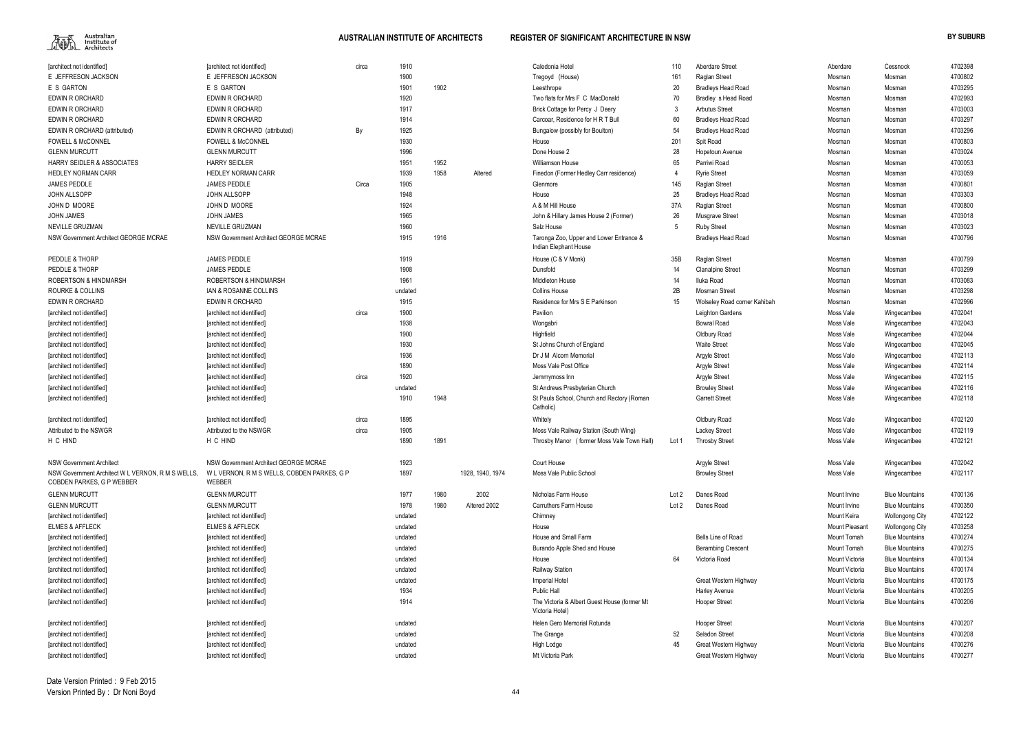

| [architect not identified]                                                     | [architect not identified]                            | circa | 1910    |      |                  | Caledonia Hotel                                                  | 110   | Aberdare Street              | Aberdare              | Cessnock               | 4702398 |
|--------------------------------------------------------------------------------|-------------------------------------------------------|-------|---------|------|------------------|------------------------------------------------------------------|-------|------------------------------|-----------------------|------------------------|---------|
| E JEFFRESON JACKSON                                                            | E JEFFRESON JACKSON                                   |       | 1900    |      |                  | Tregoyd (House)                                                  | 161   | Raglan Street                | Mosman                | Mosman                 | 4700802 |
| E S GARTON                                                                     | E S GARTON                                            |       | 1901    | 1902 |                  | Leesthrope                                                       | 20    | <b>Bradleys Head Road</b>    | Mosman                | Mosman                 | 4703295 |
| EDWIN R ORCHARD                                                                | EDWIN R ORCHARD                                       |       | 1920    |      |                  | Two flats for Mrs F C MacDonald                                  | 70    | Bradley s Head Road          | Mosman                | Mosman                 | 4702993 |
| EDWIN R ORCHARD                                                                | <b>EDWIN R ORCHARD</b>                                |       | 1917    |      |                  | Brick Cottage for Percy J Deery                                  |       | <b>Arbutus Street</b>        | Mosman                | Mosman                 | 4703003 |
| EDWIN R ORCHARD                                                                | <b>EDWIN R ORCHARD</b>                                |       | 1914    |      |                  | Carcoar, Residence for H R T Bull                                | 60    | <b>Bradleys Head Road</b>    | Mosman                | Mosman                 | 4703297 |
| EDWIN R ORCHARD (attributed)                                                   | EDWIN R ORCHARD (attributed)                          | By    | 1925    |      |                  | Bungalow (possibly for Boulton)                                  |       | <b>Bradleys Head Road</b>    | Mosman                | Mosman                 | 4703296 |
| <b>FOWELL &amp; McCONNEL</b>                                                   | <b>FOWELL &amp; McCONNEL</b>                          |       | 1930    |      |                  | House                                                            | 201   | Spit Road                    | Mosman                | Mosman                 | 4700803 |
| <b>GLENN MURCUTT</b>                                                           | <b>GLENN MURCUTT</b>                                  |       | 1996    |      |                  | Done House 2                                                     | 28    | Hopetoun Avenue              | Mosman                | Mosman                 | 4703024 |
| <b>HARRY SEIDLER &amp; ASSOCIATES</b>                                          | <b>HARRY SEIDLER</b>                                  |       | 1951    | 1952 |                  | Williamson House                                                 | 65    | Parriwi Road                 | Mosman                | Mosman                 | 4700053 |
| HEDLEY NORMAN CARR                                                             | HEDLEY NORMAN CARR                                    |       | 1939    | 1958 | Altered          | Finedon (Former Hedley Carr residence)                           |       | <b>Ryrie Street</b>          | Mosman                | Mosman                 | 4703059 |
| <b>JAMES PEDDLE</b>                                                            | <b>JAMES PEDDLE</b>                                   | Circa | 1905    |      |                  | Glenmore                                                         | 145   | Raglan Street                | Mosman                | Mosman                 | 4700801 |
| JOHN ALLSOPP                                                                   | <b>JOHN ALLSOPP</b>                                   |       | 1948    |      |                  | House                                                            | 25    | <b>Bradleys Head Road</b>    | Mosman                | Mosman                 | 4703303 |
| JOHN D MOORE                                                                   | JOHN D MOORE                                          |       | 1924    |      |                  | A & M Hill House                                                 | 37A   | Raglan Street                | Mosman                | Mosman                 | 4700800 |
| <b>JOHN JAMES</b>                                                              | <b>JOHN JAMES</b>                                     |       | 1965    |      |                  | John & Hillary James House 2 (Former)                            | 26    | Musgrave Street              | Mosman                | Mosman                 | 4703018 |
| <b>NEVILLE GRUZMAN</b>                                                         | NEVILLE GRUZMAN                                       |       | 1960    |      |                  | Salz House                                                       | 5     | <b>Ruby Street</b>           | Mosman                | Mosman                 | 4703023 |
| NSW Government Architect GEORGE MCRAE                                          | NSW Government Architect GEORGE MCRAE                 |       | 1915    | 1916 |                  | Taronga Zoo, Upper and Lower Entrance &<br>Indian Elephant House |       | <b>Bradleys Head Road</b>    | Mosman                | Mosman                 | 4700796 |
| PEDDLE & THORP                                                                 | <b>JAMES PEDDLE</b>                                   |       | 1919    |      |                  | House (C & V Monk)                                               | 35B   | Raglan Street                | Mosman                | Mosman                 | 4700799 |
| PEDDLE & THORP                                                                 | <b>JAMES PEDDLE</b>                                   |       | 1908    |      |                  | Dunsfold                                                         | 14    | <b>Clanalpine Street</b>     | Mosman                | Mosman                 | 4703299 |
| <b>ROBERTSON &amp; HINDMARSH</b>                                               | <b>ROBERTSON &amp; HINDMARSH</b>                      |       | 1961    |      |                  | Middleton House                                                  | 14    | Iluka Road                   | Mosman                | Mosman                 | 4703083 |
| <b>ROURKE &amp; COLLINS</b>                                                    | IAN & ROSANNE COLLINS                                 |       | undated |      |                  | <b>Collins House</b>                                             | 2B    | <b>Mosman Street</b>         | Mosman                | Mosman                 | 4703298 |
| EDWIN R ORCHARD                                                                | <b>EDWIN R ORCHARD</b>                                |       | 1915    |      |                  | Residence for Mrs S E Parkinson                                  | 15    | Wolseley Road corner Kahibah | Mosman                | Mosman                 | 4702996 |
| [architect not identified]                                                     | [architect not identified]                            | circa | 1900    |      |                  | Pavilion                                                         |       | Leighton Gardens             | Moss Vale             | Wingecarribee          | 4702041 |
| [architect not identified]                                                     | [architect not identified]                            |       | 1938    |      |                  | Wongabri                                                         |       | <b>Bowral Road</b>           | Moss Vale             | Wingecarribee          | 4702043 |
| [architect not identified]                                                     | [architect not identified]                            |       | 1900    |      |                  | Highfield                                                        |       | Oldbury Road                 | Moss Vale             | Wingecarribee          | 4702044 |
| [architect not identified]                                                     | [architect not identified]                            |       | 1930    |      |                  | St Johns Church of England                                       |       | <b>Waite Street</b>          | Moss Vale             | Wingecarribee          | 4702045 |
| [architect not identified]                                                     | [architect not identified]                            |       | 1936    |      |                  | Dr J M Alcorn Memorial                                           |       | <b>Argyle Street</b>         | Moss Vale             | Wingecarribee          | 4702113 |
| [architect not identified]                                                     | [architect not identified]                            |       | 1890    |      |                  | Moss Vale Post Office                                            |       | Argyle Street                | Moss Vale             | Wingecarribee          | 4702114 |
| [architect not identified]                                                     | [architect not identified]                            | circa | 1920    |      |                  | Jemmymoss Inn                                                    |       | Argyle Street                | Moss Vale             | Wingecarribee          | 4702115 |
| [architect not identified]                                                     | [architect not identified]                            |       | undated |      |                  | St Andrews Presbyterian Church                                   |       | <b>Browley Street</b>        | Moss Vale             | Wingecarribee          | 4702116 |
| [architect not identified]                                                     | [architect not identified]                            |       | 1910    | 1948 |                  | St Pauls School, Church and Rectory (Roman<br>Catholic)          |       | <b>Garrett Street</b>        | Moss Vale             | Wingecarribee          | 4702118 |
| [architect not identified]                                                     | [architect not identified]                            | circa | 1895    |      |                  | Whitely                                                          |       | Oldbury Road                 | Moss Vale             | Wingecarribee          | 4702120 |
| Attributed to the NSWGR                                                        | Attributed to the NSWGR                               | circa | 1905    |      |                  | Moss Vale Railway Station (South Wing)                           |       | <b>Lackey Street</b>         | Moss Vale             | Wingecarribee          | 4702119 |
| H C HIND                                                                       | H C HIND                                              |       | 1890    | 1891 |                  | Throsby Manor (former Moss Vale Town Hall)                       | Lot 1 | <b>Throsby Street</b>        | Moss Vale             | Wingecarribee          | 4702121 |
| <b>NSW Government Architect</b>                                                | NSW Government Architect GEORGE MCRAE                 |       | 1923    |      |                  | Court House                                                      |       | Argyle Street                | Moss Vale             | Wingecarribee          | 4702042 |
| NSW Government Architect W L VERNON, R M S WELLS.<br>COBDEN PARKES, G P WEBBER | W L VERNON, R M S WELLS, COBDEN PARKES, G P<br>WEBBER |       | 1897    |      | 1928, 1940, 1974 | Moss Vale Public School                                          |       | <b>Browley Street</b>        | Moss Vale             | Wingecarribee          | 4702117 |
| <b>GLENN MURCUTT</b>                                                           | <b>GLENN MURCUTT</b>                                  |       | 1977    | 1980 | 2002             | Nicholas Farm House                                              | Lot 2 | Danes Road                   | Mount Irvine          | <b>Blue Mountains</b>  | 4700136 |
| <b>GLENN MURCUTT</b>                                                           | <b>GLENN MURCUTT</b>                                  |       | 1978    | 1980 | Altered 2002     | <b>Carruthers Farm House</b>                                     | Lot 2 | Danes Road                   | Mount Irvine          | <b>Blue Mountains</b>  | 4700350 |
| [architect not identified]                                                     | [architect not identified]                            |       | undated |      |                  | Chimney                                                          |       |                              | Mount Keira           | <b>Wollongong City</b> | 4702122 |
| <b>ELMES &amp; AFFLECK</b>                                                     | <b>ELMES &amp; AFFLECK</b>                            |       | undated |      |                  | House                                                            |       |                              | <b>Mount Pleasant</b> | <b>Wollongong City</b> | 4703258 |
| [architect not identified]                                                     | <b>Tarchitect not identified1</b>                     |       | undated |      |                  | House and Small Farm                                             |       | Bells Line of Road           | Mount Tomah           | <b>Blue Mountains</b>  | 4700274 |
| [architect not identified]                                                     | [architect not identified]                            |       | undated |      |                  | Burando Apple Shed and House                                     |       | <b>Berambing Crescent</b>    | <b>Mount Tomah</b>    | <b>Blue Mountains</b>  | 4700275 |
| [architect not identified]                                                     | [architect not identified]                            |       | undated |      |                  | House                                                            | 64    | Victoria Road                | Mount Victoria        | <b>Blue Mountains</b>  | 4700134 |
| [architect not identified]                                                     | [architect not identified]                            |       | undated |      |                  | Railway Station                                                  |       |                              | Mount Victoria        | <b>Blue Mountains</b>  | 4700174 |
| [architect not identified]                                                     | [architect not identified]                            |       | undated |      |                  | Imperial Hotel                                                   |       | Great Western Highway        | Mount Victoria        | <b>Blue Mountains</b>  | 4700175 |
| [architect not identified]                                                     | [architect not identified]                            |       | 1934    |      |                  | Public Hall                                                      |       | Harley Avenue                | Mount Victoria        | <b>Blue Mountains</b>  | 4700205 |
| [architect not identified]                                                     | [architect not identified]                            |       | 1914    |      |                  | The Victoria & Albert Guest House (former Mt<br>Victoria Hotel)  |       | <b>Hooper Street</b>         | Mount Victoria        | <b>Blue Mountains</b>  | 4700206 |
| [architect not identified]                                                     | [architect not identified]                            |       | undated |      |                  | Helen Gero Memorial Rotunda                                      |       | <b>Hooper Street</b>         | Mount Victoria        | <b>Blue Mountains</b>  | 4700207 |
| [architect not identified]                                                     | [architect not identified]                            |       | undated |      |                  | The Grange                                                       | 52    | Selsdon Street               | Mount Victoria        | <b>Blue Mountains</b>  | 4700208 |
| [architect not identified]                                                     | [architect not identified]                            |       | undated |      |                  | High Lodge                                                       | 45    | Great Western Highway        | Mount Victoria        | <b>Blue Mountains</b>  | 4700276 |
| [architect not identified]                                                     | [architect not identified]                            |       | undated |      |                  | Mt Victoria Park                                                 |       | Great Western Highway        | Mount Victoria        | <b>Blue Mountains</b>  | 4700277 |

| Aberdare Street              | Aberdare           | Cessnock               | 4702398 |
|------------------------------|--------------------|------------------------|---------|
| Raglan Street                | Mosman             | Mosman                 | 4700802 |
| Bradleys Head Road           | Mosman             | Mosman                 | 4703295 |
| Bradley s Head Road          | Mosman             | Mosman                 | 4702993 |
| Arbutus Street               | Mosman             | Mosman                 | 4703003 |
| Bradleys Head Road           | Mosman             | Mosman                 | 4703297 |
| Bradleys Head Road           | Mosman             | Mosman                 | 4703296 |
| Spit Road                    | Mosman             | Mosman                 | 4700803 |
| Hopetoun Avenue              | Mosman             | Mosman                 | 4703024 |
| Parriwi Road                 | Mosman             | Mosman                 | 4700053 |
| Ryrie Street                 | Mosman             | Mosman                 | 4703059 |
| Raglan Street                | Mosman             | Mosman                 | 4700801 |
| Bradleys Head Road           | Mosman             | Mosman                 | 4703303 |
| Raglan Street                | Mosman             | Mosman                 | 4700800 |
| Musgrave Street              | Mosman             | Mosman                 | 4703018 |
| <b>Ruby Street</b>           | Mosman             | Mosman                 | 4703023 |
| Bradleys Head Road           | Mosman             | Mosman                 | 4700796 |
| Raglan Street                | Mosman             | Mosman                 | 4700799 |
| Clanalpine Street            | Mosman             | Mosman                 | 4703299 |
| lluka Road                   | Mosman             | Mosman                 | 4703083 |
| Mosman Street                | Mosman             | Mosman                 | 4703298 |
| Wolseley Road corner Kahibah | Mosman             | Mosman                 | 4702996 |
| Leighton Gardens             | Moss Vale          | Wingecarribee          | 4702041 |
| Bowral Road                  | Moss Vale          | Wingecarribee          | 4702043 |
| Oldbury Road                 | Moss Vale          | Wingecarribee          | 4702044 |
| Waite Street                 | Moss Vale          | Wingecarribee          | 4702045 |
| Argyle Street                | Moss Vale          | Wingecarribee          | 4702113 |
| Argyle Street                | Moss Vale          | Wingecarribee          | 4702114 |
| Argyle Street                | Moss Vale          | Wingecarribee          | 4702115 |
| <b>Browley Street</b>        | Moss Vale          | Wingecarribee          | 4702116 |
| Garrett Street               | Moss Vale          | Wingecarribee          | 4702118 |
| Oldbury Road                 | Moss Vale          | Wingecarribee          | 4702120 |
| Lackey Street                | Moss Vale          | Wingecarribee          | 4702119 |
| <b>Throsby Street</b>        | Moss Vale          | Wingecarribee          | 4702121 |
| Argyle Street                | Moss Vale          | Wingecarribee          | 4702042 |
| <b>Browley Street</b>        | Moss Vale          | Wingecarribee          | 4702117 |
| Danes Road                   | Mount Irvine       | <b>Blue Mountains</b>  | 4700136 |
| Danes Road                   | Mount Irvine       | <b>Blue Mountains</b>  | 4700350 |
|                              | Mount Keira        | Wollongong City        | 4702122 |
|                              | Mount Pleasant     | <b>Wollongong City</b> | 4703258 |
| Bells Line of Road           | <b>Mount Tomah</b> | <b>Blue Mountains</b>  | 4700274 |
| Berambing Crescent           | Mount Tomah        | <b>Blue Mountains</b>  | 4700275 |
| Victoria Road                | Mount Victoria     | <b>Blue Mountains</b>  | 4700134 |
|                              | Mount Victoria     | <b>Blue Mountains</b>  | 4700174 |
| Great Western Highway        | Mount Victoria     | <b>Blue Mountains</b>  | 4700175 |
| Harley Avenue                | Mount Victoria     | <b>Blue Mountains</b>  | 4700205 |
| Hooper Street                | Mount Victoria     | <b>Blue Mountains</b>  | 4700206 |
| Hooper Street                | Mount Victoria     | <b>Blue Mountains</b>  | 4700207 |
| Selsdon Street               | Mount Victoria     | <b>Blue Mountains</b>  | 4700208 |
| Great Western Highway        | Mount Victoria     | <b>Blue Mountains</b>  | 4700276 |
| Great Western Highway        | Mount Victoria     | <b>Blue Mountains</b>  | 4700277 |
|                              |                    |                        |         |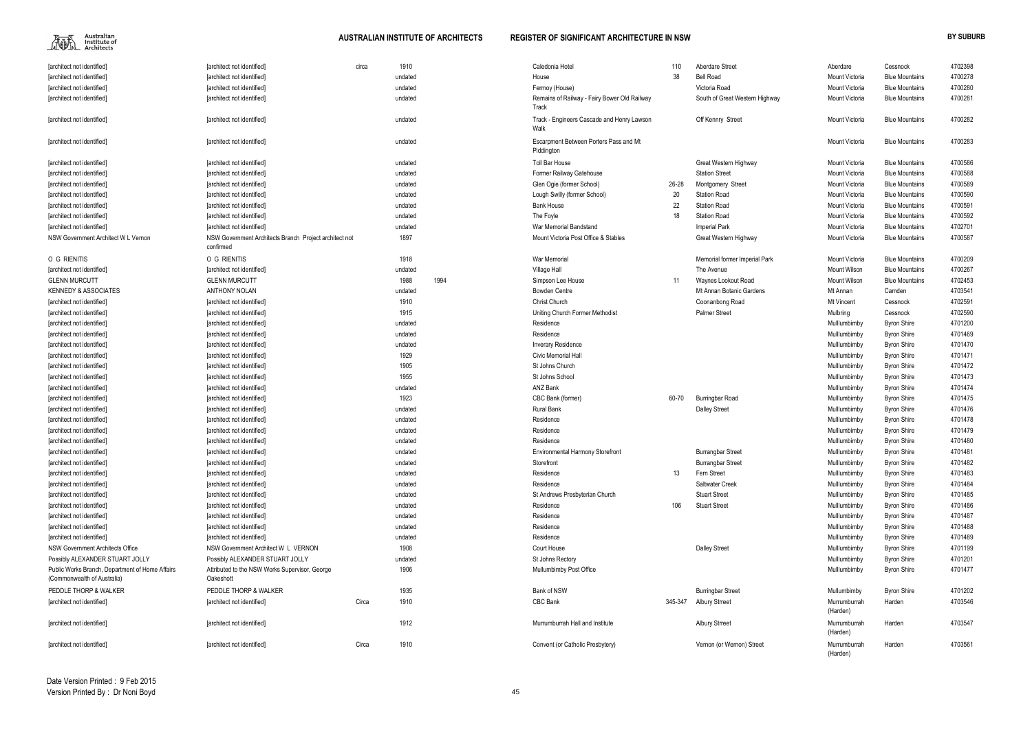$\begin{picture}(120,115) \put(0,0){\line(1,0){15}} \put(15,0){\line(1,0){15}} \put(15,0){\line(1,0){15}} \put(15,0){\line(1,0){15}} \put(15,0){\line(1,0){15}} \put(15,0){\line(1,0){15}} \put(15,0){\line(1,0){15}} \put(15,0){\line(1,0){15}} \put(15,0){\line(1,0){15}} \put(15,0){\line(1,0){15}} \put(15,0){\line(1,0){15}} \put(15,0){\line$ 

| [architect not identified]                                                     | [architect not identified]                                          | circa | 1910    |      | Caledonia Hotel                                       | 110     | Aberdare Street                | Aberdare                 | Cessnock              | 4702398 |
|--------------------------------------------------------------------------------|---------------------------------------------------------------------|-------|---------|------|-------------------------------------------------------|---------|--------------------------------|--------------------------|-----------------------|---------|
| [architect not identified]                                                     | [architect not identified]                                          |       | undated |      | House                                                 | 38      | <b>Bell Road</b>               | Mount Victoria           | <b>Blue Mountains</b> | 4700278 |
| [architect not identified]                                                     | [architect not identified]                                          |       | undated |      | Fermoy (House)                                        |         | Victoria Road                  | Mount Victoria           | <b>Blue Mountains</b> | 4700280 |
| [architect not identified]                                                     | [architect not identified]                                          |       | undated |      | Remains of Railway - Fairy Bower Old Railway<br>Track |         | South of Great Western Highway | Mount Victoria           | <b>Blue Mountains</b> | 4700281 |
| [architect not identified]                                                     | [architect not identified]                                          |       | undated |      | Track - Engineers Cascade and Henry Lawson<br>Walk    |         | Off Kennry Street              | Mount Victoria           | <b>Blue Mountains</b> | 4700282 |
| [architect not identified]                                                     | [architect not identified]                                          |       | undated |      | Escarpment Between Porters Pass and Mt<br>Piddington  |         |                                | Mount Victoria           | <b>Blue Mountains</b> | 4700283 |
| [architect not identified]                                                     | [architect not identified]                                          |       | undated |      | <b>Toll Bar House</b>                                 |         | Great Western Highway          | Mount Victoria           | <b>Blue Mountains</b> | 4700586 |
| [architect not identified]                                                     | [architect not identified]                                          |       | undated |      | Former Railway Gatehouse                              |         | <b>Station Street</b>          | Mount Victoria           | <b>Blue Mountains</b> | 4700588 |
| [architect not identified]                                                     | [architect not identified]                                          |       | undated |      | Glen Ogie (former School)                             | 26-28   | Montgomery Street              | Mount Victoria           | <b>Blue Mountains</b> | 4700589 |
| [architect not identified]                                                     | [architect not identified]                                          |       | undated |      | Lough Swilly (former School)                          | 20      | <b>Station Road</b>            | Mount Victoria           | <b>Blue Mountains</b> | 4700590 |
| [architect not identified]                                                     | [architect not identified]                                          |       | undated |      | <b>Bank House</b>                                     | 22      | <b>Station Road</b>            | Mount Victoria           | <b>Blue Mountains</b> | 4700591 |
| [architect not identified]                                                     | [architect not identified]                                          |       | undated |      | The Foyle                                             | 18      | <b>Station Road</b>            | Mount Victoria           | <b>Blue Mountains</b> | 4700592 |
| [architect not identified]                                                     | [architect not identified]                                          |       | undated |      | War Memorial Bandstand                                |         | <b>Imperial Park</b>           | Mount Victoria           | <b>Blue Mountains</b> | 4702701 |
| NSW Government Architect W L Vernon                                            | NSW Government Architects Branch Project architect not<br>confirmed |       | 1897    |      | Mount Victoria Post Office & Stables                  |         | Great Western Highway          | Mount Victoria           | <b>Blue Mountains</b> | 4700587 |
| O G RIENITIS                                                                   | O G RIENITIS                                                        |       | 1918    |      | War Memorial                                          |         | Memorial former Imperial Park  | Mount Victoria           | <b>Blue Mountains</b> | 4700209 |
| [architect not identified]                                                     | [architect not identified]                                          |       | undated |      | Village Hall                                          |         | The Avenue                     | <b>Mount Wilson</b>      | <b>Blue Mountains</b> | 4700267 |
| <b>GLENN MURCUTT</b>                                                           | <b>GLENN MURCUTT</b>                                                |       | 1988    | 1994 | Simpson Lee House                                     | 11      | Waynes Lookout Road            | Mount Wilson             | <b>Blue Mountains</b> | 4702453 |
| <b>KENNEDY &amp; ASSOCIATES</b>                                                | <b>ANTHONY NOLAN</b>                                                |       | undated |      | <b>Bowden Centre</b>                                  |         | Mt Annan Botanic Gardens       | Mt Annan                 | Camden                | 4703541 |
| <b>farchitect not identified</b>                                               | [architect not identified]                                          |       | 1910    |      | <b>Christ Church</b>                                  |         | Coonanbong Road                | Mt Vincent               | Cessnock              | 4702591 |
| [architect not identified]                                                     | [architect not identified]                                          |       | 1915    |      | Uniting Church Former Methodist                       |         | <b>Palmer Street</b>           | Mulbring                 | Cessnock              | 4702590 |
| [architect not identified]                                                     | [architect not identified]                                          |       | undated |      | Residence                                             |         |                                | Mulllumbimby             | <b>Byron Shire</b>    | 4701200 |
| [architect not identified]                                                     | [architect not identified]                                          |       | undated |      | Residence                                             |         |                                | Mulllumbimby             | <b>Byron Shire</b>    | 4701469 |
| [architect not identified]                                                     | [architect not identified]                                          |       | undated |      | <b>Inverary Residence</b>                             |         |                                | Mulllumbimby             | <b>Byron Shire</b>    | 4701470 |
| [architect not identified]                                                     | [architect not identified]                                          |       | 1929    |      | <b>Civic Memorial Hall</b>                            |         |                                | Mulllumbimby             | <b>Byron Shire</b>    | 4701471 |
| [architect not identified]                                                     | [architect not identified]                                          |       | 1905    |      | St Johns Church                                       |         |                                | Mulllumbimby             | <b>Byron Shire</b>    | 4701472 |
| [architect not identified]                                                     | [architect not identified]                                          |       | 1955    |      | St Johns School                                       |         |                                | Mulllumbimby             | <b>Byron Shire</b>    | 4701473 |
| [architect not identified]                                                     | [architect not identified]                                          |       | undated |      | <b>ANZ Bank</b>                                       |         |                                | Mulllumbimby             | <b>Byron Shire</b>    | 4701474 |
| [architect not identified]                                                     | [architect not identified]                                          |       | 1923    |      | CBC Bank (former)                                     | 60-70   | <b>Burringbar Road</b>         | Mulllumbimby             | <b>Byron Shire</b>    | 4701475 |
| [architect not identified]                                                     | [architect not identified]                                          |       | undated |      | Rural Bank                                            |         | <b>Dalley Street</b>           | Mulllumbimby             | <b>Byron Shire</b>    | 4701476 |
| [architect not identified]                                                     | [architect not identified]                                          |       | undated |      | Residence                                             |         |                                | Mulllumbimby             | <b>Byron Shire</b>    | 4701478 |
| [architect not identified]                                                     | [architect not identified]                                          |       | undated |      | Residence                                             |         |                                | Mulllumbimby             | <b>Byron Shire</b>    | 4701479 |
| [architect not identified]                                                     | [architect not identified]                                          |       | undated |      | Residence                                             |         |                                | Mulllumbimby             | <b>Byron Shire</b>    | 4701480 |
| [architect not identified]                                                     | [architect not identified]                                          |       | undated |      | <b>Environmental Harmony Storefront</b>               |         | <b>Burrangbar Street</b>       | Mulllumbimby             | <b>Byron Shire</b>    | 4701481 |
| [architect not identified]                                                     | [architect not identified]                                          |       | undated |      | Storefront                                            |         | <b>Burrangbar Street</b>       | Mulllumbimby             | <b>Byron Shire</b>    | 4701482 |
| [architect not identified]                                                     | [architect not identified]                                          |       | undated |      | Residence                                             | 13      | Fern Street                    | Mulllumbimby             | <b>Byron Shire</b>    | 4701483 |
| [architect not identified]                                                     | [architect not identified]                                          |       | undated |      | Residence                                             |         | Saltwater Creek                | Mulllumbimby             | <b>Byron Shire</b>    | 4701484 |
| [architect not identified]                                                     | [architect not identified]                                          |       | undated |      | St Andrews Presbyterian Church                        |         | <b>Stuart Street</b>           | Mulllumbimby             | <b>Byron Shire</b>    | 4701485 |
| [architect not identified]                                                     | [architect not identified]                                          |       | undated |      | Residence                                             | 106     | <b>Stuart Street</b>           | Mulllumbimby             | <b>Byron Shire</b>    | 4701486 |
| [architect not identified]                                                     | [architect not identified]                                          |       | undated |      | Residence                                             |         |                                | Mulllumbimby             | <b>Byron Shire</b>    | 4701487 |
| [architect not identified]                                                     | [architect not identified]                                          |       | undated |      | Residence                                             |         |                                | Mulllumbimby             | <b>Byron Shire</b>    | 4701488 |
| [architect not identified]                                                     | [architect not identified]                                          |       | undated |      | Residence                                             |         |                                | Mulllumbimby             | <b>Byron Shire</b>    | 4701489 |
| NSW Government Architects Office                                               | NSW Government Architect W L VERNON                                 |       | 1908    |      | Court House                                           |         | <b>Dalley Street</b>           | Mulllumbimby             | <b>Byron Shire</b>    | 4701199 |
| Possibly ALEXANDER STUART JOLLY                                                | Possibly ALEXANDER STUART JOLLY                                     |       | undated |      | St Johns Rectory                                      |         |                                | Mulllumbimby             | <b>Byron Shire</b>    | 4701201 |
| Public Works Branch, Department of Home Affairs<br>(Commonwealth of Australia) | Attributed to the NSW Works Supervisor, George<br>Oakeshott         |       | 1906    |      | Mullumbimby Post Office                               |         |                                | Mulllumbimby             | <b>Byron Shire</b>    | 4701477 |
| PEDDLE THORP & WALKER                                                          | PEDDLE THORP & WALKER                                               |       | 1935    |      | Bank of NSW                                           |         | <b>Burringbar Street</b>       | Mullumbimby              | <b>Byron Shire</b>    | 4701202 |
| [architect not identified]                                                     | [architect not identified]                                          | Circa | 1910    |      | CBC Bank                                              | 345-347 | <b>Albury Strreet</b>          | Murrumburrah<br>(Harden) | Harden                | 4703546 |
| [architect not identified]                                                     | [architect not identified]                                          |       | 1912    |      | Murrumburrah Hall and Institute                       |         | <b>Albury Strreet</b>          | Murrumburrah<br>(Harden) | Harden                | 4703547 |
| [architect not identified]                                                     | [architect not identified]                                          | Circa | 1910    |      | Convent (or Catholic Presbytery)                      |         | Vernon (or Wernon) Street      | Murrumburrah             | Harden                | 4703561 |

| Aberdare Street                            | Aberdare                     | Cessnock                                 | 4702398            |
|--------------------------------------------|------------------------------|------------------------------------------|--------------------|
| Bell Road                                  | Mount Victoria               | <b>Blue Mountains</b>                    | 4700278            |
| Victoria Road                              | Mount Victoria               | <b>Blue Mountains</b>                    | 4700280            |
| South of Great Western Highway             | Mount Victoria               | <b>Blue Mountains</b>                    | 4700281            |
| Off Kennry Street                          | Mount Victoria               | <b>Blue Mountains</b>                    | 4700282            |
|                                            | Mount Victoria               | <b>Blue Mountains</b>                    | 4700283            |
| Great Western Highway                      | Mount Victoria               | <b>Blue Mountains</b>                    | 4700586            |
| Station Street                             | Mount Victoria               | <b>Blue Mountains</b>                    | 4700588            |
| Montgomery Street                          | Mount Victoria               | <b>Blue Mountains</b>                    | 4700589            |
| Station Road                               | Mount Victoria               | <b>Blue Mountains</b>                    | 4700590            |
| Station Road                               | Mount Victoria               | <b>Blue Mountains</b>                    | 4700591            |
| Station Road                               | Mount Victoria               | <b>Blue Mountains</b>                    | 4700592            |
| <b>Imperial Park</b>                       | Mount Victoria               | <b>Blue Mountains</b>                    | 4702701            |
| Great Western Highway                      | Mount Victoria               | <b>Blue Mountains</b>                    | 4700587            |
| Memorial former Imperial Park              | Mount Victoria               | <b>Blue Mountains</b>                    | 4700209            |
| The Avenue                                 | Mount Wilson                 | <b>Blue Mountains</b>                    | 4700267            |
| Waynes Lookout Road                        | Mount Wilson                 | <b>Blue Mountains</b>                    | 4702453            |
| Mt Annan Botanic Gardens                   | Mt Annan                     | Camden                                   | 4703541            |
| Coonanbong Road                            | Mt Vincent                   | Cessnock                                 | 4702591            |
| Palmer Street                              | Mulbring                     | Cessnock                                 | 4702590            |
|                                            | Mulllumbimby                 | <b>Byron Shire</b>                       | 4701200            |
|                                            | Mulllumbimby                 | <b>Byron Shire</b>                       | 4701469            |
|                                            | Mulllumbimby                 | <b>Byron Shire</b>                       | 4701470            |
|                                            | Mulllumbimby                 | <b>Byron Shire</b>                       | 4701471            |
|                                            | Mulllumbimby                 | <b>Byron Shire</b>                       | 4701472            |
|                                            | Mulllumbimby                 | <b>Byron Shire</b>                       | 4701473            |
|                                            | Mulllumbimby                 | <b>Byron Shire</b>                       | 4701474            |
| Burringbar Road                            | Mulllumbimby                 | <b>Byron Shire</b>                       | 4701475            |
| Dalley Street                              | Mulllumbimby                 | <b>Byron Shire</b>                       | 4701476            |
|                                            | Mulllumbimby                 | <b>Byron Shire</b>                       | 4701478            |
|                                            | Mulllumbimby                 | <b>Byron Shire</b>                       | 4701479            |
|                                            | Mulllumbimby                 | <b>Byron Shire</b>                       | 4701480            |
| Burrangbar Street                          | Mulllumbimby                 | <b>Byron Shire</b>                       | 4701481            |
| Burrangbar Street                          | Mulllumbimby                 | <b>Byron Shire</b>                       | 4701482            |
| Fern Street                                | Mulllumbimby                 | <b>Byron Shire</b>                       | 4701483            |
| Saltwater Creek                            | Mulllumbimby                 | <b>Byron Shire</b>                       | 4701484            |
| <b>Stuart Street</b>                       | Mulllumbimby                 | <b>Byron Shire</b>                       | 4701485            |
| <b>Stuart Street</b>                       | Mulllumbimby                 | <b>Byron Shire</b>                       | 4701486            |
|                                            | Mulllumbimby                 | <b>Byron Shire</b>                       | 4701487            |
|                                            | Mulllumbimby                 | <b>Byron Shire</b>                       | 4701488            |
|                                            | Mulllumbimby                 | <b>Byron Shire</b>                       | 4701489            |
| Dalley Street                              | Mulllumbimby                 | <b>Byron Shire</b>                       | 4701199            |
|                                            | Mulllumbimby<br>Mulllumbimby | <b>Byron Shire</b><br><b>Byron Shire</b> | 4701201<br>4701477 |
|                                            | Mullumbimby                  |                                          | 4701202            |
| <b>Burringbar Street</b><br>Albury Strreet | Murrumburrah                 | <b>Byron Shire</b>                       |                    |
|                                            | (Harden)                     | Harden                                   | 4703546            |
| Albury Strreet                             | Murrumburrah<br>(Harden)     | Harden                                   | 4703547            |
| Vernon (or Wernon) Street                  | Murrumburrah<br>(Harden)     | Harden                                   | 4703561            |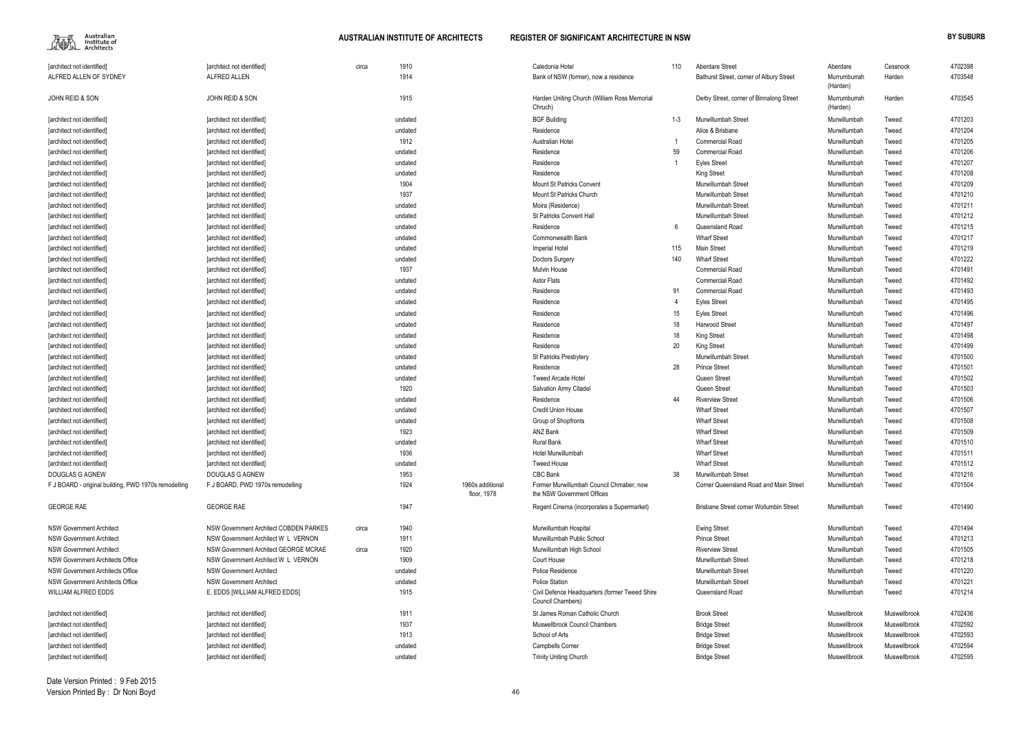$\begin{picture}(120,110) \put(0,0){\line(1,0){15}} \put(15,0){\line(1,0){15}} \put(15,0){\line(1,0){15}} \put(15,0){\line(1,0){15}} \put(15,0){\line(1,0){15}} \put(15,0){\line(1,0){15}} \put(15,0){\line(1,0){15}} \put(15,0){\line(1,0){15}} \put(15,0){\line(1,0){15}} \put(15,0){\line(1,0){15}} \put(15,0){\line(1,0){15}} \put(15,0){\line$ 

| [architect not identified]                           | [architect not identified]             | circa | 1910    |                  | Caledonia Hotel                                                     | 110     | <b>Aberdare Street</b>                   | Aberdare                 | Cessnock     | 4702398 |
|------------------------------------------------------|----------------------------------------|-------|---------|------------------|---------------------------------------------------------------------|---------|------------------------------------------|--------------------------|--------------|---------|
| ALFRED ALLEN OF SYDNEY                               | ALFRED ALLEN                           |       | 1914    |                  | Bank of NSW (former), now a residence                               |         | Bathurst Street, corner of Albury Street | Murrumburrah<br>(Harden) | Harden       | 4703548 |
| JOHN REID & SON                                      | JOHN REID & SON                        |       | 1915    |                  | Harden Uniting Church (William Ross Memorial<br>Chruch)             |         | Derby Street, corner of Binnalong Street | Murrumburrah<br>(Harden) | Harden       | 4703545 |
| [architect not identified]                           | [architect not identified]             |       | undated |                  | <b>BGF Building</b>                                                 | $1 - 3$ | Murwillumbah Street                      | Murwillumbah             | Tweed        | 4701203 |
| [architect not identified]                           | [architect not identified]             |       | undated |                  | Residence                                                           |         | Alice & Brisbane                         | Murwillumbah             | Tweed        | 4701204 |
| [architect not identified]                           | [architect not identified]             |       | 1912    |                  | Australian Hotel                                                    |         | <b>Commercial Road</b>                   | Murwillumbah             | Tweed        | 4701205 |
| [architect not identified]                           | [architect not identified]             |       | undated |                  | Residence                                                           | 59      | <b>Commercial Road</b>                   | Murwillumbah             | Tweed        | 4701206 |
| [architect not identified]                           | [architect not identified]             |       | undated |                  | Residence                                                           |         | <b>Eyles Street</b>                      | Murwillumbah             | Tweed        | 4701207 |
| [architect not identified]                           | [architect not identified]             |       | undated |                  | Residence                                                           |         | <b>King Street</b>                       | Murwillumbah             | Tweed        | 4701208 |
| [architect not identified]                           | [architect not identified]             |       | 1904    |                  | Mount St Patricks Convent                                           |         | Murwillumbah Street                      | Murwillumbah             | Tweed        | 4701209 |
| [architect not identified]                           | [architect not identified]             |       | 1937    |                  | Mount St Patricks Church                                            |         | Murwillumbah Street                      | Murwillumbah             | Tweed        | 4701210 |
| [architect not identified]                           | [architect not identified]             |       | undated |                  | Moira (Residence)                                                   |         | Murwillumbah Street                      | Murwillumbah             | Tweed        | 4701211 |
| [architect not identified]                           | [architect not identified]             |       | undated |                  | <b>St Patricks Convent Hall</b>                                     |         | Murwillumbah Street                      | Murwillumbah             | Tweed        | 4701212 |
| [architect not identified]                           | [architect not identified]             |       | undated |                  | Residence                                                           | 6       | Queensland Road                          | Murwillumbah             | Tweed        | 4701215 |
| [architect not identified]                           | [architect not identified]             |       | undated |                  | Commonwealth Bank                                                   |         | <b>Wharf Street</b>                      | Murwillumbah             | Tweed        | 4701217 |
| [architect not identified]                           | [architect not identified]             |       | undated |                  | <b>Imperial Hotel</b>                                               | 115     | Main Street                              | Murwillumbah             | Tweed        | 4701219 |
| architect not identified                             | [architect not identified]             |       | undated |                  | Doctors Surgery                                                     | 140     | <b>Wharf Street</b>                      | Murwillumbah             | Tweed        | 4701222 |
| [architect not identified]                           | [architect not identified]             |       | 1937    |                  | Mulvin House                                                        |         | <b>Commercial Road</b>                   | Murwillumbah             | Tweed        | 4701491 |
| [architect not identified]                           | [architect not identified]             |       | undated |                  | <b>Astor Flats</b>                                                  |         | <b>Commercial Road</b>                   | Murwillumbah             | Tweed        | 4701492 |
| [architect not identified]                           | [architect not identified]             |       | undated |                  | Residence                                                           | 91      | <b>Commercial Road</b>                   | Murwillumbah             | Tweed        | 4701493 |
| [architect not identified]                           | [architect not identified]             |       | undated |                  | Residence                                                           |         | <b>Eyles Street</b>                      | Murwillumbah             | Tweed        | 4701495 |
| [architect not identified]                           | [architect not identified]             |       | undated |                  | Residence                                                           | 15      | <b>Eyles Street</b>                      | Murwillumbah             | Tweed        | 4701496 |
| [architect not identified]                           | [architect not identified]             |       | undated |                  | Residence                                                           | 18      | Harwood Street                           | Murwillumbah             | Tweed        | 4701497 |
| [architect not identified]                           | [architect not identified]             |       | undated |                  | Residence                                                           | 18      | <b>King Street</b>                       | Murwillumbah             | Tweed        | 4701498 |
| [architect not identified]                           | [architect not identified]             |       | undated |                  | Residence                                                           | 20      | <b>King Street</b>                       | Murwillumbah             | Tweed        | 4701499 |
| [architect not identified]                           | [architect not identified]             |       | undated |                  | St Patricks Presbytery                                              |         | Murwillumbah Street                      | Murwillumbah             | Tweed        | 4701500 |
| [architect not identified]                           | [architect not identified]             |       | undated |                  | Residence                                                           | 28      | <b>Prince Street</b>                     | Murwillumbah             | Tweed        | 4701501 |
| [architect not identified]                           | [architect not identified]             |       | undated |                  | <b>Tweed Arcade Hotel</b>                                           |         | Queen Street                             | Murwillumbah             | Tweed        | 4701502 |
| [architect not identified]                           | [architect not identified]             |       | 1920    |                  | <b>Salvation Army Citadel</b>                                       |         | Queen Street                             | Murwillumbah             | Tweed        | 4701503 |
| [architect not identified]                           | [architect not identified]             |       | undated |                  | Residence                                                           | 44      | <b>Riverview Street</b>                  | Murwillumbah             | Tweed        | 4701506 |
| [architect not identified]                           | [architect not identified]             |       | undated |                  | <b>Credit Union House</b>                                           |         | <b>Wharf Street</b>                      | Murwillumbah             | Tweed        | 4701507 |
| [architect not identified]                           | [architect not identified]             |       | undated |                  | Group of Shopfronts                                                 |         | <b>Wharf Street</b>                      | Murwillumbah             | Tweed        | 4701508 |
| [architect not identified]                           | [architect not identified]             |       | 1923    |                  | ANZ Bank                                                            |         | <b>Wharf Street</b>                      | Murwillumbah             | Tweed        | 4701509 |
| [architect not identified]                           | [architect not identified]             |       | undated |                  | <b>Rural Bank</b>                                                   |         | <b>Wharf Street</b>                      | Murwillumbah             | Tweed        | 4701510 |
| [architect not identified]                           | [architect not identified]             |       | 1936    |                  | Hotel Murwillumbah                                                  |         | <b>Wharf Street</b>                      | Murwillumbah             | Tweed        | 4701511 |
| [architect not identified]                           | [architect not identified]             |       | undated |                  | <b>Tweed House</b>                                                  |         | <b>Wharf Street</b>                      | Murwillumbah             | Tweed        | 4701512 |
| DOUGLAS G AGNEW                                      | DOUGLAS G AGNEW                        |       | 1953    |                  | CBC Bank                                                            | 38      | Murwillumbah Street                      | Murwillumbah             | Tweed        | 4701216 |
| F J BOARD - original building, PWD 1970s remodelling | F J BOARD, PWD 1970s remodelling       |       | 1924    | 1960s additional | Former Murwillumbah Council Chmaber, now                            |         | Corner Queensland Road and Main Street   | Murwillumbah             | Tweed        | 4701504 |
|                                                      |                                        |       |         | floor, 1978      | the NSW Government Offices                                          |         |                                          |                          |              |         |
| <b>GEORGE RAE</b>                                    | <b>GEORGE RAE</b>                      |       | 1947    |                  | Regent Cinema (incorporates a Supermarket)                          |         | Brisbane Street corner Wollumbin Street  | Murwillumbah             | Tweed        | 4701490 |
| <b>NSW Government Architect</b>                      | NSW Government Architect COBDEN PARKES | circa | 1940    |                  | Murwillumbah Hospital                                               |         | <b>Ewing Street</b>                      | Murwillumbah             | Tweed        | 4701494 |
| <b>NSW Government Architect</b>                      | NSW Government Architect W L VERNON    |       | 1911    |                  | Murwillumbah Public School                                          |         | <b>Prince Street</b>                     | Murwillumbah             | Tweed        | 4701213 |
| <b>NSW Government Architect</b>                      | NSW Government Architect GEORGE MCRAE  | circa | 1920    |                  | Murwillumbah High School                                            |         | <b>Riverview Street</b>                  | Murwillumbah             | Tweed        | 4701505 |
| NSW Government Architects Office                     | NSW Government Architect W L VERNON    |       | 1909    |                  | Court House                                                         |         | Murwillumbah Street                      | Murwillumbah             | Tweed        | 4701218 |
| <b>NSW Government Architects Office</b>              | <b>NSW Government Architect</b>        |       | undated |                  | Police Residence                                                    |         | Murwillumbah Street                      | Murwillumbah             | Tweed        | 4701220 |
| <b>NSW Government Architects Office</b>              | <b>NSW Government Architect</b>        |       | undated |                  | <b>Police Station</b>                                               |         | Murwillumbah Street                      | Murwillumbah             | Tweed        | 4701221 |
| WILLIAM ALFRED EDDS                                  | E. EDDS [WILLIAM ALFRED EDDS]          |       | 1915    |                  | Civil Defence Headquarters (former Tweed Shire<br>Council Chambers) |         | Queensland Road                          | Murwillumbah             | Tweed        | 4701214 |
| [architect not identified]                           | [architect not identified]             |       | 1911    |                  | St James Roman Catholic Church                                      |         | <b>Brook Street</b>                      | Muswellbrook             | Muswellbrook | 4702436 |
| [architect not identified]                           | [architect not identified]             |       | 1937    |                  | Muswellbrook Council Chambers                                       |         | <b>Bridge Street</b>                     | Muswellbrook             | Muswellbrook | 4702592 |
| [architect not identified]                           | [architect not identified]             |       | 1913    |                  | School of Arts                                                      |         | <b>Bridge Street</b>                     | Muswellbrook             | Muswellbrook | 4702593 |
| [architect not identified]                           | [architect not identified]             |       | undated |                  | <b>Campbells Corner</b>                                             |         | <b>Bridge Street</b>                     | Muswellbrook             | Muswellbrook | 4702594 |
| [architect not identified]                           | [architect not identified]             |       | undated |                  | <b>Trinity Uniting Church</b>                                       |         | <b>Bridge Street</b>                     | Muswellbrook             | Muswellbrook | 4702595 |
|                                                      |                                        |       |         |                  |                                                                     |         |                                          |                          |              |         |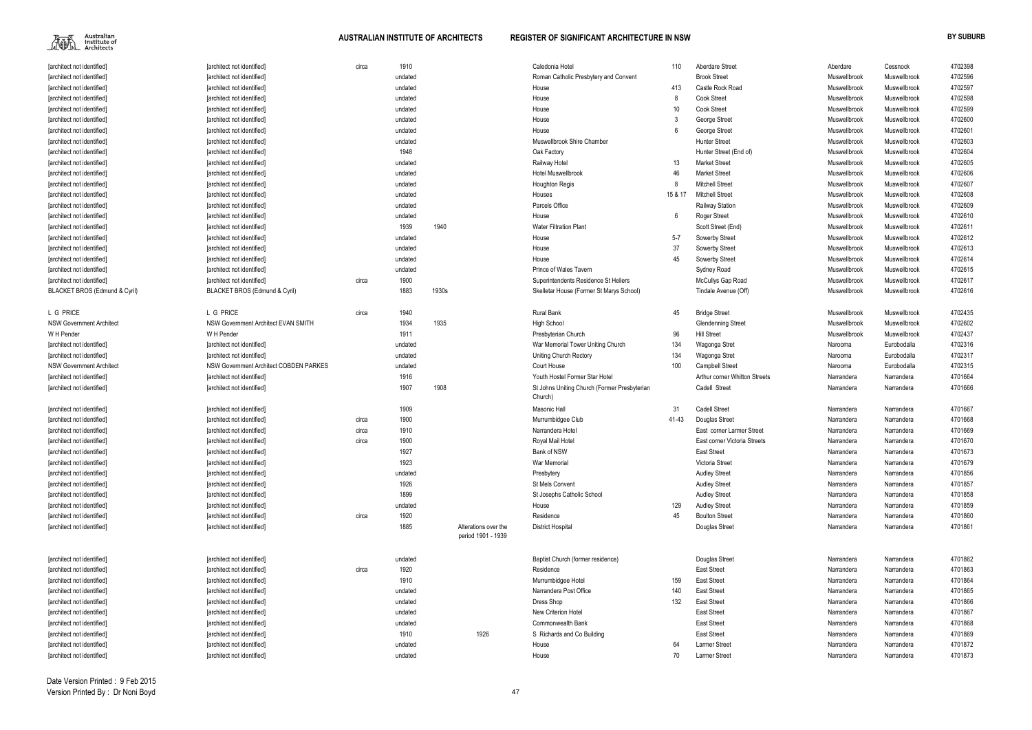Australian<br>Institute of<br>Architects 編

### **AUSTRALIAN INSTITUTE OF ARCHITECTS REGISTER OF SIGNIFICANT ARCHITECTURE IN NSW BY SUBURB**

| [architect not identified]        | [architect not identified]                    | circa | 1910    |       |                      | Caledonia Hotel                              | 110             | <b>Aberdare Street</b>        | Aberdare     | Cessnock     | 4702398 |
|-----------------------------------|-----------------------------------------------|-------|---------|-------|----------------------|----------------------------------------------|-----------------|-------------------------------|--------------|--------------|---------|
| [architect not identified]        | [architect not identified]                    |       | undated |       |                      | Roman Catholic Presbytery and Convent        |                 | <b>Brook Street</b>           | Muswellbrook | Muswellbrook | 4702596 |
| [architect not identified]        | [architect not identified]                    |       | undated |       |                      | House                                        | 413             | Castle Rock Road              | Muswellbrook | Muswellbrook | 4702597 |
| [architect not identified]        | [architect not identified]                    |       | undated |       |                      | House                                        |                 | <b>Cook Street</b>            | Muswellbrook | Muswellbrook | 4702598 |
| [architect not identified]        | [architect not identified]                    |       | undated |       |                      | House                                        | 10 <sup>°</sup> | <b>Cook Street</b>            | Muswellbrook | Muswellbrook | 4702599 |
| [architect not identified]        | [architect not identified]                    |       | undated |       |                      | House                                        |                 | George Street                 | Muswellbrook | Muswellbrook | 4702600 |
| [architect not identified]        | [architect not identified]                    |       | undated |       |                      | House                                        |                 | George Street                 | Muswellbrook | Muswellbrook | 4702601 |
| [architect not identified]        | [architect not identified]                    |       | undated |       |                      | Muswellbrook Shire Chamber                   |                 | <b>Hunter Street</b>          | Muswellbrook | Muswellbrook | 4702603 |
| [architect not identified]        | [architect not identified]                    |       | 1948    |       |                      | Oak Factory                                  |                 | Hunter Street (End of)        | Muswellbrook | Muswellbrook | 4702604 |
| [architect not identified]        | [architect not identified]                    |       | undated |       |                      | Railway Hotel                                | 13              | <b>Market Street</b>          | Muswellbrook | Muswellbrook | 4702605 |
| [architect not identified]        | [architect not identified]                    |       | undated |       |                      | <b>Hotel Muswellbrook</b>                    | 46              | <b>Market Street</b>          | Muswellbrook | Muswellbrook | 4702606 |
| [architect not identified]        | [architect not identified]                    |       | undated |       |                      | <b>Houghton Regis</b>                        |                 | <b>Mitchell Street</b>        | Muswellbrook | Muswellbrook | 4702607 |
| [architect not identified]        | [architect not identified]                    |       | undated |       |                      | Houses                                       | 15 & 17         | <b>Mitchell Street</b>        | Muswellbrook | Muswellbrook | 4702608 |
| [architect not identified]        | [architect not identified]                    |       | undated |       |                      | Parcels Office                               |                 | Railway Station               | Muswellbrook | Muswellbrook | 4702609 |
| [architect not identified]        | [architect not identified]                    |       | undated |       |                      | House                                        | 6               | <b>Roger Street</b>           | Muswellbrook | Muswellbrook | 4702610 |
| [architect not identified]        | [architect not identified]                    |       | 1939    | 1940  |                      | <b>Water Filtration Plant</b>                |                 | Scott Street (End)            | Muswellbrook | Muswellbrook | 4702611 |
| [architect not identified]        | [architect not identified]                    |       | undated |       |                      | House                                        | $5 - 7$         | Sowerby Street                | Muswellbrook | Muswellbrook | 4702612 |
| [architect not identified]        | [architect not identified]                    |       | undated |       |                      | House                                        | 37              | Sowerby Street                | Muswellbrook | Muswellbrook | 4702613 |
| [architect not identified]        | [architect not identified]                    |       | undated |       |                      | House                                        | 45              | Sowerby Street                | Muswellbrook | Muswellbrook | 4702614 |
| [architect not identified]        | [architect not identified]                    |       | undated |       |                      | <b>Prince of Wales Tavern</b>                |                 | Sydney Road                   | Muswellbrook | Muswellbrook | 4702615 |
| [architect not identified]        | [architect not identified]                    | circa | 1900    |       |                      | Superintendents Residence St Heliers         |                 | McCullys Gap Road             | Muswellbrook | Muswellbrook | 4702617 |
| BLACKET BROS (Edmund & Cyril)     | BLACKET BROS (Edmund & Cyril)                 |       | 1883    | 1930s |                      | Skelletar House (Former St Marys School)     |                 | Tindale Avenue (Off)          | Muswellbrook | Muswellbrook | 4702616 |
|                                   |                                               |       |         |       |                      |                                              |                 |                               |              |              |         |
| L G PRICE                         | L G PRICE                                     | circa | 1940    |       |                      | <b>Rural Bank</b>                            | 45              | <b>Bridge Street</b>          | Muswellbrook | Muswellbrook | 4702435 |
| <b>NSW Government Architect</b>   | NSW Government Architect EVAN SMITH           |       | 1934    | 1935  |                      | <b>High School</b>                           |                 | <b>Glendenning Street</b>     | Muswellbrook | Muswellbrook | 4702602 |
| W H Pender                        | W H Pender                                    |       | 1911    |       |                      | Presbyterian Church                          | 96              | <b>Hill Street</b>            | Muswellbrook | Muswellbrook | 4702437 |
| [architect not identified]        | [architect not identified]                    |       | undated |       |                      | War Memorial Tower Uniting Church            | 134             | Wagonga Stret                 | Narooma      | Eurobodalla  | 4702316 |
| [architect not identified]        | [architect not identified]                    |       | undated |       |                      | Uniting Church Rectory                       | 134             | Wagonga Stret                 | Narooma      | Eurobodalla  | 4702317 |
| NSW Government Architect          | <b>NSW Government Architect COBDEN PARKES</b> |       | undated |       |                      | Court House                                  | 100             | <b>Campbell Street</b>        | Narooma      | Eurobodalla  | 4702315 |
| [architect not identified]        | [architect not identified]                    |       | 1916    |       |                      | Youth Hostel Former Star Hotel               |                 | Arthur corner Whitton Streets | Narrandera   | Narrandera   | 4701664 |
| [architect not identified]        | [architect not identified]                    |       | 1907    | 1908  |                      | St Johns Uniting Church (Former Presbyterian |                 | Cadell Street                 | Narrandera   | Narrandera   | 4701666 |
|                                   |                                               |       |         |       |                      | Church)                                      |                 |                               |              |              |         |
| [architect not identified]        | [architect not identified]                    |       | 1909    |       |                      | Masonic Hall                                 | 31              | <b>Cadell Street</b>          | Narrandera   | Narrandera   | 4701667 |
| [architect not identified]        | [architect not identified]                    | circa | 1900    |       |                      | Murrumbidgee Club                            | 41-43           | Douglas Street                | Narrandera   | Narrandera   | 4701668 |
| [architect not identified]        | [architect not identified]                    | circa | 1910    |       |                      | Narrandera Hotel                             |                 | East corner Larmer Street     | Narrandera   | Narrandera   | 4701669 |
| <b>Tarchitect not identified]</b> | [architect not identified]                    | circa | 1900    |       |                      | Royal Mail Hotel                             |                 | East corner Victoria Streets  | Narrandera   | Narrandera   | 4701670 |
| [architect not identified]        | [architect not identified]                    |       | 1927    |       |                      | Bank of NSW                                  |                 | East Street                   | Narrandera   | Narrandera   | 4701673 |
| [architect not identified]        | [architect not identified]                    |       | 1923    |       |                      | War Memorial                                 |                 | Victoria Street               | Narrandera   | Narrandera   | 4701679 |
| [architect not identified]        | [architect not identified]                    |       | undated |       |                      | Presbytery                                   |                 | <b>Audley Street</b>          | Narrandera   | Narrandera   | 4701856 |
| [architect not identified]        | [architect not identified]                    |       | 1926    |       |                      | <b>St Mels Convent</b>                       |                 | <b>Audley Street</b>          | Narrandera   | Narrandera   | 4701857 |
| [architect not identified]        | [architect not identified]                    |       | 1899    |       |                      | St Josephs Catholic School                   |                 | <b>Audley Street</b>          | Narrandera   | Narrandera   | 4701858 |
| [architect not identified]        | [architect not identified]                    |       | undated |       |                      | House                                        | 129             | <b>Audley Street</b>          | Narrandera   | Narrandera   | 4701859 |
| [architect not identified]        | [architect not identified]                    | circa | 1920    |       |                      | Residence                                    | 45              | <b>Boulton Street</b>         | Narrandera   | Narrandera   | 4701860 |
| [architect not identified]        | [architect not identified]                    |       | 1885    |       | Alterations over the | <b>District Hospital</b>                     |                 | Douglas Street                | Narrandera   | Narrandera   | 4701861 |
|                                   |                                               |       |         |       | period 1901 - 1939   |                                              |                 |                               |              |              |         |
|                                   |                                               |       |         |       |                      |                                              |                 |                               |              |              |         |
| [architect not identified]        | [architect not identified]                    |       | undated |       |                      | Baptist Church (former residence)            |                 | Douglas Street                | Narrandera   | Narrandera   | 4701862 |
| [architect not identified]        | [architect not identified]                    | circa | 1920    |       |                      | Residence                                    |                 | <b>East Street</b>            | Narrandera   | Narrandera   | 4701863 |
| [architect not identified]        | [architect not identified]                    |       | 1910    |       |                      | Murrumbidgee Hotel                           | 159             | <b>East Street</b>            | Narrandera   | Narrandera   | 4701864 |
| [architect not identified]        | [architect not identified]                    |       | undated |       |                      | Narrandera Post Office                       | 140             | <b>East Street</b>            | Narrandera   | Narrandera   | 4701865 |
| [architect not identified]        | [architect not identified]                    |       | undated |       |                      | Dress Shop                                   | 132             | <b>East Street</b>            | Narrandera   | Narrandera   | 4701866 |
| [architect not identified]        | [architect not identified]                    |       | undated |       |                      | New Criterion Hotel                          |                 | <b>East Street</b>            | Narrandera   | Narrandera   | 4701867 |
| [architect not identified]        | [architect not identified]                    |       | undated |       |                      | Commonwealth Bank                            |                 | <b>East Street</b>            | Narrandera   | Narrandera   | 4701868 |
| [architect not identified]        | [architect not identified]                    |       | 1910    |       | 1926                 | S Richards and Co Building                   |                 | <b>East Street</b>            | Narrandera   | Narrandera   | 4701869 |
| [architect not identified]        | [architect not identified]                    |       | undated |       |                      | House                                        | 64              | <b>Larmer Street</b>          | Narrandera   | Narrandera   | 4701872 |
| [architect not identified]        | [architect not identified]                    |       | undated |       |                      | House                                        | 70              | <b>Larmer Street</b>          | Narrandera   | Narrandera   | 4701873 |

4701872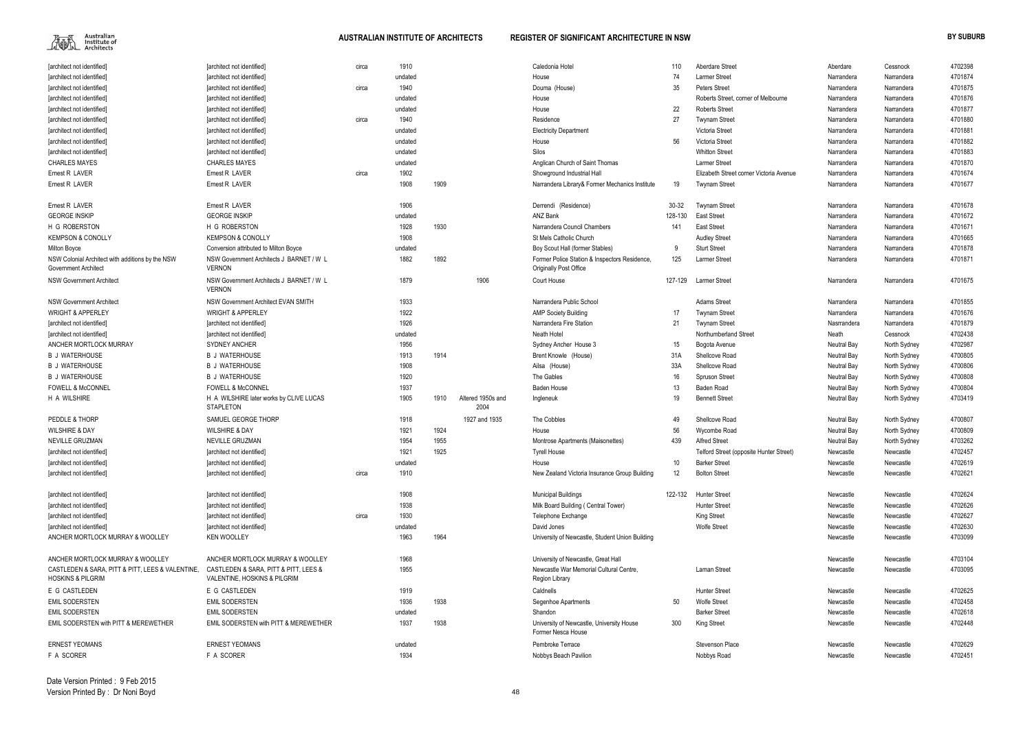

| [architect not identified]                                                       | [architect not identified]                                            | circa | 1910    |      |                           | Caledonia Hotel                                                 | 110     | <b>Aberdare Street</b>                  | Aberdare    | Cessnock     | 4702398 |
|----------------------------------------------------------------------------------|-----------------------------------------------------------------------|-------|---------|------|---------------------------|-----------------------------------------------------------------|---------|-----------------------------------------|-------------|--------------|---------|
| [architect not identified]                                                       | [architect not identified]                                            |       | undated |      |                           | House                                                           | 74      | <b>Larmer Street</b>                    | Narrandera  | Narrandera   | 4701874 |
| [architect not identified]                                                       | [architect not identified]                                            | circa | 1940    |      |                           | Douma (House)                                                   | 35      | <b>Peters Street</b>                    | Narrandera  | Narrandera   | 4701875 |
| [architect not identified]                                                       | [architect not identified]                                            |       | undated |      |                           | House                                                           |         | Roberts Street, corner of Melbourne     | Narrandera  | Narrandera   | 4701876 |
| [architect not identified                                                        | [architect not identified]                                            |       | undated |      |                           | House                                                           | 22      | <b>Roberts Street</b>                   | Narrandera  | Narrandera   | 4701877 |
| [architect not identified]                                                       | [architect not identified]                                            | circa | 1940    |      |                           | Residence                                                       | 27      | <b>Twynam Street</b>                    | Narrandera  | Narrandera   | 4701880 |
| [architect not identified]                                                       | [architect not identified]                                            |       | undated |      |                           | <b>Electricity Department</b>                                   |         | Victoria Street                         | Narrandera  | Narrandera   | 4701881 |
| [architect not identified]                                                       | [architect not identified]                                            |       | undated |      |                           | House                                                           | 56      | Victoria Street                         | Narrandera  | Narrandera   | 4701882 |
| [architect not identified]                                                       | [architect not identified]                                            |       | undated |      |                           | Silos                                                           |         | <b>Whitton Street</b>                   | Narrandera  | Narrandera   | 4701883 |
| <b>CHARLES MAYES</b>                                                             | <b>CHARLES MAYES</b>                                                  |       | undated |      |                           | Anglican Church of Saint Thomas                                 |         | <b>Larmer Street</b>                    | Narrandera  | Narrandera   | 4701870 |
| Ernest R LAVER                                                                   | Ernest R LAVER                                                        | circa | 1902    |      |                           | Showground Industrial Hall                                      |         | Elizabeth Street corner Victoria Avenue | Narrandera  | Narrandera   | 4701674 |
| Ernest R LAVER                                                                   | Ernest R LAVER                                                        |       | 1908    | 1909 |                           | Narrandera Library& Former Mechanics Institute                  | 19      | <b>Twynam Street</b>                    | Narrandera  | Narrandera   | 4701677 |
| Ernest R LAVER                                                                   | Ernest R LAVER                                                        |       | 1906    |      |                           | Derrendi (Residence)                                            | 30-32   | <b>Twynam Street</b>                    | Narrandera  | Narrandera   | 4701678 |
| <b>GEORGE INSKIP</b>                                                             | <b>GEORGE INSKIP</b>                                                  |       | undated |      |                           | <b>ANZ Bank</b>                                                 | 128-130 | <b>East Street</b>                      | Narrandera  | Narrandera   | 4701672 |
| H G ROBERSTON                                                                    | H G ROBERSTON                                                         |       | 1928    | 1930 |                           | Narrandera Council Chambers                                     | 141     | <b>East Street</b>                      | Narrandera  | Narrandera   | 4701671 |
| <b>KEMPSON &amp; CONOLLY</b>                                                     | <b>KEMPSON &amp; CONOLLY</b>                                          |       | 1908    |      |                           | St Mels Catholic Church                                         |         | <b>Audley Street</b>                    | Narrandera  | Narrandera   | 4701665 |
| Milton Boyce                                                                     | Conversion attributed to Milton Boyce                                 |       | undated |      |                           | Boy Scout Hall (former Stables)                                 | -9      | <b>Sturt Street</b>                     | Narrandera  | Narrandera   | 4701878 |
| NSW Colonial Architect with additions by the NSW                                 | NSW Government Architects J BARNET / W L                              |       | 1882    | 1892 |                           | Former Police Station & Inspectors Residence,                   | 125     | Larmer Street                           | Narrandera  | Narrandera   | 4701871 |
| Government Architect                                                             | <b>VERNON</b>                                                         |       |         |      |                           | <b>Originally Post Office</b>                                   |         |                                         |             |              |         |
| <b>NSW Government Architect</b>                                                  | NSW Government Architects J BARNET / W L<br><b>VERNON</b>             |       | 1879    |      | 1906                      | Court House                                                     | 127-129 | <b>Larmer Street</b>                    | Narrandera  | Narrandera   | 4701675 |
| <b>NSW Government Architect</b>                                                  | <b>NSW Government Architect EVAN SMITH</b>                            |       | 1933    |      |                           | Narrandera Public School                                        |         | <b>Adams Street</b>                     | Narrandera  | Narrandera   | 4701855 |
| <b>WRIGHT &amp; APPERLEY</b>                                                     | <b>WRIGHT &amp; APPERLEY</b>                                          |       | 1922    |      |                           | <b>AMP Society Building</b>                                     | 17      | <b>Twynam Street</b>                    | Narrandera  | Narrandera   | 4701676 |
| [architect not identified]                                                       | [architect not identified]                                            |       | 1926    |      |                           | Narrandera Fire Station                                         | 21      | <b>Twynam Street</b>                    | Nasrrandera | Narrandera   | 4701879 |
| [architect not identified]                                                       | [architect not identified]                                            |       | undated |      |                           | Neath Hotel                                                     |         | Northumberland Street                   | Neath       | Cessnock     | 4702438 |
| ANCHER MORTLOCK MURRAY                                                           | <b>SYDNEY ANCHER</b>                                                  |       | 1956    |      |                           | Sydney Ancher House 3                                           | 15      | Bogota Avenue                           | Neutral Bay | North Sydney | 4702987 |
| <b>B J WATERHOUSE</b>                                                            | <b>B J WATERHOUSE</b>                                                 |       | 1913    | 1914 |                           | Brent Knowle (House)                                            | 31A     | Shellcove Road                          | Neutral Bay | North Sydney | 4700805 |
| <b>B J WATERHOUSE</b>                                                            | <b>B J WATERHOUSE</b>                                                 |       | 1908    |      |                           | Ailsa (House)                                                   | 33A     | Shellcove Road                          | Neutral Bay | North Sydney | 4700806 |
| <b>B J WATERHOUSE</b>                                                            | <b>B J WATERHOUSE</b>                                                 |       | 1920    |      |                           | The Gables                                                      | 16      | <b>Spruson Street</b>                   | Neutral Bay | North Sydney | 4700808 |
| <b>FOWELL &amp; McCONNEL</b>                                                     | <b>FOWELL &amp; McCONNEL</b>                                          |       | 1937    |      |                           | <b>Baden House</b>                                              | 13      | <b>Baden Road</b>                       | Neutral Bay | North Sydney | 4700804 |
| H A WILSHIRE                                                                     | H A WILSHIRE later works by CLIVE LUCAS<br><b>STAPLETON</b>           |       | 1905    | 1910 | Altered 1950s and<br>2004 | Ingleneuk                                                       | 19      | <b>Bennett Street</b>                   | Neutral Bay | North Sydney | 4703419 |
| PEDDLE & THORP                                                                   | SAMUEL GEORGE THORP                                                   |       | 1918    |      | 1927 and 1935             | The Cobbles                                                     | 49      | Shellcove Road                          | Neutral Bay | North Sydney | 4700807 |
| <b>WILSHIRE &amp; DAY</b>                                                        | <b>WILSHIRE &amp; DAY</b>                                             |       | 1921    | 1924 |                           | House                                                           | 56      | Wycombe Road                            | Neutral Bay | North Sydney | 4700809 |
| NEVILLE GRUZMAN                                                                  | NEVILLE GRUZMAN                                                       |       | 1954    | 1955 |                           | Montrose Apartments (Maisonettes)                               | 439     | <b>Alfred Street</b>                    | Neutral Bay | North Sydney | 4703262 |
| [architect not identified]                                                       | [architect not identified]                                            |       | 1921    | 1925 |                           | Tyrell House                                                    |         | Telford Street (opposite Hunter Street) | Newcastle   | Newcastle    | 4702457 |
| [architect not identified]                                                       | [architect not identified]                                            |       | undated |      |                           | House                                                           | 10      | <b>Barker Street</b>                    | Newcastle   | Newcastle    | 4702619 |
| [architect not identified]                                                       | [architect not identified]                                            | circa | 1910    |      |                           | New Zealand Victoria Insurance Group Building                   | 12      | <b>Bolton Street</b>                    | Newcastle   | Newcastle    | 4702621 |
| [architect not identified]                                                       | [architect not identified]                                            |       | 1908    |      |                           | <b>Municipal Buildings</b>                                      | 122-132 | <b>Hunter Street</b>                    | Newcastle   | Newcastle    | 4702624 |
| [architect not identified]                                                       | [architect not identified]                                            |       | 1938    |      |                           | Milk Board Building (Central Tower)                             |         | <b>Hunter Street</b>                    | Newcastle   | Newcastle    | 4702626 |
| [architect not identified]                                                       | [architect not identified]                                            | circa | 1930    |      |                           | Telephone Exchange                                              |         | <b>King Street</b>                      | Newcastle   | Newcastle    | 4702627 |
| [architect not identified]                                                       | [architect not identified]                                            |       | undated |      |                           | David Jones                                                     |         | <b>Wolfe Street</b>                     | Newcastle   | Newcastle    | 4702630 |
| ANCHER MORTLOCK MURRAY & WOOLLEY                                                 | <b>KEN WOOLLEY</b>                                                    |       | 1963    | 1964 |                           | University of Newcastle, Student Union Building                 |         |                                         | Newcastle   | Newcastle    | 4703099 |
| ANCHER MORTLOCK MURRAY & WOOLLEY                                                 | ANCHER MORTLOCK MURRAY & WOOLLEY                                      |       | 1968    |      |                           | University of Newcastle, Great Hall                             |         |                                         | Newcastle   | Newcastle    | 4703104 |
| CASTLEDEN & SARA, PITT & PITT, LEES & VALENTINE,<br><b>HOSKINS &amp; PILGRIM</b> | CASTLEDEN & SARA, PITT & PITT, LEES &<br>VALENTINE, HOSKINS & PILGRIM |       | 1955    |      |                           | Newcastle War Memorial Cultural Centre,<br>Region Library       |         | <b>Laman Street</b>                     | Newcastle   | Newcastle    | 4703095 |
| E G CASTLEDEN                                                                    | E G CASTLEDEN                                                         |       | 1919    |      |                           | Caldnells                                                       |         | <b>Hunter Street</b>                    | Newcastle   | Newcastle    | 4702625 |
| <b>EMIL SODERSTEN</b>                                                            | <b>EMIL SODERSTEN</b>                                                 |       | 1936    | 1938 |                           | Segenhoe Apartments                                             | 50      | <b>Wolfe Street</b>                     | Newcastle   | Newcastle    | 4702458 |
| <b>EMIL SODERSTEN</b>                                                            | <b>EMIL SODERSTEN</b>                                                 |       | undated |      |                           | Shandon                                                         |         | <b>Barker Street</b>                    | Newcastle   | Newcastle    | 4702618 |
| EMIL SODERSTEN with PITT & MEREWETHER                                            | EMIL SODERSTEN with PITT & MEREWETHER                                 |       | 1937    | 1938 |                           | University of Newcastle, University House<br>Former Nesca House | 300     | King Street                             | Newcastle   | Newcastle    | 4702448 |
| <b>ERNEST YEOMANS</b>                                                            | <b>ERNEST YEOMANS</b>                                                 |       | undated |      |                           | Pembroke Terrace                                                |         | <b>Stevenson Place</b>                  | Newcastle   | Newcastle    | 4702629 |
| F A SCORER                                                                       | F A SCORER                                                            |       | 1934    |      |                           | Nobbys Beach Pavilion                                           |         | Nobbys Road                             | Newcastle   | Newcastle    | 4702451 |
|                                                                                  |                                                                       |       |         |      |                           |                                                                 |         |                                         |             |              |         |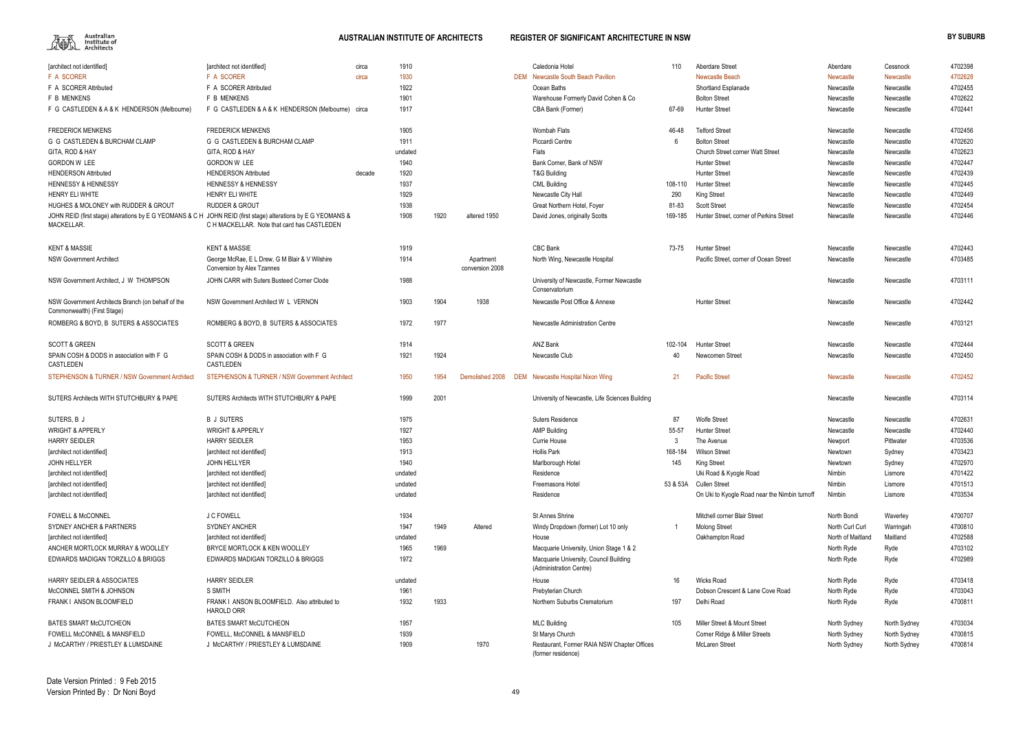

| [architect not identified]                                                                                                        | [architect not identified]                                                          | circa  | 1910    |      |                              | Caledonia Hotel                                                   | 110     | <b>Aberdare Street</b>                        | Aberdare          | Cessnock         | 4702398 |
|-----------------------------------------------------------------------------------------------------------------------------------|-------------------------------------------------------------------------------------|--------|---------|------|------------------------------|-------------------------------------------------------------------|---------|-----------------------------------------------|-------------------|------------------|---------|
| <b>F A SCORER</b>                                                                                                                 | <b>F A SCORER</b>                                                                   | circa  | 1930    |      |                              | DEM Newcastle South Beach Pavilion                                |         | <b>Newcastle Beach</b>                        | Newcastle         | Newcastle        | 4702628 |
| F A SCORER Attributed                                                                                                             | F A SCORER Attributed                                                               |        | 1922    |      |                              | Ocean Baths                                                       |         | Shortland Esplanade                           | Newcastle         | Newcastle        | 4702455 |
| F B MENKENS                                                                                                                       | F B MENKENS                                                                         |        | 1901    |      |                              | Warehouse Formerly David Cohen & Co                               |         | <b>Bolton Street</b>                          | Newcastle         | Newcastle        | 4702622 |
| F G CASTLEDEN & A & K HENDERSON (Melbourne)                                                                                       | F G CASTLEDEN & A & K HENDERSON (Melbourne) circa                                   |        | 1917    |      |                              | CBA Bank (Former)                                                 | 67-69   | <b>Hunter Street</b>                          | Newcastle         | Newcastle        | 4702441 |
| <b>FREDERICK MENKENS</b>                                                                                                          | <b>FREDERICK MENKENS</b>                                                            |        | 1905    |      |                              | <b>Wombah Flats</b>                                               | 46-48   | <b>Telford Street</b>                         | Newcastle         | Newcastle        | 4702456 |
| G G CASTLEDEN & BURCHAM CLAMP                                                                                                     | G G CASTLEDEN & BURCHAM CLAMP                                                       |        | 1911    |      |                              | Piccardi Centre                                                   | 6       | <b>Bolton Street</b>                          | Newcastle         | Newcastle        | 4702620 |
| GITA, ROD & HAY                                                                                                                   | GITA, ROD & HAY                                                                     |        | undated |      |                              | Flats                                                             |         | <b>Church Street corner Watt Street</b>       | Newcastle         | Newcastle        | 4702623 |
| <b>GORDON W LEE</b>                                                                                                               | <b>GORDON W LEE</b>                                                                 |        | 1940    |      |                              | Bank Corner, Bank of NSW                                          |         | <b>Hunter Street</b>                          | Newcastle         | Newcastle        | 4702447 |
| <b>HENDERSON Attributed</b>                                                                                                       | <b>HENDERSON Attributed</b>                                                         | decade | 1920    |      |                              | T&G Building                                                      |         | <b>Hunter Street</b>                          | Newcastle         | Newcastle        | 4702439 |
| <b>HENNESSY &amp; HENNESSY</b>                                                                                                    | <b>HENNESSY &amp; HENNESSY</b>                                                      |        | 1937    |      |                              | <b>CML Building</b>                                               | 108-110 | <b>Hunter Street</b>                          | Newcastle         | Newcastle        | 4702445 |
| HENRY ELI WHITE                                                                                                                   | HENRY ELI WHITE                                                                     |        | 1929    |      |                              | Newcastle City Hall                                               | 290     | <b>King Street</b>                            | Newcastle         | Newcastle        | 4702449 |
| HUGHES & MOLONEY with RUDDER & GROUT                                                                                              | <b>RUDDER &amp; GROUT</b>                                                           |        | 1938    |      |                              | Great Northern Hotel, Foyer                                       | 81-83   | <b>Scott Street</b>                           | Newcastle         | Newcastle        | 4702454 |
| JOHN REID (first stage) alterations by E G YEOMANS & C H JOHN REID (first stage) alterations by E G YEOMANS &<br><b>MACKELLAR</b> | C H MACKELLAR. Note that card has CASTLEDEN                                         |        | 1908    | 1920 | altered 1950                 | David Jones, originally Scotts                                    | 169-185 | Hunter Street, corner of Perkins Street       | Newcastle         | Newcastle        | 4702446 |
| <b>KENT &amp; MASSIE</b>                                                                                                          | <b>KENT &amp; MASSIE</b>                                                            |        | 1919    |      |                              | <b>CBC Bank</b>                                                   | 73-75   | <b>Hunter Street</b>                          | Newcastle         | Newcastle        | 4702443 |
| <b>NSW Government Architect</b>                                                                                                   | George McRae, E L Drew, G M Blair & V Wilshire<br><b>Conversion by Alex Tzannes</b> |        | 1914    |      | Apartment<br>conversion 2008 | North Wing, Newcastle Hospital                                    |         | Pacific Street, corner of Ocean Street        | Newcastle         | Newcastle        | 4703485 |
| NSW Government Architect, J W THOMPSON                                                                                            | JOHN CARR with Suters Busteed Corner Clode                                          |        | 1988    |      |                              | University of Newcastle, Former Newcastle<br>Conservatorium       |         |                                               | Newcastle         | Newcastle        | 4703111 |
| NSW Government Architects Branch (on behalf of the<br>Commonwealth) (First Stage)                                                 | NSW Government Architect W L VERNON                                                 |        | 1903    | 1904 | 1938                         | Newcastle Post Office & Annexe                                    |         | <b>Hunter Street</b>                          | Newcastle         | Newcastle        | 4702442 |
| ROMBERG & BOYD, B SUTERS & ASSOCIATES                                                                                             | ROMBERG & BOYD, B SUTERS & ASSOCIATES                                               |        | 1972    | 1977 |                              | Newcastle Administration Centre                                   |         |                                               | Newcastle         | Newcastle        | 4703121 |
| <b>SCOTT &amp; GREEN</b>                                                                                                          | <b>SCOTT &amp; GREEN</b>                                                            |        | 1914    |      |                              | ANZ Bank                                                          | 102-104 | <b>Hunter Street</b>                          | Newcastle         | Newcastle        | 4702444 |
| SPAIN COSH & DODS in association with F G<br>CASTLEDEN                                                                            | SPAIN COSH & DODS in association with F G<br>CASTLEDEN                              |        | 1921    | 1924 |                              | Newcastle Club                                                    | 40      | Newcomen Street                               | Newcastle         | Newcastle        | 4702450 |
| STEPHENSON & TURNER / NSW Government Architect                                                                                    | <b>STEPHENSON &amp; TURNER / NSW Government Architect</b>                           |        | 1950    | 1954 | Demolished 2008              | DEM Newcastle Hospital Nixon Wing                                 | 21      | <b>Pacific Street</b>                         | Newcastle         | <b>Newcastle</b> | 4702452 |
| SUTERS Architects WITH STUTCHBURY & PAPE                                                                                          | SUTERS Architects WITH STUTCHBURY & PAPE                                            |        | 1999    | 2001 |                              | University of Newcastle, Life Sciences Building                   |         |                                               | Newcastle         | Newcastle        | 4703114 |
| SUTERS, B J                                                                                                                       | <b>B J SUTERS</b>                                                                   |        | 1975    |      |                              | <b>Suters Residence</b>                                           | 87      | <b>Wolfe Street</b>                           | Newcastle         | Newcastle        | 4702631 |
| <b>WRIGHT &amp; APPERLY</b>                                                                                                       | <b>WRIGHT &amp; APPERLY</b>                                                         |        | 1927    |      |                              | <b>AMP Building</b>                                               | 55-57   | <b>Hunter Street</b>                          | Newcastle         | Newcastle        | 4702440 |
| <b>HARRY SEIDLER</b>                                                                                                              | <b>HARRY SEIDLER</b>                                                                |        | 1953    |      |                              | Currie House                                                      | 3       | The Avenue                                    | Newport           | Pittwater        | 4703536 |
| [architect not identified]                                                                                                        | [architect not identified]                                                          |        | 1913    |      |                              | <b>Hollis Park</b>                                                | 168-184 | <b>Wilson Street</b>                          | Newtown           | Sydney           | 4703423 |
| JOHN HELLYER                                                                                                                      | JOHN HELLYER                                                                        |        | 1940    |      |                              | Marlborough Hotel                                                 | 145     | <b>King Street</b>                            | Newtown           | Sydney           | 4702970 |
| [architect not identified]                                                                                                        | [architect not identified]                                                          |        | undated |      |                              | Residence                                                         |         | Uki Road & Kyogle Road                        | Nimbin            | Lismore          | 4701422 |
| [architect not identified]                                                                                                        | [architect not identified]                                                          |        | undated |      |                              | Freemasons Hotel                                                  |         | 53 & 53A Cullen Street                        | Nimbin            | Lismore          | 4701513 |
| [architect not identified]                                                                                                        | [architect not identified]                                                          |        | undated |      |                              | Residence                                                         |         | On Uki to Kyogle Road near the Nimbin turnoff | Nimbin            | Lismore          | 4703534 |
| <b>FOWELL &amp; McCONNEL</b>                                                                                                      | J C FOWELL                                                                          |        | 1934    |      |                              | St Annes Shrine                                                   |         | Mitchell corner Blair Street                  | North Bondi       | Waverley         | 4700707 |
| SYDNEY ANCHER & PARTNERS                                                                                                          | <b>SYDNEY ANCHER</b>                                                                |        | 1947    | 1949 | Altered                      | Windy Dropdown (former) Lot 10 only                               |         | <b>Molong Street</b>                          | North Curl Curl   | Warringah        | 4700810 |
| [architect not identified]                                                                                                        | [architect not identified]                                                          |        | undated |      |                              | House                                                             |         | Oakhampton Road                               | North of Maitland | Maitland         | 4702588 |
| ANCHER MORTLOCK MURRAY & WOOLLEY                                                                                                  | BRYCE MORTLOCK & KEN WOOLLEY                                                        |        | 1965    | 1969 |                              | Macquarie University, Union Stage 1 & 2                           |         |                                               | North Ryde        | Ryde             | 4703102 |
| EDWARDS MADIGAN TORZILLO & BRIGGS                                                                                                 | EDWARDS MADIGAN TORZILLO & BRIGGS                                                   |        | 1972    |      |                              | Macquarie University, Council Building<br>(Administration Centre) |         |                                               | North Ryde        | Ryde             | 4702989 |
| <b>HARRY SEIDLER &amp; ASSOCIATES</b>                                                                                             | <b>HARRY SEIDLER</b>                                                                |        | undated |      |                              | House                                                             | 16      | <b>Wicks Road</b>                             | North Ryde        | Ryde             | 4703418 |
| McCONNEL SMITH & JOHNSON                                                                                                          | S SMITH                                                                             |        | 1961    |      |                              | Prebyterian Church                                                |         | Dobson Crescent & Lane Cove Road              | North Ryde        | Ryde             | 4703043 |
| FRANK I ANSON BLOOMFIELD                                                                                                          | FRANK I ANSON BLOOMFIELD. Also attributed to<br><b>HAROLD ORR</b>                   |        | 1932    | 1933 |                              | Northern Suburbs Crematorium                                      | 197     | Delhi Road                                    | North Ryde        | Ryde             | 4700811 |
| <b>BATES SMART McCUTCHEON</b>                                                                                                     | <b>BATES SMART McCUTCHEON</b>                                                       |        | 1957    |      |                              | <b>MLC Building</b>                                               | 105     | Miller Street & Mount Street                  | North Sydney      | North Sydney     | 4703034 |
| FOWELL McCONNEL & MANSFIELD                                                                                                       | FOWELL, McCONNEL & MANSFIELD                                                        |        | 1939    |      |                              | St Marys Church                                                   |         | Corner Ridge & Miller Streets                 | North Sydney      | North Sydney     | 4700815 |
| J McCARTHY / PRIESTLEY & LUMSDAINE                                                                                                | J McCARTHY / PRIESTLEY & LUMSDAINE                                                  |        | 1909    |      | 1970                         | Restaurant, Former RAIA NSW Chapter Offices<br>(former residence) |         | <b>McLaren Street</b>                         | North Sydney      | North Sydney     | 4700814 |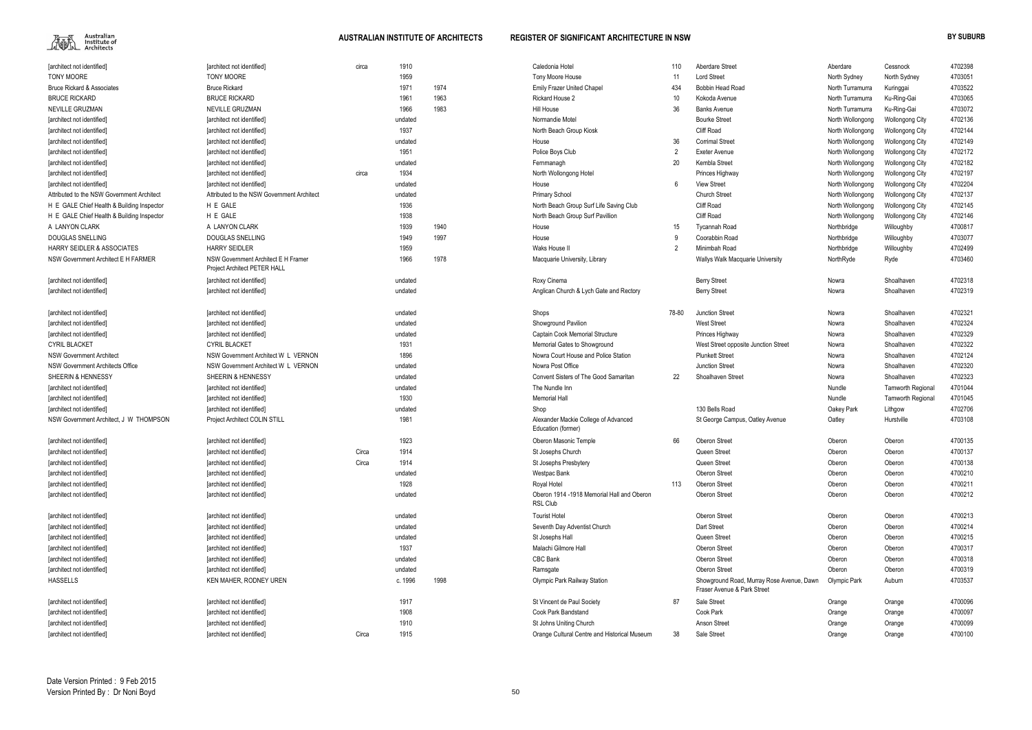

| [architect not identified]                 | [architect not identified]                 | circa | 1910    |      | Caledonia Hotel                              | 110             | Aberdare Street                           | Aberdare         | Cessnock                 | 4702398 |
|--------------------------------------------|--------------------------------------------|-------|---------|------|----------------------------------------------|-----------------|-------------------------------------------|------------------|--------------------------|---------|
| <b>TONY MOORE</b>                          | <b>TONY MOORE</b>                          |       | 1959    |      | Tony Moore House                             | 11              | <b>Lord Street</b>                        | North Sydney     | North Sydney             | 470305  |
| <b>Bruce Rickard &amp; Associates</b>      | <b>Bruce Rickard</b>                       |       | 1971    | 1974 | <b>Emily Frazer United Chapel</b>            | 434             | <b>Bobbin Head Road</b>                   | North Turramurra | Kuringgai                | 4703522 |
| <b>BRUCE RICKARD</b>                       | <b>BRUCE RICKARD</b>                       |       | 1961    | 1963 | Rickard House 2                              | 10 <sup>°</sup> | Kokoda Avenue                             | North Turramurra | Ku-Ring-Gai              | 4703065 |
| NEVILLE GRUZMAN                            | NEVILLE GRUZMAN                            |       | 1966    | 1983 | Hill House                                   | 36              | <b>Banks Avenue</b>                       | North Turramurra | Ku-Ring-Gai              | 4703072 |
| [architect not identified]                 | [architect not identified]                 |       | undated |      | Normandie Motel                              |                 | <b>Bourke Street</b>                      | North Wollongong | <b>Wollongong City</b>   | 4702136 |
| [architect not identified]                 | [architect not identified]                 |       | 1937    |      | North Beach Group Kiosk                      |                 | <b>Cliff Road</b>                         | North Wollongong | <b>Wollongong City</b>   | 4702144 |
| [architect not identified]                 | [architect not identified]                 |       | undated |      | House                                        | 36              | <b>Corrimal Street</b>                    | North Wollongong | <b>Wollongong City</b>   | 4702149 |
| [architect not identified]                 | [architect not identified]                 |       | 1951    |      | Police Boys Club                             |                 | Exeter Avenue                             | North Wollongong | <b>Wollongong City</b>   | 4702172 |
| [architect not identified]                 | [architect not identified]                 |       | undated |      | Fernmanagh                                   | 20              | Kembla Street                             | North Wollongong | <b>Wollongong City</b>   | 4702182 |
| [architect not identified]                 | [architect not identified]                 | circa | 1934    |      | North Wollongong Hotel                       |                 | Princes Highway                           | North Wollongong | <b>Wollongong City</b>   | 4702197 |
| [architect not identified]                 | [architect not identified]                 |       | undated |      | House                                        |                 | <b>View Street</b>                        | North Wollongong | <b>Wollongong City</b>   | 4702204 |
| Attributed to the NSW Government Architect | Attributed to the NSW Government Architect |       | undated |      | <b>Primary School</b>                        |                 | <b>Church Street</b>                      | North Wollongong | <b>Wollongong City</b>   | 4702137 |
| H E GALE Chief Health & Building Inspector | H E GALE                                   |       | 1936    |      | North Beach Group Surf Life Saving Club      |                 | <b>Cliff Road</b>                         | North Wollongong | <b>Wollongong City</b>   | 4702145 |
| H E GALE Chief Health & Building Inspector | H E GALE                                   |       | 1938    |      | North Beach Group Surf Pavillion             |                 | <b>Cliff Road</b>                         | North Wollongong | <b>Wollongong City</b>   | 4702146 |
| A LANYON CLARK                             | A LANYON CLARK                             |       | 1939    | 1940 | House                                        | 15              | <b>Tycannah Road</b>                      | Northbridge      | Willoughby               | 4700817 |
| <b>DOUGLAS SNELLING</b>                    | <b>DOUGLAS SNELLING</b>                    |       | 1949    | 1997 | House                                        |                 | Coorabbin Road                            | Northbridge      | Willoughby               | 4703077 |
| <b>HARRY SEIDLER &amp; ASSOCIATES</b>      | <b>HARRY SEIDLER</b>                       |       | 1959    |      | Waks House II                                | $\mathfrak{p}$  | Minimbah Road                             | Northbridge      | Willoughby               | 4702499 |
| NSW Government Architect E H FARMER        | NSW Government Architect E H Framer        |       | 1966    | 1978 | Macquarie University, Library                |                 | Wallys Walk Macquarie University          | NorthRyde        | Ryde                     | 4703460 |
|                                            | Project Architect PETER HALL               |       |         |      |                                              |                 |                                           |                  |                          |         |
| [architect not identified]                 | [architect not identified]                 |       | undated |      | Roxy Cinema                                  |                 | <b>Berry Street</b>                       | Nowra            | Shoalhaven               | 4702318 |
| [architect not identified]                 | [architect not identified]                 |       | undated |      | Anglican Church & Lych Gate and Rectory      |                 | <b>Berry Street</b>                       | Nowra            | Shoalhaven               | 4702319 |
|                                            |                                            |       |         |      |                                              |                 |                                           |                  |                          |         |
| [architect not identified]                 | [architect not identified]                 |       | undated |      | Shops                                        | 78-80           | <b>Junction Street</b>                    | Nowra            | Shoalhaven               | 470232  |
| [architect not identified]                 | [architect not identified]                 |       | undated |      | Showground Pavilion                          |                 | <b>West Street</b>                        | Nowra            | Shoalhaven               | 4702324 |
| [architect not identified]                 | [architect not identified]                 |       | undated |      | Captain Cook Memorial Structure              |                 | Princes Highway                           | Nowra            | Shoalhaven               | 4702329 |
| <b>CYRIL BLACKET</b>                       | <b>CYRIL BLACKET</b>                       |       | 1931    |      | Memorial Gates to Showground                 |                 | West Street opposite Junction Street      | Nowra            | Shoalhaven               | 4702322 |
| <b>NSW Government Architect</b>            | NSW Government Architect W L VERNON        |       | 1896    |      | Nowra Court House and Police Station         |                 | <b>Plunkett Street</b>                    | Nowra            | Shoalhaven               | 4702124 |
| NSW Government Architects Office           | NSW Government Architect W L VERNON        |       | undated |      | Nowra Post Office                            |                 | <b>Junction Street</b>                    | Nowra            | Shoalhaven               | 4702320 |
| SHEERIN & HENNESSY                         | SHEERIN & HENNESSY                         |       | undated |      | Convent Sisters of The Good Samaritan        | 22              | Shoalhaven Street                         | Nowra            | Shoalhaven               | 4702323 |
| [architect not identified]                 | [architect not identified]                 |       | undated |      | The Nundle Inn                               |                 |                                           | Nundle           | <b>Tamworth Regional</b> | 4701044 |
| [architect not identified]                 | <b>Tarchitect not identified]</b>          |       | 1930    |      | <b>Memorial Hall</b>                         |                 |                                           | Nundle           | <b>Tamworth Regional</b> | 4701045 |
| [architect not identified]                 | [architect not identified]                 |       | undated |      | Shop                                         |                 | 130 Bells Road                            | Oakey Park       | Lithgow                  | 4702706 |
| NSW Government Architect, J W THOMPSON     | Project Architect COLIN STILL              |       | 1981    |      | Alexander Mackie College of Advanced         |                 | St George Campus, Oatley Avenue           | Oatley           | Hurstville               | 4703108 |
|                                            |                                            |       |         |      | Education (former)                           |                 |                                           |                  |                          |         |
| [architect not identified]                 | [architect not identified]                 |       | 1923    |      | Oberon Masonic Temple                        | 66              | <b>Oberon Street</b>                      | Oberon           | Oberon                   | 4700135 |
| [architect not identified]                 | [architect not identified]                 | Circa | 1914    |      | St Josephs Church                            |                 | Queen Street                              | Oberon           | Oberon                   | 4700137 |
| [architect not identified]                 | [architect not identified]                 | Circa | 1914    |      | St Josephs Presbytery                        |                 | Queen Street                              | Oberon           | Oberon                   | 4700138 |
| [architect not identified]                 | [architect not identified]                 |       | undated |      | Westpac Bank                                 |                 | Oberon Street                             | Oberon           | Oberon                   | 4700210 |
| [architect not identified]                 | [architect not identified]                 |       | 1928    |      | Royal Hotel                                  | 113             | Oberon Street                             | Oberon           | Oberon                   | 4700211 |
| [architect not identified]                 | [architect not identified]                 |       | undated |      | Oberon 1914 -1918 Memorial Hall and Oberon   |                 | Oberon Street                             | Oberon           | Oberon                   | 4700212 |
|                                            |                                            |       |         |      | <b>RSL Club</b>                              |                 |                                           |                  |                          |         |
| [architect not identified]                 | [architect not identified]                 |       | undated |      | <b>Tourist Hotel</b>                         |                 | <b>Oberon Street</b>                      | Oberon           | Oberon                   | 4700213 |
| [architect not identified]                 | [architect not identified]                 |       | undated |      | Seventh Day Adventist Church                 |                 | Dart Street                               | Oberon           | Oberon                   | 4700214 |
| [architect not identified]                 | [architect not identified]                 |       | undated |      | St Josephs Hall                              |                 | Queen Street                              | Oberon           | Oberon                   | 4700215 |
| [architect not identified]                 | [architect not identified]                 |       | 1937    |      | Malachi Gilmore Hall                         |                 | Oberon Street                             | Oberon           | Oberon                   | 4700317 |
| [architect not identified]                 | [architect not identified]                 |       | undated |      | CBC Bank                                     |                 | Oberon Street                             | Oberon           | Oberon                   | 4700318 |
| [architect not identified]                 | [architect not identified]                 |       | undated |      | Ramsgate                                     |                 | Oberon Street                             | Oberon           | Oberon                   | 4700319 |
| <b>HASSELLS</b>                            | KEN MAHER, RODNEY UREN                     |       | c. 1996 | 1998 | Olympic Park Railway Station                 |                 | Showground Road, Murray Rose Avenue, Dawn | Olympic Park     | Auburn                   | 4703537 |
|                                            |                                            |       |         |      |                                              |                 | Fraser Avenue & Park Street               |                  |                          |         |
| [architect not identified]                 | [architect not identified]                 |       | 1917    |      | St Vincent de Paul Society                   | 87              | Sale Street                               | Orange           | Orange                   | 4700096 |
| [architect not identified]                 | [architect not identified]                 |       | 1908    |      | <b>Cook Park Bandstand</b>                   |                 | Cook Park                                 | Orange           | Orange                   | 4700097 |
| [architect not identified]                 | [architect not identified]                 |       | 1910    |      | St Johns Uniting Church                      |                 | <b>Anson Street</b>                       | Orange           | Orange                   | 4700099 |
| [architect not identified]                 | [architect not identified]                 | Circa | 1915    |      | Orange Cultural Centre and Historical Museum | 38              | Sale Street                               | Orange           | Orange                   | 4700100 |
|                                            |                                            |       |         |      |                                              |                 |                                           |                  |                          |         |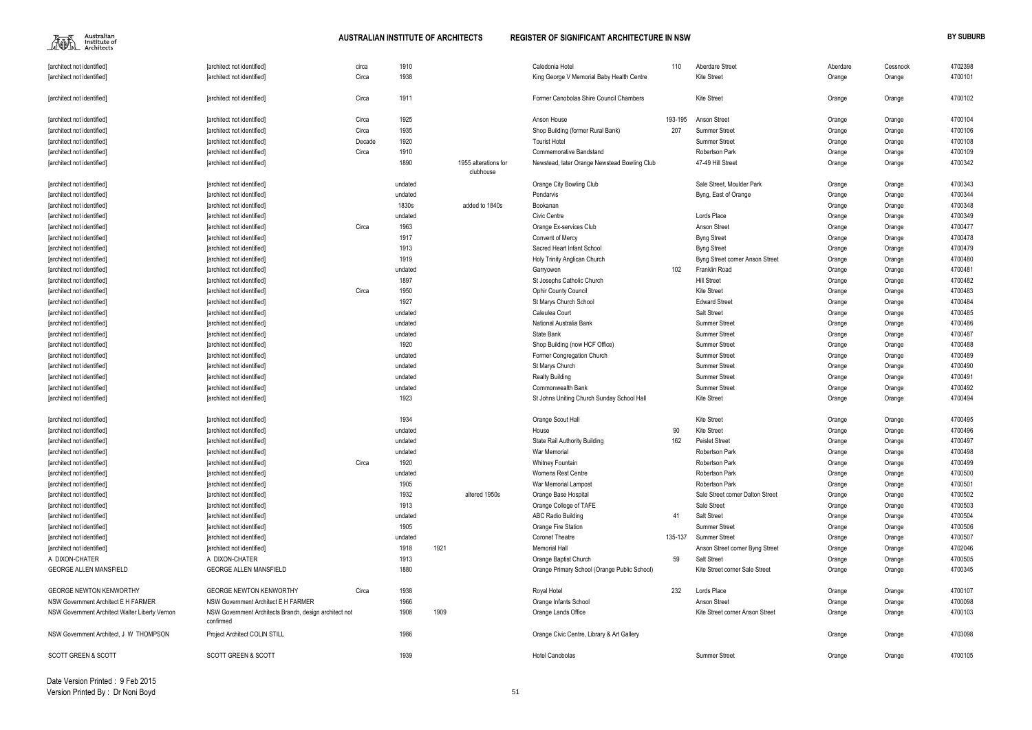$\begin{picture}(120,110) \put(0,0){\line(1,0){15}} \put(15,0){\line(1,0){15}} \put(15,0){\line(1,0){15}} \put(15,0){\line(1,0){15}} \put(15,0){\line(1,0){15}} \put(15,0){\line(1,0){15}} \put(15,0){\line(1,0){15}} \put(15,0){\line(1,0){15}} \put(15,0){\line(1,0){15}} \put(15,0){\line(1,0){15}} \put(15,0){\line(1,0){15}} \put(15,0){\line$ 

| [architect not identified]                     | [architect not identified]                                          | circa  | 1910    |      |                                   | Caledonia Hotel                              | 110     | Aberdare Street                  | Aberdare | Cessnock | 4702398 |
|------------------------------------------------|---------------------------------------------------------------------|--------|---------|------|-----------------------------------|----------------------------------------------|---------|----------------------------------|----------|----------|---------|
| [architect not identified]                     | [architect not identified]                                          | Circa  | 1938    |      |                                   | King George V Memorial Baby Health Centre    |         | <b>Kite Street</b>               | Orange   | Orange   | 4700101 |
| [architect not identified]                     | [architect not identified]                                          | Circa  | 1911    |      |                                   | Former Canobolas Shire Council Chambers      |         | <b>Kite Street</b>               | Orange   | Orange   | 4700102 |
| [architect not identified]                     | [architect not identified]                                          | Circa  | 1925    |      |                                   | Anson House                                  | 193-195 | Anson Street                     | Orange   | Orange   | 4700104 |
| [architect not identified]                     | [architect not identified]                                          | Circa  | 1935    |      |                                   | Shop Building (former Rural Bank)            | 207     | <b>Summer Street</b>             | Orange   | Orange   | 4700106 |
| [architect not identified]                     | [architect not identified]                                          | Decade | 1920    |      |                                   | <b>Tourist Hotel</b>                         |         | <b>Summer Street</b>             | Orange   | Orange   | 4700108 |
| [architect not identified]                     | [architect not identified]                                          | Circa  | 1910    |      |                                   | <b>Commemorative Bandstand</b>               |         | Robertson Park                   | Orange   | Orange   | 4700109 |
| [architect not identified]                     | [architect not identified]                                          |        | 1890    |      | 1955 alterations for<br>clubhouse | Newstead, later Orange Newstead Bowling Club |         | 47-49 Hill Street                | Orange   | Orange   | 4700342 |
| [architect not identified]                     | [architect not identified]                                          |        | undated |      |                                   | Orange City Bowling Club                     |         | Sale Street. Moulder Park        | Orange   | Orange   | 4700343 |
| [architect not identified]                     | [architect not identified]                                          |        | undated |      |                                   | Pendarvis                                    |         | Byng, East of Orange             | Orange   | Orange   | 4700344 |
| [architect not identified]                     | [architect not identified]                                          |        | 1830s   |      | added to 1840s                    | Bookanan                                     |         |                                  | Orange   | Orange   | 4700348 |
| [architect not identified]                     | [architect not identified]                                          |        | undated |      |                                   | <b>Civic Centre</b>                          |         | Lords Place                      | Orange   | Orange   | 4700349 |
| [architect not identified]                     | [architect not identified]                                          | Circa  | 1963    |      |                                   | Orange Ex-services Club                      |         | Anson Street                     | Orange   | Orange   | 4700477 |
| [architect not identified]                     | [architect not identified]                                          |        | 1917    |      |                                   | <b>Convent of Mercy</b>                      |         | <b>Byng Street</b>               | Orange   | Orange   | 4700478 |
| [architect not identified]                     | [architect not identified]                                          |        | 1913    |      |                                   | Sacred Heart Infant School                   |         | <b>Byng Street</b>               | Orange   | Orange   | 4700479 |
| [architect not identified]                     | [architect not identified]                                          |        | 1919    |      |                                   | Holy Trinity Anglican Church                 |         | Byng Street corner Anson Street  | Orange   | Orange   | 4700480 |
| [architect not identified]                     | [architect not identified]                                          |        | undated |      |                                   | Garryowen                                    | 102     | Franklin Road                    | Orange   | Orange   | 4700481 |
| [architect not identified]                     | [architect not identified]                                          |        | 1897    |      |                                   | St Josephs Catholic Church                   |         | <b>Hill Street</b>               | Orange   | Orange   | 4700482 |
| [architect not identified]                     | [architect not identified]                                          | Circa  | 1950    |      |                                   | Ophir County Council                         |         | <b>Kite Street</b>               | Orange   | Orange   | 4700483 |
| [architect not identified]                     | [architect not identified]                                          |        | 1927    |      |                                   | St Marys Church School                       |         | <b>Edward Street</b>             | Orange   | Orange   | 4700484 |
| [architect not identified]                     | [architect not identified]                                          |        | undated |      |                                   | Caleulea Court                               |         | Salt Street                      | Orange   | Orange   | 4700485 |
| [architect not identified]                     | [architect not identified]                                          |        | undated |      |                                   | National Australia Bank                      |         | <b>Summer Street</b>             | Orange   | Orange   | 4700486 |
| [architect not identified]                     | [architect not identified]                                          |        | undated |      |                                   | State Bank                                   |         | <b>Summer Street</b>             | Orange   | Orange   | 4700487 |
| [architect not identified]                     | [architect not identified]                                          |        | 1920    |      |                                   | Shop Building (now HCF Office)               |         | <b>Summer Street</b>             | Orange   | Orange   | 4700488 |
| [architect not identified]                     | [architect not identified]                                          |        | undated |      |                                   | Former Congregation Church                   |         | <b>Summer Street</b>             | Orange   | Orange   | 4700489 |
| [architect not identified]                     | [architect not identified]                                          |        | undated |      |                                   | St Marys Church                              |         | <b>Summer Street</b>             | Orange   | Orange   | 4700490 |
| [architect not identified]                     | [architect not identified]                                          |        | undated |      |                                   | <b>Realty Building</b>                       |         | <b>Summer Street</b>             | Orange   | Orange   | 4700491 |
| [architect not identified]                     | [architect not identified]                                          |        | undated |      |                                   | Commonwealth Bank                            |         | <b>Summer Street</b>             | Orange   | Orange   | 4700492 |
| [architect not identified]                     | [architect not identified]                                          |        | 1923    |      |                                   | St Johns Uniting Church Sunday School Hall   |         | <b>Kite Street</b>               | Orange   | Orange   | 4700494 |
|                                                |                                                                     |        |         |      |                                   |                                              |         |                                  |          |          |         |
| [architect not identified]                     | [architect not identified]                                          |        | 1934    |      |                                   | Orange Scout Hall                            |         | <b>Kite Street</b>               | Orange   | Orange   | 4700495 |
| [architect not identified]                     | [architect not identified]                                          |        | undated |      |                                   | House                                        | 90      | <b>Kite Street</b>               | Orange   | Orange   | 4700496 |
| [architect not identified]                     | [architect not identified]                                          |        | undated |      |                                   | <b>State Rail Authority Building</b>         | 162     | <b>Peislet Street</b>            | Orange   | Orange   | 4700497 |
| [architect not identified]                     | [architect not identified]                                          |        | undated |      |                                   | War Memorial                                 |         | Robertson Park                   | Orange   | Orange   | 4700498 |
| [architect not identified]                     | [architect not identified]                                          | Circa  | 1920    |      |                                   | <b>Whitney Fountain</b>                      |         | Robertson Park                   | Orange   | Orange   | 4700499 |
| [architect not identified]                     | [architect not identified]                                          |        | undated |      |                                   | Womens Rest Centre                           |         | Robertson Park                   | Orange   | Orange   | 4700500 |
| [architect not identified]                     | [architect not identified]                                          |        | 1905    |      |                                   | War Memorial Lampost                         |         | Robertson Park                   | Orange   | Orange   | 4700501 |
| [architect not identified]                     | [architect not identified]                                          |        | 1932    |      | altered 1950s                     | Orange Base Hospital                         |         | Sale Street corner Dalton Street | Orange   | Orange   | 4700502 |
| [architect not identified]                     | [architect not identified]                                          |        | 1913    |      |                                   | Orange College of TAFE                       |         | Sale Street                      | Orange   | Orange   | 4700503 |
| [architect not identified]                     | [architect not identified]                                          |        | undated |      |                                   | <b>ABC Radio Building</b>                    | 41      | Salt Street                      | Orange   | Orange   | 4700504 |
| [architect not identified]                     | [architect not identified]                                          |        | 1905    |      |                                   | Orange Fire Station                          |         | <b>Summer Street</b>             | Orange   | Orange   | 4700506 |
| [architect not identified]                     | [architect not identified]                                          |        | undated |      |                                   | <b>Coronet Theatre</b>                       | 135-137 | <b>Summer Street</b>             | Orange   | Orange   | 4700507 |
| [architect not identified]                     | [architect not identified]                                          |        | 1918    | 1921 |                                   | <b>Memorial Hall</b>                         |         | Anson Street corner Byng Street  | Orange   | Orange   | 4702046 |
| A DIXON-CHATER                                 | A DIXON-CHATER                                                      |        | 1913    |      |                                   | Orange Baptist Church                        | 59      | <b>Salt Street</b>               | Orange   | Orange   | 4700505 |
| <b>GEORGE ALLEN MANSFIELD</b>                  | <b>GEORGE ALLEN MANSFIELD</b>                                       |        | 1880    |      |                                   | Orange Primary School (Orange Public School) |         | Kite Street corner Sale Street   | Orange   | Orange   | 4700345 |
| <b>GEORGE NEWTON KENWORTHY</b>                 | <b>GEORGE NEWTON KENWORTHY</b>                                      | Circa  | 1938    |      |                                   | Royal Hotel                                  | 232     | Lords Place                      | Orange   | Orange   | 4700107 |
| NSW Government Architect E H FARMER            | NSW Government Architect E H FARMER                                 |        | 1966    |      |                                   | Orange Infants School                        |         | Anson Street                     | Orange   | Orange   | 4700098 |
| NSW Government Architect Walter Liberty Vernon | NSW Government Architects Branch, design architect not<br>confirmed |        | 1908    | 1909 |                                   | Orange Lands Office                          |         | Kite Street corner Anson Street  | Orange   | Orange   | 4700103 |
| NSW Government Architect, J W THOMPSON         | Project Architect COLIN STILL                                       |        | 1986    |      |                                   | Orange Civic Centre, Library & Art Gallery   |         |                                  | Orange   | Orange   | 4703098 |
| <b>SCOTT GREEN &amp; SCOTT</b>                 | <b>SCOTT GREEN &amp; SCOTT</b>                                      |        | 1939    |      |                                   | <b>Hotel Canobolas</b>                       |         | <b>Summer Street</b>             | Orange   | Orange   | 4700105 |

| Aberdare | Cessnock | 4702398 |
|----------|----------|---------|
|          |          | 4700101 |
| Orange   | Orange   |         |
|          |          |         |
| Orange   | Orange   | 4700102 |
|          |          |         |
| Orange   | Orange   | 4700104 |
| Orange   | Orange   | 4700106 |
| Orange   | Orange   | 4700108 |
| Orange   | Orange   | 4700109 |
| Orange   | Orange   | 4700342 |
|          |          |         |
| Orange   | Orange   | 4700343 |
| Orange   | Orange   | 4700344 |
| Orange   | Orange   | 4700348 |
| Orange   | Orange   | 4700349 |
| Orange   | Orange   | 4700477 |
| Orange   | Orange   | 4700478 |
| Orange   | Orange   | 4700479 |
| Orange   | Orange   | 4700480 |
| Orange   | Orange   | 4700481 |
| Orange   | Orange   | 4700482 |
| Orange   | Orange   | 4700483 |
| Orange   | Orange   | 4700484 |
| Orange   | Orange   | 4700485 |
| Orange   | Orange   | 4700486 |
| Orange   | Orange   | 4700487 |
| Orange   | Orange   | 4700488 |
| Orange   | Orange   | 4700489 |
| Orange   | Orange   | 4700490 |
| Orange   | Orange   | 4700491 |
| Orange   | Orange   | 4700492 |
| Orange   | Orange   | 4700494 |
|          |          |         |
| Orange   | Orange   | 4700495 |
| Orange   | Orange   | 4700496 |
| Orange   | Orange   | 4700497 |
| Orange   | Orange   | 4700498 |
| Orange   | Orange   | 4700499 |
| Orange   | Orange   | 4700500 |
| Orange   | Orange   | 4700501 |
| Orange   | Orange   | 4700502 |
| Orange   | Orange   | 4700503 |
| Orange   | Orange   | 4700504 |
| Orange   | Orange   | 4700506 |
| Orange   |          | 4700507 |
|          | Orange   | 4702046 |
| Orange   | Orange   |         |
| Orange   | Orange   | 4700505 |
| Orange   | Orange   | 4700345 |
| Orange   | Orange   | 4700107 |
| Orange   | Orange   | 4700098 |
| Orange   | Orange   | 4700103 |
|          |          |         |
| Orange   | Orange   | 4703098 |
|          |          |         |
| Orange   | Orange   | 4700105 |
|          |          |         |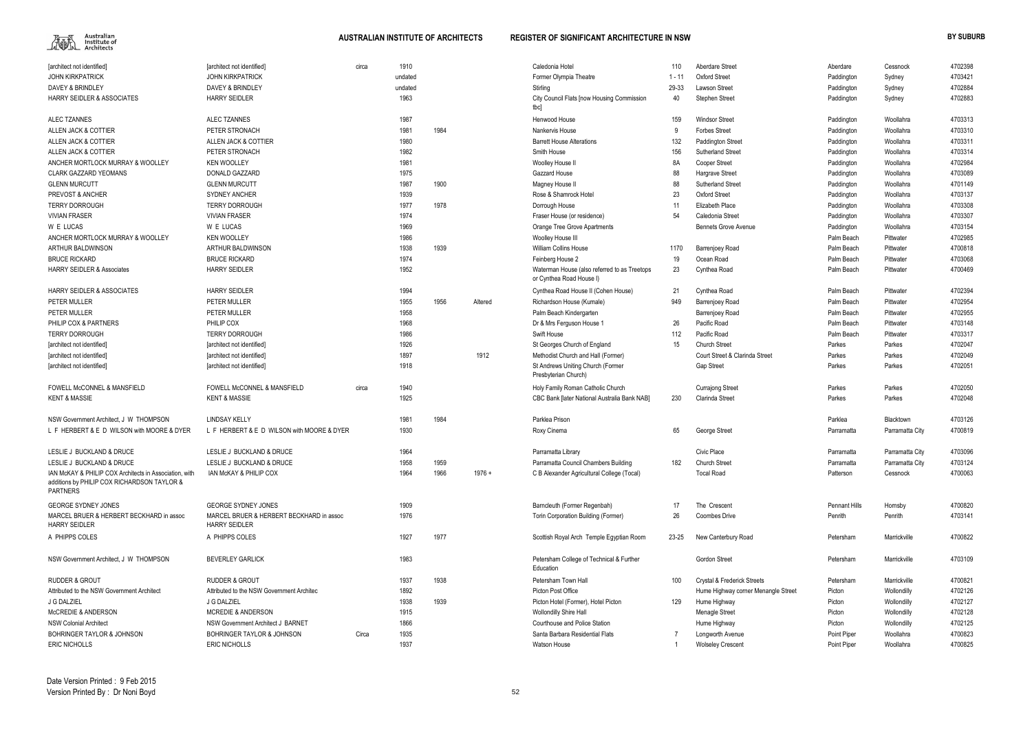

| 110   | Aberdare Street                     | Aberdare             | Cessnock        | 4702398 |
|-------|-------------------------------------|----------------------|-----------------|---------|
| $-11$ | Oxford Street                       | Paddington           | Sydney          | 4703421 |
| 9-33  | <b>Lawson Street</b>                | Paddington           | Sydney          | 4702884 |
| 40    | Stephen Street                      | Paddington           | Sydney          | 4702883 |
| 159   | <b>Windsor Street</b>               | Paddington           | Woollahra       | 4703313 |
| 9     | <b>Forbes Street</b>                | Paddington           | Woollahra       | 4703310 |
| 132   | <b>Paddington Street</b>            | Paddington           | Woollahra       | 4703311 |
| 156   | <b>Sutherland Street</b>            | Paddington           | Woollahra       | 4703314 |
| 8A    | Cooper Street                       | Paddington           | Woollahra       | 4702984 |
| 88    | Hargrave Street                     | Paddington           | Woollahra       | 4703089 |
| 88    | <b>Sutherland Street</b>            | Paddington           | Woollahra       | 4701149 |
| 23    | Oxford Street                       | Paddington           | Woollahra       | 4703137 |
| 11    | Elizabeth Place                     | Paddington           | Woollahra       | 4703308 |
| 54    | Caledonia Street                    | Paddington           | Woollahra       | 4703307 |
|       | <b>Bennets Grove Avenue</b>         | Paddington           | Woollahra       | 4703154 |
|       |                                     | Palm Beach           | Pittwater       | 4702985 |
| 170   | Barrenjoey Road                     | Palm Beach           | Pittwater       | 4700818 |
| 19    | Ocean Road                          | Palm Beach           | Pittwater       | 4703068 |
| 23    | Cynthea Road                        | Palm Beach           | Pittwater       | 4700469 |
| 21    | Cynthea Road                        | Palm Beach           | Pittwater       | 4702394 |
| 949   | Barrenjoey Road                     | Palm Beach           | Pittwater       | 4702954 |
|       | Barrenjoey Road                     | Palm Beach           | Pittwater       | 4702955 |
| 26    | Pacific Road                        | Palm Beach           | Pittwater       | 4703148 |
| 112   | Pacific Road                        | Palm Beach           | Pittwater       | 4703317 |
| 15    | <b>Church Street</b>                | Parkes               | Parkes          | 4702047 |
|       | Court Street & Clarinda Street      | Parkes               | Parkes          | 4702049 |
|       | Gap Street                          | Parkes               | Parkes          | 4702051 |
|       | <b>Currajong Street</b>             | Parkes               | Parkes          | 4702050 |
| 230   | Clarinda Street                     | Parkes               | Parkes          | 4702048 |
|       |                                     | Parklea              | Blacktown       | 4703126 |
| 65    | George Street                       | Parramatta           | Parramatta City | 4700819 |
|       | Civic Place                         | Parramatta           | Parramatta City | 4703096 |
| 182   | Church Street                       | Parramatta           | Parramatta City | 4703124 |
|       | <b>Tocal Road</b>                   | Patterson            | Cessnock        | 4700063 |
| 17    | The Crescent                        | <b>Pennant Hills</b> | Hornsby         | 4700820 |
|       | <b>Coombes Drive</b>                | Penrith              | Penrith         | 4703141 |
| 26    |                                     |                      |                 |         |
| 3-25  | New Canterbury Road                 | Petersham            | Marrickville    | 4700822 |
|       | Gordon Street                       | Petersham            | Marrickville    | 4703109 |
| 100   | Crystal & Frederick Streets         | Petersham            | Marrickville    | 4700821 |
|       | Hume Highway corner Menangle Street | Picton               | Wollondilly     | 4702126 |
| 129   | Hume Highway                        | Picton               | Wollondilly     | 4702127 |
|       | Menagle Street                      | Picton               | Wollondilly     | 4702128 |
|       | Hume Highway                        | Picton               | Wollondilly     | 4702125 |
| 7     | Longworth Avenue                    | Point Piper          | Woollahra       | 4700823 |
| 1     | <b>Wolseley Crescent</b>            | Point Piper          | Woollahra       | 4700825 |

| [architect not identified]                                                                                               | [architect not identified]                                       | circa | 1910    |      |          | Caledonia Hotel                                                          | 110      | Aberdare Street                     | Aberdare             | Cessnock        | 4702398 |
|--------------------------------------------------------------------------------------------------------------------------|------------------------------------------------------------------|-------|---------|------|----------|--------------------------------------------------------------------------|----------|-------------------------------------|----------------------|-----------------|---------|
| <b>JOHN KIRKPATRICK</b>                                                                                                  | <b>JOHN KIRKPATRICK</b>                                          |       | undated |      |          | Former Olympia Theatre                                                   | $1 - 11$ | <b>Oxford Street</b>                | Paddington           | Sydney          | 4703421 |
| DAVEY & BRINDLEY                                                                                                         | DAVEY & BRINDLEY                                                 |       | undated |      |          | Stirling                                                                 | 29-33    | <b>Lawson Street</b>                | Paddington           | Sydney          | 4702884 |
| <b>HARRY SEIDLER &amp; ASSOCIATES</b>                                                                                    | <b>HARRY SEIDLER</b>                                             |       | 1963    |      |          | City Council Flats [now Housing Commission<br>tbcl                       | 40       | <b>Stephen Street</b>               | Paddington           | Sydney          | 4702883 |
| <b>ALEC TZANNES</b>                                                                                                      | ALEC TZANNES                                                     |       | 1987    |      |          | Henwood House                                                            | 159      | <b>Windsor Street</b>               | Paddington           | Woollahra       | 4703313 |
| ALLEN JACK & COTTIER                                                                                                     | PETER STRONACH                                                   |       | 1981    | 1984 |          | Nankervis House                                                          |          | <b>Forbes Street</b>                | Paddington           | Woollahra       | 4703310 |
| ALLEN JACK & COTTIER                                                                                                     | ALLEN JACK & COTTIER                                             |       | 1980    |      |          | <b>Barrett House Alterations</b>                                         | 132      | Paddington Street                   | Paddington           | Woollahra       | 4703311 |
| ALLEN JACK & COTTIER                                                                                                     | PETER STRONACH                                                   |       | 1982    |      |          | Smith House                                                              | 156      | <b>Sutherland Street</b>            | Paddington           | Woollahra       | 4703314 |
| ANCHER MORTLOCK MURRAY & WOOLLEY                                                                                         | <b>KEN WOOLLEY</b>                                               |       | 1981    |      |          | Woolley House II                                                         | 8A       | <b>Cooper Street</b>                | Paddington           | Woollahra       | 4702984 |
| <b>CLARK GAZZARD YEOMANS</b>                                                                                             | DONALD GAZZARD                                                   |       | 1975    |      |          | Gazzard House                                                            | 88       | Hargrave Street                     | Paddington           | Woollahra       | 4703089 |
| <b>GLENN MURCUTT</b>                                                                                                     | <b>GLENN MURCUTT</b>                                             |       | 1987    | 1900 |          | Magney House II                                                          | 88       | Sutherland Street                   | Paddington           | Woollahra       | 4701149 |
| PREVOST & ANCHER                                                                                                         | <b>SYDNEY ANCHER</b>                                             |       | 1939    |      |          | Rose & Shamrock Hotel                                                    | 23       | <b>Oxford Street</b>                | Paddington           | Woollahra       | 4703137 |
| <b>TERRY DORROUGH</b>                                                                                                    | <b>TERRY DORROUGH</b>                                            |       | 1977    | 1978 |          | Dorrough House                                                           | -11      | Elizabeth Place                     | Paddington           | Woollahra       | 4703308 |
| <b>VIVIAN FRASER</b>                                                                                                     | <b>VIVIAN FRASER</b>                                             |       | 1974    |      |          | Fraser House (or residence)                                              | 54       | Caledonia Street                    | Paddington           | Woollahra       | 4703307 |
| W E LUCAS                                                                                                                | W E LUCAS                                                        |       | 1969    |      |          | Orange Tree Grove Apartments                                             |          | <b>Bennets Grove Avenue</b>         | Paddington           | Woollahra       | 4703154 |
| ANCHER MORTLOCK MURRAY & WOOLLEY                                                                                         | <b>KEN WOOLLEY</b>                                               |       | 1986    |      |          | Woolley House III                                                        |          |                                     | Palm Beach           | Pittwater       | 4702985 |
| <b>ARTHUR BALDWINSON</b>                                                                                                 | <b>ARTHUR BALDWINSON</b>                                         |       | 1938    | 1939 |          | <b>William Collins House</b>                                             | 1170     | <b>Barrenjoey Road</b>              | Palm Beach           | Pittwater       | 4700818 |
| <b>BRUCE RICKARD</b>                                                                                                     | <b>BRUCE RICKARD</b>                                             |       | 1974    |      |          | Feinberg House 2                                                         | 19       | Ocean Road                          | Palm Beach           | Pittwater       | 4703068 |
| <b>HARRY SEIDLER &amp; Associates</b>                                                                                    | <b>HARRY SEIDLER</b>                                             |       | 1952    |      |          | Waterman House (also referred to as Treetops<br>or Cynthea Road House I) | 23       | Cynthea Road                        | Palm Beach           | Pittwater       | 4700469 |
| <b>HARRY SEIDLER &amp; ASSOCIATES</b>                                                                                    | <b>HARRY SEIDLER</b>                                             |       | 1994    |      |          | Cynthea Road House II (Cohen House)                                      | 21       | Cynthea Road                        | Palm Beach           | Pittwater       | 4702394 |
| PETER MULLER                                                                                                             | PETER MULLER                                                     |       | 1955    | 1956 | Altered  | Richardson House (Kumale)                                                | 949      | <b>Barrenjoey Road</b>              | Palm Beach           | Pittwater       | 4702954 |
| PETER MULLER                                                                                                             | PETER MULLER                                                     |       | 1958    |      |          | Palm Beach Kindergarten                                                  |          | <b>Barrenjoey Road</b>              | Palm Beach           | Pittwater       | 4702955 |
| PHILIP COX & PARTNERS                                                                                                    | PHILIP COX                                                       |       | 1968    |      |          | Dr & Mrs Ferguson House 1                                                | 26       | Pacific Road                        | Palm Beach           | Pittwater       | 4703148 |
| <b>TERRY DORROUGH</b>                                                                                                    | <b>TERRY DORROUGH</b>                                            |       | 1986    |      |          | Swift House                                                              | 112      | Pacific Road                        | Palm Beach           | Pittwater       | 4703317 |
| [architect not identified]                                                                                               | [architect not identified]                                       |       | 1926    |      |          | St Georges Church of England                                             | 15       | Church Street                       | Parkes               | Parkes          | 4702047 |
| [architect not identified]                                                                                               | [architect not identified]                                       |       | 1897    |      | 1912     | Methodist Church and Hall (Former)                                       |          | Court Street & Clarinda Street      | Parkes               | Parkes          | 4702049 |
| [architect not identified]                                                                                               | [architect not identified]                                       |       | 1918    |      |          | St Andrews Uniting Church (Former<br>Presbyterian Church)                |          | <b>Gap Street</b>                   | Parkes               | Parkes          | 4702051 |
| FOWELL McCONNEL & MANSFIELD                                                                                              | <b>FOWELL McCONNEL &amp; MANSFIELD</b>                           | circa | 1940    |      |          | Holy Family Roman Catholic Church                                        |          | <b>Currajong Street</b>             | Parkes               | Parkes          | 4702050 |
| <b>KENT &amp; MASSIE</b>                                                                                                 | <b>KENT &amp; MASSIE</b>                                         |       | 1925    |      |          | CBC Bank [later National Australia Bank NAB]                             | 230      | <b>Clarinda Street</b>              | Parkes               | Parkes          | 4702048 |
| NSW Government Architect, J W THOMPSON                                                                                   | LINDSAY KELLY                                                    |       | 1981    | 1984 |          | Parklea Prison                                                           |          |                                     | Parklea              | Blacktown       | 4703126 |
| L F HERBERT & E D WILSON with MOORE & DYER                                                                               | L F HERBERT & E D WILSON with MOORE & DYER                       |       | 1930    |      |          | Roxy Cinema                                                              | 65       | George Street                       | Parramatta           | Parramatta City | 4700819 |
| LESLIE J BUCKLAND & DRUCE                                                                                                |                                                                  |       |         |      |          |                                                                          |          |                                     |                      |                 |         |
|                                                                                                                          | LESLIE J BUCKLAND & DRUCE                                        |       | 1964    |      |          | Parramatta Library                                                       |          | Civic Place                         | Parramatta           | Parramatta City | 4703096 |
| LESLIE J BUCKLAND & DRUCE                                                                                                | LESLIE J BUCKLAND & DRUCE                                        |       | 1958    | 1959 |          | Parramatta Council Chambers Building                                     | 182      | <b>Church Street</b>                | Parramatta           | Parramatta City | 4703124 |
| IAN McKAY & PHILIP COX Architects in Association, with<br>additions by PHILIP COX RICHARDSON TAYLOR &<br><b>PARTNERS</b> | IAN McKAY & PHILIP COX                                           |       | 1964    | 1966 | $1976 +$ | C B Alexander Agricultural College (Tocal)                               |          | <b>Tocal Road</b>                   | Patterson            | Cessnock        | 4700063 |
| <b>GEORGE SYDNEY JONES</b>                                                                                               | <b>GEORGE SYDNEY JONES</b>                                       |       | 1909    |      |          | Barncleuth (Former Regenbah)                                             | 17       | The Crescent                        | <b>Pennant Hills</b> | Hornsby         | 4700820 |
| MARCEL BRUER & HERBERT BECKHARD in assoc<br><b>HARRY SEIDLER</b>                                                         | MARCEL BRUER & HERBERT BECKHARD in assoc<br><b>HARRY SEIDLER</b> |       | 1976    |      |          | Torin Corporation Building (Former)                                      | 26       | <b>Coombes Drive</b>                | Penrith              | Penrith         | 4703141 |
| A PHIPPS COLES                                                                                                           | A PHIPPS COLES                                                   |       | 1927    | 1977 |          | Scottish Royal Arch Temple Egyptian Room                                 | 23-25    | New Canterbury Road                 | Petersham            | Marrickville    | 4700822 |
| NSW Government Architect, J W THOMPSON                                                                                   | <b>BEVERLEY GARLICK</b>                                          |       | 1983    |      |          | Petersham College of Technical & Further<br>Education                    |          | <b>Gordon Street</b>                | Petersham            | Marrickville    | 4703109 |
| <b>RUDDER &amp; GROUT</b>                                                                                                | <b>RUDDER &amp; GROUT</b>                                        |       | 1937    | 1938 |          | Petersham Town Hall                                                      | 100      | Crystal & Frederick Streets         | Petersham            | Marrickville    | 4700821 |
| Attributed to the NSW Government Architect                                                                               | Attributed to the NSW Government Architec                        |       | 1892    |      |          | Picton Post Office                                                       |          | Hume Highway corner Menangle Street | Picton               | Wollondilly     | 4702126 |
| J G DALZIEL                                                                                                              | J G DALZIEL                                                      |       | 1938    | 1939 |          | Picton Hotel (Former), Hotel Picton                                      | 129      | Hume Highway                        | Picton               | Wollondilly     | 4702127 |
| <b>McCREDIE &amp; ANDERSON</b>                                                                                           | <b>MCREDIE &amp; ANDERSON</b>                                    |       | 1915    |      |          | Wollondilly Shire Hall                                                   |          | Menagle Street                      | Picton               | Wollondilly     | 4702128 |
| <b>NSW Colonial Architect</b>                                                                                            | NSW Government Architect J BARNET                                |       | 1866    |      |          | Courthouse and Police Station                                            |          | Hume Highway                        | Picton               | Wollondilly     | 4702125 |
| <b>BOHRINGER TAYLOR &amp; JOHNSON</b>                                                                                    | <b>BOHRINGER TAYLOR &amp; JOHNSON</b>                            | Circa | 1935    |      |          | Santa Barbara Residential Flats                                          |          | Longworth Avenue                    | Point Piper          | Woollahra       | 4700823 |
| <b>ERIC NICHOLLS</b>                                                                                                     | <b>ERIC NICHOLLS</b>                                             |       | 1937    |      |          | Watson House                                                             |          | <b>Wolseley Crescent</b>            | Point Piper          | Woollahra       | 4700825 |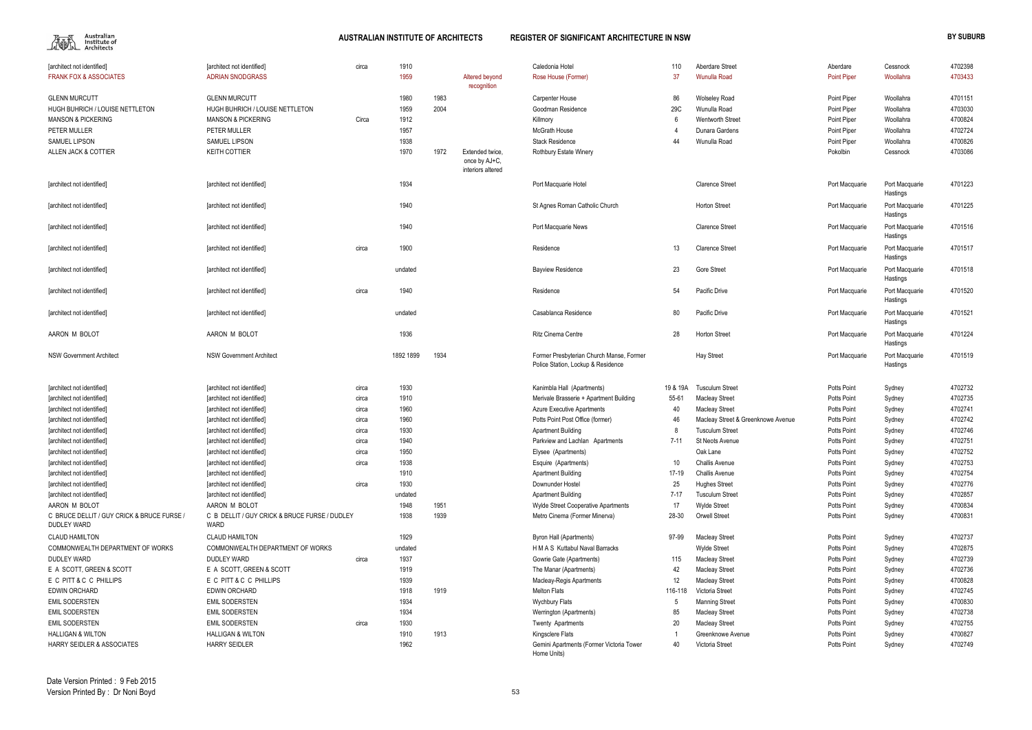$\begin{picture}(120,110) \put(0,0){\line(1,0){15}} \put(15,0){\line(1,0){15}} \put(15,0){\line(1,0){15}} \put(15,0){\line(1,0){15}} \put(15,0){\line(1,0){15}} \put(15,0){\line(1,0){15}} \put(15,0){\line(1,0){15}} \put(15,0){\line(1,0){15}} \put(15,0){\line(1,0){15}} \put(15,0){\line(1,0){15}} \put(15,0){\line(1,0){15}} \put(15,0){\line$ 

| [architect not identified]                                 | [architect not identified]                           | circa | 1910         |      |                   | Caledonia Hotel                                                   | 110             | <b>Aberdare Street</b>                       | Aberdare                                 | Cessnock         | 4702398            |
|------------------------------------------------------------|------------------------------------------------------|-------|--------------|------|-------------------|-------------------------------------------------------------------|-----------------|----------------------------------------------|------------------------------------------|------------------|--------------------|
| <b>FRANK FOX &amp; ASSOCIATES</b>                          | <b>ADRIAN SNODGRASS</b>                              |       | 1959         |      | Altered beyond    | Rose House (Former)                                               | 37              | <b>Wunulla Road</b>                          | <b>Point Piper</b>                       | Woollahra        | 4703433            |
|                                                            |                                                      |       |              |      | recognition       |                                                                   |                 |                                              |                                          |                  |                    |
| <b>GLENN MURCUTT</b>                                       | <b>GLENN MURCUTT</b>                                 |       | 1980         | 1983 |                   | Carpenter House                                                   | 86              | <b>Wolseley Road</b>                         | Point Piper                              | Woollahra        | 4701151            |
| HUGH BUHRICH / LOUISE NETTLETON                            | HUGH BUHRICH / LOUISE NETTLETON                      |       | 1959         | 2004 |                   | Goodman Residence                                                 | 29C             | Wunulla Road                                 | Point Piper                              | Woollahra        | 4703030            |
| <b>MANSON &amp; PICKERING</b>                              | <b>MANSON &amp; PICKERING</b>                        | Circa | 1912         |      |                   | Killmory                                                          |                 | Wentworth Street                             | Point Piper                              | Woollahra        | 4700824            |
| PETER MULLER                                               | PETER MULLER                                         |       | 1957         |      |                   | <b>McGrath House</b>                                              |                 | Dunara Gardens                               | Point Piper                              | Woollahra        | 4702724            |
| <b>SAMUEL LIPSON</b>                                       | <b>SAMUEL LIPSON</b>                                 |       | 1938         |      |                   | <b>Stack Residence</b>                                            | 44              | Wunulla Road                                 | Point Piper                              | Woollahra        | 4700826            |
| ALLEN JACK & COTTIER                                       | <b>KEITH COTTIER</b>                                 |       | 1970         | 1972 | Extended twice,   | Rothbury Estate Winery                                            |                 |                                              | Pokolbin                                 | Cessnock         | 4703086            |
|                                                            |                                                      |       |              |      | once by AJ+C,     |                                                                   |                 |                                              |                                          |                  |                    |
|                                                            |                                                      |       |              |      | interiors altered |                                                                   |                 |                                              |                                          |                  |                    |
| [architect not identified]                                 | [architect not identified]                           |       | 1934         |      |                   | Port Macquarie Hotel                                              |                 | <b>Clarence Street</b>                       | Port Macquarie                           | Port Macquarie   | 4701223            |
|                                                            |                                                      |       |              |      |                   |                                                                   |                 |                                              |                                          | Hastings         |                    |
| [architect not identified]                                 | [architect not identified]                           |       | 1940         |      |                   | St Agnes Roman Catholic Church                                    |                 | <b>Horton Street</b>                         | Port Macquarie                           | Port Macquarie   | 4701225            |
|                                                            |                                                      |       |              |      |                   |                                                                   |                 |                                              |                                          | Hastings         |                    |
| [architect not identified]                                 | [architect not identified]                           |       | 1940         |      |                   | Port Macquarie News                                               |                 | <b>Clarence Street</b>                       | Port Macquarie                           | Port Macquarie   | 4701516            |
|                                                            |                                                      |       |              |      |                   |                                                                   |                 |                                              |                                          | Hastings         |                    |
| [architect not identified]                                 | [architect not identified]                           | circa | 1900         |      |                   | Residence                                                         | 13              | <b>Clarence Street</b>                       | Port Macquarie                           | Port Macquarie   | 4701517            |
|                                                            |                                                      |       |              |      |                   |                                                                   |                 |                                              |                                          | Hastings         |                    |
| [architect not identified]                                 | [architect not identified]                           |       | undated      |      |                   | <b>Bayview Residence</b>                                          | 23              | <b>Gore Street</b>                           | Port Macquarie                           | Port Macquarie   | 4701518            |
|                                                            |                                                      |       |              |      |                   |                                                                   |                 |                                              |                                          | Hastings         |                    |
| [architect not identified]                                 | [architect not identified]                           | circa | 1940         |      |                   | Residence                                                         | 54              | Pacific Drive                                | Port Macquarie                           | Port Macquarie   | 4701520            |
|                                                            |                                                      |       |              |      |                   |                                                                   |                 |                                              |                                          | Hastings         |                    |
| [architect not identified]                                 | [architect not identified]                           |       | undated      |      |                   | Casablanca Residence                                              | 80              | Pacific Drive                                | Port Macquarie                           | Port Macquarie   | 4701521            |
|                                                            |                                                      |       |              |      |                   |                                                                   |                 |                                              |                                          | Hastings         |                    |
| AARON M BOLOT                                              | AARON M BOLOT                                        |       | 1936         |      |                   | <b>Ritz Cinema Centre</b>                                         | 28              | <b>Horton Street</b>                         | Port Macquarie                           | Port Macquarie   | 4701224            |
|                                                            |                                                      |       |              |      |                   |                                                                   |                 |                                              |                                          | Hastings         |                    |
| <b>NSW Government Architect</b>                            | <b>NSW Government Architect</b>                      |       | 1892 1899    | 1934 |                   | Former Presbyterian Church Manse, Former                          |                 | <b>Hay Street</b>                            | Port Macquarie                           | Port Macquarie   | 4701519            |
|                                                            |                                                      |       |              |      |                   | Police Station, Lockup & Residence                                |                 |                                              |                                          | Hastings         |                    |
|                                                            |                                                      |       |              |      |                   |                                                                   |                 |                                              |                                          |                  |                    |
| [architect not identified]                                 | [architect not identified]                           | circa | 1930         |      |                   | Kanimbla Hall (Apartments)                                        | 19 & 19A        | <b>Tusculum Street</b>                       | Potts Point                              | Sydney           | 4702732            |
| [architect not identified]                                 | [architect not identified]                           | circa | 1910         |      |                   | Merivale Brasserie + Apartment Building                           | 55-61           | <b>Macleay Street</b>                        | Potts Point                              | Sydney           | 4702735            |
| [architect not identified]                                 | [architect not identified]                           | circa | 1960         |      |                   | <b>Azure Executive Apartments</b>                                 | 40              | <b>Macleay Street</b>                        | Potts Point                              | Sydney           | 4702741            |
| [architect not identified]                                 | [architect not identified]                           | circa | 1960         |      |                   | Potts Point Post Office (former)                                  | 46              | Macleay Street & Greenknowe Avenue           | <b>Potts Point</b>                       | Sydney           | 4702742            |
| [architect not identified]                                 | [architect not identified]                           | circa | 1930<br>1940 |      |                   | <b>Apartment Building</b>                                         |                 | <b>Tusculum Street</b>                       | Potts Point                              | Sydney           | 4702746            |
| [architect not identified]                                 | [architect not identified]                           | circa |              |      |                   | Parkview and Lachlan Apartments                                   | $7 - 11$        | <b>St Neots Avenue</b>                       | Potts Point                              | Sydney           | 4702751            |
| [architect not identified]                                 | [architect not identified]                           | circa | 1950         |      |                   | Elysee (Apartments)                                               |                 | Oak Lane                                     | Potts Point                              | Sydney           | 4702752            |
| [architect not identified]                                 | [architect not identified]                           | circa | 1938         |      |                   | Esquire (Apartments)                                              | 10 <sup>°</sup> | Challis Avenue                               | Potts Point                              | Sydney           | 4702753            |
| [architect not identified]                                 | [architect not identified]                           |       | 1910         |      |                   | <b>Apartment Building</b>                                         | 17-19           | Challis Avenue                               | Potts Point                              | Sydney           | 4702754            |
| [architect not identified]                                 | [architect not identified]                           | circa | 1930         |      |                   | Downunder Hostel                                                  | 25              | <b>Hughes Street</b>                         | Potts Point                              | Sydney           | 4702776            |
| [architect not identified]                                 | [architect not identified]<br>AARON M BOLOT          |       | undated      |      |                   | <b>Apartment Building</b>                                         | $7 - 17$        | <b>Tusculum Street</b>                       | Potts Point                              | Sydney           | 4702857            |
| AARON M BOLOT<br>C BRUCE DELLIT / GUY CRICK & BRUCE FURSE  | C B DELLIT / GUY CRICK & BRUCE FURSE / DUDLEY        |       | 1948         | 1951 |                   | <b>Wylde Street Cooperative Apartments</b>                        | 17              | <b>Wylde Street</b>                          | Potts Point                              | Sydney           | 4700834<br>4700831 |
| <b>DUDLEY WARD</b>                                         | WARD                                                 |       | 1938         | 1939 |                   | Metro Cinema (Former Minerva)                                     | 28-30           | <b>Orwell Street</b>                         | Potts Point                              | Sydney           |                    |
| <b>CLAUD HAMILTON</b>                                      | <b>CLAUD HAMILTON</b>                                |       | 1929         |      |                   |                                                                   | 97-99           |                                              | Potts Point                              |                  | 4702737            |
| COMMONWEALTH DEPARTMENT OF WORKS                           | COMMONWEALTH DEPARTMENT OF WORKS                     |       | undated      |      |                   | <b>Byron Hall (Apartments)</b><br>H M A S Kuttabul Naval Barracks |                 | <b>Macleay Street</b><br><b>Wylde Street</b> | Potts Point                              | Sydney           | 4702875            |
| <b>DUDLEY WARD</b>                                         | <b>DUDLEY WARD</b>                                   |       | 1937         |      |                   |                                                                   |                 | Macleay Street                               | Potts Point                              | Sydney           | 4702739            |
| E A SCOTT, GREEN & SCOTT                                   | E A SCOTT, GREEN & SCOTT                             | circa | 1919         |      |                   | Gowrie Gate (Apartments)<br>The Manar (Apartments)                | 115<br>42       | Macleay Street                               | Potts Point                              | Sydney<br>Sydney | 4702736            |
|                                                            |                                                      |       | 1939         |      |                   | Macleay-Regis Apartments                                          | 12              | <b>Macleay Street</b>                        | Potts Point                              | Sydney           | 4700828            |
|                                                            |                                                      |       |              |      |                   |                                                                   |                 |                                              |                                          |                  |                    |
| E C PITT & C C PHILLIPS                                    | E C PITT & C C PHILLIPS                              |       |              |      |                   |                                                                   |                 |                                              |                                          |                  |                    |
| <b>EDWIN ORCHARD</b>                                       | EDWIN ORCHARD                                        |       | 1918         | 1919 |                   | <b>Melton Flats</b>                                               | 116-118         | Victoria Street                              | <b>Potts Point</b>                       | Sydney           | 4702745            |
| <b>EMIL SODERSTEN</b>                                      | <b>EMIL SODERSTEN</b>                                |       | 1934         |      |                   | <b>Wychbury Flats</b>                                             | 5               | <b>Manning Street</b>                        | Potts Point                              | Sydney           | 4700830            |
| <b>EMIL SODERSTEN</b>                                      | <b>EMIL SODERSTEN</b>                                |       | 1934         |      |                   | Werrington (Apartments)                                           | 85              | Macleay Street                               | Potts Point                              | Sydney           | 4702738            |
| <b>EMIL SODERSTEN</b>                                      | <b>EMIL SODERSTEN</b>                                | circa | 1930         |      |                   | <b>Twenty Apartments</b>                                          | 20              | <b>Macleay Street</b>                        | Potts Point                              | Sydney           | 4702755            |
| <b>HALLIGAN &amp; WILTON</b><br>HARRY SEIDLER & ASSOCIATES | <b>HALLIGAN &amp; WILTON</b><br><b>HARRY SEIDLER</b> |       | 1910<br>1962 | 1913 |                   | Kingsclere Flats<br>Gemini Apartments (Former Victoria Tower      | 40              | Greenknowe Avenue<br>Victoria Street         | <b>Potts Point</b><br><b>Potts Point</b> | Sydney<br>Sydney | 4700827<br>4702749 |

| 110       | Aberdare Street                    | Aberdare           | Cessnock                   | 4702398 |
|-----------|------------------------------------|--------------------|----------------------------|---------|
| 37        | <b>Wunulla Road</b>                | <b>Point Piper</b> | Woollahra                  | 4703433 |
|           |                                    |                    |                            |         |
| 86        | <b>Wolseley Road</b>               | Point Piper        | Woollahra                  | 4701151 |
| '9C       | Wunulla Road                       | Point Piper        | Woollahra                  | 4703030 |
| 6         | <b>Wentworth Street</b>            | Point Piper        | Woollahra                  | 4700824 |
| 4         | Dunara Gardens                     | Point Piper        | Woollahra                  | 4702724 |
| 44        | Wunulla Road                       | Point Piper        | Woollahra                  | 4700826 |
|           |                                    | Pokolbin           | Cessnock                   | 4703086 |
|           |                                    |                    |                            |         |
|           |                                    |                    |                            |         |
|           | <b>Clarence Street</b>             | Port Macquarie     | Port Macquarie<br>Hastings | 4701223 |
|           | <b>Horton Street</b>               | Port Macquarie     | Port Macquarie<br>Hastings | 4701225 |
|           | <b>Clarence Street</b>             | Port Macquarie     | Port Macquarie<br>Hastings | 4701516 |
| 13        | <b>Clarence Street</b>             | Port Macquarie     | Port Macquarie<br>Hastings | 4701517 |
| 23        | Gore Street                        | Port Macquarie     | Port Macquarie<br>Hastings | 4701518 |
| 54        | Pacific Drive                      | Port Macquarie     | Port Macquarie<br>Hastings | 4701520 |
| 80        | Pacific Drive                      | Port Macquarie     | Port Macquarie<br>Hastings | 4701521 |
| 28        | <b>Horton Street</b>               | Port Macquarie     | Port Macquarie<br>Hastings | 4701224 |
|           | <b>Hay Street</b>                  | Port Macquarie     | Port Macquarie<br>Hastings | 4701519 |
| & 19A     | <b>Tusculum Street</b>             | Potts Point        | Sydney                     | 4702732 |
| $5 - 61$  | <b>Macleay Street</b>              | Potts Point        | Sydney                     | 4702735 |
| 40        | <b>Macleay Street</b>              | Potts Point        | Sydney                     | 4702741 |
| 46        | Macleay Street & Greenknowe Avenue | Potts Point        | Sydney                     | 4702742 |
| 8         | <b>Tusculum Street</b>             | Potts Point        | Sydney                     | 4702746 |
| $-11$     | <b>St Neots Avenue</b>             | Potts Point        | Sydney                     | 4702751 |
|           | Oak Lane                           | Potts Point        | Sydney                     | 4702752 |
| 10        | Challis Avenue                     | Potts Point        | Sydney                     | 4702753 |
| 7-19      | <b>Challis Avenue</b>              | Potts Point        | Sydney                     | 4702754 |
| 25        | <b>Hughes Street</b>               | Potts Point        | Sydney                     | 4702776 |
| -17       | <b>Tusculum Street</b>             | Potts Point        | Sydney                     | 4702857 |
| 17        | <b>Wylde Street</b>                | Potts Point        | Sydney                     | 4700834 |
| $3 - 30$  | <b>Orwell Street</b>               | Potts Point        | Sydney                     | 4700831 |
| 7-99      | <b>Macleay Street</b>              | Potts Point        | Sydney                     | 4702737 |
|           | <b>Wylde Street</b>                | Potts Point        | Sydney                     | 4702875 |
| 115       | Macleay Street                     | Potts Point        | Sydney                     | 4702739 |
| 42        | <b>Macleay Street</b>              | Potts Point        | Sydney                     | 4702736 |
| 12        | <b>Macleay Street</b>              | Potts Point        | Sydney                     | 4700828 |
| $5 - 118$ | Victoria Street                    | Potts Point        | Sydney                     | 4702745 |
| 5         | <b>Manning Street</b>              | Potts Point        | Sydney                     | 4700830 |
| 85        | <b>Macleay Street</b>              | Potts Point        | Sydney                     | 4702738 |
| 20        | <b>Macleay Street</b>              | Potts Point        | Sydney                     | 4702755 |
| 1         | Greenknowe Avenue                  | Potts Point        | Sydney                     | 4700827 |
| 40        | Victoria Street                    | Potts Point        | Sydney                     | 4702749 |
|           |                                    |                    |                            |         |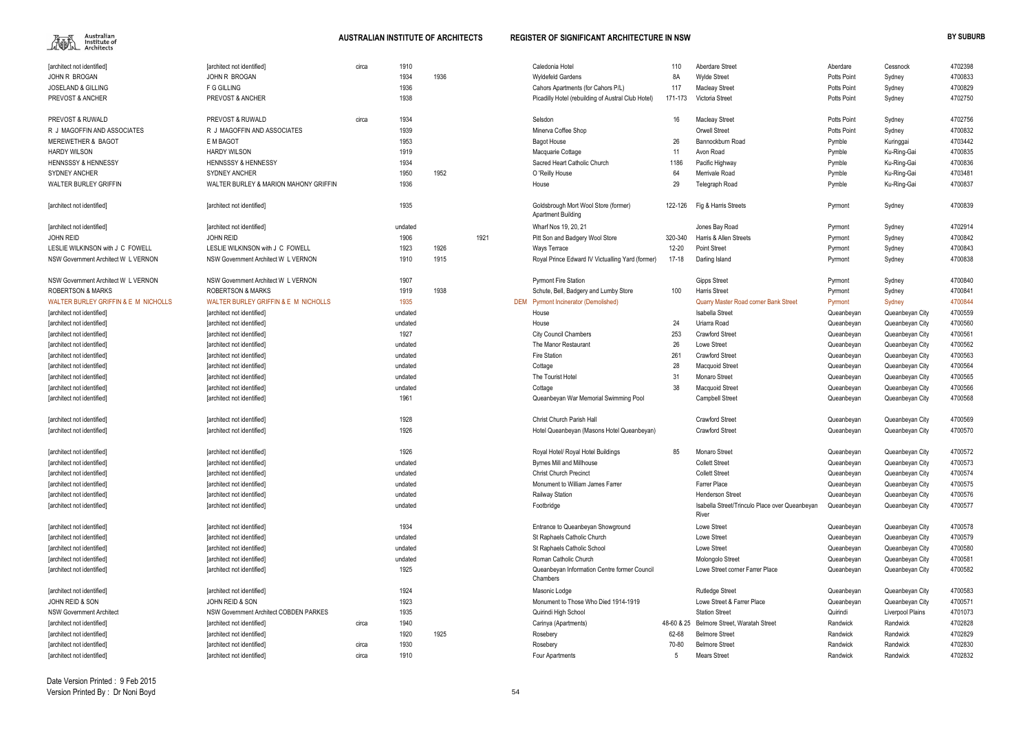

| 1910<br>Caledonia Hotel<br>[architect not identified]<br>[architect not identified]<br>circa<br>110<br><b>Aberdare Street</b><br>1934<br>1936<br>JOHN R BROGAN<br><b>JOHN R BROGAN</b><br><b>Wyldefeld Gardens</b><br>8A<br><b>Wylde Street</b><br>1936<br><b>JOSELAND &amp; GILLING</b><br>F G GILLING<br>Cahors Apartments (for Cahors P/L)<br>117<br><b>Macleay Street</b><br>1938<br>PREVOST & ANCHER<br>PREVOST & ANCHER<br>171-173<br>Victoria Street<br>Picadilly Hotel (rebuilding of Austral Club Hotel)<br>PREVOST & RUWALD<br>PREVOST & RUWALD<br>circa<br>1934<br>Selsdon<br>16<br><b>Macleay Street</b><br>1939<br>R J MAGOFFIN AND ASSOCIATES<br>R J MAGOFFIN AND ASSOCIATES<br>Minerva Coffee Shop<br><b>Orwell Street</b><br>1953<br><b>MEREWETHER &amp; BAGOT</b><br>E M BAGOT<br>26<br><b>Bagot House</b><br>Bannockburn Road<br>1919<br><b>HARDY WILSON</b><br><b>HARDY WILSON</b><br>Macquarie Cottage<br>11<br>Avon Road<br>1934<br>1186<br><b>HENNSSSY &amp; HENNESSY</b><br><b>HENNSSSY &amp; HENNESSY</b><br>Sacred Heart Catholic Church<br>Pacific Highway<br>1950<br><b>SYDNEY ANCHER</b><br><b>SYDNEY ANCHER</b><br>1952<br>64<br>Merrivale Road<br>O 'Reilly House<br>1936<br>29<br>WALTER BURLEY GRIFFIN<br>WALTER BURLEY & MARION MAHONY GRIFFIN<br>Telegraph Road<br>House<br>1935<br>[architect not identified]<br>Goldsbrough Mort Wool Store (former)<br>122-126<br>Fig & Harris Streets<br>[architect not identified]<br><b>Apartment Building</b><br>Wharf Nos 19, 20, 21<br>undated<br>Jones Bay Road<br>[architect not identified]<br>[architect not identified]<br>1921<br><b>JOHN REID</b><br><b>JOHN REID</b><br>1906<br>Harris & Allen Streets<br>Pitt Son and Badgery Wool Store<br>320-340<br>LESLIE WILKINSON with J C FOWELL<br>LESLIE WILKINSON with J C FOWELL<br>1923<br>1926<br><b>Point Street</b><br>Ways Terrace<br>12-20<br>1910<br>1915<br>Royal Prince Edward IV Victualling Yard (former)<br>NSW Government Architect W L VERNON<br>NSW Government Architect W L VERNON<br>17-18<br>Darling Island<br>1907<br>NSW Government Architect W L VERNON<br>NSW Government Architect W L VERNON<br><b>Pyrmont Fire Station</b><br><b>Gipps Street</b><br>1938<br>1919<br>100<br><b>Harris Street</b><br><b>ROBERTSON &amp; MARKS</b><br><b>ROBERTSON &amp; MARKS</b><br>Schute, Bell, Badgery and Lumby Store<br>WALTER BURLEY GRIFFIN & E M NICHOLLS<br>WALTER BURLEY GRIFFIN & E M NICHOLLS<br>1935<br>DEM Pyrmont Incinerator (Demolished)<br>Quarry Master Road corner Bank Street<br>Isabella Street<br>[architect not identified]<br>[architect not identified]<br>undated<br>House<br>24<br>Uriarra Road<br>[architect not identified]<br>undated<br>House<br>[architect not identified]<br>1927<br>253<br><b>City Council Chambers</b><br><b>Crawford Street</b><br>[architect not identified]<br>[architect not identified]<br>26<br>The Manor Restaurant<br>Lowe Street<br>[architect not identified]<br>undated<br>[architect not identified] | Aberdare<br>Potts Point<br>Potts Point<br><b>Potts Point</b><br>Potts Point<br>Potts Point<br>Pymble<br>Pymble<br>Pymble<br>Pymble<br>Pymble<br>Pyrmont<br>Pyrmont<br>Pyrmont<br>Pyrmont<br>Pyrmont<br>Pyrmont<br>Pyrmont<br>Pyrmont<br>Queanbeyan<br>Queanbeyan | Cessnock<br>Sydney<br>Sydney<br>Sydney<br>Sydney<br>Sydney<br>Kuringgai<br>Ku-Ring-Gai<br>Ku-Ring-Gai<br>Ku-Ring-Gai<br>Ku-Ring-Gai<br>Sydney<br>Sydney<br>Sydney<br>Sydney<br>Sydney<br>Sydney<br>Sydney<br>Sydney<br>Queanbeyan City | 4702398<br>4700833<br>4700829<br>4702750<br>4702756<br>4700832<br>4703442<br>4700835<br>4700836<br>4703481<br>4700837<br>4700839<br>4702914<br>4700842<br>4700843<br>4700838<br>4700840<br>4700841<br>4700844 |
|-------------------------------------------------------------------------------------------------------------------------------------------------------------------------------------------------------------------------------------------------------------------------------------------------------------------------------------------------------------------------------------------------------------------------------------------------------------------------------------------------------------------------------------------------------------------------------------------------------------------------------------------------------------------------------------------------------------------------------------------------------------------------------------------------------------------------------------------------------------------------------------------------------------------------------------------------------------------------------------------------------------------------------------------------------------------------------------------------------------------------------------------------------------------------------------------------------------------------------------------------------------------------------------------------------------------------------------------------------------------------------------------------------------------------------------------------------------------------------------------------------------------------------------------------------------------------------------------------------------------------------------------------------------------------------------------------------------------------------------------------------------------------------------------------------------------------------------------------------------------------------------------------------------------------------------------------------------------------------------------------------------------------------------------------------------------------------------------------------------------------------------------------------------------------------------------------------------------------------------------------------------------------------------------------------------------------------------------------------------------------------------------------------------------------------------------------------------------------------------------------------------------------------------------------------------------------------------------------------------------------------------------------------------------------------------------------------------------------------------------------------------------------------------------------------------------------------------------------------------------------------------------------------------------------------------------------------------------------------------------------------------|------------------------------------------------------------------------------------------------------------------------------------------------------------------------------------------------------------------------------------------------------------------|----------------------------------------------------------------------------------------------------------------------------------------------------------------------------------------------------------------------------------------|---------------------------------------------------------------------------------------------------------------------------------------------------------------------------------------------------------------|
|                                                                                                                                                                                                                                                                                                                                                                                                                                                                                                                                                                                                                                                                                                                                                                                                                                                                                                                                                                                                                                                                                                                                                                                                                                                                                                                                                                                                                                                                                                                                                                                                                                                                                                                                                                                                                                                                                                                                                                                                                                                                                                                                                                                                                                                                                                                                                                                                                                                                                                                                                                                                                                                                                                                                                                                                                                                                                                                                                                                                             |                                                                                                                                                                                                                                                                  |                                                                                                                                                                                                                                        |                                                                                                                                                                                                               |
|                                                                                                                                                                                                                                                                                                                                                                                                                                                                                                                                                                                                                                                                                                                                                                                                                                                                                                                                                                                                                                                                                                                                                                                                                                                                                                                                                                                                                                                                                                                                                                                                                                                                                                                                                                                                                                                                                                                                                                                                                                                                                                                                                                                                                                                                                                                                                                                                                                                                                                                                                                                                                                                                                                                                                                                                                                                                                                                                                                                                             |                                                                                                                                                                                                                                                                  |                                                                                                                                                                                                                                        |                                                                                                                                                                                                               |
|                                                                                                                                                                                                                                                                                                                                                                                                                                                                                                                                                                                                                                                                                                                                                                                                                                                                                                                                                                                                                                                                                                                                                                                                                                                                                                                                                                                                                                                                                                                                                                                                                                                                                                                                                                                                                                                                                                                                                                                                                                                                                                                                                                                                                                                                                                                                                                                                                                                                                                                                                                                                                                                                                                                                                                                                                                                                                                                                                                                                             |                                                                                                                                                                                                                                                                  |                                                                                                                                                                                                                                        |                                                                                                                                                                                                               |
|                                                                                                                                                                                                                                                                                                                                                                                                                                                                                                                                                                                                                                                                                                                                                                                                                                                                                                                                                                                                                                                                                                                                                                                                                                                                                                                                                                                                                                                                                                                                                                                                                                                                                                                                                                                                                                                                                                                                                                                                                                                                                                                                                                                                                                                                                                                                                                                                                                                                                                                                                                                                                                                                                                                                                                                                                                                                                                                                                                                                             |                                                                                                                                                                                                                                                                  |                                                                                                                                                                                                                                        |                                                                                                                                                                                                               |
|                                                                                                                                                                                                                                                                                                                                                                                                                                                                                                                                                                                                                                                                                                                                                                                                                                                                                                                                                                                                                                                                                                                                                                                                                                                                                                                                                                                                                                                                                                                                                                                                                                                                                                                                                                                                                                                                                                                                                                                                                                                                                                                                                                                                                                                                                                                                                                                                                                                                                                                                                                                                                                                                                                                                                                                                                                                                                                                                                                                                             |                                                                                                                                                                                                                                                                  |                                                                                                                                                                                                                                        |                                                                                                                                                                                                               |
|                                                                                                                                                                                                                                                                                                                                                                                                                                                                                                                                                                                                                                                                                                                                                                                                                                                                                                                                                                                                                                                                                                                                                                                                                                                                                                                                                                                                                                                                                                                                                                                                                                                                                                                                                                                                                                                                                                                                                                                                                                                                                                                                                                                                                                                                                                                                                                                                                                                                                                                                                                                                                                                                                                                                                                                                                                                                                                                                                                                                             |                                                                                                                                                                                                                                                                  |                                                                                                                                                                                                                                        |                                                                                                                                                                                                               |
|                                                                                                                                                                                                                                                                                                                                                                                                                                                                                                                                                                                                                                                                                                                                                                                                                                                                                                                                                                                                                                                                                                                                                                                                                                                                                                                                                                                                                                                                                                                                                                                                                                                                                                                                                                                                                                                                                                                                                                                                                                                                                                                                                                                                                                                                                                                                                                                                                                                                                                                                                                                                                                                                                                                                                                                                                                                                                                                                                                                                             |                                                                                                                                                                                                                                                                  |                                                                                                                                                                                                                                        |                                                                                                                                                                                                               |
|                                                                                                                                                                                                                                                                                                                                                                                                                                                                                                                                                                                                                                                                                                                                                                                                                                                                                                                                                                                                                                                                                                                                                                                                                                                                                                                                                                                                                                                                                                                                                                                                                                                                                                                                                                                                                                                                                                                                                                                                                                                                                                                                                                                                                                                                                                                                                                                                                                                                                                                                                                                                                                                                                                                                                                                                                                                                                                                                                                                                             |                                                                                                                                                                                                                                                                  |                                                                                                                                                                                                                                        |                                                                                                                                                                                                               |
|                                                                                                                                                                                                                                                                                                                                                                                                                                                                                                                                                                                                                                                                                                                                                                                                                                                                                                                                                                                                                                                                                                                                                                                                                                                                                                                                                                                                                                                                                                                                                                                                                                                                                                                                                                                                                                                                                                                                                                                                                                                                                                                                                                                                                                                                                                                                                                                                                                                                                                                                                                                                                                                                                                                                                                                                                                                                                                                                                                                                             |                                                                                                                                                                                                                                                                  |                                                                                                                                                                                                                                        |                                                                                                                                                                                                               |
|                                                                                                                                                                                                                                                                                                                                                                                                                                                                                                                                                                                                                                                                                                                                                                                                                                                                                                                                                                                                                                                                                                                                                                                                                                                                                                                                                                                                                                                                                                                                                                                                                                                                                                                                                                                                                                                                                                                                                                                                                                                                                                                                                                                                                                                                                                                                                                                                                                                                                                                                                                                                                                                                                                                                                                                                                                                                                                                                                                                                             |                                                                                                                                                                                                                                                                  |                                                                                                                                                                                                                                        |                                                                                                                                                                                                               |
|                                                                                                                                                                                                                                                                                                                                                                                                                                                                                                                                                                                                                                                                                                                                                                                                                                                                                                                                                                                                                                                                                                                                                                                                                                                                                                                                                                                                                                                                                                                                                                                                                                                                                                                                                                                                                                                                                                                                                                                                                                                                                                                                                                                                                                                                                                                                                                                                                                                                                                                                                                                                                                                                                                                                                                                                                                                                                                                                                                                                             |                                                                                                                                                                                                                                                                  |                                                                                                                                                                                                                                        |                                                                                                                                                                                                               |
|                                                                                                                                                                                                                                                                                                                                                                                                                                                                                                                                                                                                                                                                                                                                                                                                                                                                                                                                                                                                                                                                                                                                                                                                                                                                                                                                                                                                                                                                                                                                                                                                                                                                                                                                                                                                                                                                                                                                                                                                                                                                                                                                                                                                                                                                                                                                                                                                                                                                                                                                                                                                                                                                                                                                                                                                                                                                                                                                                                                                             |                                                                                                                                                                                                                                                                  |                                                                                                                                                                                                                                        |                                                                                                                                                                                                               |
|                                                                                                                                                                                                                                                                                                                                                                                                                                                                                                                                                                                                                                                                                                                                                                                                                                                                                                                                                                                                                                                                                                                                                                                                                                                                                                                                                                                                                                                                                                                                                                                                                                                                                                                                                                                                                                                                                                                                                                                                                                                                                                                                                                                                                                                                                                                                                                                                                                                                                                                                                                                                                                                                                                                                                                                                                                                                                                                                                                                                             |                                                                                                                                                                                                                                                                  |                                                                                                                                                                                                                                        |                                                                                                                                                                                                               |
|                                                                                                                                                                                                                                                                                                                                                                                                                                                                                                                                                                                                                                                                                                                                                                                                                                                                                                                                                                                                                                                                                                                                                                                                                                                                                                                                                                                                                                                                                                                                                                                                                                                                                                                                                                                                                                                                                                                                                                                                                                                                                                                                                                                                                                                                                                                                                                                                                                                                                                                                                                                                                                                                                                                                                                                                                                                                                                                                                                                                             |                                                                                                                                                                                                                                                                  |                                                                                                                                                                                                                                        |                                                                                                                                                                                                               |
|                                                                                                                                                                                                                                                                                                                                                                                                                                                                                                                                                                                                                                                                                                                                                                                                                                                                                                                                                                                                                                                                                                                                                                                                                                                                                                                                                                                                                                                                                                                                                                                                                                                                                                                                                                                                                                                                                                                                                                                                                                                                                                                                                                                                                                                                                                                                                                                                                                                                                                                                                                                                                                                                                                                                                                                                                                                                                                                                                                                                             |                                                                                                                                                                                                                                                                  |                                                                                                                                                                                                                                        |                                                                                                                                                                                                               |
|                                                                                                                                                                                                                                                                                                                                                                                                                                                                                                                                                                                                                                                                                                                                                                                                                                                                                                                                                                                                                                                                                                                                                                                                                                                                                                                                                                                                                                                                                                                                                                                                                                                                                                                                                                                                                                                                                                                                                                                                                                                                                                                                                                                                                                                                                                                                                                                                                                                                                                                                                                                                                                                                                                                                                                                                                                                                                                                                                                                                             |                                                                                                                                                                                                                                                                  |                                                                                                                                                                                                                                        |                                                                                                                                                                                                               |
|                                                                                                                                                                                                                                                                                                                                                                                                                                                                                                                                                                                                                                                                                                                                                                                                                                                                                                                                                                                                                                                                                                                                                                                                                                                                                                                                                                                                                                                                                                                                                                                                                                                                                                                                                                                                                                                                                                                                                                                                                                                                                                                                                                                                                                                                                                                                                                                                                                                                                                                                                                                                                                                                                                                                                                                                                                                                                                                                                                                                             |                                                                                                                                                                                                                                                                  |                                                                                                                                                                                                                                        |                                                                                                                                                                                                               |
|                                                                                                                                                                                                                                                                                                                                                                                                                                                                                                                                                                                                                                                                                                                                                                                                                                                                                                                                                                                                                                                                                                                                                                                                                                                                                                                                                                                                                                                                                                                                                                                                                                                                                                                                                                                                                                                                                                                                                                                                                                                                                                                                                                                                                                                                                                                                                                                                                                                                                                                                                                                                                                                                                                                                                                                                                                                                                                                                                                                                             |                                                                                                                                                                                                                                                                  |                                                                                                                                                                                                                                        |                                                                                                                                                                                                               |
|                                                                                                                                                                                                                                                                                                                                                                                                                                                                                                                                                                                                                                                                                                                                                                                                                                                                                                                                                                                                                                                                                                                                                                                                                                                                                                                                                                                                                                                                                                                                                                                                                                                                                                                                                                                                                                                                                                                                                                                                                                                                                                                                                                                                                                                                                                                                                                                                                                                                                                                                                                                                                                                                                                                                                                                                                                                                                                                                                                                                             |                                                                                                                                                                                                                                                                  |                                                                                                                                                                                                                                        |                                                                                                                                                                                                               |
|                                                                                                                                                                                                                                                                                                                                                                                                                                                                                                                                                                                                                                                                                                                                                                                                                                                                                                                                                                                                                                                                                                                                                                                                                                                                                                                                                                                                                                                                                                                                                                                                                                                                                                                                                                                                                                                                                                                                                                                                                                                                                                                                                                                                                                                                                                                                                                                                                                                                                                                                                                                                                                                                                                                                                                                                                                                                                                                                                                                                             |                                                                                                                                                                                                                                                                  |                                                                                                                                                                                                                                        |                                                                                                                                                                                                               |
|                                                                                                                                                                                                                                                                                                                                                                                                                                                                                                                                                                                                                                                                                                                                                                                                                                                                                                                                                                                                                                                                                                                                                                                                                                                                                                                                                                                                                                                                                                                                                                                                                                                                                                                                                                                                                                                                                                                                                                                                                                                                                                                                                                                                                                                                                                                                                                                                                                                                                                                                                                                                                                                                                                                                                                                                                                                                                                                                                                                                             |                                                                                                                                                                                                                                                                  |                                                                                                                                                                                                                                        |                                                                                                                                                                                                               |
|                                                                                                                                                                                                                                                                                                                                                                                                                                                                                                                                                                                                                                                                                                                                                                                                                                                                                                                                                                                                                                                                                                                                                                                                                                                                                                                                                                                                                                                                                                                                                                                                                                                                                                                                                                                                                                                                                                                                                                                                                                                                                                                                                                                                                                                                                                                                                                                                                                                                                                                                                                                                                                                                                                                                                                                                                                                                                                                                                                                                             |                                                                                                                                                                                                                                                                  |                                                                                                                                                                                                                                        | 4700559                                                                                                                                                                                                       |
|                                                                                                                                                                                                                                                                                                                                                                                                                                                                                                                                                                                                                                                                                                                                                                                                                                                                                                                                                                                                                                                                                                                                                                                                                                                                                                                                                                                                                                                                                                                                                                                                                                                                                                                                                                                                                                                                                                                                                                                                                                                                                                                                                                                                                                                                                                                                                                                                                                                                                                                                                                                                                                                                                                                                                                                                                                                                                                                                                                                                             |                                                                                                                                                                                                                                                                  | Queanbeyan City                                                                                                                                                                                                                        | 4700560                                                                                                                                                                                                       |
|                                                                                                                                                                                                                                                                                                                                                                                                                                                                                                                                                                                                                                                                                                                                                                                                                                                                                                                                                                                                                                                                                                                                                                                                                                                                                                                                                                                                                                                                                                                                                                                                                                                                                                                                                                                                                                                                                                                                                                                                                                                                                                                                                                                                                                                                                                                                                                                                                                                                                                                                                                                                                                                                                                                                                                                                                                                                                                                                                                                                             | Queanbeyan                                                                                                                                                                                                                                                       | Queanbeyan City                                                                                                                                                                                                                        | 4700561                                                                                                                                                                                                       |
|                                                                                                                                                                                                                                                                                                                                                                                                                                                                                                                                                                                                                                                                                                                                                                                                                                                                                                                                                                                                                                                                                                                                                                                                                                                                                                                                                                                                                                                                                                                                                                                                                                                                                                                                                                                                                                                                                                                                                                                                                                                                                                                                                                                                                                                                                                                                                                                                                                                                                                                                                                                                                                                                                                                                                                                                                                                                                                                                                                                                             | Queanbeyan                                                                                                                                                                                                                                                       | Queanbeyan City                                                                                                                                                                                                                        | 4700562                                                                                                                                                                                                       |
| 261<br>Fire Station<br><b>Crawford Street</b><br>[architect not identified]<br>undated<br>[architect not identified]                                                                                                                                                                                                                                                                                                                                                                                                                                                                                                                                                                                                                                                                                                                                                                                                                                                                                                                                                                                                                                                                                                                                                                                                                                                                                                                                                                                                                                                                                                                                                                                                                                                                                                                                                                                                                                                                                                                                                                                                                                                                                                                                                                                                                                                                                                                                                                                                                                                                                                                                                                                                                                                                                                                                                                                                                                                                                        | Queanbeyan                                                                                                                                                                                                                                                       | Queanbeyan City                                                                                                                                                                                                                        | 4700563                                                                                                                                                                                                       |
| 28<br>[architect not identified]<br>[architect not identified]<br>undated<br><b>Macquoid Street</b><br>Cottage                                                                                                                                                                                                                                                                                                                                                                                                                                                                                                                                                                                                                                                                                                                                                                                                                                                                                                                                                                                                                                                                                                                                                                                                                                                                                                                                                                                                                                                                                                                                                                                                                                                                                                                                                                                                                                                                                                                                                                                                                                                                                                                                                                                                                                                                                                                                                                                                                                                                                                                                                                                                                                                                                                                                                                                                                                                                                              | Queanbeyan                                                                                                                                                                                                                                                       | Queanbeyan City                                                                                                                                                                                                                        | 4700564                                                                                                                                                                                                       |
| 31<br>Monaro Street<br>[architect not identified]<br>[architect not identified]<br>undated<br>The Tourist Hotel                                                                                                                                                                                                                                                                                                                                                                                                                                                                                                                                                                                                                                                                                                                                                                                                                                                                                                                                                                                                                                                                                                                                                                                                                                                                                                                                                                                                                                                                                                                                                                                                                                                                                                                                                                                                                                                                                                                                                                                                                                                                                                                                                                                                                                                                                                                                                                                                                                                                                                                                                                                                                                                                                                                                                                                                                                                                                             | Queanbeyan                                                                                                                                                                                                                                                       | Queanbeyan City                                                                                                                                                                                                                        | 4700565                                                                                                                                                                                                       |
| 38<br>[architect not identified]<br>[architect not identified]<br>undated<br>Cottage<br><b>Macquoid Street</b>                                                                                                                                                                                                                                                                                                                                                                                                                                                                                                                                                                                                                                                                                                                                                                                                                                                                                                                                                                                                                                                                                                                                                                                                                                                                                                                                                                                                                                                                                                                                                                                                                                                                                                                                                                                                                                                                                                                                                                                                                                                                                                                                                                                                                                                                                                                                                                                                                                                                                                                                                                                                                                                                                                                                                                                                                                                                                              | Queanbeyan                                                                                                                                                                                                                                                       | Queanbeyan City                                                                                                                                                                                                                        | 4700566                                                                                                                                                                                                       |
| 1961<br>[architect not identified]<br>[architect not identified]<br>Queanbeyan War Memorial Swimming Pool<br><b>Campbell Street</b>                                                                                                                                                                                                                                                                                                                                                                                                                                                                                                                                                                                                                                                                                                                                                                                                                                                                                                                                                                                                                                                                                                                                                                                                                                                                                                                                                                                                                                                                                                                                                                                                                                                                                                                                                                                                                                                                                                                                                                                                                                                                                                                                                                                                                                                                                                                                                                                                                                                                                                                                                                                                                                                                                                                                                                                                                                                                         | Queanbeyan                                                                                                                                                                                                                                                       | Queanbeyan City                                                                                                                                                                                                                        | 4700568                                                                                                                                                                                                       |
|                                                                                                                                                                                                                                                                                                                                                                                                                                                                                                                                                                                                                                                                                                                                                                                                                                                                                                                                                                                                                                                                                                                                                                                                                                                                                                                                                                                                                                                                                                                                                                                                                                                                                                                                                                                                                                                                                                                                                                                                                                                                                                                                                                                                                                                                                                                                                                                                                                                                                                                                                                                                                                                                                                                                                                                                                                                                                                                                                                                                             |                                                                                                                                                                                                                                                                  |                                                                                                                                                                                                                                        |                                                                                                                                                                                                               |
| 1928<br>[architect not identified]<br>Christ Church Parish Hall<br><b>Crawford Street</b><br>[architect not identified]                                                                                                                                                                                                                                                                                                                                                                                                                                                                                                                                                                                                                                                                                                                                                                                                                                                                                                                                                                                                                                                                                                                                                                                                                                                                                                                                                                                                                                                                                                                                                                                                                                                                                                                                                                                                                                                                                                                                                                                                                                                                                                                                                                                                                                                                                                                                                                                                                                                                                                                                                                                                                                                                                                                                                                                                                                                                                     | Queanbeyan                                                                                                                                                                                                                                                       | Queanbeyan City                                                                                                                                                                                                                        | 4700569                                                                                                                                                                                                       |
| 1926<br><b>Crawford Street</b><br>[architect not identified]<br>[architect not identified]<br>Hotel Queanbeyan (Masons Hotel Queanbeyan)                                                                                                                                                                                                                                                                                                                                                                                                                                                                                                                                                                                                                                                                                                                                                                                                                                                                                                                                                                                                                                                                                                                                                                                                                                                                                                                                                                                                                                                                                                                                                                                                                                                                                                                                                                                                                                                                                                                                                                                                                                                                                                                                                                                                                                                                                                                                                                                                                                                                                                                                                                                                                                                                                                                                                                                                                                                                    | Queanbeyan                                                                                                                                                                                                                                                       | Queanbeyan City                                                                                                                                                                                                                        | 4700570                                                                                                                                                                                                       |
| 1926<br>Royal Hotel/ Royal Hotel Buildings<br>85<br><b>Monaro Street</b><br>[architect not identified]<br>[architect not identified]                                                                                                                                                                                                                                                                                                                                                                                                                                                                                                                                                                                                                                                                                                                                                                                                                                                                                                                                                                                                                                                                                                                                                                                                                                                                                                                                                                                                                                                                                                                                                                                                                                                                                                                                                                                                                                                                                                                                                                                                                                                                                                                                                                                                                                                                                                                                                                                                                                                                                                                                                                                                                                                                                                                                                                                                                                                                        | Queanbeyan                                                                                                                                                                                                                                                       | Queanbeyan City                                                                                                                                                                                                                        | 4700572                                                                                                                                                                                                       |
| [architect not identified]<br>[architect not identified]<br>undated<br><b>Byrnes Mill and Millhouse</b><br><b>Collett Street</b>                                                                                                                                                                                                                                                                                                                                                                                                                                                                                                                                                                                                                                                                                                                                                                                                                                                                                                                                                                                                                                                                                                                                                                                                                                                                                                                                                                                                                                                                                                                                                                                                                                                                                                                                                                                                                                                                                                                                                                                                                                                                                                                                                                                                                                                                                                                                                                                                                                                                                                                                                                                                                                                                                                                                                                                                                                                                            | Queanbeyan                                                                                                                                                                                                                                                       | Queanbeyan City                                                                                                                                                                                                                        | 4700573                                                                                                                                                                                                       |
| [architect not identified]<br>[architect not identified]<br>undated<br><b>Christ Church Precinct</b><br><b>Collett Street</b>                                                                                                                                                                                                                                                                                                                                                                                                                                                                                                                                                                                                                                                                                                                                                                                                                                                                                                                                                                                                                                                                                                                                                                                                                                                                                                                                                                                                                                                                                                                                                                                                                                                                                                                                                                                                                                                                                                                                                                                                                                                                                                                                                                                                                                                                                                                                                                                                                                                                                                                                                                                                                                                                                                                                                                                                                                                                               | Queanbeyan                                                                                                                                                                                                                                                       | Queanbeyan City                                                                                                                                                                                                                        | 4700574                                                                                                                                                                                                       |
| Farrer Place<br>[architect not identified]<br>[architect not identified]<br>undated<br>Monument to William James Farrer                                                                                                                                                                                                                                                                                                                                                                                                                                                                                                                                                                                                                                                                                                                                                                                                                                                                                                                                                                                                                                                                                                                                                                                                                                                                                                                                                                                                                                                                                                                                                                                                                                                                                                                                                                                                                                                                                                                                                                                                                                                                                                                                                                                                                                                                                                                                                                                                                                                                                                                                                                                                                                                                                                                                                                                                                                                                                     | Queanbeyan                                                                                                                                                                                                                                                       | Queanbeyan City                                                                                                                                                                                                                        | 4700575                                                                                                                                                                                                       |
| undated<br><b>Railway Station</b><br><b>Henderson Street</b><br>[architect not identified]<br>[architect not identified]                                                                                                                                                                                                                                                                                                                                                                                                                                                                                                                                                                                                                                                                                                                                                                                                                                                                                                                                                                                                                                                                                                                                                                                                                                                                                                                                                                                                                                                                                                                                                                                                                                                                                                                                                                                                                                                                                                                                                                                                                                                                                                                                                                                                                                                                                                                                                                                                                                                                                                                                                                                                                                                                                                                                                                                                                                                                                    | Queanbeyan                                                                                                                                                                                                                                                       | Queanbeyan City                                                                                                                                                                                                                        | 4700576                                                                                                                                                                                                       |
| undated<br>Isabella Street/Trinculo Place over Queanbeyan                                                                                                                                                                                                                                                                                                                                                                                                                                                                                                                                                                                                                                                                                                                                                                                                                                                                                                                                                                                                                                                                                                                                                                                                                                                                                                                                                                                                                                                                                                                                                                                                                                                                                                                                                                                                                                                                                                                                                                                                                                                                                                                                                                                                                                                                                                                                                                                                                                                                                                                                                                                                                                                                                                                                                                                                                                                                                                                                                   |                                                                                                                                                                                                                                                                  | Queanbeyan City                                                                                                                                                                                                                        | 4700577                                                                                                                                                                                                       |
| [architect not identified]<br>Footbridge<br>[architect not identified]<br>River                                                                                                                                                                                                                                                                                                                                                                                                                                                                                                                                                                                                                                                                                                                                                                                                                                                                                                                                                                                                                                                                                                                                                                                                                                                                                                                                                                                                                                                                                                                                                                                                                                                                                                                                                                                                                                                                                                                                                                                                                                                                                                                                                                                                                                                                                                                                                                                                                                                                                                                                                                                                                                                                                                                                                                                                                                                                                                                             | Queanbeyan                                                                                                                                                                                                                                                       |                                                                                                                                                                                                                                        |                                                                                                                                                                                                               |
| 1934<br>Lowe Street<br>Entrance to Queanbeyan Showground<br>[architect not identified]<br>[architect not identified]                                                                                                                                                                                                                                                                                                                                                                                                                                                                                                                                                                                                                                                                                                                                                                                                                                                                                                                                                                                                                                                                                                                                                                                                                                                                                                                                                                                                                                                                                                                                                                                                                                                                                                                                                                                                                                                                                                                                                                                                                                                                                                                                                                                                                                                                                                                                                                                                                                                                                                                                                                                                                                                                                                                                                                                                                                                                                        | Queanbeyan                                                                                                                                                                                                                                                       | Queanbeyan City                                                                                                                                                                                                                        | 4700578                                                                                                                                                                                                       |
| St Raphaels Catholic Church<br>Lowe Street<br>[architect not identified]<br>[architect not identified]<br>undated                                                                                                                                                                                                                                                                                                                                                                                                                                                                                                                                                                                                                                                                                                                                                                                                                                                                                                                                                                                                                                                                                                                                                                                                                                                                                                                                                                                                                                                                                                                                                                                                                                                                                                                                                                                                                                                                                                                                                                                                                                                                                                                                                                                                                                                                                                                                                                                                                                                                                                                                                                                                                                                                                                                                                                                                                                                                                           | Queanbeyan                                                                                                                                                                                                                                                       | Queanbeyan City                                                                                                                                                                                                                        | 4700579                                                                                                                                                                                                       |
| St Raphaels Catholic School<br>Lowe Street<br>[architect not identified]<br>[architect not identified]<br>undated                                                                                                                                                                                                                                                                                                                                                                                                                                                                                                                                                                                                                                                                                                                                                                                                                                                                                                                                                                                                                                                                                                                                                                                                                                                                                                                                                                                                                                                                                                                                                                                                                                                                                                                                                                                                                                                                                                                                                                                                                                                                                                                                                                                                                                                                                                                                                                                                                                                                                                                                                                                                                                                                                                                                                                                                                                                                                           | Queanbeyan                                                                                                                                                                                                                                                       | Queanbeyan City                                                                                                                                                                                                                        | 4700580                                                                                                                                                                                                       |
| Roman Catholic Church<br>[architect not identified]<br>[architect not identified]<br>undated<br>Molongolo Street                                                                                                                                                                                                                                                                                                                                                                                                                                                                                                                                                                                                                                                                                                                                                                                                                                                                                                                                                                                                                                                                                                                                                                                                                                                                                                                                                                                                                                                                                                                                                                                                                                                                                                                                                                                                                                                                                                                                                                                                                                                                                                                                                                                                                                                                                                                                                                                                                                                                                                                                                                                                                                                                                                                                                                                                                                                                                            | Queanbeyan                                                                                                                                                                                                                                                       | Queanbeyan City                                                                                                                                                                                                                        | 4700581                                                                                                                                                                                                       |
| 1925<br>Queanbeyan Information Centre former Council<br>[architect not identified]<br>[architect not identified]<br>Lowe Street corner Farrer Place                                                                                                                                                                                                                                                                                                                                                                                                                                                                                                                                                                                                                                                                                                                                                                                                                                                                                                                                                                                                                                                                                                                                                                                                                                                                                                                                                                                                                                                                                                                                                                                                                                                                                                                                                                                                                                                                                                                                                                                                                                                                                                                                                                                                                                                                                                                                                                                                                                                                                                                                                                                                                                                                                                                                                                                                                                                         | Queanbeyan                                                                                                                                                                                                                                                       | Queanbeyan City                                                                                                                                                                                                                        | 4700582                                                                                                                                                                                                       |
| Chambers                                                                                                                                                                                                                                                                                                                                                                                                                                                                                                                                                                                                                                                                                                                                                                                                                                                                                                                                                                                                                                                                                                                                                                                                                                                                                                                                                                                                                                                                                                                                                                                                                                                                                                                                                                                                                                                                                                                                                                                                                                                                                                                                                                                                                                                                                                                                                                                                                                                                                                                                                                                                                                                                                                                                                                                                                                                                                                                                                                                                    |                                                                                                                                                                                                                                                                  |                                                                                                                                                                                                                                        |                                                                                                                                                                                                               |
| 1924<br>Masonic Lodge<br><b>Rutledge Street</b><br>[architect not identified]<br>[architect not identified]                                                                                                                                                                                                                                                                                                                                                                                                                                                                                                                                                                                                                                                                                                                                                                                                                                                                                                                                                                                                                                                                                                                                                                                                                                                                                                                                                                                                                                                                                                                                                                                                                                                                                                                                                                                                                                                                                                                                                                                                                                                                                                                                                                                                                                                                                                                                                                                                                                                                                                                                                                                                                                                                                                                                                                                                                                                                                                 | Queanbeyan                                                                                                                                                                                                                                                       | Queanbeyan City                                                                                                                                                                                                                        | 4700583                                                                                                                                                                                                       |
| 1923<br>JOHN REID & SON<br>JOHN REID & SON<br>Monument to Those Who Died 1914-1919<br>Lowe Street & Farrer Place                                                                                                                                                                                                                                                                                                                                                                                                                                                                                                                                                                                                                                                                                                                                                                                                                                                                                                                                                                                                                                                                                                                                                                                                                                                                                                                                                                                                                                                                                                                                                                                                                                                                                                                                                                                                                                                                                                                                                                                                                                                                                                                                                                                                                                                                                                                                                                                                                                                                                                                                                                                                                                                                                                                                                                                                                                                                                            | Queanbeyan                                                                                                                                                                                                                                                       | Queanbeyan City                                                                                                                                                                                                                        | 4700571                                                                                                                                                                                                       |
| 1935<br><b>NSW Government Architect</b><br>NSW Government Architect COBDEN PARKES<br>Quirindi High School<br><b>Station Street</b>                                                                                                                                                                                                                                                                                                                                                                                                                                                                                                                                                                                                                                                                                                                                                                                                                                                                                                                                                                                                                                                                                                                                                                                                                                                                                                                                                                                                                                                                                                                                                                                                                                                                                                                                                                                                                                                                                                                                                                                                                                                                                                                                                                                                                                                                                                                                                                                                                                                                                                                                                                                                                                                                                                                                                                                                                                                                          | Quirindi                                                                                                                                                                                                                                                         | <b>Liverpool Plains</b>                                                                                                                                                                                                                | 4701073                                                                                                                                                                                                       |
| 1940<br>48-60 & 25<br>Belmore Street, Waratah Street<br>[architect not identified]<br>[architect not identified]<br>circa<br>Carinya (Apartments)                                                                                                                                                                                                                                                                                                                                                                                                                                                                                                                                                                                                                                                                                                                                                                                                                                                                                                                                                                                                                                                                                                                                                                                                                                                                                                                                                                                                                                                                                                                                                                                                                                                                                                                                                                                                                                                                                                                                                                                                                                                                                                                                                                                                                                                                                                                                                                                                                                                                                                                                                                                                                                                                                                                                                                                                                                                           | Randwick                                                                                                                                                                                                                                                         | Randwick                                                                                                                                                                                                                               | 4702828                                                                                                                                                                                                       |
| 1920<br>1925<br>62-68<br><b>Belmore Street</b><br>[architect not identified]<br>[architect not identified]<br>Rosebery                                                                                                                                                                                                                                                                                                                                                                                                                                                                                                                                                                                                                                                                                                                                                                                                                                                                                                                                                                                                                                                                                                                                                                                                                                                                                                                                                                                                                                                                                                                                                                                                                                                                                                                                                                                                                                                                                                                                                                                                                                                                                                                                                                                                                                                                                                                                                                                                                                                                                                                                                                                                                                                                                                                                                                                                                                                                                      | Randwick                                                                                                                                                                                                                                                         | Randwick                                                                                                                                                                                                                               | 4702829                                                                                                                                                                                                       |
| 1930<br>70-80<br>[architect not identified]<br>[architect not identified]<br><b>Belmore Street</b><br>Rosebery<br>circa                                                                                                                                                                                                                                                                                                                                                                                                                                                                                                                                                                                                                                                                                                                                                                                                                                                                                                                                                                                                                                                                                                                                                                                                                                                                                                                                                                                                                                                                                                                                                                                                                                                                                                                                                                                                                                                                                                                                                                                                                                                                                                                                                                                                                                                                                                                                                                                                                                                                                                                                                                                                                                                                                                                                                                                                                                                                                     | Randwick                                                                                                                                                                                                                                                         | Randwick                                                                                                                                                                                                                               | 4702830                                                                                                                                                                                                       |
| 1910<br>[architect not identified]<br>circa<br>5<br><b>Mears Street</b><br>[architect not identified]<br>Four Apartments                                                                                                                                                                                                                                                                                                                                                                                                                                                                                                                                                                                                                                                                                                                                                                                                                                                                                                                                                                                                                                                                                                                                                                                                                                                                                                                                                                                                                                                                                                                                                                                                                                                                                                                                                                                                                                                                                                                                                                                                                                                                                                                                                                                                                                                                                                                                                                                                                                                                                                                                                                                                                                                                                                                                                                                                                                                                                    | Randwick                                                                                                                                                                                                                                                         | Randwick                                                                                                                                                                                                                               | 4702832                                                                                                                                                                                                       |

| 110       | <b>Aberdare Street</b>                                  | Aberdare    | Cessnock         | 4702398 |
|-----------|---------------------------------------------------------|-------------|------------------|---------|
| 8A        | <b>Wylde Street</b>                                     | Potts Point | Sydney           | 4700833 |
| 117       | <b>Macleay Street</b>                                   | Potts Point | Sydney           | 4700829 |
| 171-173   | Victoria Street                                         | Potts Point | Sydney           | 4702750 |
| 16        | <b>Macleay Street</b>                                   | Potts Point | Sydney           | 4702756 |
|           | <b>Orwell Street</b>                                    | Potts Point | Sydney           | 4700832 |
| 26        | Bannockburn Road                                        | Pymble      | Kuringgai        | 4703442 |
| 11        | Avon Road                                               | Pymble      | Ku-Ring-Gai      | 4700835 |
| 1186      | Pacific Highway                                         | Pymble      | Ku-Ring-Gai      | 4700836 |
| 64        | Merrivale Road                                          | Pymble      | Ku-Ring-Gai      | 4703481 |
| 29        | Telegraph Road                                          | Pymble      | Ku-Ring-Gai      | 4700837 |
| 122-126   | Fig & Harris Streets                                    | Pyrmont     | Sydney           | 4700839 |
|           | Jones Bay Road                                          | Pyrmont     | Sydney           | 4702914 |
| 320-340   | Harris & Allen Streets                                  | Pyrmont     | Sydney           | 4700842 |
| 12-20     | <b>Point Street</b>                                     | Pyrmont     | Sydney           | 4700843 |
| $17-18$   | Darling Island                                          | Pyrmont     | Sydney           | 4700838 |
|           | <b>Gipps Street</b>                                     | Pyrmont     | Sydney           | 4700840 |
| 100       | Harris Street                                           | Pyrmont     | Sydney           | 4700841 |
|           | Quarry Master Road corner Bank Street                   | Pyrmont     | Sydney           | 4700844 |
|           | <b>Isabella Street</b>                                  | Queanbeyan  | Queanbeyan City  | 4700559 |
| 24        | Uriarra Road                                            | Queanbeyan  | Queanbeyan City  | 4700560 |
| 253       | <b>Crawford Street</b>                                  | Queanbeyan  | Queanbeyan City  | 4700561 |
| 26        | Lowe Street                                             | Queanbeyan  | Queanbeyan City  | 4700562 |
| 261       | <b>Crawford Street</b>                                  | Queanbeyan  | Queanbeyan City  | 4700563 |
| 28        | Macquoid Street                                         | Queanbeyan  | Queanbeyan City  | 4700564 |
| 31        | <b>Monaro Street</b>                                    | Queanbeyan  | Queanbeyan City  | 4700565 |
| 38        | Macquoid Street                                         | Queanbeyan  | Queanbeyan City  | 4700566 |
|           | <b>Campbell Street</b>                                  | Queanbeyan  | Queanbeyan City  | 4700568 |
|           | <b>Crawford Street</b>                                  | Queanbeyan  | Queanbeyan City  | 4700569 |
|           | <b>Crawford Street</b>                                  | Queanbeyan  | Queanbeyan City  | 4700570 |
| 85        | <b>Monaro Street</b>                                    | Queanbeyan  | Queanbeyan City  | 4700572 |
|           | <b>Collett Street</b>                                   | Queanbeyan  | Queanbeyan City  | 4700573 |
|           | <b>Collett Street</b>                                   | Queanbeyan  | Queanbeyan City  | 4700574 |
|           | Farrer Place                                            | Queanbeyan  | Queanbeyan City  | 4700575 |
|           | <b>Henderson Street</b>                                 | Queanbeyan  | Queanbeyan City  | 4700576 |
|           | Isabella Street/Trinculo Place over Queanbeyan<br>River | Queanbeyan  | Queanbeyan City  | 4700577 |
|           | Lowe Street                                             | Queanbeyan  | Queanbeyan City  | 4700578 |
|           | Lowe Street                                             | Queanbeyan  | Queanbeyan City  | 4700579 |
|           | Lowe Street                                             | Queanbeyan  | Queanbeyan City  | 4700580 |
|           | Molongolo Street                                        | Queanbeyan  | Queanbeyan City  | 4700581 |
|           | Lowe Street corner Farrer Place                         | Queanbeyan  | Queanbeyan City  | 4700582 |
|           | Rutledge Street                                         | Queanbeyan  | Queanbeyan City  | 4700583 |
|           | Lowe Street & Farrer Place                              | Queanbeyan  | Queanbeyan City  | 4700571 |
|           | <b>Station Street</b>                                   | Quirindi    | Liverpool Plains | 4701073 |
| 8-60 & 25 | Belmore Street, Waratah Street                          | Randwick    | Randwick         | 4702828 |
| 62-68     | <b>Belmore Street</b>                                   | Randwick    | Randwick         | 4702829 |
| 70-80     | <b>Belmore Street</b>                                   | Randwick    | Randwick         | 4702830 |
| 5         | Mears Street                                            | Randwick    | Randwick         | 4702832 |
|           |                                                         |             |                  |         |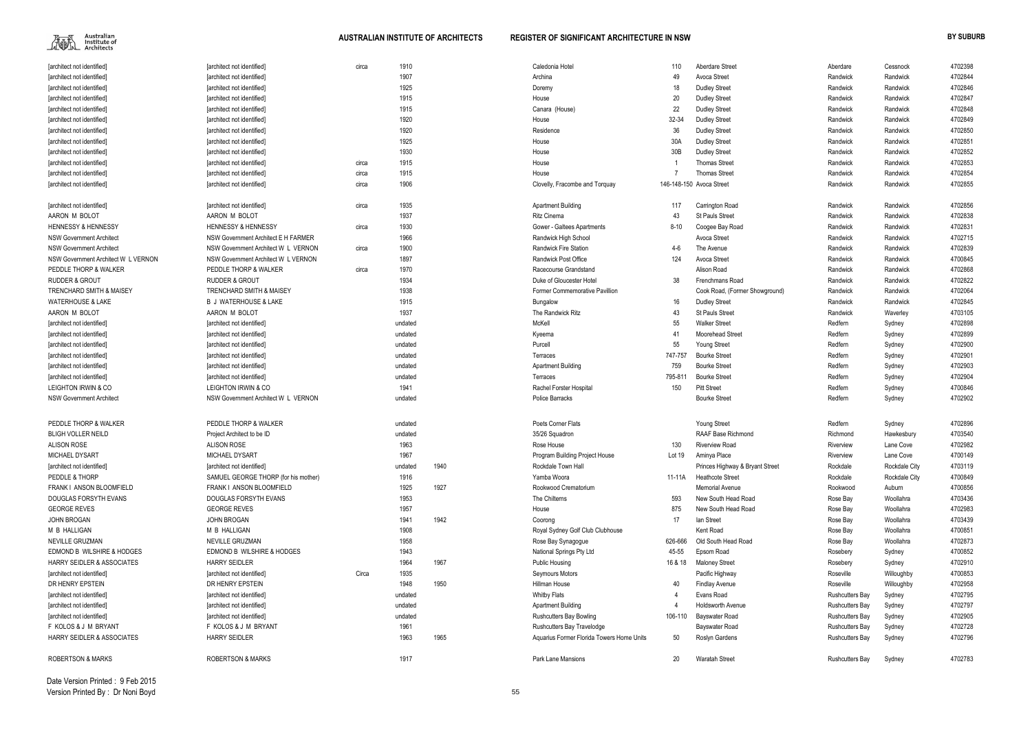

| [architect not identified]            | [architect not identified]           | circa | 1910    |      | Caledonia Hotel                           | 110      | <b>Aberdare Street</b>          | Aberdare               | Cessnock             | 4702398 |
|---------------------------------------|--------------------------------------|-------|---------|------|-------------------------------------------|----------|---------------------------------|------------------------|----------------------|---------|
| [architect not identified]            | [architect not identified]           |       | 1907    |      | Archina                                   | 49       | Avoca Street                    | Randwick               | Randwick             | 4702844 |
| [architect not identified]            | [architect not identified]           |       | 1925    |      | Doremy                                    | 18       | <b>Dudley Street</b>            | Randwick               | Randwick             | 4702846 |
| [architect not identified]            | [architect not identified]           |       | 1915    |      | House                                     | 20       | <b>Dudley Street</b>            | Randwick               | Randwick             | 4702847 |
| [architect not identified]            | [architect not identified]           |       | 1915    |      | Canara (House)                            | 22       | <b>Dudley Street</b>            | Randwick               | Randwick             | 4702848 |
| [architect not identified]            | [architect not identified]           |       | 1920    |      | House                                     | 32-34    | <b>Dudley Street</b>            | Randwick               | Randwick             | 4702849 |
| [architect not identified]            | [architect not identified]           |       | 1920    |      | Residence                                 | 36       | <b>Dudley Street</b>            | Randwick               | Randwick             | 4702850 |
| [architect not identified]            | [architect not identified]           |       | 1925    |      | House                                     | 30A      | <b>Dudley Street</b>            | Randwick               | Randwick             | 4702851 |
| [architect not identified]            | [architect not identified]           |       | 1930    |      | House                                     | 30B      | <b>Dudley Street</b>            | Randwick               | Randwick             | 4702852 |
| [architect not identified]            | [architect not identified]           | circa | 1915    |      | House                                     |          | <b>Thomas Street</b>            | Randwick               | Randwick             | 4702853 |
| [architect not identified]            | [architect not identified]           | circa | 1915    |      | House                                     |          | <b>Thomas Street</b>            | Randwick               | Randwick             | 4702854 |
| [architect not identified]            | [architect not identified]           | circa | 1906    |      | Clovelly, Fracombe and Torquay            |          | 146-148-150 Avoca Street        | Randwick               | Randwick             | 4702855 |
| [architect not identified]            | [architect not identified]           | circa | 1935    |      | <b>Apartment Building</b>                 | 117      | Carrington Road                 | Randwick               | Randwick             | 4702856 |
| AARON M BOLOT                         | AARON M BOLOT                        |       | 1937    |      | Ritz Cinema                               | 43       | <b>St Pauls Street</b>          | Randwick               | Randwick             | 4702838 |
| <b>HENNESSY &amp; HENNESSY</b>        | <b>HENNESSY &amp; HENNESSY</b>       | circa | 1930    |      | Gower - Galtees Apartments                | $8 - 10$ | Coogee Bay Road                 | Randwick               | Randwick             | 4702831 |
| <b>NSW Government Architect</b>       | NSW Government Architect E H FARMER  |       | 1966    |      | Randwick High School                      |          | Avoca Street                    | Randwick               | Randwick             | 4702715 |
| <b>NSW Government Architect</b>       | NSW Government Architect W L VERNON  | circa | 1900    |      | Randwick Fire Station                     | 4-6      | The Avenue                      | Randwick               | Randwick             | 4702839 |
| NSW Government Architect W L VERNON   | NSW Government Architect W L VERNON  |       | 1897    |      | <b>Randwick Post Office</b>               | 124      | Avoca Street                    | Randwick               | Randwick             | 4700845 |
| PEDDLE THORP & WALKER                 | PEDDLE THORP & WALKER                | circa | 1970    |      | Racecourse Grandstand                     |          | Alison Road                     | Randwick               | Randwick             | 4702868 |
| <b>RUDDER &amp; GROUT</b>             | <b>RUDDER &amp; GROUT</b>            |       | 1934    |      | Duke of Gloucester Hotel                  | 38       | Frenchmans Road                 | Randwick               | Randwick             | 4702822 |
| TRENCHARD SMITH & MAISEY              | <b>TRENCHARD SMITH &amp; MAISEY</b>  |       | 1938    |      | <b>Former Commemorative Pavillion</b>     |          | Cook Road, (Former Showground)  | Randwick               | Randwick             | 4702064 |
| <b>WATERHOUSE &amp; LAKE</b>          | <b>B J WATERHOUSE &amp; LAKE</b>     |       | 1915    |      | Bungalow                                  | 16       | <b>Dudley Street</b>            | Randwick               | Randwick             | 4702845 |
| AARON M BOLOT                         | AARON M BOLOT                        |       | 1937    |      | The Randwick Ritz                         | 43       | <b>St Pauls Street</b>          | Randwick               | Waverley             | 4703105 |
| [architect not identified]            | [architect not identified]           |       | undated |      | McKell                                    | 55       | <b>Walker Street</b>            | Redfern                | Sydney               | 4702898 |
| [architect not identified]            | [architect not identified]           |       | undated |      | Kyeema                                    | 41       | Moorehead Street                | Redfern                | Sydney               | 4702899 |
| [architect not identified]            | [architect not identified]           |       | undated |      | Purcell                                   | 55       | Young Street                    | Redfern                | Sydney               | 4702900 |
| [architect not identified]            | [architect not identified]           |       | undated |      | Terraces                                  | 747-757  | <b>Bourke Street</b>            | Redfern                | Sydney               | 4702901 |
| [architect not identified]            | [architect not identified]           |       | undated |      | <b>Apartment Building</b>                 | 759      | <b>Bourke Street</b>            | Redfern                | Sydney               | 4702903 |
| [architect not identified]            | [architect not identified]           |       | undated |      | Terraces                                  | 795-811  | <b>Bourke Street</b>            | Redfern                | Sydney               | 4702904 |
| LEIGHTON IRWIN & CO                   | LEIGHTON IRWIN & CO                  |       | 1941    |      | Rachel Forster Hospital                   | 150      | <b>Pitt Street</b>              | Redfern                | Sydney               | 4700846 |
| <b>NSW Government Architect</b>       | NSW Government Architect W L VERNON  |       | undated |      | Police Barracks                           |          | <b>Bourke Street</b>            | Redfern                | Sydney               | 4702902 |
| PEDDLE THORP & WALKER                 | PEDDLE THORP & WALKER                |       | undated |      | Poets Corner Flats                        |          | <b>Young Street</b>             | Redfern                | Sydney               | 4702896 |
| <b>BLIGH VOLLER NEILD</b>             | Project Architect to be ID           |       | undated |      | 35/26 Squadron                            |          | RAAF Base Richmond              | Richmond               | Hawkesbury           | 4703540 |
| <b>ALISON ROSE</b>                    | <b>ALISON ROSE</b>                   |       | 1963    |      | Rose House                                | 130      | <b>Riverview Road</b>           | Riverview              | Lane Cove            | 4702982 |
| MICHAEL DYSART                        | MICHAEL DYSART                       |       | 1967    |      | Program Building Project House            | Lot 19   | Aminya Place                    | Riverview              | Lane Cove            | 4700149 |
| [architect not identified]            | [architect not identified]           |       | undated | 1940 | Rockdale Town Hall                        |          | Princes Highway & Bryant Street | Rockdale               | <b>Rockdale City</b> | 4703119 |
| PEDDLE & THORP                        | SAMUEL GEORGE THORP (for his mother) |       | 1916    |      | Yamba Woora                               | 11-11A   | <b>Heathcote Street</b>         | Rockdale               | <b>Rockdale City</b> | 4700849 |
| FRANK I ANSON BLOOMFIELD              | FRANK I ANSON BLOOMFIELD             |       | 1925    | 1927 | Rookwood Crematorium                      |          | <b>Memorial Avenue</b>          | Rookwood               | Auburn               | 4700856 |
| <b>DOUGLAS FORSYTH EVANS</b>          | DOUGLAS FORSYTH EVANS                |       | 1953    |      | The Chilterns                             | 593      | New South Head Road             | Rose Bay               | Woollahra            | 4703436 |
| <b>GEORGE REVES</b>                   | <b>GEORGE REVES</b>                  |       | 1957    |      | House                                     | 875      | New South Head Road             | Rose Bay               | Woollahra            | 4702983 |
| JOHN BROGAN                           | JOHN BROGAN                          |       | 1941    | 1942 | Coorong                                   | 17       | lan Street                      | Rose Bay               | Woollahra            | 4703439 |
| M B HALLIGAN                          | M B HALLIGAN                         |       | 1908    |      | Royal Sydney Golf Club Clubhouse          |          | Kent Road                       | Rose Bay               | Woollahra            | 4700851 |
| NEVILLE GRUZMAN                       | NEVILLE GRUZMAN                      |       | 1958    |      | Rose Bay Synagogue                        | 626-666  | Old South Head Road             | Rose Bay               | Woollahra            | 4702873 |
| EDMOND B WILSHIRE & HODGES            | EDMOND B WILSHIRE & HODGES           |       | 1943    |      | National Springs Pty Ltd                  | 45-55    | Epsom Road                      | Rosebery               | Sydney               | 4700852 |
| <b>HARRY SEIDLER &amp; ASSOCIATES</b> | <b>HARRY SEIDLER</b>                 |       | 1964    | 1967 | <b>Public Housing</b>                     | 16 & 18  | <b>Maloney Street</b>           | Rosebery               | Sydney               | 4702910 |
| [architect not identified]            | [architect not identified]           | Circa | 1935    |      | Seymours Motors                           |          | Pacific Highway                 | Roseville              | Willoughby           | 4700853 |
| DR HENRY EPSTEIN                      | DR HENRY EPSTEIN                     |       | 1948    | 1950 | Hillman House                             | 40       | <b>Findlay Avenue</b>           | Roseville              | Willoughby           | 4702958 |
| [architect not identified]            | [architect not identified]           |       | undated |      | <b>Whitby Flats</b>                       |          | Evans Road                      | <b>Rushcutters Bay</b> | Sydney               | 4702795 |
| [architect not identified]            | [architect not identified]           |       | undated |      | <b>Apartment Building</b>                 |          | <b>Holdsworth Avenue</b>        | <b>Rushcutters Bay</b> | Sydney               | 4702797 |
| [architect not identified]            | [architect not identified]           |       | undated |      | <b>Rushcutters Bay Bowling</b>            | 106-110  | Bayswater Road                  | <b>Rushcutters Bay</b> | Sydney               | 4702905 |
| F KOLOS & J M BRYANT                  | F KOLOS & J M BRYANT                 |       | 1961    |      | Rushcutters Bay Travelodge                |          | Bayswater Road                  | <b>Rushcutters Bay</b> | Sydney               | 4702728 |
| HARRY SEIDLER & ASSOCIATES            | <b>HARRY SEIDLER</b>                 |       | 1963    | 1965 | Aquarius Former Florida Towers Home Units | 50       | Roslyn Gardens                  | <b>Rushcutters Bay</b> | Sydney               | 4702796 |
| <b>ROBERTSON &amp; MARKS</b>          | <b>ROBERTSON &amp; MARKS</b>         |       | 1917    |      | Park Lane Mansions                        | $20\,$   | <b>Waratah Street</b>           | <b>Rushcutters Bay</b> | Sydney               | 4702783 |

Date Version Printed : 9 Feb 2015Version Printed By : Dr Noni Boyd

| Aberdare               | Cessnock      | 4702398 |
|------------------------|---------------|---------|
| Randwick               | Randwick      | 4702844 |
| Randwick               | Randwick      | 4702846 |
| Randwick               | Randwick      | 4702847 |
| Randwick               | Randwick      | 4702848 |
| Randwick               | Randwick      | 4702849 |
| Randwick               | Randwick      | 4702850 |
| Randwick               | Randwick      | 4702851 |
| Randwick               | Randwick      | 4702852 |
| Randwick               | Randwick      | 4702853 |
| Randwick               | Randwick      | 4702854 |
| Randwick               | Randwick      | 4702855 |
| Randwick               | Randwick      | 4702856 |
| Randwick               | Randwick      | 4702838 |
| Randwick               | Randwick      | 4702831 |
| Randwick               | Randwick      | 4702715 |
| Randwick               | Randwick      | 4702839 |
| Randwick               | Randwick      | 4700845 |
| Randwick               | Randwick      | 4702868 |
| Randwick               | Randwick      | 4702822 |
| Randwick               | Randwick      | 4702064 |
| Randwick               | Randwick      | 4702845 |
| Randwick               | Waverley      | 4703105 |
| Redfern                | Sydney        | 4702898 |
| Redfern                | Sydney        | 4702899 |
| Redfern                | Sydney        | 4702900 |
| Redfern                | Sydney        | 4702901 |
| Redfern                | Sydney        | 4702903 |
| Redfern                | Sydney        | 4702904 |
| Redfern                | Sydney        | 4700846 |
| Redfern                | Sydney        | 4702902 |
| Redfern                | Sydney        | 4702896 |
| Richmond               | Hawkesbury    | 4703540 |
| Riverview              | Lane Cove     | 4702982 |
| Riverview              | Lane Cove     | 4700149 |
| Rockdale               | Rockdale City | 4703119 |
| Rockdale               | Rockdale City | 4700849 |
| Rookwood               | Auburn        | 4700856 |
| Rose Bay               | Woollahra     | 4703436 |
| Rose Bay               | Woollahra     | 4702983 |
| Rose Bay               | Woollahra     | 4703439 |
| Rose Bay               | Woollahra     | 4700851 |
| Rose Bay               | Woollahra     | 4702873 |
| Rosebery               | Sydney        | 4700852 |
| Rosebery               | Sydney        | 4702910 |
| Roseville              | Willoughby    | 4700853 |
| Roseville              | Willoughby    | 4702958 |
| <b>Rushcutters Bay</b> | Sydney        | 4702795 |
| Rushcutters Bay        | Sydney        | 4702797 |
| <b>Rushcutters Bay</b> | Sydney        | 4702905 |
| <b>Rushcutters Bay</b> | Sydney        | 4702728 |
| <b>Rushcutters Bay</b> | Sydney        | 4702796 |
|                        |               |         |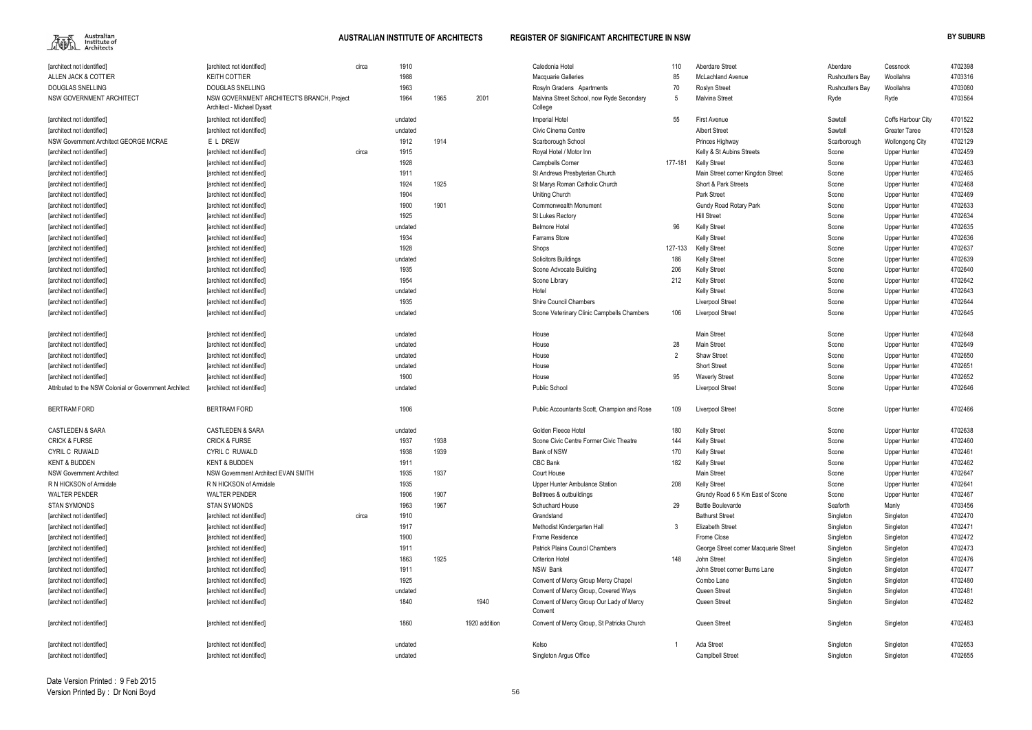

| [architect not identified]                             | [architect not identified]                                               | circa | 1910    |      |               | Caledonia Hotel                                       | 110            | Aberdare Street                       | Aberdare               | Cessnock               | 4702398 |
|--------------------------------------------------------|--------------------------------------------------------------------------|-------|---------|------|---------------|-------------------------------------------------------|----------------|---------------------------------------|------------------------|------------------------|---------|
| ALLEN JACK & COTTIER                                   | <b>KEITH COTTIER</b>                                                     |       | 1988    |      |               | <b>Macquarie Galleries</b>                            | 85             | <b>McLachland Avenue</b>              | <b>Rushcutters Bay</b> | Woollahra              | 4703316 |
| <b>DOUGLAS SNELLING</b>                                | DOUGLAS SNELLING                                                         |       | 1963    |      |               | Rosyln Gradens Apartments                             | 70             | <b>Roslyn Street</b>                  | <b>Rushcutters Bay</b> | Woollahra              | 4703080 |
| NSW GOVERNMENT ARCHITECT                               | NSW GOVERNMENT ARCHITECT'S BRANCH, Project<br>Architect - Michael Dysart |       | 1964    | 1965 | 2001          | Malvina Street School, now Ryde Secondary<br>College  | -5             | <b>Malvina Street</b>                 | Ryde                   | Ryde                   | 4703564 |
| [architect not identified]                             | [architect not identified]                                               |       | undated |      |               | <b>Imperial Hotel</b>                                 | 55             | <b>First Avenue</b>                   | Sawtell                | Coffs Harbour City     | 4701522 |
| [architect not identified]                             | [architect not identified]                                               |       | undated |      |               | Civic Cinema Centre                                   |                | <b>Albert Street</b>                  | Sawtell                | <b>Greater Taree</b>   | 4701528 |
| NSW Government Architect GEORGE MCRAE                  | E L DREW                                                                 |       | 1912    | 1914 |               | Scarborough School                                    |                | Princes Highway                       | Scarborough            | <b>Wollongong City</b> | 4702129 |
| [architect not identified]                             | [architect not identified]                                               | circa | 1915    |      |               | Royal Hotel / Motor Inn                               |                | Kelly & St Aubins Streets             | Scone                  | Upper Hunter           | 4702459 |
| [architect not identified]                             | [architect not identified]                                               |       | 1928    |      |               | <b>Campbells Corner</b>                               | 177-181        | <b>Kelly Street</b>                   | Scone                  | Upper Hunter           | 4702463 |
| [architect not identified]                             | [architect not identified]                                               |       | 1911    |      |               | St Andrews Presbyterian Church                        |                | Main Street corner Kingdon Street     | Scone                  | Upper Hunter           | 4702465 |
| [architect not identified]                             | [architect not identified]                                               |       | 1924    | 1925 |               | St Marys Roman Catholic Church                        |                | Short & Park Streets                  | Scone                  | Upper Hunter           | 4702468 |
| [architect not identified]                             | [architect not identified]                                               |       | 1904    |      |               | <b>Uniting Church</b>                                 |                | <b>Park Street</b>                    | Scone                  | Upper Hunter           | 4702469 |
| [architect not identified]                             | [architect not identified]                                               |       | 1900    | 1901 |               | <b>Commonwealth Monument</b>                          |                | <b>Gundy Road Rotary Park</b>         | Scone                  | Upper Hunter           | 4702633 |
| [architect not identified]                             | [architect not identified]                                               |       | 1925    |      |               | St Lukes Rectory                                      |                | <b>Hill Street</b>                    | Scone                  | Upper Hunter           | 4702634 |
| [architect not identified]                             | [architect not identified]                                               |       | undated |      |               | <b>Belmore Hotel</b>                                  | 96             | <b>Kelly Street</b>                   | Scone                  | Upper Hunter           | 4702635 |
| [architect not identified]                             | [architect not identified]                                               |       | 1934    |      |               | Farrams Store                                         |                | <b>Kelly Street</b>                   | Scone                  | Upper Hunter           | 4702636 |
| [architect not identified]                             | [architect not identified]                                               |       | 1928    |      |               | Shops                                                 | 127-133        | <b>Kelly Street</b>                   | Scone                  | Upper Hunter           | 4702637 |
| [architect not identified]                             | [architect not identified]                                               |       | undated |      |               | <b>Solicitors Buildings</b>                           | 186            | <b>Kelly Street</b>                   | Scone                  | Upper Hunter           | 4702639 |
| [architect not identified]                             | [architect not identified]                                               |       | 1935    |      |               | Scone Advocate Building                               | 206            | <b>Kelly Street</b>                   | Scone                  | Upper Hunter           | 4702640 |
| [architect not identified]                             |                                                                          |       | 1954    |      |               |                                                       | 212            |                                       | Scone                  |                        | 4702642 |
|                                                        | [architect not identified]                                               |       |         |      |               | Scone Library<br>Hotel                                |                | <b>Kelly Street</b>                   |                        | Upper Hunter           | 4702643 |
| [architect not identified]                             | [architect not identified]                                               |       | undated |      |               |                                                       |                | <b>Kelly Street</b>                   | Scone                  | Upper Hunter           |         |
| [architect not identified]                             | [architect not identified]                                               |       | 1935    |      |               | <b>Shire Council Chambers</b>                         |                | Liverpool Street                      | Scone                  | Upper Hunter           | 4702644 |
| [architect not identified]                             | [architect not identified]                                               |       | undated |      |               | Scone Veterinary Clinic Campbells Chambers            | 106            | <b>Liverpool Street</b>               | Scone                  | Upper Hunter           | 4702645 |
| [architect not identified]                             | [architect not identified]                                               |       | undated |      |               | House                                                 |                | <b>Main Street</b>                    | Scone                  | Upper Hunter           | 4702648 |
| [architect not identified]                             | [architect not identified]                                               |       | undated |      |               | House                                                 | 28             | <b>Main Street</b>                    | Scone                  | Upper Hunter           | 4702649 |
| [architect not identified]                             | [architect not identified]                                               |       | undated |      |               | House                                                 | $\overline{2}$ | <b>Shaw Street</b>                    | Scone                  | Upper Hunter           | 4702650 |
| [architect not identified]                             | [architect not identified]                                               |       | undated |      |               | House                                                 |                | <b>Short Street</b>                   | Scone                  | Upper Hunter           | 4702651 |
| [architect not identified]                             | [architect not identified]                                               |       | 1900    |      |               | House                                                 | 95             | <b>Waverly Street</b>                 | Scone                  | Upper Hunter           | 4702652 |
| Attributed to the NSW Colonial or Government Architect | [architect not identified]                                               |       | undated |      |               | <b>Public School</b>                                  |                | <b>Liverpool Street</b>               | Scone                  | Upper Hunter           | 4702646 |
| <b>BERTRAM FORD</b>                                    | <b>BERTRAM FORD</b>                                                      |       | 1906    |      |               | Public Accountants Scott, Champion and Rose           | 109            | <b>Liverpool Street</b>               | Scone                  | Upper Hunter           | 4702466 |
| <b>CASTLEDEN &amp; SARA</b>                            | <b>CASTLEDEN &amp; SARA</b>                                              |       | undated |      |               | Golden Fleece Hotel                                   | 180            | <b>Kelly Street</b>                   | Scone                  | Upper Hunter           | 4702638 |
| <b>CRICK &amp; FURSE</b>                               | <b>CRICK &amp; FURSE</b>                                                 |       | 1937    | 1938 |               | Scone Civic Centre Former Civic Theatre               | 144            | <b>Kelly Street</b>                   | Scone                  | Upper Hunter           | 4702460 |
| CYRIL C RUWALD                                         | CYRIL C RUWALD                                                           |       | 1938    | 1939 |               | Bank of NSW                                           | 170            | Kelly Street                          | Scone                  | <b>Upper Hunter</b>    | 4702461 |
| <b>KENT &amp; BUDDEN</b>                               | <b>KENT &amp; BUDDEN</b>                                                 |       | 1911    |      |               | CBC Bank                                              | 182            | <b>Kelly Street</b>                   | Scone                  | Upper Hunter           | 4702462 |
| <b>NSW Government Architect</b>                        | NSW Government Architect EVAN SMITH                                      |       | 1935    | 1937 |               | Court House                                           |                | <b>Main Street</b>                    | Scone                  | Upper Hunter           | 4702647 |
| R N HICKSON of Armidale                                | R N HICKSON of Armidale                                                  |       | 1935    |      |               | Upper Hunter Ambulance Station                        | 208            | <b>Kelly Street</b>                   | Scone                  | Upper Hunter           | 4702641 |
| <b>WALTER PENDER</b>                                   | <b>WALTER PENDER</b>                                                     |       | 1906    | 1907 |               | Belltrees & outbuildings                              |                | Grundy Road 6 5 Km East of Scone      | Scone                  | Upper Hunter           | 4702467 |
| <b>STAN SYMONDS</b>                                    | <b>STAN SYMONDS</b>                                                      |       | 1963    | 1967 |               | Schuchard House                                       | 29             | <b>Battle Boulevarde</b>              | Seaforth               | Manly                  | 4703456 |
| [architect not identified]                             | [architect not identified]                                               | circa | 1910    |      |               | Grandstand                                            |                | <b>Bathurst Street</b>                | Singleton              | Singleton              | 4702470 |
| [architect not identified]                             | [architect not identified]                                               |       | 1917    |      |               | Methodist Kindergarten Hall                           | 3              | <b>Elizabeth Street</b>               | Singleton              | Singleton              | 4702471 |
| [architect not identified]                             | [architect not identified]                                               |       | 1900    |      |               | Frome Residence                                       |                | Frome Close                           | Singleton              | Singleton              | 4702472 |
| [architect not identified]                             | [architect not identified]                                               |       | 1911    |      |               | Patrick Plains Council Chambers                       |                | George Street corner Macquarie Street | Singleton              | Singleton              | 4702473 |
| [architect not identified]                             | [architect not identified]                                               |       | 1863    | 1925 |               | <b>Criterion Hotel</b>                                | 148            | John Street                           | Singleton              | Singleton              | 4702476 |
| [architect not identified]                             | [architect not identified]                                               |       | 1911    |      |               | NSW Bank                                              |                | John Street corner Burns Lane         | Singleton              | Singleton              | 4702477 |
| [architect not identified]                             | [architect not identified]                                               |       | 1925    |      |               | Convent of Mercy Group Mercy Chapel                   |                | Combo Lane                            | Singleton              | Singleton              | 4702480 |
| [architect not identified]                             | [architect not identified]                                               |       | undated |      |               | Convent of Mercy Group, Covered Ways                  |                | Queen Street                          | Singleton              | Singleton              | 4702481 |
| [architect not identified]                             | [architect not identified]                                               |       | 1840    |      | 1940          | Convent of Mercy Group Our Lady of Mercy              |                | Queen Street                          | Singleton              | Singleton              | 4702482 |
| [architect not identified]                             | [architect not identified]                                               |       | 1860    |      | 1920 addition | Convent<br>Convent of Mercy Group, St Patricks Church |                | Queen Street                          | Singleton              | Singleton              | 4702483 |
| [architect not identified]                             | [architect not identified]                                               |       | undated |      |               | Kelso                                                 |                | Ada Street                            | Singleton              | Singleton              | 4702653 |
| [architect not identified]                             | [architect not identified]                                               |       | undated |      |               | Singleton Argus Office                                |                | <b>Campibell Street</b>               | Singleton              | Singleton              | 4702655 |
|                                                        |                                                                          |       |         |      |               |                                                       |                |                                       |                        |                        |         |

| 10     | Aberdare Street                       | Aberdare               | Cessnock               | 4702398 |
|--------|---------------------------------------|------------------------|------------------------|---------|
| 15     | <b>McLachland Avenue</b>              | Rushcutters Bay        | Woollahra              | 4703316 |
| Ο'     | <b>Roslyn Street</b>                  | <b>Rushcutters Bay</b> | Woollahra              | 4703080 |
| 5      | Malvina Street                        | Ryde                   | Ryde                   | 4703564 |
| 55     | <b>First Avenue</b>                   | Sawtell                | Coffs Harbour City     | 4701522 |
|        | <b>Albert Street</b>                  | Sawtell                | <b>Greater Taree</b>   | 4701528 |
|        | Princes Highway                       | Scarborough            | <b>Wollongong City</b> | 4702129 |
|        | Kelly & St Aubins Streets             | Scone                  | <b>Upper Hunter</b>    | 4702459 |
| -181   | Kelly Street                          | Scone                  | <b>Upper Hunter</b>    | 4702463 |
|        | Main Street corner Kingdon Street     | Scone                  | <b>Upper Hunter</b>    | 4702465 |
|        | Short & Park Streets                  | Scone                  | <b>Upper Hunter</b>    | 4702468 |
|        | Park Street                           | Scone                  | <b>Upper Hunter</b>    | 4702469 |
|        | Gundy Road Rotary Park                | Scone                  | <b>Upper Hunter</b>    | 4702633 |
|        | <b>Hill Street</b>                    | Scone                  | Upper Hunter           | 4702634 |
| 16     | Kelly Street                          | Scone                  | Upper Hunter           | 4702635 |
|        | Kelly Street                          | Scone                  | Upper Hunter           | 4702636 |
| $-133$ | Kelly Street                          | Scone                  | Upper Hunter           | 4702637 |
| 86     | Kelly Street                          | Scone                  | Upper Hunter           | 4702639 |
| 06     | Kelly Street                          | Scone                  | Upper Hunter           | 4702640 |
| 12     | Kelly Street                          | Scone                  | Upper Hunter           | 4702642 |
|        | Kelly Street                          | Scone                  | <b>Upper Hunter</b>    | 4702643 |
|        | Liverpool Street                      | Scone                  | <b>Upper Hunter</b>    | 4702644 |
| 06     | Liverpool Street                      | Scone                  | <b>Upper Hunter</b>    | 4702645 |
|        | Main Street                           | Scone                  | <b>Upper Hunter</b>    | 4702648 |
| 28     | Main Street                           | Scone                  | <b>Upper Hunter</b>    | 4702649 |
| 2      | Shaw Street                           | Scone                  | Upper Hunter           | 4702650 |
|        | <b>Short Street</b>                   | Scone                  | Upper Hunter           | 4702651 |
| 15     | <b>Waverly Street</b>                 | Scone                  | Upper Hunter           | 4702652 |
|        | Liverpool Street                      | Scone                  | <b>Upper Hunter</b>    | 4702646 |
| 09     | Liverpool Street                      | Scone                  | <b>Upper Hunter</b>    | 4702466 |
| 80     | Kelly Street                          | Scone                  | Upper Hunter           | 4702638 |
| 44     | Kelly Street                          | Scone                  | <b>Upper Hunter</b>    | 4702460 |
| 70     | Kelly Street                          | Scone                  | <b>Upper Hunter</b>    | 4702461 |
| 82     | Kelly Street                          | Scone                  | <b>Upper Hunter</b>    | 4702462 |
|        | Main Street                           | Scone                  | <b>Upper Hunter</b>    | 4702647 |
| 08     | Kelly Street                          | Scone                  | <b>Upper Hunter</b>    | 4702641 |
|        | Grundy Road 6 5 Km East of Scone      | Scone                  | <b>Upper Hunter</b>    | 4702467 |
| 29     | <b>Battle Boulevarde</b>              | Seaforth               | Manly                  | 4703456 |
|        | <b>Bathurst Street</b>                | Singleton              | Singleton              | 4702470 |
| 3      | <b>Elizabeth Street</b>               | Singleton              | Singleton              | 4702471 |
|        | Frome Close                           | Singleton              | Singleton              | 4702472 |
|        | George Street corner Macquarie Street | Singleton              | Singleton              | 4702473 |
| 48     | John Street                           | Singleton              | Singleton              | 4702476 |
|        | John Street corner Burns Lane         | Singleton              | Singleton              | 4702477 |
|        | Combo Lane                            | Singleton              | Singleton              | 4702480 |
|        | Queen Street                          | Singleton              | Singleton              | 4702481 |
|        | Queen Street                          | Singleton              | Singleton              | 4702482 |
|        | Queen Street                          | Singleton              | Singleton              | 4702483 |
| 1      | Ada Street                            | Singleton              | Singleton              | 4702653 |
|        | <b>Camplbell Street</b>               | Singleton              | Singleton              | 4702655 |
|        |                                       |                        |                        |         |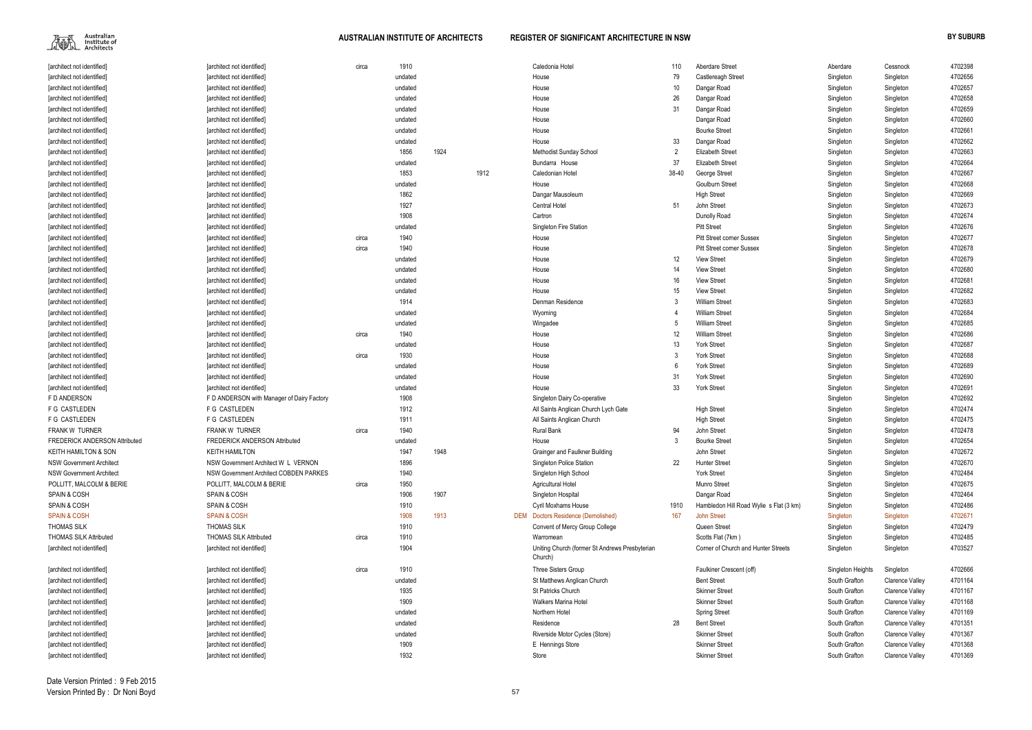Australian<br>Institute of<br>Architects 麻瓜

| [architect not identified]                    | [architect not identified]                    | circa | 1910         |      |      | Caledonia Hotel                                           | 110   | Aberdare Street                         | Aberdare          | Cessnock               | 4702398 |
|-----------------------------------------------|-----------------------------------------------|-------|--------------|------|------|-----------------------------------------------------------|-------|-----------------------------------------|-------------------|------------------------|---------|
| [architect not identified]                    | [architect not identified]                    |       | undated      |      |      | House                                                     | 79    | Castlereagh Street                      | Singleton         | Singleton              | 4702656 |
| [architect not identified]                    | [architect not identified]                    |       | undated      |      |      | House                                                     | 10    | Dangar Road                             | Singleton         | Singleton              | 4702657 |
| [architect not identified]                    | [architect not identified]                    |       | undated      |      |      | House                                                     | 26    | Dangar Road                             | Singleton         | Singleton              | 4702658 |
| [architect not identified]                    | [architect not identified]                    |       | undated      |      |      | House                                                     | 31    | Dangar Road                             | Singleton         | Singleton              | 4702659 |
| [architect not identified]                    | [architect not identified]                    |       | undated      |      |      | House                                                     |       | Dangar Road                             | Singleton         | Singleton              | 4702660 |
| [architect not identified]                    | [architect not identified]                    |       | undated      |      |      | House                                                     |       | <b>Bourke Street</b>                    | Singleton         | Singleton              | 4702661 |
| [architect not identified]                    | [architect not identified]                    |       | undated      |      |      | House                                                     | 33    | Dangar Road                             | Singleton         | Singleton              | 4702662 |
| [architect not identified]                    | [architect not identified]                    |       | 1856         | 1924 |      | Methodist Sunday School                                   |       | <b>Elizabeth Street</b>                 | Singleton         | Singleton              | 4702663 |
| [architect not identified]                    | [architect not identified]                    |       | undated      |      |      | Bundarra House                                            | 37    | <b>Elizabeth Street</b>                 | Singleton         | Singleton              | 4702664 |
| [architect not identified]                    | [architect not identified]                    |       | 1853         |      | 1912 | Caledonian Hotel                                          | 38-40 | George Street                           | Singleton         | Singleton              | 4702667 |
| [architect not identified]                    | [architect not identified]                    |       | undated      |      |      | House                                                     |       | Goulburn Street                         | Singleton         | Singleton              | 4702668 |
| [architect not identified]                    | [architect not identified]                    |       | 1862         |      |      | Dangar Mausoleum                                          |       | <b>High Street</b>                      | Singleton         | Singleton              | 4702669 |
| [architect not identified]                    | [architect not identified]                    |       | 1927         |      |      | <b>Central Hotel</b>                                      | 51    | John Street                             | Singleton         | Singleton              | 4702673 |
| [architect not identified]                    | [architect not identified]                    |       | 1908         |      |      | Cartron                                                   |       | Dunolly Road                            | Singleton         | Singleton              | 4702674 |
| [architect not identified]                    | [architect not identified]                    |       | undated      |      |      | Singleton Fire Station                                    |       | <b>Pitt Street</b>                      | Singleton         | Singleton              | 4702676 |
| [architect not identified]                    | [architect not identified]                    | circa | 1940         |      |      | House                                                     |       | <b>Pitt Street corner Sussex</b>        | Singleton         | Singleton              | 4702677 |
| [architect not identified]                    | [architect not identified]                    | circa | 1940         |      |      | House                                                     |       | <b>Pitt Street corner Sussex</b>        | Singleton         | Singleton              | 4702678 |
| [architect not identified]                    | [architect not identified]                    |       | undated      |      |      | House                                                     | 12    | <b>View Street</b>                      | Singleton         | Singleton              | 4702679 |
| [architect not identified]                    | [architect not identified]                    |       | undated      |      |      | House                                                     | 14    | <b>View Street</b>                      | Singleton         | Singleton              | 4702680 |
| [architect not identified]                    | [architect not identified]                    |       | undated      |      |      | House                                                     | 16    | <b>View Street</b>                      | Singleton         | Singleton              | 4702681 |
| [architect not identified]                    | [architect not identified]                    |       | undated      |      |      | House                                                     | 15    | <b>View Street</b>                      | Singleton         | Singleton              | 4702682 |
| [architect not identified]                    | [architect not identified]                    |       | 1914         |      |      | Denman Residence                                          |       | <b>William Street</b>                   | Singleton         | Singleton              | 4702683 |
| [architect not identified]                    | [architect not identified]                    |       | undated      |      |      | Wyoming                                                   |       | <b>William Street</b>                   | Singleton         | Singleton              | 4702684 |
| [architect not identified]                    | [architect not identified]                    |       | undated      |      |      | Wingadee                                                  |       | <b>William Street</b>                   | Singleton         | Singleton              | 4702685 |
| [architect not identified]                    | [architect not identified]                    | circa | 1940         |      |      | House                                                     | 12    | <b>William Street</b>                   | Singleton         | Singleton              | 4702686 |
| [architect not identified]                    | [architect not identified]                    |       | undated      |      |      | House                                                     | 13    | York Street                             | Singleton         | Singleton              | 4702687 |
| [architect not identified]                    | [architect not identified]                    | circa | 1930         |      |      | House                                                     |       | York Street                             | Singleton         | Singleton              | 4702688 |
| [architect not identified]                    | [architect not identified]                    |       | undated      |      |      | House                                                     |       | York Street                             | Singleton         | Singleton              | 4702689 |
| [architect not identified]                    | [architect not identified]                    |       | undated      |      |      | House                                                     | 31    | <b>York Street</b>                      | Singleton         | Singleton              | 4702690 |
| [architect not identified]                    | [architect not identified]                    |       | undated      |      |      | House                                                     | 33    | York Street                             | Singleton         | Singleton              | 4702691 |
| F D ANDERSON                                  | F D ANDERSON with Manager of Dairy Factory    |       | 1908         |      |      | Singleton Dairy Co-operative                              |       |                                         | Singleton         | Singleton              | 4702692 |
| F G CASTLEDEN                                 | F G CASTLEDEN                                 |       | 1912         |      |      | All Saints Anglican Church Lych Gate                      |       | <b>High Street</b>                      | Singleton         | Singleton              | 4702474 |
| F G CASTLEDEN                                 | F G CASTLEDEN                                 |       | 1911         |      |      | All Saints Anglican Church                                |       | <b>High Street</b>                      | Singleton         | Singleton              | 4702475 |
| FRANK W TURNER                                | <b>FRANK W TURNER</b>                         | circa | 1940         |      |      | <b>Rural Bank</b>                                         | 94    | John Street                             | Singleton         | Singleton              | 4702478 |
| <b>FREDERICK ANDERSON Attributed</b>          | <b>FREDERICK ANDERSON Attributed</b>          |       | undated      |      |      | House                                                     |       | <b>Bourke Street</b>                    | Singleton         | Singleton              | 4702654 |
| <b>KEITH HAMILTON &amp; SON</b>               | <b>KEITH HAMILTON</b>                         |       | 1947         | 1948 |      | Grainger and Faulkner Building                            |       | John Street                             | Singleton         | Singleton              | 4702672 |
| <b>NSW Government Architect</b>               | NSW Government Architect W L VERNON           |       | 1896         |      |      | Singleton Police Station                                  | 22    | <b>Hunter Street</b>                    | Singleton         | Singleton              | 4702670 |
| <b>NSW Government Architect</b>               | <b>NSW Government Architect COBDEN PARKES</b> |       | 1940         |      |      | Singleton High School                                     |       | <b>York Street</b>                      | Singleton         | Singleton              | 4702484 |
| POLLITT, MALCOLM & BERIE                      | POLLITT, MALCOLM & BERIE                      | circa | 1950         |      |      | Agricultural Hotel                                        |       | <b>Munro Street</b>                     | Singleton         | Singleton              | 4702675 |
| <b>SPAIN &amp; COSH</b>                       | <b>SPAIN &amp; COSH</b>                       |       | 1906         | 1907 |      | Singleton Hospital                                        |       | Dangar Road                             |                   |                        | 4702464 |
| <b>SPAIN &amp; COSH</b>                       | SPAIN & COSH                                  |       | 1910         |      |      | <b>Cyril Moxhams House</b>                                | 1910  |                                         | Singleton         | Singleton              | 4702486 |
|                                               | <b>SPAIN &amp; COSH</b>                       |       |              | 1913 |      |                                                           | 167   | Hambledon Hill Road Wylie s Flat (3 km) | Singleton         | Singleton              |         |
| <b>SPAIN &amp; COSH</b><br><b>THOMAS SILK</b> | <b>THOMAS SILK</b>                            |       | 1908<br>1910 |      |      | <b>DEM</b> Doctors Residence (Demolished)                 |       | <b>John Street</b>                      | Singleton         | Singleton              | 4702671 |
|                                               |                                               |       |              |      |      | Convent of Mercy Group College                            |       | Queen Street                            | Singleton         | Singleton              | 4702479 |
| <b>THOMAS SILK Attributed</b>                 | <b>THOMAS SILK Attributed</b>                 | circa | 1910         |      |      | Warromean                                                 |       | Scotts Flat (7km)                       | Singleton         | Singleton              | 4702485 |
| [architect not identified]                    | [architect not identified]                    |       | 1904         |      |      | Uniting Church (former St Andrews Presbyterian<br>Church) |       | Corner of Church and Hunter Streets     | Singleton         | Singleton              | 4703527 |
| [architect not identified]                    | [architect not identified]                    | circa | 1910         |      |      | Three Sisters Group                                       |       | Faulkiner Crescent (off)                | Singleton Heights | Singleton              | 4702666 |
| [architect not identified]                    | [architect not identified]                    |       | undated      |      |      | St Matthews Anglican Church                               |       | <b>Bent Street</b>                      | South Grafton     | <b>Clarence Valley</b> | 4701164 |
| [architect not identified]                    | [architect not identified]                    |       | 1935         |      |      | St Patricks Church                                        |       | <b>Skinner Street</b>                   | South Grafton     | <b>Clarence Valley</b> | 4701167 |
| [architect not identified]                    | [architect not identified]                    |       | 1909         |      |      | <b>Walkers Marina Hotel</b>                               |       | <b>Skinner Street</b>                   | South Grafton     | <b>Clarence Valley</b> | 4701168 |
| [architect not identified]                    | [architect not identified]                    |       | undated      |      |      | Northern Hotel                                            |       | <b>Spring Street</b>                    | South Grafton     | <b>Clarence Valley</b> | 4701169 |
| [architect not identified]                    | [architect not identified]                    |       | undated      |      |      | Residence                                                 | 28    | <b>Bent Street</b>                      | South Grafton     | <b>Clarence Valley</b> | 4701351 |
| [architect not identified]                    | [architect not identified]                    |       | undated      |      |      | Riverside Motor Cycles (Store)                            |       | <b>Skinner Street</b>                   | South Grafton     | <b>Clarence Valley</b> | 4701367 |
| [architect not identified]                    | [architect not identified]                    |       | 1909         |      |      | E Hennings Store                                          |       | <b>Skinner Street</b>                   | South Grafton     | <b>Clarence Valley</b> | 4701368 |
| [architect not identified]                    | [architect not identified]                    |       | 1932         |      |      | Store                                                     |       | <b>Skinner Street</b>                   | South Grafton     | <b>Clarence Valley</b> | 4701369 |

|    | Aberdare          | Cessnock               | 4702398 |
|----|-------------------|------------------------|---------|
|    | Singleton         | Singleton              | 4702656 |
|    | Singleton         | Singleton              | 4702657 |
|    | Singleton         | Singleton              | 4702658 |
|    | Singleton         | Singleton              | 4702659 |
|    | Singleton         | Singleton              | 4702660 |
|    | Singleton         | Singleton              | 4702661 |
|    | Singleton         | Singleton              | 4702662 |
|    | Singleton         | Singleton              | 4702663 |
|    | Singleton         | Singleton              | 4702664 |
|    | Singleton         | Singleton              | 4702667 |
|    | Singleton         | Singleton              | 4702668 |
|    | Singleton         | Singleton              | 4702669 |
|    | Singleton         | Singleton              | 4702673 |
|    | Singleton         | Singleton              | 4702674 |
|    | Singleton         | Singleton              | 4702676 |
|    | Singleton         | Singleton              | 4702677 |
|    | Singleton         | Singleton              | 4702678 |
|    | Singleton         | Singleton              | 4702679 |
|    | Singleton         | Singleton              | 4702680 |
|    | Singleton         | Singleton              | 4702681 |
|    | Singleton         | Singleton              | 4702682 |
|    | Singleton         | Singleton              | 4702683 |
|    | Singleton         | Singleton              | 4702684 |
|    | Singleton         | Singleton              | 4702685 |
|    | Singleton         | Singleton              | 4702686 |
|    | Singleton         | Singleton              | 4702687 |
|    | Singleton         | Singleton              | 4702688 |
|    | Singleton         | Singleton              | 4702689 |
|    | Singleton         | Singleton              | 4702690 |
|    | Singleton         | Singleton              | 4702691 |
|    | Singleton         | Singleton              | 4702692 |
|    | Singleton         | Singleton              | 4702474 |
|    | Singleton         | Singleton              | 4702475 |
|    | Singleton         | Singleton              | 4702478 |
|    | Singleton         | Singleton              | 4702654 |
|    | Singleton         | Singleton              | 4702672 |
|    | Singleton         | Singleton              | 4702670 |
|    | Singleton         | Singleton              | 4702484 |
|    | Singleton         | Singleton              | 4702675 |
|    | Singleton         | Singleton              | 4702464 |
| n) | Singleton         | Singleton              | 4702486 |
|    | Singleton         | Singleton              | 4702671 |
|    | Singleton         | Singleton              | 4702479 |
|    | Singleton         | Singleton              | 4702485 |
|    | Singleton         | Singleton              | 4703527 |
|    | Singleton Heights | Singleton              | 4702666 |
|    | South Grafton     | <b>Clarence Valley</b> | 4701164 |
|    | South Grafton     | <b>Clarence Valley</b> | 4701167 |
|    | South Grafton     | <b>Clarence Valley</b> | 4701168 |
|    | South Grafton     | Clarence Valley        | 4701169 |
|    | South Grafton     | Clarence Valley        | 4701351 |
|    | South Grafton     | Clarence Valley        | 4701367 |
|    | South Grafton     | <b>Clarence Valley</b> | 4701368 |
|    | South Grafton     | Clarence Valley        | 4701369 |
|    |                   |                        |         |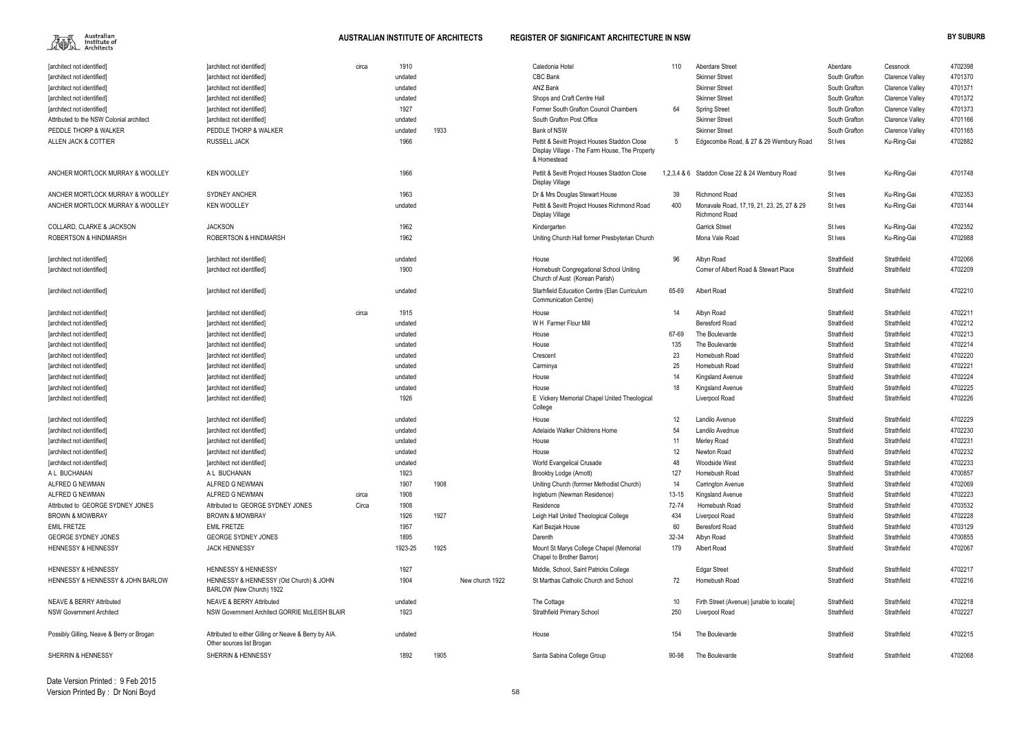

| 110         | Aberdare Street                                                   | Aberdare      | Cessnock               | 4702398 |
|-------------|-------------------------------------------------------------------|---------------|------------------------|---------|
|             | <b>Skinner Street</b>                                             | South Grafton | <b>Clarence Valley</b> | 4701370 |
|             | <b>Skinner Street</b>                                             | South Grafton | Clarence Valley        | 4701371 |
|             | <b>Skinner Street</b>                                             | South Grafton | <b>Clarence Valley</b> | 4701372 |
| 64          | <b>Spring Street</b>                                              | South Grafton | <b>Clarence Valley</b> | 4701373 |
|             | <b>Skinner Street</b>                                             | South Grafton | <b>Clarence Valley</b> | 4701166 |
|             | <b>Skinner Street</b>                                             | South Grafton | <b>Clarence Valley</b> | 4701165 |
| 5           | Edgecombe Road, & 27 & 29 Wembury Road                            | St Ives       | Ku-Ring-Gai            | 4702882 |
|             |                                                                   |               |                        |         |
| 1,2,3,4 & 6 | Staddon Close 22 & 24 Wembury Road                                | St Ives       | Ku-Ring-Gai            | 4701748 |
| 39          | <b>Richmond Road</b>                                              | St Ives       | Ku-Ring-Gai            | 4702353 |
| 400         | Monavale Road, 17,19, 21, 23, 25, 27 & 29<br><b>Richmond Road</b> | St Ives       | Ku-Ring-Gai            | 4703144 |
|             | <b>Garrick Street</b>                                             | St Ives       | Ku-Ring-Gai            | 4702352 |
|             | Mona Vale Road                                                    | St Ives       | Ku-Ring-Gai            | 4702988 |
|             |                                                                   |               |                        |         |
| 96          | Albyn Road                                                        | Strathfield   | Strathfield            | 4702066 |
|             | Corner of Albert Road & Stewart Place                             | Strathfield   | Strathfield            | 4702209 |
| 65-69       | Albert Road                                                       | Strathfield   | Strathfield            | 4702210 |
| 14          | Albyn Road                                                        | Strathfield   | Strathfield            | 4702211 |
|             | <b>Beresford Road</b>                                             | Strathfield   | Strathfield            | 4702212 |
| 67-69       | The Boulevarde                                                    | Strathfield   | Strathfield            | 4702213 |
| 135         | The Boulevarde                                                    | Strathfield   | Strathfield            | 4702214 |
| 23          | Homebush Road                                                     | Strathfield   | Strathfield            | 4702220 |
| 25          | Homebush Road                                                     | Strathfield   | Strathfield            | 4702221 |
| 14          | Kingsland Avenue                                                  | Strathfield   | Strathfield            | 4702224 |
| 18          | Kingsland Avenue                                                  | Strathfield   | Strathfield            | 4702225 |
|             | Liverpool Road                                                    | Strathfield   | Strathfield            | 4702226 |
| 12          | Landilo Avenue                                                    | Strathfield   | Strathfield            | 4702229 |
| 54          | Landilo Avednue                                                   | Strathfield   | Strathfield            | 4702230 |
| 11          | Merley Road                                                       | Strathfield   | Strathfield            | 4702231 |
| 12          | Newton Road                                                       | Strathfield   | Strathfield            | 4702232 |
| 48          | Woodside West                                                     | Strathfield   | Strathfield            | 4702233 |
| 127         | Homebush Road                                                     | Strathfield   | Strathfield            | 4700857 |
| 14          | Carrington Avenue                                                 | Strathfield   | Strathfield            | 4702069 |
| $13 - 15$   | Kingsland Avenue                                                  | Strathfield   | Strathfield            | 4702223 |
| 72-74       | Homebush Road                                                     | Strathfield   | Strathfield            | 4703532 |
| 434         | Liverpool Road                                                    | Strathfield   | Strathfield            | 4702228 |
| 60          | <b>Beresford Road</b>                                             | Strathfield   | Strathfield            | 4703129 |
| 32-34       | Albyn Road                                                        | Strathfield   | Strathfield            | 4700855 |
| 179         | <b>Albert Road</b>                                                | Strathfield   | Strathfield            | 4702067 |
|             | <b>Edgar Street</b>                                               | Strathfield   | Strathfield            | 4702217 |
| 72          | Homebush Road                                                     | Strathfield   | Strathfield            | 4702216 |
| 10          | Firth Street (Avenue) [unable to locate]                          | Strathfield   | Strathfield            | 4702218 |
| 250         | Liverpool Road                                                    | Strathfield   | Strathfield            | 4702227 |
| 154         | The Boulevarde                                                    | Strathfield   | Strathfield            | 4702215 |
| 90-98       | The Boulevarde                                                    | Strathfield   | Strathfield            | 4702068 |

| [architect not identified]                | [architect not identified]                                                         | circa | 1910    |      |                 | Caledonia Hotel                                                                                               | 110       | Aberdare Street                                                   | Aberdare      | Cessnock               | 4702398 |
|-------------------------------------------|------------------------------------------------------------------------------------|-------|---------|------|-----------------|---------------------------------------------------------------------------------------------------------------|-----------|-------------------------------------------------------------------|---------------|------------------------|---------|
| [architect not identified]                | [architect not identified]                                                         |       | undated |      |                 | CBC Bank                                                                                                      |           | <b>Skinner Street</b>                                             | South Grafton | <b>Clarence Valley</b> | 4701370 |
| [architect not identified]                | <b>farchitect not identified]</b>                                                  |       | undated |      |                 | ANZ Bank                                                                                                      |           | <b>Skinner Street</b>                                             | South Grafton | <b>Clarence Valley</b> | 4701371 |
| [architect not identified]                | [architect not identified]                                                         |       | undated |      |                 | Shops and Craft Centre Hall                                                                                   |           | <b>Skinner Street</b>                                             | South Grafton | <b>Clarence Valley</b> | 4701372 |
| [architect not identified]                | [architect not identified]                                                         |       | 1927    |      |                 | Former South Grafton Council Chambers                                                                         | 64        | <b>Spring Street</b>                                              | South Grafton | <b>Clarence Valley</b> | 4701373 |
| Attributed to the NSW Colonial architect  | [architect not identified]                                                         |       | undated |      |                 | South Grafton Post Office                                                                                     |           | <b>Skinner Street</b>                                             | South Grafton | <b>Clarence Valley</b> | 4701166 |
| PEDDLE THORP & WALKER                     | PEDDLE THORP & WALKER                                                              |       | undated | 1933 |                 | Bank of NSW                                                                                                   |           | <b>Skinner Street</b>                                             | South Grafton | <b>Clarence Valley</b> | 4701165 |
| ALLEN JACK & COTTIER                      | <b>RUSSELL JACK</b>                                                                |       | 1966    |      |                 | Pettit & Sevitt Project Houses Staddon Close<br>Display Village - The Farm House, The Property<br>& Homestead | 5         | Edgecombe Road, & 27 & 29 Wembury Road                            | St Ives       | Ku-Ring-Gai            | 4702882 |
| ANCHER MORTLOCK MURRAY & WOOLLEY          | <b>KEN WOOLLEY</b>                                                                 |       | 1966    |      |                 | Pettit & Sevitt Project Houses Staddon Close<br>Display Village                                               |           | 1,2,3,4 & 6 Staddon Close 22 & 24 Wembury Road                    | St Ives       | Ku-Ring-Gai            | 4701748 |
| ANCHER MORTLOCK MURRAY & WOOLLEY          | <b>SYDNEY ANCHER</b>                                                               |       | 1963    |      |                 | Dr & Mrs Douglas Stewart House                                                                                | 39        | <b>Richmond Road</b>                                              | St Ives       | Ku-Ring-Gai            | 4702353 |
| ANCHER MORTLOCK MURRAY & WOOLLEY          | <b>KEN WOOLLEY</b>                                                                 |       | undated |      |                 | Pettit & Sevitt Project Houses Richmond Road<br>Display Village                                               | 400       | Monavale Road, 17,19, 21, 23, 25, 27 & 29<br><b>Richmond Road</b> | St Ives       | Ku-Ring-Gai            | 4703144 |
| <b>COLLARD, CLARKE &amp; JACKSON</b>      | <b>JACKSON</b>                                                                     |       | 1962    |      |                 | Kindergarten                                                                                                  |           | <b>Garrick Street</b>                                             | St Ives       | Ku-Ring-Gai            | 4702352 |
| <b>ROBERTSON &amp; HINDMARSH</b>          | <b>ROBERTSON &amp; HINDMARSH</b>                                                   |       | 1962    |      |                 | Uniting Church Hall former Presbyterian Church                                                                |           | Mona Vale Road                                                    | St Ives       | Ku-Ring-Gai            | 4702988 |
| [architect not identified]                | [architect not identified]                                                         |       | undated |      |                 | House                                                                                                         | 96        | Albyn Road                                                        | Strathfield   | Strathfield            | 4702066 |
| [architect not identified]                | [architect not identified]                                                         |       | 1900    |      |                 | Homebush Congregational School Uniting<br>Church of Aust (Korean Parish)                                      |           | Corner of Albert Road & Stewart Place                             | Strathfield   | Strathfield            | 4702209 |
| [architect not identified]                | [architect not identified]                                                         |       | undated |      |                 | Starhfield Education Centre (Elan Curriculum<br><b>Communication Centre)</b>                                  | 65-69     | Albert Road                                                       | Strathfield   | Strathfield            | 4702210 |
| [architect not identified]                | [architect not identified]                                                         | circa | 1915    |      |                 | House                                                                                                         | 14        | Albyn Road                                                        | Strathfield   | Strathfield            | 4702211 |
| [architect not identified]                | [architect not identified]                                                         |       | undated |      |                 | W H Farmer Flour Mill                                                                                         |           | <b>Beresford Road</b>                                             | Strathfield   | Strathfield            | 4702212 |
| [architect not identified]                | [architect not identified]                                                         |       | undated |      |                 | House                                                                                                         | 67-69     | The Boulevarde                                                    | Strathfield   | Strathfield            | 4702213 |
| [architect not identified]                | [architect not identified]                                                         |       | undated |      |                 | House                                                                                                         | 135       | The Boulevarde                                                    | Strathfield   | Strathfield            | 4702214 |
| [architect not identified]                | [architect not identified]                                                         |       | undated |      |                 | Crescent                                                                                                      | 23        | Homebush Road                                                     | Strathfield   | Strathfield            | 4702220 |
| [architect not identified]                | [architect not identified]                                                         |       | undated |      |                 | Carminya                                                                                                      | 25        | Homebush Road                                                     | Strathfield   | Strathfield            | 4702221 |
| [architect not identified]                | [architect not identified]                                                         |       | undated |      |                 | House                                                                                                         | 14        | Kingsland Avenue                                                  | Strathfield   | Strathfield            | 4702224 |
| [architect not identified]                | [architect not identified]                                                         |       | undated |      |                 | House                                                                                                         | 18        | Kingsland Avenue                                                  | Strathfield   | Strathfield            | 4702225 |
| [architect not identified]                | [architect not identified]                                                         |       | 1926    |      |                 | E Vickery Memorial Chapel United Theological<br>College                                                       |           | Liverpool Road                                                    | Strathfield   | Strathfield            | 4702226 |
| [architect not identified]                | [architect not identified]                                                         |       | undated |      |                 | House                                                                                                         | 12        | Landilo Avenue                                                    | Strathfield   | Strathfield            | 4702229 |
| [architect not identified]                | [architect not identified]                                                         |       | undated |      |                 | Adelaide Walker Childrens Home                                                                                | 54        | Landilo Avednue                                                   | Strathfield   | Strathfield            | 4702230 |
| [architect not identified]                | [architect not identified]                                                         |       | undated |      |                 | House                                                                                                         | 11        | Merley Road                                                       | Strathfield   | Strathfield            | 4702231 |
| [architect not identified]                | [architect not identified]                                                         |       | undated |      |                 | House                                                                                                         | 12        | Newton Road                                                       | Strathfield   | Strathfield            | 4702232 |
| [architect not identified]                | [architect not identified]                                                         |       | undated |      |                 | World Evangelical Crusade                                                                                     | 48        | Woodside West                                                     | Strathfield   | Strathfield            | 4702233 |
| A L BUCHANAN                              | A L BUCHANAN                                                                       |       | 1923    |      |                 | Brookby Lodge (Arnott)                                                                                        | 127       | Homebush Road                                                     | Strathfield   | Strathfield            | 4700857 |
| ALFRED G NEWMAN                           | ALFRED G NEWMAN                                                                    |       | 1907    | 1908 |                 | Uniting Church (forrmer Methodist Church)                                                                     | 14        | Carrington Avenue                                                 | Strathfield   | Strathfield            | 4702069 |
| ALFRED G NEWMAN                           | ALFRED G NEWMAN                                                                    | circa | 1908    |      |                 | Ingleburn (Newman Residence)                                                                                  | $13 - 15$ | Kingsland Avenue                                                  | Strathfield   | Strathfield            | 4702223 |
| Attributed to GEORGE SYDNEY JONES         | Attributed to GEORGE SYDNEY JONES                                                  | Circa | 1908    |      |                 | Residence                                                                                                     | 72-74     | Homebush Road                                                     | Strathfield   | Strathfield            | 4703532 |
| <b>BROWN &amp; MOWBRAY</b>                | <b>BROWN &amp; MOWBRAY</b>                                                         |       | 1926    | 1927 |                 | Leigh Hall United Theological College                                                                         | 434       | Liverpool Road                                                    | Strathfield   | Strathfield            | 4702228 |
| <b>EMIL FRETZE</b>                        | <b>EMIL FRETZE</b>                                                                 |       | 1957    |      |                 | Karl Bezjak House                                                                                             | 60        | Beresford Road                                                    | Strathfield   | Strathfield            | 4703129 |
| <b>GEORGE SYDNEY JONES</b>                | <b>GEORGE SYDNEY JONES</b>                                                         |       | 1895    |      |                 | Darenth                                                                                                       | 32-34     | Albyn Road                                                        | Strathfield   | Strathfield            | 4700855 |
| <b>HENNESSY &amp; HENNESSY</b>            | <b>JACK HENNESSY</b>                                                               |       | 1923-25 | 1925 |                 | Mount St Marys College Chapel (Memorial<br>Chapel to Brother Barron)                                          | 179       | Albert Road                                                       | Strathfield   | Strathfield            | 4702067 |
| <b>HENNESSY &amp; HENNESSY</b>            | <b>HENNESSY &amp; HENNESSY</b>                                                     |       | 1927    |      |                 | Middle, School, Saint Patricks College                                                                        |           | <b>Edgar Street</b>                                               | Strathfield   | Strathfield            | 4702217 |
| HENNESSY & HENNESSY & JOHN BARLOW         | HENNESSY & HENNESSY (Old Church) & JOHN<br>BARLOW (New Church) 1922                |       | 1904    |      | New church 1922 | St Marthas Catholic Church and School                                                                         | 72        | Homebush Road                                                     | Strathfield   | Strathfield            | 4702216 |
| <b>NEAVE &amp; BERRY Attributed</b>       | <b>NEAVE &amp; BERRY Attributed</b>                                                |       | undated |      |                 | The Cottage                                                                                                   | 10        | Firth Street (Avenue) [unable to locate]                          | Strathfield   | Strathfield            | 4702218 |
| <b>NSW Government Architect</b>           | NSW Government Architect GORRIE McLEISH BLAIR                                      |       | 1923    |      |                 | Strathfield Primary School                                                                                    | 250       | Liverpool Road                                                    | Strathfield   | Strathfield            | 4702227 |
| Possibly Gilling, Neave & Berry or Brogan | Attributed to either Gilling or Neave & Berry by AIA.<br>Other sources list Brogan |       | undated |      |                 | House                                                                                                         | 154       | The Boulevarde                                                    | Strathfield   | Strathfield            | 4702215 |
| SHERRIN & HENNESSY                        | SHERRIN & HENNESSY                                                                 |       | 1892    | 1905 |                 | Santa Sabina College Group                                                                                    | 90-98     | The Boulevarde                                                    | Strathfield   | Strathfield            | 4702068 |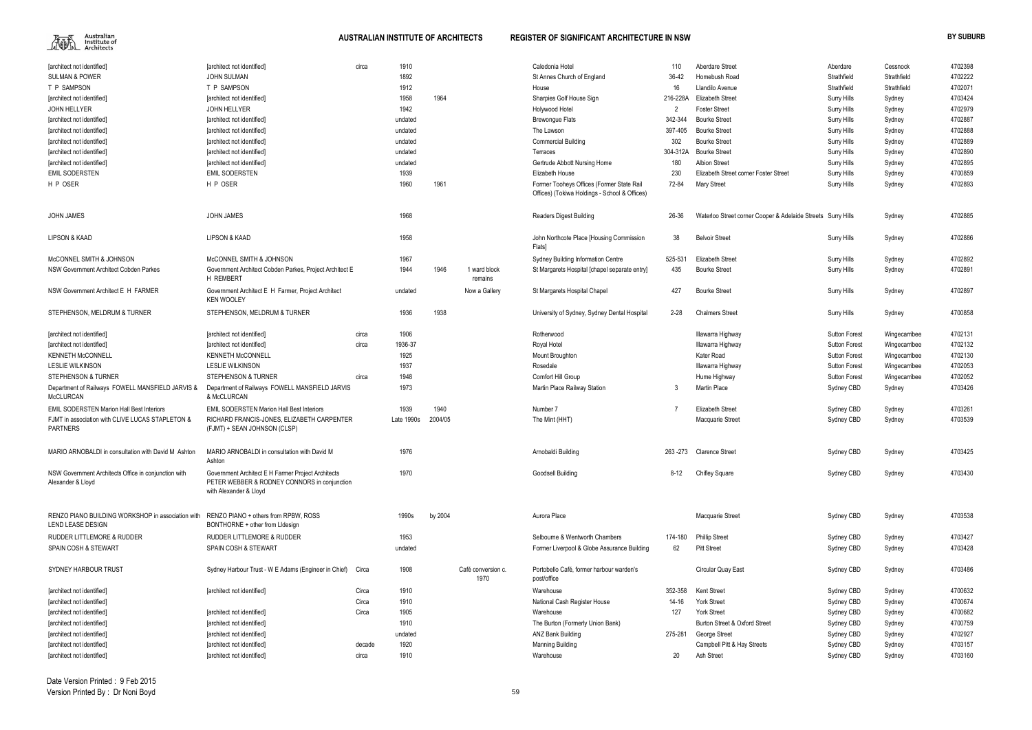

| [architect not identified]                                                | [architect not identified]                                                                                                   | circa  | 1910       |         |                            | Caledonia Hotel                                                                            | 110            | <b>Aberdare Street</b>                                       | Aberdare             | Cessnock      | 4702398 |
|---------------------------------------------------------------------------|------------------------------------------------------------------------------------------------------------------------------|--------|------------|---------|----------------------------|--------------------------------------------------------------------------------------------|----------------|--------------------------------------------------------------|----------------------|---------------|---------|
| <b>SULMAN &amp; POWER</b>                                                 | <b>JOHN SULMAN</b>                                                                                                           |        | 1892       |         |                            | St Annes Church of England                                                                 | 36-42          | Homebush Road                                                | Strathfield          | Strathfield   | 4702222 |
| T P SAMPSON                                                               | T P SAMPSON                                                                                                                  |        | 1912       |         |                            | House                                                                                      | 16             | Llandilo Avenue                                              | Strathfield          | Strathfield   | 4702071 |
| [architect not identified]                                                | [architect not identified]                                                                                                   |        | 1958       | 1964    |                            | Sharpies Golf House Sign                                                                   | 216-228A       | <b>Elizabeth Street</b>                                      | <b>Surry Hills</b>   | Sydney        | 4703424 |
| JOHN HELLYER                                                              | <b>JOHN HELLYER</b>                                                                                                          |        | 1942       |         |                            | Holywood Hotel                                                                             | $\overline{2}$ | Foster Street                                                | Surry Hills          | Sydney        | 4702979 |
|                                                                           | [architect not identified]                                                                                                   |        | undated    |         |                            | <b>Brewongue Flats</b>                                                                     | 342-344        | <b>Bourke Street</b>                                         |                      |               | 4702887 |
| architect not identified                                                  |                                                                                                                              |        |            |         |                            |                                                                                            |                |                                                              | Surry Hills          | Sydney        | 4702888 |
| [architect not identified]                                                | [architect not identified]                                                                                                   |        | undated    |         |                            | The Lawson                                                                                 | 397-405        | <b>Bourke Street</b>                                         | Surry Hills          | Sydney        |         |
| [architect not identified]                                                | [architect not identified]                                                                                                   |        | undated    |         |                            | <b>Commercial Building</b>                                                                 | 302            | <b>Bourke Street</b>                                         | Surry Hills          | Sydney        | 4702889 |
| [architect not identified]                                                | [architect not identified]                                                                                                   |        | undated    |         |                            | Terraces                                                                                   | 304-312A       | <b>Bourke Street</b>                                         | Surry Hills          | Sydney        | 4702890 |
| [architect not identified]                                                | [architect not identified]                                                                                                   |        | undated    |         |                            | Gertrude Abbott Nursing Home                                                               | 180            | <b>Albion Street</b>                                         | Surry Hills          | Sydney        | 4702895 |
| <b>EMIL SODERSTEN</b>                                                     | <b>EMIL SODERSTEN</b>                                                                                                        |        | 1939       |         |                            | Elizabeth House                                                                            | 230            | Elizabeth Street corner Foster Street                        | Surry Hills          | Sydney        | 4700859 |
| H P OSER                                                                  | H P OSER                                                                                                                     |        | 1960       | 1961    |                            | Former Tooheys Offices (Former State Rail<br>Offices) (Tokiwa Holdings - School & Offices) | 72-84          | <b>Mary Street</b>                                           | Surry Hills          | Sydney        | 4702893 |
| <b>JOHN JAMES</b>                                                         | <b>JOHN JAMES</b>                                                                                                            |        | 1968       |         |                            | Readers Digest Building                                                                    | 26-36          | Waterloo Street corner Cooper & Adelaide Streets Surry Hills |                      | Sydney        | 4702885 |
| LIPSON & KAAD                                                             | <b>LIPSON &amp; KAAD</b>                                                                                                     |        | 1958       |         |                            | John Northcote Place [Housing Commission<br>Flats]                                         | 38             | <b>Belvoir Street</b>                                        | Surry Hills          | Sydney        | 4702886 |
| McCONNEL SMITH & JOHNSON                                                  | McCONNEL SMITH & JOHNSON                                                                                                     |        | 1967       |         |                            | <b>Sydney Building Information Centre</b>                                                  | 525-531        | <b>Elizabeth Street</b>                                      | <b>Surry Hills</b>   | Sydney        | 4702892 |
| NSW Government Architect Cobden Parkes                                    | Government Architect Cobden Parkes, Project Architect E<br><b>H REMBERT</b>                                                  |        | 1944       | 1946    | 1 ward block<br>remains    | St Margarets Hospital [chapel separate entry]                                              | 435            | <b>Bourke Street</b>                                         | <b>Surry Hills</b>   | Sydney        | 4702891 |
| NSW Government Architect E H FARMER                                       | Government Architect E H Farmer, Project Architect<br><b>KEN WOOLEY</b>                                                      |        | undated    |         | Now a Gallery              | St Margarets Hospital Chapel                                                               | 427            | <b>Bourke Street</b>                                         | Surry Hills          | Sydney        | 4702897 |
| STEPHENSON, MELDRUM & TURNER                                              | STEPHENSON, MELDRUM & TURNER                                                                                                 |        | 1936       | 1938    |                            | University of Sydney, Sydney Dental Hospital                                               | $2 - 28$       | <b>Chalmers Street</b>                                       | Surry Hills          | Sydney        | 4700858 |
| [architect not identified]                                                | [architect not identified]                                                                                                   | circa  | 1906       |         |                            | Rotherwood                                                                                 |                | Illawarra Highway                                            | <b>Sutton Forest</b> | Wingecarribee | 4702131 |
| [architect not identified]                                                | [architect not identified]                                                                                                   | circa  | 1936-37    |         |                            | Royal Hotel                                                                                |                | Illawarra Highway                                            | <b>Sutton Forest</b> | Wingecarribee | 4702132 |
| <b>KENNETH McCONNELL</b>                                                  | <b>KENNETH McCONNELL</b>                                                                                                     |        | 1925       |         |                            | <b>Mount Broughton</b>                                                                     |                | Kater Road                                                   | <b>Sutton Forest</b> | Wingecarribee | 4702130 |
| <b>LESLIE WILKINSON</b>                                                   | <b>LESLIE WILKINSON</b>                                                                                                      |        | 1937       |         |                            | Rosedale                                                                                   |                | Illawarra Highway                                            | <b>Sutton Forest</b> | Wingecarribee | 4702053 |
| STEPHENSON & TURNER                                                       | <b>STEPHENSON &amp; TURNER</b>                                                                                               | circa  | 1948       |         |                            | Comfort Hill Group                                                                         |                | Hume Highway                                                 | <b>Sutton Forest</b> | Wingecarribee | 4702052 |
| Department of Railways FOWELL MANSFIELD JARVIS &<br><b>McCLURCAN</b>      | Department of Railways FOWELL MANSFIELD JARVIS<br>& McCLURCAN                                                                |        | 1973       |         |                            | Martin Place Railway Station                                                               | -3             | Martin Place                                                 | Sydney CBD           | Sydney        | 4703426 |
| <b>EMIL SODERSTEN Marion Hall Best Interiors</b>                          | <b>EMIL SODERSTEN Marion Hall Best Interiors</b>                                                                             |        | 1939       | 1940    |                            | Number 7                                                                                   |                | <b>Elizabeth Street</b>                                      | Sydney CBD           | Sydney        | 4703261 |
| FJMT in association with CLIVE LUCAS STAPLETON &<br><b>PARTNERS</b>       | RICHARD FRANCIS-JONES, ELIZABETH CARPENTER<br>(FJMT) + SEAN JOHNSON (CLSP)                                                   |        | Late 1990s | 2004/05 |                            | The Mint (HHT)                                                                             |                | Macquarie Street                                             | Sydney CBD           | Sydney        | 4703539 |
| MARIO ARNOBALDI in consultation with David M Ashton                       | MARIO ARNOBALDI in consultation with David M<br>Ashton                                                                       |        | 1976       |         |                            | Arnobaldi Building                                                                         |                | 263-273 Clarence Street                                      | Sydney CBD           | Sydney        | 4703425 |
| NSW Government Architects Office in conjunction with<br>Alexander & Lloyd | Government Architect E H Farmer Project Architects<br>PETER WEBBER & RODNEY CONNORS in conjunction<br>with Alexander & Lloyd |        | 1970       |         |                            | Goodsell Building                                                                          | $8-12$         | <b>Chifley Square</b>                                        | Sydney CBD           | Sydney        | 4703430 |
| RENZO PIANO BUILDING WORKSHOP in association with<br>LEND LEASE DESIGN    | RENZO PIANO + others from RPBW, ROSS<br>BONTHORNE + other from Lidesign                                                      |        | 1990s      | by 2004 |                            | Aurora Place                                                                               |                | Macquarie Street                                             | Sydney CBD           | Sydney        | 4703538 |
| <b>RUDDER LITTLEMORE &amp; RUDDER</b>                                     | <b>RUDDER LITTLEMORE &amp; RUDDER</b>                                                                                        |        | 1953       |         |                            | Selbourne & Wentworth Chambers                                                             | 174-180        | <b>Phillip Street</b>                                        | Sydney CBD           | Sydney        | 4703427 |
| <b>SPAIN COSH &amp; STEWART</b>                                           | SPAIN COSH & STEWART                                                                                                         |        | undated    |         |                            | Former Liverpool & Globe Assurance Building                                                | 62             | <b>Pitt Street</b>                                           | Sydney CBD           | Sydney        | 4703428 |
|                                                                           |                                                                                                                              |        |            |         |                            |                                                                                            |                |                                                              |                      |               |         |
| SYDNEY HARBOUR TRUST                                                      | Sydney Harbour Trust - W E Adams (Engineer in Chief)                                                                         | Circa  | 1908       |         | Café conversion c.<br>1970 | Portobello Café, former harbour warden's<br>post/office                                    |                | Circular Quay East                                           | Sydney CBD           | Sydney        | 4703486 |
| [architect not identified]                                                | [architect not identified]                                                                                                   | Circa  | 1910       |         |                            | Warehouse                                                                                  | 352-358        | <b>Kent Street</b>                                           | Sydney CBD           | Sydney        | 4700632 |
| [architect not identified]                                                |                                                                                                                              | Circa  | 1910       |         |                            | National Cash Register House                                                               | 14-16          | <b>York Street</b>                                           | Sydney CBD           | Sydney        | 4700674 |
| [architect not identified]                                                | [architect not identified]                                                                                                   | Circa  | 1905       |         |                            | Warehouse                                                                                  | 127            | York Street                                                  | Sydney CBD           | Sydney        | 4700682 |
| [architect not identified]                                                | [architect not identified]                                                                                                   |        | 1910       |         |                            | The Burton (Formerly Union Bank)                                                           |                | Burton Street & Oxford Street                                | Sydney CBD           | Sydney        | 4700759 |
| [architect not identified]                                                | [architect not identified]                                                                                                   |        | undated    |         |                            | <b>ANZ Bank Building</b>                                                                   | 275-281        | George Street                                                | Sydney CBD           | Sydney        | 4702927 |
| [architect not identified]                                                | [architect not identified]                                                                                                   | decade | 1920       |         |                            | Manning Building                                                                           |                | Campbell Pitt & Hay Streets                                  | Sydney CBD           | Sydney        | 4703157 |
| [architect not identified]                                                | [architect not identified]                                                                                                   | circa  | 1910       |         |                            | Warehouse                                                                                  | 20             | Ash Street                                                   | Sydney CBD           | Sydney        | 4703160 |
|                                                                           |                                                                                                                              |        |            |         |                            |                                                                                            |                |                                                              |                      |               |         |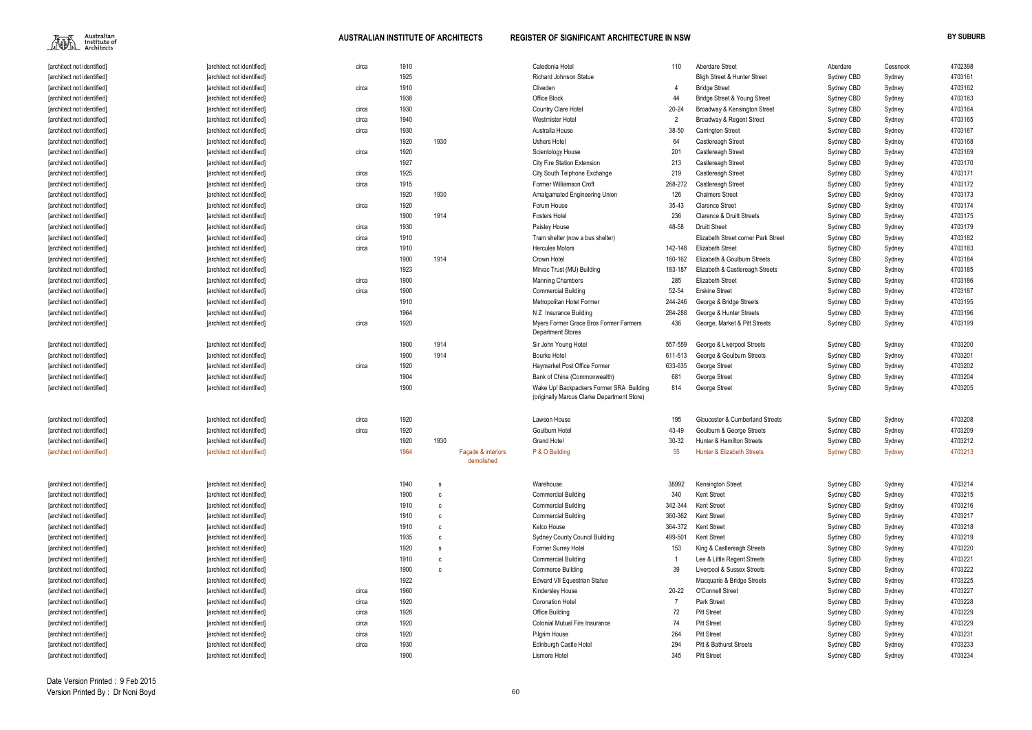$\begin{picture}(120,110) \put(0,0){\line(1,0){15}} \put(15,0){\line(1,0){15}} \put(15,0){\line(1,0){15}} \put(15,0){\line(1,0){15}} \put(15,0){\line(1,0){15}} \put(15,0){\line(1,0){15}} \put(15,0){\line(1,0){15}} \put(15,0){\line(1,0){15}} \put(15,0){\line(1,0){15}} \put(15,0){\line(1,0){15}} \put(15,0){\line(1,0){15}} \put(15,0){\line$ 

| 110            | Aberdare Street                       | Aberdare          | Cessnock | 4702398 |
|----------------|---------------------------------------|-------------------|----------|---------|
|                | Bligh Street & Hunter Street          | Sydney CBD        | Sydney   | 4703161 |
| 4              | <b>Bridge Street</b>                  | Sydney CBD        | Sydney   | 4703162 |
| 44             | Bridge Street & Young Street          | Sydney CBD        | Sydney   | 4703163 |
| 0-24           | Broadway & Kensington Street          | Sydney CBD        | Sydney   | 4703164 |
| $\overline{2}$ | Broadway & Regent Street              | Sydney CBD        | Sydney   | 4703165 |
| 8-50           | <b>Carrington Street</b>              | Sydney CBD        | Sydney   | 4703167 |
| 64             | Castlereagh Street                    | Sydney CBD        | Sydney   | 4703168 |
| 201            | Castlereagh Street                    | Sydney CBD        | Sydney   | 4703169 |
| 213            | Castlereagh Street                    | Sydney CBD        | Sydney   | 4703170 |
| 219            | Castlereagh Street                    | Sydney CBD        | Sydney   | 4703171 |
| $8-272$        | Castlereagh Street                    | Sydney CBD        | Sydney   | 4703172 |
| 126            | <b>Chalmers Street</b>                | Sydney CBD        | Sydney   | 4703173 |
| $5-43$         | <b>Clarence Street</b>                | Sydney CBD        | Sydney   | 4703174 |
| 236            | <b>Clarence &amp; Druitt Streets</b>  | Sydney CBD        | Sydney   | 4703175 |
| $8 - 58$       | <b>Druitt Street</b>                  | Sydney CBD        | Sydney   | 4703179 |
|                | Elizabeth Street corner Park Street   | Sydney CBD        | Sydney   | 4703182 |
| $2 - 148$      | <b>Elizabeth Street</b>               | Sydney CBD        | Sydney   | 4703183 |
| $0 - 162$      | Elizabeth & Goulburn Streets          | Sydney CBD        | Sydney   | 4703184 |
| $3 - 187$      | Elizabeth & Castlereagh Streets       | Sydney CBD        | Sydney   | 4703185 |
| 285            | Elizabeth Street                      | Sydney CBD        | Sydney   | 4703186 |
| 2-54           | <b>Erskine Street</b>                 | Sydney CBD        | Sydney   | 4703187 |
| 4-246          | George & Bridge Streets               | Sydney CBD        | Sydney   | 4703195 |
| 4-288          | George & Hunter Streets               | Sydney CBD        | Sydney   | 4703196 |
| 436            | George, Market & Pitt Streets         | Sydney CBD        | Sydney   | 4703199 |
| 7-559          | George & Liverpool Streets            | Sydney CBD        | Sydney   | 4703200 |
| $1 - 613$      | George & Goulburn Streets             | Sydney CBD        | Sydney   | 4703201 |
| 3-635          | George Street                         | Sydney CBD        | Sydney   | 4703202 |
| 681            | George Street                         | Sydney CBD        | Sydney   | 4703204 |
| 814            | George Street                         | Sydney CBD        | Sydney   | 4703205 |
|                |                                       |                   |          |         |
| 195            | Gloucester & Cumberland Streets       | Sydney CBD        | Sydney   | 4703208 |
| $3 - 49$       | Goulburn & George Streets             | Sydney CBD        | Sydney   | 4703209 |
| $0 - 32$       | <b>Hunter &amp; Hamilton Streets</b>  | Sydney CBD        | Sydney   | 4703212 |
| 55             | <b>Hunter &amp; Elizabeth Streets</b> | <b>Sydney CBD</b> | Sydney   | 4703213 |
|                |                                       |                   |          |         |
| 8992           | Kensington Street                     | Sydney CBD        | Sydney   | 4703214 |
| 340            | Kent Street                           | Sydney CBD        | Sydney   | 4703215 |
| $2 - 344$      | Kent Street                           | Sydney CBD        | Sydney   | 4703216 |
| $0 - 362$      | Kent Street                           | Sydney CBD        | Sydney   | 4703217 |
| 4-372          | Kent Street                           | Sydney CBD        | Sydney   | 4703218 |
| $9 - 501$      | Kent Street                           | Sydney CBD        | Sydney   | 4703219 |
| 153            | King & Castlereagh Streets            | Sydney CBD        | Sydney   | 4703220 |
| 1              | Lee & Little Regent Streets           | Sydney CBD        | Sydney   | 4703221 |
| 39             | Liverpool & Sussex Streets            | Sydney CBD        | Sydney   | 4703222 |
|                | Macquarie & Bridge Streets            | Sydney CBD        | Sydney   | 4703225 |
| 0-22           | O'Connell Street                      | Sydney CBD        | Sydney   | 4703227 |
| 7              | Park Street                           | Sydney CBD        | Sydney   | 4703228 |
| 72             | <b>Pitt Street</b>                    | Sydney CBD        | Sydney   | 4703229 |
| 74             | <b>Pitt Street</b>                    | Sydney CBD        | Sydney   | 4703229 |
| 264            | <b>Pitt Street</b>                    | Sydney CBD        | Sydney   | 4703231 |
| 294            | <b>Pitt &amp; Bathurst Streets</b>    | Sydney CBD        | Sydney   | 4703233 |
| 345            | <b>Pitt Street</b>                    | Sydney CBD        | Sydney   | 4703234 |

| [architect not identified] | [architect not identified] | circa | 1910 |      |                                  | Caledonia Hotel                                                                         | 110     | Aberdare Street                         | Aberdare          | Cessnock | 4702398 |
|----------------------------|----------------------------|-------|------|------|----------------------------------|-----------------------------------------------------------------------------------------|---------|-----------------------------------------|-------------------|----------|---------|
| [architect not identified] | [architect not identified] |       | 1925 |      |                                  | <b>Richard Johnson Statue</b>                                                           |         | <b>Bligh Street &amp; Hunter Street</b> | Sydney CBD        | Sydney   | 4703161 |
| [architect not identified] | [architect not identified] | circa | 1910 |      |                                  | Cliveden                                                                                |         | <b>Bridge Street</b>                    | Sydney CBD        | Sydney   | 4703162 |
| [architect not identified] | [architect not identified] |       | 1938 |      |                                  | Office Block                                                                            | 44      | Bridge Street & Young Street            | Sydney CBD        | Sydney   | 4703163 |
| [architect not identified] | [architect not identified] | circa | 1930 |      |                                  | Country Clare Hotel                                                                     | 20-24   | Broadway & Kensington Street            | Sydney CBD        | Sydney   | 4703164 |
| [architect not identified] | [architect not identified] | circa | 1940 |      |                                  | <b>Westmister Hotel</b>                                                                 |         | Broadway & Regent Street                | Sydney CBD        | Sydney   | 4703165 |
| [architect not identified] | [architect not identified] | circa | 1930 |      |                                  | Australia House                                                                         | 38-50   | <b>Carrington Street</b>                | Sydney CBD        | Sydney   | 4703167 |
| [architect not identified] | [architect not identified] |       | 1920 | 1930 |                                  | <b>Ushers Hotel</b>                                                                     | 64      | Castlereagh Street                      | Sydney CBD        | Sydney   | 4703168 |
| [architect not identified] | [architect not identified] | circa | 1920 |      |                                  | Scientology House                                                                       | 201     | Castlereagh Street                      | Sydney CBD        | Sydney   | 4703169 |
| [architect not identified] | [architect not identified] |       | 1927 |      |                                  | <b>City Fire Station Extension</b>                                                      | 213     | Castlereagh Street                      | Sydney CBD        | Sydney   | 4703170 |
| [architect not identified] | [architect not identified] | circa | 1925 |      |                                  | City South Telphone Exchange                                                            | 219     | Castlereagh Street                      | Sydney CBD        | Sydney   | 4703171 |
| [architect not identified] | [architect not identified] | circa | 1915 |      |                                  | Former Williamson Croft                                                                 | 268-272 | Castlereagh Street                      | Sydney CBD        | Sydney   | 4703172 |
| [architect not identified] | [architect not identified] |       | 1920 | 1930 |                                  | Amalgamated Engineering Union                                                           | 126     | <b>Chalmers Street</b>                  | Sydney CBD        | Sydney   | 4703173 |
| [architect not identified] | [architect not identified] | circa | 1920 |      |                                  | Forum House                                                                             | 35-43   | <b>Clarence Street</b>                  | Sydney CBD        | Sydney   | 4703174 |
| [architect not identified] | [architect not identified] |       | 1900 | 1914 |                                  | <b>Fosters Hotel</b>                                                                    | 236     | <b>Clarence &amp; Druitt Streets</b>    | Sydney CBD        | Sydney   | 4703175 |
| [architect not identified] | [architect not identified] | circa | 1930 |      |                                  | Paisley House                                                                           | 48-58   | <b>Druitt Street</b>                    | Sydney CBD        | Sydney   | 4703179 |
| [architect not identified] | [architect not identified] | circa | 1910 |      |                                  | Tram shelter (now a bus shelter)                                                        |         | Elizabeth Street corner Park Street     | Sydney CBD        | Sydney   | 4703182 |
| [architect not identified] | [architect not identified] | circa | 1910 |      |                                  | <b>Hercules Motors</b>                                                                  | 142-148 | <b>Elizabeth Street</b>                 | Sydney CBD        | Sydney   | 4703183 |
| [architect not identified] | [architect not identified] |       | 1900 | 1914 |                                  | Crown Hotel                                                                             | 160-162 | Elizabeth & Goulburn Streets            | Sydney CBD        | Sydney   | 4703184 |
| [architect not identified] | [architect not identified] |       | 1923 |      |                                  | Mirvac Trust (MU) Building                                                              | 183-187 | Elizabeth & Castlereagh Streets         | Sydney CBD        | Sydney   | 4703185 |
| [architect not identified] | [architect not identified] | circa | 1900 |      |                                  | <b>Manning Chambers</b>                                                                 | 285     | <b>Elizabeth Street</b>                 | Sydney CBD        | Sydney   | 4703186 |
| [architect not identified] | [architect not identified] | circa | 1900 |      |                                  | <b>Commercial Building</b>                                                              | 52-54   | <b>Erskine Street</b>                   | Sydney CBD        | Sydney   | 4703187 |
| [architect not identified] | [architect not identified] |       | 1910 |      |                                  | Metropolitan Hotel Former                                                               | 244-246 | George & Bridge Streets                 | Sydney CBD        | Sydney   | 4703195 |
| [architect not identified] | [architect not identified] |       | 1964 |      |                                  | N Z Insurance Building                                                                  | 284-288 | George & Hunter Streets                 | Sydney CBD        | Sydney   | 4703196 |
| [architect not identified] | [architect not identified] | circa | 1920 |      |                                  | Myers Former Grace Bros Former Farmers<br><b>Department Stores</b>                      | 436     | George, Market & Pitt Streets           | Sydney CBD        | Sydney   | 4703199 |
| [architect not identified] | [architect not identified] |       | 1900 | 1914 |                                  | Sir John Young Hotel                                                                    | 557-559 | George & Liverpool Streets              | Sydney CBD        | Sydney   | 4703200 |
| [architect not identified] | [architect not identified] |       | 1900 | 1914 |                                  | <b>Bourke Hotel</b>                                                                     | 611-613 | George & Goulburn Streets               | Sydney CBD        | Sydney   | 4703201 |
| [architect not identified] | [architect not identified] | circa | 1920 |      |                                  | Haymarket Post Office Former                                                            | 633-635 | George Street                           | Sydney CBD        | Sydney   | 4703202 |
| [architect not identified] | [architect not identified] |       | 1904 |      |                                  | Bank of China (Commonwealth)                                                            | 681     | George Street                           | Sydney CBD        | Sydney   | 4703204 |
| [architect not identified] | [architect not identified] |       | 1900 |      |                                  | Wake Up! Backpackers Former SRA Building<br>(originally Marcus Clarke Department Store) | 814     | George Street                           | Sydney CBD        | Sydney   | 4703205 |
| [architect not identified] | [architect not identified] | circa | 1920 |      |                                  | Lawson House                                                                            | 195     | Gloucester & Cumberland Streets         | Sydney CBD        | Sydney   | 4703208 |
| [architect not identified] | [architect not identified] | circa | 1920 |      |                                  | Goulburn Hotel                                                                          | 43-49   | Goulburn & George Streets               | Sydney CBD        | Sydney   | 4703209 |
| [architect not identified] | [architect not identified] |       | 1920 | 1930 |                                  | <b>Grand Hotel</b>                                                                      | 30-32   | <b>Hunter &amp; Hamilton Streets</b>    | Sydney CBD        | Sydney   | 4703212 |
| [architect not identified] | [architect not identified] |       | 1964 |      | Façade & interiors<br>demolished | P & O Building                                                                          | 55      | Hunter & Elizabeth Streets              | <b>Sydney CBD</b> | Sydney   | 4703213 |
| [architect not identified] | [architect not identified] |       | 1940 | - S  |                                  | Warehouse                                                                               | 38992   | Kensington Street                       | Sydney CBD        | Sydney   | 4703214 |
| [architect not identified] | [architect not identified] |       | 1900 | C    |                                  | <b>Commercial Building</b>                                                              | 340     | <b>Kent Street</b>                      | Sydney CBD        | Sydney   | 4703215 |
| [architect not identified] | [architect not identified] |       | 1910 | C    |                                  | <b>Commercial Building</b>                                                              | 342-344 | <b>Kent Street</b>                      | Sydney CBD        | Sydney   | 4703216 |
| [architect not identified] | [architect not identified] |       | 1910 | C    |                                  | <b>Commercial Building</b>                                                              | 360-362 | <b>Kent Street</b>                      | Sydney CBD        | Sydney   | 4703217 |
| [architect not identified] | [architect not identified] |       | 1910 | C    |                                  | Kelco House                                                                             | 364-372 | <b>Kent Street</b>                      | Sydney CBD        | Sydney   | 4703218 |
| [architect not identified] | [architect not identified] |       | 1935 | C    |                                  | <b>Sydney County Council Building</b>                                                   | 499-501 | <b>Kent Street</b>                      | Sydney CBD        | Sydney   | 4703219 |
| [architect not identified] | [architect not identified] |       | 1920 | s    |                                  | Former Surrey Hotel                                                                     | 153     | King & Castlereagh Streets              | Sydney CBD        | Sydney   | 4703220 |
| [architect not identified] | [architect not identified] |       | 1910 | C    |                                  | <b>Commercial Building</b>                                                              |         | Lee & Little Regent Streets             | Sydney CBD        | Sydney   | 4703221 |
| [architect not identified] | [architect not identified] |       | 1900 | C    |                                  | <b>Commerce Building</b>                                                                | 39      | Liverpool & Sussex Streets              | Sydney CBD        | Sydney   | 4703222 |
| [architect not identified] | [architect not identified] |       | 1922 |      |                                  | Edward VII Equestrian Statue                                                            |         | Macquarie & Bridge Streets              | Sydney CBD        | Sydney   | 4703225 |
| [architect not identified] | [architect not identified] | circa | 1960 |      |                                  | Kindersley House                                                                        | 20-22   | O'Connell Street                        | Sydney CBD        | Sydney   | 4703227 |
| [architect not identified] | [architect not identified] | circa | 1920 |      |                                  | <b>Coronation Hotel</b>                                                                 |         | Park Street                             | Sydney CBD        | Sydney   | 4703228 |
| [architect not identified] | [architect not identified] | circa | 1928 |      |                                  | Office Building                                                                         | 72      | <b>Pitt Street</b>                      | Sydney CBD        | Sydney   | 4703229 |
| [architect not identified] | [architect not identified] | circa | 1920 |      |                                  | Colonial Mutual Fire Insurance                                                          | 74      | <b>Pitt Street</b>                      | Sydney CBD        | Sydney   | 4703229 |
| [architect not identified] | [architect not identified] | circa | 1920 |      |                                  | Pilgrim House                                                                           | 264     | <b>Pitt Street</b>                      | Sydney CBD        | Sydney   | 4703231 |
| [architect not identified] | [architect not identified] | circa | 1930 |      |                                  | Edinburgh Castle Hotel                                                                  | 294     | <b>Pitt &amp; Bathurst Streets</b>      | Sydney CBD        | Sydney   | 4703233 |
| [architect not identified] | [architect not identified] |       | 1900 |      |                                  | Lismore Hotel                                                                           | 345     | <b>Pitt Street</b>                      | Sydney CBD        | Sydney   | 4703234 |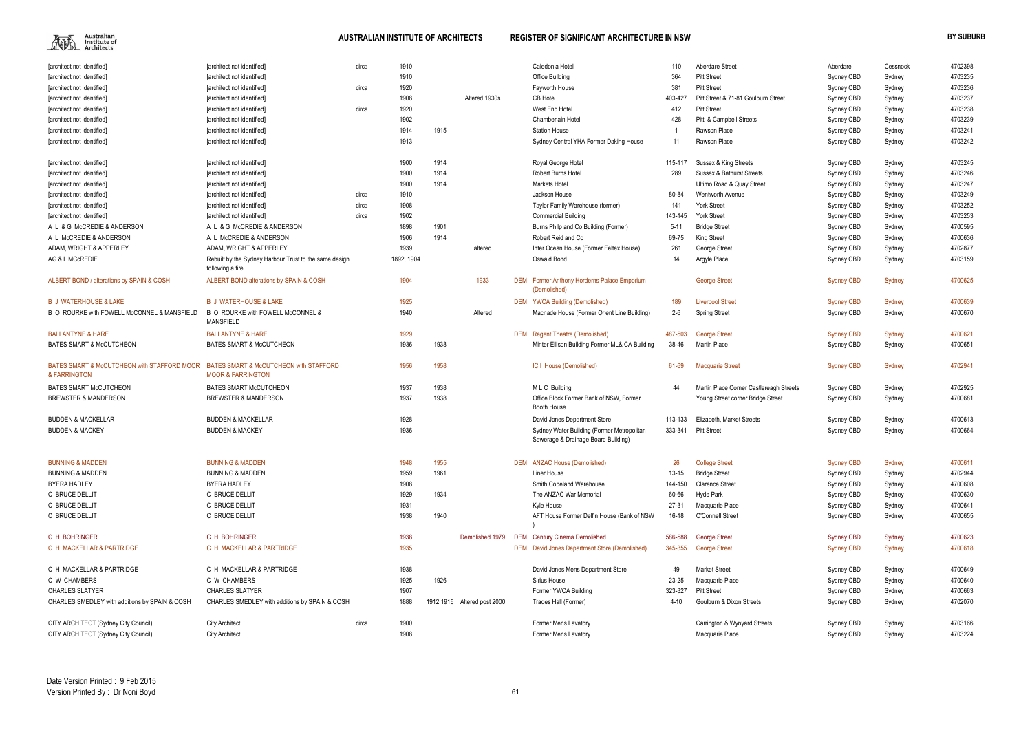

| [architect not identified]                                  | [architect not identified]                                             | circa | 1910       |      |                             | Caledonia Hotel                                                    | 110       | Aberdare Street                               | Aberdare                        | Cessnock | 4702398 |
|-------------------------------------------------------------|------------------------------------------------------------------------|-------|------------|------|-----------------------------|--------------------------------------------------------------------|-----------|-----------------------------------------------|---------------------------------|----------|---------|
| [architect not identified]                                  | [architect not identified]                                             |       | 1910       |      |                             | Office Building                                                    | 364       | <b>Pitt Street</b>                            | Sydney CBD                      | Sydney   | 4703235 |
| [architect not identified]                                  | [architect not identified]                                             | circa | 1920       |      |                             | Fayworth House                                                     | 381       | <b>Pitt Street</b>                            | Sydney CBD                      | Sydney   | 4703236 |
| [architect not identified]                                  | [architect not identified]                                             |       | 1908       |      | Altered 1930s               | <b>CB Hotel</b>                                                    | 403-427   | Pitt Street & 71-81 Goulburn Street           | Sydney CBD                      | Sydney   | 4703237 |
| [architect not identified]                                  | [architect not identified]                                             | circa | 1920       |      |                             | West End Hotel                                                     | 412       | <b>Pitt Street</b>                            | Sydney CBD                      | Sydney   | 4703238 |
| [architect not identified]                                  | [architect not identified]                                             |       | 1902       |      |                             | Chamberlain Hotel                                                  | 428       | Pitt & Campbell Streets                       | Sydney CBD                      | Sydney   | 4703239 |
| [architect not identified]                                  | [architect not identified]                                             |       | 1914       | 1915 |                             | <b>Station House</b>                                               |           | Rawson Place                                  | Sydney CBD                      | Sydney   | 4703241 |
| [architect not identified]                                  | [architect not identified]                                             |       | 1913       |      |                             | Sydney Central YHA Former Daking House                             | 11        | Rawson Place                                  | Sydney CBD                      | Sydney   | 4703242 |
|                                                             |                                                                        |       |            |      |                             |                                                                    |           |                                               |                                 |          |         |
| [architect not identified]                                  | [architect not identified]                                             |       | 1900       | 1914 |                             | Royal George Hotel                                                 | 115-117   | Sussex & King Streets                         | Sydney CBD                      | Sydney   | 4703245 |
| [architect not identified]                                  | [architect not identified]                                             |       | 1900       | 1914 |                             | Robert Burns Hotel                                                 | 289       | <b>Sussex &amp; Bathurst Streets</b>          | Sydney CBD                      | Sydney   | 4703246 |
| <b>Tarchitect not identified]</b>                           | [architect not identified]                                             |       | 1900       | 1914 |                             | <b>Markets Hotel</b>                                               |           | Ultimo Road & Quay Street                     | Sydney CBD                      | Sydney   | 4703247 |
| [architect not identified]                                  | [architect not identified]                                             | circa | 1910       |      |                             | Jackson House                                                      | 80-84     | Wentworth Avenue                              | Sydney CBD                      | Sydney   | 4703249 |
| [architect not identified]                                  | [architect not identified]                                             | circa | 1908       |      |                             | Taylor Family Warehouse (former)                                   | 141       | <b>York Street</b>                            | Sydney CBD                      | Sydney   | 4703252 |
| [architect not identified]                                  | [architect not identified]                                             | circa | 1902       |      |                             | <b>Commercial Building</b>                                         | 143-145   | <b>York Street</b>                            | Sydney CBD                      | Sydney   | 4703253 |
| A L & G McCREDIE & ANDERSON                                 | A L & G McCREDIE & ANDERSON                                            |       | 1898       | 1901 |                             | Burns Philp and Co Building (Former)                               | $5 - 11$  | <b>Bridge Street</b>                          | Sydney CBD                      | Sydney   | 4700595 |
| A L McCREDIE & ANDERSON                                     | A L McCREDIE & ANDERSON                                                |       | 1906       | 1914 |                             | Robert Reid and Co                                                 | 69-75     | <b>King Street</b>                            | Sydney CBD                      | Sydney   | 4700636 |
| ADAM, WRIGHT & APPERLEY                                     | ADAM, WRIGHT & APPERLEY                                                |       | 1939       |      | altered                     | Inter Ocean House (Former Feltex House)                            | 261       | George Street                                 | Sydney CBD                      | Sydney   | 4702877 |
| AG & L MCcREDIE                                             | Rebuilt by the Sydney Harbour Trust to the same design                 |       | 1892, 1904 |      |                             | Oswald Bond                                                        | 14        | Argyle Place                                  | Sydney CBD                      | Sydney   | 4703159 |
|                                                             | following a fire                                                       |       |            |      |                             |                                                                    |           |                                               |                                 |          |         |
| ALBERT BOND / alterations by SPAIN & COSH                   | ALBERT BOND alterations by SPAIN & COSH                                |       | 1904       |      | 1933                        | <b>DEM</b> Former Anthony Horderns Palace Emporium<br>(Demolished) |           | <b>George Street</b>                          | <b>Sydney CBD</b>               | Sydney   | 4700625 |
| <b>B J WATERHOUSE &amp; LAKE</b>                            | <b>B J WATERHOUSE &amp; LAKE</b>                                       |       | 1925       |      |                             | <b>DEM</b> YWCA Building (Demolished)                              | 189       | <b>Liverpool Street</b>                       | <b>Sydney CBD</b>               | Sydney   | 4700639 |
| B O ROURKE with FOWELL McCONNEL & MANSFIELD                 | B O ROURKE with FOWELL McCONNEL &<br><b>MANSFIELD</b>                  |       | 1940       |      | Altered                     | Macnade House (Former Orient Line Building)                        | $2 - 6$   | <b>Spring Street</b>                          | Sydney CBD                      | Sydney   | 4700670 |
| <b>BALLANTYNE &amp; HARE</b>                                | <b>BALLANTYNE &amp; HARE</b>                                           |       | 1929       |      |                             | <b>DEM</b> Regent Theatre (Demolished)                             | 487-503   | <b>George Street</b>                          | <b>Sydney CBD</b>               | Sydney   | 4700621 |
| <b>BATES SMART &amp; McCUTCHEON</b>                         | BATES SMART & McCUTCHEON                                               |       | 1936       | 1938 |                             | Minter Ellison Building Former ML& CA Building                     | 38-46     | <b>Martin Place</b>                           | Sydney CBD                      | Sydney   | 4700651 |
|                                                             |                                                                        |       |            |      |                             |                                                                    |           |                                               |                                 |          |         |
| BATES SMART & McCUTCHEON with STAFFORD MOOR<br>& FARRINGTON | BATES SMART & McCUTCHEON with STAFFORD<br><b>MOOR &amp; FARRINGTON</b> |       | 1956       | 1958 |                             | IC I House (Demolished)                                            | 61-69     | <b>Macquarie Street</b>                       | <b>Sydney CBD</b>               | Sydney   | 4702941 |
| <b>BATES SMART McCUTCHEON</b>                               | BATES SMART McCUTCHEON                                                 |       | 1937       | 1938 |                             | M L C Building                                                     | 44        | Martin Place Corner Castlereagh Streets       | Sydney CBD                      | Sydney   | 4702925 |
| <b>BREWSTER &amp; MANDERSON</b>                             | <b>BREWSTER &amp; MANDERSON</b>                                        |       | 1937       | 1938 |                             | Office Block Former Bank of NSW, Former                            |           | Young Street corner Bridge Street             | Sydney CBD                      | Sydney   | 4700681 |
|                                                             |                                                                        |       |            |      |                             | Booth House                                                        |           |                                               |                                 |          |         |
| <b>BUDDEN &amp; MACKELLAR</b>                               | <b>BUDDEN &amp; MACKELLAR</b>                                          |       | 1928       |      |                             | David Jones Department Store                                       | 113-133   | Elizabeth, Market Streets                     | Sydney CBD                      | Sydney   | 4700613 |
| <b>BUDDEN &amp; MACKEY</b>                                  | <b>BUDDEN &amp; MACKEY</b>                                             |       | 1936       |      |                             | Sydney Water Building (Former Metropolitan                         | 333-341   | <b>Pitt Street</b>                            | Sydney CBD                      | Sydney   | 4700664 |
|                                                             |                                                                        |       |            |      |                             | Sewerage & Drainage Board Building)                                |           |                                               |                                 |          |         |
| <b>BUNNING &amp; MADDEN</b>                                 | <b>BUNNING &amp; MADDEN</b>                                            |       | 1948       | 1955 |                             | DEM ANZAC House (Demolished)                                       | 26        |                                               |                                 |          | 4700611 |
| <b>BUNNING &amp; MADDEN</b>                                 | <b>BUNNING &amp; MADDEN</b>                                            |       | 1959       | 1961 |                             | Liner House                                                        | $13 - 15$ | <b>College Street</b><br><b>Bridge Street</b> | <b>Sydney CBD</b><br>Sydney CBD | Sydney   | 4702944 |
| <b>BYERA HADLEY</b>                                         | <b>BYERA HADLEY</b>                                                    |       | 1908       |      |                             |                                                                    | 144-150   | <b>Clarence Street</b>                        |                                 | Sydney   | 4700608 |
|                                                             |                                                                        |       |            |      |                             | Smith Copeland Warehouse                                           |           |                                               | Sydney CBD                      | Sydney   |         |
| C BRUCE DELLIT                                              | C BRUCE DELLIT                                                         |       | 1929       | 1934 |                             | The ANZAC War Memorial                                             | 60-66     | Hyde Park                                     | Sydney CBD                      | Sydney   | 4700630 |
| C BRUCE DELLIT                                              | C BRUCE DELLIT                                                         |       | 1931       |      |                             | Kyle House                                                         | 27-31     | Macquarie Place                               | Sydney CBD                      | Sydney   | 4700641 |
| C BRUCE DELLIT                                              | C BRUCE DELLIT                                                         |       | 1938       | 1940 |                             | AFT House Former Delfin House (Bank of NSW                         | 16-18     | O'Connell Street                              | Sydney CBD                      | Sydney   | 4700655 |
| C H BOHRINGER                                               | C H BOHRINGER                                                          |       | 1938       |      | Demolished 1979             | <b>DEM</b> Century Cinema Demolished                               | 586-588   | <b>George Street</b>                          | <b>Sydney CBD</b>               | Sydney   | 4700623 |
| C H MACKELLAR & PARTRIDGE                                   | C H MACKELLAR & PARTRIDGE                                              |       | 1935       |      |                             | DEM David Jones Department Store (Demolished)                      | 345-355   | <b>George Street</b>                          | <b>Sydney CBD</b>               | Sydney   | 4700618 |
|                                                             |                                                                        |       |            |      |                             |                                                                    |           |                                               |                                 |          |         |
| C H MACKELLAR & PARTRIDGE                                   | C H MACKELLAR & PARTRIDGE                                              |       | 1938       |      |                             | David Jones Mens Department Store                                  | 49        | <b>Market Street</b>                          | Sydney CBD                      | Sydney   | 4700649 |
| C W CHAMBERS                                                | C W CHAMBERS                                                           |       | 1925       | 1926 |                             | Sirius House                                                       | 23-25     | Macquarie Place                               | Sydney CBD                      | Sydney   | 4700640 |
| <b>CHARLES SLATYER</b>                                      | <b>CHARLES SLATYER</b>                                                 |       | 1907       |      |                             | Former YWCA Building                                               | 323-327   | <b>Pitt Street</b>                            | Sydney CBD                      | Sydney   | 4700663 |
| CHARLES SMEDLEY with additions by SPAIN & COSH              | CHARLES SMEDLEY with additions by SPAIN & COSH                         |       | 1888       |      | 1912 1916 Altered post 2000 | Trades Hall (Former)                                               | $4 - 10$  | Goulburn & Dixon Streets                      | Sydney CBD                      | Sydney   | 4702070 |
|                                                             |                                                                        |       |            |      |                             |                                                                    |           |                                               |                                 |          |         |
| CITY ARCHITECT (Sydney City Council)                        | <b>City Architect</b>                                                  | circa | 1900       |      |                             | <b>Former Mens Lavatory</b>                                        |           | Carrington & Wynyard Streets                  | Sydney CBD                      | Sydney   | 4703166 |
| CITY ARCHITECT (Sydney City Council)                        | <b>City Architect</b>                                                  |       | 1908       |      |                             | <b>Former Mens Lavatory</b>                                        |           | Macquarie Place                               | Sydney CBD                      | Sydney   | 4703224 |
|                                                             |                                                                        |       |            |      |                             |                                                                    |           |                                               |                                 |          |         |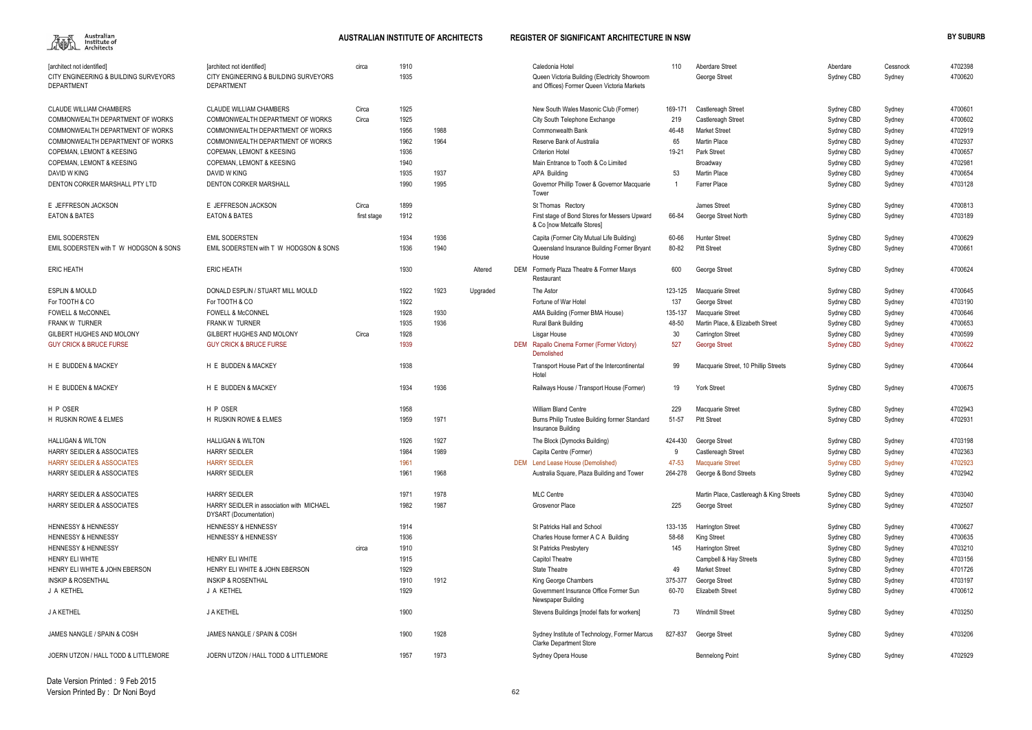

| 1910<br>[architect not identified]<br>[architect not identified]<br>Caledonia Hotel<br>110<br>Aberdare Street<br>Aberdare<br>circa<br>Cessnock<br>1935<br>CITY ENGINEERING & BUILDING SURVEYORS<br>Queen Victoria Building (Electricity Showroom<br>George Street<br>Sydney CBD<br>Sydney<br><b>DEPARTMENT</b><br><b>DEPARTMENT</b><br>and Offices) Former Queen Victoria Markets<br><b>CLAUDE WILLIAM CHAMBERS</b><br>1925<br>4700601<br><b>CLAUDE WILLIAM CHAMBERS</b><br>Circa<br>New South Wales Masonic Club (Former)<br>169-171<br>Castlereagh Street<br>Sydney CBD<br>Sydney<br>4700602<br>COMMONWEALTH DEPARTMENT OF WORKS<br>COMMONWEALTH DEPARTMENT OF WORKS<br>1925<br>219<br>Circa<br>City South Telephone Exchange<br>Castlereagh Street<br>Sydney CBD<br>Sydney<br>4702919<br>COMMONWEALTH DEPARTMENT OF WORKS<br>COMMONWEALTH DEPARTMENT OF WORKS<br>1956<br>1988<br>Commonwealth Bank<br>46-48<br><b>Market Street</b><br>Sydney CBD<br>Sydney<br>1964<br>4702937<br>COMMONWEALTH DEPARTMENT OF WORKS<br>COMMONWEALTH DEPARTMENT OF WORKS<br>1962<br>Reserve Bank of Australia<br>65<br>Martin Place<br>Sydney CBD<br>Sydney<br><b>COPEMAN, LEMONT &amp; KEESING</b><br><b>COPEMAN, LEMONT &amp; KEESING</b><br>1936<br><b>Criterion Hotel</b><br>19-21<br>Park Street<br>4700657<br>Sydney CBD<br>Sydney<br>1940<br><b>COPEMAN, LEMONT &amp; KEESING</b><br>Main Entrance to Tooth & Co Limited<br>Broadway<br>Sydney CBD<br>Sydney<br>DAVID W KING<br>1935<br>1937<br><b>APA Building</b><br>53<br><b>Martin Place</b><br>DAVID W KING<br>Sydney CBD<br>Sydney<br>1990<br><b>DENTON CORKER MARSHALL</b><br>1995<br>Governor Phillip Tower & Governor Macquarie<br>Farrer Place<br>Sydney CBD<br>Sydney<br>Tower<br>Circa<br>1899<br>E JEFFRESON JACKSON<br>James Street<br>Sydney CBD<br>St Thomas Rectory<br>Sydney<br><b>EATON &amp; BATES</b><br>1912<br>First stage of Bond Stores for Messers Upward<br>66-84<br>George Street North<br>Sydney CBD<br>first stage<br>Sydney<br>& Co [now Metcalfe Stores]<br>1934<br>1936<br><b>EMIL SODERSTEN</b><br><b>EMIL SODERSTEN</b><br>Capita (Former City Mutual Life Building)<br>60-66<br>Hunter Street<br>Sydney CBD<br>Sydney<br>1936<br>1940<br>EMIL SODERSTEN with T W HODGSON & SONS<br>EMIL SODERSTEN with T W HODGSON & SONS<br>80-82<br><b>Pitt Street</b><br>Sydney CBD<br>Queensland Insurance Building Former Bryant<br>Sydney<br>House<br>1930<br><b>ERIC HEATH</b><br>DEM Formerly Plaza Theatre & Former Maxys<br>600<br>Altered<br>George Street<br>Sydney CBD<br>Sydney<br>Restaurant<br><b>ESPLIN &amp; MOULD</b><br>DONALD ESPLIN / STUART MILL MOULD<br>1922<br>1923<br>Upgraded<br>The Astor<br>123-125<br>Sydney CBD<br>Macquarie Street<br>Sydney<br>4703190<br>For TOOTH & CO<br>For TOOTH & CO<br>1922<br>137<br>Fortune of War Hotel<br>Sydney CBD<br>George Street<br>Sydney<br>4700646<br><b>FOWELL &amp; McCONNEL</b><br>1928<br>1930<br>135-137<br><b>FOWELL &amp; McCONNEL</b><br>AMA Building (Former BMA House)<br>Macquarie Street<br>Sydney CBD<br>Sydney<br><b>FRANK W TURNER</b><br><b>FRANK W TURNER</b><br>1935<br>1936<br>48-50<br>Martin Place, & Elizabeth Street<br>4700653<br><b>Rural Bank Building</b><br>Sydney CBD<br>Sydney<br>1928<br><b>GILBERT HUGHES AND MOLONY</b><br>GILBERT HUGHES AND MOLONY<br>Circa<br>30<br>4700599<br>Lisgar House<br><b>Carrington Street</b><br>Sydney CBD<br>Sydney<br>1939<br><b>GUY CRICK &amp; BRUCE FURSE</b><br><b>GUY CRICK &amp; BRUCE FURSE</b><br>DEM Rapallo Cinema Former (Former Victory)<br>527<br><b>Sydney CBD</b><br>4700622<br><b>George Street</b><br>Sydney<br>Demolished<br>1938<br>H E BUDDEN & MACKEY<br>H E BUDDEN & MACKEY<br>Macquarie Street, 10 Phillip Streets<br>Transport House Part of the Intercontinental<br>99<br>Sydney CBD<br>Sydney<br>Hotel<br>H E BUDDEN & MACKEY<br>1934<br>1936<br>19<br>Railways House / Transport House (Former)<br><b>York Street</b><br>Sydney CBD<br>Sydney<br>H P OSER<br>1958<br><b>William Bland Centre</b><br>229<br>H P OSER<br><b>Macquarie Street</b><br>Sydney CBD<br>Sydney<br>1959<br>H RUSKIN ROWE & ELMES<br>1971<br>51-57<br><b>Pitt Street</b><br>Burns Philip Trustee Building former Standard<br>Sydney CBD<br>Sydney<br>Insurance Building<br>1926<br>1927<br>424-430<br>Sydney CBD<br><b>HALLIGAN &amp; WILTON</b><br><b>HALLIGAN &amp; WILTON</b><br>The Block (Dymocks Building)<br>George Street<br>Sydney<br>1984<br><b>HARRY SEIDLER</b><br>1989<br><b>HARRY SEIDLER &amp; ASSOCIATES</b><br>Capita Centre (Former)<br>Castlereagh Street<br>Sydney CBD<br>Sydney<br><b>HARRY SEIDLER</b><br>1961<br>DEM Lend Lease House (Demolished)<br>47-53<br><b>Macquarie Street</b><br><b>Sydney CBD</b><br>Sydney<br><b>HARRY SEIDLER</b><br>1961<br>1968<br>Australia Square, Plaza Building and Tower<br>264-278<br>Sydney CBD<br>George & Bond Streets<br>Sydney<br><b>HARRY SEIDLER</b><br>1978<br>1971<br><b>MLC Centre</b><br>4703040<br><b>HARRY SEIDLER &amp; ASSOCIATES</b><br>Martin Place, Castlereagh & King Streets<br>Sydney CBD<br>Sydney<br><b>HARRY SEIDLER &amp; ASSOCIATES</b><br>HARRY SEIDLER in association with MICHAEL<br>1982<br>1987<br>Grosvenor Place<br>4702507<br>225<br>George Street<br>Sydney CBD<br>Sydney<br>DYSART (Documentation)<br>4700627<br><b>HENNESSY &amp; HENNESSY</b><br>1914<br><b>HENNESSY &amp; HENNESSY</b><br>St Patricks Hall and School<br>133-135<br><b>Harrington Street</b><br>Sydney CBD<br>Sydney<br>1936<br>4700635<br><b>HENNESSY &amp; HENNESSY</b><br><b>HENNESSY &amp; HENNESSY</b><br>Charles House former A C A Building<br>58-68<br>King Street<br>Sydney CBD<br>Sydney<br>1910<br><b>Harrington Street</b><br>4703210<br><b>HENNESSY &amp; HENNESSY</b><br>circa<br>St Patricks Presbytery<br>145<br>Sydney CBD<br>Sydney<br>4703156<br><b>HENRY ELI WHITE</b><br><b>HENRY ELI WHITE</b><br>1915<br>Capitol Theatre<br>Sydney CBD<br>Campbell & Hay Streets<br>Sydney<br>4701726<br>HENRY ELI WHITE & JOHN EBERSON<br>1929<br><b>State Theatre</b><br>HENRY ELI WHITE & JOHN EBERSON<br>49<br><b>Market Street</b><br>Sydney CBD<br>Sydney<br>1910<br>1912<br>4703197<br><b>INSKIP &amp; ROSENTHAL</b><br><b>INSKIP &amp; ROSENTHAL</b><br>King George Chambers<br>375-377<br>George Street<br>Sydney CBD<br>Sydney<br>1929<br>4700612<br>J A KETHEL<br>J A KETHEL<br>Government Insurance Office Former Sun<br>60-70<br><b>Elizabeth Street</b><br>Sydney CBD<br>Sydney<br>Newspaper Building<br>J A KETHEL<br>1900<br>73<br>Stevens Buildings [model flats for workers]<br><b>Windmill Street</b><br>Sydney CBD<br>Sydney<br>JAMES NANGLE / SPAIN & COSH<br>1900<br>1928<br>JAMES NANGLE / SPAIN & COSH<br>Sydney Institute of Technology, Former Marcus<br>827-837<br>Sydney CBD<br>George Street<br>Sydney<br><b>Clarke Department Store</b><br>JOERN UTZON / HALL TODD & LITTLEMORE<br>JOERN UTZON / HALL TODD & LITTLEMORE<br>1973<br>1957<br>Sydney Opera House<br>Sydney CBD<br><b>Bennelong Point</b><br>Sydney |                                       |  |  |  |  |  |         |
|---------------------------------------------------------------------------------------------------------------------------------------------------------------------------------------------------------------------------------------------------------------------------------------------------------------------------------------------------------------------------------------------------------------------------------------------------------------------------------------------------------------------------------------------------------------------------------------------------------------------------------------------------------------------------------------------------------------------------------------------------------------------------------------------------------------------------------------------------------------------------------------------------------------------------------------------------------------------------------------------------------------------------------------------------------------------------------------------------------------------------------------------------------------------------------------------------------------------------------------------------------------------------------------------------------------------------------------------------------------------------------------------------------------------------------------------------------------------------------------------------------------------------------------------------------------------------------------------------------------------------------------------------------------------------------------------------------------------------------------------------------------------------------------------------------------------------------------------------------------------------------------------------------------------------------------------------------------------------------------------------------------------------------------------------------------------------------------------------------------------------------------------------------------------------------------------------------------------------------------------------------------------------------------------------------------------------------------------------------------------------------------------------------------------------------------------------------------------------------------------------------------------------------------------------------------------------------------------------------------------------------------------------------------------------------------------------------------------------------------------------------------------------------------------------------------------------------------------------------------------------------------------------------------------------------------------------------------------------------------------------------------------------------------------------------------------------------------------------------------------------------------------------------------------------------------------------------------------------------------------------------------------------------------------------------------------------------------------------------------------------------------------------------------------------------------------------------------------------------------------------------------------------------------------------------------------------------------------------------------------------------------------------------------------------------------------------------------------------------------------------------------------------------------------------------------------------------------------------------------------------------------------------------------------------------------------------------------------------------------------------------------------------------------------------------------------------------------------------------------------------------------------------------------------------------------------------------------------------------------------------------------------------------------------------------------------------------------------------------------------------------------------------------------------------------------------------------------------------------------------------------------------------------------------------------------------------------------------------------------------------------------------------------------------------------------------------------------------------------------------------------------------------------------------------------------------------------------------------------------------------------------------------------------------------------------------------------------------------------------------------------------------------------------------------------------------------------------------------------------------------------------------------------------------------------------------------------------------------------------------------------------------------------------------------------------------------------------------------------------------------------------------------------------------------------------------------------------------------------------------------------------------------------------------------------------------------------------------------------------------------------------------------------------------------------------------------------------------------------------------------------------------------------------------------------------------------------------------------------------------------------------------------------------------------------------------------------------------------------------------------------------------------------------------------------------------------------------------------------------------------------------------------------------------------------------------------------------------------------------------------------------------------------------------------------------------------------------------------------------------------------------------------------------------------------------------------------------------------------------------------------------------------------------------------------------------------------------------------------------------------------------------------------------------------------------------------------------------------------------------------------------------------------------------------------------------------------------------------------------------------------------------------------------------------------------------------------------------------------------------------------------------------|---------------------------------------|--|--|--|--|--|---------|
|                                                                                                                                                                                                                                                                                                                                                                                                                                                                                                                                                                                                                                                                                                                                                                                                                                                                                                                                                                                                                                                                                                                                                                                                                                                                                                                                                                                                                                                                                                                                                                                                                                                                                                                                                                                                                                                                                                                                                                                                                                                                                                                                                                                                                                                                                                                                                                                                                                                                                                                                                                                                                                                                                                                                                                                                                                                                                                                                                                                                                                                                                                                                                                                                                                                                                                                                                                                                                                                                                                                                                                                                                                                                                                                                                                                                                                                                                                                                                                                                                                                                                                                                                                                                                                                                                                                                                                                                                                                                                                                                                                                                                                                                                                                                                                                                                                                                                                                                                                                                                                                                                                                                                                                                                                                                                                                                                                                                                                                                                                                                                                                                                                                                                                                                                                                                                                                                                                                                                                                                                                                                                                                                                                                                                                                                                                                                                                                                                                                                                                                                                                                                                                                                                                                                                                                                                                                                                                                                                                                                                           |                                       |  |  |  |  |  | 4702398 |
|                                                                                                                                                                                                                                                                                                                                                                                                                                                                                                                                                                                                                                                                                                                                                                                                                                                                                                                                                                                                                                                                                                                                                                                                                                                                                                                                                                                                                                                                                                                                                                                                                                                                                                                                                                                                                                                                                                                                                                                                                                                                                                                                                                                                                                                                                                                                                                                                                                                                                                                                                                                                                                                                                                                                                                                                                                                                                                                                                                                                                                                                                                                                                                                                                                                                                                                                                                                                                                                                                                                                                                                                                                                                                                                                                                                                                                                                                                                                                                                                                                                                                                                                                                                                                                                                                                                                                                                                                                                                                                                                                                                                                                                                                                                                                                                                                                                                                                                                                                                                                                                                                                                                                                                                                                                                                                                                                                                                                                                                                                                                                                                                                                                                                                                                                                                                                                                                                                                                                                                                                                                                                                                                                                                                                                                                                                                                                                                                                                                                                                                                                                                                                                                                                                                                                                                                                                                                                                                                                                                                                           | CITY ENGINEERING & BUILDING SURVEYORS |  |  |  |  |  | 4700620 |
|                                                                                                                                                                                                                                                                                                                                                                                                                                                                                                                                                                                                                                                                                                                                                                                                                                                                                                                                                                                                                                                                                                                                                                                                                                                                                                                                                                                                                                                                                                                                                                                                                                                                                                                                                                                                                                                                                                                                                                                                                                                                                                                                                                                                                                                                                                                                                                                                                                                                                                                                                                                                                                                                                                                                                                                                                                                                                                                                                                                                                                                                                                                                                                                                                                                                                                                                                                                                                                                                                                                                                                                                                                                                                                                                                                                                                                                                                                                                                                                                                                                                                                                                                                                                                                                                                                                                                                                                                                                                                                                                                                                                                                                                                                                                                                                                                                                                                                                                                                                                                                                                                                                                                                                                                                                                                                                                                                                                                                                                                                                                                                                                                                                                                                                                                                                                                                                                                                                                                                                                                                                                                                                                                                                                                                                                                                                                                                                                                                                                                                                                                                                                                                                                                                                                                                                                                                                                                                                                                                                                                           |                                       |  |  |  |  |  |         |
|                                                                                                                                                                                                                                                                                                                                                                                                                                                                                                                                                                                                                                                                                                                                                                                                                                                                                                                                                                                                                                                                                                                                                                                                                                                                                                                                                                                                                                                                                                                                                                                                                                                                                                                                                                                                                                                                                                                                                                                                                                                                                                                                                                                                                                                                                                                                                                                                                                                                                                                                                                                                                                                                                                                                                                                                                                                                                                                                                                                                                                                                                                                                                                                                                                                                                                                                                                                                                                                                                                                                                                                                                                                                                                                                                                                                                                                                                                                                                                                                                                                                                                                                                                                                                                                                                                                                                                                                                                                                                                                                                                                                                                                                                                                                                                                                                                                                                                                                                                                                                                                                                                                                                                                                                                                                                                                                                                                                                                                                                                                                                                                                                                                                                                                                                                                                                                                                                                                                                                                                                                                                                                                                                                                                                                                                                                                                                                                                                                                                                                                                                                                                                                                                                                                                                                                                                                                                                                                                                                                                                           |                                       |  |  |  |  |  |         |
|                                                                                                                                                                                                                                                                                                                                                                                                                                                                                                                                                                                                                                                                                                                                                                                                                                                                                                                                                                                                                                                                                                                                                                                                                                                                                                                                                                                                                                                                                                                                                                                                                                                                                                                                                                                                                                                                                                                                                                                                                                                                                                                                                                                                                                                                                                                                                                                                                                                                                                                                                                                                                                                                                                                                                                                                                                                                                                                                                                                                                                                                                                                                                                                                                                                                                                                                                                                                                                                                                                                                                                                                                                                                                                                                                                                                                                                                                                                                                                                                                                                                                                                                                                                                                                                                                                                                                                                                                                                                                                                                                                                                                                                                                                                                                                                                                                                                                                                                                                                                                                                                                                                                                                                                                                                                                                                                                                                                                                                                                                                                                                                                                                                                                                                                                                                                                                                                                                                                                                                                                                                                                                                                                                                                                                                                                                                                                                                                                                                                                                                                                                                                                                                                                                                                                                                                                                                                                                                                                                                                                           |                                       |  |  |  |  |  |         |
|                                                                                                                                                                                                                                                                                                                                                                                                                                                                                                                                                                                                                                                                                                                                                                                                                                                                                                                                                                                                                                                                                                                                                                                                                                                                                                                                                                                                                                                                                                                                                                                                                                                                                                                                                                                                                                                                                                                                                                                                                                                                                                                                                                                                                                                                                                                                                                                                                                                                                                                                                                                                                                                                                                                                                                                                                                                                                                                                                                                                                                                                                                                                                                                                                                                                                                                                                                                                                                                                                                                                                                                                                                                                                                                                                                                                                                                                                                                                                                                                                                                                                                                                                                                                                                                                                                                                                                                                                                                                                                                                                                                                                                                                                                                                                                                                                                                                                                                                                                                                                                                                                                                                                                                                                                                                                                                                                                                                                                                                                                                                                                                                                                                                                                                                                                                                                                                                                                                                                                                                                                                                                                                                                                                                                                                                                                                                                                                                                                                                                                                                                                                                                                                                                                                                                                                                                                                                                                                                                                                                                           |                                       |  |  |  |  |  |         |
|                                                                                                                                                                                                                                                                                                                                                                                                                                                                                                                                                                                                                                                                                                                                                                                                                                                                                                                                                                                                                                                                                                                                                                                                                                                                                                                                                                                                                                                                                                                                                                                                                                                                                                                                                                                                                                                                                                                                                                                                                                                                                                                                                                                                                                                                                                                                                                                                                                                                                                                                                                                                                                                                                                                                                                                                                                                                                                                                                                                                                                                                                                                                                                                                                                                                                                                                                                                                                                                                                                                                                                                                                                                                                                                                                                                                                                                                                                                                                                                                                                                                                                                                                                                                                                                                                                                                                                                                                                                                                                                                                                                                                                                                                                                                                                                                                                                                                                                                                                                                                                                                                                                                                                                                                                                                                                                                                                                                                                                                                                                                                                                                                                                                                                                                                                                                                                                                                                                                                                                                                                                                                                                                                                                                                                                                                                                                                                                                                                                                                                                                                                                                                                                                                                                                                                                                                                                                                                                                                                                                                           |                                       |  |  |  |  |  |         |
|                                                                                                                                                                                                                                                                                                                                                                                                                                                                                                                                                                                                                                                                                                                                                                                                                                                                                                                                                                                                                                                                                                                                                                                                                                                                                                                                                                                                                                                                                                                                                                                                                                                                                                                                                                                                                                                                                                                                                                                                                                                                                                                                                                                                                                                                                                                                                                                                                                                                                                                                                                                                                                                                                                                                                                                                                                                                                                                                                                                                                                                                                                                                                                                                                                                                                                                                                                                                                                                                                                                                                                                                                                                                                                                                                                                                                                                                                                                                                                                                                                                                                                                                                                                                                                                                                                                                                                                                                                                                                                                                                                                                                                                                                                                                                                                                                                                                                                                                                                                                                                                                                                                                                                                                                                                                                                                                                                                                                                                                                                                                                                                                                                                                                                                                                                                                                                                                                                                                                                                                                                                                                                                                                                                                                                                                                                                                                                                                                                                                                                                                                                                                                                                                                                                                                                                                                                                                                                                                                                                                                           |                                       |  |  |  |  |  |         |
|                                                                                                                                                                                                                                                                                                                                                                                                                                                                                                                                                                                                                                                                                                                                                                                                                                                                                                                                                                                                                                                                                                                                                                                                                                                                                                                                                                                                                                                                                                                                                                                                                                                                                                                                                                                                                                                                                                                                                                                                                                                                                                                                                                                                                                                                                                                                                                                                                                                                                                                                                                                                                                                                                                                                                                                                                                                                                                                                                                                                                                                                                                                                                                                                                                                                                                                                                                                                                                                                                                                                                                                                                                                                                                                                                                                                                                                                                                                                                                                                                                                                                                                                                                                                                                                                                                                                                                                                                                                                                                                                                                                                                                                                                                                                                                                                                                                                                                                                                                                                                                                                                                                                                                                                                                                                                                                                                                                                                                                                                                                                                                                                                                                                                                                                                                                                                                                                                                                                                                                                                                                                                                                                                                                                                                                                                                                                                                                                                                                                                                                                                                                                                                                                                                                                                                                                                                                                                                                                                                                                                           |                                       |  |  |  |  |  |         |
|                                                                                                                                                                                                                                                                                                                                                                                                                                                                                                                                                                                                                                                                                                                                                                                                                                                                                                                                                                                                                                                                                                                                                                                                                                                                                                                                                                                                                                                                                                                                                                                                                                                                                                                                                                                                                                                                                                                                                                                                                                                                                                                                                                                                                                                                                                                                                                                                                                                                                                                                                                                                                                                                                                                                                                                                                                                                                                                                                                                                                                                                                                                                                                                                                                                                                                                                                                                                                                                                                                                                                                                                                                                                                                                                                                                                                                                                                                                                                                                                                                                                                                                                                                                                                                                                                                                                                                                                                                                                                                                                                                                                                                                                                                                                                                                                                                                                                                                                                                                                                                                                                                                                                                                                                                                                                                                                                                                                                                                                                                                                                                                                                                                                                                                                                                                                                                                                                                                                                                                                                                                                                                                                                                                                                                                                                                                                                                                                                                                                                                                                                                                                                                                                                                                                                                                                                                                                                                                                                                                                                           | <b>COPEMAN, LEMONT &amp; KEESING</b>  |  |  |  |  |  | 4702981 |
|                                                                                                                                                                                                                                                                                                                                                                                                                                                                                                                                                                                                                                                                                                                                                                                                                                                                                                                                                                                                                                                                                                                                                                                                                                                                                                                                                                                                                                                                                                                                                                                                                                                                                                                                                                                                                                                                                                                                                                                                                                                                                                                                                                                                                                                                                                                                                                                                                                                                                                                                                                                                                                                                                                                                                                                                                                                                                                                                                                                                                                                                                                                                                                                                                                                                                                                                                                                                                                                                                                                                                                                                                                                                                                                                                                                                                                                                                                                                                                                                                                                                                                                                                                                                                                                                                                                                                                                                                                                                                                                                                                                                                                                                                                                                                                                                                                                                                                                                                                                                                                                                                                                                                                                                                                                                                                                                                                                                                                                                                                                                                                                                                                                                                                                                                                                                                                                                                                                                                                                                                                                                                                                                                                                                                                                                                                                                                                                                                                                                                                                                                                                                                                                                                                                                                                                                                                                                                                                                                                                                                           |                                       |  |  |  |  |  | 4700654 |
|                                                                                                                                                                                                                                                                                                                                                                                                                                                                                                                                                                                                                                                                                                                                                                                                                                                                                                                                                                                                                                                                                                                                                                                                                                                                                                                                                                                                                                                                                                                                                                                                                                                                                                                                                                                                                                                                                                                                                                                                                                                                                                                                                                                                                                                                                                                                                                                                                                                                                                                                                                                                                                                                                                                                                                                                                                                                                                                                                                                                                                                                                                                                                                                                                                                                                                                                                                                                                                                                                                                                                                                                                                                                                                                                                                                                                                                                                                                                                                                                                                                                                                                                                                                                                                                                                                                                                                                                                                                                                                                                                                                                                                                                                                                                                                                                                                                                                                                                                                                                                                                                                                                                                                                                                                                                                                                                                                                                                                                                                                                                                                                                                                                                                                                                                                                                                                                                                                                                                                                                                                                                                                                                                                                                                                                                                                                                                                                                                                                                                                                                                                                                                                                                                                                                                                                                                                                                                                                                                                                                                           | DENTON CORKER MARSHALL PTY LTD        |  |  |  |  |  | 4703128 |
|                                                                                                                                                                                                                                                                                                                                                                                                                                                                                                                                                                                                                                                                                                                                                                                                                                                                                                                                                                                                                                                                                                                                                                                                                                                                                                                                                                                                                                                                                                                                                                                                                                                                                                                                                                                                                                                                                                                                                                                                                                                                                                                                                                                                                                                                                                                                                                                                                                                                                                                                                                                                                                                                                                                                                                                                                                                                                                                                                                                                                                                                                                                                                                                                                                                                                                                                                                                                                                                                                                                                                                                                                                                                                                                                                                                                                                                                                                                                                                                                                                                                                                                                                                                                                                                                                                                                                                                                                                                                                                                                                                                                                                                                                                                                                                                                                                                                                                                                                                                                                                                                                                                                                                                                                                                                                                                                                                                                                                                                                                                                                                                                                                                                                                                                                                                                                                                                                                                                                                                                                                                                                                                                                                                                                                                                                                                                                                                                                                                                                                                                                                                                                                                                                                                                                                                                                                                                                                                                                                                                                           | E JEFFRESON JACKSON                   |  |  |  |  |  | 4700813 |
|                                                                                                                                                                                                                                                                                                                                                                                                                                                                                                                                                                                                                                                                                                                                                                                                                                                                                                                                                                                                                                                                                                                                                                                                                                                                                                                                                                                                                                                                                                                                                                                                                                                                                                                                                                                                                                                                                                                                                                                                                                                                                                                                                                                                                                                                                                                                                                                                                                                                                                                                                                                                                                                                                                                                                                                                                                                                                                                                                                                                                                                                                                                                                                                                                                                                                                                                                                                                                                                                                                                                                                                                                                                                                                                                                                                                                                                                                                                                                                                                                                                                                                                                                                                                                                                                                                                                                                                                                                                                                                                                                                                                                                                                                                                                                                                                                                                                                                                                                                                                                                                                                                                                                                                                                                                                                                                                                                                                                                                                                                                                                                                                                                                                                                                                                                                                                                                                                                                                                                                                                                                                                                                                                                                                                                                                                                                                                                                                                                                                                                                                                                                                                                                                                                                                                                                                                                                                                                                                                                                                                           | <b>EATON &amp; BATES</b>              |  |  |  |  |  | 4703189 |
|                                                                                                                                                                                                                                                                                                                                                                                                                                                                                                                                                                                                                                                                                                                                                                                                                                                                                                                                                                                                                                                                                                                                                                                                                                                                                                                                                                                                                                                                                                                                                                                                                                                                                                                                                                                                                                                                                                                                                                                                                                                                                                                                                                                                                                                                                                                                                                                                                                                                                                                                                                                                                                                                                                                                                                                                                                                                                                                                                                                                                                                                                                                                                                                                                                                                                                                                                                                                                                                                                                                                                                                                                                                                                                                                                                                                                                                                                                                                                                                                                                                                                                                                                                                                                                                                                                                                                                                                                                                                                                                                                                                                                                                                                                                                                                                                                                                                                                                                                                                                                                                                                                                                                                                                                                                                                                                                                                                                                                                                                                                                                                                                                                                                                                                                                                                                                                                                                                                                                                                                                                                                                                                                                                                                                                                                                                                                                                                                                                                                                                                                                                                                                                                                                                                                                                                                                                                                                                                                                                                                                           |                                       |  |  |  |  |  |         |
|                                                                                                                                                                                                                                                                                                                                                                                                                                                                                                                                                                                                                                                                                                                                                                                                                                                                                                                                                                                                                                                                                                                                                                                                                                                                                                                                                                                                                                                                                                                                                                                                                                                                                                                                                                                                                                                                                                                                                                                                                                                                                                                                                                                                                                                                                                                                                                                                                                                                                                                                                                                                                                                                                                                                                                                                                                                                                                                                                                                                                                                                                                                                                                                                                                                                                                                                                                                                                                                                                                                                                                                                                                                                                                                                                                                                                                                                                                                                                                                                                                                                                                                                                                                                                                                                                                                                                                                                                                                                                                                                                                                                                                                                                                                                                                                                                                                                                                                                                                                                                                                                                                                                                                                                                                                                                                                                                                                                                                                                                                                                                                                                                                                                                                                                                                                                                                                                                                                                                                                                                                                                                                                                                                                                                                                                                                                                                                                                                                                                                                                                                                                                                                                                                                                                                                                                                                                                                                                                                                                                                           |                                       |  |  |  |  |  | 4700629 |
|                                                                                                                                                                                                                                                                                                                                                                                                                                                                                                                                                                                                                                                                                                                                                                                                                                                                                                                                                                                                                                                                                                                                                                                                                                                                                                                                                                                                                                                                                                                                                                                                                                                                                                                                                                                                                                                                                                                                                                                                                                                                                                                                                                                                                                                                                                                                                                                                                                                                                                                                                                                                                                                                                                                                                                                                                                                                                                                                                                                                                                                                                                                                                                                                                                                                                                                                                                                                                                                                                                                                                                                                                                                                                                                                                                                                                                                                                                                                                                                                                                                                                                                                                                                                                                                                                                                                                                                                                                                                                                                                                                                                                                                                                                                                                                                                                                                                                                                                                                                                                                                                                                                                                                                                                                                                                                                                                                                                                                                                                                                                                                                                                                                                                                                                                                                                                                                                                                                                                                                                                                                                                                                                                                                                                                                                                                                                                                                                                                                                                                                                                                                                                                                                                                                                                                                                                                                                                                                                                                                                                           |                                       |  |  |  |  |  | 4700661 |
|                                                                                                                                                                                                                                                                                                                                                                                                                                                                                                                                                                                                                                                                                                                                                                                                                                                                                                                                                                                                                                                                                                                                                                                                                                                                                                                                                                                                                                                                                                                                                                                                                                                                                                                                                                                                                                                                                                                                                                                                                                                                                                                                                                                                                                                                                                                                                                                                                                                                                                                                                                                                                                                                                                                                                                                                                                                                                                                                                                                                                                                                                                                                                                                                                                                                                                                                                                                                                                                                                                                                                                                                                                                                                                                                                                                                                                                                                                                                                                                                                                                                                                                                                                                                                                                                                                                                                                                                                                                                                                                                                                                                                                                                                                                                                                                                                                                                                                                                                                                                                                                                                                                                                                                                                                                                                                                                                                                                                                                                                                                                                                                                                                                                                                                                                                                                                                                                                                                                                                                                                                                                                                                                                                                                                                                                                                                                                                                                                                                                                                                                                                                                                                                                                                                                                                                                                                                                                                                                                                                                                           | <b>ERIC HEATH</b>                     |  |  |  |  |  | 4700624 |
|                                                                                                                                                                                                                                                                                                                                                                                                                                                                                                                                                                                                                                                                                                                                                                                                                                                                                                                                                                                                                                                                                                                                                                                                                                                                                                                                                                                                                                                                                                                                                                                                                                                                                                                                                                                                                                                                                                                                                                                                                                                                                                                                                                                                                                                                                                                                                                                                                                                                                                                                                                                                                                                                                                                                                                                                                                                                                                                                                                                                                                                                                                                                                                                                                                                                                                                                                                                                                                                                                                                                                                                                                                                                                                                                                                                                                                                                                                                                                                                                                                                                                                                                                                                                                                                                                                                                                                                                                                                                                                                                                                                                                                                                                                                                                                                                                                                                                                                                                                                                                                                                                                                                                                                                                                                                                                                                                                                                                                                                                                                                                                                                                                                                                                                                                                                                                                                                                                                                                                                                                                                                                                                                                                                                                                                                                                                                                                                                                                                                                                                                                                                                                                                                                                                                                                                                                                                                                                                                                                                                                           |                                       |  |  |  |  |  | 4700645 |
|                                                                                                                                                                                                                                                                                                                                                                                                                                                                                                                                                                                                                                                                                                                                                                                                                                                                                                                                                                                                                                                                                                                                                                                                                                                                                                                                                                                                                                                                                                                                                                                                                                                                                                                                                                                                                                                                                                                                                                                                                                                                                                                                                                                                                                                                                                                                                                                                                                                                                                                                                                                                                                                                                                                                                                                                                                                                                                                                                                                                                                                                                                                                                                                                                                                                                                                                                                                                                                                                                                                                                                                                                                                                                                                                                                                                                                                                                                                                                                                                                                                                                                                                                                                                                                                                                                                                                                                                                                                                                                                                                                                                                                                                                                                                                                                                                                                                                                                                                                                                                                                                                                                                                                                                                                                                                                                                                                                                                                                                                                                                                                                                                                                                                                                                                                                                                                                                                                                                                                                                                                                                                                                                                                                                                                                                                                                                                                                                                                                                                                                                                                                                                                                                                                                                                                                                                                                                                                                                                                                                                           |                                       |  |  |  |  |  |         |
|                                                                                                                                                                                                                                                                                                                                                                                                                                                                                                                                                                                                                                                                                                                                                                                                                                                                                                                                                                                                                                                                                                                                                                                                                                                                                                                                                                                                                                                                                                                                                                                                                                                                                                                                                                                                                                                                                                                                                                                                                                                                                                                                                                                                                                                                                                                                                                                                                                                                                                                                                                                                                                                                                                                                                                                                                                                                                                                                                                                                                                                                                                                                                                                                                                                                                                                                                                                                                                                                                                                                                                                                                                                                                                                                                                                                                                                                                                                                                                                                                                                                                                                                                                                                                                                                                                                                                                                                                                                                                                                                                                                                                                                                                                                                                                                                                                                                                                                                                                                                                                                                                                                                                                                                                                                                                                                                                                                                                                                                                                                                                                                                                                                                                                                                                                                                                                                                                                                                                                                                                                                                                                                                                                                                                                                                                                                                                                                                                                                                                                                                                                                                                                                                                                                                                                                                                                                                                                                                                                                                                           |                                       |  |  |  |  |  |         |
|                                                                                                                                                                                                                                                                                                                                                                                                                                                                                                                                                                                                                                                                                                                                                                                                                                                                                                                                                                                                                                                                                                                                                                                                                                                                                                                                                                                                                                                                                                                                                                                                                                                                                                                                                                                                                                                                                                                                                                                                                                                                                                                                                                                                                                                                                                                                                                                                                                                                                                                                                                                                                                                                                                                                                                                                                                                                                                                                                                                                                                                                                                                                                                                                                                                                                                                                                                                                                                                                                                                                                                                                                                                                                                                                                                                                                                                                                                                                                                                                                                                                                                                                                                                                                                                                                                                                                                                                                                                                                                                                                                                                                                                                                                                                                                                                                                                                                                                                                                                                                                                                                                                                                                                                                                                                                                                                                                                                                                                                                                                                                                                                                                                                                                                                                                                                                                                                                                                                                                                                                                                                                                                                                                                                                                                                                                                                                                                                                                                                                                                                                                                                                                                                                                                                                                                                                                                                                                                                                                                                                           |                                       |  |  |  |  |  |         |
|                                                                                                                                                                                                                                                                                                                                                                                                                                                                                                                                                                                                                                                                                                                                                                                                                                                                                                                                                                                                                                                                                                                                                                                                                                                                                                                                                                                                                                                                                                                                                                                                                                                                                                                                                                                                                                                                                                                                                                                                                                                                                                                                                                                                                                                                                                                                                                                                                                                                                                                                                                                                                                                                                                                                                                                                                                                                                                                                                                                                                                                                                                                                                                                                                                                                                                                                                                                                                                                                                                                                                                                                                                                                                                                                                                                                                                                                                                                                                                                                                                                                                                                                                                                                                                                                                                                                                                                                                                                                                                                                                                                                                                                                                                                                                                                                                                                                                                                                                                                                                                                                                                                                                                                                                                                                                                                                                                                                                                                                                                                                                                                                                                                                                                                                                                                                                                                                                                                                                                                                                                                                                                                                                                                                                                                                                                                                                                                                                                                                                                                                                                                                                                                                                                                                                                                                                                                                                                                                                                                                                           |                                       |  |  |  |  |  |         |
|                                                                                                                                                                                                                                                                                                                                                                                                                                                                                                                                                                                                                                                                                                                                                                                                                                                                                                                                                                                                                                                                                                                                                                                                                                                                                                                                                                                                                                                                                                                                                                                                                                                                                                                                                                                                                                                                                                                                                                                                                                                                                                                                                                                                                                                                                                                                                                                                                                                                                                                                                                                                                                                                                                                                                                                                                                                                                                                                                                                                                                                                                                                                                                                                                                                                                                                                                                                                                                                                                                                                                                                                                                                                                                                                                                                                                                                                                                                                                                                                                                                                                                                                                                                                                                                                                                                                                                                                                                                                                                                                                                                                                                                                                                                                                                                                                                                                                                                                                                                                                                                                                                                                                                                                                                                                                                                                                                                                                                                                                                                                                                                                                                                                                                                                                                                                                                                                                                                                                                                                                                                                                                                                                                                                                                                                                                                                                                                                                                                                                                                                                                                                                                                                                                                                                                                                                                                                                                                                                                                                                           |                                       |  |  |  |  |  |         |
|                                                                                                                                                                                                                                                                                                                                                                                                                                                                                                                                                                                                                                                                                                                                                                                                                                                                                                                                                                                                                                                                                                                                                                                                                                                                                                                                                                                                                                                                                                                                                                                                                                                                                                                                                                                                                                                                                                                                                                                                                                                                                                                                                                                                                                                                                                                                                                                                                                                                                                                                                                                                                                                                                                                                                                                                                                                                                                                                                                                                                                                                                                                                                                                                                                                                                                                                                                                                                                                                                                                                                                                                                                                                                                                                                                                                                                                                                                                                                                                                                                                                                                                                                                                                                                                                                                                                                                                                                                                                                                                                                                                                                                                                                                                                                                                                                                                                                                                                                                                                                                                                                                                                                                                                                                                                                                                                                                                                                                                                                                                                                                                                                                                                                                                                                                                                                                                                                                                                                                                                                                                                                                                                                                                                                                                                                                                                                                                                                                                                                                                                                                                                                                                                                                                                                                                                                                                                                                                                                                                                                           |                                       |  |  |  |  |  |         |
|                                                                                                                                                                                                                                                                                                                                                                                                                                                                                                                                                                                                                                                                                                                                                                                                                                                                                                                                                                                                                                                                                                                                                                                                                                                                                                                                                                                                                                                                                                                                                                                                                                                                                                                                                                                                                                                                                                                                                                                                                                                                                                                                                                                                                                                                                                                                                                                                                                                                                                                                                                                                                                                                                                                                                                                                                                                                                                                                                                                                                                                                                                                                                                                                                                                                                                                                                                                                                                                                                                                                                                                                                                                                                                                                                                                                                                                                                                                                                                                                                                                                                                                                                                                                                                                                                                                                                                                                                                                                                                                                                                                                                                                                                                                                                                                                                                                                                                                                                                                                                                                                                                                                                                                                                                                                                                                                                                                                                                                                                                                                                                                                                                                                                                                                                                                                                                                                                                                                                                                                                                                                                                                                                                                                                                                                                                                                                                                                                                                                                                                                                                                                                                                                                                                                                                                                                                                                                                                                                                                                                           |                                       |  |  |  |  |  | 4700644 |
|                                                                                                                                                                                                                                                                                                                                                                                                                                                                                                                                                                                                                                                                                                                                                                                                                                                                                                                                                                                                                                                                                                                                                                                                                                                                                                                                                                                                                                                                                                                                                                                                                                                                                                                                                                                                                                                                                                                                                                                                                                                                                                                                                                                                                                                                                                                                                                                                                                                                                                                                                                                                                                                                                                                                                                                                                                                                                                                                                                                                                                                                                                                                                                                                                                                                                                                                                                                                                                                                                                                                                                                                                                                                                                                                                                                                                                                                                                                                                                                                                                                                                                                                                                                                                                                                                                                                                                                                                                                                                                                                                                                                                                                                                                                                                                                                                                                                                                                                                                                                                                                                                                                                                                                                                                                                                                                                                                                                                                                                                                                                                                                                                                                                                                                                                                                                                                                                                                                                                                                                                                                                                                                                                                                                                                                                                                                                                                                                                                                                                                                                                                                                                                                                                                                                                                                                                                                                                                                                                                                                                           | H E BUDDEN & MACKEY                   |  |  |  |  |  | 4700675 |
|                                                                                                                                                                                                                                                                                                                                                                                                                                                                                                                                                                                                                                                                                                                                                                                                                                                                                                                                                                                                                                                                                                                                                                                                                                                                                                                                                                                                                                                                                                                                                                                                                                                                                                                                                                                                                                                                                                                                                                                                                                                                                                                                                                                                                                                                                                                                                                                                                                                                                                                                                                                                                                                                                                                                                                                                                                                                                                                                                                                                                                                                                                                                                                                                                                                                                                                                                                                                                                                                                                                                                                                                                                                                                                                                                                                                                                                                                                                                                                                                                                                                                                                                                                                                                                                                                                                                                                                                                                                                                                                                                                                                                                                                                                                                                                                                                                                                                                                                                                                                                                                                                                                                                                                                                                                                                                                                                                                                                                                                                                                                                                                                                                                                                                                                                                                                                                                                                                                                                                                                                                                                                                                                                                                                                                                                                                                                                                                                                                                                                                                                                                                                                                                                                                                                                                                                                                                                                                                                                                                                                           |                                       |  |  |  |  |  | 4702943 |
|                                                                                                                                                                                                                                                                                                                                                                                                                                                                                                                                                                                                                                                                                                                                                                                                                                                                                                                                                                                                                                                                                                                                                                                                                                                                                                                                                                                                                                                                                                                                                                                                                                                                                                                                                                                                                                                                                                                                                                                                                                                                                                                                                                                                                                                                                                                                                                                                                                                                                                                                                                                                                                                                                                                                                                                                                                                                                                                                                                                                                                                                                                                                                                                                                                                                                                                                                                                                                                                                                                                                                                                                                                                                                                                                                                                                                                                                                                                                                                                                                                                                                                                                                                                                                                                                                                                                                                                                                                                                                                                                                                                                                                                                                                                                                                                                                                                                                                                                                                                                                                                                                                                                                                                                                                                                                                                                                                                                                                                                                                                                                                                                                                                                                                                                                                                                                                                                                                                                                                                                                                                                                                                                                                                                                                                                                                                                                                                                                                                                                                                                                                                                                                                                                                                                                                                                                                                                                                                                                                                                                           | H RUSKIN ROWE & ELMES                 |  |  |  |  |  | 4702931 |
|                                                                                                                                                                                                                                                                                                                                                                                                                                                                                                                                                                                                                                                                                                                                                                                                                                                                                                                                                                                                                                                                                                                                                                                                                                                                                                                                                                                                                                                                                                                                                                                                                                                                                                                                                                                                                                                                                                                                                                                                                                                                                                                                                                                                                                                                                                                                                                                                                                                                                                                                                                                                                                                                                                                                                                                                                                                                                                                                                                                                                                                                                                                                                                                                                                                                                                                                                                                                                                                                                                                                                                                                                                                                                                                                                                                                                                                                                                                                                                                                                                                                                                                                                                                                                                                                                                                                                                                                                                                                                                                                                                                                                                                                                                                                                                                                                                                                                                                                                                                                                                                                                                                                                                                                                                                                                                                                                                                                                                                                                                                                                                                                                                                                                                                                                                                                                                                                                                                                                                                                                                                                                                                                                                                                                                                                                                                                                                                                                                                                                                                                                                                                                                                                                                                                                                                                                                                                                                                                                                                                                           |                                       |  |  |  |  |  |         |
|                                                                                                                                                                                                                                                                                                                                                                                                                                                                                                                                                                                                                                                                                                                                                                                                                                                                                                                                                                                                                                                                                                                                                                                                                                                                                                                                                                                                                                                                                                                                                                                                                                                                                                                                                                                                                                                                                                                                                                                                                                                                                                                                                                                                                                                                                                                                                                                                                                                                                                                                                                                                                                                                                                                                                                                                                                                                                                                                                                                                                                                                                                                                                                                                                                                                                                                                                                                                                                                                                                                                                                                                                                                                                                                                                                                                                                                                                                                                                                                                                                                                                                                                                                                                                                                                                                                                                                                                                                                                                                                                                                                                                                                                                                                                                                                                                                                                                                                                                                                                                                                                                                                                                                                                                                                                                                                                                                                                                                                                                                                                                                                                                                                                                                                                                                                                                                                                                                                                                                                                                                                                                                                                                                                                                                                                                                                                                                                                                                                                                                                                                                                                                                                                                                                                                                                                                                                                                                                                                                                                                           |                                       |  |  |  |  |  | 4703198 |
|                                                                                                                                                                                                                                                                                                                                                                                                                                                                                                                                                                                                                                                                                                                                                                                                                                                                                                                                                                                                                                                                                                                                                                                                                                                                                                                                                                                                                                                                                                                                                                                                                                                                                                                                                                                                                                                                                                                                                                                                                                                                                                                                                                                                                                                                                                                                                                                                                                                                                                                                                                                                                                                                                                                                                                                                                                                                                                                                                                                                                                                                                                                                                                                                                                                                                                                                                                                                                                                                                                                                                                                                                                                                                                                                                                                                                                                                                                                                                                                                                                                                                                                                                                                                                                                                                                                                                                                                                                                                                                                                                                                                                                                                                                                                                                                                                                                                                                                                                                                                                                                                                                                                                                                                                                                                                                                                                                                                                                                                                                                                                                                                                                                                                                                                                                                                                                                                                                                                                                                                                                                                                                                                                                                                                                                                                                                                                                                                                                                                                                                                                                                                                                                                                                                                                                                                                                                                                                                                                                                                                           |                                       |  |  |  |  |  | 4702363 |
|                                                                                                                                                                                                                                                                                                                                                                                                                                                                                                                                                                                                                                                                                                                                                                                                                                                                                                                                                                                                                                                                                                                                                                                                                                                                                                                                                                                                                                                                                                                                                                                                                                                                                                                                                                                                                                                                                                                                                                                                                                                                                                                                                                                                                                                                                                                                                                                                                                                                                                                                                                                                                                                                                                                                                                                                                                                                                                                                                                                                                                                                                                                                                                                                                                                                                                                                                                                                                                                                                                                                                                                                                                                                                                                                                                                                                                                                                                                                                                                                                                                                                                                                                                                                                                                                                                                                                                                                                                                                                                                                                                                                                                                                                                                                                                                                                                                                                                                                                                                                                                                                                                                                                                                                                                                                                                                                                                                                                                                                                                                                                                                                                                                                                                                                                                                                                                                                                                                                                                                                                                                                                                                                                                                                                                                                                                                                                                                                                                                                                                                                                                                                                                                                                                                                                                                                                                                                                                                                                                                                                           | <b>HARRY SEIDLER &amp; ASSOCIATES</b> |  |  |  |  |  | 4702923 |
|                                                                                                                                                                                                                                                                                                                                                                                                                                                                                                                                                                                                                                                                                                                                                                                                                                                                                                                                                                                                                                                                                                                                                                                                                                                                                                                                                                                                                                                                                                                                                                                                                                                                                                                                                                                                                                                                                                                                                                                                                                                                                                                                                                                                                                                                                                                                                                                                                                                                                                                                                                                                                                                                                                                                                                                                                                                                                                                                                                                                                                                                                                                                                                                                                                                                                                                                                                                                                                                                                                                                                                                                                                                                                                                                                                                                                                                                                                                                                                                                                                                                                                                                                                                                                                                                                                                                                                                                                                                                                                                                                                                                                                                                                                                                                                                                                                                                                                                                                                                                                                                                                                                                                                                                                                                                                                                                                                                                                                                                                                                                                                                                                                                                                                                                                                                                                                                                                                                                                                                                                                                                                                                                                                                                                                                                                                                                                                                                                                                                                                                                                                                                                                                                                                                                                                                                                                                                                                                                                                                                                           | <b>HARRY SEIDLER &amp; ASSOCIATES</b> |  |  |  |  |  | 4702942 |
|                                                                                                                                                                                                                                                                                                                                                                                                                                                                                                                                                                                                                                                                                                                                                                                                                                                                                                                                                                                                                                                                                                                                                                                                                                                                                                                                                                                                                                                                                                                                                                                                                                                                                                                                                                                                                                                                                                                                                                                                                                                                                                                                                                                                                                                                                                                                                                                                                                                                                                                                                                                                                                                                                                                                                                                                                                                                                                                                                                                                                                                                                                                                                                                                                                                                                                                                                                                                                                                                                                                                                                                                                                                                                                                                                                                                                                                                                                                                                                                                                                                                                                                                                                                                                                                                                                                                                                                                                                                                                                                                                                                                                                                                                                                                                                                                                                                                                                                                                                                                                                                                                                                                                                                                                                                                                                                                                                                                                                                                                                                                                                                                                                                                                                                                                                                                                                                                                                                                                                                                                                                                                                                                                                                                                                                                                                                                                                                                                                                                                                                                                                                                                                                                                                                                                                                                                                                                                                                                                                                                                           |                                       |  |  |  |  |  |         |
|                                                                                                                                                                                                                                                                                                                                                                                                                                                                                                                                                                                                                                                                                                                                                                                                                                                                                                                                                                                                                                                                                                                                                                                                                                                                                                                                                                                                                                                                                                                                                                                                                                                                                                                                                                                                                                                                                                                                                                                                                                                                                                                                                                                                                                                                                                                                                                                                                                                                                                                                                                                                                                                                                                                                                                                                                                                                                                                                                                                                                                                                                                                                                                                                                                                                                                                                                                                                                                                                                                                                                                                                                                                                                                                                                                                                                                                                                                                                                                                                                                                                                                                                                                                                                                                                                                                                                                                                                                                                                                                                                                                                                                                                                                                                                                                                                                                                                                                                                                                                                                                                                                                                                                                                                                                                                                                                                                                                                                                                                                                                                                                                                                                                                                                                                                                                                                                                                                                                                                                                                                                                                                                                                                                                                                                                                                                                                                                                                                                                                                                                                                                                                                                                                                                                                                                                                                                                                                                                                                                                                           |                                       |  |  |  |  |  |         |
|                                                                                                                                                                                                                                                                                                                                                                                                                                                                                                                                                                                                                                                                                                                                                                                                                                                                                                                                                                                                                                                                                                                                                                                                                                                                                                                                                                                                                                                                                                                                                                                                                                                                                                                                                                                                                                                                                                                                                                                                                                                                                                                                                                                                                                                                                                                                                                                                                                                                                                                                                                                                                                                                                                                                                                                                                                                                                                                                                                                                                                                                                                                                                                                                                                                                                                                                                                                                                                                                                                                                                                                                                                                                                                                                                                                                                                                                                                                                                                                                                                                                                                                                                                                                                                                                                                                                                                                                                                                                                                                                                                                                                                                                                                                                                                                                                                                                                                                                                                                                                                                                                                                                                                                                                                                                                                                                                                                                                                                                                                                                                                                                                                                                                                                                                                                                                                                                                                                                                                                                                                                                                                                                                                                                                                                                                                                                                                                                                                                                                                                                                                                                                                                                                                                                                                                                                                                                                                                                                                                                                           |                                       |  |  |  |  |  |         |
|                                                                                                                                                                                                                                                                                                                                                                                                                                                                                                                                                                                                                                                                                                                                                                                                                                                                                                                                                                                                                                                                                                                                                                                                                                                                                                                                                                                                                                                                                                                                                                                                                                                                                                                                                                                                                                                                                                                                                                                                                                                                                                                                                                                                                                                                                                                                                                                                                                                                                                                                                                                                                                                                                                                                                                                                                                                                                                                                                                                                                                                                                                                                                                                                                                                                                                                                                                                                                                                                                                                                                                                                                                                                                                                                                                                                                                                                                                                                                                                                                                                                                                                                                                                                                                                                                                                                                                                                                                                                                                                                                                                                                                                                                                                                                                                                                                                                                                                                                                                                                                                                                                                                                                                                                                                                                                                                                                                                                                                                                                                                                                                                                                                                                                                                                                                                                                                                                                                                                                                                                                                                                                                                                                                                                                                                                                                                                                                                                                                                                                                                                                                                                                                                                                                                                                                                                                                                                                                                                                                                                           |                                       |  |  |  |  |  |         |
|                                                                                                                                                                                                                                                                                                                                                                                                                                                                                                                                                                                                                                                                                                                                                                                                                                                                                                                                                                                                                                                                                                                                                                                                                                                                                                                                                                                                                                                                                                                                                                                                                                                                                                                                                                                                                                                                                                                                                                                                                                                                                                                                                                                                                                                                                                                                                                                                                                                                                                                                                                                                                                                                                                                                                                                                                                                                                                                                                                                                                                                                                                                                                                                                                                                                                                                                                                                                                                                                                                                                                                                                                                                                                                                                                                                                                                                                                                                                                                                                                                                                                                                                                                                                                                                                                                                                                                                                                                                                                                                                                                                                                                                                                                                                                                                                                                                                                                                                                                                                                                                                                                                                                                                                                                                                                                                                                                                                                                                                                                                                                                                                                                                                                                                                                                                                                                                                                                                                                                                                                                                                                                                                                                                                                                                                                                                                                                                                                                                                                                                                                                                                                                                                                                                                                                                                                                                                                                                                                                                                                           |                                       |  |  |  |  |  |         |
|                                                                                                                                                                                                                                                                                                                                                                                                                                                                                                                                                                                                                                                                                                                                                                                                                                                                                                                                                                                                                                                                                                                                                                                                                                                                                                                                                                                                                                                                                                                                                                                                                                                                                                                                                                                                                                                                                                                                                                                                                                                                                                                                                                                                                                                                                                                                                                                                                                                                                                                                                                                                                                                                                                                                                                                                                                                                                                                                                                                                                                                                                                                                                                                                                                                                                                                                                                                                                                                                                                                                                                                                                                                                                                                                                                                                                                                                                                                                                                                                                                                                                                                                                                                                                                                                                                                                                                                                                                                                                                                                                                                                                                                                                                                                                                                                                                                                                                                                                                                                                                                                                                                                                                                                                                                                                                                                                                                                                                                                                                                                                                                                                                                                                                                                                                                                                                                                                                                                                                                                                                                                                                                                                                                                                                                                                                                                                                                                                                                                                                                                                                                                                                                                                                                                                                                                                                                                                                                                                                                                                           |                                       |  |  |  |  |  |         |
|                                                                                                                                                                                                                                                                                                                                                                                                                                                                                                                                                                                                                                                                                                                                                                                                                                                                                                                                                                                                                                                                                                                                                                                                                                                                                                                                                                                                                                                                                                                                                                                                                                                                                                                                                                                                                                                                                                                                                                                                                                                                                                                                                                                                                                                                                                                                                                                                                                                                                                                                                                                                                                                                                                                                                                                                                                                                                                                                                                                                                                                                                                                                                                                                                                                                                                                                                                                                                                                                                                                                                                                                                                                                                                                                                                                                                                                                                                                                                                                                                                                                                                                                                                                                                                                                                                                                                                                                                                                                                                                                                                                                                                                                                                                                                                                                                                                                                                                                                                                                                                                                                                                                                                                                                                                                                                                                                                                                                                                                                                                                                                                                                                                                                                                                                                                                                                                                                                                                                                                                                                                                                                                                                                                                                                                                                                                                                                                                                                                                                                                                                                                                                                                                                                                                                                                                                                                                                                                                                                                                                           |                                       |  |  |  |  |  |         |
|                                                                                                                                                                                                                                                                                                                                                                                                                                                                                                                                                                                                                                                                                                                                                                                                                                                                                                                                                                                                                                                                                                                                                                                                                                                                                                                                                                                                                                                                                                                                                                                                                                                                                                                                                                                                                                                                                                                                                                                                                                                                                                                                                                                                                                                                                                                                                                                                                                                                                                                                                                                                                                                                                                                                                                                                                                                                                                                                                                                                                                                                                                                                                                                                                                                                                                                                                                                                                                                                                                                                                                                                                                                                                                                                                                                                                                                                                                                                                                                                                                                                                                                                                                                                                                                                                                                                                                                                                                                                                                                                                                                                                                                                                                                                                                                                                                                                                                                                                                                                                                                                                                                                                                                                                                                                                                                                                                                                                                                                                                                                                                                                                                                                                                                                                                                                                                                                                                                                                                                                                                                                                                                                                                                                                                                                                                                                                                                                                                                                                                                                                                                                                                                                                                                                                                                                                                                                                                                                                                                                                           |                                       |  |  |  |  |  |         |
|                                                                                                                                                                                                                                                                                                                                                                                                                                                                                                                                                                                                                                                                                                                                                                                                                                                                                                                                                                                                                                                                                                                                                                                                                                                                                                                                                                                                                                                                                                                                                                                                                                                                                                                                                                                                                                                                                                                                                                                                                                                                                                                                                                                                                                                                                                                                                                                                                                                                                                                                                                                                                                                                                                                                                                                                                                                                                                                                                                                                                                                                                                                                                                                                                                                                                                                                                                                                                                                                                                                                                                                                                                                                                                                                                                                                                                                                                                                                                                                                                                                                                                                                                                                                                                                                                                                                                                                                                                                                                                                                                                                                                                                                                                                                                                                                                                                                                                                                                                                                                                                                                                                                                                                                                                                                                                                                                                                                                                                                                                                                                                                                                                                                                                                                                                                                                                                                                                                                                                                                                                                                                                                                                                                                                                                                                                                                                                                                                                                                                                                                                                                                                                                                                                                                                                                                                                                                                                                                                                                                                           |                                       |  |  |  |  |  |         |
|                                                                                                                                                                                                                                                                                                                                                                                                                                                                                                                                                                                                                                                                                                                                                                                                                                                                                                                                                                                                                                                                                                                                                                                                                                                                                                                                                                                                                                                                                                                                                                                                                                                                                                                                                                                                                                                                                                                                                                                                                                                                                                                                                                                                                                                                                                                                                                                                                                                                                                                                                                                                                                                                                                                                                                                                                                                                                                                                                                                                                                                                                                                                                                                                                                                                                                                                                                                                                                                                                                                                                                                                                                                                                                                                                                                                                                                                                                                                                                                                                                                                                                                                                                                                                                                                                                                                                                                                                                                                                                                                                                                                                                                                                                                                                                                                                                                                                                                                                                                                                                                                                                                                                                                                                                                                                                                                                                                                                                                                                                                                                                                                                                                                                                                                                                                                                                                                                                                                                                                                                                                                                                                                                                                                                                                                                                                                                                                                                                                                                                                                                                                                                                                                                                                                                                                                                                                                                                                                                                                                                           |                                       |  |  |  |  |  |         |
|                                                                                                                                                                                                                                                                                                                                                                                                                                                                                                                                                                                                                                                                                                                                                                                                                                                                                                                                                                                                                                                                                                                                                                                                                                                                                                                                                                                                                                                                                                                                                                                                                                                                                                                                                                                                                                                                                                                                                                                                                                                                                                                                                                                                                                                                                                                                                                                                                                                                                                                                                                                                                                                                                                                                                                                                                                                                                                                                                                                                                                                                                                                                                                                                                                                                                                                                                                                                                                                                                                                                                                                                                                                                                                                                                                                                                                                                                                                                                                                                                                                                                                                                                                                                                                                                                                                                                                                                                                                                                                                                                                                                                                                                                                                                                                                                                                                                                                                                                                                                                                                                                                                                                                                                                                                                                                                                                                                                                                                                                                                                                                                                                                                                                                                                                                                                                                                                                                                                                                                                                                                                                                                                                                                                                                                                                                                                                                                                                                                                                                                                                                                                                                                                                                                                                                                                                                                                                                                                                                                                                           |                                       |  |  |  |  |  |         |
|                                                                                                                                                                                                                                                                                                                                                                                                                                                                                                                                                                                                                                                                                                                                                                                                                                                                                                                                                                                                                                                                                                                                                                                                                                                                                                                                                                                                                                                                                                                                                                                                                                                                                                                                                                                                                                                                                                                                                                                                                                                                                                                                                                                                                                                                                                                                                                                                                                                                                                                                                                                                                                                                                                                                                                                                                                                                                                                                                                                                                                                                                                                                                                                                                                                                                                                                                                                                                                                                                                                                                                                                                                                                                                                                                                                                                                                                                                                                                                                                                                                                                                                                                                                                                                                                                                                                                                                                                                                                                                                                                                                                                                                                                                                                                                                                                                                                                                                                                                                                                                                                                                                                                                                                                                                                                                                                                                                                                                                                                                                                                                                                                                                                                                                                                                                                                                                                                                                                                                                                                                                                                                                                                                                                                                                                                                                                                                                                                                                                                                                                                                                                                                                                                                                                                                                                                                                                                                                                                                                                                           | J A KETHEL                            |  |  |  |  |  | 4703250 |
|                                                                                                                                                                                                                                                                                                                                                                                                                                                                                                                                                                                                                                                                                                                                                                                                                                                                                                                                                                                                                                                                                                                                                                                                                                                                                                                                                                                                                                                                                                                                                                                                                                                                                                                                                                                                                                                                                                                                                                                                                                                                                                                                                                                                                                                                                                                                                                                                                                                                                                                                                                                                                                                                                                                                                                                                                                                                                                                                                                                                                                                                                                                                                                                                                                                                                                                                                                                                                                                                                                                                                                                                                                                                                                                                                                                                                                                                                                                                                                                                                                                                                                                                                                                                                                                                                                                                                                                                                                                                                                                                                                                                                                                                                                                                                                                                                                                                                                                                                                                                                                                                                                                                                                                                                                                                                                                                                                                                                                                                                                                                                                                                                                                                                                                                                                                                                                                                                                                                                                                                                                                                                                                                                                                                                                                                                                                                                                                                                                                                                                                                                                                                                                                                                                                                                                                                                                                                                                                                                                                                                           |                                       |  |  |  |  |  | 4703206 |
|                                                                                                                                                                                                                                                                                                                                                                                                                                                                                                                                                                                                                                                                                                                                                                                                                                                                                                                                                                                                                                                                                                                                                                                                                                                                                                                                                                                                                                                                                                                                                                                                                                                                                                                                                                                                                                                                                                                                                                                                                                                                                                                                                                                                                                                                                                                                                                                                                                                                                                                                                                                                                                                                                                                                                                                                                                                                                                                                                                                                                                                                                                                                                                                                                                                                                                                                                                                                                                                                                                                                                                                                                                                                                                                                                                                                                                                                                                                                                                                                                                                                                                                                                                                                                                                                                                                                                                                                                                                                                                                                                                                                                                                                                                                                                                                                                                                                                                                                                                                                                                                                                                                                                                                                                                                                                                                                                                                                                                                                                                                                                                                                                                                                                                                                                                                                                                                                                                                                                                                                                                                                                                                                                                                                                                                                                                                                                                                                                                                                                                                                                                                                                                                                                                                                                                                                                                                                                                                                                                                                                           |                                       |  |  |  |  |  | 4702929 |

| 110              | Aberdare Street                                | Aberdare                 | Cessnock | 4702398 |
|------------------|------------------------------------------------|--------------------------|----------|---------|
|                  | George Street                                  | Sydney CBD               | Sydney   | 4700620 |
|                  |                                                |                          |          |         |
| 169-171          | Castlereagh Street                             | Sydney CBD               | Sydney   | 4700601 |
| 219              | Castlereagh Street                             | Sydney CBD               | Sydney   | 4700602 |
| 46-48            | <b>Market Street</b>                           | Sydney CBD               | Sydney   | 4702919 |
| 65               | <b>Martin Place</b>                            | Sydney CBD               | Sydney   | 4702937 |
| 19-21            | Park Street                                    | Sydney CBD               | Sydney   | 4700657 |
|                  | Broadway                                       | Sydney CBD               | Sydney   | 4702981 |
| 53               | Martin Place                                   | Sydney CBD               | Sydney   | 4700654 |
| 1                | Farrer Place                                   | Sydney CBD               | Sydney   | 4703128 |
|                  |                                                |                          |          |         |
|                  | James Street                                   | Sydney CBD               | Sydney   | 4700813 |
| 66-84            | George Street North                            | Sydney CBD               | Sydney   | 4703189 |
| 60-66            | <b>Hunter Street</b>                           | Sydney CBD               | Sydney   | 4700629 |
| 80-82            | <b>Pitt Street</b>                             | Sydney CBD               | Sydney   | 4700661 |
| 600              | George Street                                  | Sydney CBD               | Sydney   | 4700624 |
| 123-125          | Macquarie Street                               | Sydney CBD               | Sydney   | 4700645 |
| 137              | George Street                                  | Sydney CBD               | Sydney   | 4703190 |
| 135-137          | Macquarie Street                               | Sydney CBD               | Sydney   | 4700646 |
| 48-50            | Martin Place, & Elizabeth Street               | Sydney CBD               | Sydney   | 4700653 |
| 30               | <b>Carrington Street</b>                       | Sydney CBD               | Sydney   | 4700599 |
| 527              | <b>George Street</b>                           | <b>Sydney CBD</b>        | Sydney   | 4700622 |
| 99               | Macquarie Street, 10 Phillip Streets           | Sydney CBD               | Sydney   | 4700644 |
| 19               | York Street                                    | Sydney CBD               | Sydney   | 4700675 |
| 229              | Macquarie Street                               | Sydney CBD               | Sydney   | 4702943 |
| 51-57            | <b>Pitt Street</b>                             | Sydney CBD               | Sydney   | 4702931 |
| 424-430          | George Street                                  | Sydney CBD               | Sydney   | 4703198 |
| 9                | Castlereagh Street                             | Sydney CBD               | Sydney   | 4702363 |
| 47-53            | <b>Macquarie Street</b>                        | <b>Sydney CBD</b>        | Sydney   | 4702923 |
| 264-278          | George & Bond Streets                          | Sydney CBD               | Sydney   | 4702942 |
|                  | Martin Place, Castlereagh & King Streets       | Sydney CBD               | Sydney   | 4703040 |
| 225              | George Street                                  | Sydney CBD               | Sydney   | 4702507 |
|                  |                                                |                          |          | 4700627 |
| 133-135<br>58-68 | Harrington Street                              | Sydney CBD<br>Sydney CBD | Sydney   | 4700635 |
| 145              | King Street                                    |                          | Sydney   |         |
|                  | Harrington Street                              | Sydney CBD               | Sydney   | 4703210 |
| 49               | Campbell & Hay Streets<br><b>Market Street</b> | Sydney CBD               | Sydney   | 4703156 |
| 375-377          |                                                | Sydney CBD               | Sydney   | 4701726 |
|                  | George Street                                  | Sydney CBD               | Sydney   | 4703197 |
| 60-70            | Elizabeth Street                               | Sydney CBD               | Sydney   | 4700612 |
| 73               | <b>Windmill Street</b>                         | Sydney CBD               | Sydney   | 4703250 |
| 827-837          | George Street                                  | Sydney CBD               | Sydney   | 4703206 |
|                  | <b>Bennelong Point</b>                         | Sydney CBD               | Sydney   | 4702929 |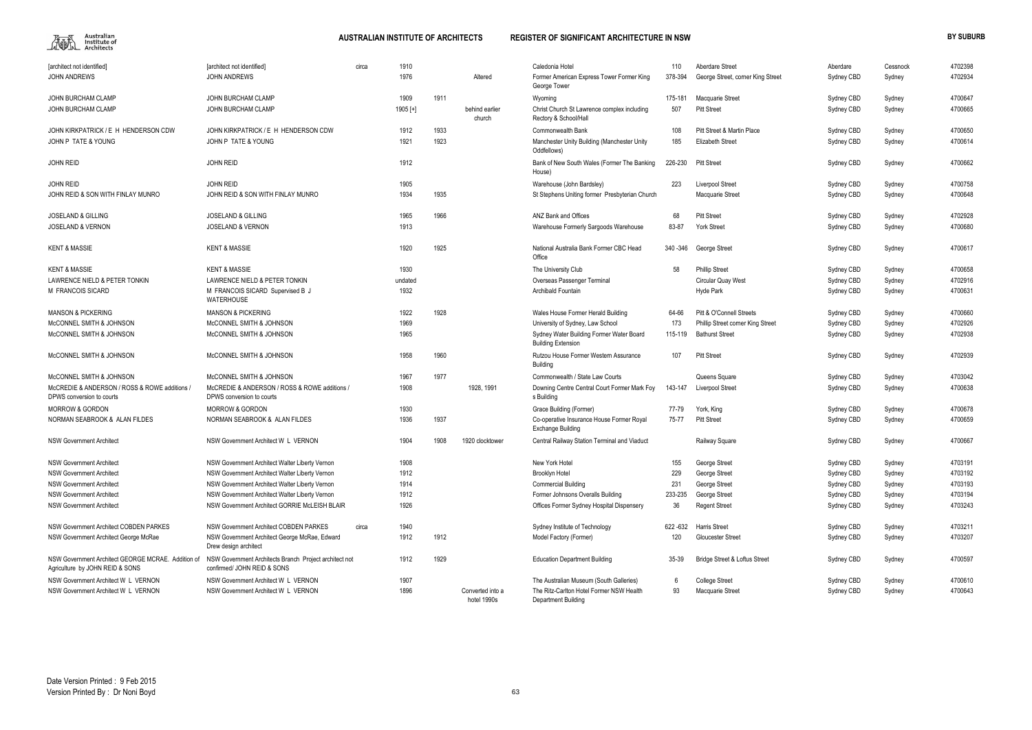

| <b>Tarchitect not identified1</b>                                                     | [architect not identified]                                                            | circa | 1910       |      |                                 | Caledonia Hotel                                                       | 110       | Aberdare Street                          | Aberdare   | Cessnock | 4702398 |
|---------------------------------------------------------------------------------------|---------------------------------------------------------------------------------------|-------|------------|------|---------------------------------|-----------------------------------------------------------------------|-----------|------------------------------------------|------------|----------|---------|
| <b>JOHN ANDREWS</b>                                                                   | <b>JOHN ANDREWS</b>                                                                   |       | 1976       |      | Altered                         | Former American Express Tower Former King<br>George Tower             | 378-394   | George Street, corner King Street        | Sydney CBD | Sydney   | 4702934 |
| JOHN BURCHAM CLAMP                                                                    | JOHN BURCHAM CLAMP                                                                    |       | 1909       | 1911 |                                 | Wyoming                                                               | 175-181   | <b>Macquarie Street</b>                  | Sydney CBD | Sydney   | 4700647 |
| <b>JOHN BURCHAM CLAMP</b>                                                             | JOHN BURCHAM CLAMP                                                                    |       | $1905$ [+] |      | behind earlier<br>church        | Christ Church St Lawrence complex including<br>Rectory & School/Hall  | 507       | <b>Pitt Street</b>                       | Sydney CBD | Sydney   | 4700665 |
| JOHN KIRKPATRICK / E H HENDERSON CDW                                                  | JOHN KIRKPATRICK / E H HENDERSON CDW                                                  |       | 1912       | 1933 |                                 | Commonwealth Bank                                                     | 108       | Pitt Street & Martin Place               | Sydney CBD | Sydney   | 4700650 |
| JOHN P TATE & YOUNG                                                                   | JOHN P TATE & YOUNG                                                                   |       | 1921       | 1923 |                                 | Manchester Unity Building (Manchester Unity<br>Oddfellows)            | 185       | <b>Elizabeth Street</b>                  | Sydney CBD | Sydney   | 4700614 |
| <b>JOHN REID</b>                                                                      | <b>JOHN REID</b>                                                                      |       | 1912       |      |                                 | Bank of New South Wales (Former The Banking<br>House)                 | 226-230   | <b>Pitt Street</b>                       | Sydney CBD | Sydney   | 4700662 |
| <b>JOHN REID</b>                                                                      | <b>JOHN REID</b>                                                                      |       | 1905       |      |                                 | Warehouse (John Bardsley)                                             | 223       | Liverpool Street                         | Sydney CBD | Sydney   | 4700758 |
| JOHN REID & SON WITH FINLAY MUNRO                                                     | JOHN REID & SON WITH FINLAY MUNRO                                                     |       | 1934       | 1935 |                                 | St Stephens Uniting former Presbyterian Church                        |           | Macquarie Street                         | Sydney CBD | Sydney   | 4700648 |
| <b>JOSELAND &amp; GILLING</b>                                                         | <b>JOSELAND &amp; GILLING</b>                                                         |       | 1965       | 1966 |                                 | ANZ Bank and Offices                                                  | 68        | <b>Pitt Street</b>                       | Sydney CBD | Sydney   | 4702928 |
| <b>JOSELAND &amp; VERNON</b>                                                          | <b>JOSELAND &amp; VERNON</b>                                                          |       | 1913       |      |                                 | Warehouse Formerly Sargoods Warehouse                                 | 83-87     | <b>York Street</b>                       | Sydney CBD | Sydney   | 4700680 |
| <b>KENT &amp; MASSIE</b>                                                              | <b>KENT &amp; MASSIE</b>                                                              |       | 1920       | 1925 |                                 | National Australia Bank Former CBC Head<br>Office                     | 340 - 346 | George Street                            | Sydney CBD | Sydney   | 4700617 |
| <b>KENT &amp; MASSIE</b>                                                              | <b>KENT &amp; MASSIE</b>                                                              |       | 1930       |      |                                 | The University Club                                                   | 58        | <b>Phillip Street</b>                    | Sydney CBD | Sydney   | 4700658 |
| LAWRENCE NIELD & PETER TONKIN                                                         | LAWRENCE NIELD & PETER TONKIN                                                         |       | undated    |      |                                 | Overseas Passenger Terminal                                           |           | <b>Circular Quay West</b>                | Sydney CBD | Sydney   | 4702916 |
| M FRANCOIS SICARD                                                                     | M FRANCOIS SICARD Supervised B J<br>WATERHOUSE                                        |       | 1932       |      |                                 | Archibald Fountain                                                    |           | Hyde Park                                | Sydney CBD | Sydney   | 4700631 |
| <b>MANSON &amp; PICKERING</b>                                                         | <b>MANSON &amp; PICKERING</b>                                                         |       | 1922       | 1928 |                                 | Wales House Former Herald Building                                    | 64-66     | Pitt & O'Connell Streets                 | Sydney CBD | Sydney   | 4700660 |
| McCONNEL SMITH & JOHNSON                                                              | McCONNEL SMITH & JOHNSON                                                              |       | 1969       |      |                                 | University of Sydney, Law School                                      | 173       | Phillip Street corner King Street        | Sydney CBD | Sydney   | 4702926 |
| McCONNEL SMITH & JOHNSON                                                              | McCONNEL SMITH & JOHNSON                                                              |       | 1965       |      |                                 | Sydney Water Building Former Water Board<br><b>Building Extension</b> | 115-119   | <b>Bathurst Street</b>                   | Sydney CBD | Sydney   | 4702938 |
| McCONNEL SMITH & JOHNSON                                                              | McCONNEL SMITH & JOHNSON                                                              |       | 1958       | 1960 |                                 | Rutzou House Former Western Assurance<br>Building                     | 107       | <b>Pitt Street</b>                       | Sydney CBD | Sydney   | 4702939 |
| McCONNEL SMITH & JOHNSON                                                              | McCONNEL SMITH & JOHNSON                                                              |       | 1967       | 1977 |                                 | Commonwealth / State Law Courts                                       |           | Queens Square                            | Sydney CBD | Sydney   | 4703042 |
| McCREDIE & ANDERSON / ROSS & ROWE additions<br>DPWS conversion to courts              | McCREDIE & ANDERSON / ROSS & ROWE additions /<br>DPWS conversion to courts            |       | 1908       |      | 1928, 1991                      | Downing Centre Central Court Former Mark Foy<br>s Building            | 143-147   | <b>Liverpool Street</b>                  | Sydney CBD | Sydney   | 4700638 |
| <b>MORROW &amp; GORDON</b>                                                            | <b>MORROW &amp; GORDON</b>                                                            |       | 1930       |      |                                 | Grace Building (Former)                                               | 77-79     | York, King                               | Sydney CBD | Sydney   | 4700678 |
| NORMAN SEABROOK & ALAN FILDES                                                         | NORMAN SEABROOK & ALAN FILDES                                                         |       | 1936       | 1937 |                                 | Co-operative Insurance House Former Royal<br><b>Exchange Building</b> | 75-77     | <b>Pitt Street</b>                       | Sydney CBD | Sydney   | 4700659 |
| <b>NSW Government Architect</b>                                                       | NSW Government Architect W L VERNON                                                   |       | 1904       | 1908 | 1920 clocktower                 | Central Railway Station Terminal and Viaduct                          |           | Railway Square                           | Sydney CBD | Sydney   | 4700667 |
| <b>NSW Government Architect</b>                                                       | NSW Government Architect Walter Liberty Vernon                                        |       | 1908       |      |                                 | New York Hotel                                                        | 155       | George Street                            | Sydney CBD | Sydney   | 4703191 |
| <b>NSW Government Architect</b>                                                       | NSW Government Architect Walter Liberty Vernon                                        |       | 1912       |      |                                 | <b>Brooklyn Hotel</b>                                                 | 229       | George Street                            | Sydney CBD | Sydney   | 4703192 |
| <b>NSW Government Architect</b>                                                       | NSW Government Architect Walter Liberty Vernon                                        |       | 1914       |      |                                 | <b>Commercial Building</b>                                            | 231       | George Street                            | Sydney CBD | Sydney   | 4703193 |
| <b>NSW Government Architect</b>                                                       | NSW Government Architect Walter Liberty Vernon                                        |       | 1912       |      |                                 | Former Johnsons Overalls Building                                     | 233-235   | George Street                            | Sydney CBD | Sydney   | 4703194 |
| <b>NSW Government Architect</b>                                                       | NSW Government Architect GORRIE McLEISH BLAIR                                         |       | 1926       |      |                                 | Offices Former Sydney Hospital Dispensery                             | 36        | <b>Regent Street</b>                     | Sydney CBD | Sydney   | 4703243 |
| NSW Government Architect COBDEN PARKES                                                | <b>NSW Government Architect COBDEN PARKES</b>                                         | circa | 1940       |      |                                 | Sydney Institute of Technology                                        | 622-632   | <b>Harris Street</b>                     | Sydney CBD | Sydney   | 4703211 |
| NSW Government Architect George McRae                                                 | NSW Government Architect George McRae, Edward<br>Drew design architect                |       | 1912       | 1912 |                                 | Model Factory (Former)                                                | 120       | <b>Gloucester Street</b>                 | Sydney CBD | Sydney   | 4703207 |
| NSW Government Architect GEORGE MCRAE. Addition of<br>Agriculture by JOHN REID & SONS | NSW Government Architects Branch Project architect not<br>confirmed/ JOHN REID & SONS |       | 1912       | 1929 |                                 | <b>Education Department Building</b>                                  | 35-39     | <b>Bridge Street &amp; Loftus Street</b> | Sydney CBD | Sydney   | 4700597 |
| NSW Government Architect W L VERNON                                                   | NSW Government Architect W L VERNON                                                   |       | 1907       |      |                                 | The Australian Museum (South Galleries)                               | 6         | <b>College Street</b>                    | Sydney CBD | Sydney   | 4700610 |
| NSW Government Architect W L VERNON                                                   | NSW Government Architect W L VERNON                                                   |       | 1896       |      | Converted into a<br>hotel 1990s | The Ritz-Carlton Hotel Former NSW Health<br>Department Building       | 93        | Macquarie Street                         | Sydney CBD | Sydney   | 4700643 |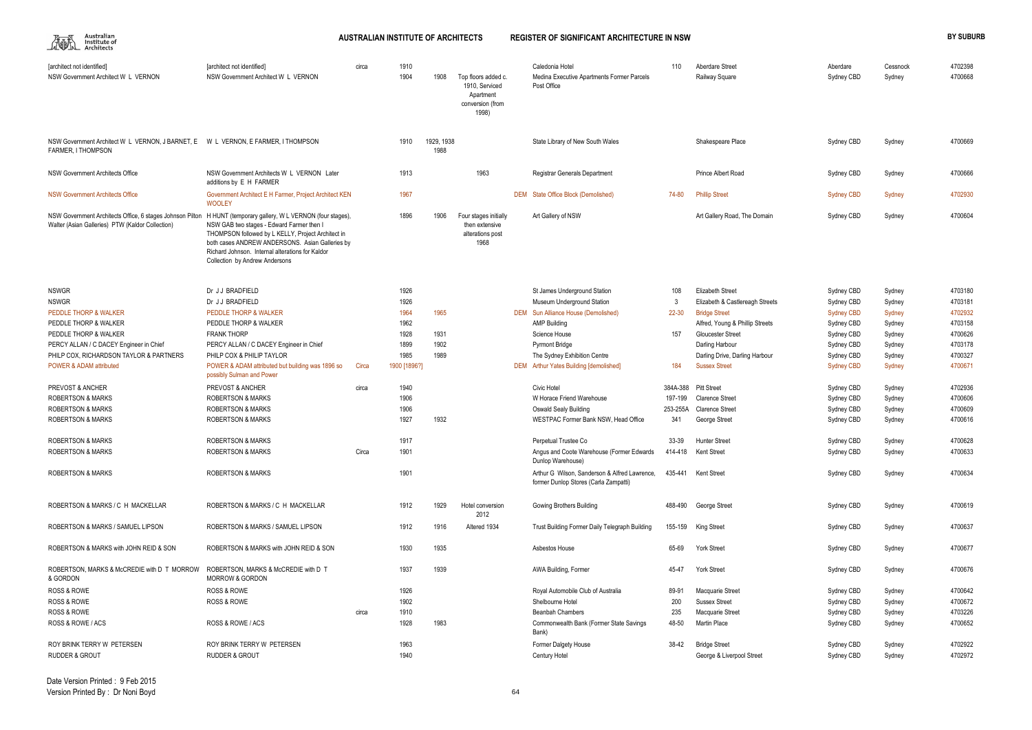| 雁 | Australian<br>Institute of<br>Architects |
|---|------------------------------------------|
|   |                                          |

| Aberdare Street | Aberdare   | Cessnock | 4702398 |
|-----------------|------------|----------|---------|
| Railway Square  | Sydney CBD | Sydney   | 4700668 |

| Sydney CBD        | Sydney | 4700669 |
|-------------------|--------|---------|
| Sydney CBD        | Sydney | 4700666 |
| <b>Sydney CBD</b> | Sydney | 4702930 |
| Sydney CBD        | Sydney | 4700604 |

| [architect not identified]<br>NSW Government Architect W L VERNON                                             | [architect not identified]<br>NSW Government Architect W L VERNON                                                                                                                                                                                                                                | circa | 1910<br>1904 | 1908               | Top floors added c.<br>1910, Serviced<br>Apartment<br>conversion (from<br>1998) | Caledonia Hotel<br>Medina Executive Apartments Former Parcels<br>Post Office           | 110       | Aberdare Street<br>Railway Square | Aberdare<br>Sydney CBD | Cessnock<br>Sydney | 4702398<br>4700668 |
|---------------------------------------------------------------------------------------------------------------|--------------------------------------------------------------------------------------------------------------------------------------------------------------------------------------------------------------------------------------------------------------------------------------------------|-------|--------------|--------------------|---------------------------------------------------------------------------------|----------------------------------------------------------------------------------------|-----------|-----------------------------------|------------------------|--------------------|--------------------|
| NSW Government Architect W L VERNON, J BARNET, E W L VERNON, E FARMER, I THOMPSON<br>FARMER. I THOMPSON       |                                                                                                                                                                                                                                                                                                  |       | 1910         | 1929, 1938<br>1988 |                                                                                 | State Library of New South Wales                                                       |           | Shakespeare Place                 | Sydney CBD             | Sydney             | 4700669            |
| NSW Government Architects Office                                                                              | NSW Government Architects W L VERNON Later<br>additions by E H FARMER                                                                                                                                                                                                                            |       | 1913         |                    | 1963                                                                            | <b>Registrar Generals Department</b>                                                   |           | Prince Albert Road                | Sydney CBD             | Sydney             | 4700666            |
| <b>NSW Government Architects Office</b>                                                                       | Government Architect E H Farmer, Project Architect KEN<br><b>WOOLEY</b>                                                                                                                                                                                                                          |       | 1967         |                    |                                                                                 | DEM State Office Block (Demolished)                                                    | 74-80     | <b>Phillip Street</b>             | <b>Sydney CBD</b>      | Sydney             | 4702930            |
| NSW Government Architects Office, 6 stages Johnson Pilton<br>Walter (Asian Galleries) PTW (Kaldor Collection) | H HUNT (temporary gallery, W L VERNON (four stages),<br>NSW GAB two stages - Edward Farmer then I<br>THOMPSON followed by L KELLY, Project Architect in<br>both cases ANDREW ANDERSONS. Asian Galleries by<br>Richard Johnson. Internal alterations for Kaldor<br>Collection by Andrew Andersons |       | 1896         | 1906               | Four stages initially<br>then extensive<br>alterations post<br>1968             | Art Gallery of NSW                                                                     |           | Art Gallery Road, The Domain      | Sydney CBD             | Sydney             | 4700604            |
| <b>NSWGR</b>                                                                                                  | Dr JJ BRADFIELD                                                                                                                                                                                                                                                                                  |       | 1926         |                    |                                                                                 | St James Underground Station                                                           | 108       | <b>Elizabeth Street</b>           | Sydney CBD             | Sydney             | 4703180            |
| <b>NSWGR</b>                                                                                                  | Dr JJ BRADFIELD                                                                                                                                                                                                                                                                                  |       | 1926         |                    |                                                                                 | Museum Underground Station                                                             | -3        | Elizabeth & Castlereagh Streets   | Sydney CBD             | Sydney             | 4703181            |
| PEDDLE THORP & WALKER                                                                                         | PEDDLE THORP & WALKER                                                                                                                                                                                                                                                                            |       | 1964         | 1965               |                                                                                 | DEM Sun Alliance House (Demolished)                                                    | $22 - 30$ | <b>Bridge Street</b>              | <b>Sydney CBD</b>      | Sydney             | 4702932            |
| PEDDLE THORP & WALKER                                                                                         | PEDDLE THORP & WALKER                                                                                                                                                                                                                                                                            |       | 1962         |                    |                                                                                 | <b>AMP Building</b>                                                                    |           | Alfred, Young & Phillip Streets   | Sydney CBD             | Sydney             | 4703158            |
| PEDDLE THORP & WALKER                                                                                         | <b>FRANK THORP</b>                                                                                                                                                                                                                                                                               |       | 1928         | 1931               |                                                                                 | Science House                                                                          | 157       | <b>Gloucester Street</b>          | Sydney CBD             | Sydney             | 4700626            |
| PERCY ALLAN / C DACEY Engineer in Chief                                                                       | PERCY ALLAN / C DACEY Engineer in Chief                                                                                                                                                                                                                                                          |       | 1899         | 1902               |                                                                                 | <b>Pyrmont Bridge</b>                                                                  |           | Darling Harbour                   | Sydney CBD             | Sydney             | 4703178            |
| PHILP COX, RICHARDSON TAYLOR & PARTNERS                                                                       | PHILP COX & PHILIP TAYLOR                                                                                                                                                                                                                                                                        |       | 1985         | 1989               |                                                                                 | The Sydney Exhibition Centre                                                           |           | Darling Drive, Darling Harbour    | Sydney CBD             | Sydney             | 4700327            |
| <b>POWER &amp; ADAM attributed</b>                                                                            | POWER & ADAM attributed but building was 1896 so<br>possibly Sulman and Power                                                                                                                                                                                                                    | Circa | 1900 [1896?] |                    |                                                                                 | <b>DEM</b> Arthur Yates Building [demolished]                                          | 184       | <b>Sussex Street</b>              | <b>Sydney CBD</b>      | Sydney             | 4700671            |
| PREVOST & ANCHER                                                                                              | <b>PREVOST &amp; ANCHER</b>                                                                                                                                                                                                                                                                      | circa | 1940         |                    |                                                                                 | Civic Hotel                                                                            | 384A-388  | <b>Pitt Street</b>                | Sydney CBD             | Sydney             | 4702936            |
| <b>ROBERTSON &amp; MARKS</b>                                                                                  | <b>ROBERTSON &amp; MARKS</b>                                                                                                                                                                                                                                                                     |       | 1906         |                    |                                                                                 | W Horace Friend Warehouse                                                              | 197-199   | <b>Clarence Street</b>            | Sydney CBD             | Sydney             | 4700606            |
| <b>ROBERTSON &amp; MARKS</b>                                                                                  | <b>ROBERTSON &amp; MARKS</b>                                                                                                                                                                                                                                                                     |       | 1906         |                    |                                                                                 | <b>Oswald Sealy Building</b>                                                           | 253-255A  | <b>Clarence Street</b>            | Sydney CBD             | Sydney             | 4700609            |
| <b>ROBERTSON &amp; MARKS</b>                                                                                  | <b>ROBERTSON &amp; MARKS</b>                                                                                                                                                                                                                                                                     |       | 1927         | 1932               |                                                                                 | WESTPAC Former Bank NSW, Head Office                                                   | 341       | George Street                     | Sydney CBD             | Sydney             | 4700616            |
|                                                                                                               |                                                                                                                                                                                                                                                                                                  |       |              |                    |                                                                                 |                                                                                        |           |                                   |                        |                    |                    |
| <b>ROBERTSON &amp; MARKS</b>                                                                                  | <b>ROBERTSON &amp; MARKS</b>                                                                                                                                                                                                                                                                     |       | 1917         |                    |                                                                                 | Perpetual Trustee Co                                                                   | 33-39     | <b>Hunter Street</b>              | Sydney CBD             | Sydney             | 4700628            |
| <b>ROBERTSON &amp; MARKS</b>                                                                                  | <b>ROBERTSON &amp; MARKS</b>                                                                                                                                                                                                                                                                     | Circa | 1901         |                    |                                                                                 | Angus and Coote Warehouse (Former Edwards<br>Dunlop Warehouse)                         |           | 414-418 Kent Street               | Sydney CBD             | Sydney             | 4700633            |
| <b>ROBERTSON &amp; MARKS</b>                                                                                  | <b>ROBERTSON &amp; MARKS</b>                                                                                                                                                                                                                                                                     |       | 1901         |                    |                                                                                 | Arthur G Wilson, Sanderson & Alfred Lawrence.<br>former Dunlop Stores (Carla Zampatti) | 435-441   | <b>Kent Street</b>                | Sydney CBD             | Sydney             | 4700634            |
| ROBERTSON & MARKS / C H MACKELLAR                                                                             | ROBERTSON & MARKS / C H MACKELLAR                                                                                                                                                                                                                                                                |       | 1912         | 1929               | Hotel conversion<br>2012                                                        | Gowing Brothers Building                                                               | 488-490   | George Street                     | Sydney CBD             | Sydney             | 4700619            |
| ROBERTSON & MARKS / SAMUEL LIPSON                                                                             | ROBERTSON & MARKS / SAMUEL LIPSON                                                                                                                                                                                                                                                                |       | 1912         | 1916               | Altered 1934                                                                    | Trust Building Former Daily Telegraph Building                                         |           | 155-159 King Street               | Sydney CBD             | Sydney             | 4700637            |
| ROBERTSON & MARKS with JOHN REID & SON                                                                        | ROBERTSON & MARKS with JOHN REID & SON                                                                                                                                                                                                                                                           |       | 1930         | 1935               |                                                                                 | Asbestos House                                                                         | 65-69     | York Street                       | Sydney CBD             | Sydney             | 4700677            |
| ROBERTSON, MARKS & McCREDIE with D T MORROW<br>& GORDON                                                       | ROBERTSON, MARKS & McCREDIE with D T<br><b>MORROW &amp; GORDON</b>                                                                                                                                                                                                                               |       | 1937         | 1939               |                                                                                 | AWA Building, Former                                                                   | 45-47     | <b>York Street</b>                | Sydney CBD             | Sydney             | 4700676            |
| <b>ROSS &amp; ROWE</b>                                                                                        | <b>ROSS &amp; ROWE</b>                                                                                                                                                                                                                                                                           |       | 1926         |                    |                                                                                 | Royal Automobile Club of Australia                                                     | 89-91     | <b>Macquarie Street</b>           | Sydney CBD             | Sydney             | 4700642            |
| <b>ROSS &amp; ROWE</b>                                                                                        | <b>ROSS &amp; ROWE</b>                                                                                                                                                                                                                                                                           |       | 1902         |                    |                                                                                 | Shelbourne Hotel                                                                       | 200       | <b>Sussex Street</b>              | Sydney CBD             | Sydney             | 4700672            |
| <b>ROSS &amp; ROWE</b>                                                                                        |                                                                                                                                                                                                                                                                                                  | circa | 1910         |                    |                                                                                 | <b>Beanbah Chambers</b>                                                                | 235       | Macquarie Street                  | Sydney CBD             | Sydney             | 4703226            |
| ROSS & ROWE / ACS                                                                                             | ROSS & ROWE / ACS                                                                                                                                                                                                                                                                                |       | 1928         | 1983               |                                                                                 | Commonwealth Bank (Former State Savings<br>Bank)                                       | 48-50     | Martin Place                      | Sydney CBD             | Sydney             | 4700652            |
| ROY BRINK TERRY W PETERSEN                                                                                    | ROY BRINK TERRY W PETERSEN                                                                                                                                                                                                                                                                       |       | 1963         |                    |                                                                                 | Former Dalgety House                                                                   | 38-42     | <b>Bridge Street</b>              | Sydney CBD             | Sydney             | 4702922            |
| <b>RUDDER &amp; GROUT</b>                                                                                     | <b>RUDDER &amp; GROUT</b>                                                                                                                                                                                                                                                                        |       | 1940         |                    |                                                                                 | Century Hotel                                                                          |           | George & Liverpool Street         | Sydney CBD             | Sydney             | 4702972            |

| 108      | Elizabeth Street                | Sydney CBD        | Sydney | 4703180 |
|----------|---------------------------------|-------------------|--------|---------|
| 3        | Elizabeth & Castlereagh Streets | Sydney CBD        | Sydney | 4703181 |
| 22-30    | <b>Bridge Street</b>            | <b>Sydney CBD</b> | Sydney | 4702932 |
|          | Alfred, Young & Phillip Streets | Sydney CBD        | Sydney | 4703158 |
| 157      | Gloucester Street               | Sydney CBD        | Sydney | 4700626 |
|          | Darling Harbour                 | Sydney CBD        | Sydney | 4703178 |
|          | Darling Drive, Darling Harbour  | Sydney CBD        | Sydney | 4700327 |
| 184      | <b>Sussex Street</b>            | <b>Sydney CBD</b> | Sydney | 4700671 |
| 84A-388  | <b>Pitt Street</b>              | Sydney CBD        | Sydney | 4702936 |
| 197-199  | <b>Clarence Street</b>          | Sydney CBD        | Sydney | 4700606 |
| 253-255A | <b>Clarence Street</b>          | Sydney CBD        | Sydney | 4700609 |
| 341      | George Street                   | Sydney CBD        | Sydney | 4700616 |
| 33-39    | <b>Hunter Street</b>            | Sydney CBD        | Sydney | 4700628 |
| 414-418  | Kent Street                     | Sydney CBD        | Sydney | 4700633 |
| 435-441  | <b>Kent Street</b>              | Sydney CBD        | Sydney | 4700634 |
| 488-490  | George Street                   | Sydney CBD        | Sydney | 4700619 |
| 155-159  | <b>King Street</b>              | Sydney CBD        | Sydney | 4700637 |
| 65-69    | York Street                     | Sydney CBD        | Sydney | 4700677 |
| 45-47    | York Street                     | Sydney CBD        | Sydney | 4700676 |
| 89-91    | Macquarie Street                | Sydney CBD        | Sydney | 4700642 |
| 200      | <b>Sussex Street</b>            | Sydney CBD        | Sydney | 4700672 |
| 235      | Macquarie Street                | Sydney CBD        | Sydney | 4703226 |
| 48-50    | Martin Place                    | Sydney CBD        | Sydney | 4700652 |
| 38-42    | <b>Bridge Street</b>            | Sydney CBD        | Sydney | 4702922 |
|          | George & Liverpool Street       | Sydney CBD        | Sydney | 4702972 |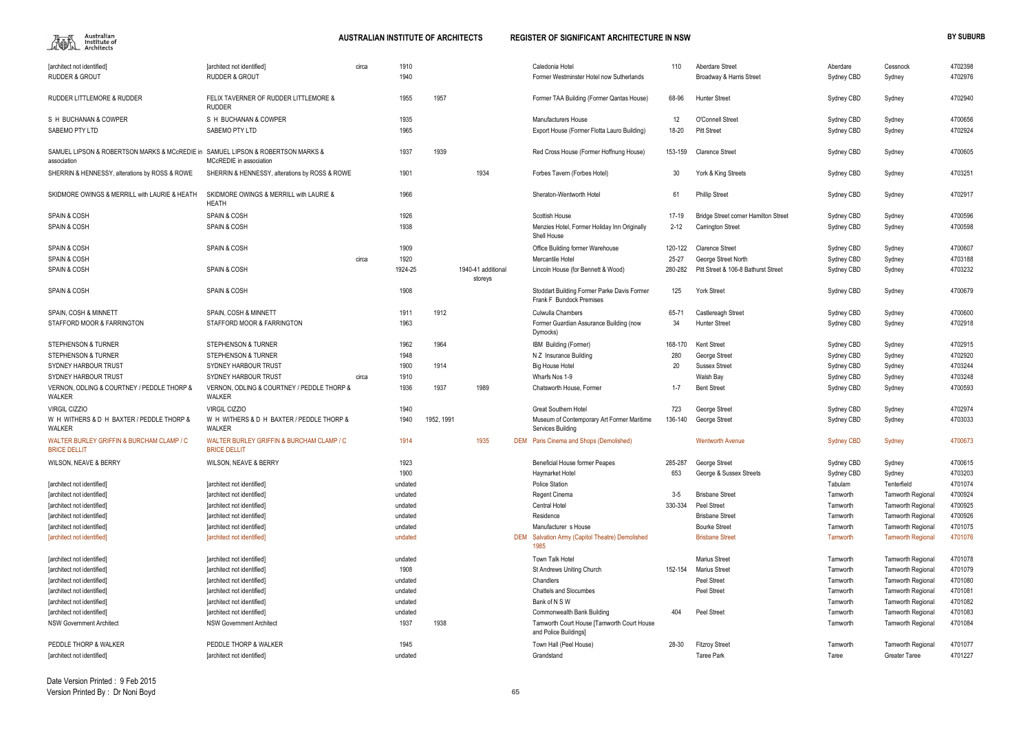

| [architect not identified]<br><b>RUDDER &amp; GROUT</b>                                        | [architect not identified]<br><b>RUDDER &amp; GROUT</b>           | 1910<br>circa<br>1940 |            |                               | Caledonia Hotel<br>Former Westminster Hotel now Sutherlands                    | 110       | Aberdare Street<br>Broadway & Harris Street | Aberdare<br>Sydney CBD | Cessnock<br>Sydney       | 4702398<br>4702976 |
|------------------------------------------------------------------------------------------------|-------------------------------------------------------------------|-----------------------|------------|-------------------------------|--------------------------------------------------------------------------------|-----------|---------------------------------------------|------------------------|--------------------------|--------------------|
| RUDDER LITTLEMORE & RUDDER                                                                     | <b>FELIX TAVERNER OF RUDDER LITTLEMORE &amp;</b><br><b>RUDDER</b> | 1955                  | 1957       |                               | Former TAA Building (Former Qantas House)                                      | 68-96     | <b>Hunter Street</b>                        | Sydney CBD             | Sydney                   | 4702940            |
| S H BUCHANAN & COWPER                                                                          | S H BUCHANAN & COWPER                                             | 1935                  |            |                               | <b>Manufacturers House</b>                                                     | 12        | <b>O'Connell Street</b>                     | Sydney CBD             | Sydney                   | 4700656            |
| SABEMO PTY LTD                                                                                 | SABEMO PTY LTD                                                    | 1965                  |            |                               | Export House (Former Flotta Lauro Building)                                    | 18-20     | <b>Pitt Street</b>                          | Sydney CBD             | Sydney                   | 4702924            |
| SAMUEL LIPSON & ROBERTSON MARKS & MCCREDIE in SAMUEL LIPSON & ROBERTSON MARKS &<br>association | MCcREDIE in association                                           | 1937                  | 1939       |                               | Red Cross House (Former Hoffnung House)                                        | 153-159   | <b>Clarence Street</b>                      | Sydney CBD             | Sydney                   | 4700605            |
| SHERRIN & HENNESSY, alterations by ROSS & ROWE                                                 | SHERRIN & HENNESSY, alterations by ROSS & ROWE                    | 1901                  |            | 1934                          | Forbes Tavern (Forbes Hotel)                                                   | 30        | York & King Streets                         | Sydney CBD             | Sydney                   | 4703251            |
| SKIDMORE OWINGS & MERRILL with LAURIE & HEATH                                                  | SKIDMORE OWINGS & MERRILL with LAURIE &<br><b>HEATH</b>           | 1966                  |            |                               | Sheraton-Wentworth Hotel                                                       | 61        | <b>Phillip Street</b>                       | Sydney CBD             | Sydney                   | 4702917            |
| <b>SPAIN &amp; COSH</b>                                                                        | <b>SPAIN &amp; COSH</b>                                           | 1926                  |            |                               | Scottish House                                                                 | 17-19     | Bridge Street corner Hamilton Street        | Sydney CBD             | Sydney                   | 4700596            |
| <b>SPAIN &amp; COSH</b>                                                                        | <b>SPAIN &amp; COSH</b>                                           | 1938                  |            |                               | Menzies Hotel, Former Holiday Inn Originally<br>Shell House                    | $2 - 12$  | <b>Carrington Street</b>                    | Sydney CBD             | Sydney                   | 4700598            |
| <b>SPAIN &amp; COSH</b>                                                                        | <b>SPAIN &amp; COSH</b>                                           | 1909                  |            |                               | Office Building former Warehouse                                               | 120-122   | <b>Clarence Street</b>                      | Sydney CBD             | Sydney                   | 4700607            |
| <b>SPAIN &amp; COSH</b>                                                                        |                                                                   | 1920<br>circa         |            |                               | Mercantile Hotel                                                               | $25 - 27$ | George Street North                         | Sydney CBD             | Sydney                   | 4703188            |
| <b>SPAIN &amp; COSH</b>                                                                        | <b>SPAIN &amp; COSH</b>                                           | 1924-25               |            | 1940-41 additional<br>storeys | Lincoln House (for Bennett & Wood)                                             | 280-282   | Pitt Street & 106-8 Bathurst Street         | Sydney CBD             | Sydney                   | 4703232            |
| <b>SPAIN &amp; COSH</b>                                                                        | <b>SPAIN &amp; COSH</b>                                           | 1908                  |            |                               | Stoddart Building Former Parke Davis Former<br><b>Frank F Bundock Premises</b> | 125       | <b>York Street</b>                          | Sydney CBD             | Sydney                   | 4700679            |
| SPAIN, COSH & MINNETT                                                                          | SPAIN, COSH & MINNETT                                             | 1911                  | 1912       |                               | <b>Culwulla Chambers</b>                                                       | 65-71     | Castlereagh Street                          | Sydney CBD             | Sydney                   | 4700600            |
| STAFFORD MOOR & FARRINGTON                                                                     | STAFFORD MOOR & FARRINGTON                                        | 1963                  |            |                               | Former Guardian Assurance Building (now<br>Dymocks)                            | 34        | <b>Hunter Street</b>                        | Sydney CBD             | Sydney                   | 4702918            |
| <b>STEPHENSON &amp; TURNER</b>                                                                 | <b>STEPHENSON &amp; TURNER</b>                                    | 1962                  | 1964       |                               | IBM Building (Former)                                                          | 168-170   | <b>Kent Street</b>                          | Sydney CBD             | Sydney                   | 4702915            |
| <b>STEPHENSON &amp; TURNER</b>                                                                 | <b>STEPHENSON &amp; TURNER</b>                                    | 1948                  |            |                               | N Z Insurance Building                                                         | 280       | George Street                               | Sydney CBD             | Sydney                   | 4702920            |
| <b>SYDNEY HARBOUR TRUST</b>                                                                    | SYDNEY HARBOUR TRUST                                              | 1900                  | 1914       |                               | <b>Big House Hotel</b>                                                         | 20        | <b>Sussex Street</b>                        | Sydney CBD             | Sydney                   | 4703244            |
| SYDNEY HARBOUR TRUST                                                                           | SYDNEY HARBOUR TRUST                                              | 1910<br>circa         |            |                               | Wharfs Nos 1-9                                                                 |           | Walsh Bay                                   | Sydney CBD             | Sydney                   | 4703248            |
| VERNON, ODLING & COURTNEY / PEDDLE THORP &<br><b>WALKER</b>                                    | VERNON, ODLING & COURTNEY / PEDDLE THORP &<br><b>WALKER</b>       | 1936                  | 1937       | 1989                          | Chatsworth House, Former                                                       | $1 - 7$   | <b>Bent Street</b>                          | Sydney CBD             | Sydney                   | 4700593            |
| <b>VIRGIL CIZZIO</b>                                                                           | <b>VIRGIL CIZZIO</b>                                              | 1940                  |            |                               | <b>Great Southern Hotel</b>                                                    | 723       | George Street                               | Sydney CBD             | Sydney                   | 4702974            |
| W H WITHERS & D H BAXTER / PEDDLE THORP &<br>WALKER                                            | W H WITHERS & D H BAXTER / PEDDLE THORP &<br>WALKER               | 1940                  | 1952, 1991 |                               | Museum of Contemporary Art Former Maritime<br>Services Building                | 136-140   | George Street                               | Sydney CBD             | Sydney                   | 4703033            |
| WALTER BURLEY GRIFFIN & BURCHAM CLAMP / C<br><b>BRICE DELLIT</b>                               | WALTER BURLEY GRIFFIN & BURCHAM CLAMP / C<br><b>BRICE DELLIT</b>  | 1914                  |            | 1935                          | DEM Paris Cinema and Shops (Demolished)                                        |           | <b>Wentworth Avenue</b>                     | <b>Sydney CBD</b>      | Sydney                   | 4700673            |
| <b>WILSON, NEAVE &amp; BERRY</b>                                                               | <b>WILSON, NEAVE &amp; BERRY</b>                                  | 1923                  |            |                               | <b>Beneficial House former Peapes</b>                                          | 285-287   | George Street                               | Sydney CBD             | Sydney                   | 4700615            |
|                                                                                                |                                                                   | 1900                  |            |                               | Haymarket Hotel                                                                | 653       | George & Sussex Streets                     | Sydney CBD             | Sydney                   | 4703203            |
| [architect not identified]                                                                     | [architect not identified]                                        | undated               |            |                               | <b>Police Station</b>                                                          |           |                                             | Tabulam                | Tenterfield              | 4701074            |
| [architect not identified]                                                                     | [architect not identified]                                        | undated               |            |                               | Regent Cinema                                                                  | 3-5       | <b>Brisbane Street</b>                      | Tamworth               | <b>Tamworth Regional</b> | 4700924            |
| [architect not identified]                                                                     | [architect not identified]                                        | undated               |            |                               | <b>Central Hotel</b>                                                           | 330-334   | Peel Street                                 | Tamworth               | <b>Tamworth Regional</b> | 4700925            |
| [architect not identified]                                                                     | [architect not identified]                                        | undated               |            |                               | Residence                                                                      |           | <b>Brisbane Street</b>                      | Tamworth               | <b>Tamworth Regional</b> | 4700926            |
| [architect not identified]                                                                     | [architect not identified]                                        | undated               |            |                               | Manufacturer s House                                                           |           | <b>Bourke Street</b>                        | Tamworth               | Tamworth Regional        | 4701075            |
| [architect not identified]                                                                     | [architect not identified]                                        | undated               |            |                               | DEM Salvation Army (Capitol Theatre) Demolished<br>1985                        |           | <b>Brisbane Street</b>                      | Tamworth               | <b>Tamworth Regional</b> | 4701076            |
| [architect not identified]                                                                     | [architect not identified]                                        | undated               |            |                               | Town Talk Hotel                                                                |           | <b>Marius Street</b>                        | Tamworth               | <b>Tamworth Regional</b> | 4701078            |
| [architect not identified]                                                                     | [architect not identified]                                        | 1908                  |            |                               | St Andrews Uniting Church                                                      | 152-154   | <b>Marius Street</b>                        | Tamworth               | <b>Tamworth Regional</b> | 4701079            |
| [architect not identified]                                                                     | [architect not identified]                                        | undated               |            |                               | Chandlers                                                                      |           | Peel Street                                 | Tamworth               | <b>Tamworth Regional</b> | 4701080            |
| [architect not identified]                                                                     | [architect not identified]                                        | undated               |            |                               | <b>Chattels and Slocumbes</b>                                                  |           | Peel Street                                 | Tamworth               | <b>Tamworth Regional</b> | 4701081            |
| [architect not identified]                                                                     | [architect not identified]                                        | undated               |            |                               | Bank of N S W                                                                  |           |                                             | Tamworth               | <b>Tamworth Regional</b> | 4701082            |
| [architect not identified]                                                                     | [architect not identified]                                        | undated               |            |                               | Commonwealth Bank Building                                                     | 404       | Peel Street                                 | Tamworth               | <b>Tamworth Regional</b> | 4701083            |
| <b>NSW Government Architect</b>                                                                | <b>NSW Government Architect</b>                                   | 1937                  | 1938       |                               | Tamworth Court House [Tamworth Court House<br>and Police Buildings]            |           |                                             | Tamworth               | <b>Tamworth Regional</b> | 4701084            |
| PEDDLE THORP & WALKER                                                                          | PEDDLE THORP & WALKER                                             | 1945                  |            |                               | Town Hall (Peel House)                                                         | 28-30     | <b>Fitzroy Street</b>                       | Tamworth               | Tamworth Regional        | 4701077            |
| [architect not identified]                                                                     | [architect not identified]                                        | undated               |            |                               | Grandstand                                                                     |           | Taree Park                                  | Taree                  | <b>Greater Taree</b>     | 4701227            |

| 110       | <b>Aberdare Street</b><br>Broadway & Harris Street | Aberdare<br>Sydney CBD | Cessnock<br>Sydney       | 4702398<br>4702976 |
|-----------|----------------------------------------------------|------------------------|--------------------------|--------------------|
| 68-96     | <b>Hunter Street</b>                               | Sydney CBD             | Sydney                   | 4702940            |
| 12        | O'Connell Street                                   | Sydney CBD             | Sydney                   | 4700656            |
| 18-20     | <b>Pitt Street</b>                                 | Sydney CBD             | Sydney                   | 4702924            |
|           |                                                    |                        |                          |                    |
| 153-159   | <b>Clarence Street</b>                             | Sydney CBD             | Sydney                   | 4700605            |
| 30        | York & King Streets                                | Sydney CBD             | Sydney                   | 4703251            |
| 61        | <b>Phillip Street</b>                              | Sydney CBD             | Sydney                   | 4702917            |
| 17-19     | Bridge Street corner Hamilton Street               | Sydney CBD             | Sydney                   | 4700596            |
| $2 - 12$  | Carrington Street                                  | Sydney CBD             | Sydney                   | 4700598            |
| 120-122   | <b>Clarence Street</b>                             | Sydney CBD             | Sydney                   | 4700607            |
| $25 - 27$ | George Street North                                | Sydney CBD             | Sydney                   | 4703188            |
| 280-282   | Pitt Street & 106-8 Bathurst Street                | Sydney CBD             | Sydney                   | 4703232            |
| 125       | York Street                                        | Sydney CBD             | Sydney                   | 4700679            |
| 65-71     | Castlereagh Street                                 | Sydney CBD             | Sydney                   | 4700600            |
| 34        | <b>Hunter Street</b>                               | Sydney CBD             | Sydney                   | 4702918            |
|           |                                                    |                        |                          |                    |
| 168-170   | Kent Street                                        | Sydney CBD             | Sydney                   | 4702915            |
| 280       | George Street                                      | Sydney CBD             | Sydney                   | 4702920            |
| 20        | <b>Sussex Street</b>                               | Sydney CBD             | Sydney                   | 4703244            |
|           | Walsh Bay                                          | Sydney CBD             | Sydney                   | 4703248            |
| $1 - 7$   | <b>Bent Street</b>                                 | Sydney CBD             | Sydney                   | 4700593            |
| 723       | George Street                                      | Sydney CBD             | Sydney                   | 4702974            |
| 136-140   | George Street                                      | Sydney CBD             | Sydney                   | 4703033            |
|           | <b>Wentworth Avenue</b>                            | <b>Sydney CBD</b>      | Sydney                   | 4700673            |
| 285-287   | George Street                                      | Sydney CBD             | Sydney                   | 4700615            |
| 653       | George & Sussex Streets                            | Sydney CBD             | Sydney                   | 4703203            |
|           |                                                    | Tabulam                | Tenterfield              | 4701074            |
| $3-5$     | <b>Brisbane Street</b>                             | Tamworth               | <b>Tamworth Regional</b> | 4700924            |
| 330-334   | Peel Street                                        | Tamworth               | Tamworth Regional        | 4700925            |
|           | <b>Brisbane Street</b>                             | Tamworth               | Tamworth Regional        | 4700926            |
|           | <b>Bourke Street</b>                               | Tamworth               | Tamworth Regional        | 4701075            |
|           | <b>Brisbane Street</b>                             | <b>Tamworth</b>        | <b>Tamworth Regional</b> | 4701076            |
|           | Marius Street                                      | Tamworth               | <b>Tamworth Regional</b> | 4701078            |
| 152-154   | <b>Marius Street</b>                               | Tamworth               | Tamworth Regional        | 4701079            |
|           | Peel Street                                        | Tamworth               | <b>Tamworth Regional</b> | 4701080            |
|           | Peel Street                                        | Tamworth               | Tamworth Regional        | 4701081            |
|           |                                                    | Tamworth               | Tamworth Regional        | 4701082            |
| 404       | Peel Street                                        | Tamworth               | Tamworth Regional        | 4701083            |
|           |                                                    | Tamworth               | Tamworth Regional        | 4701084            |
| 28-30     | <b>Fitzroy Street</b>                              | Tamworth               | Tamworth Regional        | 4701077            |
|           | <b>Taree Park</b>                                  | Taree                  | <b>Greater Taree</b>     | 4701227            |
|           |                                                    |                        |                          |                    |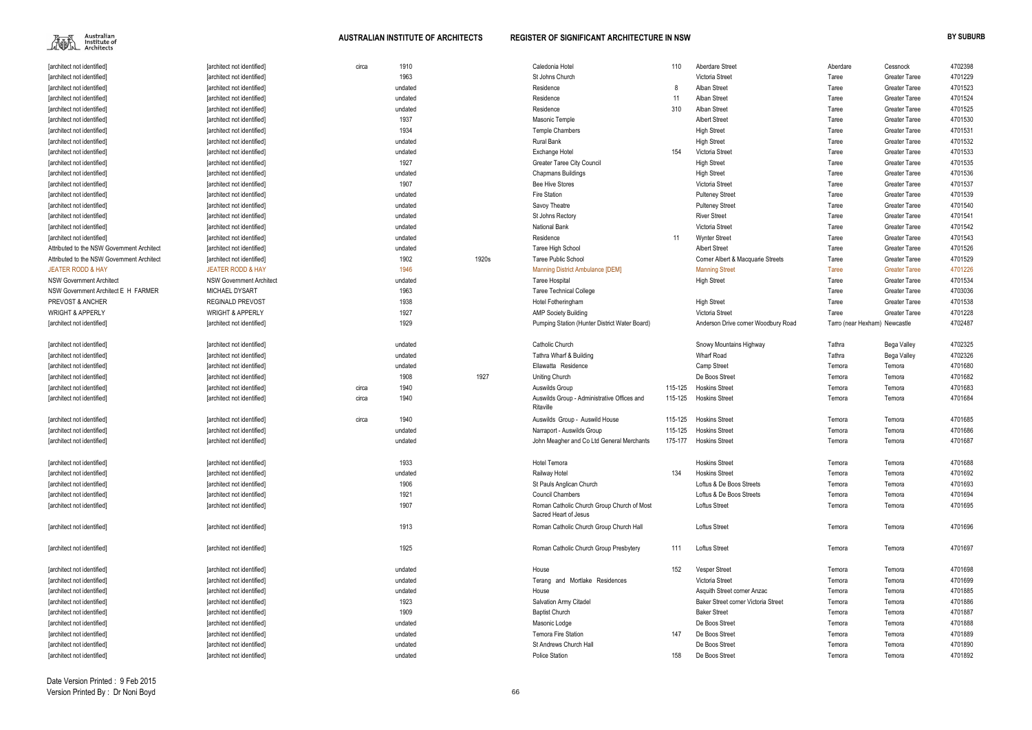

| [architect not identified]                 | [architect not identified]      | circa | 1910    |       | Caledonia Hotel                                                     | 110     | <b>Aberdare Street</b>              | Aberdare | Cessnock                      | 4702398 |
|--------------------------------------------|---------------------------------|-------|---------|-------|---------------------------------------------------------------------|---------|-------------------------------------|----------|-------------------------------|---------|
| [architect not identified]                 | [architect not identified]      |       | 1963    |       | St Johns Church                                                     |         | Victoria Street                     | Taree    | <b>Greater Taree</b>          | 4701229 |
| [architect not identified]                 | [architect not identified]      |       | undated |       | Residence                                                           | 8       | Alban Street                        | Taree    | <b>Greater Taree</b>          | 4701523 |
| [architect not identified]                 | [architect not identified]      |       | undated |       | Residence                                                           | 11      | Alban Street                        | Taree    | <b>Greater Taree</b>          | 4701524 |
| [architect not identified]                 | [architect not identified]      |       | undated |       | Residence                                                           | 310     | Alban Street                        | Taree    | <b>Greater Taree</b>          | 4701525 |
| [architect not identified]                 | [architect not identified]      |       | 1937    |       | Masonic Temple                                                      |         | <b>Albert Street</b>                | Taree    | <b>Greater Taree</b>          | 4701530 |
| [architect not identified]                 | [architect not identified]      |       | 1934    |       | <b>Temple Chambers</b>                                              |         | <b>High Street</b>                  | Taree    | <b>Greater Taree</b>          | 4701531 |
| [architect not identified]                 | [architect not identified]      |       | undated |       | Rural Bank                                                          |         | <b>High Street</b>                  | Taree    | <b>Greater Taree</b>          | 4701532 |
| [architect not identified]                 | [architect not identified]      |       | undated |       | Exchange Hotel                                                      | 154     | Victoria Street                     | Taree    | <b>Greater Taree</b>          | 4701533 |
| [architect not identified]                 | [architect not identified]      |       | 1927    |       | <b>Greater Taree City Council</b>                                   |         | <b>High Street</b>                  | Taree    | <b>Greater Taree</b>          | 4701535 |
| [architect not identified]                 | [architect not identified]      |       | undated |       | <b>Chapmans Buildings</b>                                           |         | <b>High Street</b>                  | Taree    | <b>Greater Taree</b>          | 4701536 |
| [architect not identified]                 | [architect not identified]      |       | 1907    |       | <b>Bee Hive Stores</b>                                              |         | Victoria Street                     | Taree    | <b>Greater Taree</b>          | 4701537 |
| [architect not identified]                 | [architect not identified]      |       | undated |       | <b>Fire Station</b>                                                 |         | <b>Pulteney Street</b>              | Taree    | <b>Greater Taree</b>          | 4701539 |
| [architect not identified]                 | [architect not identified]      |       | undated |       | Savoy Theatre                                                       |         | <b>Pulteney Street</b>              | Taree    | <b>Greater Taree</b>          | 4701540 |
| [architect not identified]                 | [architect not identified]      |       | undated |       | St Johns Rectory                                                    |         | <b>River Street</b>                 | Taree    | <b>Greater Taree</b>          | 4701541 |
| [architect not identified]                 | [architect not identified]      |       | undated |       | <b>National Bank</b>                                                |         | Victoria Street                     | Taree    | <b>Greater Taree</b>          | 4701542 |
| [architect not identified]                 | [architect not identified]      |       | undated |       | Residence                                                           | 11      | <b>Wynter Street</b>                | Taree    | <b>Greater Taree</b>          | 4701543 |
| Attributed to the NSW Government Architect | [architect not identified]      |       | undated |       | Taree High School                                                   |         | <b>Albert Street</b>                | Taree    | <b>Greater Taree</b>          | 4701526 |
| Attributed to the NSW Government Architect | [architect not identified]      |       | 1902    | 1920s | <b>Taree Public School</b>                                          |         | Corner Albert & Macquarie Streets   | Taree    | <b>Greater Taree</b>          | 4701529 |
| <b>JEATER RODD &amp; HAY</b>               | <b>JEATER RODD &amp; HAY</b>    |       | 1946    |       | <b>Manning District Ambulance [DEM]</b>                             |         | <b>Manning Street</b>               | Taree    | <b>Greater Taree</b>          | 4701226 |
| <b>NSW Government Architect</b>            | <b>NSW Government Architect</b> |       | undated |       | Taree Hospital                                                      |         | <b>High Street</b>                  | Taree    | <b>Greater Taree</b>          | 4701534 |
| NSW Government Architect E H FARMER        | MICHAEL DYSART                  |       | 1963    |       | <b>Taree Technical College</b>                                      |         |                                     | Taree    | <b>Greater Taree</b>          | 4703036 |
| PREVOST & ANCHER                           | <b>REGINALD PREVOST</b>         |       | 1938    |       | Hotel Fotheringham                                                  |         | <b>High Street</b>                  | Taree    | <b>Greater Taree</b>          | 4701538 |
| <b>WRIGHT &amp; APPERLY</b>                | <b>WRIGHT &amp; APPERLY</b>     |       | 1927    |       | <b>AMP Society Building</b>                                         |         | Victoria Street                     | Taree    | <b>Greater Taree</b>          | 4701228 |
| [architect not identified]                 | [architect not identified]      |       | 1929    |       | Pumping Station (Hunter District Water Board)                       |         | Anderson Drive corner Woodbury Road |          | Tarro (near Hexham) Newcastle | 4702487 |
| [architect not identified]                 | [architect not identified]      |       | undated |       | Catholic Church                                                     |         | Snowy Mountains Highway             | Tathra   | Bega Valley                   | 4702325 |
| [architect not identified]                 | [architect not identified]      |       | undated |       | Tathra Wharf & Building                                             |         | <b>Wharf Road</b>                   | Tathra   | Bega Valley                   | 4702326 |
| [architect not identified]                 | [architect not identified]      |       | undated |       | Ellawatta Residence                                                 |         | Camp Street                         | Temora   | Temora                        | 4701680 |
| [architect not identified]                 | [architect not identified]      |       | 1908    | 1927  | <b>Uniting Church</b>                                               |         | De Boos Street                      | Temora   | Temora                        | 4701682 |
| [architect not identified]                 | [architect not identified]      | circa | 1940    |       | Auswilds Group                                                      | 115-125 | <b>Hoskins Street</b>               | Temora   | Temora                        | 4701683 |
| [architect not identified]                 | [architect not identified]      | circa | 1940    |       | Auswilds Group - Administrative Offices and                         | 115-125 | <b>Hoskins Street</b>               | Temora   | Temora                        | 4701684 |
|                                            |                                 |       |         |       | Ritaville                                                           |         |                                     |          |                               |         |
| [architect not identified]                 | [architect not identified]      | circa | 1940    |       | Auswilds Group - Auswild House                                      | 115-125 | <b>Hoskins Street</b>               | Temora   | Temora                        | 4701685 |
| [architect not identified]                 | [architect not identified]      |       | undated |       | Narraport - Auswilds Group                                          | 115-125 | <b>Hoskins Street</b>               | Temora   | Temora                        | 4701686 |
| [architect not identified]                 | [architect not identified]      |       | undated |       | John Meagher and Co Ltd General Merchants                           | 175-177 | <b>Hoskins Street</b>               | Temora   | Temora                        | 4701687 |
| [architect not identified]                 | [architect not identified]      |       | 1933    |       | <b>Hotel Temora</b>                                                 |         | <b>Hoskins Street</b>               | Temora   | Temora                        | 4701688 |
| [architect not identified]                 | [architect not identified]      |       | undated |       | Railway Hotel                                                       | 134     | <b>Hoskins Street</b>               | Temora   | Temora                        | 4701692 |
| [architect not identified]                 | [architect not identified]      |       | 1906    |       | St Pauls Anglican Church                                            |         | Loftus & De Boos Streets            | Temora   | Temora                        | 4701693 |
| [architect not identified]                 | [architect not identified]      |       | 1921    |       | <b>Council Chambers</b>                                             |         | Loftus & De Boos Streets            | Temora   | Temora                        | 4701694 |
| [architect not identified]                 | [architect not identified]      |       | 1907    |       | Roman Catholic Church Group Church of Most<br>Sacred Heart of Jesus |         | <b>Loftus Street</b>                | Temora   | Temora                        | 4701695 |
| [architect not identified]                 | [architect not identified]      |       | 1913    |       | Roman Catholic Church Group Church Hall                             |         | Loftus Street                       | Temora   | Temora                        | 4701696 |
| [architect not identified]                 | [architect not identified]      |       | 1925    |       | Roman Catholic Church Group Presbytery                              | 111     | <b>Loftus Street</b>                | Temora   | Temora                        | 4701697 |
| [architect not identified]                 | [architect not identified]      |       | undated |       | House                                                               | 152     | <b>Vesper Street</b>                | Temora   | Temora                        | 4701698 |
| [architect not identified]                 | [architect not identified]      |       | undated |       | Terang and Mortlake Residences                                      |         | Victoria Street                     | Temora   | Temora                        | 4701699 |
| [architect not identified]                 | [architect not identified]      |       | undated |       | House                                                               |         | Asquith Street corner Anzac         | Temora   | Temora                        | 4701885 |
| [architect not identified]                 | [architect not identified]      |       | 1923    |       | Salvation Army Citadel                                              |         | Baker Street corner Victoria Street | Temora   | Temora                        | 4701886 |
|                                            |                                 |       | 1909    |       |                                                                     |         | <b>Baker Street</b>                 |          |                               | 4701887 |
| [architect not identified]                 | [architect not identified]      |       |         |       | <b>Baptist Church</b>                                               |         | De Boos Street                      | Temora   | Temora                        | 4701888 |
| [architect not identified]                 | [architect not identified]      |       | undated |       | Masonic Lodge                                                       | 147     |                                     | Temora   | Temora                        |         |
| [architect not identified]                 | [architect not identified]      |       | undated |       | <b>Temora Fire Station</b>                                          |         | De Boos Street                      | Temora   | Temora                        | 4701889 |
| [architect not identified]                 | [architect not identified]      |       | undated |       | St Andrews Church Hall                                              |         | De Boos Street                      | Temora   | Temora                        | 4701890 |
| [architect not identified]                 | [architect not identified]      |       | undated |       | <b>Police Station</b>                                               | 158     | De Boos Street                      | Temora   | Temora                        | 4701892 |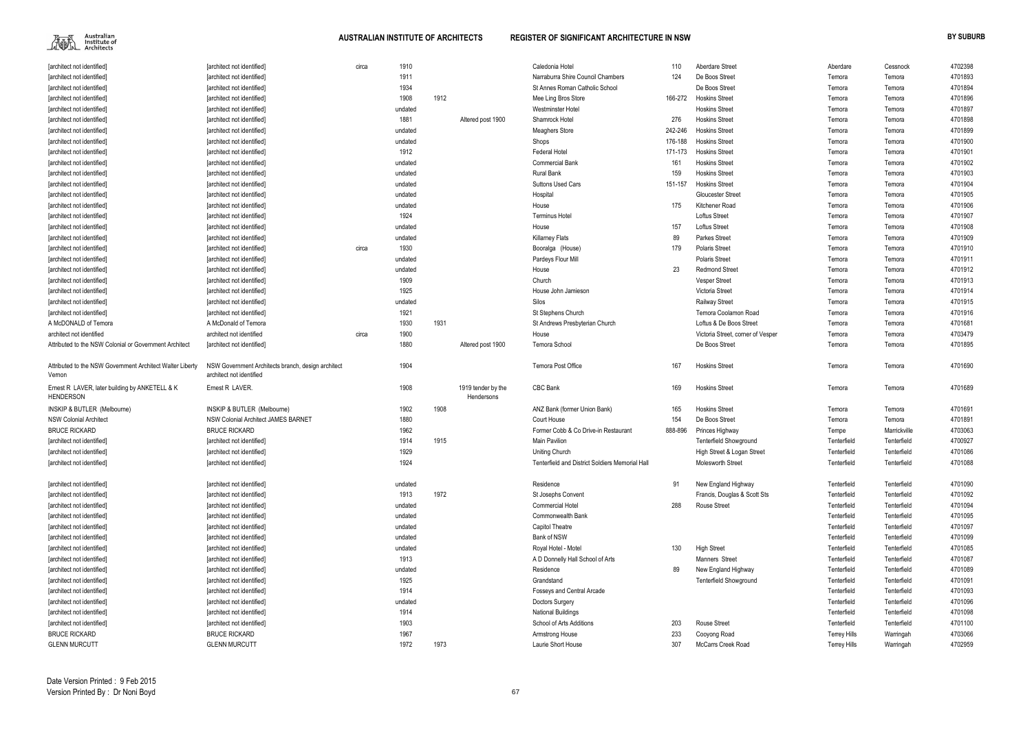

| [architect not identified]                                          | [architect not identified]                                                     | circa | 1910    |      |                                  | Caledonia Hotel                                 | 110     | Aberdare Street                   | Aberdare            | Cessnock     | 4702398 |
|---------------------------------------------------------------------|--------------------------------------------------------------------------------|-------|---------|------|----------------------------------|-------------------------------------------------|---------|-----------------------------------|---------------------|--------------|---------|
| [architect not identified]                                          | [architect not identified]                                                     |       | 1911    |      |                                  | Narraburra Shire Council Chambers               | 124     | De Boos Street                    | Temora              | Temora       | 4701893 |
| [architect not identified]                                          | [architect not identified]                                                     |       | 1934    |      |                                  | St Annes Roman Catholic School                  |         | De Boos Street                    | Temora              | Temora       | 4701894 |
| [architect not identified]                                          | [architect not identified]                                                     |       | 1908    | 1912 |                                  | Mee Ling Bros Store                             | 166-272 | <b>Hoskins Street</b>             | Temora              | Temora       | 4701896 |
| [architect not identified]                                          | [architect not identified]                                                     |       | undated |      |                                  | Westminster Hotel                               |         | <b>Hoskins Street</b>             | Temora              | Temora       | 4701897 |
| [architect not identified]                                          | [architect not identified]                                                     |       | 1881    |      | Altered post 1900                | Shamrock Hotel                                  | 276     | <b>Hoskins Street</b>             | Temora              | Temora       | 4701898 |
| [architect not identified]                                          | [architect not identified]                                                     |       | undated |      |                                  | <b>Meaghers Store</b>                           | 242-246 | <b>Hoskins Street</b>             | Temora              | Temora       | 4701899 |
| [architect not identified]                                          | [architect not identified]                                                     |       | undated |      |                                  | Shops                                           | 176-188 | <b>Hoskins Street</b>             | Temora              | Temora       | 4701900 |
| [architect not identified]                                          | [architect not identified]                                                     |       | 1912    |      |                                  | Federal Hotel                                   | 171-173 | <b>Hoskins Street</b>             | Temora              | Temora       | 4701901 |
| [architect not identified]                                          | [architect not identified]                                                     |       | undated |      |                                  | <b>Commercial Bank</b>                          | 161     | <b>Hoskins Street</b>             | Temora              | Temora       | 4701902 |
| architect not identified                                            | [architect not identified]                                                     |       | undated |      |                                  | <b>Rural Bank</b>                               | 159     | <b>Hoskins Street</b>             | Temora              | Temora       | 4701903 |
| [architect not identified]                                          | [architect not identified]                                                     |       | undated |      |                                  | <b>Suttons Used Cars</b>                        | 151-157 | <b>Hoskins Street</b>             | Temora              | Temora       | 4701904 |
| [architect not identified]                                          | [architect not identified]                                                     |       | undated |      |                                  | Hospital                                        |         | <b>Gloucester Street</b>          | Temora              | Temora       | 4701905 |
| [architect not identified]                                          | [architect not identified]                                                     |       | undated |      |                                  | House                                           | 175     | Kitchener Road                    | Temora              | Temora       | 4701906 |
| [architect not identified]                                          | [architect not identified]                                                     |       | 1924    |      |                                  | <b>Terminus Hotel</b>                           |         | Loftus Street                     | Temora              | Temora       | 4701907 |
| [architect not identified]                                          | [architect not identified]                                                     |       | undated |      |                                  | House                                           | 157     | Loftus Street                     | Temora              | Temora       | 4701908 |
| [architect not identified]                                          | [architect not identified]                                                     |       | undated |      |                                  | <b>Killarney Flats</b>                          | 89      | Parkes Street                     | Temora              | Temora       | 4701909 |
| [architect not identified]                                          | [architect not identified]                                                     | circa | 1930    |      |                                  | Booralga (House)                                | 179     | <b>Polaris Street</b>             | Temora              | Temora       | 4701910 |
| [architect not identified]                                          | [architect not identified]                                                     |       | undated |      |                                  | Pardeys Flour Mill                              |         | Polaris Street                    | Temora              | Temora       | 4701911 |
| [architect not identified]                                          | [architect not identified]                                                     |       | undated |      |                                  | House                                           | 23      | <b>Redmond Street</b>             | Temora              | Temora       | 4701912 |
| [architect not identified]                                          | [architect not identified]                                                     |       | 1909    |      |                                  | Church                                          |         | <b>Vesper Street</b>              | Temora              | Temora       | 4701913 |
| [architect not identified]                                          | [architect not identified]                                                     |       | 1925    |      |                                  | House John Jamieson                             |         | Victoria Street                   | Temora              | Temora       | 4701914 |
| [architect not identified]                                          | [architect not identified]                                                     |       | undated |      |                                  | Silos                                           |         | <b>Railway Street</b>             | Temora              | Temora       | 4701915 |
| [architect not identified]                                          | [architect not identified]                                                     |       | 1921    |      |                                  | St Stephens Church                              |         | Temora Coolamon Road              | Temora              | Temora       | 4701916 |
| A McDONALD of Temora                                                | A McDonald of Temora                                                           |       | 1930    | 1931 |                                  | St Andrews Presbyterian Church                  |         | Loftus & De Boos Street           | Temora              | Temora       | 4701681 |
| architect not identified                                            | architect not identified                                                       | circa | 1900    |      |                                  | House                                           |         | Victoria Street, corner of Vesper | Temora              | Temora       | 4703479 |
| Attributed to the NSW Colonial or Government Architect              | [architect not identified]                                                     |       | 1880    |      | Altered post 1900                | Temora School                                   |         | De Boos Street                    | Temora              | Temora       | 4701895 |
| Attributed to the NSW Government Architect Walter Liberty<br>Vernon | NSW Government Architects branch, design architect<br>architect not identified |       | 1904    |      |                                  | <b>Temora Post Office</b>                       | 167     | <b>Hoskins Street</b>             | Temora              | Temora       | 4701690 |
| Ernest R LAVER, later building by ANKETELL & K<br><b>HENDERSON</b>  | Ernest R LAVER.                                                                |       | 1908    |      | 1919 tender by the<br>Hendersons | CBC Bank                                        | 169     | <b>Hoskins Street</b>             | Temora              | Temora       | 4701689 |
| <b>INSKIP &amp; BUTLER (Melbourne)</b>                              | INSKIP & BUTLER (Melbourne)                                                    |       | 1902    | 1908 |                                  | ANZ Bank (former Union Bank)                    | 165     | <b>Hoskins Street</b>             | Temora              | Temora       | 4701691 |
| <b>NSW Colonial Architect</b>                                       | NSW Colonial Architect JAMES BARNET                                            |       | 1880    |      |                                  | Court House                                     | 154     | De Boos Street                    | Temora              | Temora       | 4701891 |
| <b>BRUCE RICKARD</b>                                                | <b>BRUCE RICKARD</b>                                                           |       | 1962    |      |                                  | Former Cobb & Co Drive-in Restaurant            | 888-896 | Princes Highway                   | Tempe               | Marrickville | 4703063 |
| [architect not identified]                                          | [architect not identified]                                                     |       | 1914    | 1915 |                                  | <b>Main Pavilion</b>                            |         | <b>Tenterfield Showground</b>     | Tenterfield         | Tenterfield  | 4700927 |
| [architect not identified]                                          | [architect not identified]                                                     |       | 1929    |      |                                  | <b>Uniting Church</b>                           |         | High Street & Logan Street        | Tenterfield         | Tenterfield  | 4701086 |
| [architect not identified]                                          | [architect not identified]                                                     |       | 1924    |      |                                  | Tenterfield and District Soldiers Memorial Hall |         | Molesworth Street                 | Tenterfield         | Tenterfield  | 4701088 |
|                                                                     |                                                                                |       |         |      |                                  |                                                 |         |                                   |                     |              |         |
| [architect not identified]                                          | [architect not identified]                                                     |       | undated |      |                                  | Residence                                       | 91      | New England Highway               | Tenterfield         | Tenterfield  | 4701090 |
| [architect not identified]                                          | [architect not identified]                                                     |       | 1913    | 1972 |                                  | St Josephs Convent                              |         | Francis, Douglas & Scott Sts      | Tenterfield         | Tenterfield  | 4701092 |
| [architect not identified]                                          | [architect not identified]                                                     |       | undated |      |                                  | <b>Commercial Hotel</b>                         | 288     | <b>Rouse Street</b>               | Tenterfield         | Tenterfield  | 4701094 |
| [architect not identified]                                          | [architect not identified]                                                     |       | undated |      |                                  | Commonwealth Bank                               |         |                                   | Tenterfield         | Tenterfield  | 4701095 |
| [architect not identified]                                          | [architect not identified]                                                     |       | undated |      |                                  | Capitol Theatre                                 |         |                                   | Tenterfield         | Tenterfield  | 4701097 |
| [architect not identified]                                          | [architect not identified]                                                     |       | undated |      |                                  | Bank of NSW                                     |         |                                   | Tenterfield         | Tenterfield  | 4701099 |
| [architect not identified]                                          | [architect not identified]                                                     |       | undated |      |                                  | Royal Hotel - Motel                             | 130     | <b>High Street</b>                | Tenterfield         | Tenterfield  | 4701085 |
| [architect not identified]                                          | [architect not identified]                                                     |       | 1913    |      |                                  | A D Donnelly Hall School of Arts                |         | Manners Street                    | Tenterfield         | Tenterfield  | 4701087 |
| [architect not identified]                                          | [architect not identified]                                                     |       | undated |      |                                  | Residence                                       | 89      | New England Highway               | Tenterfield         | Tenterfield  | 4701089 |
| [architect not identified]                                          | [architect not identified]                                                     |       | 1925    |      |                                  | Grandstand                                      |         | <b>Tenterfield Showground</b>     | Tenterfield         | Tenterfield  | 4701091 |
| [architect not identified]                                          | [architect not identified]                                                     |       | 1914    |      |                                  | Fosseys and Central Arcade                      |         |                                   | Tenterfield         | Tenterfield  | 4701093 |
| [architect not identified]                                          | [architect not identified]                                                     |       | undated |      |                                  | Doctors Surgery                                 |         |                                   | Tenterfield         | Tenterfield  | 4701096 |
| [architect not identified]                                          | [architect not identified]                                                     |       | 1914    |      |                                  | <b>National Buildings</b>                       |         |                                   | Tenterfield         | Tenterfield  | 4701098 |
| [architect not identified]                                          | [architect not identified]                                                     |       | 1903    |      |                                  | School of Arts Additions                        | 203     | <b>Rouse Street</b>               | Tenterfield         | Tenterfield  | 4701100 |
| <b>BRUCE RICKARD</b>                                                | <b>BRUCE RICKARD</b>                                                           |       | 1967    |      |                                  | Armstrong House                                 | 233     | Cooyong Road                      | <b>Terrey Hills</b> | Warringah    | 4703066 |
| <b>GLENN MURCUTT</b>                                                | <b>GLENN MURCUTT</b>                                                           |       | 1972    | 1973 |                                  | Laurie Short House                              | 307     | McCarrs Creek Road                | <b>Terrey Hills</b> | Warringah    | 4702959 |
|                                                                     |                                                                                |       |         |      |                                  |                                                 |         |                                   |                     |              |         |

| Aberdare            | Cessnock     | 4702398 |
|---------------------|--------------|---------|
| Temora              | Temora       | 4701893 |
| Temora              | Temora       | 4701894 |
| Temora              | Temora       | 4701896 |
| Temora              | Temora       | 4701897 |
| Temora              | Temora       | 4701898 |
| Temora              | Temora       | 4701899 |
| Temora              | Temora       | 4701900 |
| Temora              | Temora       | 4701901 |
| Temora              | Temora       | 4701902 |
| Temora              | Temora       | 4701903 |
| Temora              | Temora       | 4701904 |
| Temora              | Temora       | 4701905 |
| Temora              | Temora       | 4701906 |
| Temora              | Temora       | 4701907 |
| Temora              | Temora       | 4701908 |
| Temora              | Temora       | 4701909 |
| Temora              | Temora       | 4701910 |
| Temora              | Temora       | 4701911 |
| Temora              | Temora       | 4701912 |
| Temora              | Temora       | 4701913 |
| Temora              | Temora       | 4701914 |
| Temora              | Temora       | 4701915 |
| Temora              | Temora       | 4701916 |
| Temora              | Temora       | 4701681 |
| Temora              | Temora       | 4703479 |
| Temora              | Temora       | 4701895 |
|                     |              |         |
| Temora              | Temora       | 4701690 |
| Temora              | Temora       | 4701689 |
| Temora              | Temora       | 4701691 |
| Temora              | Temora       | 4701891 |
| Tempe               | Marrickville | 4703063 |
| Tenterfield         | Tenterfield  | 4700927 |
| Tenterfield         | Tenterfield  | 4701086 |
| Tenterfield         | Tenterfield  | 4701088 |
|                     |              |         |
| Tenterfield         | Tenterfield  | 4701090 |
| Tenterfield         | Tenterfield  | 4701092 |
| Tenterfield         | Tenterfield  | 4701094 |
| Tenterfield         | Tenterfield  | 4701095 |
| Tenterfield         | Tenterfield  | 4701097 |
| Tenterfield         | Tenterfield  | 4701099 |
| Tenterfield         | Tenterfield  | 4701085 |
| Tenterfield         | Tenterfield  | 4701087 |
| Tenterfield         | Tenterfield  | 4701089 |
| Tenterfield         | Tenterfield  | 4701091 |
| Tenterfield         | Tenterfield  | 4701093 |
| Tenterfield         | Tenterfield  | 4701096 |
| Tenterfield         | Tenterfield  | 4701098 |
| Tenterfield         | Tenterfield  | 4701100 |
| <b>Terrey Hills</b> | Warringah    | 4703066 |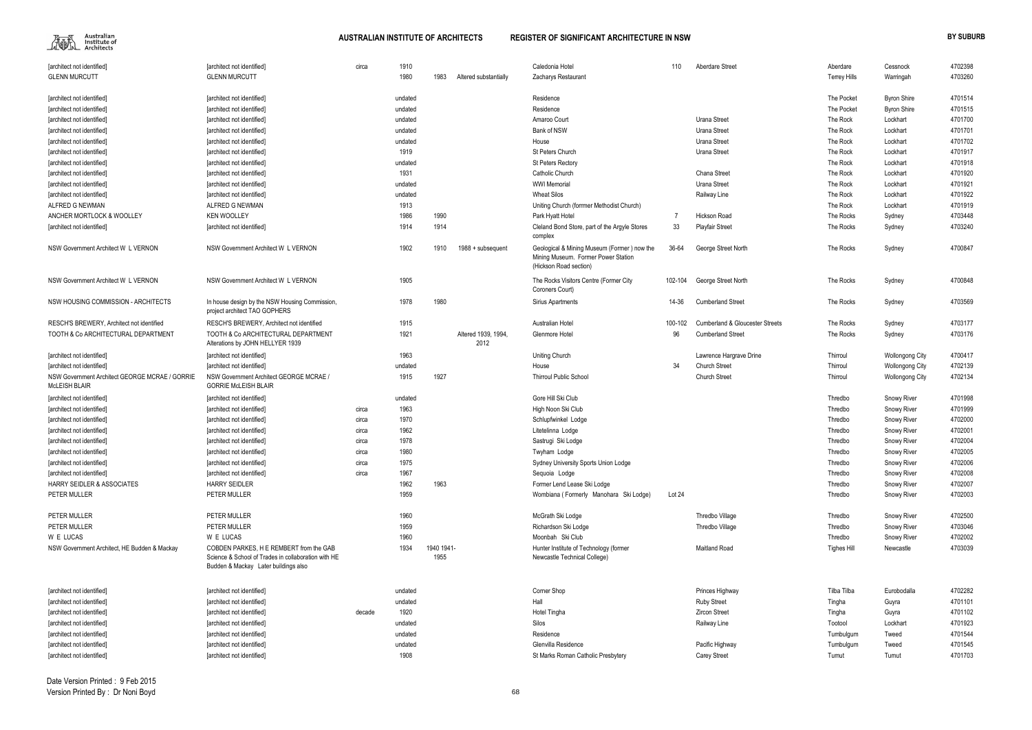

| [architect not identified]                                      | [architect not identified]                                                                                                             | circa  | 1910    |                    |                             | Caledonia Hotel                                                                                              | 110     | <b>Aberdare Street</b>                     | Aberdare            | Cessnock               | 4702398 |
|-----------------------------------------------------------------|----------------------------------------------------------------------------------------------------------------------------------------|--------|---------|--------------------|-----------------------------|--------------------------------------------------------------------------------------------------------------|---------|--------------------------------------------|---------------------|------------------------|---------|
| <b>GLENN MURCUTT</b>                                            | <b>GLENN MURCUTT</b>                                                                                                                   |        | 1980    | 1983               | Altered substantially       | Zacharys Restaurant                                                                                          |         |                                            | <b>Terrey Hills</b> | Warringah              | 4703260 |
|                                                                 |                                                                                                                                        |        |         |                    |                             |                                                                                                              |         |                                            |                     |                        |         |
| [architect not identified]                                      | [architect not identified]                                                                                                             |        | undated |                    |                             | Residence                                                                                                    |         |                                            | The Pocket          | <b>Byron Shire</b>     | 4701514 |
| [architect not identified]                                      | [architect not identified]                                                                                                             |        | undated |                    |                             | Residence                                                                                                    |         |                                            | The Pocket          | <b>Byron Shire</b>     | 4701515 |
| [architect not identified]                                      | [architect not identified]                                                                                                             |        | undated |                    |                             | Amaroo Court                                                                                                 |         | Urana Street                               | The Rock            | Lockhart               | 4701700 |
| [architect not identified]                                      | [architect not identified]                                                                                                             |        | undated |                    |                             | Bank of NSW                                                                                                  |         | Urana Street                               | The Rock            | Lockhart               | 4701701 |
| [architect not identified]                                      | [architect not identified]                                                                                                             |        | undated |                    |                             | House                                                                                                        |         | Urana Street                               | The Rock            | Lockhart               | 4701702 |
| [architect not identified]                                      | [architect not identified]                                                                                                             |        | 1919    |                    |                             | St Peters Church                                                                                             |         | Urana Street                               | The Rock            | Lockhart               | 4701917 |
| [architect not identified]                                      | [architect not identified]                                                                                                             |        | undated |                    |                             | <b>St Peters Rectory</b>                                                                                     |         |                                            | The Rock            | Lockhart               | 4701918 |
| [architect not identified]                                      | [architect not identified]                                                                                                             |        | 1931    |                    |                             | Catholic Church                                                                                              |         | Chana Street                               | The Rock            | Lockhart               | 4701920 |
| [architect not identified]                                      | [architect not identified]                                                                                                             |        | undated |                    |                             | <b>WWI Memorial</b>                                                                                          |         | Urana Street                               | The Rock            | Lockhart               | 4701921 |
| [architect not identified]                                      | [architect not identified]                                                                                                             |        | undated |                    |                             | <b>Wheat Silos</b>                                                                                           |         | Railway Line                               | The Rock            | Lockhart               | 4701922 |
| ALFRED G NEWMAN                                                 | ALFRED G NEWMAN                                                                                                                        |        | 1913    |                    |                             | Uniting Church (forrmer Methodist Church)                                                                    |         |                                            | The Rock            | Lockhart               | 4701919 |
| ANCHER MORTLOCK & WOOLLEY                                       | <b>KEN WOOLLEY</b>                                                                                                                     |        | 1986    | 1990               |                             | Park Hyatt Hotel                                                                                             |         | <b>Hickson Road</b>                        | The Rocks           | Sydney                 | 4703448 |
| [architect not identified]                                      | [architect not identified]                                                                                                             |        | 1914    | 1914               |                             | Cleland Bond Store, part of the Argyle Stores                                                                | 33      | <b>Playfair Street</b>                     | The Rocks           | Sydney                 | 4703240 |
|                                                                 |                                                                                                                                        |        |         |                    |                             | complex                                                                                                      |         |                                            |                     |                        |         |
| NSW Government Architect W L VERNON                             | NSW Government Architect W L VERNON                                                                                                    |        | 1902    | 1910               | 1988 + subsequent           | Geological & Mining Museum (Former) now the<br>Mining Museum. Former Power Station<br>(Hickson Road section) | 36-64   | George Street North                        | The Rocks           | Sydney                 | 4700847 |
| NSW Government Architect W L VERNON                             | NSW Government Architect W L VERNON                                                                                                    |        | 1905    |                    |                             | The Rocks Visitors Centre (Former City<br>Coroners Court)                                                    | 102-104 | George Street North                        | The Rocks           | Sydney                 | 4700848 |
| NSW HOUSING COMMISSION - ARCHITECTS                             | In house design by the NSW Housing Commission,<br>project architect TAO GOPHERS                                                        |        | 1978    | 1980               |                             | Sirius Apartments                                                                                            | 14-36   | <b>Cumberland Street</b>                   | The Rocks           | Sydney                 | 4703569 |
| RESCH'S BREWERY, Architect not identified                       | RESCH'S BREWERY, Architect not identified                                                                                              |        | 1915    |                    |                             | Australian Hotel                                                                                             | 100-102 | <b>Cumberland &amp; Gloucester Streets</b> | The Rocks           | Sydney                 | 4703177 |
| TOOTH & Co ARCHITECTURAL DEPARTMENT                             | TOOTH & Co ARCHITECTURAL DEPARTMENT<br>Alterations by JOHN HELLYER 1939                                                                |        | 1921    |                    | Altered 1939, 1994,<br>2012 | Glenmore Hotel                                                                                               | 96      | <b>Cumberland Street</b>                   | The Rocks           | Sydney                 | 4703176 |
| [architect not identified]                                      | [architect not identified]                                                                                                             |        | 1963    |                    |                             | Uniting Church                                                                                               |         | Lawrence Hargrave Drine                    | Thirroul            | <b>Wollongong City</b> | 4700417 |
| [architect not identified]                                      | [architect not identified]                                                                                                             |        | undated |                    |                             | House                                                                                                        | 34      | <b>Church Street</b>                       | Thirroul            | <b>Wollongong City</b> | 4702139 |
| NSW Government Architect GEORGE MCRAE / GORRIE<br>McLEISH BLAIR | NSW Government Architect GEORGE MCRAE /<br><b>GORRIE McLEISH BLAIR</b>                                                                 |        | 1915    | 1927               |                             | <b>Thirroul Public School</b>                                                                                |         | <b>Church Street</b>                       | Thirroul            | <b>Wollongong City</b> | 4702134 |
| [architect not identified]                                      | [architect not identified]                                                                                                             |        | undated |                    |                             | Gore Hill Ski Club                                                                                           |         |                                            | Thredbo             | <b>Snowy River</b>     | 4701998 |
| [architect not identified]                                      | [architect not identified]                                                                                                             | circa  | 1963    |                    |                             | High Noon Ski Club                                                                                           |         |                                            | Thredbo             | <b>Snowy River</b>     | 4701999 |
| [architect not identified]                                      | [architect not identified]                                                                                                             | circa  | 1970    |                    |                             | Schlupfwinkel Lodge                                                                                          |         |                                            | Thredbo             | <b>Snowy River</b>     | 4702000 |
| [architect not identified]                                      | [architect not identified]                                                                                                             | circa  | 1962    |                    |                             | Litetelinna Lodge                                                                                            |         |                                            | Thredbo             | <b>Snowy River</b>     | 4702001 |
| [architect not identified]                                      | [architect not identified]                                                                                                             | circa  | 1978    |                    |                             | Sastrugi Ski Lodge                                                                                           |         |                                            | Thredbo             | Snowy River            | 4702004 |
| [architect not identified]                                      | [architect not identified]                                                                                                             | circa  | 1980    |                    |                             | Twyham Lodge                                                                                                 |         |                                            | Thredbo             | <b>Snowy River</b>     | 4702005 |
| [architect not identified]                                      | [architect not identified]                                                                                                             | circa  | 1975    |                    |                             | Sydney University Sports Union Lodge                                                                         |         |                                            | Thredbo             | <b>Snowy River</b>     | 4702006 |
| [architect not identified]                                      | [architect not identified]                                                                                                             | circa  | 1967    |                    |                             | Seguoia Lodge                                                                                                |         |                                            | Thredbo             | <b>Snowy River</b>     | 4702008 |
| <b>HARRY SEIDLER &amp; ASSOCIATES</b>                           | <b>HARRY SEIDLER</b>                                                                                                                   |        | 1962    | 1963               |                             | Former Lend Lease Ski Lodge                                                                                  |         |                                            | Thredbo             | <b>Snowy River</b>     | 4702007 |
| PETER MULLER                                                    | PETER MULLER                                                                                                                           |        | 1959    |                    |                             | Wombiana (Formerly Manohara Ski Lodge)                                                                       | Lot 24  |                                            | Thredbo             | <b>Snowy River</b>     | 4702003 |
|                                                                 |                                                                                                                                        |        |         |                    |                             |                                                                                                              |         |                                            |                     |                        |         |
| PETER MULLER                                                    | PETER MULLER                                                                                                                           |        | 1960    |                    |                             | McGrath Ski Lodge                                                                                            |         | Thredbo Village                            | Thredbo             | <b>Snowy River</b>     | 4702500 |
| PETER MULLER                                                    | PETER MULLER                                                                                                                           |        | 1959    |                    |                             | Richardson Ski Lodge                                                                                         |         | Thredbo Village                            | Thredbo             | <b>Snowy River</b>     | 4703046 |
| W E LUCAS                                                       | W E LUCAS                                                                                                                              |        | 1960    |                    |                             | Moonbah Ski Club                                                                                             |         |                                            | Thredbo             | <b>Snowy River</b>     | 4702002 |
| NSW Government Architect, HE Budden & Mackay                    | COBDEN PARKES, H E REMBERT from the GAB<br>Science & School of Trades in collaboration with HE<br>Budden & Mackay Later buildings also |        | 1934    | 1940 1941-<br>1955 |                             | Hunter Institute of Technology (former<br>Newcastle Technical College)                                       |         | <b>Maitland Road</b>                       | Tighes Hill         | Newcastle              | 4703039 |
| [architect not identified]                                      | [architect not identified]                                                                                                             |        | undated |                    |                             | Corner Shop                                                                                                  |         | Princes Highway                            | Tilba Tilba         | Eurobodalla            | 4702282 |
| [architect not identified]                                      | [architect not identified]                                                                                                             |        | undated |                    |                             | Hall                                                                                                         |         | <b>Ruby Street</b>                         | Tingha              | Guyra                  | 4701101 |
| [architect not identified]                                      | [architect not identified]                                                                                                             | decade | 1920    |                    |                             | Hotel Tingha                                                                                                 |         | <b>Zircon Street</b>                       | Tingha              | Guyra                  | 4701102 |
| [architect not identified]                                      | [architect not identified]                                                                                                             |        | undated |                    |                             | Silos                                                                                                        |         | Railway Line                               | Tootool             | Lockhart               | 4701923 |
| [architect not identified]                                      | [architect not identified]                                                                                                             |        | undated |                    |                             | Residence                                                                                                    |         |                                            | Tumbulgum           | Tweed                  | 4701544 |
| [architect not identified]                                      | [architect not identified]                                                                                                             |        | undated |                    |                             | Glenvilla Residence                                                                                          |         | Pacific Highway                            | Tumbulgum           | Tweed                  | 4701545 |
| [architect not identified]                                      | [architect not identified]                                                                                                             |        | 1908    |                    |                             | St Marks Roman Catholic Presbytery                                                                           |         | <b>Carey Street</b>                        | Tumut               | Tumut                  | 4701703 |
|                                                                 |                                                                                                                                        |        |         |                    |                             |                                                                                                              |         |                                            |                     |                        |         |

| 110     | Aberdare Street                            | Aberdare            | Cessnock               | 4702398 |
|---------|--------------------------------------------|---------------------|------------------------|---------|
|         |                                            | <b>Terrey Hills</b> | Warringah              | 4703260 |
|         |                                            |                     |                        |         |
|         |                                            | The Pocket          | <b>Byron Shire</b>     | 4701514 |
|         |                                            | The Pocket          | <b>Byron Shire</b>     | 4701515 |
|         | <b>Urana Street</b>                        | The Rock            | Lockhart               | 4701700 |
|         | Urana Street                               | The Rock            | Lockhart               | 4701701 |
|         | Urana Street                               | The Rock            | Lockhart               | 4701702 |
|         | <b>Urana Street</b>                        | The Rock            | Lockhart               | 4701917 |
|         |                                            | The Rock            | Lockhart               | 4701918 |
|         | Chana Street                               | The Rock            | Lockhart               | 4701920 |
|         | <b>Urana Street</b>                        | The Rock            | Lockhart               | 4701921 |
|         | Railway Line                               | The Rock            | Lockhart               | 4701922 |
|         |                                            | The Rock            | Lockhart               | 4701919 |
| 7       | Hickson Road                               | The Rocks           | Sydney                 | 4703448 |
| 33      | Playfair Street                            | The Rocks           | Sydney                 | 4703240 |
| 36-64   | George Street North                        | The Rocks           | Sydney                 | 4700847 |
|         |                                            |                     |                        |         |
| 102-104 | George Street North                        | The Rocks           | Sydney                 | 4700848 |
|         |                                            |                     |                        |         |
| 14-36   | <b>Cumberland Street</b>                   | The Rocks           | Sydney                 | 4703569 |
| 100-102 | <b>Cumberland &amp; Gloucester Streets</b> | The Rocks           | Sydney                 | 4703177 |
| 96      | <b>Cumberland Street</b>                   | The Rocks           | Sydney                 | 4703176 |
|         | Lawrence Hargrave Drine                    | Thirroul            | Wollongong City        | 4700417 |
| 34      | <b>Church Street</b>                       | Thirroul            | <b>Wollongong City</b> | 4702139 |
|         | <b>Church Street</b>                       | Thirroul            | <b>Wollongong City</b> | 4702134 |
|         |                                            | Thredbo             | Snowy River            | 4701998 |
|         |                                            | Thredbo             | Snowy River            | 4701999 |
|         |                                            | Thredbo             | Snowy River            | 4702000 |
|         |                                            | Thredbo             | Snowy River            | 4702001 |
|         |                                            | Thredbo             | <b>Snowy River</b>     | 4702004 |
|         |                                            | Thredbo             | Snowy River            | 4702005 |
|         |                                            | Thredbo             | Snowy River            | 4702006 |
|         |                                            | Thredbo             | Snowy River            | 4702008 |
|         |                                            | Thredbo             | Snowy River            | 4702007 |
| Lot 24  |                                            | Thredbo             | Snowy River            | 4702003 |
|         | Thredbo Village                            | Thredbo             | Snowy River            | 4702500 |
|         | Thredbo Village                            | Thredbo             | Snowy River            | 4703046 |
|         |                                            | Thredbo             | Snowy River            | 4702002 |
|         | <b>Maitland Road</b>                       | <b>Tighes Hill</b>  | Newcastle              | 4703039 |
|         |                                            |                     |                        |         |
|         | Princes Highway                            | Tilba Tilba         | Eurobodalla            | 4702282 |
|         | <b>Ruby Street</b>                         | Tingha              | Guyra                  | 4701101 |
|         | Zircon Street                              | Tingha              | Guyra                  | 4701102 |
|         | Railway Line                               | Tootool             | Lockhart               | 4701923 |
|         |                                            | Tumbulgum           | Tweed                  | 4701544 |
|         | Pacific Highway                            | Tumbulgum           | Tweed                  | 4701545 |
|         |                                            |                     |                        |         |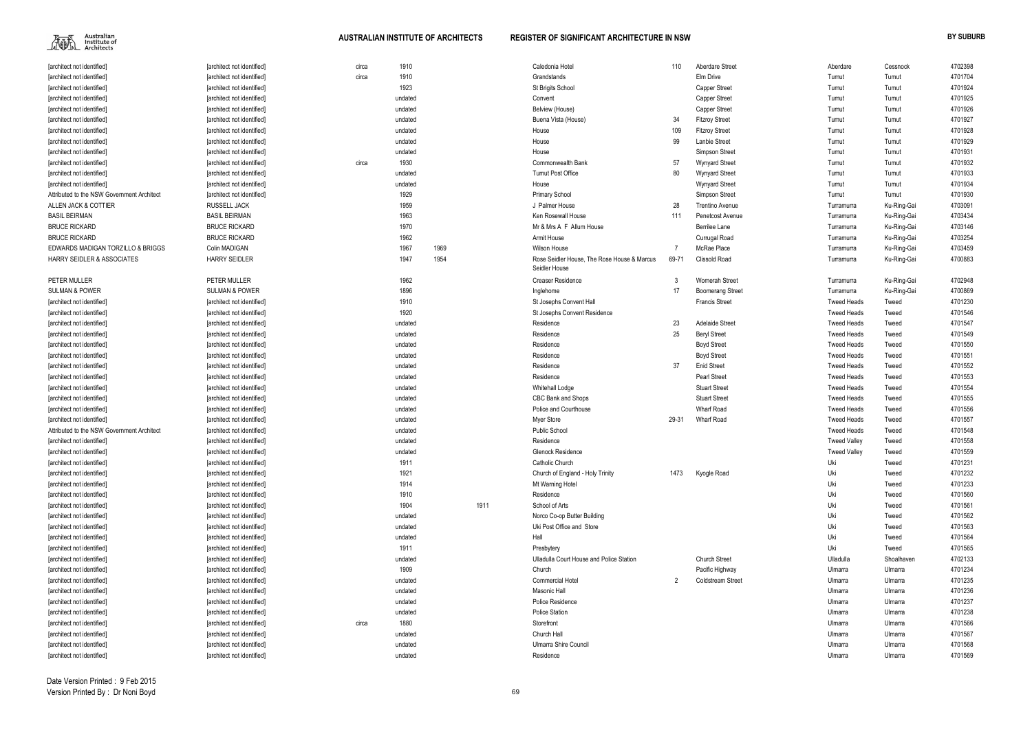

| 110   | Aberdare Street          | Aberdare            | Cessnock    | 4702398 |
|-------|--------------------------|---------------------|-------------|---------|
|       | Elm Drive                | Tumut               | Tumut       | 4701704 |
|       | <b>Capper Street</b>     | Tumut               | Tumut       | 4701924 |
|       | <b>Capper Street</b>     | Tumut               | Tumut       | 4701925 |
|       | Capper Street            | Tumut               | Tumut       | 4701926 |
| 34    | <b>Fitzroy Street</b>    | Tumut               | Tumut       | 4701927 |
| 109   | <b>Fitzroy Street</b>    | Tumut               | Tumut       | 4701928 |
| 99    | Lanbie Street            | Tumut               | Tumut       | 4701929 |
|       | Simpson Street           | Tumut               | Tumut       | 4701931 |
| 57    | Wynyard Street           | Tumut               | Tumut       | 4701932 |
| 80    | Wynyard Street           | Tumut               | Tumut       | 4701933 |
|       | Wynyard Street           | Tumut               | Tumut       | 4701934 |
|       | Simpson Street           | Tumut               | Tumut       | 4701930 |
| 28    | <b>Trentino Avenue</b>   | Turramurra          | Ku-Ring-Gai | 4703091 |
| 111   | Penetcost Avenue         | Turramurra          | Ku-Ring-Gai | 4703434 |
|       | Berrilee Lane            | Turramurra          | Ku-Ring-Gai | 4703146 |
|       | Currugal Road            | Turramurra          | Ku-Ring-Gai | 4703254 |
| 7     | McRae Place              | Turramurra          | Ku-Ring-Gai | 4703459 |
| 69-71 | <b>Clissold Road</b>     | Turramurra          | Ku-Ring-Gai | 4700883 |
| 3     | Womerah Street           | Turramurra          | Ku-Ring-Gai | 4702948 |
| 17    | <b>Boomerang Street</b>  | Turramurra          | Ku-Ring-Gai | 4700869 |
|       | <b>Francis Street</b>    | <b>Tweed Heads</b>  | Tweed       | 4701230 |
|       |                          | <b>Tweed Heads</b>  | Tweed       | 4701546 |
| 23    | <b>Adelaide Street</b>   | <b>Tweed Heads</b>  | Tweed       | 4701547 |
| 25    | <b>Beryl Street</b>      | <b>Tweed Heads</b>  | Tweed       | 4701549 |
|       | <b>Boyd Street</b>       | <b>Tweed Heads</b>  | Tweed       | 4701550 |
|       | <b>Boyd Street</b>       | <b>Tweed Heads</b>  | Tweed       | 4701551 |
| 37    | <b>Enid Street</b>       | <b>Tweed Heads</b>  | Tweed       | 4701552 |
|       | <b>Pearl Street</b>      | <b>Tweed Heads</b>  | Tweed       | 4701553 |
|       | <b>Stuart Street</b>     | <b>Tweed Heads</b>  | Tweed       | 4701554 |
|       | <b>Stuart Street</b>     | <b>Tweed Heads</b>  | Tweed       | 4701555 |
|       | Wharf Road               | <b>Tweed Heads</b>  | Tweed       | 4701556 |
| 29-31 | Wharf Road               | <b>Tweed Heads</b>  | Tweed       | 4701557 |
|       |                          | <b>Tweed Heads</b>  | Tweed       | 4701548 |
|       |                          | <b>Tweed Valley</b> | Tweed       | 4701558 |
|       |                          | <b>Tweed Valley</b> | Tweed       | 4701559 |
|       |                          | Uki                 | Tweed       | 4701231 |
| 1473  | Kyogle Road              | Uki                 | Tweed       | 4701232 |
|       |                          | Uki                 | Tweed       | 4701233 |
|       |                          | Uki                 | Tweed       | 4701560 |
|       |                          | Uki                 | Tweed       | 4701561 |
|       |                          | Uki                 | Tweed       | 4701562 |
|       |                          | Uki                 | Tweed       | 4701563 |
|       |                          | Uki                 | Tweed       | 4701564 |
|       |                          | Uki                 | Tweed       | 4701565 |
|       | <b>Church Street</b>     | Ulladulla           | Shoalhaven  | 4702133 |
|       | Pacific Highway          | Ulmarra             | Ulmarra     | 4701234 |
| 2     | <b>Coldstream Street</b> | Ulmarra             | Ulmarra     | 4701235 |
|       |                          | Ulmarra             | Ulmarra     | 4701236 |
|       |                          | Ulmarra             | Ulmarra     | 4701237 |
|       |                          | Ulmarra             | Ulmarra     | 4701238 |
|       |                          | Ulmarra             | Ulmarra     | 4701566 |
|       |                          | Ulmarra             | Ulmarra     | 4701567 |
|       |                          | Ulmarra             | Ulmarra     | 4701568 |
|       |                          | Ulmarra             | Ulmarra     | 4701569 |

| [architect not identified]                 | [architect not identified] | circa | 1910    |      |      | Caledonia Hotel                                              | 110   | Aberdare Street          | Aberdare            | Cessnock    | 4702398 |
|--------------------------------------------|----------------------------|-------|---------|------|------|--------------------------------------------------------------|-------|--------------------------|---------------------|-------------|---------|
| [architect not identified]                 | [architect not identified] | circa | 1910    |      |      | Grandstands                                                  |       | Elm Drive                | Tumut               | Tumut       | 4701704 |
| [architect not identified]                 | [architect not identified] |       | 1923    |      |      | St Brigits School                                            |       | <b>Capper Street</b>     | Tumut               | Tumut       | 4701924 |
| [architect not identified]                 | [architect not identified] |       | undated |      |      | Convent                                                      |       | <b>Capper Street</b>     | Tumut               | Tumut       | 4701925 |
| [architect not identified]                 | [architect not identified] |       | undated |      |      | Belview (House)                                              |       | <b>Capper Street</b>     | Tumut               | Tumut       | 4701926 |
| [architect not identified]                 | [architect not identified] |       | undated |      |      | Buena Vista (House)                                          | 34    | <b>Fitzroy Street</b>    | Tumut               | Tumut       | 4701927 |
| [architect not identified]                 | [architect not identified] |       | undated |      |      | House                                                        | 109   | <b>Fitzroy Street</b>    | Tumut               | Tumut       | 4701928 |
| [architect not identified]                 | [architect not identified] |       | undated |      |      | House                                                        | 99    | Lanbie Street            | Tumut               | Tumut       | 4701929 |
| [architect not identified]                 |                            |       | undated |      |      | House                                                        |       | Simpson Street           | Tumut               | Tumut       | 4701931 |
|                                            | [architect not identified] |       |         |      |      |                                                              |       |                          |                     |             |         |
| [architect not identified]                 | [architect not identified] | circa | 1930    |      |      | <b>Commonwealth Bank</b>                                     | 57    | <b>Wynyard Street</b>    | Tumut               | Tumut       | 4701932 |
| [architect not identified]                 | [architect not identified] |       | undated |      |      | <b>Tumut Post Office</b>                                     | 80    | <b>Wynyard Street</b>    | Tumut               | Tumut       | 4701933 |
| [architect not identified]                 | [architect not identified] |       | undated |      |      | House                                                        |       | <b>Wynyard Street</b>    | Tumut               | Tumut       | 4701934 |
| Attributed to the NSW Government Architect | [architect not identified] |       | 1929    |      |      | <b>Primary School</b>                                        |       | Simpson Street           | Tumut               | Tumut       | 4701930 |
| ALLEN JACK & COTTIER                       | RUSSELL JACK               |       | 1959    |      |      | J Palmer House                                               | 28    | <b>Trentino Avenue</b>   | Turramurra          | Ku-Ring-Gai | 4703091 |
| <b>BASIL BEIRMAN</b>                       | <b>BASIL BEIRMAN</b>       |       | 1963    |      |      | Ken Rosewall House                                           | 111   | Penetcost Avenue         | Turramurra          | Ku-Ring-Gai | 4703434 |
| <b>BRUCE RICKARD</b>                       | <b>BRUCE RICKARD</b>       |       | 1970    |      |      | Mr & Mrs A F Allum House                                     |       | Berrilee Lane            | Turramurra          | Ku-Ring-Gai | 4703146 |
| <b>BRUCE RICKARD</b>                       | <b>BRUCE RICKARD</b>       |       | 1962    |      |      | Armit House                                                  |       | Currugal Road            | Turramurra          | Ku-Ring-Gai | 4703254 |
| EDWARDS MADIGAN TORZILLO & BRIGGS          | Colin MADIGAN              |       | 1967    | 1969 |      | Wilson House                                                 |       | McRae Place              | Turramurra          | Ku-Ring-Gai | 4703459 |
| <b>HARRY SEIDLER &amp; ASSOCIATES</b>      | <b>HARRY SEIDLER</b>       |       | 1947    | 1954 |      | Rose Seidler House. The Rose House & Marcus<br>Seidler House | 69-71 | Clissold Road            | Turramurra          | Ku-Ring-Gai | 4700883 |
| PETER MULLER                               | PETER MULLER               |       | 1962    |      |      | <b>Creaser Residence</b>                                     | 3     | <b>Womerah Street</b>    | Turramurra          | Ku-Ring-Gai | 4702948 |
| <b>SULMAN &amp; POWER</b>                  | <b>SULMAN &amp; POWER</b>  |       | 1896    |      |      | Inglehome                                                    | 17    | <b>Boomerang Street</b>  | Turramurra          | Ku-Ring-Gai | 4700869 |
| [architect not identified]                 | [architect not identified] |       | 1910    |      |      | St Josephs Convent Hall                                      |       | <b>Francis Street</b>    | <b>Tweed Heads</b>  | Tweed       | 4701230 |
| [architect not identified]                 | [architect not identified] |       | 1920    |      |      | St Josephs Convent Residence                                 |       |                          | <b>Tweed Heads</b>  | Tweed       | 4701546 |
| [architect not identified]                 | [architect not identified] |       | undated |      |      | Residence                                                    | 23    | <b>Adelaide Street</b>   | <b>Tweed Heads</b>  | Tweed       | 4701547 |
|                                            |                            |       | undated |      |      | Residence                                                    | 25    | <b>Beryl Street</b>      | <b>Tweed Heads</b>  | Tweed       | 4701549 |
| [architect not identified]                 | [architect not identified] |       |         |      |      |                                                              |       |                          |                     |             |         |
| [architect not identified]                 | [architect not identified] |       | undated |      |      | Residence                                                    |       | <b>Boyd Street</b>       | <b>Tweed Heads</b>  | Tweed       | 4701550 |
| [architect not identified]                 | [architect not identified] |       | undated |      |      | Residence                                                    |       | <b>Boyd Street</b>       | <b>Tweed Heads</b>  | Tweed       | 4701551 |
| [architect not identified]                 | [architect not identified] |       | undated |      |      | Residence                                                    | 37    | <b>Enid Street</b>       | <b>Tweed Heads</b>  | Tweed       | 4701552 |
| [architect not identified]                 | [architect not identified] |       | undated |      |      | Residence                                                    |       | <b>Pearl Street</b>      | <b>Tweed Heads</b>  | Tweed       | 4701553 |
| [architect not identified]                 | [architect not identified] |       | undated |      |      | Whitehall Lodge                                              |       | <b>Stuart Street</b>     | <b>Tweed Heads</b>  | Tweed       | 4701554 |
| [architect not identified]                 | [architect not identified] |       | undated |      |      | <b>CBC Bank and Shops</b>                                    |       | <b>Stuart Street</b>     | <b>Tweed Heads</b>  | Tweed       | 4701555 |
| [architect not identified]                 | [architect not identified] |       | undated |      |      | Police and Courthouse                                        |       | <b>Wharf Road</b>        | <b>Tweed Heads</b>  | Tweed       | 4701556 |
| [architect not identified]                 | [architect not identified] |       | undated |      |      | Myer Store                                                   | 29-31 | <b>Wharf Road</b>        | <b>Tweed Heads</b>  | Tweed       | 4701557 |
| Attributed to the NSW Government Architect | [architect not identified] |       | undated |      |      | <b>Public School</b>                                         |       |                          | <b>Tweed Heads</b>  | Tweed       | 4701548 |
| [architect not identified]                 | [architect not identified] |       | undated |      |      | Residence                                                    |       |                          | <b>Tweed Valley</b> | Tweed       | 4701558 |
| [architect not identified]                 | [architect not identified] |       | undated |      |      | Glenock Residence                                            |       |                          | <b>Tweed Valley</b> | Tweed       | 4701559 |
| [architect not identified]                 | [architect not identified] |       | 1911    |      |      | Catholic Church                                              |       |                          | Uki                 | Tweed       | 4701231 |
| [architect not identified]                 | [architect not identified] |       | 1921    |      |      | Church of England - Holy Trinity                             | 1473  | Kyogle Road              | Uki                 | Tweed       | 4701232 |
| [architect not identified]                 | [architect not identified] |       | 1914    |      |      | Mt Warning Hotel                                             |       |                          | Uki                 | Tweed       | 4701233 |
| [architect not identified]                 | [architect not identified] |       | 1910    |      |      | Residence                                                    |       |                          | Uki                 | Tweed       | 4701560 |
| [architect not identified]                 | [architect not identified] |       | 1904    |      | 1911 | School of Arts                                               |       |                          | Uki                 | Tweed       | 4701561 |
| [architect not identified]                 | [architect not identified] |       | undated |      |      | Norco Co-op Butter Building                                  |       |                          | Uki                 | Tweed       | 4701562 |
| [architect not identified]                 | [architect not identified] |       | undated |      |      | Uki Post Office and Store                                    |       |                          | Uki                 | Tweed       | 4701563 |
| [architect not identified]                 | [architect not identified] |       | undated |      |      | Hall                                                         |       |                          | Uki                 | Tweed       | 4701564 |
| [architect not identified]                 | [architect not identified] |       | 1911    |      |      | Presbytery                                                   |       |                          | Uki                 | Tweed       | 4701565 |
| [architect not identified]                 |                            |       | undated |      |      | Ulladulla Court House and Police Station                     |       | <b>Church Street</b>     | Ulladulla           | Shoalhaven  | 4702133 |
|                                            | [architect not identified] |       |         |      |      |                                                              |       |                          |                     |             | 4701234 |
| [architect not identified]                 | [architect not identified] |       | 1909    |      |      | Church                                                       |       | Pacific Highway          | Ulmarra             | Ulmarra     |         |
| [architect not identified]                 | [architect not identified] |       | undated |      |      | <b>Commercial Hotel</b>                                      | 2     | <b>Coldstream Street</b> | Ulmarra             | Ulmarra     | 4701235 |
| [architect not identified]                 | [architect not identified] |       | undated |      |      | Masonic Hall                                                 |       |                          | Ulmarra             | Ulmarra     | 4701236 |
| [architect not identified]                 | [architect not identified] |       | undated |      |      | Police Residence                                             |       |                          | Ulmarra             | Ulmarra     | 4701237 |
| [architect not identified]                 | [architect not identified] |       | undated |      |      | <b>Police Station</b>                                        |       |                          | Ulmarra             | Ulmarra     | 4701238 |
| [architect not identified]                 | [architect not identified] | circa | 1880    |      |      | Storefront                                                   |       |                          | Ulmarra             | Ulmarra     | 4701566 |
| [architect not identified]                 | [architect not identified] |       | undated |      |      | Church Hall                                                  |       |                          | Ulmarra             | Ulmarra     | 4701567 |
| [architect not identified]                 | [architect not identified] |       | undated |      |      | <b>Ulmarra Shire Council</b>                                 |       |                          | Ulmarra             | Ulmarra     | 4701568 |
| [architect not identified]                 | [architect not identified] |       | undated |      |      | Residence                                                    |       |                          | Ulmarra             | Ulmarra     | 4701569 |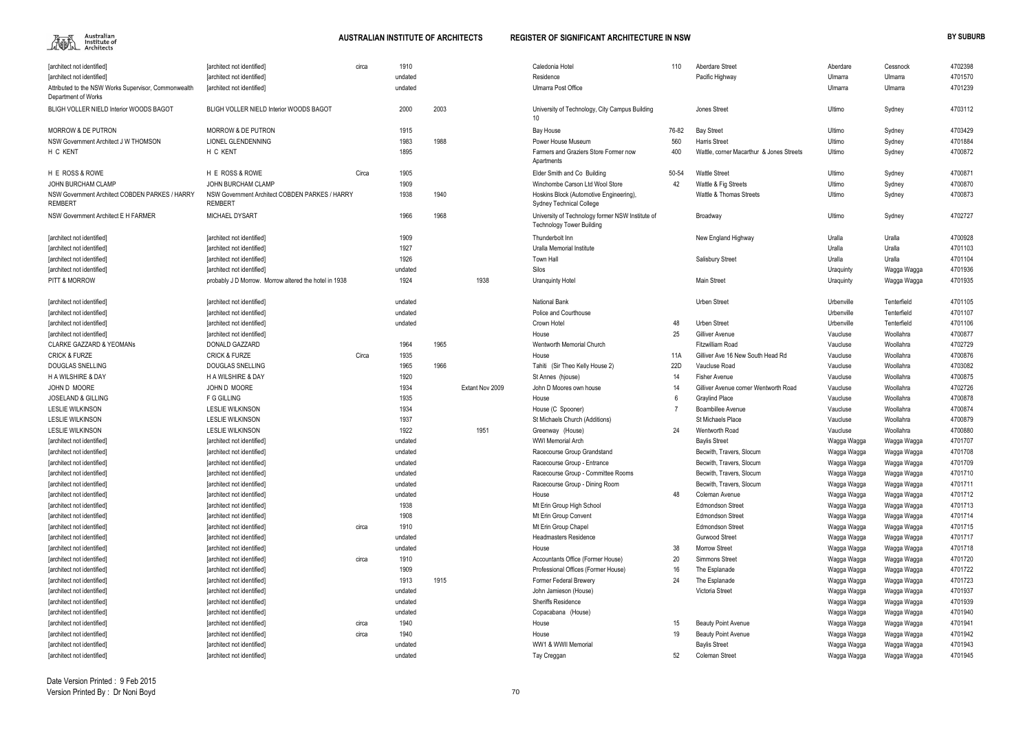

| [architect not identified]                                                  | [architect not identified]                                       | circa | 1910    |      |                 | Caledonia Hotel                                                                      | 110   | Aberdare Street                          | Aberdare    | Cessnock    | 4702398 |
|-----------------------------------------------------------------------------|------------------------------------------------------------------|-------|---------|------|-----------------|--------------------------------------------------------------------------------------|-------|------------------------------------------|-------------|-------------|---------|
| [architect not identified]                                                  | [architect not identified]                                       |       | undated |      |                 | Residence                                                                            |       | Pacific Highway                          | Ulmarra     | Ulmarra     | 4701570 |
| Attributed to the NSW Works Supervisor, Commonwealth<br>Department of Works | [architect not identified]                                       |       | undated |      |                 | Ulmarra Post Office                                                                  |       |                                          | Ulmarra     | Ulmarra     | 4701239 |
| BLIGH VOLLER NIELD Interior WOODS BAGOT                                     | <b>BLIGH VOLLER NIELD Interior WOODS BAGOT</b>                   |       | 2000    | 2003 |                 | University of Technology, City Campus Building<br>10 <sup>°</sup>                    |       | <b>Jones Street</b>                      | Ultimo      | Sydney      | 4703112 |
| <b>MORROW &amp; DE PUTRON</b>                                               | <b>MORROW &amp; DE PUTRON</b>                                    |       | 1915    |      |                 | <b>Bay House</b>                                                                     | 76-82 | <b>Bay Street</b>                        | Ultimo      | Sydney      | 4703429 |
| NSW Government Architect J W THOMSON                                        | LIONEL GLENDENNING                                               |       | 1983    | 1988 |                 | Power House Museum                                                                   | 560   | <b>Harris Street</b>                     | Ultimo      | Sydney      | 4701884 |
| H C KENT                                                                    | H C KENT                                                         |       | 1895    |      |                 | Farmers and Graziers Store Former now                                                | 400   | Wattle, corner Macarthur & Jones Streets | Ultimo      | Sydney      | 4700872 |
|                                                                             |                                                                  |       |         |      |                 | Apartments                                                                           |       |                                          |             |             |         |
| H E ROSS & ROWE                                                             | H E ROSS & ROWE                                                  | Circa | 1905    |      |                 | Elder Smith and Co Building                                                          | 50-54 | <b>Wattle Street</b>                     | Ultimo      | Sydney      | 4700871 |
| <b>JOHN BURCHAM CLAMP</b>                                                   | JOHN BURCHAM CLAMP                                               |       | 1909    |      |                 | Winchombe Carson Ltd Wool Store                                                      | 42    | Wattle & Fig Streets                     | Ultimo      | Sydney      | 4700870 |
| NSW Government Architect COBDEN PARKES / HARRY<br><b>REMBERT</b>            | NSW Government Architect COBDEN PARKES / HARRY<br><b>REMBERT</b> |       | 1938    | 1940 |                 | Hoskins Block (Automotive Engineering)<br><b>Sydney Technical College</b>            |       | Wattle & Thomas Streets                  | Ultimo      | Sydney      | 4700873 |
| NSW Government Architect E H FARMER                                         | <b>MICHAEL DYSART</b>                                            |       | 1966    | 1968 |                 | University of Technology former NSW Institute of<br><b>Technology Tower Building</b> |       | Broadway                                 | Ultimo      | Sydney      | 4702727 |
| [architect not identified]                                                  | [architect not identified]                                       |       | 1909    |      |                 | Thunderbolt Inn                                                                      |       | New England Highway                      | Uralla      | Uralla      | 4700928 |
| [architect not identified]                                                  | [architect not identified]                                       |       | 1927    |      |                 | Uralla Memorial Institute                                                            |       |                                          | Uralla      | Uralla      | 4701103 |
| [architect not identified]                                                  | [architect not identified]                                       |       | 1926    |      |                 | <b>Town Hall</b>                                                                     |       | <b>Salisbury Street</b>                  | Uralla      | Uralla      | 4701104 |
| [architect not identified]                                                  | [architect not identified]                                       |       | undated |      |                 | Silos                                                                                |       |                                          | Uraquinty   | Wagga Wagga | 4701936 |
| <b>PITT &amp; MORROW</b>                                                    | probably J D Morrow. Morrow altered the hotel in 1938            |       | 1924    |      | 1938            | <b>Uranguinty Hotel</b>                                                              |       | <b>Main Street</b>                       | Uraquinty   | Wagga Wagga | 4701935 |
|                                                                             |                                                                  |       |         |      |                 |                                                                                      |       |                                          |             |             |         |
| [architect not identified]                                                  | [architect not identified]                                       |       | undated |      |                 | National Bank                                                                        |       | <b>Urben Street</b>                      | Urbenville  | Tenterfield | 4701105 |
| [architect not identified]                                                  | [architect not identified]                                       |       | undated |      |                 | Police and Courthouse                                                                |       |                                          | Urbenville  | Tenterfield | 4701107 |
| [architect not identified]                                                  | [architect not identified]                                       |       | undated |      |                 | Crown Hotel                                                                          | 48    | <b>Urben Street</b>                      | Urbenville  | Tenterfield | 4701106 |
| [architect not identified]                                                  | [architect not identified]                                       |       |         |      |                 | House                                                                                | 25    | Gilliver Avenue                          | Vaucluse    | Woollahra   | 4700877 |
| <b>CLARKE GAZZARD &amp; YEOMANS</b>                                         | DONALD GAZZARD                                                   |       | 1964    | 1965 |                 | Wentworth Memorial Church                                                            |       | <b>Fitzwilliam Road</b>                  | Vaucluse    | Woollahra   | 4702729 |
| <b>CRICK &amp; FURZE</b>                                                    | <b>CRICK &amp; FURZE</b>                                         | Circa | 1935    |      |                 | House                                                                                | 11A   | Gilliver Ave 16 New South Head Rd        | Vaucluse    | Woollahra   | 4700876 |
| DOUGLAS SNELLING                                                            | DOUGLAS SNELLING                                                 |       | 1965    | 1966 |                 | Tahiti (Sir Theo Kelly House 2)                                                      | 22D   | Vaucluse Road                            | Vaucluse    | Woollahra   | 4703082 |
| <b>H A WILSHIRE &amp; DAY</b>                                               | H A WILSHIRE & DAY                                               |       | 1920    |      |                 | St Annes (hjouse)                                                                    | 14    | <b>Fisher Avenue</b>                     | Vaucluse    | Woollahra   | 4700875 |
| JOHN D MOORE                                                                | JOHN D MOORE                                                     |       | 1934    |      | Extant Nov 2009 | John D Moores own house                                                              | 14    | Gilliver Avenue corner Wentworth Road    | Vaucluse    | Woollahra   | 4702726 |
| <b>JOSELAND &amp; GILLING</b>                                               | F G GILLING                                                      |       | 1935    |      |                 | House                                                                                | 6     | <b>Graylind Place</b>                    | Vaucluse    | Woollahra   | 4700878 |
| <b>LESLIE WILKINSON</b>                                                     | <b>LESLIE WILKINSON</b>                                          |       | 1934    |      |                 | House (C Spooner)                                                                    |       | Boambillee Avenue                        | Vaucluse    | Woollahra   | 4700874 |
| <b>LESLIE WILKINSON</b>                                                     | <b>LESLIE WILKINSON</b>                                          |       | 1937    |      |                 | St Michaels Church (Additions)                                                       |       | St Michaels Place                        | Vaucluse    | Woollahra   | 4700879 |
| <b>LESLIE WILKINSON</b>                                                     | <b>LESLIE WILKINSON</b>                                          |       | 1922    |      | 1951            | Greenway (House)                                                                     | 24    | Wentworth Road                           | Vaucluse    | Woollahra   | 4700880 |
| [architect not identified]                                                  | [architect not identified]                                       |       | undated |      |                 | <b>WWI Memorial Arch</b>                                                             |       | <b>Baylis Street</b>                     | Wagga Wagga | Wagga Wagga | 4701707 |
| [architect not identified]                                                  | [architect not identified]                                       |       | undated |      |                 | Racecourse Group Grandstand                                                          |       | Becwith, Travers, Slocum                 | Wagga Wagga | Wagga Wagga | 4701708 |
| [architect not identified]                                                  | [architect not identified]                                       |       | undated |      |                 | Racecourse Group - Entrance                                                          |       | Becwith, Travers, Slocum                 | Wagga Wagga | Wagga Wagga | 4701709 |
| [architect not identified]                                                  | [architect not identified]                                       |       | undated |      |                 | Racecourse Group - Committee Rooms                                                   |       | Becwith, Travers, Slocum                 | Wagga Wagga | Wagga Wagga | 4701710 |
| [architect not identified]                                                  | [architect not identified]                                       |       | undated |      |                 | Racecourse Group - Dining Room                                                       |       | Becwith, Travers, Slocum                 | Wagga Wagga | Wagga Wagga | 4701711 |
| [architect not identified]                                                  | [architect not identified]                                       |       | undated |      |                 | House                                                                                | 48    | Coleman Avenue                           | Wagga Wagga | Wagga Wagga | 4701712 |
| [architect not identified]                                                  | [architect not identified]                                       |       | 1938    |      |                 | Mt Erin Group High School                                                            |       | <b>Edmondson Street</b>                  | Wagga Wagga | Wagga Wagga | 4701713 |
| [architect not identified]                                                  | [architect not identified]                                       |       | 1908    |      |                 | Mt Erin Group Convent                                                                |       | <b>Edmondson Street</b>                  | Wagga Wagga | Wagga Wagga | 4701714 |
| [architect not identified]                                                  | [architect not identified]                                       | circa | 1910    |      |                 | Mt Erin Group Chapel                                                                 |       | <b>Edmondson Street</b>                  | Wagga Wagga | Wagga Wagga | 4701715 |
| [architect not identified]                                                  | [architect not identified]                                       |       | undated |      |                 | <b>Headmasters Residence</b>                                                         |       | <b>Gurwood Street</b>                    | Wagga Wagga | Wagga Wagga | 4701717 |
| [architect not identified]                                                  | [architect not identified]                                       |       | undated |      |                 | House                                                                                | 38    | <b>Morrow Street</b>                     | Wagga Wagga | Wagga Wagga | 4701718 |
| [architect not identified]                                                  | [architect not identified]                                       | circa | 1910    |      |                 | Accountants Office (Former House)                                                    | 20    | <b>Simmons Street</b>                    | Wagga Wagga | Wagga Wagga | 4701720 |
| [architect not identified]                                                  | [architect not identified]                                       |       | 1909    |      |                 | Professional Offices (Former House)                                                  | 16    | The Esplanade                            | Wagga Wagga | Wagga Wagga | 4701722 |
| [architect not identified]                                                  | [architect not identified]                                       |       | 1913    | 1915 |                 | <b>Former Federal Brewery</b>                                                        | 24    | The Esplanade                            | Wagga Wagga | Wagga Wagga | 4701723 |
| [architect not identified]                                                  | [architect not identified]                                       |       | undated |      |                 | John Jamieson (House)                                                                |       | Victoria Street                          | Wagga Wagga | Wagga Wagga | 4701937 |
| [architect not identified]                                                  | [architect not identified]                                       |       | undated |      |                 | <b>Sheriffs Residence</b>                                                            |       |                                          | Wagga Wagga | Wagga Wagga | 4701939 |
| [architect not identified]                                                  | [architect not identified]                                       |       | undated |      |                 | Copacabana (House)                                                                   |       |                                          | Wagga Wagga | Wagga Wagga | 4701940 |
| [architect not identified]                                                  | [architect not identified]                                       | circa | 1940    |      |                 | House                                                                                | 15    | <b>Beauty Point Avenue</b>               | Wagga Wagga | Wagga Wagga | 4701941 |
| [architect not identified]                                                  | [architect not identified]                                       | circa | 1940    |      |                 | House                                                                                | 19    | <b>Beauty Point Avenue</b>               | Wagga Wagga | Wagga Wagga | 4701942 |
| [architect not identified]                                                  | [architect not identified]                                       |       | undated |      |                 | WW1 & WWII Memorial                                                                  |       | <b>Baylis Street</b>                     | Wagga Wagga | Wagga Wagga | 4701943 |
| [architect not identified]                                                  | [architect not identified]                                       |       | undated |      |                 | Tay Creggan                                                                          | 52    | <b>Coleman Street</b>                    | Wagga Wagga | Wagga Wagga | 4701945 |
|                                                                             |                                                                  |       |         |      |                 |                                                                                      |       |                                          |             |             |         |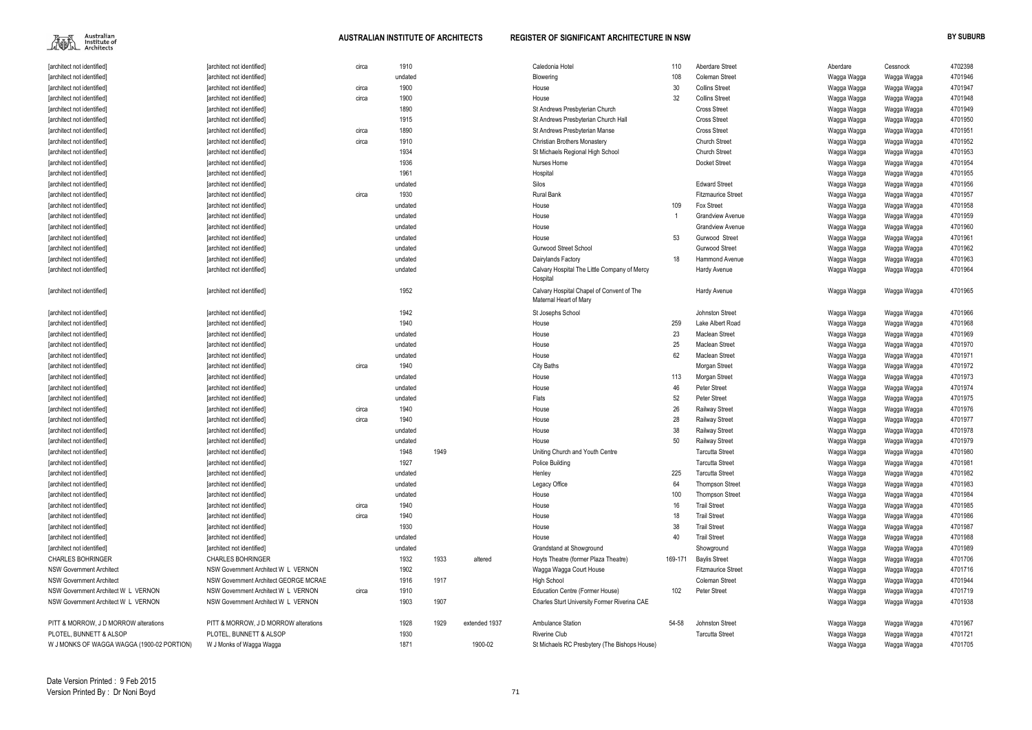$\begin{picture}(120,110) \put(0,0){\line(1,0){15}} \put(15,0){\line(1,0){15}} \put(15,0){\line(1,0){15}} \put(15,0){\line(1,0){15}} \put(15,0){\line(1,0){15}} \put(15,0){\line(1,0){15}} \put(15,0){\line(1,0){15}} \put(15,0){\line(1,0){15}} \put(15,0){\line(1,0){15}} \put(15,0){\line(1,0){15}} \put(15,0){\line(1,0){15}} \put(15,0){\line$ 

| Aberdare Street           | Aberdare    | Cessnock    | 4702398 |
|---------------------------|-------------|-------------|---------|
| Coleman Street            | Wagga Wagga | Wagga Wagga | 4701946 |
| Collins Street            | Wagga Wagga | Wagga Wagga | 4701947 |
| Collins Street            | Wagga Wagga | Wagga Wagga | 4701948 |
| Cross Street              | Wagga Wagga | Wagga Wagga | 4701949 |
| Cross Street              | Wagga Wagga | Wagga Wagga | 4701950 |
| Cross Street              | Wagga Wagga | Wagga Wagga | 4701951 |
| Church Street             | Wagga Wagga | Wagga Wagga | 4701952 |
| <b>Church Street</b>      | Wagga Wagga | Wagga Wagga | 4701953 |
| Docket Street             | Wagga Wagga | Wagga Wagga | 4701954 |
|                           | Wagga Wagga | Wagga Wagga | 4701955 |
| <b>Edward Street</b>      | Wagga Wagga | Wagga Wagga | 4701956 |
| <b>Fitzmaurice Street</b> | Wagga Wagga | Wagga Wagga | 4701957 |
| Fox Street                | Wagga Wagga | Wagga Wagga | 4701958 |
| Grandview Avenue          | Wagga Wagga | Wagga Wagga | 4701959 |
| Grandview Avenue          | Wagga Wagga | Wagga Wagga | 4701960 |
| Gurwood Street            | Wagga Wagga | Wagga Wagga | 4701961 |
| Gurwood Street            | Wagga Wagga | Wagga Wagga | 4701962 |
| Hammond Avenue            | Wagga Wagga | Wagga Wagga | 4701963 |
| Hardy Avenue              | Wagga Wagga | Wagga Wagga | 4701964 |
| Hardy Avenue              | Wagga Wagga | Wagga Wagga | 4701965 |
| Johnston Street           | Wagga Wagga | Wagga Wagga | 4701966 |
| Lake Albert Road          | Wagga Wagga | Wagga Wagga | 4701968 |
| Maclean Street            | Wagga Wagga | Wagga Wagga | 4701969 |
| Maclean Street            | Wagga Wagga | Wagga Wagga | 4701970 |
| Maclean Street            | Wagga Wagga | Wagga Wagga | 4701971 |
| Morgan Street             | Wagga Wagga | Wagga Wagga | 4701972 |
| Morgan Street             | Wagga Wagga | Wagga Wagga | 4701973 |
| Peter Street              | Wagga Wagga | Wagga Wagga | 4701974 |
| Peter Street              | Wagga Wagga | Wagga Wagga | 4701975 |
| Railway Street            | Wagga Wagga | Wagga Wagga | 4701976 |
| Railway Street            | Wagga Wagga | Wagga Wagga | 4701977 |
| Railway Street            | Wagga Wagga | Wagga Wagga | 4701978 |
| Railway Street            | Wagga Wagga | Wagga Wagga | 4701979 |
| Tarcutta Street           | Wagga Wagga | Wagga Wagga | 4701980 |
| Tarcutta Street           | Wagga Wagga | Wagga Wagga | 4701981 |
| Tarcutta Street           | Wagga Wagga | Wagga Wagga | 4701982 |
| Thompson Street           | Wagga Wagga | Wagga Wagga | 4701983 |
| Thompson Street           | Wagga Wagga | Wagga Wagga | 4701984 |
| <b>Trail Street</b>       | Wagga Wagga | Wagga Wagga | 4701985 |
| <b>Trail Street</b>       | Wagga Wagga | Wagga Wagga | 4701986 |
| Trail Street              | Wagga Wagga | Wagga Wagga | 4701987 |
| Trail Street              | Wagga Wagga | Wagga Wagga | 4701988 |
| Showground                | Wagga Wagga | Wagga Wagga | 4701989 |
| Baylis Street             | Wagga Wagga | Wagga Wagga | 4701706 |
| Fitzmaurice Street        | Wagga Wagga | Wagga Wagga | 4701716 |
| Coleman Street            | Wagga Wagga | Wagga Wagga | 4701944 |
| Peter Street              | Wagga Wagga | Wagga Wagga | 4701719 |
|                           | Wagga Wagga | Wagga Wagga | 4701938 |
| Johnston Street           | Wagga Wagga | Wagga Wagga | 4701967 |
| Tarcutta Street           | Wagga Wagga | Wagga Wagga | 4701721 |
|                           | Wagga Wagga | Wagga Wagga | 4701705 |
|                           |             |             |         |

| [architect not identified]                 | [architect not identified]                   | circa | 1910    |      |               | Caledonia Hotel                                                     | 110     | Aberdare Street           | Aberdare    | Cessnock    | 4702398 |
|--------------------------------------------|----------------------------------------------|-------|---------|------|---------------|---------------------------------------------------------------------|---------|---------------------------|-------------|-------------|---------|
| [architect not identified]                 | [architect not identified]                   |       | undated |      |               | Blowering                                                           | 108     | <b>Coleman Street</b>     | Wagga Wagga | Wagga Wagga | 4701946 |
| [architect not identified]                 | [architect not identified]                   | circa | 1900    |      |               | House                                                               | 30      | <b>Collins Street</b>     | Wagga Wagga | Wagga Wagga | 4701947 |
| [architect not identified]                 | [architect not identified]                   | circa | 1900    |      |               | House                                                               | 32      | <b>Collins Street</b>     | Wagga Wagga | Wagga Wagga | 4701948 |
| [architect not identified]                 | [architect not identified]                   |       | 1890    |      |               | St Andrews Presbyterian Church                                      |         | <b>Cross Street</b>       | Wagga Wagga | Wagga Wagga | 4701949 |
| [architect not identified]                 | [architect not identified]                   |       | 1915    |      |               | St Andrews Presbyterian Church Hall                                 |         | <b>Cross Street</b>       | Wagga Wagga | Wagga Wagga | 4701950 |
| [architect not identified]                 | [architect not identified]                   | circa | 1890    |      |               | St Andrews Presbyterian Manse                                       |         | <b>Cross Street</b>       | Wagga Wagga | Wagga Wagga | 4701951 |
| [architect not identified]                 | [architect not identified]                   | circa | 1910    |      |               | <b>Christian Brothers Monastery</b>                                 |         | <b>Church Street</b>      | Wagga Wagga | Wagga Wagga | 4701952 |
| [architect not identified]                 | [architect not identified]                   |       | 1934    |      |               | St Michaels Regional High School                                    |         | <b>Church Street</b>      | Wagga Wagga | Wagga Wagga | 4701953 |
| [architect not identified]                 | [architect not identified]                   |       | 1936    |      |               | Nurses Home                                                         |         | Docket Street             | Wagga Wagga | Wagga Wagga | 4701954 |
| [architect not identified]                 | [architect not identified]                   |       | 1961    |      |               | Hospital                                                            |         |                           | Wagga Wagga | Wagga Wagga | 4701955 |
| [architect not identified]                 | [architect not identified]                   |       | undated |      |               | Silos                                                               |         | <b>Edward Street</b>      | Wagga Wagga | Wagga Wagga | 4701956 |
| [architect not identified]                 | [architect not identified]                   | circa | 1930    |      |               | <b>Rural Bank</b>                                                   |         | <b>Fitzmaurice Street</b> | Wagga Wagga | Wagga Wagga | 4701957 |
| [architect not identified]                 | [architect not identified]                   |       | undated |      |               | House                                                               | 109     | <b>Fox Street</b>         | Wagga Wagga | Wagga Wagga | 4701958 |
| [architect not identified]                 | [architect not identified]                   |       | undated |      |               | House                                                               |         | <b>Grandview Avenue</b>   | Wagga Wagga | Wagga Wagga | 4701959 |
| [architect not identified]                 | [architect not identified]                   |       | undated |      |               | House                                                               |         | <b>Grandview Avenue</b>   | Wagga Wagga | Wagga Wagga | 4701960 |
| [architect not identified]                 | [architect not identified]                   |       | undated |      |               | House                                                               | 53      | Gurwood Street            | Wagga Wagga | Wagga Wagga | 4701961 |
| [architect not identified]                 | [architect not identified]                   |       | undated |      |               | <b>Gurwood Street School</b>                                        |         | Gurwood Street            | Wagga Wagga | Wagga Wagga | 4701962 |
| [architect not identified]                 | [architect not identified]                   |       | undated |      |               | Dairylands Factory                                                  | 18      | Hammond Avenue            | Wagga Wagga | Wagga Wagga | 4701963 |
| [architect not identified]                 | [architect not identified]                   |       | undated |      |               | Calvary Hospital The Little Company of Mercy                        |         | Hardy Avenue              | Wagga Wagga | Wagga Wagga | 4701964 |
|                                            |                                              |       |         |      |               | Hospital                                                            |         |                           |             |             |         |
| [architect not identified]                 | [architect not identified]                   |       | 1952    |      |               | Calvary Hospital Chapel of Convent of The<br>Maternal Heart of Mary |         | <b>Hardy Avenue</b>       | Wagga Wagga | Wagga Wagga | 4701965 |
| [architect not identified]                 | [architect not identified]                   |       | 1942    |      |               | St Josephs School                                                   |         | Johnston Street           | Wagga Wagga | Wagga Wagga | 4701966 |
| [architect not identified]                 | [architect not identified]                   |       | 1940    |      |               | House                                                               | 259     | Lake Albert Road          | Wagga Wagga | Wagga Wagga | 4701968 |
| [architect not identified]                 | [architect not identified]                   |       | undated |      |               | House                                                               | 23      | Maclean Street            | Wagga Wagga | Wagga Wagga | 4701969 |
| [architect not identified]                 | [architect not identified]                   |       | undated |      |               | House                                                               | 25      | <b>Maclean Street</b>     | Wagga Wagga | Wagga Wagga | 4701970 |
| [architect not identified]                 | [architect not identified]                   |       | undated |      |               | House                                                               | 62      | <b>Maclean Street</b>     | Wagga Wagga | Wagga Wagga | 4701971 |
| [architect not identified]                 | [architect not identified]                   | circa | 1940    |      |               | <b>City Baths</b>                                                   |         | Morgan Street             | Wagga Wagga | Wagga Wagga | 4701972 |
| [architect not identified]                 | [architect not identified]                   |       | undated |      |               | House                                                               | 113     | Morgan Street             | Wagga Wagga | Wagga Wagga | 4701973 |
| [architect not identified]                 | [architect not identified]                   |       | undated |      |               | House                                                               | 46      | Peter Street              | Wagga Wagga | Wagga Wagga | 4701974 |
| [architect not identified]                 | [architect not identified]                   |       | undated |      |               | Flats                                                               | 52      | Peter Street              | Wagga Wagga | Wagga Wagga | 4701975 |
| [architect not identified]                 | [architect not identified]                   | circa | 1940    |      |               | House                                                               | 26      | Railway Street            | Wagga Wagga | Wagga Wagga | 4701976 |
| [architect not identified]                 | [architect not identified]                   | circa | 1940    |      |               | House                                                               | 28      | <b>Railway Street</b>     | Wagga Wagga | Wagga Wagga | 4701977 |
| [architect not identified]                 | [architect not identified]                   |       | undated |      |               | House                                                               | 38      | <b>Railway Street</b>     | Wagga Wagga | Wagga Wagga | 4701978 |
| [architect not identified]                 | [architect not identified]                   |       | undated |      |               | House                                                               | 50      | <b>Railway Street</b>     | Wagga Wagga | Wagga Wagga | 4701979 |
| [architect not identified]                 | [architect not identified]                   |       | 1948    | 1949 |               | Uniting Church and Youth Centre                                     |         | <b>Tarcutta Street</b>    | Wagga Wagga | Wagga Wagga | 4701980 |
| [architect not identified]                 | [architect not identified]                   |       | 1927    |      |               | Police Building                                                     |         | <b>Tarcutta Street</b>    | Wagga Wagga | Wagga Wagga | 4701981 |
| [architect not identified]                 | [architect not identified]                   |       | undated |      |               | Henley                                                              | 225     | <b>Tarcutta Street</b>    | Wagga Wagga | Wagga Wagga | 4701982 |
| [architect not identified]                 | [architect not identified]                   |       | undated |      |               | Legacy Office                                                       | 64      | <b>Thompson Street</b>    | Wagga Wagga | Wagga Wagga | 4701983 |
| [architect not identified]                 | [architect not identified]                   |       | undated |      |               | House                                                               | 100     | <b>Thompson Street</b>    | Wagga Wagga | Wagga Wagga | 4701984 |
| [architect not identified]                 | [architect not identified]                   | circa | 1940    |      |               | House                                                               | 16      | <b>Trail Street</b>       | Wagga Wagga | Wagga Wagga | 4701985 |
| [architect not identified]                 | [architect not identified]                   | circa | 1940    |      |               | House                                                               | 18      | <b>Trail Street</b>       | Wagga Wagga | Wagga Wagga | 4701986 |
| [architect not identified]                 | [architect not identified]                   |       | 1930    |      |               | House                                                               | -38     | <b>Trail Street</b>       | Wagga Wagga | Wagga Wagga | 4701987 |
| [architect not identified]                 | [architect not identified]                   |       | undated |      |               | House                                                               |         | <b>Trail Street</b>       | Wagga Wagga | Wagga Wagga | 4701988 |
| [architect not identified]                 | [architect not identified]                   |       | undated |      |               | Grandstand at Showground                                            |         | Showground                | Wagga Wagga | Wagga Wagga | 4701989 |
| <b>CHARLES BOHRINGER</b>                   | <b>CHARLES BOHRINGER</b>                     |       | 1932    | 1933 | altered       | Hoyts Theatre (former Plaza Theatre)                                | 169-171 | <b>Baylis Street</b>      | Wagga Wagga | Wagga Wagga | 4701706 |
| <b>NSW Government Architect</b>            | NSW Government Architect W L VERNON          |       | 1902    |      |               | Wagga Wagga Court House                                             |         | <b>Fitzmaurice Street</b> | Wagga Wagga | Wagga Wagga | 4701716 |
| <b>NSW Government Architect</b>            | <b>NSW Government Architect GEORGE MCRAE</b> |       | 1916    | 1917 |               | <b>High School</b>                                                  |         | Coleman Street            | Wagga Wagga | Wagga Wagga | 4701944 |
| NSW Government Architect W L VERNON        | NSW Government Architect W L VERNON          | circa | 1910    |      |               | Education Centre (Former House)                                     | 102     | <b>Peter Street</b>       | Wagga Wagga | Wagga Wagga | 4701719 |
| NSW Government Architect W L VERNON        | NSW Government Architect W L VERNON          |       | 1903    | 1907 |               | Charles Sturt University Former Riverina CAE                        |         |                           | Wagga Wagga | Wagga Wagga | 4701938 |
|                                            |                                              |       |         |      |               |                                                                     |         |                           |             |             |         |
| PITT & MORROW, J D MORROW alterations      | PITT & MORROW, J D MORROW alterations        |       | 1928    | 1929 | extended 1937 | Ambulance Station                                                   | 54-58   | Johnston Street           | Wagga Wagga | Wagga Wagga | 4701967 |
| PLOTEL, BUNNETT & ALSOP                    | PLOTEL, BUNNETT & ALSOP                      |       | 1930    |      |               | <b>Riverine Club</b>                                                |         | <b>Tarcutta Street</b>    | Wagga Wagga | Wagga Wagga | 4701721 |
| W J MONKS OF WAGGA WAGGA (1900-02 PORTION) | W J Monks of Wagga Wagga                     |       | 1871    |      | 1900-02       | St Michaels RC Presbytery (The Bishops House)                       |         |                           | Wagga Wagga | Wagga Wagga | 4701705 |
|                                            |                                              |       |         |      |               |                                                                     |         |                           |             |             |         |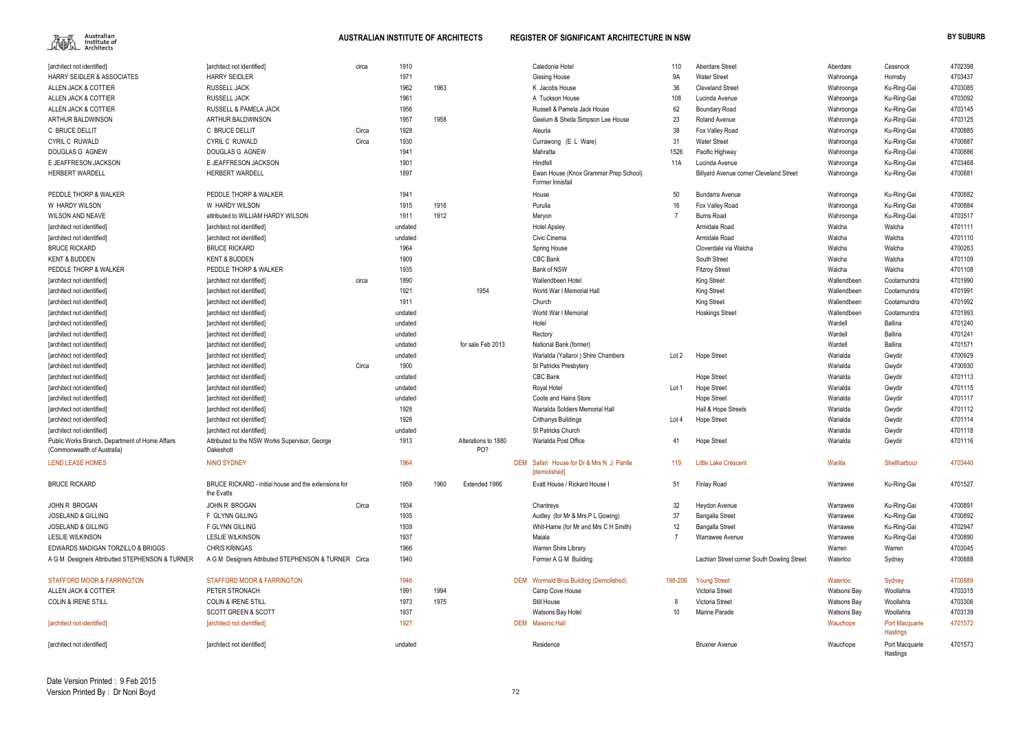| [architect not identified]                                                     | [architect not identified]                                         | circa | 1910               |      |                            | Caledonia Hotel                                          | 110             | Aberdare Street                                | Aberdare             | Cessnock                          | 4702398            |
|--------------------------------------------------------------------------------|--------------------------------------------------------------------|-------|--------------------|------|----------------------------|----------------------------------------------------------|-----------------|------------------------------------------------|----------------------|-----------------------------------|--------------------|
| HARRY SEIDLER & ASSOCIATES                                                     | <b>HARRY SEIDLER</b>                                               |       | 1971               |      |                            | <b>Gissing House</b>                                     | <b>9A</b>       | <b>Water Street</b>                            | Wahroonga            | Hornsby                           | 4703437            |
| ALLEN JACK & COTTIER                                                           | RUSSELL JACK                                                       |       | 1962               | 1963 |                            | K Jacobs House                                           | 36              | <b>Cleveland Street</b>                        | Wahroonga            | Ku-Ring-Gai                       | 4703085            |
| ALLEN JACK & COTTIER                                                           | RUSSELL JACK                                                       |       | 1961               |      |                            | A Tuckson House                                          | 108             | Lucinda Avenue                                 | Wahroonga            | Ku-Ring-Gai                       | 4703092            |
| ALLEN JACK & COTTIER                                                           | RUSSELL & PAMELA JACK                                              |       | 1956               |      |                            | Russell & Pamela Jack House                              | 62              | <b>Boundary Road</b>                           | Wahroonga            | Ku-Ring-Gai                       | 4703145            |
| ARTHUR BALDWINSON                                                              | ARTHUR BALDWINSON                                                  |       | 1957               | 1958 |                            | Geelum & Sheila Simpson Lee House                        | 23              | Roland Avenue                                  | Wahroonga            | Ku-Ring-Gai                       | 4703125            |
| C BRUCE DELLIT                                                                 | C BRUCE DELLIT                                                     | Circa | 1928               |      |                            | Aleuria                                                  | 38              | Fox Valley Road                                | Wahroonga            | Ku-Ring-Gai                       | 4700885            |
| <b>CYRIL C RUWALD</b>                                                          | <b>CYRIL C RUWALD</b>                                              | Circa | 1930               |      |                            | Currawong (E L Ware)                                     | 31              | <b>Water Street</b>                            | Wahroonga            | Ku-Ring-Gai                       | 4700887            |
| DOUGLAS G AGNEW                                                                | DOUGLAS G AGNEW                                                    |       | 1941               |      |                            | Mahratta                                                 | 1526            | Pacific Highway                                | Wahroonga            | Ku-Ring-Gai                       | 4700886            |
| E JEAFFRESON JACKSON                                                           | E JEAFFRESON JACKSON                                               |       | 1901               |      |                            | Hindfell                                                 | 11A             | Lucinda Avenue                                 | Wahroonga            | Ku-Ring-Gai                       | 4703468            |
| <b>HERBERT WARDELL</b>                                                         | <b>HERBERT WARDELL</b>                                             |       | 1897               |      |                            | Ewan House (Knox Grammar Prep School)                    |                 | <b>Billyard Avenue corner Cleveland Street</b> | Wahroonga            | Ku-Ring-Gai                       | 4700881            |
|                                                                                |                                                                    |       |                    |      |                            | Former Innisfail                                         |                 |                                                |                      |                                   |                    |
| PEDDLE THORP & WALKER                                                          | PEDDLE THORP & WALKER                                              |       | 1941               |      |                            | House                                                    | 50              | <b>Bundarra Avenue</b>                         | Wahroonga            | Ku-Ring-Gai                       | 4700882            |
| W HARDY WILSON                                                                 | W HARDY WILSON                                                     |       | 1915               | 1916 |                            | Purulia                                                  | 16              | Fox Valley Road                                | Wahroonga            | Ku-Ring-Gai                       | 4700884            |
| <b>WILSON AND NEAVE</b>                                                        | attributed to WILLIAM HARDY WILSON                                 |       | 1911               | 1912 |                            | Meryon                                                   |                 | <b>Burns Road</b>                              | Wahroonga            | Ku-Ring-Gai                       | 4703517            |
| [architect not identified]                                                     | [architect not identified]                                         |       | undated            |      |                            | <b>Hotel Apsley</b>                                      |                 | Armidale Road                                  | Walcha               | Walcha                            | 4701111            |
| [architect not identified]                                                     | [architect not identified]                                         |       | undated            |      |                            | Civic Cinema                                             |                 | Armidale Road                                  | Walcha               | Walcha                            | 4701110            |
| <b>BRUCE RICKARD</b>                                                           | <b>BRUCE RICKARD</b>                                               |       | 1964               |      |                            | Spring House                                             |                 | Cloverdale via Walcha                          | Walcha               | Walcha                            | 4700263            |
| <b>KENT &amp; BUDDEN</b>                                                       | <b>KENT &amp; BUDDEN</b>                                           |       | 1909               |      |                            | CBC Bank                                                 |                 | South Street                                   | Walcha               | Walcha                            | 4701109            |
| PEDDLE THORP & WALKER                                                          | PEDDLE THORP & WALKER                                              |       | 1935               |      |                            | Bank of NSW                                              |                 | <b>Fitzroy Street</b>                          | Walcha               | Walcha                            | 4701108            |
| [architect not identified]                                                     | [architect not identified]                                         | circa | 1890               |      |                            | Wallendbeen Hotel                                        |                 | <b>King Street</b>                             | Wallendbeen          | Cootamundra                       | 4701990            |
| [architect not identified]                                                     | [architect not identified]                                         |       | 1921               |      | 1954                       | World War I Memorial Hall                                |                 | <b>King Street</b>                             | Wallendbeen          | Cootamundra                       | 4701991            |
| [architect not identified]                                                     | [architect not identified]                                         |       | 1911               |      |                            | Church                                                   |                 | King Street                                    | Wallendbeen          | Cootamundra                       | 4701992            |
| [architect not identified]                                                     | [architect not identified]                                         |       | undated            |      |                            | World War I Memorial                                     |                 | <b>Hoskings Street</b>                         | Wallendbeen          | Cootamundra                       | 4701993            |
| [architect not identified]                                                     | [architect not identified]                                         |       | undated            |      |                            | Hotel                                                    |                 |                                                | Wardell              | Ballina                           | 4701240            |
| [architect not identified]                                                     | [architect not identified]                                         |       | undated            |      |                            | Rectory                                                  |                 |                                                | Wardell              | <b>Ballina</b>                    | 4701241            |
| [architect not identified]                                                     | [architect not identified]                                         |       | undated            |      | for sale Feb 2013          | National Bank (former)                                   |                 |                                                | Wardell              | Ballina                           | 4701571            |
|                                                                                |                                                                    |       | undated            |      |                            | Warialda (Yallaroi) Shire Chambers                       | Lot 2           | <b>Hope Street</b>                             | Warialda             |                                   | 4700929            |
| [architect not identified]                                                     | [architect not identified]                                         | Circa | 1900               |      |                            | <b>St Patricks Presbytery</b>                            |                 |                                                | Warialda             | Gwydir<br>Gwydir                  | 4700930            |
| [architect not identified]                                                     | [architect not identified]<br>[architect not identified]           |       | undated            |      |                            | CBC Bank                                                 |                 |                                                | Warialda             |                                   | 4701113            |
| [architect not identified]                                                     |                                                                    |       |                    |      |                            |                                                          |                 | <b>Hope Street</b>                             |                      | Gwydir                            |                    |
| [architect not identified]                                                     | [architect not identified]<br>[architect not identified]           |       | undated<br>undated |      |                            | Royal Hotel<br>Coote and Hains Store                     | Lot 1           | <b>Hope Street</b>                             | Warialda<br>Warialda | Gwydir                            | 4701115<br>4701117 |
| [architect not identified]                                                     |                                                                    |       | 1928               |      |                            |                                                          |                 | Hope Street                                    |                      | Gwydir                            |                    |
| [architect not identified]                                                     | [architect not identified]                                         |       | 1928               |      |                            | Warialda Soldiers Memorial Hall                          |                 | Hall & Hope Streets                            | Warialda             | Gwydir                            | 4701112            |
| [architect not identified]                                                     | [architect not identified]                                         |       |                    |      |                            | <b>Crithanys Buildings</b>                               | Lot 4           | <b>Hope Street</b>                             | Warialda             | Gwydir                            | 4701114            |
| [architect not identified]                                                     | [architect not identified]                                         |       | undated            |      |                            | St Patricks Church                                       |                 |                                                | Warialda             | Gwydir                            | 4701118            |
| Public Works Branch, Department of Home Affairs<br>(Commonwealth of Australia) | Attributed to the NSW Works Supervisor, George<br>Oakeshott        |       | 1913               |      | Alterations to 1880<br>PO? | Warialda Post Office                                     | 41              | <b>Hope Street</b>                             | Warialda             | Gwydir                            | 4701116            |
| <b>LEND LEASE HOMES</b>                                                        | <b>NINO SYDNEY</b>                                                 |       | 1964               |      |                            | DEM Safari House for Dr & Mrs N J Pantle<br>[demolished] | 119             | <b>Little Lake Crescent</b>                    | Warilla              | Shellharbour                      | 4703440            |
| <b>BRUCE RICKARD</b>                                                           | BRUCE RICKARD - initial house and the extensions for<br>the Evatts |       | 1959               | 1960 | Extended 1966              | Evatt House / Rickard House I                            | 51              | <b>Finlay Road</b>                             | Warrawee             | Ku-Ring-Gai                       | 4701527            |
| JOHN R BROGAN                                                                  | JOHN R BROGAN                                                      | Circa | 1934               |      |                            | Chantreys                                                | 32              | Heydon Avenue                                  | Warrawee             | Ku-Ring-Gai                       | 4700891            |
| <b>JOSELAND &amp; GILLING</b>                                                  | F GLYNN GILLING                                                    |       | 1935               |      |                            | Audley (for Mr & Mrs P L Gowing)                         | 37              | <b>Bangalla Street</b>                         | Warrawee             | Ku-Ring-Gai                       | 4700892            |
| <b>JOSELAND &amp; GILLING</b>                                                  | F GLYNN GILLING                                                    |       | 1939               |      |                            | Whit-Hame (for Mr and Mrs C H Smith)                     | 12              | <b>Bangalla Street</b>                         | Warrawee             | Ku-Ring-Gai                       | 4702947            |
| <b>LESLIE WILKINSON</b>                                                        | <b>LESLIE WILKINSON</b>                                            |       | 1937               |      |                            | Maiala                                                   |                 | Warrawee Avenue                                | Warrawee             | Ku-Ring-Gai                       | 4700890            |
| EDWARDS MADIGAN TORZILLO & BRIGGS                                              | <b>CHRIS KRINGAS</b>                                               |       | 1966               |      |                            | Warren Shire Library                                     |                 |                                                | Warren               | Warren                            | 4703045            |
| A G M Designers Attributted STEPHENSON & TURNER                                | A G M Designers Attributed STEPHENSON & TURNER Circa               |       | 1940               |      |                            | Former A G M Building                                    |                 | Lachlan Street corner South Dowling Street     | Waterloo             | Sydney                            | 4700888            |
|                                                                                |                                                                    |       |                    |      |                            |                                                          |                 |                                                |                      |                                   |                    |
| <b>STAFFORD MOOR &amp; FARRINGTON</b>                                          | <b>STAFFORD MOOR &amp; FARRINGTON</b>                              |       | 1946               |      |                            | <b>DEM</b> Wormald Bros Building (Demolished)            | 198-208         | <b>Young Street</b>                            | Waterloo             | Sydney                            | 4700889            |
| ALLEN JACK & COTTIER                                                           | PETER STRONACH                                                     |       | 1991               | 1994 |                            | Camp Cove House                                          |                 | Victoria Street                                | <b>Watsons Bay</b>   | Woollahra                         | 4703315            |
| <b>COLIN &amp; IRENE STILL</b>                                                 | <b>COLIN &amp; IRENE STILL</b>                                     |       | 1973               | 1975 |                            | Still House                                              | 8               | Victoria Street                                | <b>Watsons Bay</b>   | Woollahra                         | 4703306            |
|                                                                                | <b>SCOTT GREEN &amp; SCOTT</b>                                     |       | 1937               |      |                            | Watsons Bay Hotel                                        | 10 <sup>°</sup> | Marine Parade                                  | <b>Watsons Bay</b>   | Woollahra                         | 4703139            |
| [architect not identified]                                                     | [architect not identified]                                         |       | 1927               |      |                            | <b>DEM</b> Masonic Hall                                  |                 |                                                | Wauchope             | <b>Port Macquarie</b><br>Hastings | 4701572            |
| [architect not identified]                                                     | [architect not identified]                                         |       | undated            |      |                            | Residence                                                |                 | <b>Bruxner Avenue</b>                          | Wauchope             | Port Macquarie                    | 4701573            |

| 110   | <b>Aberdare Street</b>                     | Aberdare    | Cessnock                          | 4702398 |
|-------|--------------------------------------------|-------------|-----------------------------------|---------|
| 9Α    | <b>Water Street</b>                        | Wahroonga   | Hornsby                           | 4703437 |
| 36    | <b>Cleveland Street</b>                    | Wahroonga   | Ku-Ring-Gai                       | 4703085 |
| 108   | Lucinda Avenue                             | Wahroonga   | Ku-Ring-Gai                       | 4703092 |
| 62    | <b>Boundary Road</b>                       | Wahroonga   | Ku-Ring-Gai                       | 4703145 |
| 23    | Roland Avenue                              | Wahroonga   | Ku-Ring-Gai                       | 4703125 |
| 38    | Fox Valley Road                            | Wahroonga   | Ku-Ring-Gai                       | 4700885 |
| 31    | <b>Water Street</b>                        | Wahroonga   | Ku-Ring-Gai                       | 4700887 |
| 526   | Pacific Highway                            | Wahroonga   | Ku-Ring-Gai                       | 4700886 |
| 11A   | Lucinda Avenue                             | Wahroonga   | Ku-Ring-Gai                       | 4703468 |
|       | Billyard Avenue corner Cleveland Street    | Wahroonga   | Ku-Ring-Gai                       | 4700881 |
| 50    | Bundarra Avenue                            | Wahroonga   | Ku-Ring-Gai                       | 4700882 |
| 16    | Fox Valley Road                            | Wahroonga   | Ku-Ring-Gai                       | 4700884 |
| 7     | <b>Burns Road</b>                          | Wahroonga   | Ku-Ring-Gai                       | 4703517 |
|       | Armidale Road                              | Walcha      | Walcha                            | 4701111 |
|       | Armidale Road                              | Walcha      | Walcha                            | 4701110 |
|       | Cloverdale via Walcha                      | Walcha      | Walcha                            | 4700263 |
|       | South Street                               | Walcha      | Walcha                            | 4701109 |
|       | <b>Fitzroy Street</b>                      | Walcha      | Walcha                            | 4701108 |
|       | King Street                                | Wallendbeen | Cootamundra                       | 4701990 |
|       | <b>King Street</b>                         | Wallendbeen | Cootamundra                       | 4701991 |
|       | King Street                                | Wallendbeen | Cootamundra                       | 4701992 |
|       | <b>Hoskings Street</b>                     | Wallendbeen | Cootamundra                       | 4701993 |
|       |                                            | Wardell     | Ballina                           | 4701240 |
|       |                                            | Wardell     | <b>Ballina</b>                    | 4701241 |
|       |                                            | Wardell     | <b>Ballina</b>                    | 4701571 |
| .ot 2 | <b>Hope Street</b>                         | Warialda    | Gwydir                            | 4700929 |
|       |                                            | Warialda    | Gwydir                            | 4700930 |
|       | <b>Hope Street</b>                         | Warialda    | Gwydir                            | 4701113 |
| .ot 1 | Hope Street                                | Warialda    | Gwydir                            | 4701115 |
|       | <b>Hope Street</b>                         | Warialda    | Gwydir                            | 4701117 |
|       | Hall & Hope Streets                        | Warialda    | Gwydir                            | 4701112 |
| .ot 4 | Hope Street                                | Warialda    | Gwydir                            | 4701114 |
|       |                                            | Warialda    | Gwydir                            | 4701118 |
| 41    | Hope Street                                | Warialda    | Gwydir                            | 4701116 |
| 119   | <b>Little Lake Crescent</b>                | Warilla     | Shellharbour                      | 4703440 |
| 51    | <b>Finlay Road</b>                         | Warrawee    | Ku-Ring-Gai                       | 4701527 |
| 32    | Heydon Avenue                              | Warrawee    | Ku-Ring-Gai                       | 4700891 |
| 37    | <b>Bangalla Street</b>                     | Warrawee    | Ku-Ring-Gai                       | 4700892 |
| 12    | <b>Bangalla Street</b>                     | Warrawee    | Ku-Ring-Gai                       | 4702947 |
| 7     | Warrawee Avenue                            | Warrawee    | Ku-Ring-Gai                       | 4700890 |
|       |                                            | Warren      | Warren                            | 4703045 |
|       | Lachlan Street corner South Dowling Street | Waterloo    | Sydney                            | 4700888 |
| 8-208 | <b>Young Street</b>                        | Waterloo    | Sydney                            | 4700889 |
|       | Victoria Street                            | Watsons Bay | Woollahra                         | 4703315 |
| 8     | Victoria Street                            | Watsons Bay | Woollahra                         | 4703306 |
| 10    | Marine Parade                              | Watsons Bay | Woollahra                         | 4703139 |
|       |                                            | Wauchope    | Port Macquarie<br><b>Hastings</b> | 4701572 |
|       | <b>Bruxner Avenue</b>                      | Wauchope    | Port Macquarie<br>Hastings        | 4701573 |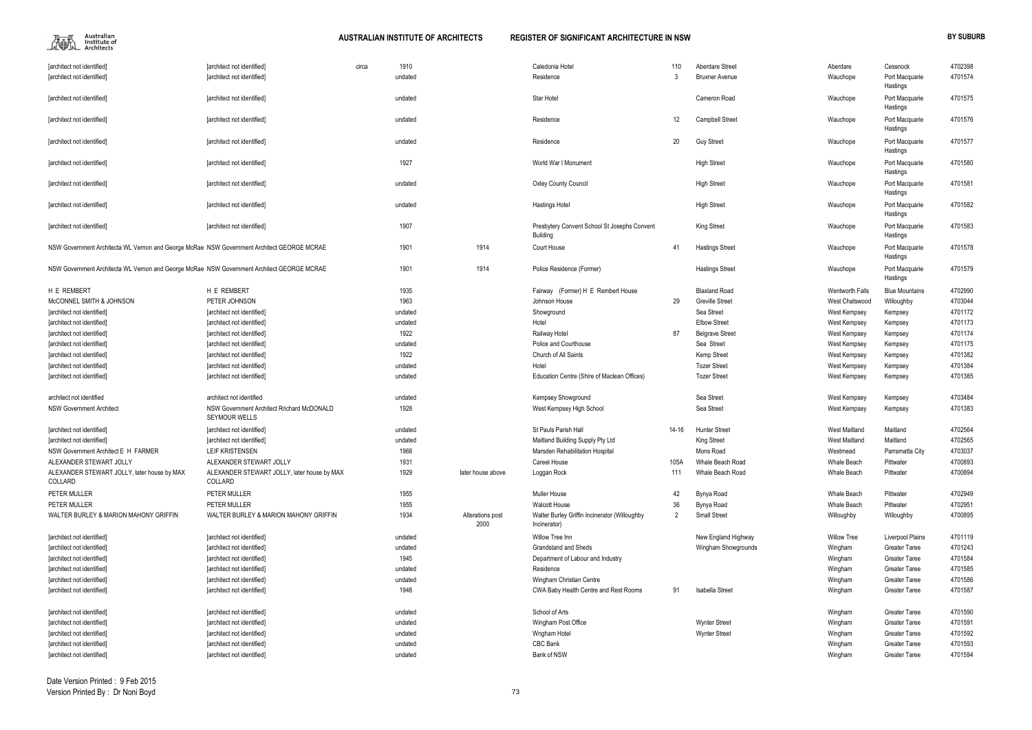$\begin{picture}(120,115) \put(0,0){\line(1,0){15}} \put(15,0){\line(1,0){15}} \put(15,0){\line(1,0){15}} \put(15,0){\line(1,0){15}} \put(15,0){\line(1,0){15}} \put(15,0){\line(1,0){15}} \put(15,0){\line(1,0){15}} \put(15,0){\line(1,0){15}} \put(15,0){\line(1,0){15}} \put(15,0){\line(1,0){15}} \put(15,0){\line(1,0){15}} \put(15,0){\line$ 

**AUSTRALIAN INSTITUTE OF ARCHITECTS REGISTER OF SIGNIFICANT ARCHITECTURE IN NSW BY SUBURB** 

| 10             | Aberdare Street        | Aberdare               | Cessnock              | 4702398 |
|----------------|------------------------|------------------------|-----------------------|---------|
| 3              | <b>Bruxner Avenue</b>  | Wauchope               | Port Macquarie        | 4701574 |
|                |                        |                        | Hastings              |         |
|                | Cameron Road           | Wauchope               | Port Macquarie        | 4701575 |
|                |                        |                        | Hastings              |         |
| $\overline{2}$ | Campbell Street        | Wauchope               | Port Macquarie        | 4701576 |
|                |                        |                        | Hastings              |         |
| 20             | <b>Guy Street</b>      | Wauchope               | Port Macquarie        | 4701577 |
|                |                        |                        | Hastings              |         |
|                | <b>High Street</b>     | Wauchope               | Port Macquarie        | 4701580 |
|                |                        |                        | Hastings              |         |
|                | <b>High Street</b>     | Wauchope               | Port Macquarie        | 4701581 |
|                |                        |                        | Hastings              |         |
|                | <b>High Street</b>     | Wauchope               | Port Macquarie        | 4701582 |
|                |                        |                        | Hastings              |         |
|                | King Street            | Wauchope               | Port Macquarie        | 4701583 |
|                |                        |                        | Hastings              |         |
| ١1             | <b>Hastings Street</b> | Wauchope               | Port Macquarie        | 4701578 |
|                |                        |                        | Hastings              |         |
|                | <b>Hastings Street</b> | Wauchope               | Port Macquarie        | 4701579 |
|                |                        |                        | Hastings              |         |
|                | <b>Blaxland Road</b>   | <b>Wentworth Falls</b> | <b>Blue Mountains</b> | 4702990 |
| 29             | <b>Greville Street</b> | West Chatswood         | Willoughby            | 4703044 |
|                | Sea Street             | West Kempsey           | Kempsey               | 4701172 |
|                | <b>Elbow Street</b>    | West Kempsey           | Kempsey               | 4701173 |
| 37             | <b>Belgrave Street</b> | West Kempsey           | Kempsey               | 4701174 |
|                | Sea Street             | West Kempsey           | Kempsey               | 4701175 |
|                | Kemp Street            | West Kempsey           | Kempsey               | 4701382 |
|                | <b>Tozer Street</b>    | West Kempsey           | Kempsey               | 4701384 |
|                | <b>Tozer Street</b>    | West Kempsey           | Kempsey               | 4701385 |
|                |                        |                        |                       |         |
|                | Sea Street             | West Kempsey           | Kempsey               | 4703484 |
|                | Sea Street             | West Kempsey           | Kempsey               | 4701383 |
|                |                        |                        |                       |         |
| -16            | <b>Hunter Street</b>   | <b>West Maitland</b>   | Maitland              | 4702564 |
|                | King Street            | <b>West Maitland</b>   | Maitland              | 4702565 |
|                | Mons Road              | Westmead               | Parramatta City       | 4703037 |
| 15A            | Whale Beach Road       | Whale Beach            | Pittwater             | 4700893 |
| 11             | Whale Beach Road       | Whale Beach            | Pittwater             | 4700894 |
|                |                        |                        |                       |         |
| 12             | Bynya Road             | Whale Beach            | Pittwater             | 4702949 |
| 36             | Bynya Road             | <b>Whale Beach</b>     | Pittwater             | 4702951 |
| 2              | <b>Small Street</b>    | Willoughby             |                       |         |
|                |                        |                        | Willoughby            | 4700895 |
|                | New England Highway    | <b>Willow Tree</b>     | Liverpool Plains      | 4701119 |
|                |                        |                        | <b>Greater Taree</b>  |         |
|                | Wingham Showgrounds    | Wingham                | <b>Greater Taree</b>  | 4701243 |
|                |                        | Wingham                |                       | 4701584 |
|                |                        | Wingham                | <b>Greater Taree</b>  | 4701585 |
|                |                        | Wingham                | <b>Greater Taree</b>  | 4701586 |
| )1             | <b>Isabella Street</b> | Wingham                | <b>Greater Taree</b>  | 4701587 |
|                |                        |                        |                       |         |
|                |                        | Wingham                | <b>Greater Taree</b>  | 4701590 |
|                | <b>Wynter Street</b>   | Wingham                | <b>Greater Taree</b>  | 4701591 |
|                | <b>Wynter Street</b>   | Wingham                | <b>Greater Taree</b>  | 4701592 |
|                |                        | Wingham                | <b>Greater Taree</b>  | 4701593 |
|                |                        | Wingham                | <b>Greater Taree</b>  | 4701594 |

| [architect not identified]                                                                 | [architect not identified]                  | circa | 1910    |                   | Caledonia Hotel                               | 110            | <b>Aberdare Street</b> | Aberdare             | Cessnock                | 4702398 |
|--------------------------------------------------------------------------------------------|---------------------------------------------|-------|---------|-------------------|-----------------------------------------------|----------------|------------------------|----------------------|-------------------------|---------|
| [architect not identified]                                                                 | [architect not identified]                  |       | undated |                   | Residence                                     | 3              | <b>Bruxner Avenue</b>  | Wauchope             | Port Macquarie          | 4701574 |
|                                                                                            |                                             |       |         |                   |                                               |                |                        |                      | Hastings                |         |
| [architect not identified]                                                                 | [architect not identified]                  |       | undated |                   | Star Hotel                                    |                | Cameron Road           | Wauchope             | Port Macquarie          | 4701575 |
|                                                                                            |                                             |       |         |                   |                                               |                |                        |                      | Hastings                |         |
| [architect not identified]                                                                 | [architect not identified]                  |       | undated |                   | Residence                                     | 12             | <b>Campbell Street</b> | Wauchope             | Port Macquarie          | 4701576 |
|                                                                                            |                                             |       |         |                   |                                               |                |                        |                      | Hastings                |         |
| [architect not identified]                                                                 | [architect not identified]                  |       | undated |                   | Residence                                     | 20             | <b>Guy Street</b>      | Wauchope             | Port Macquarie          | 4701577 |
|                                                                                            |                                             |       |         |                   |                                               |                |                        |                      | Hastings                |         |
| [architect not identified]                                                                 | [architect not identified]                  |       | 1927    |                   | World War I Monument                          |                | <b>High Street</b>     | Wauchope             | Port Macquarie          | 4701580 |
|                                                                                            |                                             |       |         |                   |                                               |                |                        |                      | Hastings                |         |
| [architect not identified]                                                                 | [architect not identified]                  |       | undated |                   | <b>Oxley County Council</b>                   |                | <b>High Street</b>     | Wauchope             | Port Macquarie          | 4701581 |
|                                                                                            |                                             |       |         |                   |                                               |                |                        |                      | Hastings                |         |
| [architect not identified]                                                                 | [architect not identified]                  |       | undated |                   | Hastings Hotel                                |                | <b>High Street</b>     | Wauchope             | Port Macquarie          | 4701582 |
|                                                                                            |                                             |       |         |                   |                                               |                |                        |                      | Hastings                |         |
| [architect not identified]                                                                 | [architect not identified]                  |       | 1907    |                   | Presbytery Convent School St Josephs Convent  |                | <b>King Street</b>     | Wauchope             | Port Macquarie          | 4701583 |
|                                                                                            |                                             |       |         |                   | <b>Building</b>                               |                |                        |                      | Hastings                |         |
| NSW Government Architecta WL Vernon and George McRae NSW Government Architect GEORGE MCRAE |                                             |       | 1901    | 1914              | Court House                                   | 41             | <b>Hastings Street</b> | Wauchope             | Port Macquarie          | 4701578 |
|                                                                                            |                                             |       |         |                   |                                               |                |                        |                      | Hastings                |         |
| NSW Government Architecta WL Vernon and George McRae NSW Government Architect GEORGE MCRAE |                                             |       | 1901    | 1914              | Police Residence (Former)                     |                | <b>Hastings Street</b> | Wauchope             | Port Macquarie          | 4701579 |
|                                                                                            |                                             |       |         |                   |                                               |                |                        |                      | Hastings                |         |
| H E REMBERT                                                                                | H E REMBERT                                 |       | 1935    |                   | Fairway (Former) H E Rembert House            |                | <b>Blaxland Road</b>   | Wentworth Falls      | <b>Blue Mountains</b>   | 4702990 |
| McCONNEL SMITH & JOHNSON                                                                   | PETER JOHNSON                               |       | 1963    |                   | Johnson House                                 | 29             | <b>Greville Street</b> | West Chatswood       | Willoughby              | 4703044 |
| [architect not identified]                                                                 | [architect not identified]                  |       | undated |                   | Showground                                    |                | Sea Street             | West Kempsey         | Kempsey                 | 4701172 |
| [architect not identified]                                                                 | [architect not identified]                  |       | undated |                   | Hotel                                         |                | <b>Elbow Street</b>    | West Kempsey         | Kempsey                 | 4701173 |
| [architect not identified]                                                                 | [architect not identified]                  |       | 1922    |                   | Railway Hotel                                 | 87             | <b>Belgrave Street</b> | West Kempsey         | Kempsey                 | 4701174 |
| [architect not identified]                                                                 | [architect not identified]                  |       | undated |                   | Police and Courthouse                         |                | Sea Street             | West Kempsey         | Kempsey                 | 4701175 |
| [architect not identified]                                                                 | [architect not identified]                  |       | 1922    |                   | Church of All Saints                          |                | Kemp Street            | West Kempsey         | Kempsey                 | 4701382 |
| [architect not identified]                                                                 | [architect not identified]                  |       | undated |                   | Hotel                                         |                | <b>Tozer Street</b>    | West Kempsey         | Kempsey                 | 4701384 |
| [architect not identified]                                                                 | [architect not identified]                  |       | undated |                   | Education Centre (Shire of Maclean Offices)   |                | <b>Tozer Street</b>    | West Kempsey         | Kempsey                 | 4701385 |
|                                                                                            |                                             |       |         |                   |                                               |                |                        |                      |                         |         |
| architect not identified                                                                   | architect not identified                    |       | undated |                   | <b>Kempsey Showground</b>                     |                | Sea Street             | West Kempsey         | Kempsey                 | 4703484 |
| <b>NSW Government Architect</b>                                                            | NSW Government Architect Rrichard McDONALD  |       | 1928    |                   | West Kempsey High School                      |                | Sea Street             | West Kempsey         | Kempsey                 | 4701383 |
|                                                                                            | <b>SEYMOUR WELLS</b>                        |       |         |                   |                                               |                |                        |                      |                         |         |
| [architect not identified]                                                                 | [architect not identified]                  |       | undated |                   | St Pauls Parish Hall                          | 14-16          | <b>Hunter Street</b>   | <b>West Maitland</b> | Maitland                | 4702564 |
| [architect not identified]                                                                 | [architect not identified]                  |       | undated |                   | Maitland Building Supply Pty Ltd              |                | <b>King Street</b>     | West Maitland        | Maitland                | 4702565 |
| NSW Government Architect E H FARMER                                                        | <b>LEIF KRISTENSEN</b>                      |       | 1968    |                   | Marsden Rehabilitation Hospita                |                | Mons Road              | Westmead             | Parramatta City         | 4703037 |
| ALEXANDER STEWART JOLLY                                                                    | ALEXANDER STEWART JOLLY                     |       | 1931    |                   | Careel House                                  | 105A           | Whale Beach Road       | Whale Beach          | Pittwater               | 4700893 |
| ALEXANDER STEWART JOLLY, later house by MAX                                                | ALEXANDER STEWART JOLLY, later house by MAX |       | 1929    | later house above | Loggan Rock                                   | 111            | Whale Beach Road       | Whale Beach          | Pittwater               | 4700894 |
| COLLARD                                                                                    | COLLARD                                     |       |         |                   |                                               |                |                        |                      |                         |         |
| PETER MULLER                                                                               | PETER MULLER                                |       | 1955    |                   | Muller House                                  | 42             | Bynya Road             | Whale Beach          | Pittwater               | 4702949 |
| PETER MULLER                                                                               | PETER MULLER                                |       | 1955    |                   | <b>Walcott House</b>                          | 36             | Bynya Road             | Whale Beach          | Pittwater               | 4702951 |
| WALTER BURLEY & MARION MAHONY GRIFFIN                                                      | WALTER BURLEY & MARION MAHONY GRIFFIN       |       | 1934    | Alterations post  | Walter Burley Griffin Incinerator (Willoughby | $\overline{2}$ | <b>Small Street</b>    | Willoughby           | Willoughby              | 4700895 |
|                                                                                            |                                             |       |         | 2000              | Incinerator)                                  |                |                        |                      |                         |         |
| [architect not identified]                                                                 | [architect not identified]                  |       | undated |                   | Willow Tree Inn                               |                | New England Highway    | <b>Willow Tree</b>   | <b>Liverpool Plains</b> | 4701119 |
| [architect not identified]                                                                 | [architect not identified]                  |       | undated |                   | Grandstand and Sheds                          |                | Wingham Showgrounds    | Wingham              | <b>Greater Taree</b>    | 4701243 |
|                                                                                            |                                             |       |         |                   |                                               |                |                        |                      | <b>Greater Taree</b>    | 4701584 |
| [architect not identified]                                                                 | [architect not identified]                  |       | 1945    |                   | Department of Labour and Industry             |                |                        | Wingham              |                         |         |
| [architect not identified]                                                                 | [architect not identified]                  |       | undated |                   | Residence                                     |                |                        | Wingham              | <b>Greater Taree</b>    | 4701585 |
| [architect not identified]                                                                 | [architect not identified]                  |       | undated |                   | Wingham Christian Centre                      |                |                        | Wingham              | <b>Greater Taree</b>    | 4701586 |
| [architect not identified]                                                                 | [architect not identified]                  |       | 1948    |                   | CWA Baby Health Centre and Rest Rooms         | 91             | Isabella Street        | Wingham              | <b>Greater Taree</b>    | 4701587 |
|                                                                                            |                                             |       |         |                   | School of Arts                                |                |                        |                      |                         |         |
| [architect not identified]                                                                 | [architect not identified]                  |       | undated |                   |                                               |                |                        | Wingham              | <b>Greater Taree</b>    | 4701590 |
| [architect not identified]                                                                 | [architect not identified]                  |       | undated |                   | Wingham Post Office                           |                | <b>Wynter Street</b>   | Wingham              | <b>Greater Taree</b>    | 4701591 |
| [architect not identified]                                                                 | [architect not identified]                  |       | undated |                   | Wngham Hotel                                  |                | <b>Wynter Street</b>   | Wingham              | <b>Greater Taree</b>    | 4701592 |
| [architect not identified]                                                                 | [architect not identified]                  |       | undated |                   | CBC Bank                                      |                |                        | Wingham              | <b>Greater Taree</b>    | 4701593 |
| [architect not identified]                                                                 | [architect not identified]                  |       | undated |                   | Bank of NSW                                   |                |                        | Wingham              | <b>Greater Taree</b>    | 4701594 |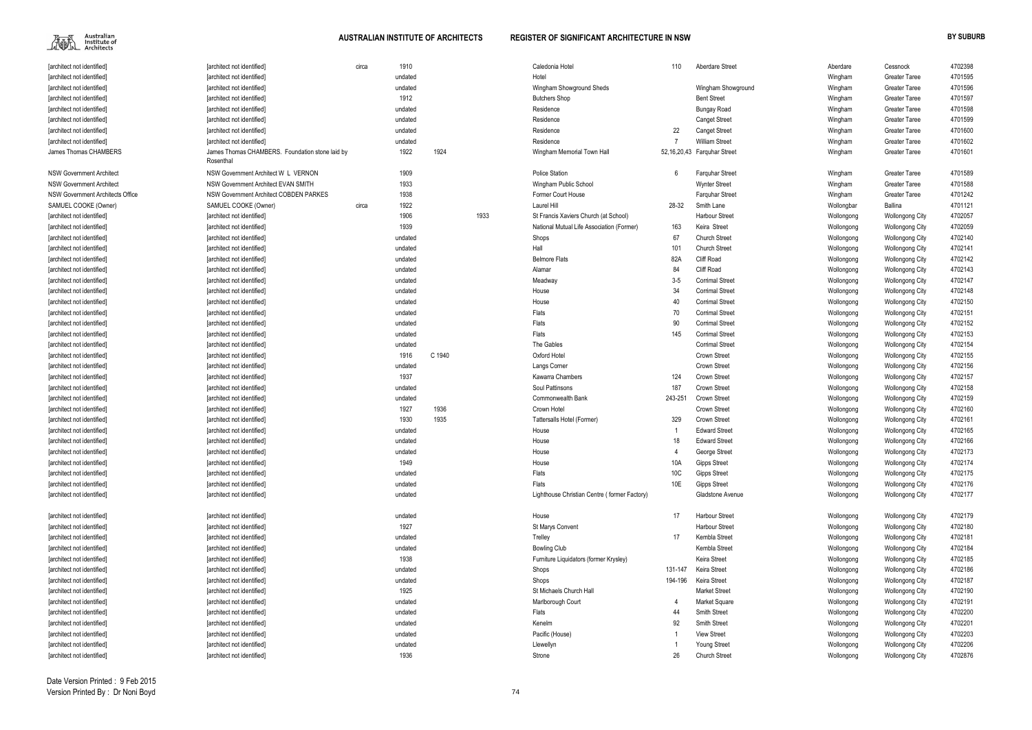

## **AUSTRALIAN INSTITUTE OF ARCHITECTS REGISTER OF SIGNIFICANT ARCHITECTURE IN NSW BY SUBURB**

| [architect not identified]       |
|----------------------------------|
| [architect not identified]       |
| [architect not identified]       |
| [architect not identified]       |
| [architect not identified]       |
| [architect not identified]       |
| [architect not identified]       |
| [architect not identified]       |
| James Thomas CHAMBERS            |
|                                  |
| NSW Government Architect         |
| NSW Government Architect         |
| NSW Government Architects Office |
| SAMUEL COOKE (Owner)             |
| [architect not identified]       |
| [architect not identified]       |
| [architect not identified]       |
| [architect not identified]       |
| [architect not identified]       |
| [architect not identified]       |
| [architect not identified]       |
| [architect not identified]       |
| [architect not identified]       |
| [architect not identified]       |
| [architect not identified]       |
| [architect not identified]       |
| [architect not identified]       |
| [architect not identified]       |
| [architect not identified]       |
| [architect not identified]       |
| [architect not identified]       |
| [architect not identified]       |
| [architect not identified]       |
| [architect not identified]       |
| [architect not identified]       |
| [architect not identified]       |
| [architect not identified]       |
| [architect not identified]       |
| [architect not identified]       |
| [architect not identified]       |
| [architect not identified]       |
|                                  |
| [architect not identified]       |
| [architect not identified]       |
| [architect not identified]       |
| [architect not identified]       |
| [architect not identified]       |
| [architect not identified]       |
| [architect not identified]       |
| [architect not identified]       |
|                                  |

| [architect not identified]       | [architect not identified]                                   | circa | 1910    |        |      | Caledonia Hotel                              | 110     | <b>Aberdare Street</b>      | Aberdare   | Cessnock                                         | 4702398 |
|----------------------------------|--------------------------------------------------------------|-------|---------|--------|------|----------------------------------------------|---------|-----------------------------|------------|--------------------------------------------------|---------|
| [architect not identified]       | [architect not identified]                                   |       | undated |        |      | Hotel                                        |         |                             | Wingham    | <b>Greater Taree</b>                             | 4701595 |
| [architect not identified]       | [architect not identified]                                   |       | undated |        |      | Wingham Showground Sheds                     |         | Wingham Showground          | Wingham    | <b>Greater Taree</b>                             | 4701596 |
| [architect not identified]       | [architect not identified]                                   |       | 1912    |        |      | <b>Butchers Shop</b>                         |         | <b>Bent Street</b>          | Wingham    | <b>Greater Taree</b>                             | 4701597 |
| [architect not identified]       | <b>farchitect not identified]</b>                            |       | undated |        |      | Residence                                    |         | <b>Bungay Road</b>          | Wingham    | <b>Greater Taree</b>                             | 4701598 |
| [architect not identified]       | [architect not identified]                                   |       | undated |        |      | Residence                                    |         | <b>Canget Street</b>        | Wingham    | <b>Greater Taree</b>                             | 4701599 |
| [architect not identified]       | [architect not identified]                                   |       | undated |        |      | Residence                                    | 22      | <b>Canget Street</b>        | Wingham    | <b>Greater Taree</b>                             | 4701600 |
| [architect not identified]       | [architect not identified]                                   |       | undated |        |      | Residence                                    |         | <b>William Street</b>       | Wingham    | <b>Greater Taree</b>                             | 4701602 |
| James Thomas CHAMBERS            | James Thomas CHAMBERS. Foundation stone laid by<br>Rosenthal |       | 1922    | 1924   |      | Wingham Memorial Town Hall                   |         | 52,16,20,43 Farquhar Street | Wingham    | <b>Greater Taree</b>                             | 4701601 |
| <b>NSW Government Architect</b>  | NSW Government Architect W L VERNON                          |       | 1909    |        |      | <b>Police Station</b>                        | 6       | <b>Farguhar Street</b>      | Wingham    | <b>Greater Taree</b>                             | 4701589 |
| NSW Government Architect         | NSW Government Architect EVAN SMITH                          |       | 1933    |        |      | Wingham Public School                        |         | <b>Wynter Street</b>        | Wingham    | <b>Greater Taree</b>                             | 4701588 |
| NSW Government Architects Office | NSW Government Architect COBDEN PARKES                       |       | 1938    |        |      | Former Court House                           |         | <b>Farguhar Street</b>      | Wingham    | <b>Greater Taree</b>                             | 4701242 |
| SAMUEL COOKE (Owner)             | SAMUEL COOKE (Owner)                                         | circa | 1922    |        |      | Laurel Hill                                  | 28-32   | Smith Lane                  | Wollongbar | Ballina                                          | 4701121 |
| [architect not identified]       | [architect not identified]                                   |       | 1906    |        | 1933 | St Francis Xaviers Church (at School)        |         | <b>Harbour Street</b>       | Wollongong | <b>Wollongong City</b>                           | 4702057 |
| [architect not identified]       | [architect not identified]                                   |       | 1939    |        |      | National Mutual Life Association (Former)    | 163     | Keira Street                | Wollongong | Wollongong City                                  | 4702059 |
| [architect not identified]       | [architect not identified]                                   |       | undated |        |      | Shops                                        | 67      | <b>Church Street</b>        | Wollongong | Wollongong City                                  | 4702140 |
| [architect not identified]       | [architect not identified]                                   |       | undated |        |      | Hall                                         | 101     | <b>Church Street</b>        | Wollongong | <b>Wollongong City</b>                           | 4702141 |
| [architect not identified]       | [architect not identified]                                   |       | undated |        |      | <b>Belmore Flats</b>                         | 82A     | <b>Cliff Road</b>           | Wollongong | <b>Wollongong City</b>                           | 4702142 |
| [architect not identified]       | <b>Tarchitect not identified]</b>                            |       | undated |        |      | Alamar                                       | 84      | <b>Cliff Road</b>           | Wollongong | <b>Wollongong City</b>                           | 4702143 |
| [architect not identified]       | <b>Tarchitect not identified]</b>                            |       | undated |        |      | Meadway                                      | $3 - 5$ | <b>Corrimal Street</b>      | Wollongong | <b>Wollongong City</b>                           | 4702147 |
| larchitect not identified]       | [architect not identified]                                   |       | undated |        |      | House                                        | 34      | <b>Corrimal Street</b>      | Wollongong | <b>Wollongong City</b>                           | 4702148 |
| [architect not identified]       | [architect not identified]                                   |       | undated |        |      | House                                        | 40      | <b>Corrimal Street</b>      | Wollongong | <b>Wollongong City</b>                           | 4702150 |
| [architect not identified]       |                                                              |       |         |        |      | Flats                                        | 70      | <b>Corrimal Street</b>      |            |                                                  | 4702151 |
|                                  | [architect not identified]                                   |       | undated |        |      | Flats                                        |         | <b>Corrimal Street</b>      | Wollongong | <b>Wollongong City</b>                           |         |
| [architect not identified]       | [architect not identified]                                   |       | undated |        |      |                                              | 90      |                             | Wollongong | <b>Wollongong City</b>                           | 4702152 |
| [architect not identified]       | [architect not identified]                                   |       | undated |        |      | Flats                                        | 145     | <b>Corrimal Street</b>      | Wollongong | <b>Wollongong City</b>                           | 4702153 |
| [architect not identified]       | [architect not identified]                                   |       | undated |        |      | The Gables                                   |         | <b>Corrimal Street</b>      | Wollongong | <b>Wollongong City</b>                           | 4702154 |
| [architect not identified]       | [architect not identified]                                   |       | 1916    | C 1940 |      | Oxford Hotel                                 |         | <b>Crown Street</b>         | Wollongong | <b>Wollongong City</b>                           | 4702155 |
| [architect not identified]       | [architect not identified]                                   |       | undated |        |      | Langs Corner                                 |         | <b>Crown Street</b>         | Wollongong | <b>Wollongong City</b>                           | 4702156 |
| [architect not identified]       | [architect not identified]                                   |       | 1937    |        |      | Kawarra Chambers                             | 124     | <b>Crown Street</b>         | Wollongong | <b>Wollongong City</b>                           | 4702157 |
| [architect not identified]       | [architect not identified]                                   |       | undated |        |      | Soul Pattinsons                              | 187     | <b>Crown Street</b>         | Wollongong | <b>Wollongong City</b>                           | 4702158 |
| [architect not identified]       | [architect not identified]                                   |       | undated |        |      | <b>Commonwealth Bank</b>                     | 243-251 | <b>Crown Street</b>         | Wollongong | <b>Wollongong City</b>                           | 4702159 |
| [architect not identified]       | [architect not identified]                                   |       | 1927    | 1936   |      | Crown Hotel                                  |         | <b>Crown Street</b>         | Wollongong | <b>Wollongong City</b>                           | 4702160 |
| [architect not identified]       | [architect not identified]                                   |       | 1930    | 1935   |      | Tattersalls Hotel (Former)                   | 329     | <b>Crown Street</b>         | Wollongong | <b>Wollongong City</b>                           | 4702161 |
| [architect not identified]       | farchitect not identified]                                   |       | undated |        |      | House                                        |         | <b>Edward Street</b>        | Wollongong | <b>Wollongong City</b>                           | 4702165 |
| [architect not identified]       | [architect not identified]                                   |       | undated |        |      | House                                        | 18      | <b>Edward Street</b>        | Wollongong | <b>Wollongong City</b>                           | 4702166 |
| [architect not identified]       | [architect not identified]                                   |       | undated |        |      | House                                        |         | George Street               | Wollongong | <b>Wollongong City</b>                           | 4702173 |
| [architect not identified]       | [architect not identified]                                   |       | 1949    |        |      | House                                        | 10A     | <b>Gipps Street</b>         | Wollongong | <b>Wollongong City</b>                           | 4702174 |
| [architect not identified]       | [architect not identified]                                   |       | undated |        |      | Flats                                        | 10C     | <b>Gipps Street</b>         | Wollongong | <b>Wollongong City</b>                           | 4702175 |
| [architect not identified]       | [architect not identified]                                   |       | undated |        |      | Flats                                        | 10E     | <b>Gipps Street</b>         | Wollongong | <b>Wollongong City</b>                           | 4702176 |
| [architect not identified]       | [architect not identified]                                   |       | undated |        |      | Lighthouse Christian Centre (former Factory) |         | Gladstone Avenue            | Wollongong | <b>Wollongong City</b>                           | 4702177 |
| [architect not identified]       | [architect not identified]                                   |       | undated |        |      | House                                        | 17      | <b>Harbour Street</b>       | Wollongong | Wollongong City                                  | 4702179 |
| [architect not identified]       | [architect not identified]                                   |       | 1927    |        |      | <b>St Marys Convent</b>                      |         | <b>Harbour Street</b>       | Wollongong | <b>Wollongong City</b>                           | 4702180 |
| [architect not identified]       | <b>Tarchitect not identified1</b>                            |       | undated |        |      | Trelley                                      | 17      | Kembla Street               | Wollongong | <b>Wollongong City</b>                           | 4702181 |
| [architect not identified]       | [architect not identified]                                   |       | undated |        |      | <b>Bowling Club</b>                          |         | Kembla Street               | Wollongong | <b>Wollongong City</b>                           | 4702184 |
| [architect not identified]       | [architect not identified]                                   |       | 1938    |        |      | Furniture Liquidators (former Krysley)       |         | Keira Street                | Wollongong | <b>Wollongong City</b>                           | 4702185 |
| [architect not identified]       | [architect not identified]                                   |       | undated |        |      | Shops                                        | 131-147 | Keira Street                | Wollongong | <b>Wollongong City</b>                           | 4702186 |
| [architect not identified]       | [architect not identified]                                   |       | undated |        |      | Shops                                        | 194-196 | Keira Street                | Wollongong | Wollongong City                                  | 4702187 |
| [architect not identified]       | [architect not identified]                                   |       | 1925    |        |      | St Michaels Church Hall                      |         | <b>Market Street</b>        | Wollongong | <b>Wollongong City</b>                           | 4702190 |
| [architect not identified]       | [architect not identified]                                   |       | undated |        |      | Marlborough Court                            |         | Market Square               | Wollongong | <b>Wollongong City</b>                           | 4702191 |
| [architect not identified]       | [architect not identified]                                   |       | undated |        |      | Flats                                        | 44      | Smith Street                | Wollongong | <b>Wollongong City</b>                           | 4702200 |
| [architect not identified]       | [architect not identified]                                   |       | undated |        |      | Kenelm                                       | 92      | Smith Street                | Wollongong | <b>Wollongong City</b>                           | 4702201 |
| [architect not identified]       | [architect not identified]                                   |       | undated |        |      | Pacific (House)                              |         | <b>View Street</b>          | Wollongong |                                                  | 4702203 |
| [architect not identified]       | [architect not identified]                                   |       | undated |        |      | Llewellyn                                    |         | Young Street                | Wollongong | <b>Wollongong City</b><br><b>Wollongong City</b> | 4702206 |
|                                  |                                                              |       | 1936    |        |      | Strone                                       | 26      | <b>Church Street</b>        |            |                                                  | 4702876 |
| [architect not identified]       | [architect not identified]                                   |       |         |        |      |                                              |         |                             | Wollongong | <b>Wollongong City</b>                           |         |
|                                  |                                                              |       |         |        |      |                                              |         |                             |            |                                                  |         |

| Aberdare              | 4702398<br>Cessnock               |
|-----------------------|-----------------------------------|
| Wingham               | Greater Taree<br>4701595          |
| Wingham               | Greater Taree<br>4701596          |
| Wingham               | <b>Greater Taree</b><br>4701597   |
| Wingham               | Greater Taree<br>4701598          |
| Wingham               | Greater Taree<br>4701599          |
| Wingham               | Greater Taree<br>4701600          |
| Wingham               | <b>Greater Taree</b><br>4701602   |
| Wingham               | Greater Taree<br>4701601          |
| Wingham               | 4701589<br><b>Greater Taree</b>   |
| Wingham               | <b>Greater Taree</b><br>4701588   |
| Wingham               | 4701242<br><b>Greater Taree</b>   |
| Wollongbar<br>Ballina | 4701121                           |
| Wollongong            | 4702057<br><b>Wollongong City</b> |
| Wollongong            | 4702059<br><b>Wollongong City</b> |
| Wollongong            | <b>Wollongong City</b><br>4702140 |
| Wollongong            | <b>Wollongong City</b><br>4702141 |
| Wollongong            | 4702142<br><b>Wollongong City</b> |
| Wollongong            | 4702143<br><b>Wollongong City</b> |
| Wollongong            | 4702147<br><b>Wollongong City</b> |
| Wollongong            | 4702148<br><b>Wollongong City</b> |
| Wollongong            | 4702150<br><b>Wollongong City</b> |
| Wollongong            | 4702151<br><b>Wollongong City</b> |
| Wollongong            | 4702152<br><b>Wollongong City</b> |
| Wollongong            | 4702153<br><b>Wollongong City</b> |
| Wollongong            | 4702154<br><b>Wollongong City</b> |
| Wollongong            | 4702155<br><b>Wollongong City</b> |
| Wollongong            | 4702156<br><b>Wollongong City</b> |
| Wollongong            | 4702157<br><b>Wollongong City</b> |
| Wollongong            | 4702158<br><b>Wollongong City</b> |
| Wollongong            | 4702159<br><b>Wollongong City</b> |
| Wollongong            | 4702160<br><b>Wollongong City</b> |
| Wollongong            | 4702161<br><b>Wollongong City</b> |
| Wollongong            | 4702165<br><b>Wollongong City</b> |
| Wollongong            | 4702166<br><b>Wollongong City</b> |
| Wollongong            | <b>Wollongong City</b><br>4702173 |
| Wollongong            | <b>Wollongong City</b><br>4702174 |
| Wollongong            | 4702175<br><b>Wollongong City</b> |
| Wollongong            | <b>Wollongong City</b><br>4702176 |
| Wollongong            | <b>Wollongong City</b><br>4702177 |
| Wollongong            | 4702179<br>Wollongong City        |
| Wollongong            | <b>Wollongong City</b><br>4702180 |
| Wollongong            | <b>Wollongong City</b><br>4702181 |
| Wollongong            | <b>Wollongong City</b><br>4702184 |
| Wollongong            | <b>Wollongong City</b><br>4702185 |
| Wollongong            | Wollongong City<br>4702186        |
| Wollongong            | Wollongong City<br>4702187        |
| Wollongong            | <b>Wollongong City</b><br>4702190 |
| Wollongong            | <b>Wollongong City</b><br>4702191 |
| Wollongong            | <b>Wollongong City</b><br>4702200 |
| Wollongong            | <b>Wollongong City</b><br>4702201 |
|                       |                                   |
| Wollongong            | <b>Wollongong City</b><br>4702203 |
| Wollongong            | <b>Wollongong City</b><br>4702206 |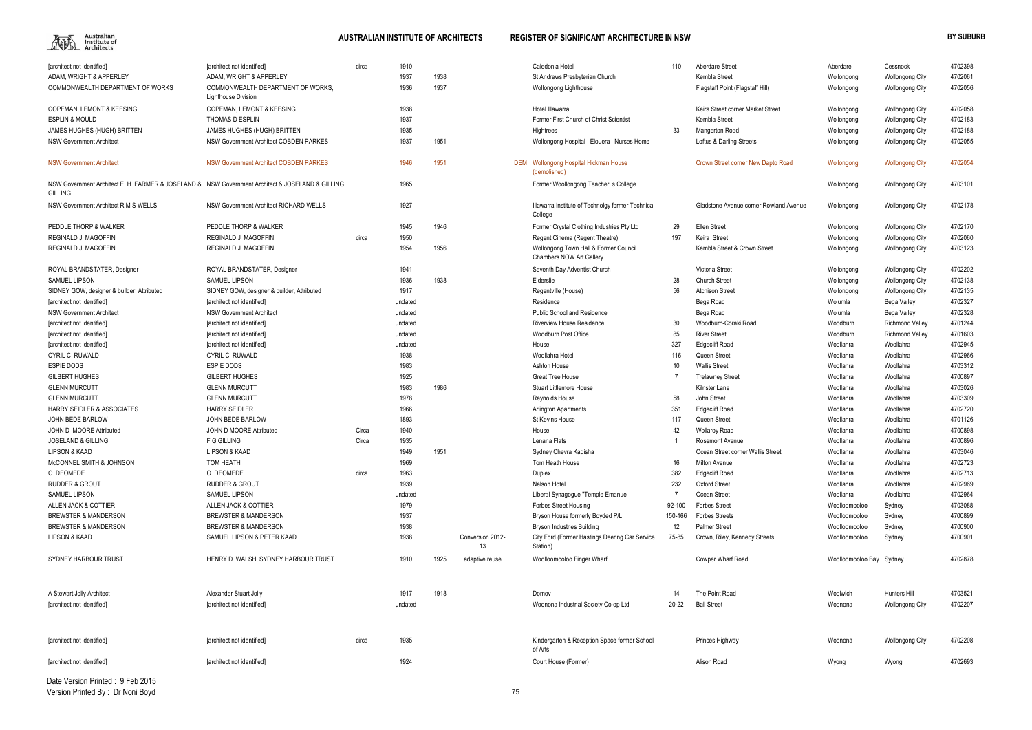

# **AUSTRALIAN INSTITUTE OF ARCHITECTS REGISTER OF SIGNIFICANT ARCHITECTURE IN NSW BY SUBURB**

| [architect not identified]                                                                                       | [architect not identified]                                    | circa | 1910         |      |                  | Caledonia Hotel                                                                     | 110         | Aberdare Street                                       | Aberdare                       | Cessnock               | 4702398            |
|------------------------------------------------------------------------------------------------------------------|---------------------------------------------------------------|-------|--------------|------|------------------|-------------------------------------------------------------------------------------|-------------|-------------------------------------------------------|--------------------------------|------------------------|--------------------|
| ADAM, WRIGHT & APPERLEY                                                                                          | ADAM, WRIGHT & APPERLEY                                       |       | 1937         | 1938 |                  | St Andrews Presbyterian Church                                                      |             | Kembla Street                                         | Wollongong                     | <b>Wollongong City</b> | 4702061            |
| COMMONWEALTH DEPARTMENT OF WORKS                                                                                 | COMMONWEALTH DEPARTMENT OF WORKS.<br>Lighthouse Division      |       | 1936         | 1937 |                  | Wollongong Lighthouse                                                               |             | Flagstaff Point (Flagstaff Hill)                      | Wollongong                     | <b>Wollongong City</b> | 4702056            |
| <b>COPEMAN, LEMONT &amp; KEESING</b>                                                                             | <b>COPEMAN, LEMONT &amp; KEESING</b>                          |       | 1938         |      |                  | Hotel Illawarra                                                                     |             | Keira Street corner Market Street                     | Wollongong                     | <b>Wollongong City</b> | 4702058            |
| <b>ESPLIN &amp; MOULD</b>                                                                                        | <b>THOMAS D ESPLIN</b>                                        |       | 1937         |      |                  | Former First Church of Christ Scientist                                             |             | Kembla Street                                         | Wollongong                     | <b>Wollongong City</b> | 4702183            |
| JAMES HUGHES (HUGH) BRITTEN                                                                                      | JAMES HUGHES (HUGH) BRITTEN                                   |       | 1935         |      |                  | Hightrees                                                                           | 33          | Mangerton Road                                        | Wollongong                     | <b>Wollongong City</b> | 4702188            |
| <b>NSW Government Architect</b>                                                                                  | NSW Government Architect COBDEN PARKES                        |       | 1937         | 1951 |                  |                                                                                     |             | Loftus & Darling Streets                              | Wollongong                     | <b>Wollongong City</b> | 4702055            |
|                                                                                                                  |                                                               |       |              |      |                  | Wollongong Hospital Elouera Nurses Home                                             |             |                                                       |                                |                        |                    |
| <b>NSW Government Architect</b>                                                                                  | <b>NSW Government Architect COBDEN PARKES</b>                 |       | 1946         | 1951 |                  | DEM Wollongong Hospital Hickman House<br>(demolished)                               |             | Crown Street corner New Dapto Road                    | Wollongong                     | <b>Wollongong City</b> | 4702054            |
| NSW Government Architect E H FARMER & JOSELAND & NSW Government Architect & JOSELAND & GILLING<br><b>GILLING</b> |                                                               |       | 1965         |      |                  | Former Woollongong Teacher s College                                                |             |                                                       | Wollongong                     | <b>Wollongong City</b> | 4703101            |
| NSW Government Architect R M S WELLS                                                                             | NSW Government Architect RICHARD WELLS                        |       | 1927         |      |                  | Illawarra Institute of Technolgy former Technical<br>College                        |             | Gladstone Avenue corner Rowland Avenue                | Wollongong                     | <b>Wollongong City</b> | 4702178            |
| PEDDLE THORP & WALKER                                                                                            | PEDDLE THORP & WALKER                                         |       | 1945         | 1946 |                  | Former Crystal Clothing Industries Pty Ltd                                          | 29          | <b>Ellen Street</b>                                   | Wollongong                     | <b>Wollongong City</b> | 4702170            |
| REGINALD J MAGOFFIN                                                                                              | <b>REGINALD J MAGOFFIN</b>                                    | circa | 1950         |      |                  | Regent Cinema (Regent Theatre)                                                      | 197         | Keira Street                                          | Wollongong                     | <b>Wollongong City</b> | 4702060            |
| REGINALD J MAGOFFIN                                                                                              | <b>REGINALD J MAGOFFIN</b>                                    |       | 1954         | 1956 |                  | Wollongong Town Hall & Former Council<br>Chambers NOW Art Gallery                   |             | Kembla Street & Crown Street                          | Wollongong                     | <b>Wollongong City</b> | 4703123            |
| ROYAL BRANDSTATER, Designer                                                                                      | ROYAL BRANDSTATER, Designer                                   |       | 1941         |      |                  | Seventh Day Adventist Church                                                        |             | Victoria Street                                       | Wollongong                     | <b>Wollongong City</b> | 4702202            |
| <b>SAMUEL LIPSON</b>                                                                                             | <b>SAMUEL LIPSON</b>                                          |       | 1936         | 1938 |                  | Elderslie                                                                           | 28          | <b>Church Street</b>                                  | Wollongong                     | <b>Wollongong City</b> | 4702138            |
| SIDNEY GOW, designer & builder, Attributed                                                                       | SIDNEY GOW, designer & builder, Attributed                    |       | 1917         |      |                  | Regentville (House)                                                                 | 56          | <b>Atchison Street</b>                                | Wollongong                     | <b>Wollongong City</b> | 4702135            |
| <b>Tarchitect not identified1</b>                                                                                | [architect not identified]                                    |       | undated      |      |                  | Residence                                                                           |             | Bega Road                                             | Wolumla                        | Bega Valley            | 4702327            |
| <b>NSW Government Architect</b>                                                                                  | <b>NSW Government Architect</b>                               |       | undated      |      |                  | Public School and Residence                                                         |             | Bega Road                                             | Wolumla                        | Bega Valley            | 4702328            |
| [architect not identified]                                                                                       | [architect not identified]                                    |       | undated      |      |                  | <b>Riverview House Residence</b>                                                    | 30          | Woodburn-Coraki Road                                  | Woodburn                       | <b>Richmond Valley</b> | 4701244            |
| [architect not identified]                                                                                       | [architect not identified]                                    |       | undated      |      |                  | Woodburn Post Office                                                                | 85          | <b>River Street</b>                                   | Woodburn                       | <b>Richmond Valley</b> | 4701603            |
| [architect not identified]                                                                                       | [architect not identified]                                    |       | undated      |      |                  | House                                                                               | 327         | <b>Edgecliff Road</b>                                 | Woollahra                      | Woollahra              | 4702945            |
| CYRIL C RUWALD                                                                                                   | <b>CYRIL C RUWALD</b>                                         |       | 1938         |      |                  | Woollahra Hotel                                                                     | 116         | Queen Street                                          | Woollahra                      | Woollahra              | 4702966            |
| <b>ESPIE DODS</b>                                                                                                | <b>ESPIE DODS</b>                                             |       | 1983         |      |                  | Ashton House                                                                        | 10          | <b>Wallis Street</b>                                  | Woollahra                      | Woollahra              | 4703312            |
| <b>GILBERT HUGHES</b>                                                                                            | <b>GILBERT HUGHES</b>                                         |       | 1925         |      |                  | <b>Great Tree House</b>                                                             |             | <b>Trelawney Street</b>                               | Woollahra                      | Woollahra              | 4700897            |
| <b>GLENN MURCUTT</b>                                                                                             | <b>GLENN MURCUTT</b>                                          |       | 1983         | 1986 |                  | <b>Stuart Littlemore House</b>                                                      |             | Kilnster Lane                                         | Woollahra                      | Woollahra              | 4703026            |
| <b>GLENN MURCUTT</b>                                                                                             | <b>GLENN MURCUTT</b>                                          |       | 1978         |      |                  | Reynolds House                                                                      | 58          | John Street                                           | Woollahra                      | Woollahra              | 4703309            |
| <b>HARRY SEIDLER &amp; ASSOCIATES</b>                                                                            | <b>HARRY SEIDLER</b>                                          |       | 1966         |      |                  | <b>Arlington Apartments</b>                                                         | 351         | <b>Edgecliff Road</b>                                 | Woollahra                      | Woollahra              | 4702720            |
| JOHN BEDE BARLOW                                                                                                 | JOHN BEDE BARLOW                                              |       | 1893         |      |                  | St Kevins House                                                                     | 117         | Queen Street                                          | Woollahra                      | Woollahra              | 4701126            |
| JOHN D MOORE Attributed                                                                                          | JOHN D MOORE Attributed                                       | Circa | 1940         |      |                  | House                                                                               | 42          | <b>Wollaroy Road</b>                                  | Woollahra                      | Woollahra              | 4700898            |
| <b>JOSELAND &amp; GILLING</b>                                                                                    | F G GILLING                                                   | Circa | 1935         |      |                  | Lenana Flats                                                                        |             | <b>Rosemont Avenue</b>                                | Woollahra                      | Woollahra              | 4700896            |
| <b>LIPSON &amp; KAAD</b>                                                                                         | <b>LIPSON &amp; KAAD</b>                                      |       | 1949         | 1951 |                  | Sydney Chevra Kadisha                                                               |             | Ocean Street corner Wallis Street                     | Woollahra                      | Woollahra              | 4703046            |
| McCONNEL SMITH & JOHNSON                                                                                         | TOM HEATH                                                     |       | 1969         |      |                  | Tom Heath House                                                                     |             | <b>Milton Avenue</b>                                  | Woollahra                      | Woollahra              | 4702723            |
| O DEOMEDE                                                                                                        | O DEOMEDE                                                     |       | 1963         |      |                  |                                                                                     | 16          |                                                       |                                | Woollahra              | 4702713            |
| <b>RUDDER &amp; GROUT</b>                                                                                        |                                                               | circa |              |      |                  | Duplex                                                                              | 382         | <b>Edgecliff Road</b>                                 | Woollahra                      |                        |                    |
|                                                                                                                  | <b>RUDDER &amp; GROUT</b>                                     |       | 1939         |      |                  | Nelson Hotel                                                                        | 232         | <b>Oxford Street</b>                                  | Woollahra                      | Woollahra              | 4702969            |
| <b>SAMUEL LIPSON</b>                                                                                             | <b>SAMUEL LIPSON</b>                                          |       | undated      |      |                  | Liberal Synagogue "Temple Emanuel                                                   |             | Ocean Street                                          | Woollahra                      | Woollahra              | 4702964            |
| ALLEN JACK & COTTIER                                                                                             | ALLEN JACK & COTTIER                                          |       | 1979         |      |                  | <b>Forbes Street Housing</b>                                                        | 92-100      | <b>Forbes Street</b>                                  | Woolloomooloo                  | Sydney                 | 4703088            |
| <b>BREWSTER &amp; MANDERSON</b>                                                                                  | <b>BREWSTER &amp; MANDERSON</b>                               |       | 1937         |      |                  | Bryson House formerly Boyded P/L                                                    | 150-166     | <b>Forbes Streets</b>                                 | Woolloomooloo                  | Sydney                 | 4700899            |
| <b>BREWSTER &amp; MANDERSON</b><br><b>LIPSON &amp; KAAD</b>                                                      | <b>BREWSTER &amp; MANDERSON</b><br>SAMUEL LIPSON & PETER KAAD |       | 1938<br>1938 |      | Conversion 2012- | <b>Bryson Industries Building</b><br>City Ford (Former Hastings Deering Car Service | 12<br>75-85 | <b>Palmer Street</b><br>Crown, Riley, Kennedy Streets | Woolloomooloo<br>Woolloomooloo | Sydney                 | 4700900<br>4700901 |
|                                                                                                                  |                                                               |       |              |      | 13               | Station)                                                                            |             |                                                       |                                | Sydney                 |                    |
| SYDNEY HARBOUR TRUST                                                                                             | HENRY D WALSH, SYDNEY HARBOUR TRUST                           |       | 1910         | 1925 | adaptive reuse   | Woolloomooloo Finger Wharf                                                          |             | Cowper Wharf Road                                     | Woolloomooloo Bay Sydney       |                        | 4702878            |
| A Stewart Jolly Architect                                                                                        | Alexander Stuart Jolly                                        |       | 1917         | 1918 |                  | Domov                                                                               | 14          | The Point Road                                        | Woolwich                       | Hunters Hill           | 4703521            |
| [architect not identified]                                                                                       | [architect not identified]                                    |       | undated      |      |                  | Woonona Industrial Society Co-op Ltd                                                | 20-22       | <b>Ball Street</b>                                    | Woonona                        | <b>Wollongong City</b> | 4702207            |
|                                                                                                                  |                                                               |       |              |      |                  |                                                                                     |             |                                                       |                                |                        |                    |
| [architect not identified]                                                                                       | [architect not identified]                                    | circa | 1935         |      |                  | Kindergarten & Reception Space former School<br>of Arts                             |             | Princes Highway                                       | Woonona                        | <b>Wollongong City</b> | 4702208            |
| [architect not identified]                                                                                       | [architect not identified]                                    |       | 1924         |      |                  | Court House (Former)                                                                |             | Alison Road                                           | Wyong                          | Wyong                  | 4702693            |
|                                                                                                                  |                                                               |       |              |      |                  |                                                                                     |             |                                                       |                                |                        |                    |

Date Version Printed : 9 Feb 2015Version Printed By : Dr Noni Boyd